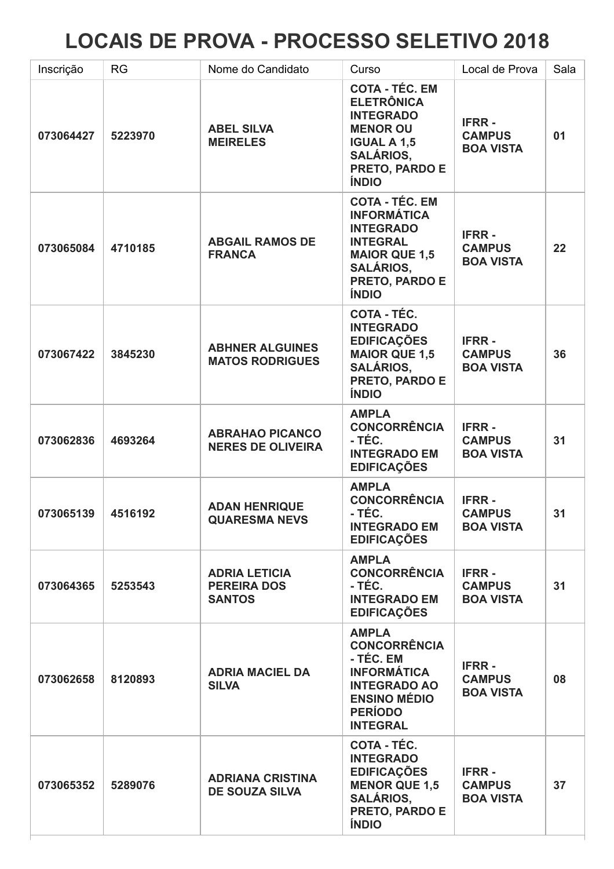## LOCAIS DE PROVA - PROCESSO SELETIVO 2018

| Inscrição | <b>RG</b> | Nome do Candidato                                           | Curso                                                                                                                                                            | Local de Prova                                    | Sala |
|-----------|-----------|-------------------------------------------------------------|------------------------------------------------------------------------------------------------------------------------------------------------------------------|---------------------------------------------------|------|
| 073064427 | 5223970   | <b>ABEL SILVA</b><br><b>MEIRELES</b>                        | <b>COTA - TÉC. EM</b><br><b>ELETRÔNICA</b><br><b>INTEGRADO</b><br><b>MENOR OU</b><br><b>IGUAL A 1,5</b><br><b>SALÁRIOS,</b><br>PRETO, PARDO E<br><b>ÍNDIO</b>    | <b>IFRR-</b><br><b>CAMPUS</b><br><b>BOA VISTA</b> | 01   |
| 073065084 | 4710185   | <b>ABGAIL RAMOS DE</b><br><b>FRANCA</b>                     | <b>COTA - TÉC. EM</b><br><b>INFORMÁTICA</b><br><b>INTEGRADO</b><br><b>INTEGRAL</b><br><b>MAIOR QUE 1,5</b><br><b>SALÁRIOS.</b><br>PRETO, PARDO E<br><b>ÍNDIO</b> | <b>IFRR-</b><br><b>CAMPUS</b><br><b>BOA VISTA</b> | 22   |
| 073067422 | 3845230   | <b>ABHNER ALGUINES</b><br><b>MATOS RODRIGUES</b>            | COTA - TÉC.<br><b>INTEGRADO</b><br><b>EDIFICAÇÕES</b><br><b>MAIOR QUE 1,5</b><br><b>SALÁRIOS,</b><br>PRETO, PARDO E<br><b>ÍNDIO</b>                              | <b>IFRR-</b><br><b>CAMPUS</b><br><b>BOA VISTA</b> | 36   |
| 073062836 | 4693264   | <b>ABRAHAO PICANCO</b><br><b>NERES DE OLIVEIRA</b>          | <b>AMPLA</b><br><b>CONCORRÊNCIA</b><br>- TÉC.<br><b>INTEGRADO EM</b><br><b>EDIFICAÇÕES</b>                                                                       | <b>IFRR-</b><br><b>CAMPUS</b><br><b>BOA VISTA</b> | 31   |
| 073065139 | 4516192   | <b>ADAN HENRIQUE</b><br><b>QUARESMA NEVS</b>                | <b>AMPLA</b><br><b>CONCORRÊNCIA</b><br>- TÉC.<br><b>INTEGRADO EM</b><br><b>EDIFICAÇÕES</b>                                                                       | <b>IFRR-</b><br><b>CAMPUS</b><br><b>BOA VISTA</b> | 31   |
| 073064365 | 5253543   | <b>ADRIA LETICIA</b><br><b>PEREIRA DOS</b><br><b>SANTOS</b> | <b>AMPLA</b><br><b>CONCORRÊNCIA</b><br>- TÉC.<br><b>INTEGRADO EM</b><br><b>EDIFICAÇÕES</b>                                                                       | <b>IFRR-</b><br><b>CAMPUS</b><br><b>BOA VISTA</b> | 31   |
| 073062658 | 8120893   | <b>ADRIA MACIEL DA</b><br><b>SILVA</b>                      | <b>AMPLA</b><br><b>CONCORRÊNCIA</b><br>- TÉC. EM<br><b>INFORMÁTICA</b><br><b>INTEGRADO AO</b><br><b>ENSINO MÉDIO</b><br><b>PERÍODO</b><br><b>INTEGRAL</b>        | <b>IFRR-</b><br><b>CAMPUS</b><br><b>BOA VISTA</b> | 08   |
| 073065352 | 5289076   | <b>ADRIANA CRISTINA</b><br><b>DE SOUZA SILVA</b>            | COTA - TÉC.<br><b>INTEGRADO</b><br><b>EDIFICAÇÕES</b><br><b>MENOR QUE 1,5</b><br><b>SALÁRIOS,</b><br>PRETO, PARDO E<br><b>ÍNDIO</b>                              | <b>IFRR-</b><br><b>CAMPUS</b><br><b>BOA VISTA</b> | 37   |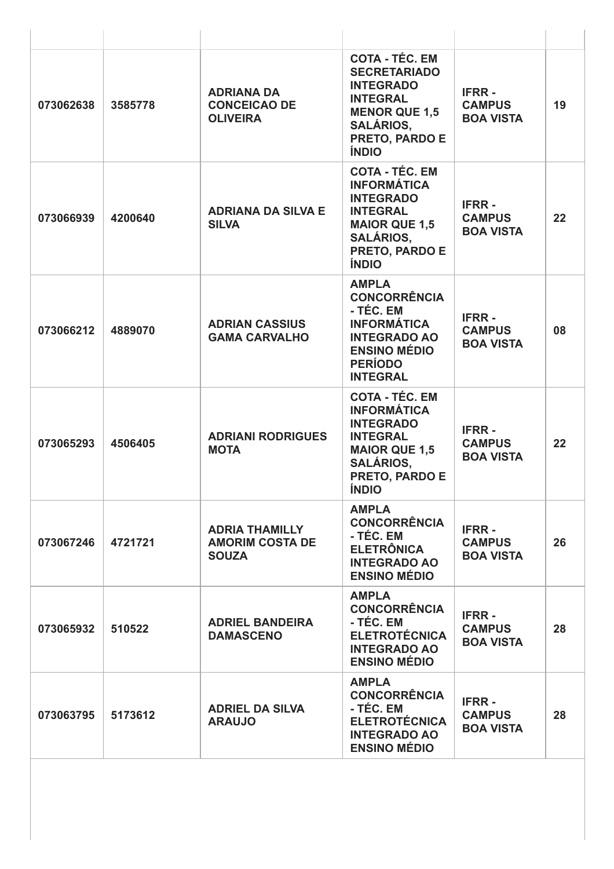| 073062638 | 3585778 | <b>ADRIANA DA</b><br><b>CONCEICAO DE</b><br><b>OLIVEIRA</b>     | <b>COTA - TÉC. EM</b><br><b>SECRETARIADO</b><br><b>INTEGRADO</b><br><b>INTEGRAL</b><br><b>MENOR QUE 1,5</b><br><b>SALÁRIOS,</b><br>PRETO, PARDO E<br><b>ÍNDIO</b>       | <b>IFRR-</b><br><b>CAMPUS</b><br><b>BOA VISTA</b> | 19 |
|-----------|---------|-----------------------------------------------------------------|-------------------------------------------------------------------------------------------------------------------------------------------------------------------------|---------------------------------------------------|----|
| 073066939 | 4200640 | <b>ADRIANA DA SILVA E</b><br><b>SILVA</b>                       | <b>COTA - TÉC. EM</b><br><b>INFORMÁTICA</b><br><b>INTEGRADO</b><br><b>INTEGRAL</b><br><b>MAIOR QUE 1,5</b><br><b>SALÁRIOS,</b><br>PRETO, PARDO E<br><b>ÍNDIO</b>        | <b>IFRR-</b><br><b>CAMPUS</b><br><b>BOA VISTA</b> | 22 |
| 073066212 | 4889070 | <b>ADRIAN CASSIUS</b><br><b>GAMA CARVALHO</b>                   | <b>AMPLA</b><br><b>CONCORRÊNCIA</b><br>- TÉC. EM<br><b>INFORMÁTICA</b><br><b>INTEGRADO AO</b><br><b>ENSINO MÉDIO</b><br><b>PERÍODO</b><br><b>INTEGRAL</b>               | <b>IFRR-</b><br><b>CAMPUS</b><br><b>BOA VISTA</b> | 08 |
| 073065293 | 4506405 | <b>ADRIANI RODRIGUES</b><br><b>MOTA</b>                         | <b>COTA - TÉC. EM</b><br><b>INFORMÁTICA</b><br><b>INTEGRADO</b><br><b>INTEGRAL</b><br><b>MAIOR QUE 1,5</b><br><b>SALÁRIOS,</b><br><b>PRETO, PARDO E</b><br><b>INDIO</b> | <b>IFRR-</b><br><b>CAMPUS</b><br><b>BOA VISTA</b> | 22 |
| 073067246 | 4721721 | <b>ADRIA THAMILLY</b><br><b>AMORIM COSTA DE</b><br><b>SOUZA</b> | <b>AMPLA</b><br><b>CONCORRÊNCIA</b><br>- TÉC. EM<br><b>ELETRÔNICA</b><br><b>INTEGRADO AO</b><br><b>ENSINO MÉDIO</b>                                                     | <b>IFRR-</b><br><b>CAMPUS</b><br><b>BOA VISTA</b> | 26 |
| 073065932 | 510522  | <b>ADRIEL BANDEIRA</b><br><b>DAMASCENO</b>                      | <b>AMPLA</b><br><b>CONCORRÊNCIA</b><br>- TÉC. EM<br><b>ELETROTÉCNICA</b><br><b>INTEGRADO AO</b><br><b>ENSINO MÉDIO</b>                                                  | <b>IFRR-</b><br><b>CAMPUS</b><br><b>BOA VISTA</b> | 28 |
| 073063795 | 5173612 | <b>ADRIEL DA SILVA</b><br><b>ARAUJO</b>                         | <b>AMPLA</b><br><b>CONCORRÊNCIA</b><br>- TÉC. EM<br><b>ELETROTÉCNICA</b><br><b>INTEGRADO AO</b><br><b>ENSINO MÉDIO</b>                                                  | <b>IFRR-</b><br><b>CAMPUS</b><br><b>BOA VISTA</b> | 28 |
|           |         |                                                                 |                                                                                                                                                                         |                                                   |    |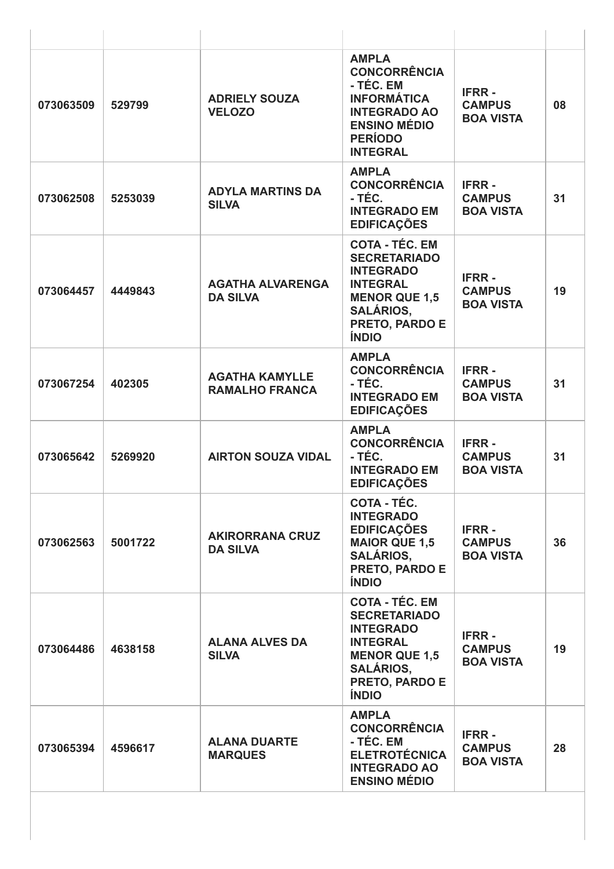| 073063509 | 529799  | <b>ADRIELY SOUZA</b><br><b>VELOZO</b>          | <b>AMPLA</b><br><b>CONCORRÊNCIA</b><br>- TÉC. EM<br><b>INFORMÁTICA</b><br><b>INTEGRADO AO</b><br><b>ENSINO MÉDIO</b><br><b>PERÍODO</b><br><b>INTEGRAL</b>                | <b>IFRR-</b><br><b>CAMPUS</b><br><b>BOA VISTA</b> | 08 |
|-----------|---------|------------------------------------------------|--------------------------------------------------------------------------------------------------------------------------------------------------------------------------|---------------------------------------------------|----|
| 073062508 | 5253039 | <b>ADYLA MARTINS DA</b><br><b>SILVA</b>        | <b>AMPLA</b><br><b>CONCORRÊNCIA</b><br>- TÉC.<br><b>INTEGRADO EM</b><br><b>EDIFICAÇÕES</b>                                                                               | <b>IFRR-</b><br><b>CAMPUS</b><br><b>BOA VISTA</b> | 31 |
| 073064457 | 4449843 | <b>AGATHA ALVARENGA</b><br><b>DA SILVA</b>     | <b>COTA - TÉC. EM</b><br><b>SECRETARIADO</b><br><b>INTEGRADO</b><br><b>INTEGRAL</b><br><b>MENOR QUE 1,5</b><br><b>SALÁRIOS,</b><br>PRETO, PARDO E<br><b>ÍNDIO</b>        | <b>IFRR-</b><br><b>CAMPUS</b><br><b>BOA VISTA</b> | 19 |
| 073067254 | 402305  | <b>AGATHA KAMYLLE</b><br><b>RAMALHO FRANCA</b> | <b>AMPLA</b><br><b>CONCORRÊNCIA</b><br>- TÉC.<br><b>INTEGRADO EM</b><br><b>EDIFICAÇÕES</b>                                                                               | <b>IFRR-</b><br><b>CAMPUS</b><br><b>BOA VISTA</b> | 31 |
| 073065642 | 5269920 | <b>AIRTON SOUZA VIDAL</b>                      | <b>AMPLA</b><br><b>CONCORRÊNCIA</b><br>- TÉC.<br><b>INTEGRADO EM</b><br><b>EDIFICAÇÕES</b>                                                                               | <b>IFRR-</b><br><b>CAMPUS</b><br><b>BOA VISTA</b> | 31 |
| 073062563 | 5001722 | <b>AKIRORRANA CRUZ</b><br><b>DA SILVA</b>      | COTA - TÉC.<br><b>INTEGRADO</b><br><b>EDIFICAÇÕES</b><br><b>MAIOR QUE 1,5</b><br><b>SALÁRIOS.</b><br><b>PRETO, PARDO E</b><br><b>ÍNDIO</b>                               | <b>IFRR-</b><br><b>CAMPUS</b><br><b>BOA VISTA</b> | 36 |
| 073064486 | 4638158 | <b>ALANA ALVES DA</b><br><b>SILVA</b>          | <b>COTA - TÉC. EM</b><br><b>SECRETARIADO</b><br><b>INTEGRADO</b><br><b>INTEGRAL</b><br><b>MENOR QUE 1,5</b><br><b>SALÁRIOS,</b><br><b>PRETO, PARDO E</b><br><b>ÍNDIO</b> | <b>IFRR-</b><br><b>CAMPUS</b><br><b>BOA VISTA</b> | 19 |
| 073065394 | 4596617 | <b>ALANA DUARTE</b><br><b>MARQUES</b>          | <b>AMPLA</b><br><b>CONCORRÊNCIA</b><br>- TÉC. EM<br><b>ELETROTÉCNICA</b><br><b>INTEGRADO AO</b><br><b>ENSINO MÉDIO</b>                                                   | <b>IFRR-</b><br><b>CAMPUS</b><br><b>BOA VISTA</b> | 28 |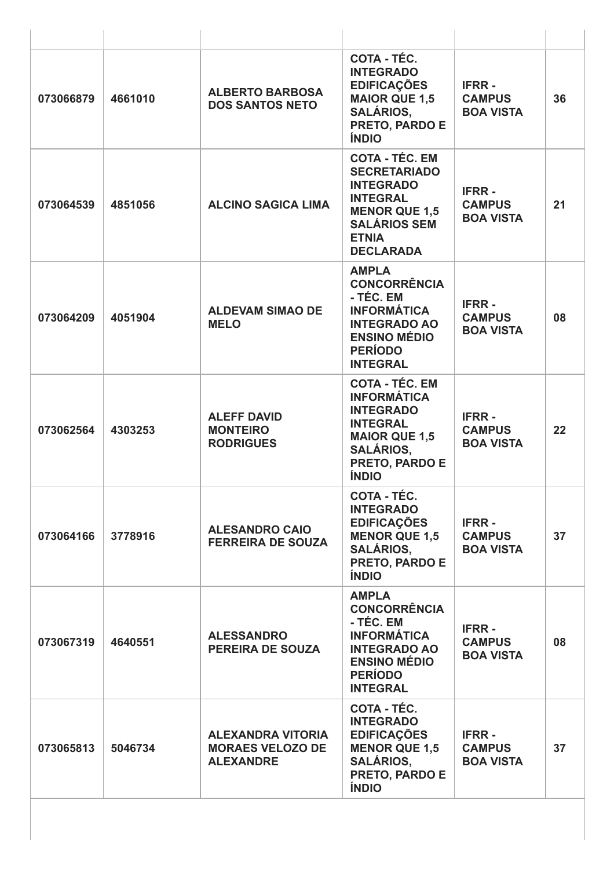| 073066879 | 4661010 | <b>ALBERTO BARBOSA</b><br><b>DOS SANTOS NETO</b>                        | COTA - TÉC.<br><b>INTEGRADO</b><br><b>EDIFICAÇÕES</b><br><b>MAIOR QUE 1,5</b><br><b>SALÁRIOS,</b><br>PRETO, PARDO E<br><b>ÍNDIO</b>                                     | <b>IFRR-</b><br><b>CAMPUS</b><br><b>BOA VISTA</b> | 36 |
|-----------|---------|-------------------------------------------------------------------------|-------------------------------------------------------------------------------------------------------------------------------------------------------------------------|---------------------------------------------------|----|
| 073064539 | 4851056 | <b>ALCINO SAGICA LIMA</b>                                               | <b>COTA - TÉC. EM</b><br><b>SECRETARIADO</b><br><b>INTEGRADO</b><br><b>INTEGRAL</b><br><b>MENOR QUE 1,5</b><br><b>SALÁRIOS SEM</b><br><b>ETNIA</b><br><b>DECLARADA</b>  | <b>IFRR-</b><br><b>CAMPUS</b><br><b>BOA VISTA</b> | 21 |
| 073064209 | 4051904 | <b>ALDEVAM SIMAO DE</b><br><b>MELO</b>                                  | <b>AMPLA</b><br><b>CONCORRÊNCIA</b><br>- TÉC. EM<br><b>INFORMÁTICA</b><br><b>INTEGRADO AO</b><br><b>ENSINO MÉDIO</b><br><b>PERÍODO</b><br><b>INTEGRAL</b>               | <b>IFRR-</b><br><b>CAMPUS</b><br><b>BOA VISTA</b> | 08 |
| 073062564 | 4303253 | <b>ALEFF DAVID</b><br><b>MONTEIRO</b><br><b>RODRIGUES</b>               | <b>COTA - TÉC. EM</b><br><b>INFORMÁTICA</b><br><b>INTEGRADO</b><br><b>INTEGRAL</b><br><b>MAIOR QUE 1,5</b><br><b>SALÁRIOS,</b><br><b>PRETO, PARDO E</b><br><b>ÍNDIO</b> | <b>IFRR-</b><br><b>CAMPUS</b><br><b>BOA VISTA</b> | 22 |
| 073064166 | 3778916 | <b>ALESANDRO CAIO</b><br><b>FERREIRA DE SOUZA</b>                       | <b>COTA - TÉC.</b><br><b>INTEGRADO</b><br><b>EDIFICAÇÕES</b><br><b>MENOR QUE 1,5</b><br><b>SALÁRIOS.</b><br>PRETO, PARDO E<br><b>ÍNDIO</b>                              | <b>IFRR-</b><br><b>CAMPUS</b><br><b>BOA VISTA</b> | 37 |
| 073067319 | 4640551 | <b>ALESSANDRO</b><br><b>PEREIRA DE SOUZA</b>                            | <b>AMPLA</b><br><b>CONCORRÊNCIA</b><br>- TÉC. EM<br><b>INFORMÁTICA</b><br><b>INTEGRADO AO</b><br><b>ENSINO MÉDIO</b><br><b>PERÍODO</b><br><b>INTEGRAL</b>               | <b>IFRR-</b><br><b>CAMPUS</b><br><b>BOA VISTA</b> | 08 |
| 073065813 | 5046734 | <b>ALEXANDRA VITORIA</b><br><b>MORAES VELOZO DE</b><br><b>ALEXANDRE</b> | COTA - TÉC.<br><b>INTEGRADO</b><br><b>EDIFICAÇÕES</b><br><b>MENOR QUE 1,5</b><br><b>SALÁRIOS,</b><br>PRETO, PARDO E<br><b>ÍNDIO</b>                                     | <b>IFRR-</b><br><b>CAMPUS</b><br><b>BOA VISTA</b> | 37 |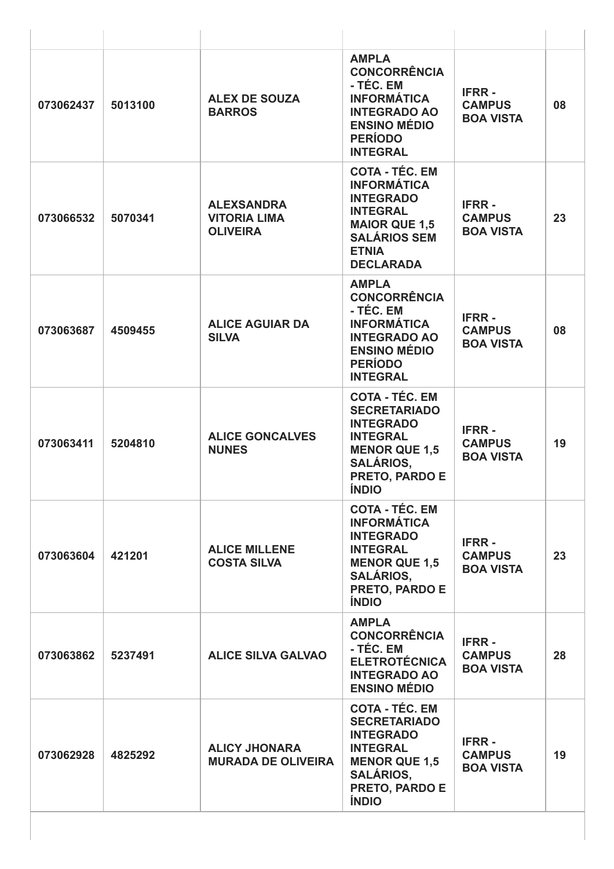| 073062437 | 5013100 | <b>ALEX DE SOUZA</b><br><b>BARROS</b>                       | <b>AMPLA</b><br><b>CONCORRÊNCIA</b><br>- TÉC. EM<br><b>INFORMÁTICA</b><br><b>INTEGRADO AO</b><br><b>ENSINO MÉDIO</b><br><b>PERÍODO</b><br><b>INTEGRAL</b>                | <b>IFRR-</b><br><b>CAMPUS</b><br><b>BOA VISTA</b> | 08 |
|-----------|---------|-------------------------------------------------------------|--------------------------------------------------------------------------------------------------------------------------------------------------------------------------|---------------------------------------------------|----|
| 073066532 | 5070341 | <b>ALEXSANDRA</b><br><b>VITORIA LIMA</b><br><b>OLIVEIRA</b> | <b>COTA - TÉC. EM</b><br><b>INFORMÁTICA</b><br><b>INTEGRADO</b><br><b>INTEGRAL</b><br><b>MAIOR QUE 1,5</b><br><b>SALÁRIOS SEM</b><br><b>ETNIA</b><br><b>DECLARADA</b>    | <b>IFRR-</b><br><b>CAMPUS</b><br><b>BOA VISTA</b> | 23 |
| 073063687 | 4509455 | <b>ALICE AGUIAR DA</b><br><b>SILVA</b>                      | <b>AMPLA</b><br><b>CONCORRÊNCIA</b><br>- TÉC. EM<br><b>INFORMÁTICA</b><br><b>INTEGRADO AO</b><br><b>ENSINO MÉDIO</b><br><b>PERÍODO</b><br><b>INTEGRAL</b>                | <b>IFRR-</b><br><b>CAMPUS</b><br><b>BOA VISTA</b> | 08 |
| 073063411 | 5204810 | <b>ALICE GONCALVES</b><br><b>NUNES</b>                      | <b>COTA - TÉC. EM</b><br><b>SECRETARIADO</b><br><b>INTEGRADO</b><br><b>INTEGRAL</b><br><b>MENOR QUE 1,5</b><br><b>SALÁRIOS,</b><br><b>PRETO, PARDO E</b><br><b>ÍNDIO</b> | <b>IFRR-</b><br><b>CAMPUS</b><br><b>BOA VISTA</b> | 19 |
| 073063604 | 421201  | <b>ALICE MILLENE</b><br><b>COSTA SILVA</b>                  | <b>COTA - TÉC. EM</b><br><b>INFORMÁTICA</b><br><b>INTEGRADO</b><br><b>INTEGRAL</b><br><b>MENOR QUE 1,5</b><br><b>SALÁRIOS,</b><br>PRETO, PARDO E<br><b>ÍNDIO</b>         | <b>IFRR-</b><br><b>CAMPUS</b><br><b>BOA VISTA</b> | 23 |
| 073063862 | 5237491 | <b>ALICE SILVA GALVAO</b>                                   | <b>AMPLA</b><br><b>CONCORRÊNCIA</b><br>- TÉC. EM<br><b>ELETROTÉCNICA</b><br><b>INTEGRADO AO</b><br><b>ENSINO MÉDIO</b>                                                   | <b>IFRR-</b><br><b>CAMPUS</b><br><b>BOA VISTA</b> | 28 |
| 073062928 | 4825292 | <b>ALICY JHONARA</b><br><b>MURADA DE OLIVEIRA</b>           | <b>COTA - TÉC. EM</b><br><b>SECRETARIADO</b><br><b>INTEGRADO</b><br><b>INTEGRAL</b><br><b>MENOR QUE 1,5</b><br><b>SALÁRIOS,</b><br>PRETO, PARDO E<br><b>ÍNDIO</b>        | <b>IFRR-</b><br><b>CAMPUS</b><br><b>BOA VISTA</b> | 19 |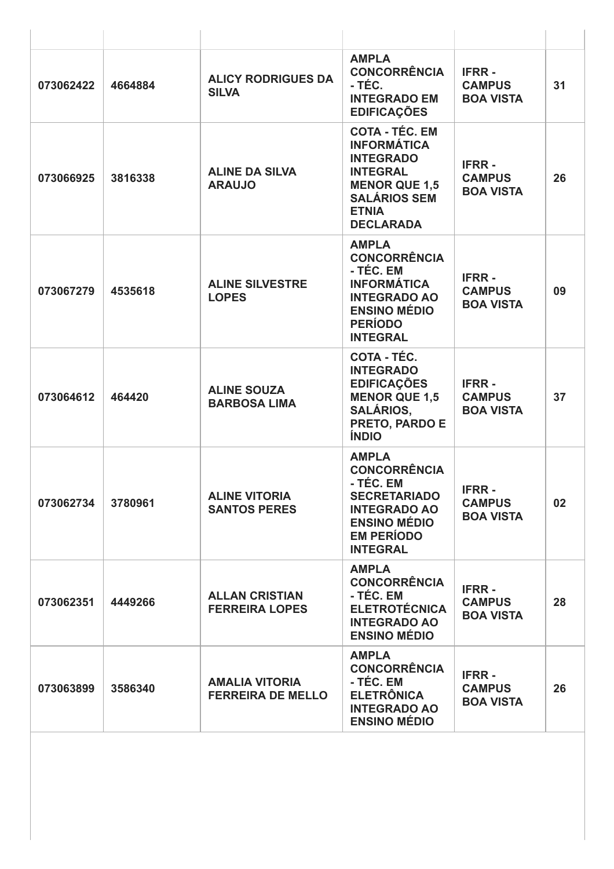| 073062422 | 4664884 | <b>ALICY RODRIGUES DA</b><br><b>SILVA</b>         | <b>AMPLA</b><br><b>CONCORRÊNCIA</b><br>- TÉC.<br><b>INTEGRADO EM</b><br><b>EDIFICAÇÕES</b>                                                                            | <b>IFRR-</b><br><b>CAMPUS</b><br><b>BOA VISTA</b> | 31              |
|-----------|---------|---------------------------------------------------|-----------------------------------------------------------------------------------------------------------------------------------------------------------------------|---------------------------------------------------|-----------------|
| 073066925 | 3816338 | <b>ALINE DA SILVA</b><br><b>ARAUJO</b>            | <b>COTA - TÉC. EM</b><br><b>INFORMÁTICA</b><br><b>INTEGRADO</b><br><b>INTEGRAL</b><br><b>MENOR QUE 1,5</b><br><b>SALÁRIOS SEM</b><br><b>ETNIA</b><br><b>DECLARADA</b> | <b>IFRR-</b><br><b>CAMPUS</b><br><b>BOA VISTA</b> | 26              |
| 073067279 | 4535618 | <b>ALINE SILVESTRE</b><br><b>LOPES</b>            | <b>AMPLA</b><br><b>CONCORRÊNCIA</b><br>- TÉC. EM<br><b>INFORMÁTICA</b><br><b>INTEGRADO AO</b><br><b>ENSINO MÉDIO</b><br><b>PERÍODO</b><br><b>INTEGRAL</b>             | <b>IFRR-</b><br><b>CAMPUS</b><br><b>BOA VISTA</b> | 09              |
| 073064612 | 464420  | <b>ALINE SOUZA</b><br><b>BARBOSA LIMA</b>         | COTA - TÉC.<br><b>INTEGRADO</b><br><b>EDIFICAÇÕES</b><br><b>MENOR QUE 1,5</b><br><b>SALÁRIOS,</b><br>PRETO, PARDO E<br><b>ÍNDIO</b>                                   | <b>IFRR-</b><br><b>CAMPUS</b><br><b>BOA VISTA</b> | 37              |
| 073062734 | 3780961 | <b>ALINE VITORIA</b><br><b>SANTOS PERES</b>       | <b>AMPLA</b><br><b>CONCORRÊNCIA</b><br>- TÉC. EM<br><b>SECRETARIADO</b><br><b>INTEGRADO AO</b><br><b>ENSINO MÉDIO</b><br><b>EM PERÍODO</b><br><b>INTEGRAL</b>         | <b>IFRR-</b><br><b>CAMPUS</b><br><b>BOA VISTA</b> | 02 <sub>2</sub> |
| 073062351 | 4449266 | <b>ALLAN CRISTIAN</b><br><b>FERREIRA LOPES</b>    | <b>AMPLA</b><br><b>CONCORRÊNCIA</b><br>- TÉC. EM<br><b>ELETROTÉCNICA</b><br><b>INTEGRADO AO</b><br><b>ENSINO MÉDIO</b>                                                | <b>IFRR-</b><br><b>CAMPUS</b><br><b>BOA VISTA</b> | 28              |
| 073063899 | 3586340 | <b>AMALIA VITORIA</b><br><b>FERREIRA DE MELLO</b> | <b>AMPLA</b><br><b>CONCORRÊNCIA</b><br>- TÉC. EM<br><b>ELETRÔNICA</b><br><b>INTEGRADO AO</b><br><b>ENSINO MÉDIO</b>                                                   | <b>IFRR-</b><br><b>CAMPUS</b><br><b>BOA VISTA</b> | 26              |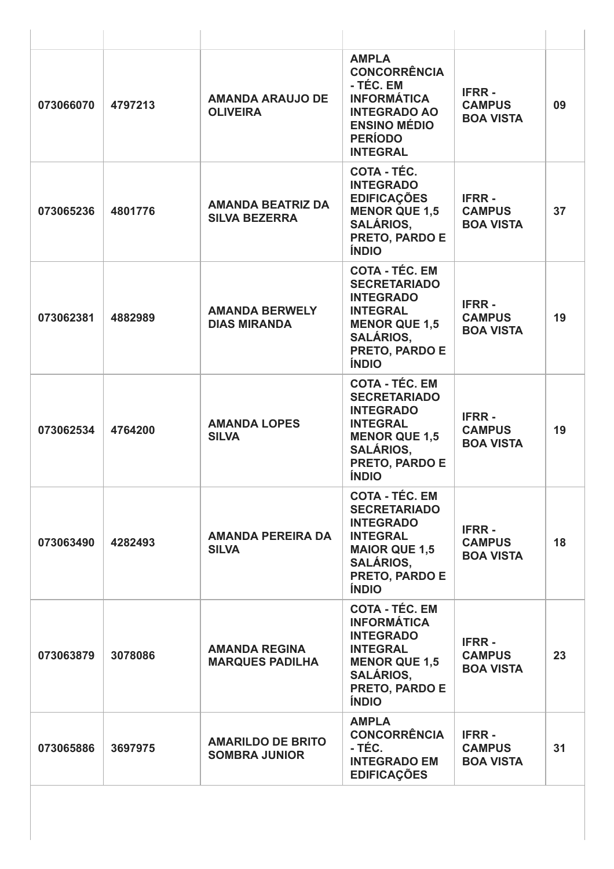| 073066070 | 4797213 | <b>AMANDA ARAUJO DE</b><br><b>OLIVEIRA</b>       | <b>AMPLA</b><br><b>CONCORRÊNCIA</b><br>- TÉC. EM<br><b>INFORMÁTICA</b><br><b>INTEGRADO AO</b><br><b>ENSINO MÉDIO</b><br><b>PERÍODO</b><br><b>INTEGRAL</b>                | <b>IFRR-</b><br><b>CAMPUS</b><br><b>BOA VISTA</b> | 09 |
|-----------|---------|--------------------------------------------------|--------------------------------------------------------------------------------------------------------------------------------------------------------------------------|---------------------------------------------------|----|
| 073065236 | 4801776 | <b>AMANDA BEATRIZ DA</b><br><b>SILVA BEZERRA</b> | COTA - TÉC.<br><b>INTEGRADO</b><br><b>EDIFICAÇÕES</b><br><b>MENOR QUE 1,5</b><br><b>SALÁRIOS,</b><br>PRETO, PARDO E<br><b>ÍNDIO</b>                                      | <b>IFRR-</b><br><b>CAMPUS</b><br><b>BOA VISTA</b> | 37 |
| 073062381 | 4882989 | <b>AMANDA BERWELY</b><br><b>DIAS MIRANDA</b>     | <b>COTA - TÉC. EM</b><br><b>SECRETARIADO</b><br><b>INTEGRADO</b><br><b>INTEGRAL</b><br><b>MENOR QUE 1,5</b><br><b>SALÁRIOS,</b><br>PRETO, PARDO E<br><b>ÍNDIO</b>        | <b>IFRR-</b><br><b>CAMPUS</b><br><b>BOA VISTA</b> | 19 |
| 073062534 | 4764200 | <b>AMANDA LOPES</b><br><b>SILVA</b>              | <b>COTA - TÉC. EM</b><br><b>SECRETARIADO</b><br><b>INTEGRADO</b><br><b>INTEGRAL</b><br><b>MENOR QUE 1,5</b><br><b>SALÁRIOS,</b><br>PRETO, PARDO E<br><b>ÍNDIO</b>        | <b>IFRR-</b><br><b>CAMPUS</b><br><b>BOA VISTA</b> | 19 |
| 073063490 | 4282493 | <b>AMANDA PEREIRA DA</b><br><b>SILVA</b>         | <b>COTA - TÉC. EM</b><br><b>SECRETARIADO</b><br><b>INTEGRADO</b><br><b>INTEGRAL</b><br><b>MAIOR QUE 1,5</b><br><b>SALÁRIOS,</b><br><b>PRETO, PARDO E</b><br><b>ÍNDIO</b> | <b>IFRR-</b><br><b>CAMPUS</b><br><b>BOA VISTA</b> | 18 |
| 073063879 | 3078086 | <b>AMANDA REGINA</b><br><b>MARQUES PADILHA</b>   | <b>COTA - TÉC. EM</b><br><b>INFORMÁTICA</b><br><b>INTEGRADO</b><br><b>INTEGRAL</b><br><b>MENOR QUE 1,5</b><br><b>SALÁRIOS,</b><br>PRETO, PARDO E<br><b>ÍNDIO</b>         | <b>IFRR-</b><br><b>CAMPUS</b><br><b>BOA VISTA</b> | 23 |
| 073065886 | 3697975 | <b>AMARILDO DE BRITO</b><br><b>SOMBRA JUNIOR</b> | <b>AMPLA</b><br><b>CONCORRÊNCIA</b><br>- TÉC.<br><b>INTEGRADO EM</b><br><b>EDIFICAÇÕES</b>                                                                               | <b>IFRR-</b><br><b>CAMPUS</b><br><b>BOA VISTA</b> | 31 |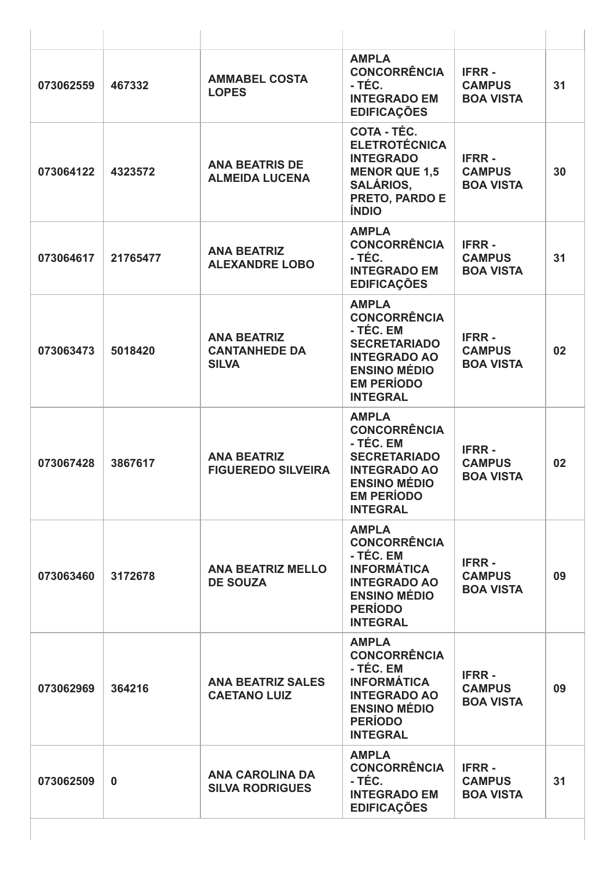| 073062559 | 467332   | <b>AMMABEL COSTA</b><br><b>LOPES</b>                       | <b>AMPLA</b><br><b>CONCORRÊNCIA</b><br>- TÉC.<br><b>INTEGRADO EM</b><br><b>EDIFICAÇÕES</b>                                                                    | <b>IFRR-</b><br><b>CAMPUS</b><br><b>BOA VISTA</b> | 31 |
|-----------|----------|------------------------------------------------------------|---------------------------------------------------------------------------------------------------------------------------------------------------------------|---------------------------------------------------|----|
| 073064122 | 4323572  | <b>ANA BEATRIS DE</b><br><b>ALMEIDA LUCENA</b>             | COTA - TÉC.<br><b>ELETROTÉCNICA</b><br><b>INTEGRADO</b><br><b>MENOR QUE 1,5</b><br><b>SALÁRIOS,</b><br>PRETO, PARDO E<br><b>ÍNDIO</b>                         | <b>IFRR-</b><br><b>CAMPUS</b><br><b>BOA VISTA</b> | 30 |
| 073064617 | 21765477 | <b>ANA BEATRIZ</b><br><b>ALEXANDRE LOBO</b>                | <b>AMPLA</b><br><b>CONCORRÊNCIA</b><br>- TÉC.<br><b>INTEGRADO EM</b><br><b>EDIFICAÇÕES</b>                                                                    | <b>IFRR-</b><br><b>CAMPUS</b><br><b>BOA VISTA</b> | 31 |
| 073063473 | 5018420  | <b>ANA BEATRIZ</b><br><b>CANTANHEDE DA</b><br><b>SILVA</b> | <b>AMPLA</b><br><b>CONCORRÊNCIA</b><br>- TÉC. EM<br><b>SECRETARIADO</b><br><b>INTEGRADO AO</b><br><b>ENSINO MÉDIO</b><br><b>EM PERÍODO</b><br><b>INTEGRAL</b> | <b>IFRR-</b><br><b>CAMPUS</b><br><b>BOA VISTA</b> | 02 |
| 073067428 | 3867617  | <b>ANA BEATRIZ</b><br><b>FIGUEREDO SILVEIRA</b>            | <b>AMPLA</b><br><b>CONCORRÊNCIA</b><br>- TÉC. EM<br><b>SECRETARIADO</b><br><b>INTEGRADO AO</b><br><b>ENSINO MÉDIO</b><br><b>EM PERÍODO</b><br><b>INTEGRAL</b> | <b>IFRR-</b><br><b>CAMPUS</b><br><b>BOA VISTA</b> | 02 |
| 073063460 | 3172678  | <b>ANA BEATRIZ MELLO</b><br><b>DE SOUZA</b>                | <b>AMPLA</b><br><b>CONCORRÊNCIA</b><br>- TÉC. EM<br><b>INFORMÁTICA</b><br><b>INTEGRADO AO</b><br><b>ENSINO MÉDIO</b><br><b>PERÍODO</b><br><b>INTEGRAL</b>     | <b>IFRR-</b><br><b>CAMPUS</b><br><b>BOA VISTA</b> | 09 |
| 073062969 | 364216   | <b>ANA BEATRIZ SALES</b><br><b>CAETANO LUIZ</b>            | <b>AMPLA</b><br><b>CONCORRÊNCIA</b><br>- TÉC. EM<br><b>INFORMÁTICA</b><br><b>INTEGRADO AO</b><br><b>ENSINO MÉDIO</b><br><b>PERÍODO</b><br><b>INTEGRAL</b>     | <b>IFRR-</b><br><b>CAMPUS</b><br><b>BOA VISTA</b> | 09 |
| 073062509 | $\bf{0}$ | <b>ANA CAROLINA DA</b><br><b>SILVA RODRIGUES</b>           | <b>AMPLA</b><br><b>CONCORRÊNCIA</b><br>- TÉC.<br><b>INTEGRADO EM</b><br><b>EDIFICAÇÕES</b>                                                                    | <b>IFRR-</b><br><b>CAMPUS</b><br><b>BOA VISTA</b> | 31 |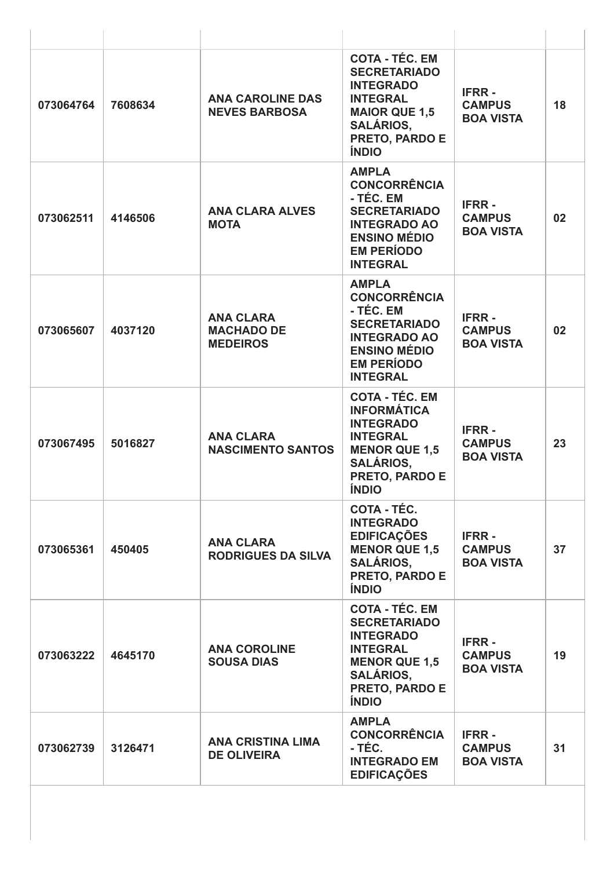| 073064764 | 7608634 | <b>ANA CAROLINE DAS</b><br><b>NEVES BARBOSA</b>          | <b>COTA - TÉC. EM</b><br><b>SECRETARIADO</b><br><b>INTEGRADO</b><br><b>INTEGRAL</b><br><b>MAIOR QUE 1,5</b><br><b>SALÁRIOS,</b><br>PRETO, PARDO E<br><b>ÍNDIO</b>       | <b>IFRR-</b><br><b>CAMPUS</b><br><b>BOA VISTA</b> | 18 |
|-----------|---------|----------------------------------------------------------|-------------------------------------------------------------------------------------------------------------------------------------------------------------------------|---------------------------------------------------|----|
| 073062511 | 4146506 | <b>ANA CLARA ALVES</b><br><b>MOTA</b>                    | <b>AMPLA</b><br><b>CONCORRÊNCIA</b><br>- TÉC. EM<br><b>SECRETARIADO</b><br><b>INTEGRADO AO</b><br><b>ENSINO MÉDIO</b><br><b>EM PERÍODO</b><br><b>INTEGRAL</b>           | <b>IFRR-</b><br><b>CAMPUS</b><br><b>BOA VISTA</b> | 02 |
| 073065607 | 4037120 | <b>ANA CLARA</b><br><b>MACHADO DE</b><br><b>MEDEIROS</b> | <b>AMPLA</b><br><b>CONCORRÊNCIA</b><br>- TÉC. EM<br><b>SECRETARIADO</b><br><b>INTEGRADO AO</b><br><b>ENSINO MÉDIO</b><br><b>EM PERÍODO</b><br><b>INTEGRAL</b>           | <b>IFRR-</b><br><b>CAMPUS</b><br><b>BOA VISTA</b> | 02 |
| 073067495 | 5016827 | <b>ANA CLARA</b><br><b>NASCIMENTO SANTOS</b>             | <b>COTA - TÉC. EM</b><br><b>INFORMÁTICA</b><br><b>INTEGRADO</b><br><b>INTEGRAL</b><br><b>MENOR QUE 1,5</b><br><b>SALÁRIOS,</b><br><b>PRETO, PARDO E</b><br><b>ÍNDIO</b> | <b>IFRR-</b><br><b>CAMPUS</b><br><b>BOA VISTA</b> | 23 |
| 073065361 | 450405  | <b>ANA CLARA</b><br><b>RODRIGUES DA SILVA</b>            | <b>COTA - TÉC.</b><br><b>INTEGRADO</b><br><b>EDIFICAÇÕES</b><br><b>MENOR QUE 1,5</b><br><b>SALÁRIOS,</b><br><b>PRETO, PARDO E</b><br><b>ÍNDIO</b>                       | <b>IFRR-</b><br><b>CAMPUS</b><br><b>BOA VISTA</b> | 37 |
| 073063222 | 4645170 | <b>ANA COROLINE</b><br><b>SOUSA DIAS</b>                 | <b>COTA - TÉC. EM</b><br><b>SECRETARIADO</b><br><b>INTEGRADO</b><br><b>INTEGRAL</b><br><b>MENOR QUE 1,5</b><br><b>SALÁRIOS,</b><br>PRETO, PARDO E<br><b>ÍNDIO</b>       | <b>IFRR-</b><br><b>CAMPUS</b><br><b>BOA VISTA</b> | 19 |
| 073062739 | 3126471 | <b>ANA CRISTINA LIMA</b><br><b>DE OLIVEIRA</b>           | <b>AMPLA</b><br><b>CONCORRÊNCIA</b><br>- TÉC.<br><b>INTEGRADO EM</b><br><b>EDIFICAÇÕES</b>                                                                              | <b>IFRR-</b><br><b>CAMPUS</b><br><b>BOA VISTA</b> | 31 |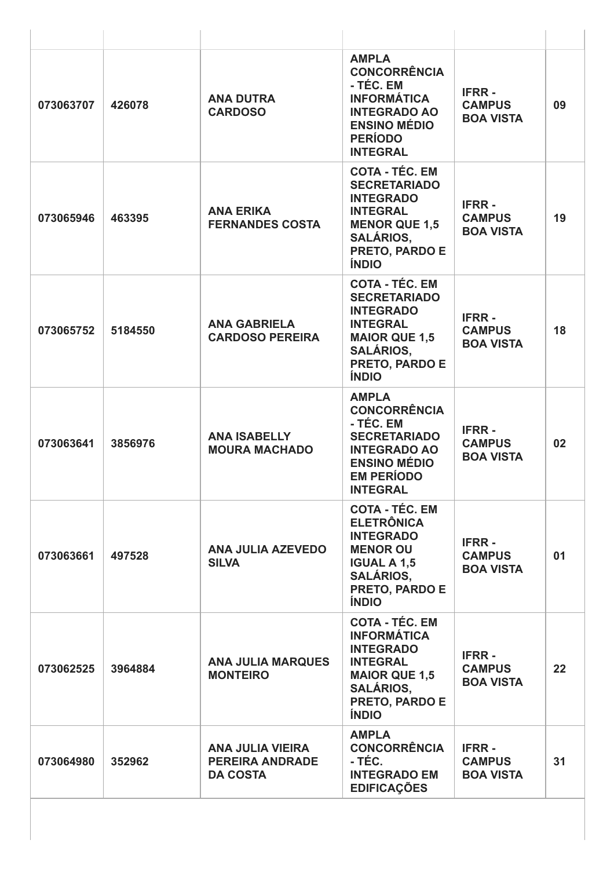| 073063707 | 426078  | <b>ANA DUTRA</b><br><b>CARDOSO</b>                                   | <b>AMPLA</b><br><b>CONCORRÊNCIA</b><br>- TÉC. EM<br><b>INFORMÁTICA</b><br><b>INTEGRADO AO</b><br><b>ENSINO MÉDIO</b><br><b>PERÍODO</b><br><b>INTEGRAL</b>                | <b>IFRR-</b><br><b>CAMPUS</b><br><b>BOA VISTA</b> | 09 |
|-----------|---------|----------------------------------------------------------------------|--------------------------------------------------------------------------------------------------------------------------------------------------------------------------|---------------------------------------------------|----|
| 073065946 | 463395  | <b>ANA ERIKA</b><br><b>FERNANDES COSTA</b>                           | <b>COTA - TÉC. EM</b><br><b>SECRETARIADO</b><br><b>INTEGRADO</b><br><b>INTEGRAL</b><br><b>MENOR QUE 1,5</b><br><b>SALÁRIOS,</b><br>PRETO, PARDO E<br><b>ÍNDIO</b>        | <b>IFRR-</b><br><b>CAMPUS</b><br><b>BOA VISTA</b> | 19 |
| 073065752 | 5184550 | <b>ANA GABRIELA</b><br><b>CARDOSO PEREIRA</b>                        | <b>COTA - TÉC. EM</b><br><b>SECRETARIADO</b><br><b>INTEGRADO</b><br><b>INTEGRAL</b><br><b>MAIOR QUE 1,5</b><br><b>SALÁRIOS,</b><br><b>PRETO, PARDO E</b><br><b>ÍNDIO</b> | <b>IFRR-</b><br><b>CAMPUS</b><br><b>BOA VISTA</b> | 18 |
| 073063641 | 3856976 | <b>ANA ISABELLY</b><br><b>MOURA MACHADO</b>                          | <b>AMPLA</b><br><b>CONCORRÊNCIA</b><br>- TÉC. EM<br><b>SECRETARIADO</b><br><b>INTEGRADO AO</b><br><b>ENSINO MÉDIO</b><br><b>EM PERÍODO</b><br><b>INTEGRAL</b>            | <b>IFRR-</b><br><b>CAMPUS</b><br><b>BOA VISTA</b> | 02 |
| 073063661 | 497528  | <b>ANA JULIA AZEVEDO</b><br><b>SILVA</b>                             | <b>COTA - TÉC. EM</b><br><b>ELETRÔNICA</b><br><b>INTEGRADO</b><br><b>MENOR OU</b><br><b>IGUAL A 1,5</b><br><b>SALÁRIOS,</b><br>PRETO, PARDO E<br><b>ÍNDIO</b>            | <b>IFRR-</b><br><b>CAMPUS</b><br><b>BOA VISTA</b> | 01 |
| 073062525 | 3964884 | <b>ANA JULIA MARQUES</b><br><b>MONTEIRO</b>                          | <b>COTA - TÉC. EM</b><br><b>INFORMÁTICA</b><br><b>INTEGRADO</b><br><b>INTEGRAL</b><br><b>MAIOR QUE 1,5</b><br><b>SALÁRIOS,</b><br>PRETO, PARDO E<br><b>ÍNDIO</b>         | <b>IFRR-</b><br><b>CAMPUS</b><br><b>BOA VISTA</b> | 22 |
| 073064980 | 352962  | <b>ANA JULIA VIEIRA</b><br><b>PEREIRA ANDRADE</b><br><b>DA COSTA</b> | <b>AMPLA</b><br><b>CONCORRÊNCIA</b><br>- TÉC.<br><b>INTEGRADO EM</b><br><b>EDIFICAÇÕES</b>                                                                               | <b>IFRR-</b><br><b>CAMPUS</b><br><b>BOA VISTA</b> | 31 |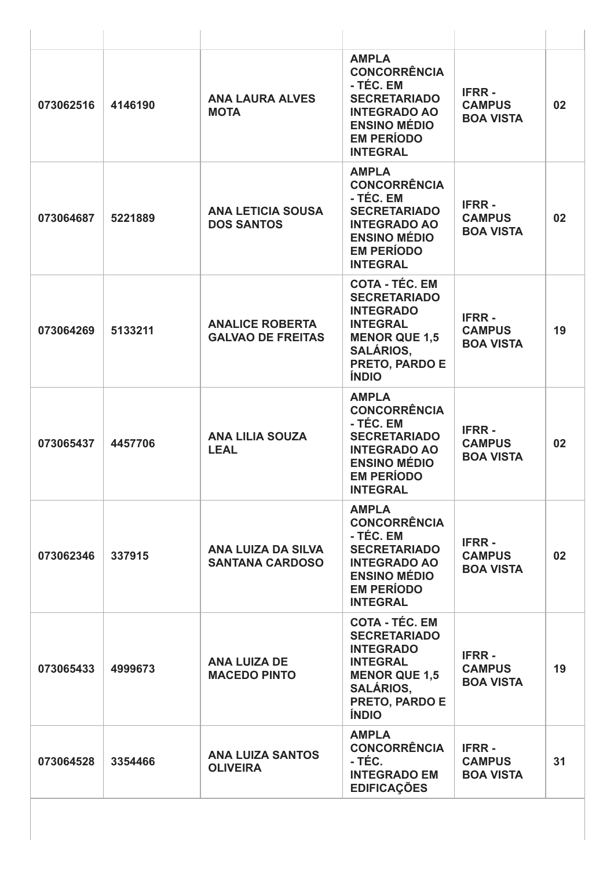| 073062516 | 4146190 | <b>ANA LAURA ALVES</b><br><b>MOTA</b>              | <b>AMPLA</b><br><b>CONCORRÊNCIA</b><br>- TÉC. EM<br><b>SECRETARIADO</b><br><b>INTEGRADO AO</b><br><b>ENSINO MÉDIO</b><br><b>EM PERÍODO</b><br><b>INTEGRAL</b>     | <b>IFRR-</b><br><b>CAMPUS</b><br><b>BOA VISTA</b> | 02 |
|-----------|---------|----------------------------------------------------|-------------------------------------------------------------------------------------------------------------------------------------------------------------------|---------------------------------------------------|----|
| 073064687 | 5221889 | <b>ANA LETICIA SOUSA</b><br><b>DOS SANTOS</b>      | <b>AMPLA</b><br><b>CONCORRÊNCIA</b><br>- TÉC. EM<br><b>SECRETARIADO</b><br><b>INTEGRADO AO</b><br><b>ENSINO MÉDIO</b><br><b>EM PERÍODO</b><br><b>INTEGRAL</b>     | <b>IFRR-</b><br><b>CAMPUS</b><br><b>BOA VISTA</b> | 02 |
| 073064269 | 5133211 | <b>ANALICE ROBERTA</b><br><b>GALVAO DE FREITAS</b> | <b>COTA - TÉC. EM</b><br><b>SECRETARIADO</b><br><b>INTEGRADO</b><br><b>INTEGRAL</b><br><b>MENOR QUE 1,5</b><br><b>SALÁRIOS,</b><br>PRETO, PARDO E<br><b>ÍNDIO</b> | <b>IFRR-</b><br><b>CAMPUS</b><br><b>BOA VISTA</b> | 19 |
| 073065437 | 4457706 | <b>ANA LILIA SOUZA</b><br><b>LEAL</b>              | <b>AMPLA</b><br><b>CONCORRÊNCIA</b><br>- TÉC. EM<br><b>SECRETARIADO</b><br><b>INTEGRADO AO</b><br><b>ENSINO MÉDIO</b><br><b>EM PERÍODO</b><br><b>INTEGRAL</b>     | <b>IFRR-</b><br><b>CAMPUS</b><br><b>BOA VISTA</b> | 02 |
| 073062346 | 337915  | ANA LUIZA DA SILVA<br><b>SANTANA CARDOSO</b>       | <b>AMPLA</b><br><b>CONCORRÊNCIA</b><br>- TÉC. EM<br><b>SECRETARIADO</b><br><b>INTEGRADO AO</b><br><b>ENSINO MÉDIO</b><br><b>EM PERÍODO</b><br><b>INTEGRAL</b>     | <b>IFRR-</b><br><b>CAMPUS</b><br><b>BOA VISTA</b> | 02 |
| 073065433 | 4999673 | <b>ANA LUIZA DE</b><br><b>MACEDO PINTO</b>         | <b>COTA - TÉC. EM</b><br><b>SECRETARIADO</b><br><b>INTEGRADO</b><br><b>INTEGRAL</b><br><b>MENOR QUE 1,5</b><br><b>SALÁRIOS,</b><br>PRETO, PARDO E<br><b>ÍNDIO</b> | <b>IFRR-</b><br><b>CAMPUS</b><br><b>BOA VISTA</b> | 19 |
| 073064528 | 3354466 | <b>ANA LUIZA SANTOS</b><br><b>OLIVEIRA</b>         | <b>AMPLA</b><br><b>CONCORRÊNCIA</b><br>- TÉC.<br><b>INTEGRADO EM</b><br><b>EDIFICAÇÕES</b>                                                                        | <b>IFRR-</b><br><b>CAMPUS</b><br><b>BOA VISTA</b> | 31 |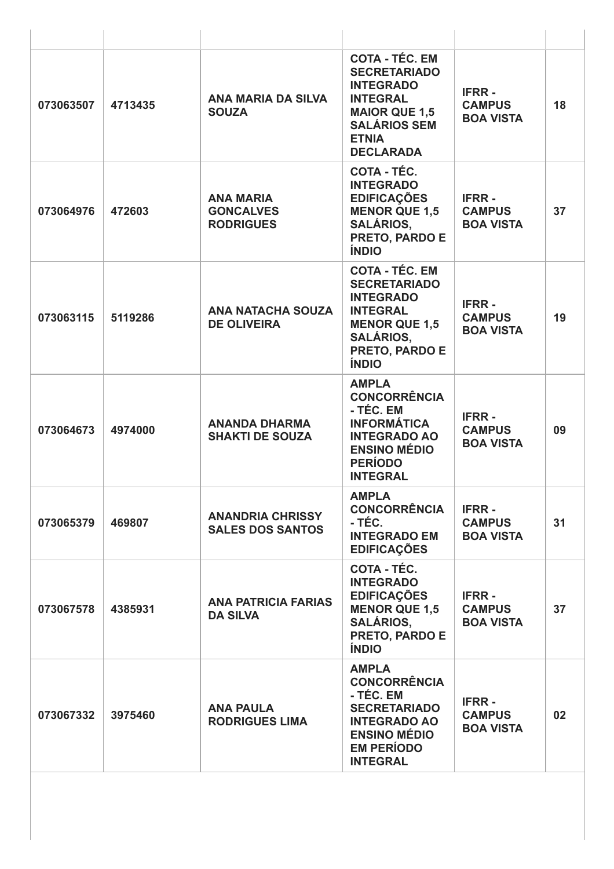| 073063507 | 4713435 | ANA MARIA DA SILVA<br><b>SOUZA</b>                       | <b>COTA - TÉC. EM</b><br><b>SECRETARIADO</b><br><b>INTEGRADO</b><br><b>INTEGRAL</b><br><b>MAIOR QUE 1,5</b><br><b>SALÁRIOS SEM</b><br><b>ETNIA</b><br><b>DECLARADA</b> | <b>IFRR-</b><br><b>CAMPUS</b><br><b>BOA VISTA</b> | 18 |
|-----------|---------|----------------------------------------------------------|------------------------------------------------------------------------------------------------------------------------------------------------------------------------|---------------------------------------------------|----|
| 073064976 | 472603  | <b>ANA MARIA</b><br><b>GONCALVES</b><br><b>RODRIGUES</b> | COTA - TÉC.<br><b>INTEGRADO</b><br><b>EDIFICAÇÕES</b><br><b>MENOR QUE 1,5</b><br><b>SALÁRIOS,</b><br>PRETO, PARDO E<br><b>ÍNDIO</b>                                    | <b>IFRR-</b><br><b>CAMPUS</b><br><b>BOA VISTA</b> | 37 |
| 073063115 | 5119286 | <b>ANA NATACHA SOUZA</b><br><b>DE OLIVEIRA</b>           | <b>COTA - TÉC. EM</b><br><b>SECRETARIADO</b><br><b>INTEGRADO</b><br><b>INTEGRAL</b><br><b>MENOR QUE 1,5</b><br><b>SALÁRIOS,</b><br>PRETO, PARDO E<br><b>ÍNDIO</b>      | <b>IFRR-</b><br><b>CAMPUS</b><br><b>BOA VISTA</b> | 19 |
| 073064673 | 4974000 | <b>ANANDA DHARMA</b><br><b>SHAKTI DE SOUZA</b>           | <b>AMPLA</b><br><b>CONCORRÊNCIA</b><br>- TÉC. EM<br><b>INFORMÁTICA</b><br><b>INTEGRADO AO</b><br><b>ENSINO MÉDIO</b><br><b>PERÍODO</b><br><b>INTEGRAL</b>              | <b>IFRR-</b><br><b>CAMPUS</b><br><b>BOA VISTA</b> | 09 |
| 073065379 | 469807  | <b>ANANDRIA CHRISSY</b><br><b>SALES DOS SANTOS</b>       | <b>AMPLA</b><br><b>CONCORRÊNCIA</b><br>- TÉC.<br><b>INTEGRADO EM</b><br><b>EDIFICAÇÕES</b>                                                                             | <b>IFRR-</b><br><b>CAMPUS</b><br><b>BOA VISTA</b> | 31 |
| 073067578 | 4385931 | <b>ANA PATRICIA FARIAS</b><br><b>DA SILVA</b>            | <b>COTA - TÉC.</b><br><b>INTEGRADO</b><br><b>EDIFICAÇÕES</b><br><b>MENOR QUE 1,5</b><br><b>SALÁRIOS,</b><br>PRETO, PARDO E<br><b>ÍNDIO</b>                             | <b>IFRR-</b><br><b>CAMPUS</b><br><b>BOA VISTA</b> | 37 |
| 073067332 | 3975460 | <b>ANA PAULA</b><br><b>RODRIGUES LIMA</b>                | <b>AMPLA</b><br><b>CONCORRÊNCIA</b><br>- TÉC. EM<br><b>SECRETARIADO</b><br><b>INTEGRADO AO</b><br><b>ENSINO MÉDIO</b><br><b>EM PERÍODO</b><br><b>INTEGRAL</b>          | <b>IFRR-</b><br><b>CAMPUS</b><br><b>BOA VISTA</b> | 02 |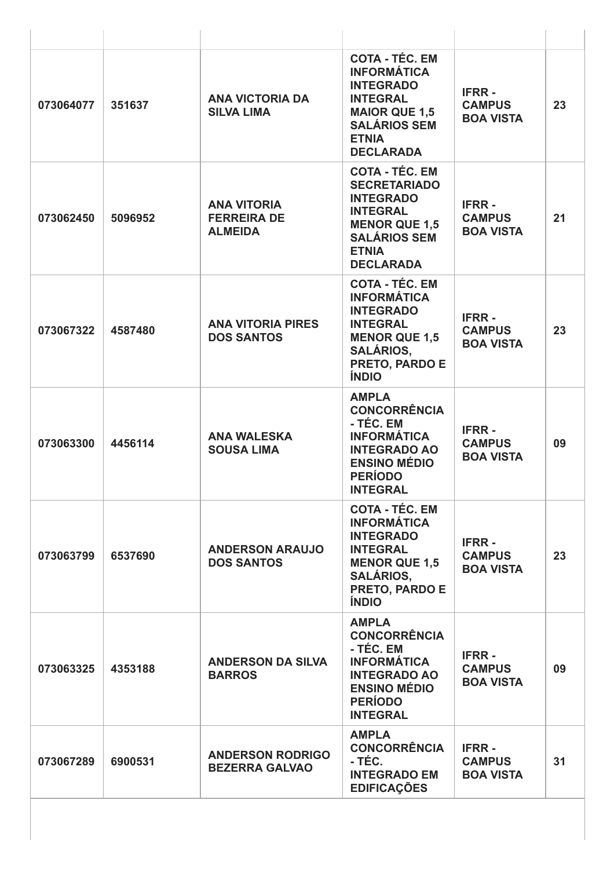| 073064077 | 351637  | <b>ANA VICTORIA DA</b><br><b>SILVA LIMA</b>                | <b>COTA - TÉC. EM</b><br><b>INFORMÁTICA</b><br><b>INTEGRADO</b><br><b>INTEGRAL</b><br><b>MAIOR QUE 1,5</b><br><b>SALÁRIOS SEM</b><br><b>ETNIA</b><br><b>DECLARADA</b>  | <b>IFRR-</b><br><b>CAMPUS</b><br><b>BOA VISTA</b> | 23 |
|-----------|---------|------------------------------------------------------------|------------------------------------------------------------------------------------------------------------------------------------------------------------------------|---------------------------------------------------|----|
| 073062450 | 5096952 | <b>ANA VITORIA</b><br><b>FERREIRA DE</b><br><b>ALMEIDA</b> | <b>COTA - TÉC. EM</b><br><b>SECRETARIADO</b><br><b>INTEGRADO</b><br><b>INTEGRAL</b><br><b>MENOR QUE 1,5</b><br><b>SALÁRIOS SEM</b><br><b>ETNIA</b><br><b>DECLARADA</b> | <b>IFRR-</b><br><b>CAMPUS</b><br><b>BOA VISTA</b> | 21 |
| 073067322 | 4587480 | <b>ANA VITORIA PIRES</b><br><b>DOS SANTOS</b>              | <b>COTA - TÉC. EM</b><br><b>INFORMÁTICA</b><br><b>INTEGRADO</b><br><b>INTEGRAL</b><br><b>MENOR QUE 1,5</b><br><b>SALÁRIOS,</b><br>PRETO, PARDO E<br><b>ÍNDIO</b>       | <b>IFRR-</b><br><b>CAMPUS</b><br><b>BOA VISTA</b> | 23 |
| 073063300 | 4456114 | <b>ANA WALESKA</b><br><b>SOUSA LIMA</b>                    | <b>AMPLA</b><br><b>CONCORRÊNCIA</b><br>- TÉC. EM<br><b>INFORMÁTICA</b><br><b>INTEGRADO AO</b><br><b>ENSINO MÉDIO</b><br><b>PERÍODO</b><br><b>INTEGRAL</b>              | <b>IFRR-</b><br><b>CAMPUS</b><br><b>BOA VISTA</b> | 09 |
| 073063799 | 6537690 | <b>ANDERSON ARAUJO</b><br><b>DOS SANTOS</b>                | <b>COTA - TÉC. EM</b><br><b>INFORMÁTICA</b><br><b>INTEGRADO</b><br><b>INTEGRAL</b><br><b>MENOR QUE 1,5</b><br><b>SALÁRIOS.</b><br>PRETO, PARDO E<br><b>ÍNDIO</b>       | <b>IFRR-</b><br><b>CAMPUS</b><br><b>BOA VISTA</b> | 23 |
| 073063325 | 4353188 | <b>ANDERSON DA SILVA</b><br><b>BARROS</b>                  | <b>AMPLA</b><br><b>CONCORRÊNCIA</b><br>- TÉC. EM<br><b>INFORMÁTICA</b><br><b>INTEGRADO AO</b><br><b>ENSINO MÉDIO</b><br><b>PERÍODO</b><br><b>INTEGRAL</b>              | <b>IFRR-</b><br><b>CAMPUS</b><br><b>BOA VISTA</b> | 09 |
| 073067289 | 6900531 | <b>ANDERSON RODRIGO</b><br><b>BEZERRA GALVAO</b>           | <b>AMPLA</b><br><b>CONCORRÊNCIA</b><br>- TÉC.<br><b>INTEGRADO EM</b><br><b>EDIFICAÇÕES</b>                                                                             | <b>IFRR-</b><br><b>CAMPUS</b><br><b>BOA VISTA</b> | 31 |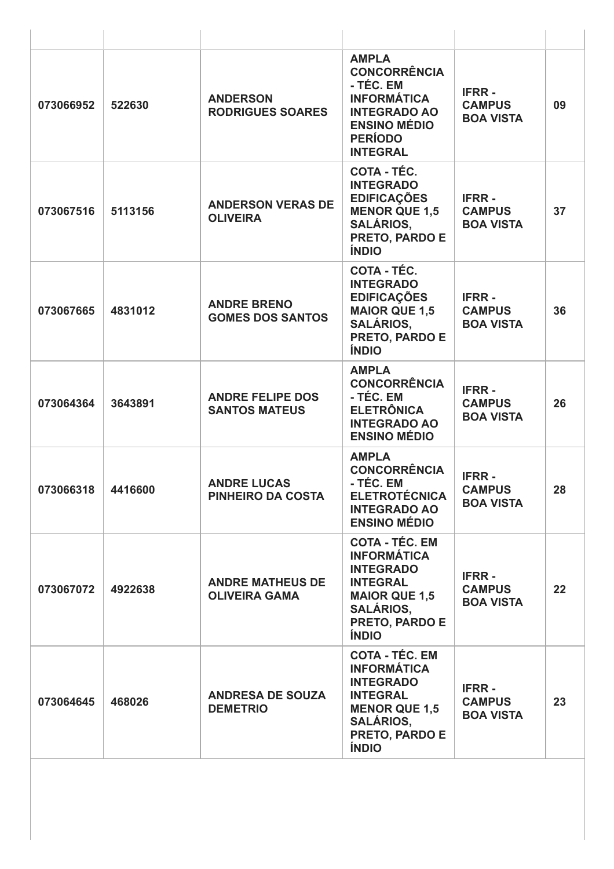| 073066952 | 522630  | <b>ANDERSON</b><br><b>RODRIGUES SOARES</b>      | <b>AMPLA</b><br><b>CONCORRÊNCIA</b><br>- TÉC. EM<br><b>INFORMÁTICA</b><br><b>INTEGRADO AO</b><br><b>ENSINO MÉDIO</b><br><b>PERÍODO</b><br><b>INTEGRAL</b>        | <b>IFRR-</b><br><b>CAMPUS</b><br><b>BOA VISTA</b> | 09 |
|-----------|---------|-------------------------------------------------|------------------------------------------------------------------------------------------------------------------------------------------------------------------|---------------------------------------------------|----|
| 073067516 | 5113156 | <b>ANDERSON VERAS DE</b><br><b>OLIVEIRA</b>     | COTA - TÉC.<br><b>INTEGRADO</b><br><b>EDIFICAÇÕES</b><br><b>MENOR QUE 1,5</b><br><b>SALÁRIOS,</b><br>PRETO, PARDO E<br><b>ÍNDIO</b>                              | <b>IFRR-</b><br><b>CAMPUS</b><br><b>BOA VISTA</b> | 37 |
| 073067665 | 4831012 | <b>ANDRE BRENO</b><br><b>GOMES DOS SANTOS</b>   | <b>COTA - TÉC.</b><br><b>INTEGRADO</b><br><b>EDIFICAÇÕES</b><br><b>MAIOR QUE 1,5</b><br><b>SALÁRIOS,</b><br>PRETO, PARDO E<br><b>ÍNDIO</b>                       | <b>IFRR-</b><br><b>CAMPUS</b><br><b>BOA VISTA</b> | 36 |
| 073064364 | 3643891 | <b>ANDRE FELIPE DOS</b><br><b>SANTOS MATEUS</b> | <b>AMPLA</b><br><b>CONCORRÊNCIA</b><br>- TÉC. EM<br><b>ELETRÔNICA</b><br><b>INTEGRADO AO</b><br><b>ENSINO MÉDIO</b>                                              | <b>IFRR-</b><br><b>CAMPUS</b><br><b>BOA VISTA</b> | 26 |
| 073066318 | 4416600 | <b>ANDRE LUCAS</b><br>PINHEIRO DA COSTA         | <b>AMPLA</b><br><b>CONCORRÊNCIA</b><br>- TÉC. EM<br><b>ELETROTÉCNICA</b><br><b>INTEGRADO AO</b><br><b>ENSINO MÉDIO</b>                                           | <b>IFRR-</b><br><b>CAMPUS</b><br><b>BOA VISTA</b> | 28 |
| 073067072 | 4922638 | <b>ANDRE MATHEUS DE</b><br><b>OLIVEIRA GAMA</b> | <b>COTA - TÉC. EM</b><br><b>INFORMÁTICA</b><br><b>INTEGRADO</b><br><b>INTEGRAL</b><br><b>MAIOR QUE 1,5</b><br><b>SALÁRIOS,</b><br>PRETO, PARDO E<br><b>ÍNDIO</b> | <b>IFRR-</b><br><b>CAMPUS</b><br><b>BOA VISTA</b> | 22 |
| 073064645 | 468026  | <b>ANDRESA DE SOUZA</b><br><b>DEMETRIO</b>      | <b>COTA - TÉC. EM</b><br><b>INFORMÁTICA</b><br><b>INTEGRADO</b><br><b>INTEGRAL</b><br><b>MENOR QUE 1,5</b><br><b>SALÁRIOS,</b><br>PRETO, PARDO E<br><b>ÍNDIO</b> | <b>IFRR-</b><br><b>CAMPUS</b><br><b>BOA VISTA</b> | 23 |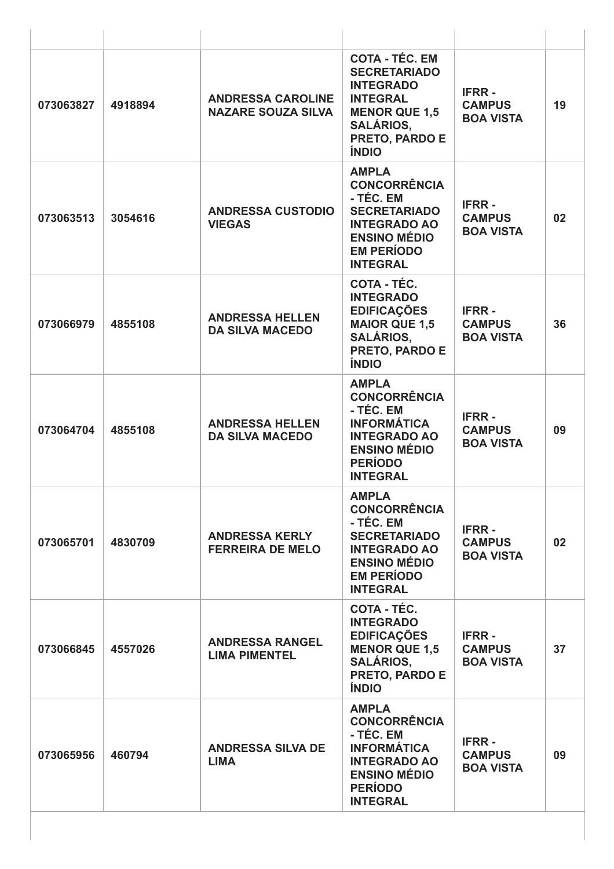| 073063827 | 4918894 | <b>ANDRESSA CAROLINE</b><br><b>NAZARE SOUZA SILVA</b> | <b>COTA - TÉC. EM</b><br><b>SECRETARIADO</b><br><b>INTEGRADO</b><br><b>INTEGRAL</b><br><b>MENOR QUE 1,5</b><br><b>SALÁRIOS,</b><br>PRETO, PARDO E<br><b>ÍNDIO</b> | <b>IFRR-</b><br><b>CAMPUS</b><br><b>BOA VISTA</b> | 19 |
|-----------|---------|-------------------------------------------------------|-------------------------------------------------------------------------------------------------------------------------------------------------------------------|---------------------------------------------------|----|
| 073063513 | 3054616 | <b>ANDRESSA CUSTODIO</b><br><b>VIEGAS</b>             | <b>AMPLA</b><br><b>CONCORRÊNCIA</b><br>- TÉC. EM<br><b>SECRETARIADO</b><br><b>INTEGRADO AO</b><br><b>ENSINO MÉDIO</b><br><b>EM PERÍODO</b><br><b>INTEGRAL</b>     | <b>IFRR-</b><br><b>CAMPUS</b><br><b>BOA VISTA</b> | 02 |
| 073066979 | 4855108 | <b>ANDRESSA HELLEN</b><br><b>DA SILVA MACEDO</b>      | COTA - TÉC.<br><b>INTEGRADO</b><br><b>EDIFICAÇÕES</b><br><b>MAIOR QUE 1,5</b><br><b>SALÁRIOS,</b><br>PRETO, PARDO E<br><b>ÍNDIO</b>                               | <b>IFRR-</b><br><b>CAMPUS</b><br><b>BOA VISTA</b> | 36 |
| 073064704 | 4855108 | <b>ANDRESSA HELLEN</b><br><b>DA SILVA MACEDO</b>      | <b>AMPLA</b><br><b>CONCORRÊNCIA</b><br>- TÉC. EM<br><b>INFORMÁTICA</b><br><b>INTEGRADO AO</b><br><b>ENSINO MÉDIO</b><br><b>PERÍODO</b><br><b>INTEGRAL</b>         | <b>IFRR-</b><br><b>CAMPUS</b><br><b>BOA VISTA</b> | 09 |
| 073065701 | 4830709 | <b>ANDRESSA KERLY</b><br><b>FERREIRA DE MELO</b>      | <b>AMPLA</b><br><b>CONCORRÊNCIA</b><br>- TÉC. EM<br><b>SECRETARIADO</b><br><b>INTEGRADO AO</b><br><b>ENSINO MÉDIO</b><br><b>EM PERÍODO</b><br><b>INTEGRAL</b>     | <b>IFRR-</b><br><b>CAMPUS</b><br><b>BOA VISTA</b> | 02 |
| 073066845 | 4557026 | <b>ANDRESSA RANGEL</b><br><b>LIMA PIMENTEL</b>        | <b>COTA - TÉC.</b><br><b>INTEGRADO</b><br><b>EDIFICAÇÕES</b><br><b>MENOR QUE 1,5</b><br><b>SALÁRIOS,</b><br>PRETO, PARDO E<br><b>ÍNDIO</b>                        | <b>IFRR-</b><br><b>CAMPUS</b><br><b>BOA VISTA</b> | 37 |
| 073065956 | 460794  | <b>ANDRESSA SILVA DE</b><br><b>LIMA</b>               | <b>AMPLA</b><br><b>CONCORRÊNCIA</b><br>- TÉC. EM<br><b>INFORMÁTICA</b><br><b>INTEGRADO AO</b><br><b>ENSINO MÉDIO</b><br><b>PERÍODO</b><br><b>INTEGRAL</b>         | <b>IFRR-</b><br><b>CAMPUS</b><br><b>BOA VISTA</b> | 09 |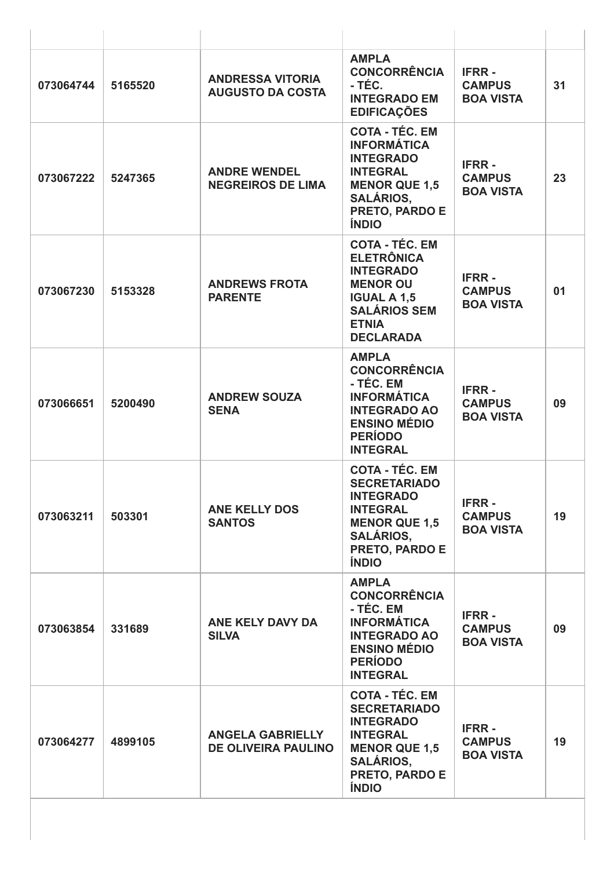| 073064744 | 5165520 | <b>ANDRESSA VITORIA</b><br><b>AUGUSTO DA COSTA</b>    | <b>AMPLA</b><br><b>CONCORRÊNCIA</b><br>- TÉC.<br><b>INTEGRADO EM</b><br><b>EDIFICAÇÕES</b>                                                                         | <b>IFRR-</b><br><b>CAMPUS</b><br><b>BOA VISTA</b> | 31 |
|-----------|---------|-------------------------------------------------------|--------------------------------------------------------------------------------------------------------------------------------------------------------------------|---------------------------------------------------|----|
| 073067222 | 5247365 | <b>ANDRE WENDEL</b><br><b>NEGREIROS DE LIMA</b>       | <b>COTA - TÉC. EM</b><br><b>INFORMÁTICA</b><br><b>INTEGRADO</b><br><b>INTEGRAL</b><br><b>MENOR QUE 1,5</b><br><b>SALÁRIOS,</b><br>PRETO, PARDO E<br><b>ÍNDIO</b>   | <b>IFRR-</b><br><b>CAMPUS</b><br><b>BOA VISTA</b> | 23 |
| 073067230 | 5153328 | <b>ANDREWS FROTA</b><br><b>PARENTE</b>                | <b>COTA - TÉC. EM</b><br><b>ELETRÔNICA</b><br><b>INTEGRADO</b><br><b>MENOR OU</b><br><b>IGUAL A 1,5</b><br><b>SALÁRIOS SEM</b><br><b>ETNIA</b><br><b>DECLARADA</b> | <b>IFRR-</b><br><b>CAMPUS</b><br><b>BOA VISTA</b> | 01 |
| 073066651 | 5200490 | <b>ANDREW SOUZA</b><br><b>SENA</b>                    | <b>AMPLA</b><br><b>CONCORRÊNCIA</b><br>- TÉC. EM<br><b>INFORMÁTICA</b><br><b>INTEGRADO AO</b><br><b>ENSINO MÉDIO</b><br><b>PERÍODO</b><br><b>INTEGRAL</b>          | <b>IFRR-</b><br><b>CAMPUS</b><br><b>BOA VISTA</b> | 09 |
| 073063211 | 503301  | <b>ANE KELLY DOS</b><br><b>SANTOS</b>                 | <b>COTA - TÉC. EM</b><br><b>SECRETARIADO</b><br><b>INTEGRADO</b><br><b>INTEGRAL</b><br><b>MENOR QUE 1,5</b><br><b>SALÁRIOS,</b><br>PRETO, PARDO E<br><b>ÍNDIO</b>  | <b>IFRR-</b><br><b>CAMPUS</b><br><b>BOA VISTA</b> | 19 |
| 073063854 | 331689  | ANE KELY DAVY DA<br><b>SILVA</b>                      | <b>AMPLA</b><br><b>CONCORRÊNCIA</b><br>- TÉC. EM<br><b>INFORMÁTICA</b><br><b>INTEGRADO AO</b><br><b>ENSINO MÉDIO</b><br><b>PERÍODO</b><br><b>INTEGRAL</b>          | <b>IFRR-</b><br><b>CAMPUS</b><br><b>BOA VISTA</b> | 09 |
| 073064277 | 4899105 | <b>ANGELA GABRIELLY</b><br><b>DE OLIVEIRA PAULINO</b> | <b>COTA - TÉC. EM</b><br><b>SECRETARIADO</b><br><b>INTEGRADO</b><br><b>INTEGRAL</b><br><b>MENOR QUE 1,5</b><br><b>SALÁRIOS,</b><br>PRETO, PARDO E<br><b>ÍNDIO</b>  | <b>IFRR-</b><br><b>CAMPUS</b><br><b>BOA VISTA</b> | 19 |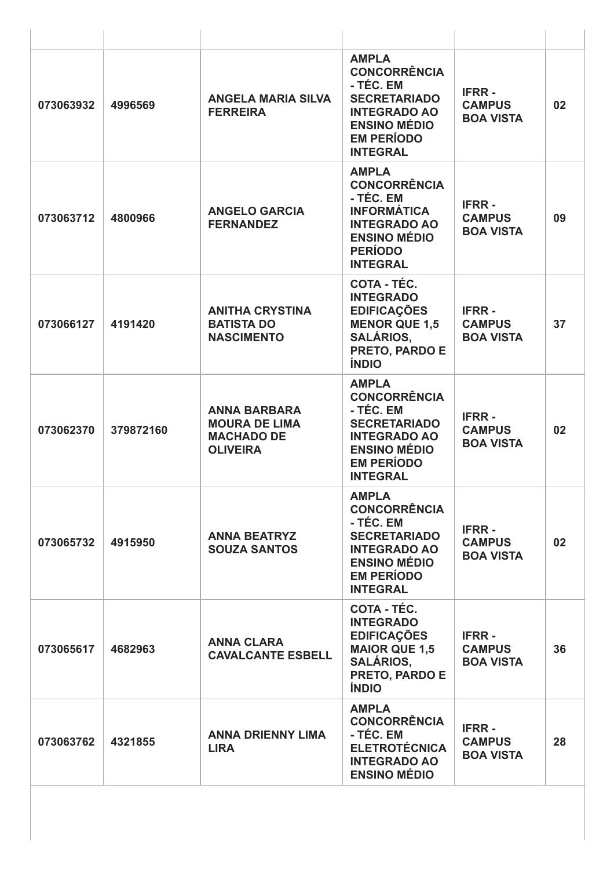| 073063932 | 4996569   | <b>ANGELA MARIA SILVA</b><br><b>FERREIRA</b>                                        | <b>AMPLA</b><br><b>CONCORRÊNCIA</b><br>- TÉC. EM<br><b>SECRETARIADO</b><br><b>INTEGRADO AO</b><br><b>ENSINO MÉDIO</b><br><b>EM PERÍODO</b><br><b>INTEGRAL</b> | <b>IFRR-</b><br><b>CAMPUS</b><br><b>BOA VISTA</b> | 02 |
|-----------|-----------|-------------------------------------------------------------------------------------|---------------------------------------------------------------------------------------------------------------------------------------------------------------|---------------------------------------------------|----|
| 073063712 | 4800966   | <b>ANGELO GARCIA</b><br><b>FERNANDEZ</b>                                            | <b>AMPLA</b><br><b>CONCORRÊNCIA</b><br>- TÉC. EM<br><b>INFORMÁTICA</b><br><b>INTEGRADO AO</b><br><b>ENSINO MÉDIO</b><br><b>PERÍODO</b><br><b>INTEGRAL</b>     | <b>IFRR-</b><br><b>CAMPUS</b><br><b>BOA VISTA</b> | 09 |
| 073066127 | 4191420   | <b>ANITHA CRYSTINA</b><br><b>BATISTA DO</b><br><b>NASCIMENTO</b>                    | COTA - TÉC.<br><b>INTEGRADO</b><br><b>EDIFICAÇÕES</b><br><b>MENOR QUE 1,5</b><br><b>SALÁRIOS,</b><br>PRETO, PARDO E<br><b>ÍNDIO</b>                           | <b>IFRR-</b><br><b>CAMPUS</b><br><b>BOA VISTA</b> | 37 |
| 073062370 | 379872160 | <b>ANNA BARBARA</b><br><b>MOURA DE LIMA</b><br><b>MACHADO DE</b><br><b>OLIVEIRA</b> | <b>AMPLA</b><br><b>CONCORRÊNCIA</b><br>- TÉC. EM<br><b>SECRETARIADO</b><br><b>INTEGRADO AO</b><br><b>ENSINO MÉDIO</b><br><b>EM PERÍODO</b><br><b>INTEGRAL</b> | <b>IFRR-</b><br><b>CAMPUS</b><br><b>BOA VISTA</b> | 02 |
| 073065732 | 4915950   | <b>ANNA BEATRYZ</b><br><b>SOUZA SANTOS</b>                                          | <b>AMPLA</b><br><b>CONCORRÊNCIA</b><br>- TÉC. EM<br><b>SECRETARIADO</b><br><b>INTEGRADO AO</b><br><b>ENSINO MÉDIO</b><br><b>EM PERÍODO</b><br><b>INTEGRAL</b> | <b>IFRR-</b><br><b>CAMPUS</b><br><b>BOA VISTA</b> | 02 |
| 073065617 | 4682963   | <b>ANNA CLARA</b><br><b>CAVALCANTE ESBELL</b>                                       | <b>COTA - TÉC.</b><br><b>INTEGRADO</b><br><b>EDIFICAÇÕES</b><br><b>MAIOR QUE 1,5</b><br><b>SALÁRIOS,</b><br>PRETO, PARDO E<br><b>ÍNDIO</b>                    | <b>IFRR-</b><br><b>CAMPUS</b><br><b>BOA VISTA</b> | 36 |
| 073063762 | 4321855   | <b>ANNA DRIENNY LIMA</b><br><b>LIRA</b>                                             | <b>AMPLA</b><br><b>CONCORRÊNCIA</b><br>- TÉC. EM<br><b>ELETROTÉCNICA</b><br><b>INTEGRADO AO</b><br><b>ENSINO MÉDIO</b>                                        | <b>IFRR-</b><br><b>CAMPUS</b><br><b>BOA VISTA</b> | 28 |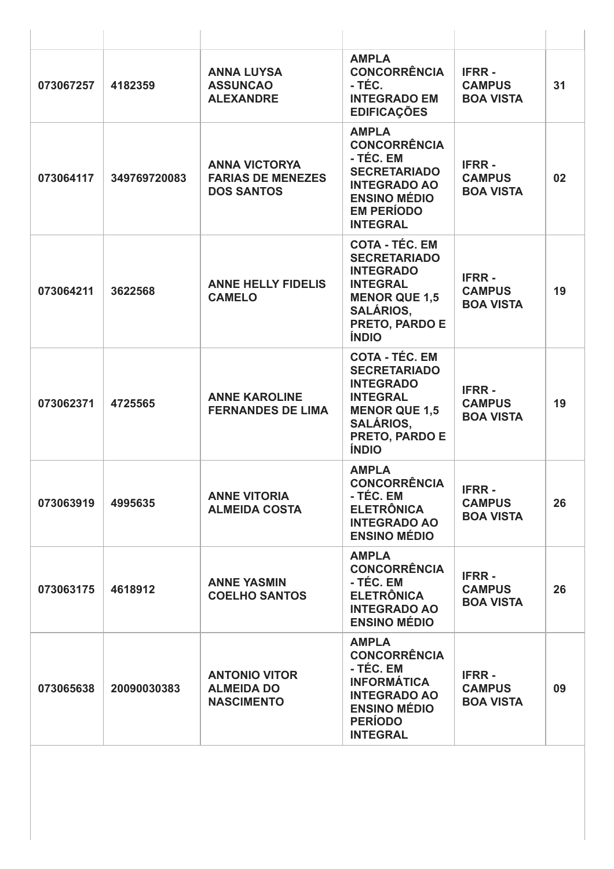| 073067257 | 4182359      | <b>ANNA LUYSA</b><br><b>ASSUNCAO</b><br><b>ALEXANDRE</b>              | <b>AMPLA</b><br><b>CONCORRÊNCIA</b><br>- TÉC.<br><b>INTEGRADO EM</b><br><b>EDIFICAÇÕES</b>                                                                               | <b>IFRR-</b><br><b>CAMPUS</b><br><b>BOA VISTA</b> | 31 |
|-----------|--------------|-----------------------------------------------------------------------|--------------------------------------------------------------------------------------------------------------------------------------------------------------------------|---------------------------------------------------|----|
| 073064117 | 349769720083 | <b>ANNA VICTORYA</b><br><b>FARIAS DE MENEZES</b><br><b>DOS SANTOS</b> | <b>AMPLA</b><br><b>CONCORRÊNCIA</b><br>- TÉC. EM<br><b>SECRETARIADO</b><br><b>INTEGRADO AO</b><br><b>ENSINO MÉDIO</b><br><b>EM PERÍODO</b><br><b>INTEGRAL</b>            | <b>IFRR-</b><br><b>CAMPUS</b><br><b>BOA VISTA</b> | 02 |
| 073064211 | 3622568      | <b>ANNE HELLY FIDELIS</b><br><b>CAMELO</b>                            | <b>COTA - TÉC. EM</b><br><b>SECRETARIADO</b><br><b>INTEGRADO</b><br><b>INTEGRAL</b><br><b>MENOR QUE 1,5</b><br><b>SALÁRIOS.</b><br>PRETO, PARDO E<br><b>ÍNDIO</b>        | <b>IFRR-</b><br><b>CAMPUS</b><br><b>BOA VISTA</b> | 19 |
| 073062371 | 4725565      | <b>ANNE KAROLINE</b><br><b>FERNANDES DE LIMA</b>                      | <b>COTA - TÉC. EM</b><br><b>SECRETARIADO</b><br><b>INTEGRADO</b><br><b>INTEGRAL</b><br><b>MENOR QUE 1,5</b><br><b>SALÁRIOS,</b><br><b>PRETO, PARDO E</b><br><b>ÍNDIO</b> | <b>IFRR-</b><br><b>CAMPUS</b><br><b>BOA VISTA</b> | 19 |
| 073063919 | 4995635      | <b>ANNE VITORIA</b><br><b>ALMEIDA COSTA</b>                           | <b>AMPLA</b><br><b>CONCORRÊNCIA</b><br>- TÉC. EM<br><b>ELETRÔNICA</b><br><b>INTEGRADO AO</b><br><b>ENSINO MÉDIO</b>                                                      | <b>IFRR-</b><br><b>CAMPUS</b><br><b>BOA VISTA</b> | 26 |
| 073063175 | 4618912      | <b>ANNE YASMIN</b><br><b>COELHO SANTOS</b>                            | <b>AMPLA</b><br><b>CONCORRÊNCIA</b><br>- TÉC. EM<br><b>ELETRÔNICA</b><br><b>INTEGRADO AO</b><br><b>ENSINO MÉDIO</b>                                                      | <b>IFRR-</b><br><b>CAMPUS</b><br><b>BOA VISTA</b> | 26 |
| 073065638 | 20090030383  | <b>ANTONIO VITOR</b><br><b>ALMEIDA DO</b><br><b>NASCIMENTO</b>        | <b>AMPLA</b><br><b>CONCORRÊNCIA</b><br>- TÉC. EM<br><b>INFORMÁTICA</b><br><b>INTEGRADO AO</b><br><b>ENSINO MÉDIO</b><br><b>PERÍODO</b><br><b>INTEGRAL</b>                | <b>IFRR-</b><br><b>CAMPUS</b><br><b>BOA VISTA</b> | 09 |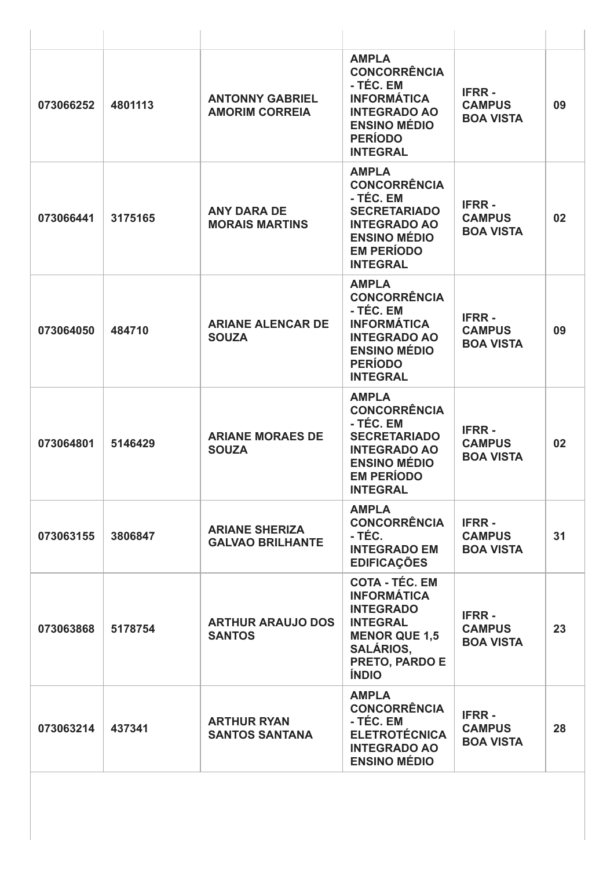| 073066252 | 4801113 | <b>ANTONNY GABRIEL</b><br><b>AMORIM CORREIA</b>  | <b>AMPLA</b><br><b>CONCORRÊNCIA</b><br>- TÉC. EM<br><b>INFORMÁTICA</b><br><b>INTEGRADO AO</b><br><b>ENSINO MÉDIO</b><br><b>PERÍODO</b><br><b>INTEGRAL</b>        | <b>IFRR-</b><br><b>CAMPUS</b><br><b>BOA VISTA</b> | 09 |
|-----------|---------|--------------------------------------------------|------------------------------------------------------------------------------------------------------------------------------------------------------------------|---------------------------------------------------|----|
| 073066441 | 3175165 | <b>ANY DARA DE</b><br><b>MORAIS MARTINS</b>      | <b>AMPLA</b><br><b>CONCORRÊNCIA</b><br>- TÉC. EM<br><b>SECRETARIADO</b><br><b>INTEGRADO AO</b><br><b>ENSINO MÉDIO</b><br><b>EM PERÍODO</b><br><b>INTEGRAL</b>    | <b>IFRR-</b><br><b>CAMPUS</b><br><b>BOA VISTA</b> | 02 |
| 073064050 | 484710  | <b>ARIANE ALENCAR DE</b><br><b>SOUZA</b>         | <b>AMPLA</b><br><b>CONCORRÊNCIA</b><br>- TÉC. EM<br><b>INFORMÁTICA</b><br><b>INTEGRADO AO</b><br><b>ENSINO MÉDIO</b><br><b>PERÍODO</b><br><b>INTEGRAL</b>        | <b>IFRR-</b><br><b>CAMPUS</b><br><b>BOA VISTA</b> | 09 |
| 073064801 | 5146429 | <b>ARIANE MORAES DE</b><br><b>SOUZA</b>          | <b>AMPLA</b><br><b>CONCORRÊNCIA</b><br>- TÉC. EM<br><b>SECRETARIADO</b><br><b>INTEGRADO AO</b><br><b>ENSINO MÉDIO</b><br><b>EM PERÍODO</b><br><b>INTEGRAL</b>    | <b>IFRR-</b><br><b>CAMPUS</b><br><b>BOA VISTA</b> | 02 |
| 073063155 | 3806847 | <b>ARIANE SHERIZA</b><br><b>GALVAO BRILHANTE</b> | <b>AMPLA</b><br><b>CONCORRÊNCIA</b><br>- TÉC.<br><b>INTEGRADO EM</b><br><b>EDIFICAÇÕES</b>                                                                       | <b>IFRR-</b><br><b>CAMPUS</b><br><b>BOA VISTA</b> | 31 |
| 073063868 | 5178754 | <b>ARTHUR ARAUJO DOS</b><br><b>SANTOS</b>        | <b>COTA - TÉC. EM</b><br><b>INFORMÁTICA</b><br><b>INTEGRADO</b><br><b>INTEGRAL</b><br><b>MENOR QUE 1,5</b><br><b>SALÁRIOS,</b><br>PRETO, PARDO E<br><b>ÍNDIO</b> | <b>IFRR-</b><br><b>CAMPUS</b><br><b>BOA VISTA</b> | 23 |
| 073063214 | 437341  | <b>ARTHUR RYAN</b><br><b>SANTOS SANTANA</b>      | <b>AMPLA</b><br><b>CONCORRÊNCIA</b><br>- TÉC. EM<br><b>ELETROTÉCNICA</b><br><b>INTEGRADO AO</b><br><b>ENSINO MÉDIO</b>                                           | <b>IFRR-</b><br><b>CAMPUS</b><br><b>BOA VISTA</b> | 28 |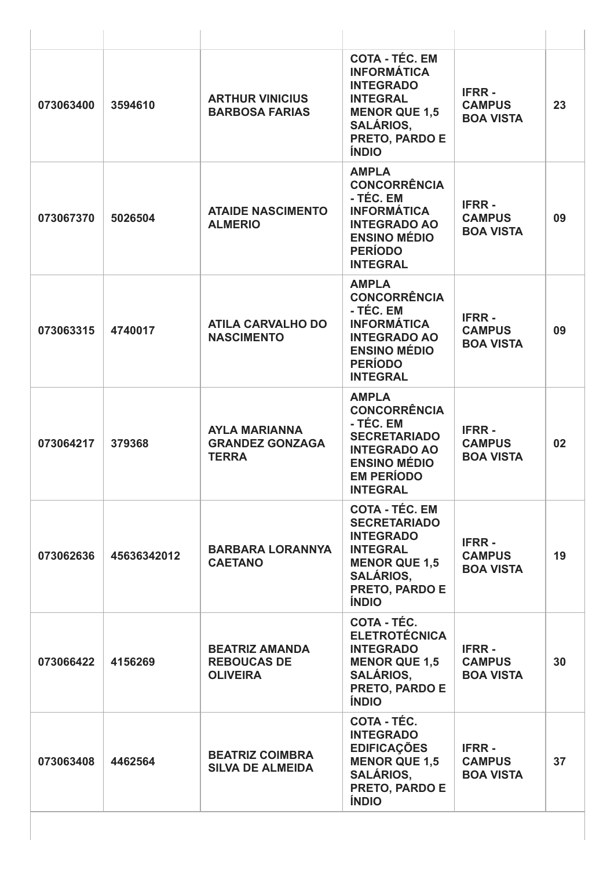| 073063400 | 3594610     | <b>ARTHUR VINICIUS</b><br><b>BARBOSA FARIAS</b>                | <b>COTA - TÉC. EM</b><br><b>INFORMÁTICA</b><br><b>INTEGRADO</b><br><b>INTEGRAL</b><br><b>MENOR QUE 1,5</b><br><b>SALÁRIOS,</b><br>PRETO, PARDO E<br><b>ÍNDIO</b>         | <b>IFRR-</b><br><b>CAMPUS</b><br><b>BOA VISTA</b> | 23 |
|-----------|-------------|----------------------------------------------------------------|--------------------------------------------------------------------------------------------------------------------------------------------------------------------------|---------------------------------------------------|----|
| 073067370 | 5026504     | <b>ATAIDE NASCIMENTO</b><br><b>ALMERIO</b>                     | <b>AMPLA</b><br><b>CONCORRÊNCIA</b><br>- TÉC. EM<br><b>INFORMÁTICA</b><br><b>INTEGRADO AO</b><br><b>ENSINO MÉDIO</b><br><b>PERÍODO</b><br><b>INTEGRAL</b>                | <b>IFRR-</b><br><b>CAMPUS</b><br><b>BOA VISTA</b> | 09 |
| 073063315 | 4740017     | <b>ATILA CARVALHO DO</b><br><b>NASCIMENTO</b>                  | <b>AMPLA</b><br><b>CONCORRÊNCIA</b><br>- TÉC. EM<br><b>INFORMÁTICA</b><br><b>INTEGRADO AO</b><br><b>ENSINO MÉDIO</b><br><b>PERÍODO</b><br><b>INTEGRAL</b>                | <b>IFRR-</b><br><b>CAMPUS</b><br><b>BOA VISTA</b> | 09 |
| 073064217 | 379368      | <b>AYLA MARIANNA</b><br><b>GRANDEZ GONZAGA</b><br><b>TERRA</b> | <b>AMPLA</b><br><b>CONCORRÊNCIA</b><br>- TÉC. EM<br><b>SECRETARIADO</b><br><b>INTEGRADO AO</b><br><b>ENSINO MÉDIO</b><br><b>EM PERÍODO</b><br><b>INTEGRAL</b>            | <b>IFRR-</b><br><b>CAMPUS</b><br><b>BOA VISTA</b> | 02 |
| 073062636 | 45636342012 | <b>BARBARA LORANNYA</b><br><b>CAETANO</b>                      | <b>COTA - TÉC. EM</b><br><b>SECRETARIADO</b><br><b>INTEGRADO</b><br><b>INTEGRAL</b><br><b>MENOR QUE 1,5</b><br><b>SALÁRIOS,</b><br><b>PRETO, PARDO E</b><br><b>ÍNDIO</b> | <b>IFRR-</b><br><b>CAMPUS</b><br><b>BOA VISTA</b> | 19 |
| 073066422 | 4156269     | <b>BEATRIZ AMANDA</b><br><b>REBOUCAS DE</b><br><b>OLIVEIRA</b> | <b>COTA - TÉC.</b><br><b>ELETROTÉCNICA</b><br><b>INTEGRADO</b><br><b>MENOR QUE 1,5</b><br><b>SALÁRIOS,</b><br>PRETO, PARDO E<br><b>ÍNDIO</b>                             | <b>IFRR-</b><br><b>CAMPUS</b><br><b>BOA VISTA</b> | 30 |
| 073063408 | 4462564     | <b>BEATRIZ COIMBRA</b><br><b>SILVA DE ALMEIDA</b>              | <b>COTA - TÉC.</b><br><b>INTEGRADO</b><br><b>EDIFICAÇÕES</b><br><b>MENOR QUE 1,5</b><br><b>SALÁRIOS,</b><br>PRETO, PARDO E<br><b>ÍNDIO</b>                               | <b>IFRR-</b><br><b>CAMPUS</b><br><b>BOA VISTA</b> | 37 |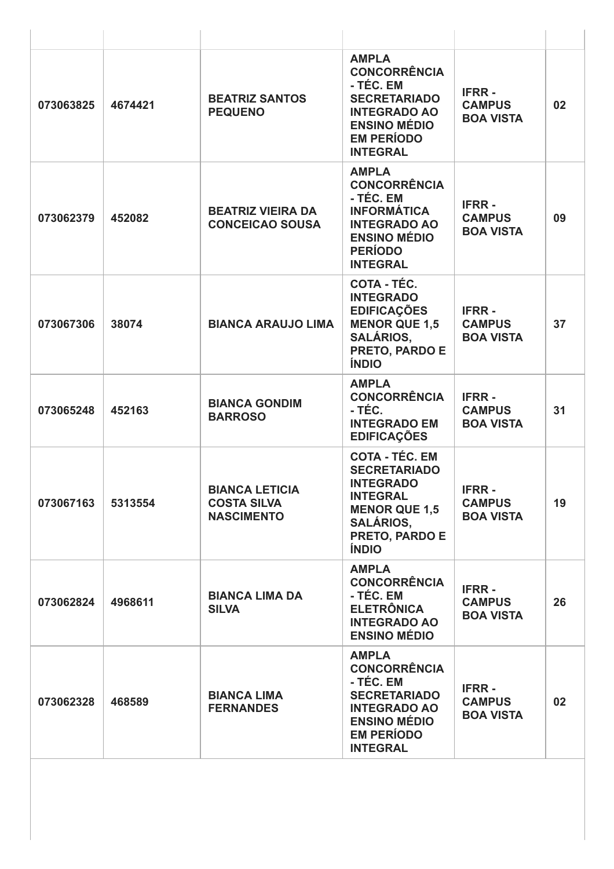| 073063825 | 4674421 | <b>BEATRIZ SANTOS</b><br><b>PEQUENO</b>                          | <b>AMPLA</b><br><b>CONCORRÊNCIA</b><br>- TÉC. EM<br><b>SECRETARIADO</b><br><b>INTEGRADO AO</b><br><b>ENSINO MÉDIO</b><br><b>EM PERÍODO</b><br><b>INTEGRAL</b>     | <b>IFRR-</b><br><b>CAMPUS</b><br><b>BOA VISTA</b> | 02 |
|-----------|---------|------------------------------------------------------------------|-------------------------------------------------------------------------------------------------------------------------------------------------------------------|---------------------------------------------------|----|
| 073062379 | 452082  | <b>BEATRIZ VIEIRA DA</b><br><b>CONCEICAO SOUSA</b>               | <b>AMPLA</b><br><b>CONCORRÊNCIA</b><br>- TÉC. EM<br><b>INFORMÁTICA</b><br><b>INTEGRADO AO</b><br><b>ENSINO MÉDIO</b><br><b>PERÍODO</b><br><b>INTEGRAL</b>         | <b>IFRR-</b><br><b>CAMPUS</b><br><b>BOA VISTA</b> | 09 |
| 073067306 | 38074   | <b>BIANCA ARAUJO LIMA</b>                                        | COTA - TÉC.<br><b>INTEGRADO</b><br><b>EDIFICAÇÕES</b><br><b>MENOR QUE 1,5</b><br><b>SALÁRIOS,</b><br>PRETO, PARDO E<br><b>ÍNDIO</b>                               | <b>IFRR-</b><br><b>CAMPUS</b><br><b>BOA VISTA</b> | 37 |
| 073065248 | 452163  | <b>BIANCA GONDIM</b><br><b>BARROSO</b>                           | <b>AMPLA</b><br><b>CONCORRÊNCIA</b><br>- TÉC.<br><b>INTEGRADO EM</b><br><b>EDIFICAÇÕES</b>                                                                        | <b>IFRR-</b><br><b>CAMPUS</b><br><b>BOA VISTA</b> | 31 |
| 073067163 | 5313554 | <b>BIANCA LETICIA</b><br><b>COSTA SILVA</b><br><b>NASCIMENTO</b> | <b>COTA - TÉC. EM</b><br><b>SECRETARIADO</b><br><b>INTEGRADO</b><br><b>INTEGRAL</b><br><b>MENOR QUE 1,5</b><br><b>SALÁRIOS,</b><br>PRETO, PARDO E<br><b>ÍNDIO</b> | <b>IFRR-</b><br><b>CAMPUS</b><br><b>BOA VISTA</b> | 19 |
| 073062824 | 4968611 | <b>BIANCA LIMA DA</b><br><b>SILVA</b>                            | <b>AMPLA</b><br><b>CONCORRÊNCIA</b><br>- TÉC. EM<br><b>ELETRÔNICA</b><br><b>INTEGRADO AO</b><br><b>ENSINO MÉDIO</b>                                               | <b>IFRR-</b><br><b>CAMPUS</b><br><b>BOA VISTA</b> | 26 |
| 073062328 | 468589  | <b>BIANCA LIMA</b><br><b>FERNANDES</b>                           | <b>AMPLA</b><br><b>CONCORRÊNCIA</b><br>- TÉC. EM<br><b>SECRETARIADO</b><br><b>INTEGRADO AO</b><br><b>ENSINO MÉDIO</b><br><b>EM PERÍODO</b><br><b>INTEGRAL</b>     | <b>IFRR-</b><br><b>CAMPUS</b><br><b>BOA VISTA</b> | 02 |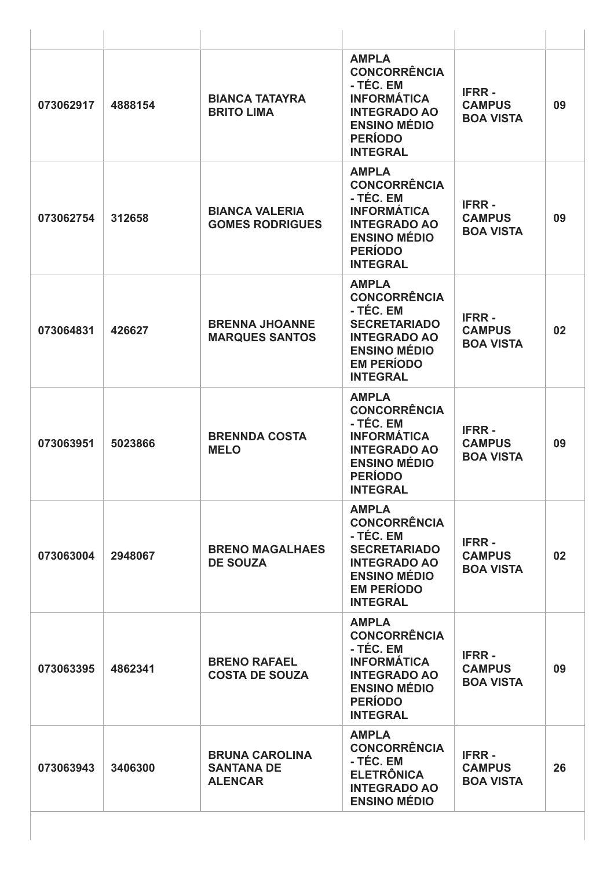| 073062917 | 4888154 | <b>BIANCA TATAYRA</b><br><b>BRITO LIMA</b>                   | <b>AMPLA</b><br><b>CONCORRÊNCIA</b><br>- TÉC. EM<br><b>INFORMÁTICA</b><br><b>INTEGRADO AO</b><br><b>ENSINO MÉDIO</b><br><b>PERÍODO</b><br><b>INTEGRAL</b>     | <b>IFRR-</b><br><b>CAMPUS</b><br><b>BOA VISTA</b> | 09 |
|-----------|---------|--------------------------------------------------------------|---------------------------------------------------------------------------------------------------------------------------------------------------------------|---------------------------------------------------|----|
| 073062754 | 312658  | <b>BIANCA VALERIA</b><br><b>GOMES RODRIGUES</b>              | <b>AMPLA</b><br><b>CONCORRÊNCIA</b><br>- TÉC. EM<br><b>INFORMÁTICA</b><br><b>INTEGRADO AO</b><br><b>ENSINO MÉDIO</b><br><b>PERÍODO</b><br><b>INTEGRAL</b>     | <b>IFRR-</b><br><b>CAMPUS</b><br><b>BOA VISTA</b> | 09 |
| 073064831 | 426627  | <b>BRENNA JHOANNE</b><br><b>MARQUES SANTOS</b>               | <b>AMPLA</b><br><b>CONCORRÊNCIA</b><br>- TÉC. EM<br><b>SECRETARIADO</b><br><b>INTEGRADO AO</b><br><b>ENSINO MÉDIO</b><br><b>EM PERÍODO</b><br><b>INTEGRAL</b> | <b>IFRR-</b><br><b>CAMPUS</b><br><b>BOA VISTA</b> | 02 |
| 073063951 | 5023866 | <b>BRENNDA COSTA</b><br><b>MELO</b>                          | <b>AMPLA</b><br><b>CONCORRÊNCIA</b><br>- TÉC. EM<br><b>INFORMÁTICA</b><br><b>INTEGRADO AO</b><br><b>ENSINO MÉDIO</b><br><b>PERÍODO</b><br><b>INTEGRAL</b>     | <b>IFRR-</b><br><b>CAMPUS</b><br><b>BOA VISTA</b> | 09 |
| 073063004 | 2948067 | <b>BRENO MAGALHAES</b><br><b>DE SOUZA</b>                    | <b>AMPLA</b><br><b>CONCORRÊNCIA</b><br>- TÉC. EM<br><b>SECRETARIADO</b><br><b>INTEGRADO AO</b><br><b>ENSINO MÉDIO</b><br><b>EM PERÍODO</b><br><b>INTEGRAL</b> | <b>IFRR-</b><br><b>CAMPUS</b><br><b>BOA VISTA</b> | 02 |
| 073063395 | 4862341 | <b>BRENO RAFAEL</b><br><b>COSTA DE SOUZA</b>                 | <b>AMPLA</b><br><b>CONCORRÊNCIA</b><br>- TÉC. EM<br><b>INFORMÁTICA</b><br><b>INTEGRADO AO</b><br><b>ENSINO MÉDIO</b><br><b>PERÍODO</b><br><b>INTEGRAL</b>     | <b>IFRR-</b><br><b>CAMPUS</b><br><b>BOA VISTA</b> | 09 |
| 073063943 | 3406300 | <b>BRUNA CAROLINA</b><br><b>SANTANA DE</b><br><b>ALENCAR</b> | <b>AMPLA</b><br><b>CONCORRÊNCIA</b><br>- TÉC. EM<br><b>ELETRÔNICA</b><br><b>INTEGRADO AO</b><br><b>ENSINO MÉDIO</b>                                           | <b>IFRR-</b><br><b>CAMPUS</b><br><b>BOA VISTA</b> | 26 |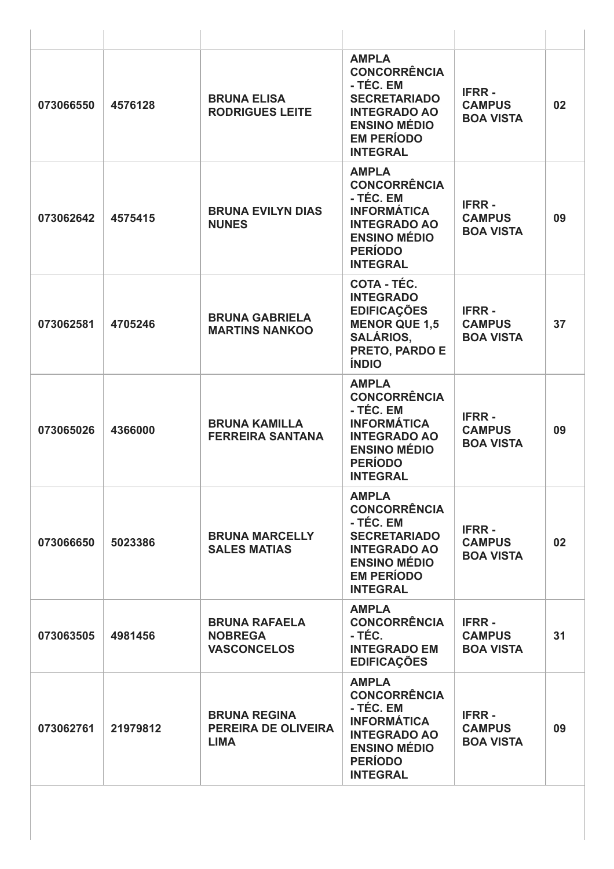| 073066550 | 4576128  | <b>BRUNA ELISA</b><br><b>RODRIGUES LEITE</b>                     | <b>AMPLA</b><br><b>CONCORRÊNCIA</b><br>- TÉC. EM<br><b>SECRETARIADO</b><br><b>INTEGRADO AO</b><br><b>ENSINO MÉDIO</b><br><b>EM PERÍODO</b><br><b>INTEGRAL</b> | <b>IFRR-</b><br><b>CAMPUS</b><br><b>BOA VISTA</b> | 02 |
|-----------|----------|------------------------------------------------------------------|---------------------------------------------------------------------------------------------------------------------------------------------------------------|---------------------------------------------------|----|
| 073062642 | 4575415  | <b>BRUNA EVILYN DIAS</b><br><b>NUNES</b>                         | <b>AMPLA</b><br><b>CONCORRÊNCIA</b><br>- TÉC. EM<br><b>INFORMÁTICA</b><br><b>INTEGRADO AO</b><br><b>ENSINO MÉDIO</b><br><b>PERÍODO</b><br><b>INTEGRAL</b>     | <b>IFRR-</b><br><b>CAMPUS</b><br><b>BOA VISTA</b> | 09 |
| 073062581 | 4705246  | <b>BRUNA GABRIELA</b><br><b>MARTINS NANKOO</b>                   | COTA - TÉC.<br><b>INTEGRADO</b><br><b>EDIFICAÇÕES</b><br><b>MENOR QUE 1,5</b><br><b>SALÁRIOS,</b><br>PRETO, PARDO E<br><b>ÍNDIO</b>                           | <b>IFRR-</b><br><b>CAMPUS</b><br><b>BOA VISTA</b> | 37 |
| 073065026 | 4366000  | <b>BRUNA KAMILLA</b><br><b>FERREIRA SANTANA</b>                  | <b>AMPLA</b><br><b>CONCORRÊNCIA</b><br>- TÉC. EM<br><b>INFORMÁTICA</b><br><b>INTEGRADO AO</b><br><b>ENSINO MÉDIO</b><br><b>PERÍODO</b><br><b>INTEGRAL</b>     | <b>IFRR-</b><br><b>CAMPUS</b><br><b>BOA VISTA</b> | 09 |
| 073066650 | 5023386  | <b>BRUNA MARCELLY</b><br><b>SALES MATIAS</b>                     | <b>AMPLA</b><br><b>CONCORRÊNCIA</b><br>- TÉC. EM<br><b>SECRETARIADO</b><br><b>INTEGRADO AO</b><br><b>ENSINO MÉDIO</b><br><b>EM PERÍODO</b><br><b>INTEGRAL</b> | <b>IFRR-</b><br><b>CAMPUS</b><br><b>BOA VISTA</b> | 02 |
| 073063505 | 4981456  | <b>BRUNA RAFAELA</b><br><b>NOBREGA</b><br><b>VASCONCELOS</b>     | <b>AMPLA</b><br><b>CONCORRÊNCIA</b><br>- TÉC.<br><b>INTEGRADO EM</b><br><b>EDIFICAÇÕES</b>                                                                    | <b>IFRR-</b><br><b>CAMPUS</b><br><b>BOA VISTA</b> | 31 |
| 073062761 | 21979812 | <b>BRUNA REGINA</b><br><b>PEREIRA DE OLIVEIRA</b><br><b>LIMA</b> | <b>AMPLA</b><br><b>CONCORRÊNCIA</b><br>- TÉC. EM<br><b>INFORMÁTICA</b><br><b>INTEGRADO AO</b><br><b>ENSINO MÉDIO</b><br><b>PERÍODO</b><br><b>INTEGRAL</b>     | <b>IFRR-</b><br><b>CAMPUS</b><br><b>BOA VISTA</b> | 09 |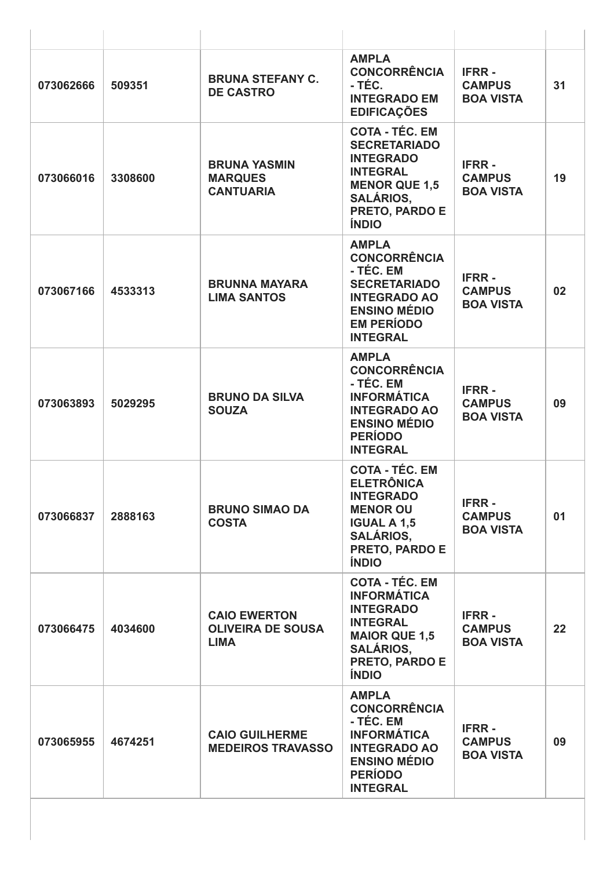| 073062666 | 509351  | <b>BRUNA STEFANY C.</b><br><b>DE CASTRO</b>                    | <b>AMPLA</b><br><b>CONCORRÊNCIA</b><br>- TÉC.<br><b>INTEGRADO EM</b><br><b>EDIFICAÇÕES</b>                                                                        | <b>IFRR-</b><br><b>CAMPUS</b><br><b>BOA VISTA</b> | 31 |
|-----------|---------|----------------------------------------------------------------|-------------------------------------------------------------------------------------------------------------------------------------------------------------------|---------------------------------------------------|----|
| 073066016 | 3308600 | <b>BRUNA YASMIN</b><br><b>MARQUES</b><br><b>CANTUARIA</b>      | <b>COTA - TÉC. EM</b><br><b>SECRETARIADO</b><br><b>INTEGRADO</b><br><b>INTEGRAL</b><br><b>MENOR QUE 1,5</b><br><b>SALÁRIOS,</b><br>PRETO, PARDO E<br><b>ÍNDIO</b> | <b>IFRR-</b><br><b>CAMPUS</b><br><b>BOA VISTA</b> | 19 |
| 073067166 | 4533313 | <b>BRUNNA MAYARA</b><br><b>LIMA SANTOS</b>                     | <b>AMPLA</b><br><b>CONCORRÊNCIA</b><br>- TÉC. EM<br><b>SECRETARIADO</b><br><b>INTEGRADO AO</b><br><b>ENSINO MÉDIO</b><br><b>EM PERÍODO</b><br><b>INTEGRAL</b>     | <b>IFRR-</b><br><b>CAMPUS</b><br><b>BOA VISTA</b> | 02 |
| 073063893 | 5029295 | <b>BRUNO DA SILVA</b><br><b>SOUZA</b>                          | <b>AMPLA</b><br><b>CONCORRÊNCIA</b><br>- TÉC. EM<br><b>INFORMÁTICA</b><br><b>INTEGRADO AO</b><br><b>ENSINO MÉDIO</b><br><b>PERÍODO</b><br><b>INTEGRAL</b>         | <b>IFRR-</b><br><b>CAMPUS</b><br><b>BOA VISTA</b> | 09 |
| 073066837 | 2888163 | <b>BRUNO SIMAO DA</b><br><b>COSTA</b>                          | <b>COTA - TÉC. EM</b><br><b>ELETRÔNICA</b><br><b>INTEGRADO</b><br><b>MENOR OU</b><br><b>IGUAL A 1,5</b><br><b>SALÁRIOS,</b><br>PRETO, PARDO E<br><b>ÍNDIO</b>     | <b>IFRR-</b><br><b>CAMPUS</b><br><b>BOA VISTA</b> | 01 |
| 073066475 | 4034600 | <b>CAIO EWERTON</b><br><b>OLIVEIRA DE SOUSA</b><br><b>LIMA</b> | <b>COTA - TÉC. EM</b><br><b>INFORMÁTICA</b><br><b>INTEGRADO</b><br><b>INTEGRAL</b><br><b>MAIOR QUE 1,5</b><br><b>SALÁRIOS,</b><br>PRETO, PARDO E<br><b>ÍNDIO</b>  | <b>IFRR-</b><br><b>CAMPUS</b><br><b>BOA VISTA</b> | 22 |
| 073065955 | 4674251 | <b>CAIO GUILHERME</b><br><b>MEDEIROS TRAVASSO</b>              | <b>AMPLA</b><br><b>CONCORRÊNCIA</b><br>- TÉC. EM<br><b>INFORMÁTICA</b><br><b>INTEGRADO AO</b><br><b>ENSINO MÉDIO</b><br><b>PERÍODO</b><br><b>INTEGRAL</b>         | <b>IFRR-</b><br><b>CAMPUS</b><br><b>BOA VISTA</b> | 09 |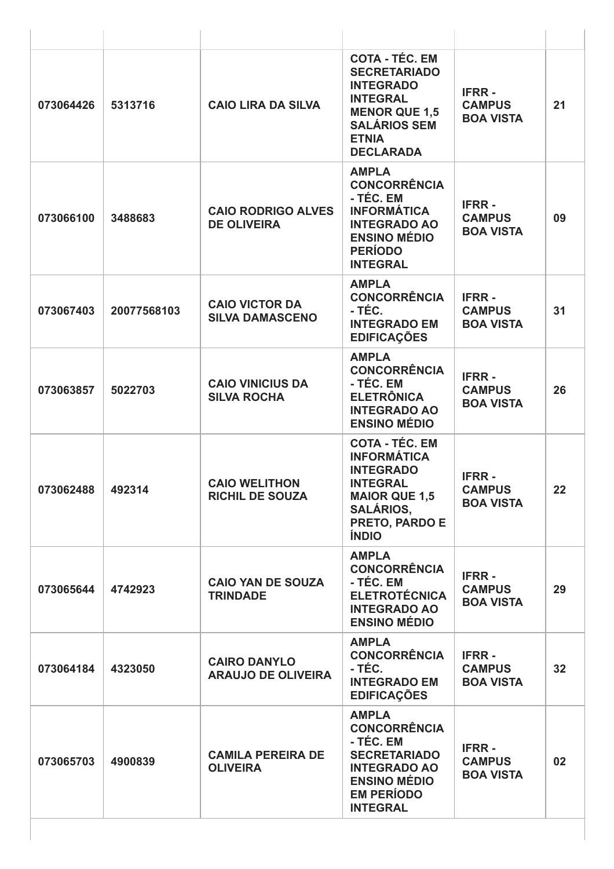| 073064426 | 5313716     | <b>CAIO LIRA DA SILVA</b>                        | <b>COTA - TÉC. EM</b><br><b>SECRETARIADO</b><br><b>INTEGRADO</b><br><b>INTEGRAL</b><br><b>MENOR QUE 1,5</b><br><b>SALÁRIOS SEM</b><br><b>ETNIA</b><br><b>DECLARADA</b> | <b>IFRR-</b><br><b>CAMPUS</b><br><b>BOA VISTA</b> | 21              |
|-----------|-------------|--------------------------------------------------|------------------------------------------------------------------------------------------------------------------------------------------------------------------------|---------------------------------------------------|-----------------|
| 073066100 | 3488683     | <b>CAIO RODRIGO ALVES</b><br><b>DE OLIVEIRA</b>  | <b>AMPLA</b><br><b>CONCORRÊNCIA</b><br>- TÉC. EM<br><b>INFORMÁTICA</b><br><b>INTEGRADO AO</b><br><b>ENSINO MÉDIO</b><br><b>PERÍODO</b><br><b>INTEGRAL</b>              | <b>IFRR-</b><br><b>CAMPUS</b><br><b>BOA VISTA</b> | 09              |
| 073067403 | 20077568103 | <b>CAIO VICTOR DA</b><br><b>SILVA DAMASCENO</b>  | <b>AMPLA</b><br><b>CONCORRÊNCIA</b><br>- TÉC.<br><b>INTEGRADO EM</b><br><b>EDIFICAÇÕES</b>                                                                             | <b>IFRR-</b><br><b>CAMPUS</b><br><b>BOA VISTA</b> | 31              |
| 073063857 | 5022703     | <b>CAIO VINICIUS DA</b><br><b>SILVA ROCHA</b>    | <b>AMPLA</b><br><b>CONCORRÊNCIA</b><br>- TÉC. EM<br><b>ELETRÔNICA</b><br><b>INTEGRADO AO</b><br><b>ENSINO MÉDIO</b>                                                    | <b>IFRR-</b><br><b>CAMPUS</b><br><b>BOA VISTA</b> | 26              |
| 073062488 | 492314      | <b>CAIO WELITHON</b><br><b>RICHIL DE SOUZA</b>   | <b>COTA - TÉC. EM</b><br><b>INFORMÁTICA</b><br><b>INTEGRADO</b><br><b>INTEGRAL</b><br><b>MAIOR QUE 1,5</b><br><b>SALÁRIOS,</b><br>PRETO, PARDO E<br><b>ÍNDIO</b>       | <b>IFRR-</b><br><b>CAMPUS</b><br><b>BOA VISTA</b> | 22              |
| 073065644 | 4742923     | <b>CAIO YAN DE SOUZA</b><br><b>TRINDADE</b>      | <b>AMPLA</b><br><b>CONCORRÊNCIA</b><br>- TÉC. EM<br><b>ELETROTÉCNICA</b><br><b>INTEGRADO AO</b><br><b>ENSINO MÉDIO</b>                                                 | <b>IFRR-</b><br><b>CAMPUS</b><br><b>BOA VISTA</b> | 29              |
| 073064184 | 4323050     | <b>CAIRO DANYLO</b><br><b>ARAUJO DE OLIVEIRA</b> | <b>AMPLA</b><br><b>CONCORRÊNCIA</b><br>- TÉC.<br><b>INTEGRADO EM</b><br><b>EDIFICAÇÕES</b>                                                                             | <b>IFRR-</b><br><b>CAMPUS</b><br><b>BOA VISTA</b> | 32 <sub>2</sub> |
| 073065703 | 4900839     | <b>CAMILA PEREIRA DE</b><br><b>OLIVEIRA</b>      | <b>AMPLA</b><br><b>CONCORRÊNCIA</b><br>- TÉC. EM<br><b>SECRETARIADO</b><br><b>INTEGRADO AO</b><br><b>ENSINO MÉDIO</b><br><b>EM PERÍODO</b><br><b>INTEGRAL</b>          | <b>IFRR-</b><br><b>CAMPUS</b><br><b>BOA VISTA</b> | 02 <sub>2</sub> |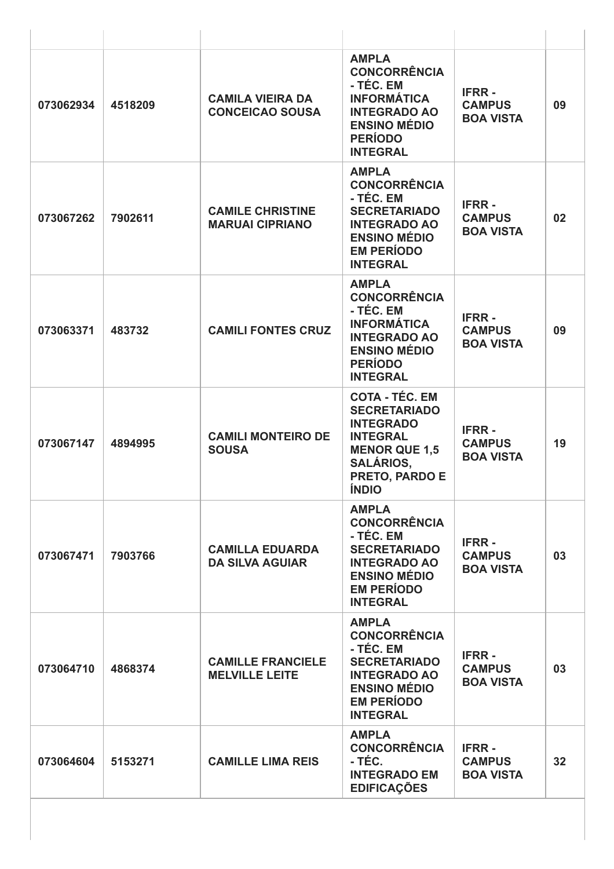| 073062934 | 4518209 | <b>CAMILA VIEIRA DA</b><br><b>CONCEICAO SOUSA</b> | <b>AMPLA</b><br><b>CONCORRÊNCIA</b><br>- TÉC. EM<br><b>INFORMÁTICA</b><br><b>INTEGRADO AO</b><br><b>ENSINO MÉDIO</b><br><b>PERÍODO</b><br><b>INTEGRAL</b>                | <b>IFRR-</b><br><b>CAMPUS</b><br><b>BOA VISTA</b> | 09 |
|-----------|---------|---------------------------------------------------|--------------------------------------------------------------------------------------------------------------------------------------------------------------------------|---------------------------------------------------|----|
| 073067262 | 7902611 | <b>CAMILE CHRISTINE</b><br><b>MARUAI CIPRIANO</b> | <b>AMPLA</b><br><b>CONCORRÊNCIA</b><br>- TÉC. EM<br><b>SECRETARIADO</b><br><b>INTEGRADO AO</b><br><b>ENSINO MÉDIO</b><br><b>EM PERÍODO</b><br><b>INTEGRAL</b>            | <b>IFRR-</b><br><b>CAMPUS</b><br><b>BOA VISTA</b> | 02 |
| 073063371 | 483732  | <b>CAMILI FONTES CRUZ</b>                         | <b>AMPLA</b><br><b>CONCORRÊNCIA</b><br>- TÉC. EM<br><b>INFORMÁTICA</b><br><b>INTEGRADO AO</b><br><b>ENSINO MÉDIO</b><br><b>PERÍODO</b><br><b>INTEGRAL</b>                | <b>IFRR-</b><br><b>CAMPUS</b><br><b>BOA VISTA</b> | 09 |
| 073067147 | 4894995 | <b>CAMILI MONTEIRO DE</b><br><b>SOUSA</b>         | <b>COTA - TÉC. EM</b><br><b>SECRETARIADO</b><br><b>INTEGRADO</b><br><b>INTEGRAL</b><br><b>MENOR QUE 1,5</b><br><b>SALÁRIOS,</b><br><b>PRETO, PARDO E</b><br><b>ÍNDIO</b> | <b>IFRR-</b><br><b>CAMPUS</b><br><b>BOA VISTA</b> | 19 |
| 073067471 | 7903766 | <b>CAMILLA EDUARDA</b><br><b>DA SILVA AGUIAR</b>  | <b>AMPLA</b><br><b>CONCORRÊNCIA</b><br>- TÉC. EM<br><b>SECRETARIADO</b><br><b>INTEGRADO AO</b><br><b>ENSINO MÉDIO</b><br><b>EM PERÍODO</b><br><b>INTEGRAL</b>            | <b>IFRR-</b><br><b>CAMPUS</b><br><b>BOA VISTA</b> | 03 |
| 073064710 | 4868374 | <b>CAMILLE FRANCIELE</b><br><b>MELVILLE LEITE</b> | <b>AMPLA</b><br><b>CONCORRÊNCIA</b><br>- TÉC. EM<br><b>SECRETARIADO</b><br><b>INTEGRADO AO</b><br><b>ENSINO MÉDIO</b><br><b>EM PERÍODO</b><br><b>INTEGRAL</b>            | <b>IFRR-</b><br><b>CAMPUS</b><br><b>BOA VISTA</b> | 03 |
| 073064604 | 5153271 | <b>CAMILLE LIMA REIS</b>                          | <b>AMPLA</b><br><b>CONCORRÊNCIA</b><br>- TÉC.<br><b>INTEGRADO EM</b><br><b>EDIFICAÇÕES</b>                                                                               | <b>IFRR-</b><br><b>CAMPUS</b><br><b>BOA VISTA</b> | 32 |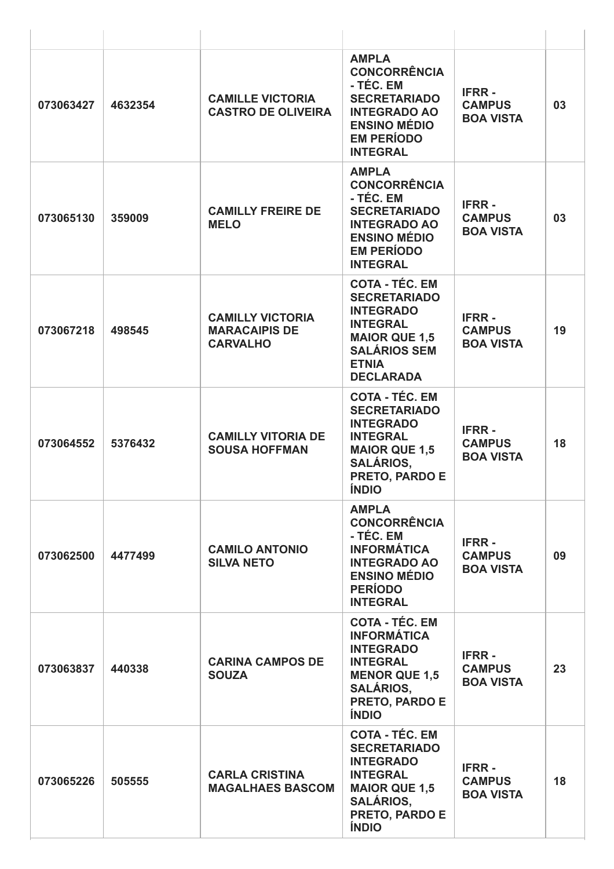| 073063427 | 4632354 | <b>CAMILLE VICTORIA</b><br><b>CASTRO DE OLIVEIRA</b>               | <b>AMPLA</b><br><b>CONCORRÊNCIA</b><br>- TÉC. EM<br><b>SECRETARIADO</b><br><b>INTEGRADO AO</b><br><b>ENSINO MÉDIO</b><br><b>EM PERÍODO</b><br><b>INTEGRAL</b>            | <b>IFRR-</b><br><b>CAMPUS</b><br><b>BOA VISTA</b> | 03 |
|-----------|---------|--------------------------------------------------------------------|--------------------------------------------------------------------------------------------------------------------------------------------------------------------------|---------------------------------------------------|----|
| 073065130 | 359009  | <b>CAMILLY FREIRE DE</b><br><b>MELO</b>                            | <b>AMPLA</b><br><b>CONCORRÊNCIA</b><br>- TÉC. EM<br><b>SECRETARIADO</b><br><b>INTEGRADO AO</b><br><b>ENSINO MÉDIO</b><br><b>EM PERÍODO</b><br><b>INTEGRAL</b>            | <b>IFRR-</b><br><b>CAMPUS</b><br><b>BOA VISTA</b> | 03 |
| 073067218 | 498545  | <b>CAMILLY VICTORIA</b><br><b>MARACAIPIS DE</b><br><b>CARVALHO</b> | <b>COTA - TÉC. EM</b><br><b>SECRETARIADO</b><br><b>INTEGRADO</b><br><b>INTEGRAL</b><br><b>MAIOR QUE 1,5</b><br><b>SALÁRIOS SEM</b><br><b>ETNIA</b><br><b>DECLARADA</b>   | <b>IFRR-</b><br><b>CAMPUS</b><br><b>BOA VISTA</b> | 19 |
| 073064552 | 5376432 | <b>CAMILLY VITORIA DE</b><br><b>SOUSA HOFFMAN</b>                  | <b>COTA - TÉC. EM</b><br><b>SECRETARIADO</b><br><b>INTEGRADO</b><br><b>INTEGRAL</b><br><b>MAIOR QUE 1,5</b><br><b>SALÁRIOS,</b><br><b>PRETO, PARDO E</b><br><b>ÍNDIO</b> | <b>IFRR-</b><br><b>CAMPUS</b><br><b>BOA VISTA</b> | 18 |
| 073062500 | 4477499 | <b>CAMILO ANTONIO</b><br><b>SILVA NETO</b>                         | <b>AMPLA</b><br><b>CONCORRÊNCIA</b><br>- TÉC. EM<br><b>INFORMÁTICA</b><br><b>INTEGRADO AO</b><br><b>ENSINO MÉDIO</b><br><b>PERÍODO</b><br><b>INTEGRAL</b>                | <b>IFRR-</b><br><b>CAMPUS</b><br><b>BOA VISTA</b> | 09 |
| 073063837 | 440338  | <b>CARINA CAMPOS DE</b><br><b>SOUZA</b>                            | <b>COTA - TÉC. EM</b><br><b>INFORMÁTICA</b><br><b>INTEGRADO</b><br><b>INTEGRAL</b><br><b>MENOR QUE 1,5</b><br><b>SALÁRIOS,</b><br>PRETO, PARDO E<br><b>ÍNDIO</b>         | <b>IFRR-</b><br><b>CAMPUS</b><br><b>BOA VISTA</b> | 23 |
| 073065226 | 505555  | <b>CARLA CRISTINA</b><br><b>MAGALHAES BASCOM</b>                   | <b>COTA - TÉC. EM</b><br><b>SECRETARIADO</b><br><b>INTEGRADO</b><br><b>INTEGRAL</b><br><b>MAIOR QUE 1,5</b><br><b>SALÁRIOS,</b><br>PRETO, PARDO E<br><b>ÍNDIO</b>        | <b>IFRR-</b><br><b>CAMPUS</b><br><b>BOA VISTA</b> | 18 |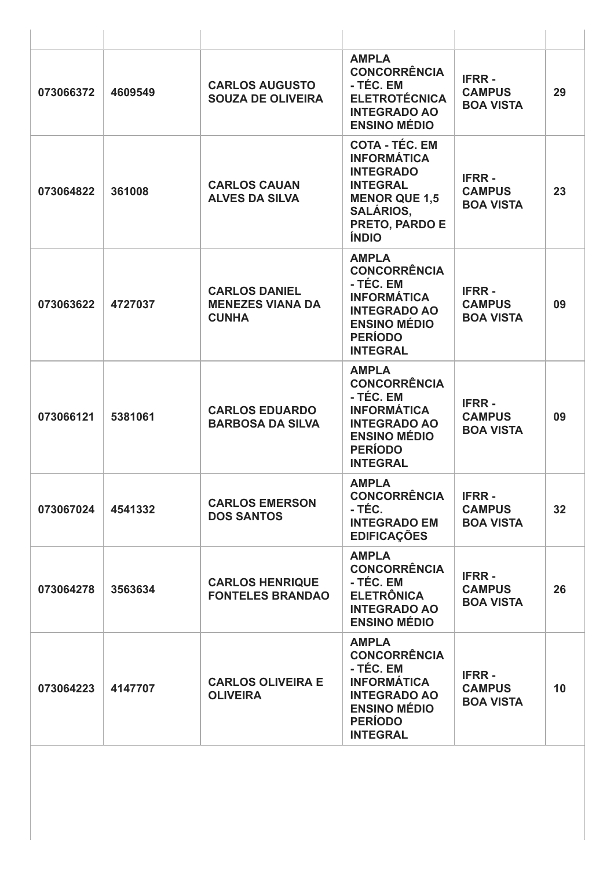| 073066372 | 4609549 | <b>CARLOS AUGUSTO</b><br><b>SOUZA DE OLIVEIRA</b>               | <b>AMPLA</b><br><b>CONCORRÊNCIA</b><br>- TÉC. EM<br><b>ELETROTÉCNICA</b><br><b>INTEGRADO AO</b><br><b>ENSINO MÉDIO</b>                                           | <b>IFRR-</b><br><b>CAMPUS</b><br><b>BOA VISTA</b> | 29 |
|-----------|---------|-----------------------------------------------------------------|------------------------------------------------------------------------------------------------------------------------------------------------------------------|---------------------------------------------------|----|
| 073064822 | 361008  | <b>CARLOS CAUAN</b><br><b>ALVES DA SILVA</b>                    | <b>COTA - TÉC. EM</b><br><b>INFORMÁTICA</b><br><b>INTEGRADO</b><br><b>INTEGRAL</b><br><b>MENOR QUE 1,5</b><br><b>SALÁRIOS,</b><br>PRETO, PARDO E<br><b>ÍNDIO</b> | <b>IFRR-</b><br><b>CAMPUS</b><br><b>BOA VISTA</b> | 23 |
| 073063622 | 4727037 | <b>CARLOS DANIEL</b><br><b>MENEZES VIANA DA</b><br><b>CUNHA</b> | <b>AMPLA</b><br><b>CONCORRÊNCIA</b><br>- TÉC. EM<br><b>INFORMÁTICA</b><br><b>INTEGRADO AO</b><br><b>ENSINO MÉDIO</b><br><b>PERÍODO</b><br><b>INTEGRAL</b>        | <b>IFRR-</b><br><b>CAMPUS</b><br><b>BOA VISTA</b> | 09 |
| 073066121 | 5381061 | <b>CARLOS EDUARDO</b><br><b>BARBOSA DA SILVA</b>                | <b>AMPLA</b><br><b>CONCORRÊNCIA</b><br>- TÉC. EM<br><b>INFORMATICA</b><br><b>INTEGRADO AO</b><br><b>ENSINO MÉDIO</b><br><b>PERÍODO</b><br><b>INTEGRAL</b>        | <b>IFRR-</b><br><b>CAMPUS</b><br><b>BOA VISTA</b> | 09 |
| 073067024 | 4541332 | <b>CARLOS EMERSON</b><br><b>DOS SANTOS</b>                      | <b>AMPLA</b><br><b>CONCORRÊNCIA</b><br>- TÉC.<br><b>INTEGRADO EM</b><br><b>EDIFICAÇÕES</b>                                                                       | <b>IFRR-</b><br><b>CAMPUS</b><br><b>BOA VISTA</b> | 32 |
| 073064278 | 3563634 | <b>CARLOS HENRIQUE</b><br><b>FONTELES BRANDAO</b>               | <b>AMPLA</b><br><b>CONCORRÊNCIA</b><br>- TÉC. EM<br><b>ELETRÔNICA</b><br><b>INTEGRADO AO</b><br><b>ENSINO MÉDIO</b>                                              | <b>IFRR-</b><br><b>CAMPUS</b><br><b>BOA VISTA</b> | 26 |
| 073064223 | 4147707 | <b>CARLOS OLIVEIRA E</b><br><b>OLIVEIRA</b>                     | <b>AMPLA</b><br><b>CONCORRÊNCIA</b><br>- TÉC. EM<br><b>INFORMÁTICA</b><br><b>INTEGRADO AO</b><br><b>ENSINO MÉDIO</b><br><b>PERÍODO</b><br><b>INTEGRAL</b>        | <b>IFRR-</b><br><b>CAMPUS</b><br><b>BOA VISTA</b> | 10 |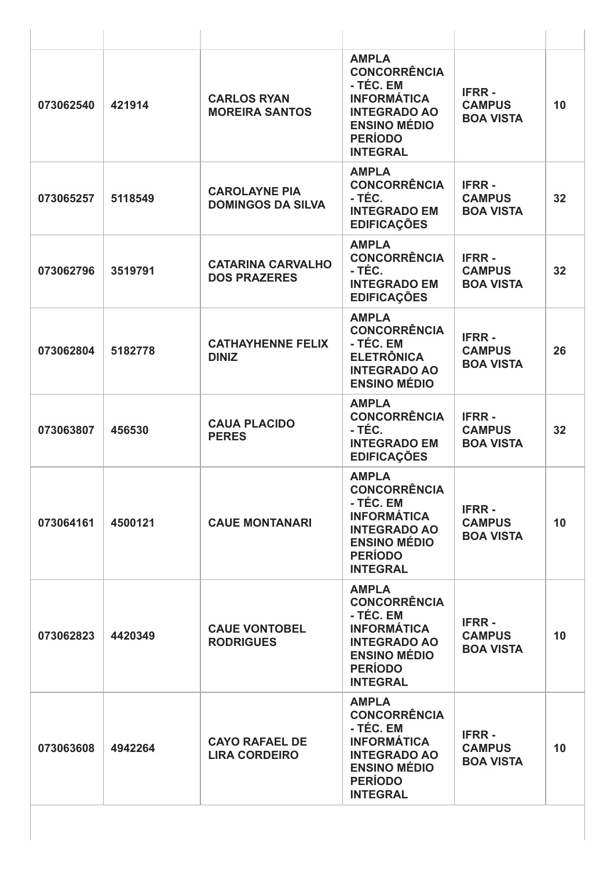| 073062540 | 421914  | <b>CARLOS RYAN</b><br><b>MOREIRA SANTOS</b>      | <b>AMPLA</b><br><b>CONCORRÊNCIA</b><br>- TÉC. EM<br><b>INFORMÁTICA</b><br><b>INTEGRADO AO</b><br><b>ENSINO MÉDIO</b><br><b>PERÍODO</b><br><b>INTEGRAL</b> | <b>IFRR-</b><br><b>CAMPUS</b><br><b>BOA VISTA</b> | 10 |
|-----------|---------|--------------------------------------------------|-----------------------------------------------------------------------------------------------------------------------------------------------------------|---------------------------------------------------|----|
| 073065257 | 5118549 | <b>CAROLAYNE PIA</b><br><b>DOMINGOS DA SILVA</b> | <b>AMPLA</b><br><b>CONCORRÊNCIA</b><br>- TÉC.<br><b>INTEGRADO EM</b><br><b>EDIFICAÇÕES</b>                                                                | <b>IFRR-</b><br><b>CAMPUS</b><br><b>BOA VISTA</b> | 32 |
| 073062796 | 3519791 | <b>CATARINA CARVALHO</b><br><b>DOS PRAZERES</b>  | <b>AMPLA</b><br><b>CONCORRÊNCIA</b><br>- TÉC.<br><b>INTEGRADO EM</b><br><b>EDIFICAÇÕES</b>                                                                | <b>IFRR-</b><br><b>CAMPUS</b><br><b>BOA VISTA</b> | 32 |
| 073062804 | 5182778 | <b>CATHAYHENNE FELIX</b><br><b>DINIZ</b>         | <b>AMPLA</b><br><b>CONCORRÊNCIA</b><br>- TÉC. EM<br><b>ELETRÔNICA</b><br><b>INTEGRADO AO</b><br><b>ENSINO MÉDIO</b>                                       | <b>IFRR-</b><br><b>CAMPUS</b><br><b>BOA VISTA</b> | 26 |
| 073063807 | 456530  | <b>CAUA PLACIDO</b><br><b>PERES</b>              | <b>AMPLA</b><br><b>CONCORRÊNCIA</b><br>- TÉC.<br><b>INTEGRADO EM</b><br><b>EDIFICAÇÕES</b>                                                                | <b>IFRR-</b><br><b>CAMPUS</b><br><b>BOA VISTA</b> | 32 |
| 073064161 | 4500121 | <b>CAUE MONTANARI</b>                            | <b>AMPLA</b><br><b>CONCORRÊNCIA</b><br>- TÉC. EM<br><b>INFORMÁTICA</b><br><b>INTEGRADO AO</b><br><b>ENSINO MÉDIO</b><br><b>PERÍODO</b><br><b>INTEGRAL</b> | <b>IFRR-</b><br><b>CAMPUS</b><br><b>BOA VISTA</b> | 10 |
| 073062823 | 4420349 | <b>CAUE VONTOBEL</b><br><b>RODRIGUES</b>         | <b>AMPLA</b><br><b>CONCORRÊNCIA</b><br>- TÉC. EM<br><b>INFORMÁTICA</b><br><b>INTEGRADO AO</b><br><b>ENSINO MÉDIO</b><br><b>PERÍODO</b><br><b>INTEGRAL</b> | <b>IFRR-</b><br><b>CAMPUS</b><br><b>BOA VISTA</b> | 10 |
| 073063608 | 4942264 | <b>CAYO RAFAEL DE</b><br><b>LIRA CORDEIRO</b>    | <b>AMPLA</b><br><b>CONCORRÊNCIA</b><br>- TÉC. EM<br><b>INFORMÁTICA</b><br><b>INTEGRADO AO</b><br><b>ENSINO MÉDIO</b><br><b>PERÍODO</b><br><b>INTEGRAL</b> | <b>IFRR-</b><br><b>CAMPUS</b><br><b>BOA VISTA</b> | 10 |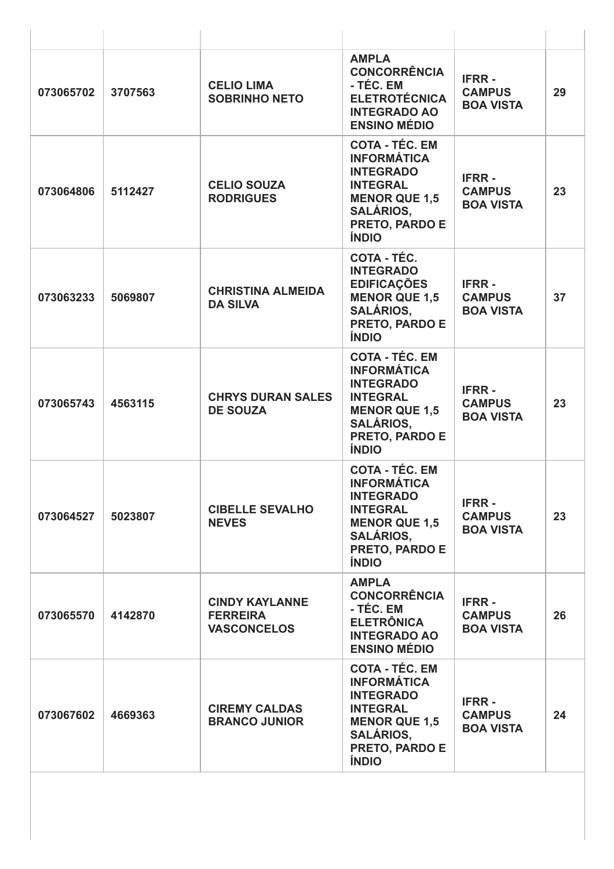| 073065702 | 3707563 | <b>CELIO LIMA</b><br><b>SOBRINHO NETO</b>                      | <b>AMPLA</b><br><b>CONCORRÊNCIA</b><br>- TÉC. EM<br><b>ELETROTÉCNICA</b><br><b>INTEGRADO AO</b><br><b>ENSINO MÉDIO</b>                                                  | <b>IFRR-</b><br><b>CAMPUS</b><br><b>BOA VISTA</b> | 29 |
|-----------|---------|----------------------------------------------------------------|-------------------------------------------------------------------------------------------------------------------------------------------------------------------------|---------------------------------------------------|----|
| 073064806 | 5112427 | <b>CELIO SOUZA</b><br><b>RODRIGUES</b>                         | <b>COTA - TÉC. EM</b><br><b>INFORMÁTICA</b><br><b>INTEGRADO</b><br><b>INTEGRAL</b><br><b>MENOR QUE 1,5</b><br><b>SALÁRIOS,</b><br>PRETO, PARDO E<br><b>ÍNDIO</b>        | <b>IFRR-</b><br><b>CAMPUS</b><br><b>BOA VISTA</b> | 23 |
| 073063233 | 5069807 | <b>CHRISTINA ALMEIDA</b><br><b>DA SILVA</b>                    | <b>COTA - TÉC.</b><br><b>INTEGRADO</b><br><b>EDIFICAÇÕES</b><br><b>MENOR QUE 1,5</b><br><b>SALÁRIOS,</b><br>PRETO, PARDO E<br><b>ÍNDIO</b>                              | <b>IFRR-</b><br><b>CAMPUS</b><br><b>BOA VISTA</b> | 37 |
| 073065743 | 4563115 | <b>CHRYS DURAN SALES</b><br><b>DE SOUZA</b>                    | <b>COTA - TÉC. EM</b><br><b>INFORMÁTICA</b><br><b>INTEGRADO</b><br><b>INTEGRAL</b><br><b>MENOR QUE 1,5</b><br><b>SALÁRIOS,</b><br>PRETO, PARDO E<br><b>ÍNDIO</b>        | <b>IFRR-</b><br><b>CAMPUS</b><br><b>BOA VISTA</b> | 23 |
| 073064527 | 5023807 | <b>CIBELLE SEVALHO</b><br><b>NEVES</b>                         | <b>COTA - TÉC. EM</b><br><b>INFORMÁTICA</b><br><b>INTEGRADO</b><br><b>INTEGRAL</b><br><b>MENOR QUE 1,5</b><br><b>SALÁRIOS,</b><br><b>PRETO, PARDO E</b><br><b>ÍNDIO</b> | <b>IFRR-</b><br><b>CAMPUS</b><br><b>BOA VISTA</b> | 23 |
| 073065570 | 4142870 | <b>CINDY KAYLANNE</b><br><b>FERREIRA</b><br><b>VASCONCELOS</b> | <b>AMPLA</b><br><b>CONCORRÊNCIA</b><br>- TÉC. EM<br><b>ELETRÔNICA</b><br><b>INTEGRADO AO</b><br><b>ENSINO MÉDIO</b>                                                     | <b>IFRR-</b><br><b>CAMPUS</b><br><b>BOA VISTA</b> | 26 |
| 073067602 | 4669363 | <b>CIREMY CALDAS</b><br><b>BRANCO JUNIOR</b>                   | <b>COTA - TÉC. EM</b><br><b>INFORMÁTICA</b><br><b>INTEGRADO</b><br><b>INTEGRAL</b><br><b>MENOR QUE 1,5</b><br><b>SALÁRIOS,</b><br>PRETO, PARDO E<br><b>ÍNDIO</b>        | <b>IFRR-</b><br><b>CAMPUS</b><br><b>BOA VISTA</b> | 24 |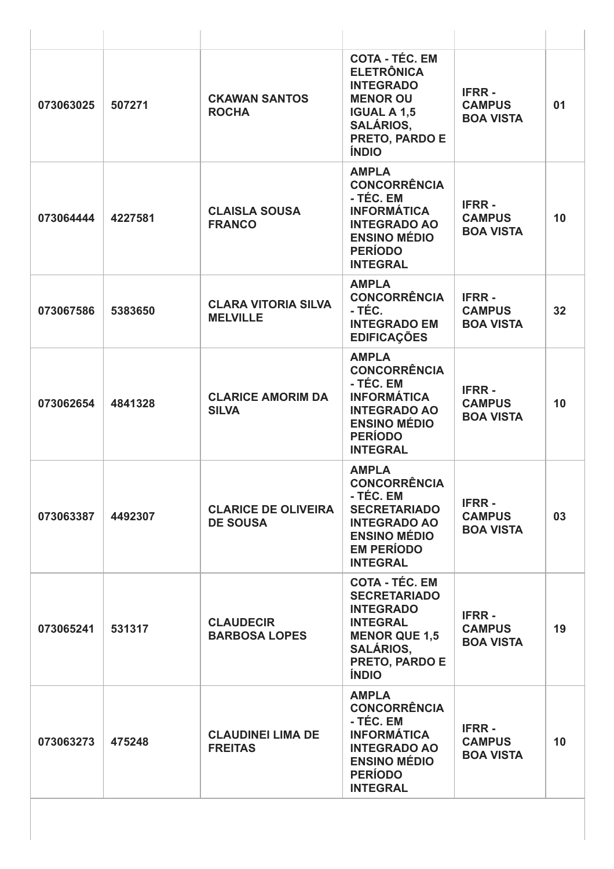| 073063025 | 507271  | <b>CKAWAN SANTOS</b><br><b>ROCHA</b>          | <b>COTA - TÉC. EM</b><br><b>ELETRÔNICA</b><br><b>INTEGRADO</b><br><b>MENOR OU</b><br><b>IGUAL A 1,5</b><br><b>SALÁRIOS,</b><br>PRETO, PARDO E<br><b>ÍNDIO</b>     | <b>IFRR-</b><br><b>CAMPUS</b><br><b>BOA VISTA</b> | 01              |
|-----------|---------|-----------------------------------------------|-------------------------------------------------------------------------------------------------------------------------------------------------------------------|---------------------------------------------------|-----------------|
| 073064444 | 4227581 | <b>CLAISLA SOUSA</b><br><b>FRANCO</b>         | <b>AMPLA</b><br><b>CONCORRÊNCIA</b><br>- TÉC. EM<br><b>INFORMÁTICA</b><br><b>INTEGRADO AO</b><br><b>ENSINO MÉDIO</b><br><b>PERÍODO</b><br><b>INTEGRAL</b>         | <b>IFRR-</b><br><b>CAMPUS</b><br><b>BOA VISTA</b> | 10              |
| 073067586 | 5383650 | <b>CLARA VITORIA SILVA</b><br><b>MELVILLE</b> | <b>AMPLA</b><br><b>CONCORRÊNCIA</b><br>- TÉC.<br><b>INTEGRADO EM</b><br><b>EDIFICAÇÕES</b>                                                                        | <b>IFRR-</b><br><b>CAMPUS</b><br><b>BOA VISTA</b> | 32              |
| 073062654 | 4841328 | <b>CLARICE AMORIM DA</b><br><b>SILVA</b>      | <b>AMPLA</b><br><b>CONCORRÊNCIA</b><br>- TÉC. EM<br><b>INFORMÁTICA</b><br><b>INTEGRADO AO</b><br><b>ENSINO MÉDIO</b><br><b>PERÍODO</b><br><b>INTEGRAL</b>         | <b>IFRR-</b><br><b>CAMPUS</b><br><b>BOA VISTA</b> | 10              |
| 073063387 | 4492307 | <b>CLARICE DE OLIVEIRA</b><br><b>DE SOUSA</b> | <b>AMPLA</b><br><b>CONCORRÊNCIA</b><br>- TÉC. EM<br><b>SECRETARIADO</b><br><b>INTEGRADO AO</b><br><b>ENSINO MÉDIO</b><br><b>EM PERÍODO</b><br><b>INTEGRAL</b>     | <b>IFRR-</b><br><b>CAMPUS</b><br><b>BOA VISTA</b> | 03              |
| 073065241 | 531317  | <b>CLAUDECIR</b><br><b>BARBOSA LOPES</b>      | <b>COTA - TÉC. EM</b><br><b>SECRETARIADO</b><br><b>INTEGRADO</b><br><b>INTEGRAL</b><br><b>MENOR QUE 1,5</b><br><b>SALÁRIOS,</b><br>PRETO, PARDO E<br><b>ÍNDIO</b> | <b>IFRR-</b><br><b>CAMPUS</b><br><b>BOA VISTA</b> | 19              |
| 073063273 | 475248  | <b>CLAUDINEI LIMA DE</b><br><b>FREITAS</b>    | <b>AMPLA</b><br><b>CONCORRÊNCIA</b><br>- TÉC. EM<br><b>INFORMÁTICA</b><br><b>INTEGRADO AO</b><br><b>ENSINO MÉDIO</b><br><b>PERÍODO</b><br><b>INTEGRAL</b>         | <b>IFRR-</b><br><b>CAMPUS</b><br><b>BOA VISTA</b> | 10 <sup>1</sup> |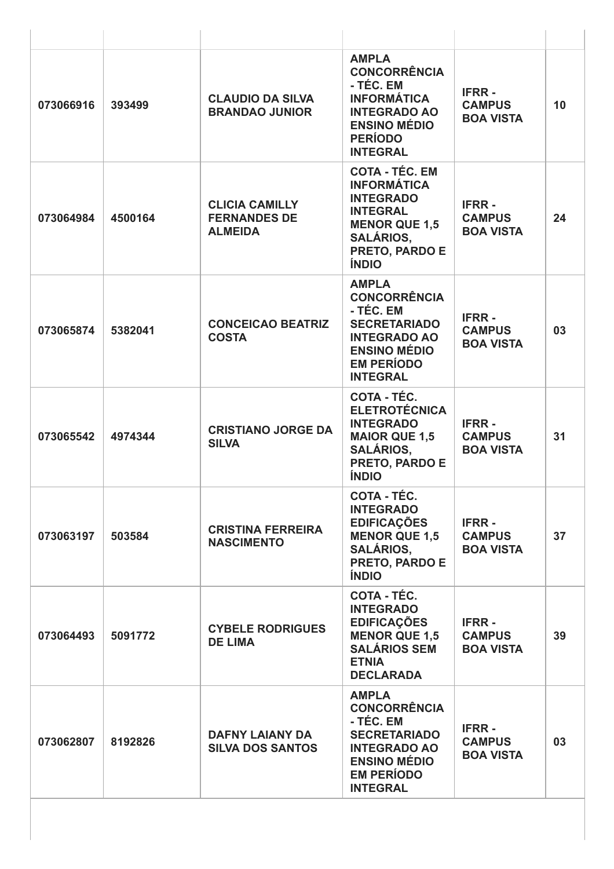| 073066916 | 393499  | <b>CLAUDIO DA SILVA</b><br><b>BRANDAO JUNIOR</b>               | <b>AMPLA</b><br><b>CONCORRÊNCIA</b><br>- TÉC. EM<br><b>INFORMÁTICA</b><br><b>INTEGRADO AO</b><br><b>ENSINO MÉDIO</b><br><b>PERÍODO</b><br><b>INTEGRAL</b>        | <b>IFRR-</b><br><b>CAMPUS</b><br><b>BOA VISTA</b> | 10 |
|-----------|---------|----------------------------------------------------------------|------------------------------------------------------------------------------------------------------------------------------------------------------------------|---------------------------------------------------|----|
| 073064984 | 4500164 | <b>CLICIA CAMILLY</b><br><b>FERNANDES DE</b><br><b>ALMEIDA</b> | <b>COTA - TÉC. EM</b><br><b>INFORMÁTICA</b><br><b>INTEGRADO</b><br><b>INTEGRAL</b><br><b>MENOR QUE 1,5</b><br><b>SALÁRIOS,</b><br>PRETO, PARDO E<br><b>ÍNDIO</b> | <b>IFRR-</b><br><b>CAMPUS</b><br><b>BOA VISTA</b> | 24 |
| 073065874 | 5382041 | <b>CONCEICAO BEATRIZ</b><br><b>COSTA</b>                       | <b>AMPLA</b><br><b>CONCORRÊNCIA</b><br>- TÉC. EM<br><b>SECRETARIADO</b><br><b>INTEGRADO AO</b><br><b>ENSINO MÉDIO</b><br><b>EM PERÍODO</b><br><b>INTEGRAL</b>    | <b>IFRR-</b><br><b>CAMPUS</b><br><b>BOA VISTA</b> | 03 |
| 073065542 | 4974344 | <b>CRISTIANO JORGE DA</b><br><b>SILVA</b>                      | COTA - TÉC.<br><b>ELETROTÉCNICA</b><br><b>INTEGRADO</b><br><b>MAIOR QUE 1,5</b><br><b>SALÁRIOS.</b><br>PRETO, PARDO E<br><b>ÍNDIO</b>                            | <b>IFRR-</b><br><b>CAMPUS</b><br><b>BOA VISTA</b> | 31 |
| 073063197 | 503584  | <b>CRISTINA FERREIRA</b><br><b>NASCIMENTO</b>                  | <b>COTA - TÉC.</b><br><b>INTEGRADO</b><br><b>EDIFICAÇÕES</b><br><b>MENOR QUE 1,5</b><br><b>SALÁRIOS,</b><br><b>PRETO, PARDO E</b><br><b>ÍNDIO</b>                | <b>IFRR-</b><br><b>CAMPUS</b><br><b>BOA VISTA</b> | 37 |
| 073064493 | 5091772 | <b>CYBELE RODRIGUES</b><br><b>DE LIMA</b>                      | COTA - TÉC.<br><b>INTEGRADO</b><br><b>EDIFICAÇÕES</b><br><b>MENOR QUE 1,5</b><br><b>SALÁRIOS SEM</b><br><b>ETNIA</b><br><b>DECLARADA</b>                         | <b>IFRR-</b><br><b>CAMPUS</b><br><b>BOA VISTA</b> | 39 |
| 073062807 | 8192826 | <b>DAFNY LAIANY DA</b><br><b>SILVA DOS SANTOS</b>              | <b>AMPLA</b><br><b>CONCORRÊNCIA</b><br>- TÉC. EM<br><b>SECRETARIADO</b><br><b>INTEGRADO AO</b><br><b>ENSINO MÉDIO</b><br><b>EM PERÍODO</b><br><b>INTEGRAL</b>    | <b>IFRR-</b><br><b>CAMPUS</b><br><b>BOA VISTA</b> | 03 |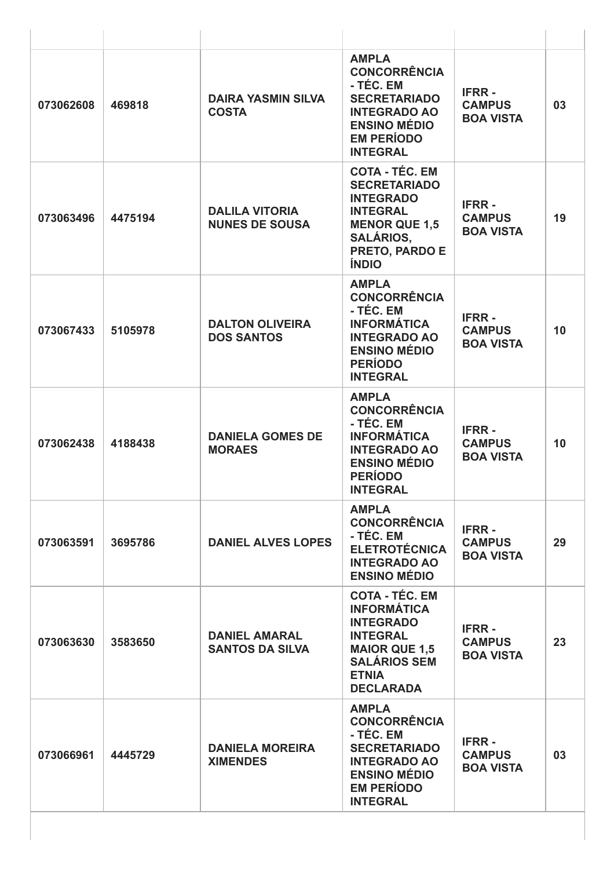| 073062608 | 469818  | <b>DAIRA YASMIN SILVA</b><br><b>COSTA</b>      | <b>AMPLA</b><br><b>CONCORRÊNCIA</b><br>- TÉC. EM<br><b>SECRETARIADO</b><br><b>INTEGRADO AO</b><br><b>ENSINO MÉDIO</b><br><b>EM PERÍODO</b><br><b>INTEGRAL</b>         | <b>IFRR-</b><br><b>CAMPUS</b><br><b>BOA VISTA</b> | 03 |
|-----------|---------|------------------------------------------------|-----------------------------------------------------------------------------------------------------------------------------------------------------------------------|---------------------------------------------------|----|
| 073063496 | 4475194 | <b>DALILA VITORIA</b><br><b>NUNES DE SOUSA</b> | <b>COTA - TÉC. EM</b><br><b>SECRETARIADO</b><br><b>INTEGRADO</b><br><b>INTEGRAL</b><br><b>MENOR QUE 1,5</b><br><b>SALÁRIOS,</b><br>PRETO, PARDO E<br><b>ÍNDIO</b>     | <b>IFRR-</b><br><b>CAMPUS</b><br><b>BOA VISTA</b> | 19 |
| 073067433 | 5105978 | <b>DALTON OLIVEIRA</b><br><b>DOS SANTOS</b>    | <b>AMPLA</b><br><b>CONCORRÊNCIA</b><br>- TÉC. EM<br><b>INFORMÁTICA</b><br><b>INTEGRADO AO</b><br><b>ENSINO MÉDIO</b><br><b>PERÍODO</b><br><b>INTEGRAL</b>             | <b>IFRR-</b><br><b>CAMPUS</b><br><b>BOA VISTA</b> | 10 |
| 073062438 | 4188438 | <b>DANIELA GOMES DE</b><br><b>MORAES</b>       | <b>AMPLA</b><br><b>CONCORRÊNCIA</b><br>- TÉC. EM<br><b>INFORMÁTICA</b><br><b>INTEGRADO AO</b><br><b>ENSINO MÉDIO</b><br><b>PERÍODO</b><br><b>INTEGRAL</b>             | <b>IFRR-</b><br><b>CAMPUS</b><br><b>BOA VISTA</b> | 10 |
| 073063591 | 3695786 | <b>DANIEL ALVES LOPES</b>                      | <b>AMPLA</b><br><b>CONCORRÊNCIA</b><br>- TÉC. EM<br><b>ELETROTÉCNICA</b><br><b>INTEGRADO AO</b><br><b>ENSINO MÉDIO</b>                                                | <b>IFRR-</b><br><b>CAMPUS</b><br><b>BOA VISTA</b> | 29 |
| 073063630 | 3583650 | <b>DANIEL AMARAL</b><br><b>SANTOS DA SILVA</b> | <b>COTA - TÉC. EM</b><br><b>INFORMÁTICA</b><br><b>INTEGRADO</b><br><b>INTEGRAL</b><br><b>MAIOR QUE 1,5</b><br><b>SALÁRIOS SEM</b><br><b>ETNIA</b><br><b>DECLARADA</b> | <b>IFRR-</b><br><b>CAMPUS</b><br><b>BOA VISTA</b> | 23 |
| 073066961 | 4445729 | <b>DANIELA MOREIRA</b><br><b>XIMENDES</b>      | <b>AMPLA</b><br><b>CONCORRÊNCIA</b><br>- TÉC. EM<br><b>SECRETARIADO</b><br><b>INTEGRADO AO</b><br><b>ENSINO MÉDIO</b><br><b>EM PERÍODO</b><br><b>INTEGRAL</b>         | <b>IFRR-</b><br><b>CAMPUS</b><br><b>BOA VISTA</b> | 03 |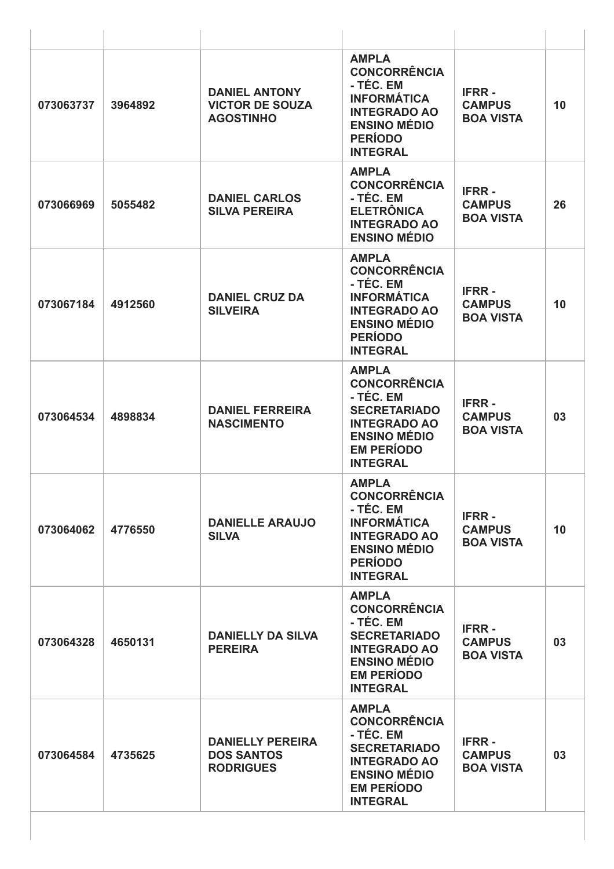| 073063737 | 3964892 | <b>DANIEL ANTONY</b><br><b>VICTOR DE SOUZA</b><br><b>AGOSTINHO</b> | <b>AMPLA</b><br><b>CONCORRÊNCIA</b><br>- TÉC. EM<br><b>INFORMÁTICA</b><br><b>INTEGRADO AO</b><br><b>ENSINO MÉDIO</b><br><b>PERÍODO</b><br><b>INTEGRAL</b>     | <b>IFRR-</b><br><b>CAMPUS</b><br><b>BOA VISTA</b> | 10 |
|-----------|---------|--------------------------------------------------------------------|---------------------------------------------------------------------------------------------------------------------------------------------------------------|---------------------------------------------------|----|
| 073066969 | 5055482 | <b>DANIEL CARLOS</b><br><b>SILVA PEREIRA</b>                       | <b>AMPLA</b><br><b>CONCORRÊNCIA</b><br>- TÉC. EM<br><b>ELETRÔNICA</b><br><b>INTEGRADO AO</b><br><b>ENSINO MÉDIO</b>                                           | <b>IFRR-</b><br><b>CAMPUS</b><br><b>BOA VISTA</b> | 26 |
| 073067184 | 4912560 | <b>DANIEL CRUZ DA</b><br><b>SILVEIRA</b>                           | <b>AMPLA</b><br><b>CONCORRÊNCIA</b><br>- TÉC. EM<br><b>INFORMÁTICA</b><br><b>INTEGRADO AO</b><br><b>ENSINO MÉDIO</b><br><b>PERÍODO</b><br><b>INTEGRAL</b>     | <b>IFRR-</b><br><b>CAMPUS</b><br><b>BOA VISTA</b> | 10 |
| 073064534 | 4898834 | <b>DANIEL FERREIRA</b><br><b>NASCIMENTO</b>                        | <b>AMPLA</b><br><b>CONCORRÊNCIA</b><br>- TÉC. EM<br><b>SECRETARIADO</b><br><b>INTEGRADO AO</b><br><b>ENSINO MÉDIO</b><br><b>EM PERÍODO</b><br><b>INTEGRAL</b> | <b>IFRR-</b><br><b>CAMPUS</b><br><b>BOA VISTA</b> | 03 |
| 073064062 | 4776550 | <b>DANIELLE ARAUJO</b><br><b>SILVA</b>                             | <b>AMPLA</b><br><b>CONCORRÊNCIA</b><br>- TÉC. EM<br><b>INFORMÁTICA</b><br><b>INTEGRADO AO</b><br><b>ENSINO MÉDIO</b><br><b>PERÍODO</b><br><b>INTEGRAL</b>     | <b>IFRR-</b><br><b>CAMPUS</b><br><b>BOA VISTA</b> | 10 |
| 073064328 | 4650131 | <b>DANIELLY DA SILVA</b><br><b>PEREIRA</b>                         | <b>AMPLA</b><br><b>CONCORRÊNCIA</b><br>- TÉC. EM<br><b>SECRETARIADO</b><br><b>INTEGRADO AO</b><br><b>ENSINO MÉDIO</b><br><b>EM PERÍODO</b><br><b>INTEGRAL</b> | <b>IFRR-</b><br><b>CAMPUS</b><br><b>BOA VISTA</b> | 03 |
| 073064584 | 4735625 | <b>DANIELLY PEREIRA</b><br><b>DOS SANTOS</b><br><b>RODRIGUES</b>   | <b>AMPLA</b><br><b>CONCORRÊNCIA</b><br>- TÉC. EM<br><b>SECRETARIADO</b><br><b>INTEGRADO AO</b><br><b>ENSINO MÉDIO</b><br><b>EM PERÍODO</b><br><b>INTEGRAL</b> | <b>IFRR-</b><br><b>CAMPUS</b><br><b>BOA VISTA</b> | 03 |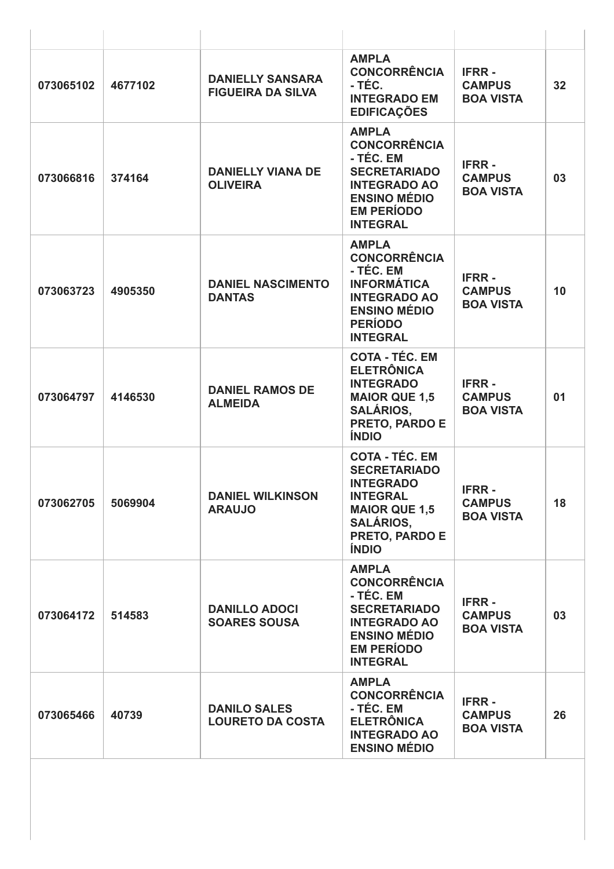| 4677102 | <b>DANIELLY SANSARA</b>                        | <b>AMPLA</b><br><b>CONCORRÊNCIA</b>                                                                                                                               | <b>IFRR-</b>                                      |    |
|---------|------------------------------------------------|-------------------------------------------------------------------------------------------------------------------------------------------------------------------|---------------------------------------------------|----|
|         | <b>FIGUEIRA DA SILVA</b>                       | - TÉC.<br><b>INTEGRADO EM</b><br><b>EDIFICAÇÕES</b>                                                                                                               | <b>CAMPUS</b><br><b>BOA VISTA</b>                 | 32 |
| 374164  | <b>DANIELLY VIANA DE</b><br><b>OLIVEIRA</b>    | <b>AMPLA</b><br><b>CONCORRÊNCIA</b><br>- TÉC. EM<br><b>SECRETARIADO</b><br><b>INTEGRADO AO</b><br><b>ENSINO MÉDIO</b><br><b>EM PERÍODO</b><br><b>INTEGRAL</b>     | <b>IFRR-</b><br><b>CAMPUS</b><br><b>BOA VISTA</b> | 03 |
| 4905350 | <b>DANIEL NASCIMENTO</b><br><b>DANTAS</b>      | <b>AMPLA</b><br><b>CONCORRÊNCIA</b><br>- TÉC. EM<br><b>INFORMÁTICA</b><br><b>INTEGRADO AO</b><br><b>ENSINO MÉDIO</b><br><b>PERÍODO</b><br><b>INTEGRAL</b>         | <b>IFRR-</b><br><b>CAMPUS</b><br><b>BOA VISTA</b> | 10 |
| 4146530 | <b>DANIEL RAMOS DE</b><br><b>ALMEIDA</b>       | <b>COTA - TÉC. EM</b><br><b>ELETRÔNICA</b><br><b>INTEGRADO</b><br><b>MAIOR QUE 1,5</b><br><b>SALÁRIOS,</b><br>PRETO, PARDO E<br><b>ÍNDIO</b>                      | <b>IFRR-</b><br><b>CAMPUS</b><br><b>BOA VISTA</b> | 01 |
| 5069904 | <b>DANIEL WILKINSON</b><br><b>ARAUJO</b>       | <b>COTA - TÉC. EM</b><br><b>SECRETARIADO</b><br><b>INTEGRADO</b><br><b>INTEGRAL</b><br><b>MAIOR QUE 1,5</b><br><b>SALÁRIOS,</b><br>PRETO, PARDO E<br><b>ÍNDIO</b> | <b>IFRR-</b><br><b>CAMPUS</b><br><b>BOA VISTA</b> | 18 |
| 514583  | <b>DANILLO ADOCI</b><br><b>SOARES SOUSA</b>    | <b>AMPLA</b><br><b>CONCORRÊNCIA</b><br>- TÉC. EM<br><b>SECRETARIADO</b><br><b>INTEGRADO AO</b><br><b>ENSINO MÉDIO</b><br><b>EM PERÍODO</b><br><b>INTEGRAL</b>     | <b>IFRR-</b><br><b>CAMPUS</b><br><b>BOA VISTA</b> | 03 |
| 40739   | <b>DANILO SALES</b><br><b>LOURETO DA COSTA</b> | <b>AMPLA</b><br><b>CONCORRÊNCIA</b><br>- TÉC. EM<br><b>ELETRÔNICA</b><br><b>INTEGRADO AO</b><br><b>ENSINO MÉDIO</b>                                               | <b>IFRR-</b><br><b>CAMPUS</b><br><b>BOA VISTA</b> | 26 |
|         |                                                |                                                                                                                                                                   |                                                   |    |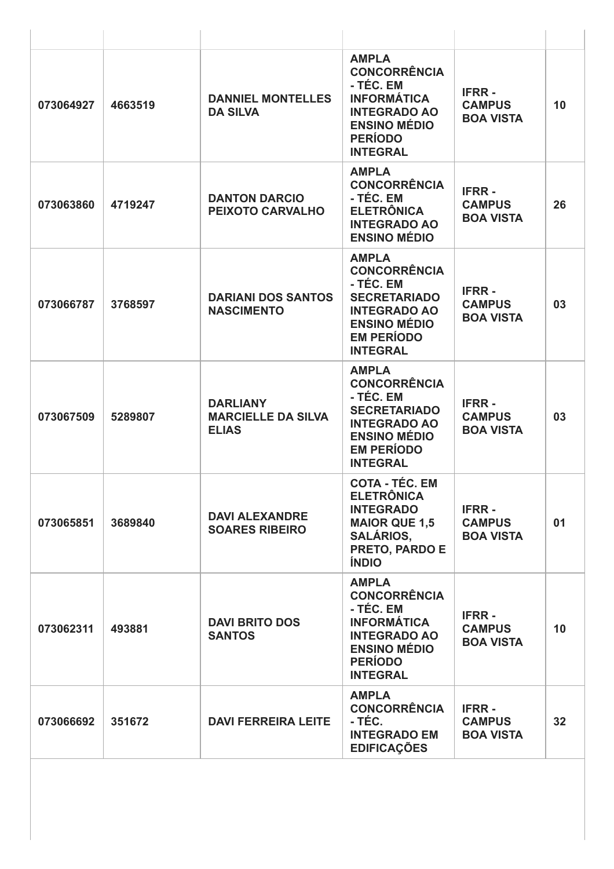| 073064927<br>073063860<br>073066787 | 4663519<br>4719247<br>3768597 | <b>DANNIEL MONTELLES</b><br><b>DA SILVA</b><br><b>DANTON DARCIO</b><br>PEIXOTO CARVALHO | <b>AMPLA</b><br><b>CONCORRÊNCIA</b><br>- TÉC. EM<br><b>INFORMÁTICA</b><br><b>INTEGRADO AO</b><br><b>ENSINO MÉDIO</b><br><b>PERÍODO</b><br><b>INTEGRAL</b><br><b>AMPLA</b><br><b>CONCORRÊNCIA</b><br>- TÉC. EM<br><b>ELETRÔNICA</b><br><b>INTEGRADO AO</b><br><b>ENSINO MÉDIO</b> | <b>IFRR-</b><br><b>CAMPUS</b><br><b>BOA VISTA</b><br><b>IFRR-</b><br><b>CAMPUS</b><br><b>BOA VISTA</b> | 10<br>26 |
|-------------------------------------|-------------------------------|-----------------------------------------------------------------------------------------|----------------------------------------------------------------------------------------------------------------------------------------------------------------------------------------------------------------------------------------------------------------------------------|--------------------------------------------------------------------------------------------------------|----------|
|                                     |                               |                                                                                         |                                                                                                                                                                                                                                                                                  |                                                                                                        |          |
|                                     |                               |                                                                                         |                                                                                                                                                                                                                                                                                  |                                                                                                        |          |
|                                     |                               | <b>DARIANI DOS SANTOS</b><br><b>NASCIMENTO</b>                                          | <b>AMPLA</b><br><b>CONCORRÊNCIA</b><br>- TÉC. EM<br><b>SECRETARIADO</b><br><b>INTEGRADO AO</b><br><b>ENSINO MÉDIO</b><br><b>EM PERÍODO</b><br><b>INTEGRAL</b>                                                                                                                    | <b>IFRR-</b><br><b>CAMPUS</b><br><b>BOA VISTA</b>                                                      | 03       |
| 073067509                           | 5289807                       | <b>DARLIANY</b><br><b>MARCIELLE DA SILVA</b><br><b>ELIAS</b>                            | <b>AMPLA</b><br><b>CONCORRÊNCIA</b><br>- TÉC. EM<br><b>SECRETARIADO</b><br><b>INTEGRADO AO</b><br><b>ENSINO MÉDIO</b><br><b>EM PERÍODO</b><br><b>INTEGRAL</b>                                                                                                                    | <b>IFRR-</b><br><b>CAMPUS</b><br><b>BOA VISTA</b>                                                      | 03       |
| 073065851                           | 3689840                       | <b>DAVI ALEXANDRE</b><br><b>SOARES RIBEIRO</b>                                          | <b>COTA - TÉC. EM</b><br><b>ELETRÔNICA</b><br><b>INTEGRADO</b><br><b>MAIOR QUE 1,5</b><br><b>SALÁRIOS,</b><br>PRETO, PARDO E<br><b>ÍNDIO</b>                                                                                                                                     | <b>IFRR-</b><br><b>CAMPUS</b><br><b>BOA VISTA</b>                                                      | 01       |
| 073062311                           | 493881                        | <b>DAVI BRITO DOS</b><br><b>SANTOS</b>                                                  | <b>AMPLA</b><br><b>CONCORRÊNCIA</b><br>- TÉC. EM<br><b>INFORMÁTICA</b><br><b>INTEGRADO AO</b><br><b>ENSINO MÉDIO</b><br><b>PERÍODO</b><br><b>INTEGRAL</b>                                                                                                                        | <b>IFRR-</b><br><b>CAMPUS</b><br><b>BOA VISTA</b>                                                      | 10       |
| 073066692                           | 351672                        | <b>DAVI FERREIRA LEITE</b>                                                              | <b>AMPLA</b><br><b>CONCORRÊNCIA</b><br>- TÉC.<br><b>INTEGRADO EM</b><br><b>EDIFICAÇÕES</b>                                                                                                                                                                                       | <b>IFRR-</b><br><b>CAMPUS</b><br><b>BOA VISTA</b>                                                      | 32       |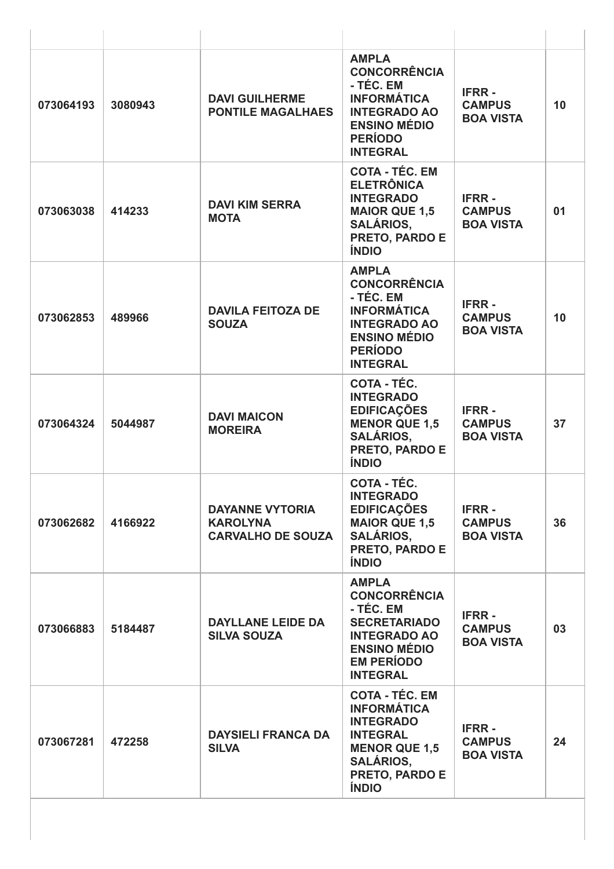| 073064193 | 3080943 | <b>DAVI GUILHERME</b><br><b>PONTILE MAGALHAES</b>                     | <b>AMPLA</b><br><b>CONCORRÊNCIA</b><br>- TÉC. EM<br><b>INFORMÁTICA</b><br><b>INTEGRADO AO</b><br><b>ENSINO MÉDIO</b><br><b>PERÍODO</b><br><b>INTEGRAL</b>        | <b>IFRR-</b><br><b>CAMPUS</b><br><b>BOA VISTA</b> | 10 |
|-----------|---------|-----------------------------------------------------------------------|------------------------------------------------------------------------------------------------------------------------------------------------------------------|---------------------------------------------------|----|
| 073063038 | 414233  | <b>DAVI KIM SERRA</b><br><b>MOTA</b>                                  | <b>COTA - TÉC. EM</b><br><b>ELETRÔNICA</b><br><b>INTEGRADO</b><br><b>MAIOR QUE 1,5</b><br><b>SALÁRIOS,</b><br>PRETO, PARDO E<br><b>ÍNDIO</b>                     | <b>IFRR-</b><br><b>CAMPUS</b><br><b>BOA VISTA</b> | 01 |
| 073062853 | 489966  | <b>DAVILA FEITOZA DE</b><br><b>SOUZA</b>                              | <b>AMPLA</b><br><b>CONCORRÊNCIA</b><br>- TÉC. EM<br><b>INFORMÁTICA</b><br><b>INTEGRADO AO</b><br><b>ENSINO MÉDIO</b><br><b>PERÍODO</b><br><b>INTEGRAL</b>        | <b>IFRR-</b><br><b>CAMPUS</b><br><b>BOA VISTA</b> | 10 |
| 073064324 | 5044987 | <b>DAVI MAICON</b><br><b>MOREIRA</b>                                  | COTA - TÉC.<br><b>INTEGRADO</b><br><b>EDIFICAÇÕES</b><br><b>MENOR QUE 1,5</b><br><b>SALÁRIOS,</b><br>PRETO, PARDO E<br><b>ÍNDIO</b>                              | <b>IFRR-</b><br><b>CAMPUS</b><br><b>BOA VISTA</b> | 37 |
| 073062682 | 4166922 | <b>DAYANNE VYTORIA</b><br><b>KAROLYNA</b><br><b>CARVALHO DE SOUZA</b> | COTA - TÉC.<br><b>INTEGRADO</b><br><b>EDIFICAÇÕES</b><br><b>MAIOR QUE 1,5</b><br><b>SALÁRIOS,</b><br>PRETO, PARDO E<br><b>ÍNDIO</b>                              | <b>IFRR-</b><br><b>CAMPUS</b><br><b>BOA VISTA</b> | 36 |
| 073066883 | 5184487 | <b>DAYLLANE LEIDE DA</b><br><b>SILVA SOUZA</b>                        | <b>AMPLA</b><br><b>CONCORRÊNCIA</b><br>- TÉC. EM<br><b>SECRETARIADO</b><br><b>INTEGRADO AO</b><br><b>ENSINO MÉDIO</b><br><b>EM PERÍODO</b><br><b>INTEGRAL</b>    | <b>IFRR-</b><br><b>CAMPUS</b><br><b>BOA VISTA</b> | 03 |
| 073067281 | 472258  | <b>DAYSIELI FRANCA DA</b><br><b>SILVA</b>                             | <b>COTA - TÉC. EM</b><br><b>INFORMÁTICA</b><br><b>INTEGRADO</b><br><b>INTEGRAL</b><br><b>MENOR QUE 1,5</b><br><b>SALÁRIOS,</b><br>PRETO, PARDO E<br><b>ÍNDIO</b> | <b>IFRR-</b><br><b>CAMPUS</b><br><b>BOA VISTA</b> | 24 |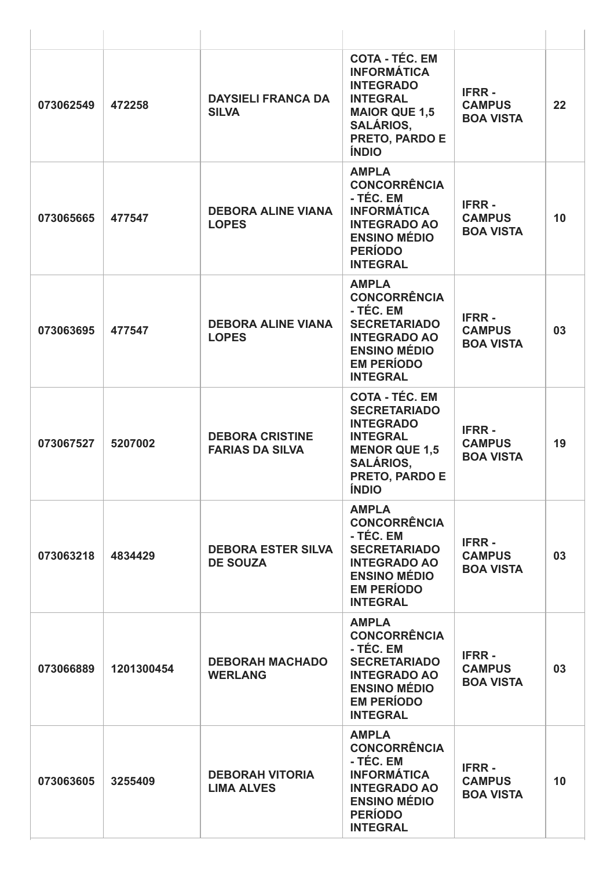| 073062549 | 472258     | <b>DAYSIELI FRANCA DA</b><br><b>SILVA</b>        | <b>COTA - TÉC. EM</b><br><b>INFORMÁTICA</b><br><b>INTEGRADO</b><br><b>INTEGRAL</b><br><b>MAIOR QUE 1,5</b><br><b>SALÁRIOS,</b><br>PRETO, PARDO E<br><b>ÍNDIO</b>  | <b>IFRR-</b><br><b>CAMPUS</b><br><b>BOA VISTA</b> | 22 |
|-----------|------------|--------------------------------------------------|-------------------------------------------------------------------------------------------------------------------------------------------------------------------|---------------------------------------------------|----|
| 073065665 | 477547     | <b>DEBORA ALINE VIANA</b><br><b>LOPES</b>        | <b>AMPLA</b><br><b>CONCORRÊNCIA</b><br>- TÉC. EM<br><b>INFORMÁTICA</b><br><b>INTEGRADO AO</b><br><b>ENSINO MÉDIO</b><br><b>PERÍODO</b><br><b>INTEGRAL</b>         | <b>IFRR-</b><br><b>CAMPUS</b><br><b>BOA VISTA</b> | 10 |
| 073063695 | 477547     | <b>DEBORA ALINE VIANA</b><br><b>LOPES</b>        | <b>AMPLA</b><br><b>CONCORRÊNCIA</b><br>- TÉC. EM<br><b>SECRETARIADO</b><br><b>INTEGRADO AO</b><br><b>ENSINO MÉDIO</b><br><b>EM PERÍODO</b><br><b>INTEGRAL</b>     | <b>IFRR-</b><br><b>CAMPUS</b><br><b>BOA VISTA</b> | 03 |
| 073067527 | 5207002    | <b>DEBORA CRISTINE</b><br><b>FARIAS DA SILVA</b> | <b>COTA - TÉC. EM</b><br><b>SECRETARIADO</b><br><b>INTEGRADO</b><br><b>INTEGRAL</b><br><b>MENOR QUE 1,5</b><br><b>SALÁRIOS,</b><br>PRETO, PARDO E<br><b>ÍNDIO</b> | <b>IFRR-</b><br><b>CAMPUS</b><br><b>BOA VISTA</b> | 19 |
| 073063218 | 4834429    | <b>DEBORA ESTER SILVA</b><br><b>DE SOUZA</b>     | <b>AMPLA</b><br><b>CONCORRÊNCIA</b><br>- TÉC. EM<br><b>SECRETARIADO</b><br><b>INTEGRADO AO</b><br><b>ENSINO MÉDIO</b><br><b>EM PERÍODO</b><br><b>INTEGRAL</b>     | <b>IFRR-</b><br><b>CAMPUS</b><br><b>BOA VISTA</b> | 03 |
| 073066889 | 1201300454 | <b>DEBORAH MACHADO</b><br><b>WERLANG</b>         | <b>AMPLA</b><br><b>CONCORRÊNCIA</b><br>- TÉC. EM<br><b>SECRETARIADO</b><br><b>INTEGRADO AO</b><br><b>ENSINO MÉDIO</b><br><b>EM PERÍODO</b><br><b>INTEGRAL</b>     | <b>IFRR-</b><br><b>CAMPUS</b><br><b>BOA VISTA</b> | 03 |
| 073063605 | 3255409    | <b>DEBORAH VITORIA</b><br><b>LIMA ALVES</b>      | <b>AMPLA</b><br><b>CONCORRÊNCIA</b><br>- TÉC. EM<br><b>INFORMÁTICA</b><br><b>INTEGRADO AO</b><br><b>ENSINO MÉDIO</b><br><b>PERÍODO</b><br><b>INTEGRAL</b>         | <b>IFRR-</b><br><b>CAMPUS</b><br><b>BOA VISTA</b> | 10 |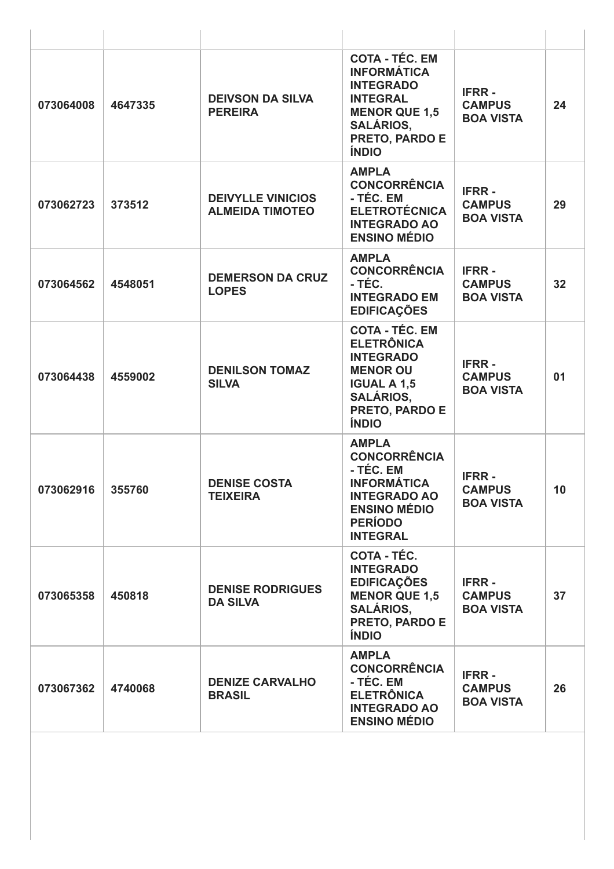| 073064008 | 4647335 | <b>DEIVSON DA SILVA</b><br><b>PEREIRA</b>          | <b>COTA - TÉC. EM</b><br><b>INFORMÁTICA</b><br><b>INTEGRADO</b><br><b>INTEGRAL</b><br><b>MENOR QUE 1,5</b><br><b>SALÁRIOS,</b><br>PRETO, PARDO E<br><b>ÍNDIO</b> | <b>IFRR-</b><br><b>CAMPUS</b><br><b>BOA VISTA</b> | 24              |
|-----------|---------|----------------------------------------------------|------------------------------------------------------------------------------------------------------------------------------------------------------------------|---------------------------------------------------|-----------------|
| 073062723 | 373512  | <b>DEIVYLLE VINICIOS</b><br><b>ALMEIDA TIMOTEO</b> | <b>AMPLA</b><br><b>CONCORRÊNCIA</b><br>- TÉC. EM<br><b>ELETROTÉCNICA</b><br><b>INTEGRADO AO</b><br><b>ENSINO MÉDIO</b>                                           | <b>IFRR-</b><br><b>CAMPUS</b><br><b>BOA VISTA</b> | 29              |
| 073064562 | 4548051 | <b>DEMERSON DA CRUZ</b><br><b>LOPES</b>            | <b>AMPLA</b><br><b>CONCORRÊNCIA</b><br>- TÉC.<br><b>INTEGRADO EM</b><br><b>EDIFICAÇÕES</b>                                                                       | <b>IFRR-</b><br><b>CAMPUS</b><br><b>BOA VISTA</b> | 32              |
| 073064438 | 4559002 | <b>DENILSON TOMAZ</b><br><b>SILVA</b>              | <b>COTA - TÉC. EM</b><br><b>ELETRÔNICA</b><br><b>INTEGRADO</b><br><b>MENOR OU</b><br><b>IGUAL A 1,5</b><br><b>SALÁRIOS,</b><br>PRETO, PARDO E<br><b>ÍNDIO</b>    | <b>IFRR-</b><br><b>CAMPUS</b><br><b>BOA VISTA</b> | 01              |
| 073062916 | 355760  | <b>DENISE COSTA</b><br><b>TEIXEIRA</b>             | <b>AMPLA</b><br><b>CONCORRÊNCIA</b><br>- TÉC. EM<br><b>INFORMÁTICA</b><br><b>INTEGRADO AO</b><br><b>ENSINO MÉDIO</b><br><b>PERÍODO</b><br><b>INTEGRAL</b>        | <b>IFRR-</b><br><b>CAMPUS</b><br><b>BOA VISTA</b> | 10 <sup>1</sup> |
| 073065358 | 450818  | <b>DENISE RODRIGUES</b><br><b>DA SILVA</b>         | <b>COTA - TÉC.</b><br><b>INTEGRADO</b><br><b>EDIFICAÇÕES</b><br><b>MENOR QUE 1,5</b><br><b>SALÁRIOS,</b><br>PRETO, PARDO E<br><b>ÍNDIO</b>                       | <b>IFRR-</b><br><b>CAMPUS</b><br><b>BOA VISTA</b> | 37              |
| 073067362 | 4740068 | <b>DENIZE CARVALHO</b><br><b>BRASIL</b>            | <b>AMPLA</b><br><b>CONCORRÊNCIA</b><br>- TÉC. EM<br><b>ELETRÔNICA</b><br><b>INTEGRADO AO</b><br><b>ENSINO MÉDIO</b>                                              | <b>IFRR-</b><br><b>CAMPUS</b><br><b>BOA VISTA</b> | 26              |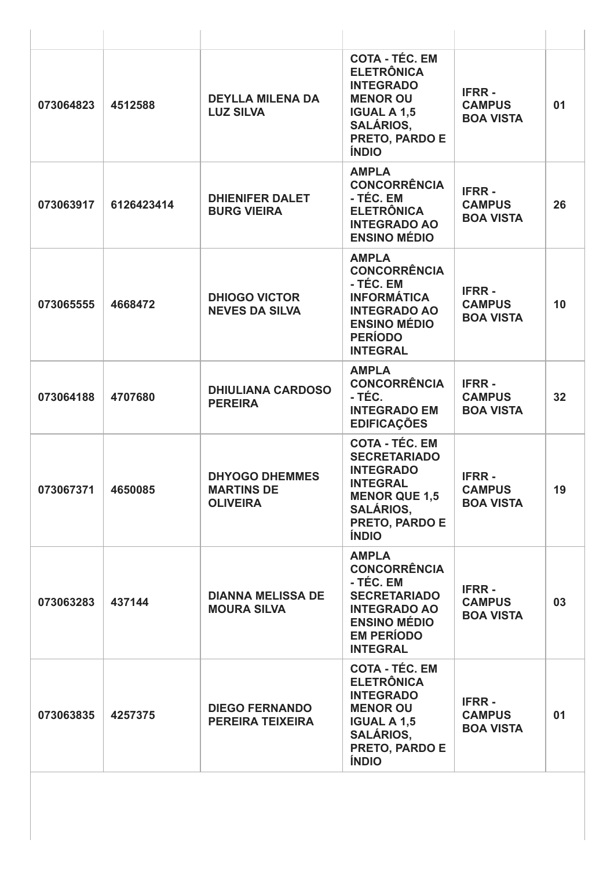| 073064823 | 4512588    | <b>DEYLLA MILENA DA</b><br><b>LUZ SILVA</b>                   | <b>COTA - TÉC. EM</b><br><b>ELETRÔNICA</b><br><b>INTEGRADO</b><br><b>MENOR OU</b><br><b>IGUAL A 1,5</b><br><b>SALÁRIOS,</b><br>PRETO, PARDO E<br><b>ÍNDIO</b>     | <b>IFRR-</b><br><b>CAMPUS</b><br><b>BOA VISTA</b> | 01 |
|-----------|------------|---------------------------------------------------------------|-------------------------------------------------------------------------------------------------------------------------------------------------------------------|---------------------------------------------------|----|
| 073063917 | 6126423414 | <b>DHIENIFER DALET</b><br><b>BURG VIEIRA</b>                  | <b>AMPLA</b><br><b>CONCORRÊNCIA</b><br>- TÉC. EM<br><b>ELETRÔNICA</b><br><b>INTEGRADO AO</b><br><b>ENSINO MÉDIO</b>                                               | <b>IFRR-</b><br><b>CAMPUS</b><br><b>BOA VISTA</b> | 26 |
| 073065555 | 4668472    | <b>DHIOGO VICTOR</b><br><b>NEVES DA SILVA</b>                 | <b>AMPLA</b><br><b>CONCORRÊNCIA</b><br>- TÉC. EM<br><b>INFORMÁTICA</b><br><b>INTEGRADO AO</b><br><b>ENSINO MÉDIO</b><br><b>PERÍODO</b><br><b>INTEGRAL</b>         | <b>IFRR-</b><br><b>CAMPUS</b><br><b>BOA VISTA</b> | 10 |
| 073064188 | 4707680    | <b>DHIULIANA CARDOSO</b><br><b>PEREIRA</b>                    | <b>AMPLA</b><br><b>CONCORRÊNCIA</b><br>- TÉC.<br><b>INTEGRADO EM</b><br><b>EDIFICAÇÕES</b>                                                                        | <b>IFRR-</b><br><b>CAMPUS</b><br><b>BOA VISTA</b> | 32 |
| 073067371 | 4650085    | <b>DHYOGO DHEMMES</b><br><b>MARTINS DE</b><br><b>OLIVEIRA</b> | <b>COTA - TÉC. EM</b><br><b>SECRETARIADO</b><br><b>INTEGRADO</b><br><b>INTEGRAL</b><br><b>MENOR QUE 1,5</b><br><b>SALÁRIOS,</b><br>PRETO, PARDO E<br><b>ÍNDIO</b> | <b>IFRR-</b><br><b>CAMPUS</b><br><b>BOA VISTA</b> | 19 |
| 073063283 | 437144     | <b>DIANNA MELISSA DE</b><br><b>MOURA SILVA</b>                | <b>AMPLA</b><br><b>CONCORRÊNCIA</b><br>- TÉC. EM<br><b>SECRETARIADO</b><br><b>INTEGRADO AO</b><br><b>ENSINO MÉDIO</b><br><b>EM PERÍODO</b><br><b>INTEGRAL</b>     | <b>IFRR-</b><br><b>CAMPUS</b><br><b>BOA VISTA</b> | 03 |
| 073063835 | 4257375    | <b>DIEGO FERNANDO</b><br><b>PEREIRA TEIXEIRA</b>              | <b>COTA - TÉC. EM</b><br><b>ELETRÔNICA</b><br><b>INTEGRADO</b><br><b>MENOR OU</b><br><b>IGUAL A 1,5</b><br><b>SALÁRIOS,</b><br>PRETO, PARDO E<br><b>ÍNDIO</b>     | <b>IFRR-</b><br><b>CAMPUS</b><br><b>BOA VISTA</b> | 01 |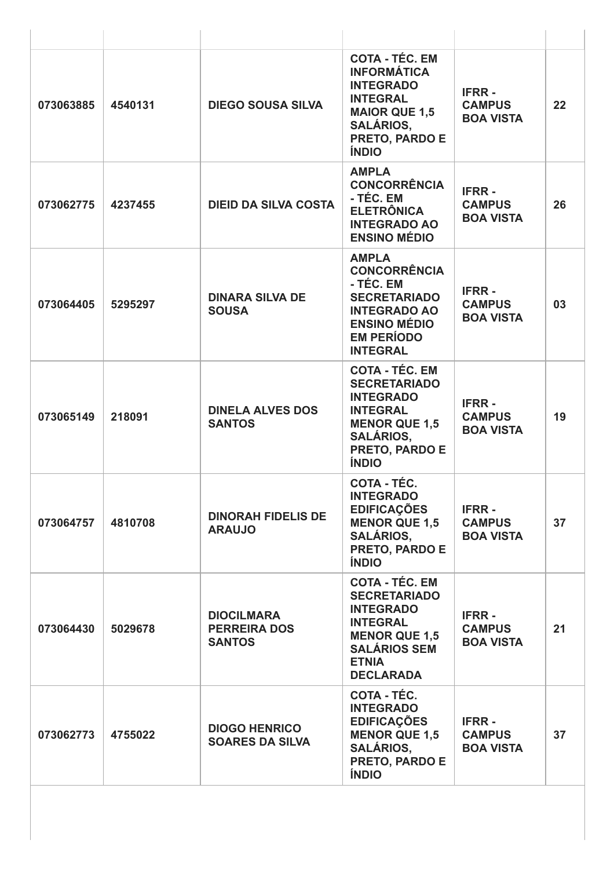| 073063885 | 4540131 | <b>DIEGO SOUSA SILVA</b>                                  | <b>COTA - TÉC. EM</b><br><b>INFORMÁTICA</b><br><b>INTEGRADO</b><br><b>INTEGRAL</b><br><b>MAIOR QUE 1,5</b><br><b>SALÁRIOS,</b><br>PRETO, PARDO E<br><b>ÍNDIO</b>       | <b>IFRR-</b><br><b>CAMPUS</b><br><b>BOA VISTA</b> | 22 |
|-----------|---------|-----------------------------------------------------------|------------------------------------------------------------------------------------------------------------------------------------------------------------------------|---------------------------------------------------|----|
| 073062775 | 4237455 | <b>DIEID DA SILVA COSTA</b>                               | <b>AMPLA</b><br><b>CONCORRÊNCIA</b><br>- TÉC. EM<br><b>ELETRÔNICA</b><br><b>INTEGRADO AO</b><br><b>ENSINO MÉDIO</b>                                                    | <b>IFRR-</b><br><b>CAMPUS</b><br><b>BOA VISTA</b> | 26 |
| 073064405 | 5295297 | <b>DINARA SILVA DE</b><br><b>SOUSA</b>                    | <b>AMPLA</b><br><b>CONCORRÊNCIA</b><br>- TÉC. EM<br><b>SECRETARIADO</b><br><b>INTEGRADO AO</b><br><b>ENSINO MÉDIO</b><br><b>EM PERÍODO</b><br><b>INTEGRAL</b>          | <b>IFRR-</b><br><b>CAMPUS</b><br><b>BOA VISTA</b> | 03 |
| 073065149 | 218091  | <b>DINELA ALVES DOS</b><br><b>SANTOS</b>                  | <b>COTA - TÉC. EM</b><br><b>SECRETARIADO</b><br><b>INTEGRADO</b><br><b>INTEGRAL</b><br><b>MENOR QUE 1,5</b><br><b>SALÁRIOS,</b><br>PRETO, PARDO E<br><b>ÍNDIO</b>      | <b>IFRR-</b><br><b>CAMPUS</b><br><b>BOA VISTA</b> | 19 |
| 073064757 | 4810708 | <b>DINORAH FIDELIS DE</b><br><b>ARAUJO</b>                | COTA - TÉC.<br><b>INTEGRADO</b><br><b>EDIFICAÇÕES</b><br><b>MENOR QUE 1,5</b><br><b>SALÁRIOS.</b><br>PRETO, PARDO E<br><b>ÍNDIO</b>                                    | <b>IFRR-</b><br><b>CAMPUS</b><br><b>BOA VISTA</b> | 37 |
| 073064430 | 5029678 | <b>DIOCILMARA</b><br><b>PERREIRA DOS</b><br><b>SANTOS</b> | <b>COTA - TÉC. EM</b><br><b>SECRETARIADO</b><br><b>INTEGRADO</b><br><b>INTEGRAL</b><br><b>MENOR QUE 1,5</b><br><b>SALÁRIOS SEM</b><br><b>ETNIA</b><br><b>DECLARADA</b> | <b>IFRR-</b><br><b>CAMPUS</b><br><b>BOA VISTA</b> | 21 |
| 073062773 | 4755022 | <b>DIOGO HENRICO</b><br><b>SOARES DA SILVA</b>            | COTA - TÉC.<br><b>INTEGRADO</b><br><b>EDIFICAÇÕES</b><br><b>MENOR QUE 1,5</b><br><b>SALÁRIOS,</b><br><b>PRETO, PARDO E</b><br><b>ÍNDIO</b>                             | <b>IFRR-</b><br><b>CAMPUS</b><br><b>BOA VISTA</b> | 37 |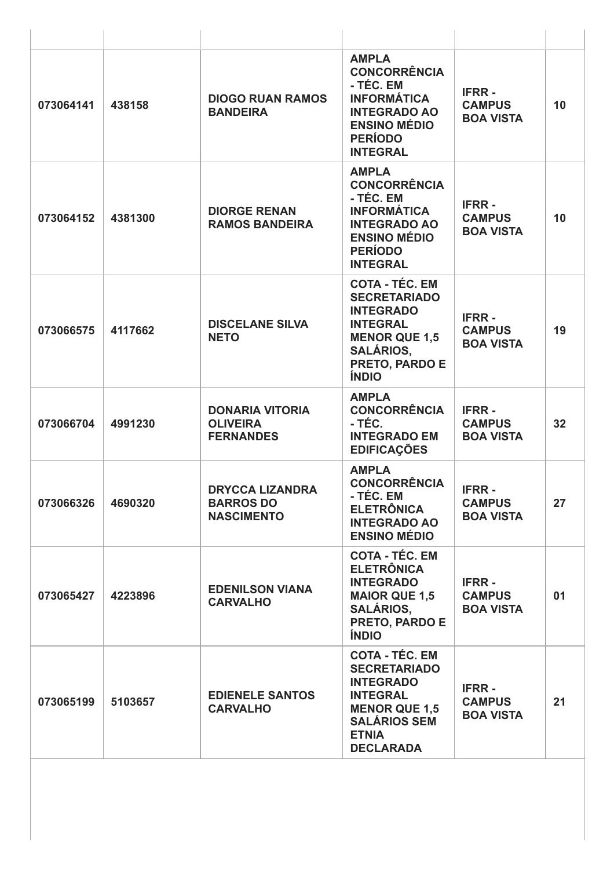| 073064141 | 438158  | <b>DIOGO RUAN RAMOS</b><br><b>BANDEIRA</b>                      | <b>AMPLA</b><br><b>CONCORRÊNCIA</b><br>- TÉC. EM<br><b>INFORMÁTICA</b><br><b>INTEGRADO AO</b><br><b>ENSINO MÉDIO</b><br><b>PERÍODO</b><br><b>INTEGRAL</b>              | <b>IFRR-</b><br><b>CAMPUS</b><br><b>BOA VISTA</b> | 10 |
|-----------|---------|-----------------------------------------------------------------|------------------------------------------------------------------------------------------------------------------------------------------------------------------------|---------------------------------------------------|----|
| 073064152 | 4381300 | <b>DIORGE RENAN</b><br><b>RAMOS BANDEIRA</b>                    | <b>AMPLA</b><br><b>CONCORRÊNCIA</b><br>- TÉC. EM<br><b>INFORMÁTICA</b><br><b>INTEGRADO AO</b><br><b>ENSINO MÉDIO</b><br><b>PERÍODO</b><br><b>INTEGRAL</b>              | <b>IFRR-</b><br><b>CAMPUS</b><br><b>BOA VISTA</b> | 10 |
| 073066575 | 4117662 | <b>DISCELANE SILVA</b><br><b>NETO</b>                           | <b>COTA - TÉC. EM</b><br><b>SECRETARIADO</b><br><b>INTEGRADO</b><br><b>INTEGRAL</b><br><b>MENOR QUE 1,5</b><br><b>SALÁRIOS,</b><br>PRETO, PARDO E<br><b>ÍNDIO</b>      | <b>IFRR-</b><br><b>CAMPUS</b><br><b>BOA VISTA</b> | 19 |
| 073066704 | 4991230 | <b>DONARIA VITORIA</b><br><b>OLIVEIRA</b><br><b>FERNANDES</b>   | <b>AMPLA</b><br><b>CONCORRÊNCIA</b><br>- TÉC.<br><b>INTEGRADO EM</b><br><b>EDIFICAÇÕES</b>                                                                             | <b>IFRR-</b><br><b>CAMPUS</b><br><b>BOA VISTA</b> | 32 |
| 073066326 | 4690320 | <b>DRYCCA LIZANDRA</b><br><b>BARROS DO</b><br><b>NASCIMENTO</b> | <b>AMPLA</b><br><b>CONCORRÊNCIA</b><br>- TÉC. EM<br><b>ELETRÔNICA</b><br><b>INTEGRADO AO</b><br><b>ENSINO MÉDIO</b>                                                    | <b>IFRR-</b><br><b>CAMPUS</b><br><b>BOA VISTA</b> | 27 |
| 073065427 | 4223896 | <b>EDENILSON VIANA</b><br><b>CARVALHO</b>                       | <b>COTA - TÉC. EM</b><br><b>ELETRÔNICA</b><br><b>INTEGRADO</b><br><b>MAIOR QUE 1,5</b><br><b>SALÁRIOS,</b><br><b>PRETO, PARDO E</b><br><b>ÍNDIO</b>                    | <b>IFRR-</b><br><b>CAMPUS</b><br><b>BOA VISTA</b> | 01 |
| 073065199 | 5103657 | <b>EDIENELE SANTOS</b><br><b>CARVALHO</b>                       | <b>COTA - TÉC. EM</b><br><b>SECRETARIADO</b><br><b>INTEGRADO</b><br><b>INTEGRAL</b><br><b>MENOR QUE 1,5</b><br><b>SALÁRIOS SEM</b><br><b>ETNIA</b><br><b>DECLARADA</b> | <b>IFRR-</b><br><b>CAMPUS</b><br><b>BOA VISTA</b> | 21 |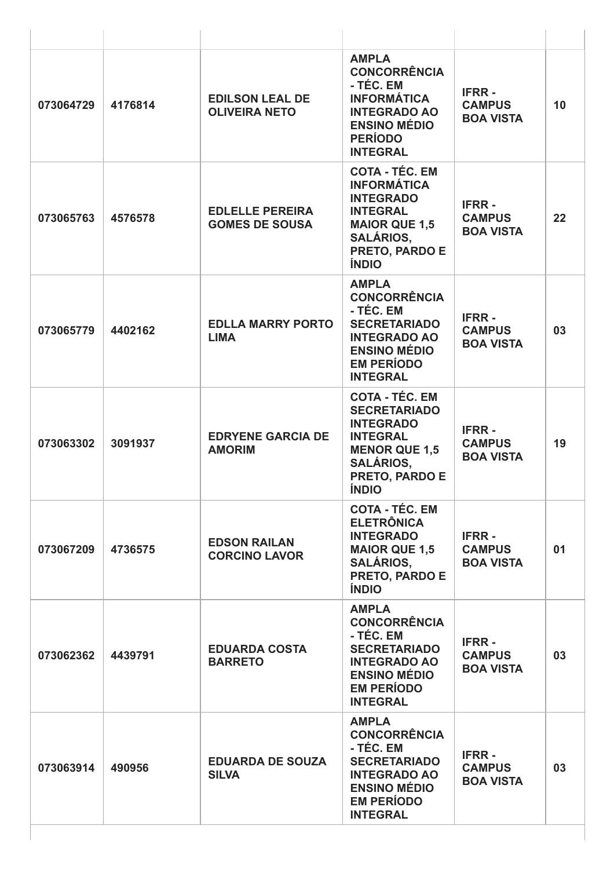| 073064729 | 4176814 | <b>EDILSON LEAL DE</b><br><b>OLIVEIRA NETO</b>  | <b>AMPLA</b><br><b>CONCORRÊNCIA</b><br>- TÉC. EM<br><b>INFORMÁTICA</b><br><b>INTEGRADO AO</b><br><b>ENSINO MÉDIO</b><br><b>PERÍODO</b><br><b>INTEGRAL</b>         | <b>IFRR-</b><br><b>CAMPUS</b><br><b>BOA VISTA</b> | 10 |
|-----------|---------|-------------------------------------------------|-------------------------------------------------------------------------------------------------------------------------------------------------------------------|---------------------------------------------------|----|
| 073065763 | 4576578 | <b>EDLELLE PEREIRA</b><br><b>GOMES DE SOUSA</b> | <b>COTA - TÉC. EM</b><br><b>INFORMÁTICA</b><br><b>INTEGRADO</b><br><b>INTEGRAL</b><br><b>MAIOR QUE 1,5</b><br><b>SALÁRIOS,</b><br>PRETO, PARDO E<br><b>ÍNDIO</b>  | <b>IFRR-</b><br><b>CAMPUS</b><br><b>BOA VISTA</b> | 22 |
| 073065779 | 4402162 | <b>EDLLA MARRY PORTO</b><br><b>LIMA</b>         | <b>AMPLA</b><br><b>CONCORRÊNCIA</b><br>- TÉC. EM<br><b>SECRETARIADO</b><br><b>INTEGRADO AO</b><br><b>ENSINO MÉDIO</b><br><b>EM PERÍODO</b><br><b>INTEGRAL</b>     | <b>IFRR-</b><br><b>CAMPUS</b><br><b>BOA VISTA</b> | 03 |
| 073063302 | 3091937 | <b>EDRYENE GARCIA DE</b><br><b>AMORIM</b>       | <b>COTA - TÉC. EM</b><br><b>SECRETARIADO</b><br><b>INTEGRADO</b><br><b>INTEGRAL</b><br><b>MENOR QUE 1,5</b><br><b>SALÁRIOS,</b><br>PRETO, PARDO E<br><b>ÍNDIO</b> | <b>IFRR-</b><br><b>CAMPUS</b><br><b>BOA VISTA</b> | 19 |
| 073067209 | 4736575 | <b>EDSON RAILAN</b><br><b>CORCINO LAVOR</b>     | <b>COTA - TÉC. EM</b><br><b>ELETRÔNICA</b><br><b>INTEGRADO</b><br><b>MAIOR QUE 1,5</b><br><b>SALÁRIOS,</b><br>PRETO, PARDO E<br><b>ÍNDIO</b>                      | <b>IFRR-</b><br><b>CAMPUS</b><br><b>BOA VISTA</b> | 01 |
| 073062362 | 4439791 | <b>EDUARDA COSTA</b><br><b>BARRETO</b>          | <b>AMPLA</b><br><b>CONCORRÊNCIA</b><br>- TÉC. EM<br><b>SECRETARIADO</b><br><b>INTEGRADO AO</b><br><b>ENSINO MÉDIO</b><br><b>EM PERÍODO</b><br><b>INTEGRAL</b>     | <b>IFRR-</b><br><b>CAMPUS</b><br><b>BOA VISTA</b> | 03 |
| 073063914 | 490956  | <b>EDUARDA DE SOUZA</b><br><b>SILVA</b>         | <b>AMPLA</b><br><b>CONCORRÊNCIA</b><br>- TÉC. EM<br><b>SECRETARIADO</b><br><b>INTEGRADO AO</b><br><b>ENSINO MÉDIO</b><br><b>EM PERÍODO</b><br><b>INTEGRAL</b>     | <b>IFRR-</b><br><b>CAMPUS</b><br><b>BOA VISTA</b> | 03 |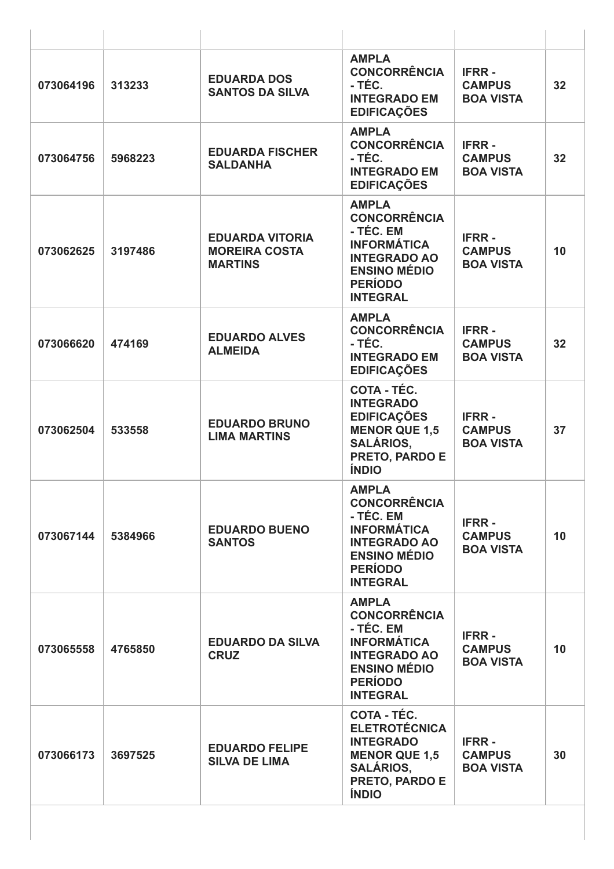| 073064196 | 313233  | <b>EDUARDA DOS</b><br><b>SANTOS DA SILVA</b>                     | <b>AMPLA</b><br><b>CONCORRÊNCIA</b><br>- TÉC.<br><b>INTEGRADO EM</b><br><b>EDIFICAÇÕES</b>                                                                | <b>IFRR-</b><br><b>CAMPUS</b><br><b>BOA VISTA</b> | 32 |
|-----------|---------|------------------------------------------------------------------|-----------------------------------------------------------------------------------------------------------------------------------------------------------|---------------------------------------------------|----|
| 073064756 | 5968223 | <b>EDUARDA FISCHER</b><br><b>SALDANHA</b>                        | <b>AMPLA</b><br><b>CONCORRÊNCIA</b><br>- TÉC.<br><b>INTEGRADO EM</b><br><b>EDIFICAÇÕES</b>                                                                | <b>IFRR-</b><br><b>CAMPUS</b><br><b>BOA VISTA</b> | 32 |
| 073062625 | 3197486 | <b>EDUARDA VITORIA</b><br><b>MOREIRA COSTA</b><br><b>MARTINS</b> | <b>AMPLA</b><br><b>CONCORRÊNCIA</b><br>- TÉC. EM<br><b>INFORMÁTICA</b><br><b>INTEGRADO AO</b><br><b>ENSINO MÉDIO</b><br><b>PERÍODO</b><br><b>INTEGRAL</b> | <b>IFRR-</b><br><b>CAMPUS</b><br><b>BOA VISTA</b> | 10 |
| 073066620 | 474169  | <b>EDUARDO ALVES</b><br><b>ALMEIDA</b>                           | <b>AMPLA</b><br><b>CONCORRÊNCIA</b><br>- TÉC.<br><b>INTEGRADO EM</b><br><b>EDIFICAÇÕES</b>                                                                | <b>IFRR-</b><br><b>CAMPUS</b><br><b>BOA VISTA</b> | 32 |
| 073062504 | 533558  | <b>EDUARDO BRUNO</b><br><b>LIMA MARTINS</b>                      | COTA - TÉC.<br><b>INTEGRADO</b><br><b>EDIFICAÇÕES</b><br><b>MENOR QUE 1,5</b><br><b>SALÁRIOS,</b><br>PRETO, PARDO E<br><b>ÍNDIO</b>                       | <b>IFRR-</b><br><b>CAMPUS</b><br><b>BOA VISTA</b> | 37 |
| 073067144 | 5384966 | <b>EDUARDO BUENO</b><br><b>SANTOS</b>                            | <b>AMPLA</b><br><b>CONCORRÊNCIA</b><br>- TÉC. EM<br><b>INFORMÁTICA</b><br><b>INTEGRADO AO</b><br><b>ENSINO MÉDIO</b><br><b>PERÍODO</b><br><b>INTEGRAL</b> | <b>IFRR-</b><br><b>CAMPUS</b><br><b>BOA VISTA</b> | 10 |
| 073065558 | 4765850 | <b>EDUARDO DA SILVA</b><br><b>CRUZ</b>                           | <b>AMPLA</b><br><b>CONCORRÊNCIA</b><br>- TÉC. EM<br><b>INFORMÁTICA</b><br><b>INTEGRADO AO</b><br><b>ENSINO MÉDIO</b><br><b>PERÍODO</b><br><b>INTEGRAL</b> | <b>IFRR-</b><br><b>CAMPUS</b><br><b>BOA VISTA</b> | 10 |
| 073066173 | 3697525 | <b>EDUARDO FELIPE</b><br><b>SILVA DE LIMA</b>                    | COTA - TÉC.<br><b>ELETROTÉCNICA</b><br><b>INTEGRADO</b><br><b>MENOR QUE 1,5</b><br><b>SALÁRIOS,</b><br>PRETO, PARDO E<br><b>ÍNDIO</b>                     | <b>IFRR-</b><br><b>CAMPUS</b><br><b>BOA VISTA</b> | 30 |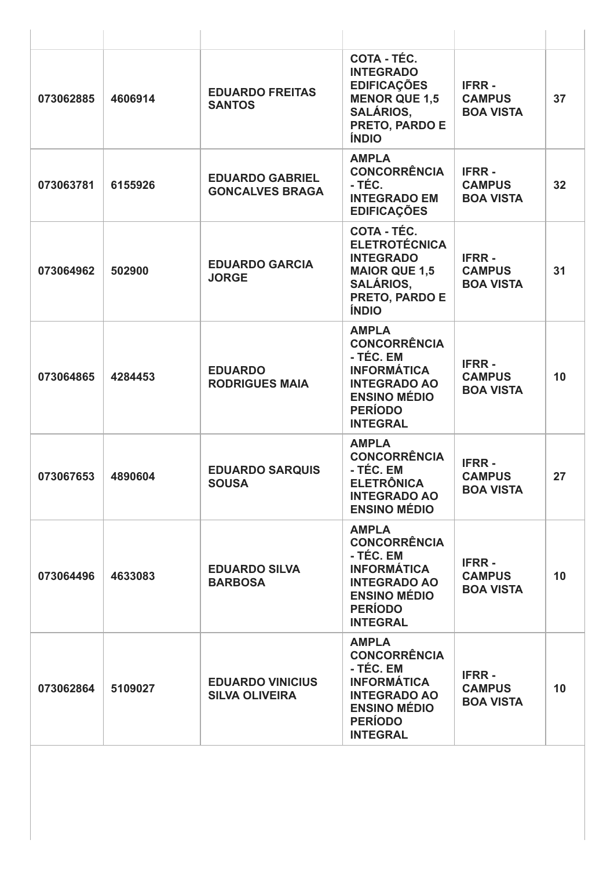| 073062885 | 4606914 | <b>EDUARDO FREITAS</b><br><b>SANTOS</b>          | COTA - TÉC.<br><b>INTEGRADO</b><br><b>EDIFICAÇÕES</b><br><b>MENOR QUE 1,5</b><br><b>SALÁRIOS,</b><br>PRETO, PARDO E<br><b>ÍNDIO</b>                       | <b>IFRR-</b><br><b>CAMPUS</b><br><b>BOA VISTA</b> | 37 |
|-----------|---------|--------------------------------------------------|-----------------------------------------------------------------------------------------------------------------------------------------------------------|---------------------------------------------------|----|
| 073063781 | 6155926 | <b>EDUARDO GABRIEL</b><br><b>GONCALVES BRAGA</b> | <b>AMPLA</b><br><b>CONCORRÊNCIA</b><br>- TÉC.<br><b>INTEGRADO EM</b><br><b>EDIFICAÇÕES</b>                                                                | <b>IFRR-</b><br><b>CAMPUS</b><br><b>BOA VISTA</b> | 32 |
| 073064962 | 502900  | <b>EDUARDO GARCIA</b><br><b>JORGE</b>            | COTA - TÉC.<br><b>ELETROTÉCNICA</b><br><b>INTEGRADO</b><br><b>MAIOR QUE 1,5</b><br><b>SALÁRIOS,</b><br>PRETO, PARDO E<br><b>ÍNDIO</b>                     | <b>IFRR-</b><br><b>CAMPUS</b><br><b>BOA VISTA</b> | 31 |
| 073064865 | 4284453 | <b>EDUARDO</b><br><b>RODRIGUES MAIA</b>          | <b>AMPLA</b><br><b>CONCORRÊNCIA</b><br>- TÉC. EM<br><b>INFORMÁTICA</b><br><b>INTEGRADO AO</b><br><b>ENSINO MÉDIO</b><br><b>PERÍODO</b><br><b>INTEGRAL</b> | <b>IFRR-</b><br><b>CAMPUS</b><br><b>BOA VISTA</b> | 10 |
| 073067653 | 4890604 | <b>EDUARDO SARQUIS</b><br><b>SOUSA</b>           | <b>AMPLA</b><br><b>CONCORRÊNCIA</b><br>- TÉC. EM<br><b>ELETRÔNICA</b><br><b>INTEGRADO AO</b><br><b>ENSINO MÉDIO</b>                                       | <b>IFRR-</b><br><b>CAMPUS</b><br><b>BOA VISTA</b> | 27 |
| 073064496 | 4633083 | <b>EDUARDO SILVA</b><br><b>BARBOSA</b>           | <b>AMPLA</b><br><b>CONCORRÊNCIA</b><br>- TÉC. EM<br><b>INFORMÁTICA</b><br><b>INTEGRADO AO</b><br><b>ENSINO MÉDIO</b><br><b>PERÍODO</b><br><b>INTEGRAL</b> | <b>IFRR-</b><br><b>CAMPUS</b><br><b>BOA VISTA</b> | 10 |
| 073062864 | 5109027 | <b>EDUARDO VINICIUS</b><br><b>SILVA OLIVEIRA</b> | <b>AMPLA</b><br><b>CONCORRÊNCIA</b><br>- TÉC. EM<br><b>INFORMÁTICA</b><br><b>INTEGRADO AO</b><br><b>ENSINO MÉDIO</b><br><b>PERÍODO</b><br><b>INTEGRAL</b> | <b>IFRR-</b><br><b>CAMPUS</b><br><b>BOA VISTA</b> | 10 |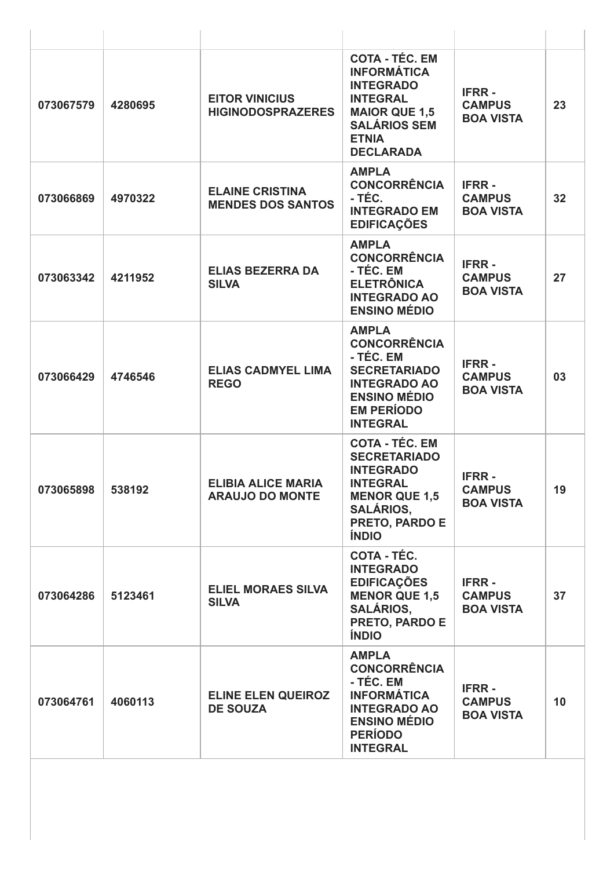| 073067579 | 4280695 | <b>EITOR VINICIUS</b><br><b>HIGINODOSPRAZERES</b>   | <b>COTA - TÉC. EM</b><br><b>INFORMÁTICA</b><br><b>INTEGRADO</b><br><b>INTEGRAL</b><br><b>MAIOR QUE 1,5</b><br><b>SALÁRIOS SEM</b><br><b>ETNIA</b><br><b>DECLARADA</b> | <b>IFRR-</b><br><b>CAMPUS</b><br><b>BOA VISTA</b> | 23 |
|-----------|---------|-----------------------------------------------------|-----------------------------------------------------------------------------------------------------------------------------------------------------------------------|---------------------------------------------------|----|
| 073066869 | 4970322 | <b>ELAINE CRISTINA</b><br><b>MENDES DOS SANTOS</b>  | <b>AMPLA</b><br><b>CONCORRÊNCIA</b><br>- TÉC.<br><b>INTEGRADO EM</b><br><b>EDIFICAÇÕES</b>                                                                            | <b>IFRR-</b><br><b>CAMPUS</b><br><b>BOA VISTA</b> | 32 |
| 073063342 | 4211952 | <b>ELIAS BEZERRA DA</b><br><b>SILVA</b>             | <b>AMPLA</b><br><b>CONCORRÊNCIA</b><br>- TÉC. EM<br><b>ELETRÔNICA</b><br><b>INTEGRADO AO</b><br><b>ENSINO MÉDIO</b>                                                   | <b>IFRR-</b><br><b>CAMPUS</b><br><b>BOA VISTA</b> | 27 |
| 073066429 | 4746546 | <b>ELIAS CADMYEL LIMA</b><br><b>REGO</b>            | <b>AMPLA</b><br><b>CONCORRÊNCIA</b><br>- TÉC. EM<br><b>SECRETARIADO</b><br><b>INTEGRADO AO</b><br><b>ENSINO MÉDIO</b><br><b>EM PERÍODO</b><br><b>INTEGRAL</b>         | <b>IFRR-</b><br><b>CAMPUS</b><br><b>BOA VISTA</b> | 03 |
| 073065898 | 538192  | <b>ELIBIA ALICE MARIA</b><br><b>ARAUJO DO MONTE</b> | <b>COTA - TÉC. EM</b><br><b>SECRETARIADO</b><br><b>INTEGRADO</b><br><b>INTEGRAL</b><br><b>MENOR QUE 1,5</b><br><b>SALÁRIOS,</b><br>PRETO, PARDO E<br><b>ÍNDIO</b>     | <b>IFRR-</b><br><b>CAMPUS</b><br><b>BOA VISTA</b> | 19 |
| 073064286 | 5123461 | <b>ELIEL MORAES SILVA</b><br><b>SILVA</b>           | COTA - TÉC.<br><b>INTEGRADO</b><br><b>EDIFICAÇÕES</b><br><b>MENOR QUE 1,5</b><br><b>SALÁRIOS,</b><br>PRETO, PARDO E<br><b>ÍNDIO</b>                                   | <b>IFRR-</b><br><b>CAMPUS</b><br><b>BOA VISTA</b> | 37 |
| 073064761 | 4060113 | <b>ELINE ELEN QUEIROZ</b><br><b>DE SOUZA</b>        | <b>AMPLA</b><br><b>CONCORRÊNCIA</b><br>- TÉC. EM<br><b>INFORMÁTICA</b><br><b>INTEGRADO AO</b><br><b>ENSINO MÉDIO</b><br><b>PERÍODO</b><br><b>INTEGRAL</b>             | <b>IFRR-</b><br><b>CAMPUS</b><br><b>BOA VISTA</b> | 10 |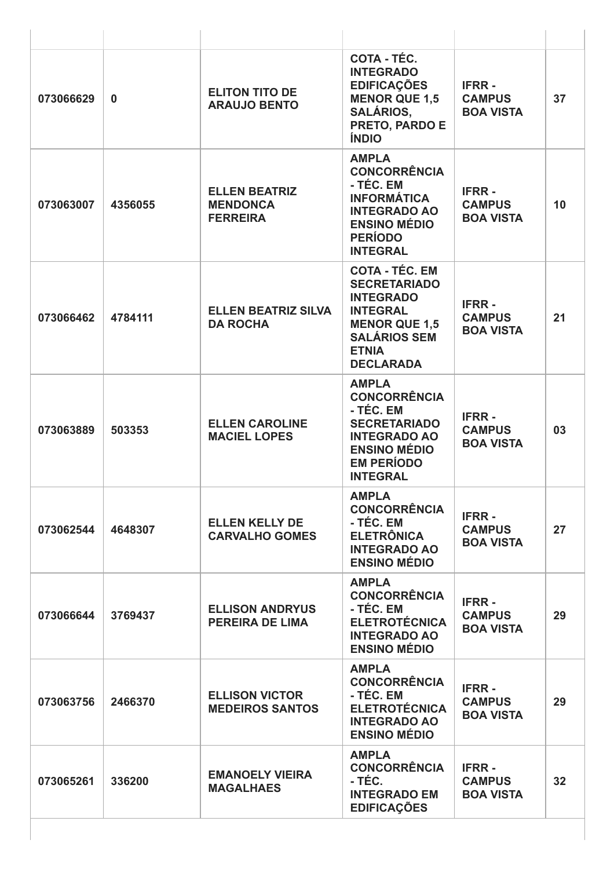| 073066629 | $\bf{0}$ | <b>ELITON TITO DE</b><br><b>ARAUJO BENTO</b>               | COTA - TÉC.<br><b>INTEGRADO</b><br><b>EDIFICAÇÕES</b><br><b>MENOR QUE 1,5</b><br><b>SALÁRIOS,</b><br><b>PRETO, PARDO E</b><br><b>ÍNDIO</b>                             | <b>IFRR-</b><br><b>CAMPUS</b><br><b>BOA VISTA</b> | 37 |
|-----------|----------|------------------------------------------------------------|------------------------------------------------------------------------------------------------------------------------------------------------------------------------|---------------------------------------------------|----|
| 073063007 | 4356055  | <b>ELLEN BEATRIZ</b><br><b>MENDONCA</b><br><b>FERREIRA</b> | <b>AMPLA</b><br><b>CONCORRÊNCIA</b><br>- TÉC. EM<br><b>INFORMÁTICA</b><br><b>INTEGRADO AO</b><br><b>ENSINO MÉDIO</b><br><b>PERÍODO</b><br><b>INTEGRAL</b>              | <b>IFRR-</b><br><b>CAMPUS</b><br><b>BOA VISTA</b> | 10 |
| 073066462 | 4784111  | <b>ELLEN BEATRIZ SILVA</b><br><b>DA ROCHA</b>              | <b>COTA - TÉC. EM</b><br><b>SECRETARIADO</b><br><b>INTEGRADO</b><br><b>INTEGRAL</b><br><b>MENOR QUE 1,5</b><br><b>SALÁRIOS SEM</b><br><b>ETNIA</b><br><b>DECLARADA</b> | <b>IFRR-</b><br><b>CAMPUS</b><br><b>BOA VISTA</b> | 21 |
| 073063889 | 503353   | <b>ELLEN CAROLINE</b><br><b>MACIEL LOPES</b>               | <b>AMPLA</b><br><b>CONCORRÊNCIA</b><br>- TÉC. EM<br><b>SECRETARIADO</b><br><b>INTEGRADO AO</b><br><b>ENSINO MÉDIO</b><br><b>EM PERÍODO</b><br><b>INTEGRAL</b>          | <b>IFRR-</b><br><b>CAMPUS</b><br><b>BOA VISTA</b> | 03 |
| 073062544 | 4648307  | <b>ELLEN KELLY DE</b><br><b>CARVALHO GOMES</b>             | <b>AMPLA</b><br><b>CONCORRÊNCIA</b><br>- TÉC. EM<br><b>ELETRÔNICA</b><br><b>INTEGRADO AO</b><br><b>ENSINO MÉDIO</b>                                                    | <b>IFRR-</b><br><b>CAMPUS</b><br><b>BOA VISTA</b> | 27 |
| 073066644 | 3769437  | <b>ELLISON ANDRYUS</b><br><b>PEREIRA DE LIMA</b>           | <b>AMPLA</b><br><b>CONCORRÊNCIA</b><br>- TÉC. EM<br><b>ELETROTÉCNICA</b><br><b>INTEGRADO AO</b><br><b>ENSINO MÉDIO</b>                                                 | <b>IFRR-</b><br><b>CAMPUS</b><br><b>BOA VISTA</b> | 29 |
| 073063756 | 2466370  | <b>ELLISON VICTOR</b><br><b>MEDEIROS SANTOS</b>            | <b>AMPLA</b><br><b>CONCORRÊNCIA</b><br>- TÉC. EM<br><b>ELETROTÉCNICA</b><br><b>INTEGRADO AO</b><br><b>ENSINO MÉDIO</b>                                                 | <b>IFRR-</b><br><b>CAMPUS</b><br><b>BOA VISTA</b> | 29 |
| 073065261 | 336200   | <b>EMANOELY VIEIRA</b><br><b>MAGALHAES</b>                 | <b>AMPLA</b><br><b>CONCORRÊNCIA</b><br>- TÉC.<br><b>INTEGRADO EM</b><br><b>EDIFICAÇÕES</b>                                                                             | <b>IFRR-</b><br><b>CAMPUS</b><br><b>BOA VISTA</b> | 32 |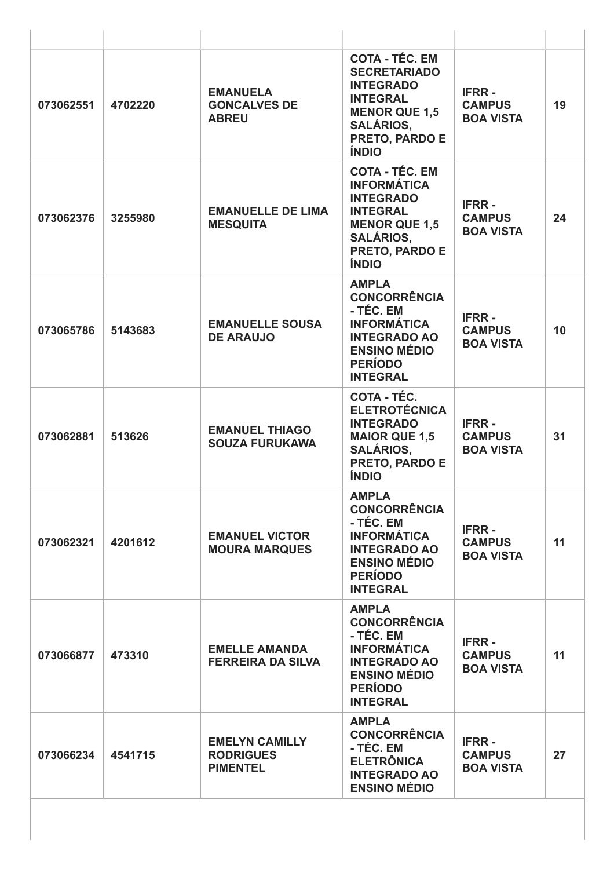| 073062551 | 4702220 | <b>EMANUELA</b><br><b>GONCALVES DE</b><br><b>ABREU</b>       | <b>COTA - TÉC. EM</b><br><b>SECRETARIADO</b><br><b>INTEGRADO</b><br><b>INTEGRAL</b><br><b>MENOR QUE 1,5</b><br><b>SALÁRIOS,</b><br>PRETO, PARDO E<br><b>ÍNDIO</b> | <b>IFRR-</b><br><b>CAMPUS</b><br><b>BOA VISTA</b> | 19 |
|-----------|---------|--------------------------------------------------------------|-------------------------------------------------------------------------------------------------------------------------------------------------------------------|---------------------------------------------------|----|
| 073062376 | 3255980 | <b>EMANUELLE DE LIMA</b><br><b>MESQUITA</b>                  | <b>COTA - TÉC. EM</b><br><b>INFORMÁTICA</b><br><b>INTEGRADO</b><br><b>INTEGRAL</b><br><b>MENOR QUE 1,5</b><br><b>SALÁRIOS,</b><br>PRETO, PARDO E<br><b>ÍNDIO</b>  | <b>IFRR-</b><br><b>CAMPUS</b><br><b>BOA VISTA</b> | 24 |
| 073065786 | 5143683 | <b>EMANUELLE SOUSA</b><br><b>DE ARAUJO</b>                   | <b>AMPLA</b><br><b>CONCORRÊNCIA</b><br>- TÉC. EM<br><b>INFORMÁTICA</b><br><b>INTEGRADO AO</b><br><b>ENSINO MÉDIO</b><br><b>PERÍODO</b><br><b>INTEGRAL</b>         | <b>IFRR-</b><br><b>CAMPUS</b><br><b>BOA VISTA</b> | 10 |
| 073062881 | 513626  | <b>EMANUEL THIAGO</b><br><b>SOUZA FURUKAWA</b>               | COTA - TÉC.<br><b>ELETROTÉCNICA</b><br><b>INTEGRADO</b><br><b>MAIOR QUE 1,5</b><br><b>SALÁRIOS,</b><br>PRETO, PARDO E<br><b>ÍNDIO</b>                             | <b>IFRR-</b><br><b>CAMPUS</b><br><b>BOA VISTA</b> | 31 |
| 073062321 | 4201612 | <b>EMANUEL VICTOR</b><br><b>MOURA MARQUES</b>                | <b>AMPLA</b><br><b>CONCORRÊNCIA</b><br>- TÉC. EM<br><b>INFORMÁTICA</b><br><b>INTEGRADO AO</b><br><b>ENSINO MÉDIO</b><br><b>PERÍODO</b><br><b>INTEGRAL</b>         | <b>IFRR-</b><br><b>CAMPUS</b><br><b>BOA VISTA</b> | 11 |
| 073066877 | 473310  | <b>EMELLE AMANDA</b><br><b>FERREIRA DA SILVA</b>             | <b>AMPLA</b><br><b>CONCORRÊNCIA</b><br>- TÉC. EM<br><b>INFORMÁTICA</b><br><b>INTEGRADO AO</b><br><b>ENSINO MÉDIO</b><br><b>PERÍODO</b><br><b>INTEGRAL</b>         | <b>IFRR-</b><br><b>CAMPUS</b><br><b>BOA VISTA</b> | 11 |
| 073066234 | 4541715 | <b>EMELYN CAMILLY</b><br><b>RODRIGUES</b><br><b>PIMENTEL</b> | <b>AMPLA</b><br><b>CONCORRÊNCIA</b><br>- TÉC. EM<br><b>ELETRÔNICA</b><br><b>INTEGRADO AO</b><br><b>ENSINO MÉDIO</b>                                               | <b>IFRR-</b><br><b>CAMPUS</b><br><b>BOA VISTA</b> | 27 |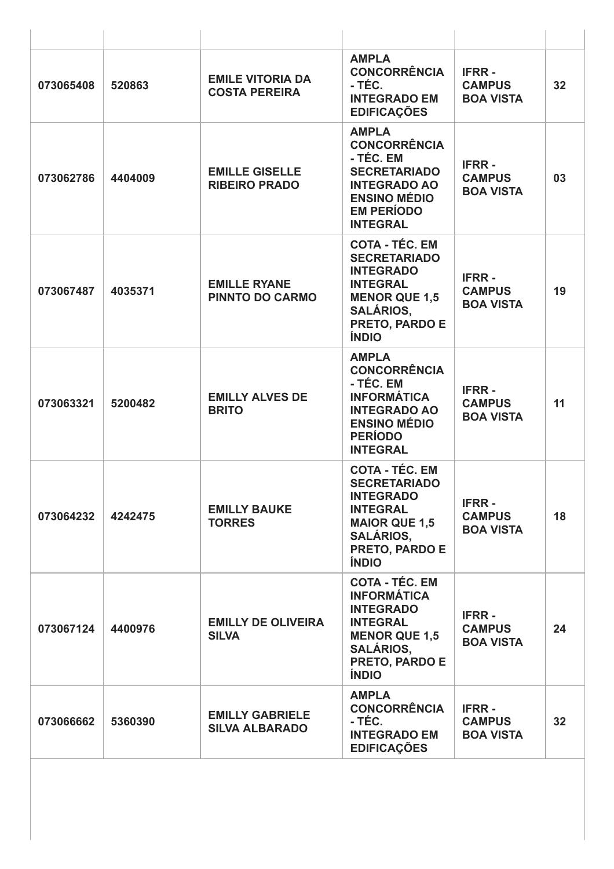| 520863  | <b>EMILE VITORIA DA</b><br><b>COSTA PEREIRA</b> | <b>AMPLA</b><br><b>CONCORRÊNCIA</b><br>- TÉC.<br><b>INTEGRADO EM</b><br><b>EDIFICAÇÕES</b>                                                                               | <b>IFRR-</b><br><b>CAMPUS</b><br><b>BOA VISTA</b> | 32 |
|---------|-------------------------------------------------|--------------------------------------------------------------------------------------------------------------------------------------------------------------------------|---------------------------------------------------|----|
| 4404009 | <b>EMILLE GISELLE</b><br><b>RIBEIRO PRADO</b>   | <b>AMPLA</b><br><b>CONCORRÊNCIA</b><br>- TÉC. EM<br><b>SECRETARIADO</b><br><b>INTEGRADO AO</b><br><b>ENSINO MÉDIO</b><br><b>EM PERÍODO</b><br><b>INTEGRAL</b>            | <b>IFRR-</b><br><b>CAMPUS</b><br><b>BOA VISTA</b> | 03 |
| 4035371 | <b>EMILLE RYANE</b><br><b>PINNTO DO CARMO</b>   | <b>COTA - TÉC. EM</b><br><b>SECRETARIADO</b><br><b>INTEGRADO</b><br><b>INTEGRAL</b><br><b>MENOR QUE 1,5</b><br><b>SALÁRIOS,</b><br>PRETO, PARDO E<br><b>ÍNDIO</b>        | <b>IFRR-</b><br><b>CAMPUS</b><br><b>BOA VISTA</b> | 19 |
| 5200482 | <b>EMILLY ALVES DE</b><br><b>BRITO</b>          | <b>AMPLA</b><br><b>CONCORRÊNCIA</b><br>- TÉC. EM<br><b>INFORMÁTICA</b><br><b>INTEGRADO AO</b><br><b>ENSINO MÉDIO</b><br><b>PERÍODO</b><br><b>INTEGRAL</b>                | <b>IFRR-</b><br><b>CAMPUS</b><br><b>BOA VISTA</b> | 11 |
| 4242475 | <b>EMILLY BAUKE</b><br><b>TORRES</b>            | <b>COTA - TÉC. EM</b><br><b>SECRETARIADO</b><br><b>INTEGRADO</b><br><b>INTEGRAL</b><br><b>MAIOR QUE 1,5</b><br><b>SALÁRIOS,</b><br><b>PRETO, PARDO E</b><br><b>ÍNDIO</b> | <b>IFRR-</b><br><b>CAMPUS</b><br><b>BOA VISTA</b> | 18 |
| 4400976 | <b>EMILLY DE OLIVEIRA</b><br><b>SILVA</b>       | <b>COTA - TÉC. EM</b><br><b>INFORMÁTICA</b><br><b>INTEGRADO</b><br><b>INTEGRAL</b><br><b>MENOR QUE 1,5</b><br><b>SALÁRIOS,</b><br>PRETO, PARDO E<br><b>ÍNDIO</b>         | <b>IFRR-</b><br><b>CAMPUS</b><br><b>BOA VISTA</b> | 24 |
| 5360390 | <b>EMILLY GABRIELE</b><br><b>SILVA ALBARADO</b> | <b>AMPLA</b><br><b>CONCORRÊNCIA</b><br>- TÉC.<br><b>INTEGRADO EM</b><br><b>EDIFICAÇÕES</b>                                                                               | <b>IFRR-</b><br><b>CAMPUS</b><br><b>BOA VISTA</b> | 32 |
|         |                                                 |                                                                                                                                                                          |                                                   |    |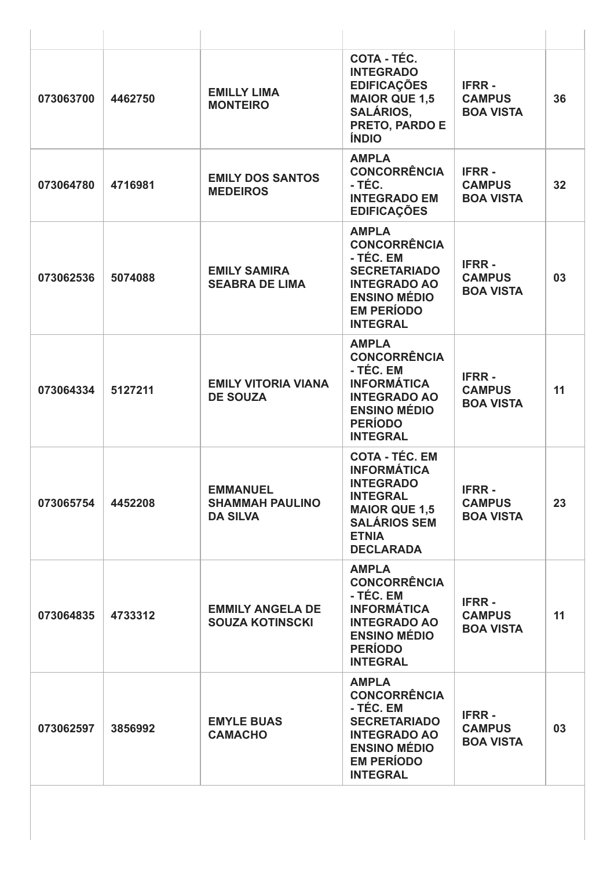| 073063700 | 4462750 | <b>EMILLY LIMA</b><br><b>MONTEIRO</b>                        | COTA - TÉC.<br><b>INTEGRADO</b><br><b>EDIFICAÇÕES</b><br><b>MAIOR QUE 1,5</b><br><b>SALÁRIOS,</b><br>PRETO, PARDO E<br><b>ÍNDIO</b>                                   | <b>IFRR-</b><br><b>CAMPUS</b><br><b>BOA VISTA</b> | 36 |
|-----------|---------|--------------------------------------------------------------|-----------------------------------------------------------------------------------------------------------------------------------------------------------------------|---------------------------------------------------|----|
| 073064780 | 4716981 | <b>EMILY DOS SANTOS</b><br><b>MEDEIROS</b>                   | <b>AMPLA</b><br><b>CONCORRÊNCIA</b><br>- TÉC.<br><b>INTEGRADO EM</b><br><b>EDIFICAÇÕES</b>                                                                            | <b>IFRR-</b><br><b>CAMPUS</b><br><b>BOA VISTA</b> | 32 |
| 073062536 | 5074088 | <b>EMILY SAMIRA</b><br><b>SEABRA DE LIMA</b>                 | <b>AMPLA</b><br><b>CONCORRÊNCIA</b><br>- TÉC. EM<br><b>SECRETARIADO</b><br><b>INTEGRADO AO</b><br><b>ENSINO MÉDIO</b><br><b>EM PERÍODO</b><br><b>INTEGRAL</b>         | <b>IFRR-</b><br><b>CAMPUS</b><br><b>BOA VISTA</b> | 03 |
| 073064334 | 5127211 | <b>EMILY VITORIA VIANA</b><br><b>DE SOUZA</b>                | <b>AMPLA</b><br><b>CONCORRÊNCIA</b><br>- TÉC. EM<br><b>INFORMÁTICA</b><br><b>INTEGRADO AO</b><br><b>ENSINO MÉDIO</b><br><b>PERÍODO</b><br><b>INTEGRAL</b>             | <b>IFRR-</b><br><b>CAMPUS</b><br><b>BOA VISTA</b> | 11 |
| 073065754 | 4452208 | <b>EMMANUEL</b><br><b>SHAMMAH PAULINO</b><br><b>DA SILVA</b> | <b>COTA - TÉC. EM</b><br><b>INFORMÁTICA</b><br><b>INTEGRADO</b><br><b>INTEGRAL</b><br><b>MAIOR QUE 1,5</b><br><b>SALÁRIOS SEM</b><br><b>ETNIA</b><br><b>DECLARADA</b> | <b>IFRR-</b><br><b>CAMPUS</b><br><b>BOA VISTA</b> | 23 |
| 073064835 | 4733312 | <b>EMMILY ANGELA DE</b><br><b>SOUZA KOTINSCKI</b>            | <b>AMPLA</b><br><b>CONCORRÊNCIA</b><br>- TÉC. EM<br><b>INFORMÁTICA</b><br><b>INTEGRADO AO</b><br><b>ENSINO MÉDIO</b><br><b>PERÍODO</b><br><b>INTEGRAL</b>             | <b>IFRR-</b><br><b>CAMPUS</b><br><b>BOA VISTA</b> | 11 |
| 073062597 | 3856992 | <b>EMYLE BUAS</b><br><b>CAMACHO</b>                          | <b>AMPLA</b><br><b>CONCORRÊNCIA</b><br>- TÉC. EM<br><b>SECRETARIADO</b><br><b>INTEGRADO AO</b><br><b>ENSINO MÉDIO</b><br><b>EM PERÍODO</b><br><b>INTEGRAL</b>         | <b>IFRR-</b><br><b>CAMPUS</b><br><b>BOA VISTA</b> | 03 |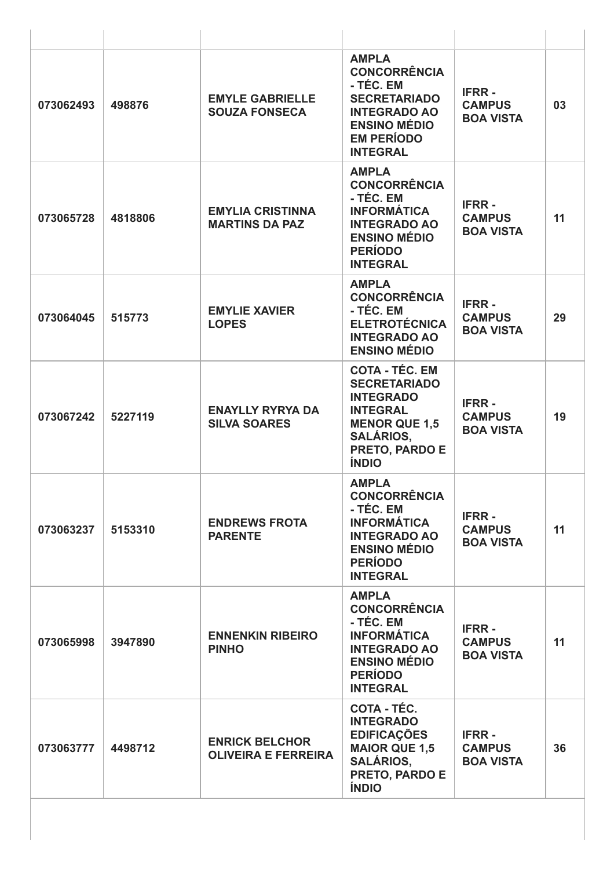| 073062493 | 498876  | <b>EMYLE GABRIELLE</b><br><b>SOUZA FONSECA</b>      | <b>AMPLA</b><br><b>CONCORRÊNCIA</b><br>- TÉC. EM<br><b>SECRETARIADO</b><br><b>INTEGRADO AO</b><br><b>ENSINO MÉDIO</b><br><b>EM PERÍODO</b><br><b>INTEGRAL</b>     | <b>IFRR-</b><br><b>CAMPUS</b><br><b>BOA VISTA</b> | 03 |
|-----------|---------|-----------------------------------------------------|-------------------------------------------------------------------------------------------------------------------------------------------------------------------|---------------------------------------------------|----|
| 073065728 | 4818806 | <b>EMYLIA CRISTINNA</b><br><b>MARTINS DA PAZ</b>    | <b>AMPLA</b><br><b>CONCORRÊNCIA</b><br>- TÉC. EM<br><b>INFORMÁTICA</b><br><b>INTEGRADO AO</b><br><b>ENSINO MÉDIO</b><br><b>PERÍODO</b><br><b>INTEGRAL</b>         | <b>IFRR-</b><br><b>CAMPUS</b><br><b>BOA VISTA</b> | 11 |
| 073064045 | 515773  | <b>EMYLIE XAVIER</b><br><b>LOPES</b>                | <b>AMPLA</b><br><b>CONCORRÊNCIA</b><br>- TÉC. EM<br><b>ELETROTÉCNICA</b><br><b>INTEGRADO AO</b><br><b>ENSINO MÉDIO</b>                                            | <b>IFRR-</b><br><b>CAMPUS</b><br><b>BOA VISTA</b> | 29 |
| 073067242 | 5227119 | <b>ENAYLLY RYRYA DA</b><br><b>SILVA SOARES</b>      | <b>COTA - TÉC. EM</b><br><b>SECRETARIADO</b><br><b>INTEGRADO</b><br><b>INTEGRAL</b><br><b>MENOR QUE 1,5</b><br><b>SALÁRIOS,</b><br>PRETO, PARDO E<br><b>ÍNDIO</b> | <b>IFRR-</b><br><b>CAMPUS</b><br><b>BOA VISTA</b> | 19 |
| 073063237 | 5153310 | <b>ENDREWS FROTA</b><br><b>PARENTE</b>              | <b>AMPLA</b><br><b>CONCORRÊNCIA</b><br>- TÉC. EM<br><b>INFORMÁTICA</b><br><b>INTEGRADO AO</b><br><b>ENSINO MÉDIO</b><br><b>PERÍODO</b><br><b>INTEGRAL</b>         | <b>IFRR-</b><br><b>CAMPUS</b><br><b>BOA VISTA</b> | 11 |
| 073065998 | 3947890 | <b>ENNENKIN RIBEIRO</b><br><b>PINHO</b>             | <b>AMPLA</b><br><b>CONCORRÊNCIA</b><br>- TÉC. EM<br><b>INFORMÁTICA</b><br><b>INTEGRADO AO</b><br><b>ENSINO MÉDIO</b><br><b>PERÍODO</b><br><b>INTEGRAL</b>         | <b>IFRR-</b><br><b>CAMPUS</b><br><b>BOA VISTA</b> | 11 |
| 073063777 | 4498712 | <b>ENRICK BELCHOR</b><br><b>OLIVEIRA E FERREIRA</b> | <b>COTA - TÉC.</b><br><b>INTEGRADO</b><br><b>EDIFICAÇÕES</b><br><b>MAIOR QUE 1,5</b><br><b>SALÁRIOS,</b><br>PRETO, PARDO E<br><b>ÍNDIO</b>                        | <b>IFRR-</b><br><b>CAMPUS</b><br><b>BOA VISTA</b> | 36 |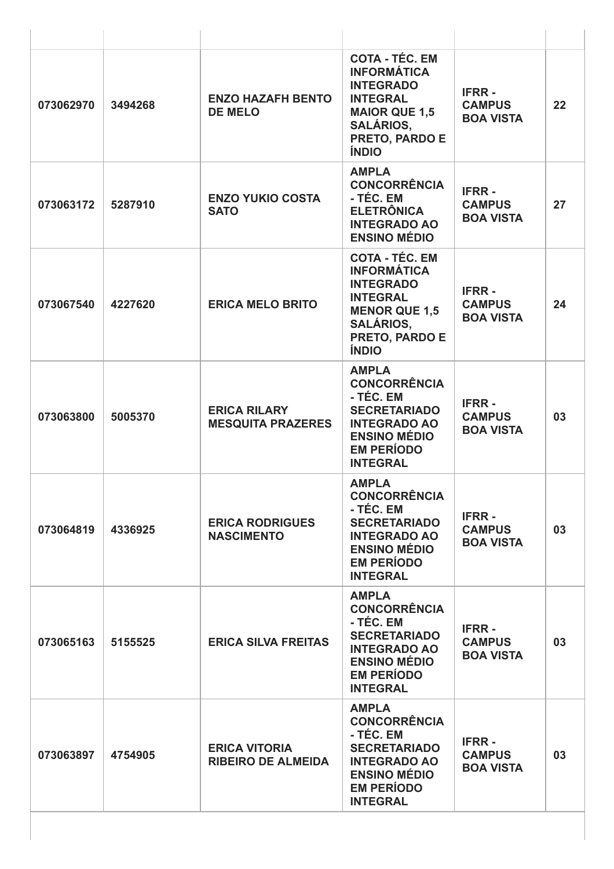| 073062970 | 3494268 | <b>ENZO HAZAFH BENTO</b><br><b>DE MELO</b>        | <b>COTA - TÉC. EM</b><br><b>INFORMÁTICA</b><br><b>INTEGRADO</b><br><b>INTEGRAL</b><br><b>MAIOR QUE 1,5</b><br><b>SALÁRIOS,</b><br>PRETO, PARDO E<br><b>ÍNDIO</b> | <b>IFRR-</b><br><b>CAMPUS</b><br><b>BOA VISTA</b> | 22 |
|-----------|---------|---------------------------------------------------|------------------------------------------------------------------------------------------------------------------------------------------------------------------|---------------------------------------------------|----|
| 073063172 | 5287910 | <b>ENZO YUKIO COSTA</b><br><b>SATO</b>            | <b>AMPLA</b><br><b>CONCORRÊNCIA</b><br>- TÉC. EM<br><b>ELETRÔNICA</b><br><b>INTEGRADO AO</b><br><b>ENSINO MÉDIO</b>                                              | <b>IFRR-</b><br><b>CAMPUS</b><br><b>BOA VISTA</b> | 27 |
| 073067540 | 4227620 | <b>ERICA MELO BRITO</b>                           | <b>COTA - TÉC. EM</b><br><b>INFORMÁTICA</b><br><b>INTEGRADO</b><br><b>INTEGRAL</b><br><b>MENOR QUE 1,5</b><br><b>SALÁRIOS,</b><br>PRETO, PARDO E<br><b>ÍNDIO</b> | <b>IFRR-</b><br><b>CAMPUS</b><br><b>BOA VISTA</b> | 24 |
| 073063800 | 5005370 | <b>ERICA RILARY</b><br><b>MESQUITA PRAZERES</b>   | <b>AMPLA</b><br><b>CONCORRÊNCIA</b><br>- TÉC. EM<br><b>SECRETARIADO</b><br><b>INTEGRADO AO</b><br><b>ENSINO MÉDIO</b><br><b>EM PERÍODO</b><br><b>INTEGRAL</b>    | <b>IFRR-</b><br><b>CAMPUS</b><br><b>BOA VISTA</b> | 03 |
| 073064819 | 4336925 | <b>ERICA RODRIGUES</b><br><b>NASCIMENTO</b>       | <b>AMPLA</b><br><b>CONCORRÊNCIA</b><br>- TÉC. EM<br><b>SECRETARIADO</b><br><b>INTEGRADO AO</b><br><b>ENSINO MÉDIO</b><br><b>EM PERÍODO</b><br><b>INTEGRAL</b>    | <b>IFRR-</b><br><b>CAMPUS</b><br><b>BOA VISTA</b> | 03 |
| 073065163 | 5155525 | <b>ERICA SILVA FREITAS</b>                        | <b>AMPLA</b><br><b>CONCORRÊNCIA</b><br>- TÉC. EM<br><b>SECRETARIADO</b><br><b>INTEGRADO AO</b><br><b>ENSINO MÉDIO</b><br><b>EM PERÍODO</b><br><b>INTEGRAL</b>    | <b>IFRR-</b><br><b>CAMPUS</b><br><b>BOA VISTA</b> | 03 |
| 073063897 | 4754905 | <b>ERICA VITORIA</b><br><b>RIBEIRO DE ALMEIDA</b> | <b>AMPLA</b><br><b>CONCORRÊNCIA</b><br>- TÉC. EM<br><b>SECRETARIADO</b><br><b>INTEGRADO AO</b><br><b>ENSINO MÉDIO</b><br><b>EM PERÍODO</b><br><b>INTEGRAL</b>    | <b>IFRR-</b><br><b>CAMPUS</b><br><b>BOA VISTA</b> | 03 |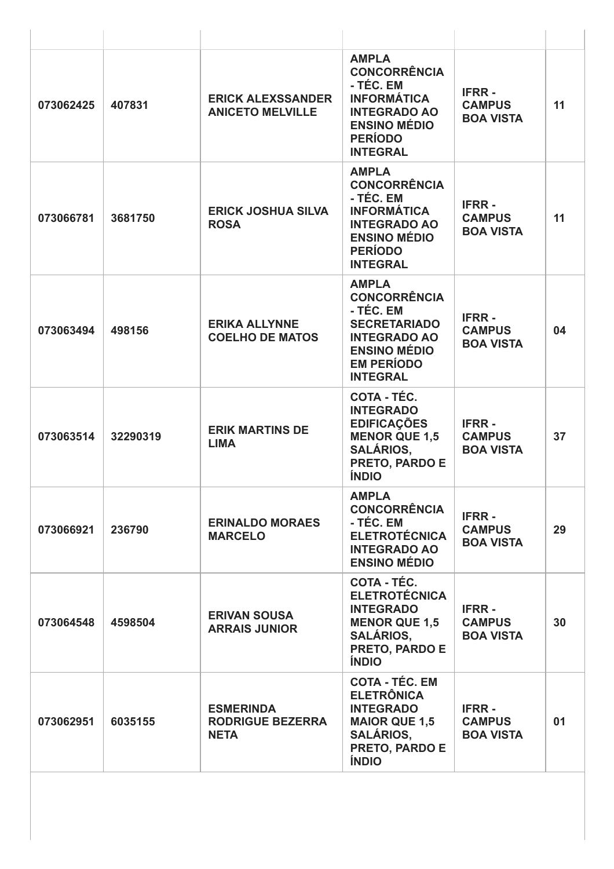| 073062425 | 407831   | <b>ERICK ALEXSSANDER</b><br><b>ANICETO MELVILLE</b>        | <b>AMPLA</b><br><b>CONCORRÊNCIA</b><br>- TÉC. EM<br><b>INFORMÁTICA</b><br><b>INTEGRADO AO</b><br><b>ENSINO MÉDIO</b><br><b>PERÍODO</b><br><b>INTEGRAL</b>     | <b>IFRR-</b><br><b>CAMPUS</b><br><b>BOA VISTA</b> | 11 |
|-----------|----------|------------------------------------------------------------|---------------------------------------------------------------------------------------------------------------------------------------------------------------|---------------------------------------------------|----|
| 073066781 | 3681750  | <b>ERICK JOSHUA SILVA</b><br><b>ROSA</b>                   | <b>AMPLA</b><br><b>CONCORRÊNCIA</b><br>- TÉC. EM<br><b>INFORMÁTICA</b><br><b>INTEGRADO AO</b><br><b>ENSINO MÉDIO</b><br><b>PERÍODO</b><br><b>INTEGRAL</b>     | <b>IFRR-</b><br><b>CAMPUS</b><br><b>BOA VISTA</b> | 11 |
| 073063494 | 498156   | <b>ERIKA ALLYNNE</b><br><b>COELHO DE MATOS</b>             | <b>AMPLA</b><br><b>CONCORRÊNCIA</b><br>- TÉC. EM<br><b>SECRETARIADO</b><br><b>INTEGRADO AO</b><br><b>ENSINO MÉDIO</b><br><b>EM PERÍODO</b><br><b>INTEGRAL</b> | <b>IFRR-</b><br><b>CAMPUS</b><br><b>BOA VISTA</b> | 04 |
| 073063514 | 32290319 | <b>ERIK MARTINS DE</b><br><b>LIMA</b>                      | COTA - TÉC.<br><b>INTEGRADO</b><br><b>EDIFICAÇÕES</b><br><b>MENOR QUE 1,5</b><br><b>SALÁRIOS,</b><br>PRETO, PARDO E<br><b>ÍNDIO</b>                           | <b>IFRR-</b><br><b>CAMPUS</b><br><b>BOA VISTA</b> | 37 |
| 073066921 | 236790   | <b>ERINALDO MORAES</b><br><b>MARCELO</b>                   | <b>AMPLA</b><br><b>CONCORRÊNCIA</b><br>- TÉC. EM<br><b>ELETROTÉCNICA</b><br><b>INTEGRADO AO</b><br><b>ENSINO MÉDIO</b>                                        | <b>IFRR-</b><br><b>CAMPUS</b><br><b>BOA VISTA</b> | 29 |
| 073064548 | 4598504  | <b>ERIVAN SOUSA</b><br><b>ARRAIS JUNIOR</b>                | <b>COTA - TÉC.</b><br><b>ELETROTÉCNICA</b><br><b>INTEGRADO</b><br><b>MENOR QUE 1.5</b><br><b>SALÁRIOS,</b><br><b>PRETO, PARDO E</b><br><b>ÍNDIO</b>           | <b>IFRR-</b><br><b>CAMPUS</b><br><b>BOA VISTA</b> | 30 |
| 073062951 | 6035155  | <b>ESMERINDA</b><br><b>RODRIGUE BEZERRA</b><br><b>NETA</b> | <b>COTA - TÉC. EM</b><br><b>ELETRÔNICA</b><br><b>INTEGRADO</b><br><b>MAIOR QUE 1,5</b><br><b>SALÁRIOS,</b><br>PRETO, PARDO E<br><b>ÍNDIO</b>                  | <b>IFRR-</b><br><b>CAMPUS</b><br><b>BOA VISTA</b> | 01 |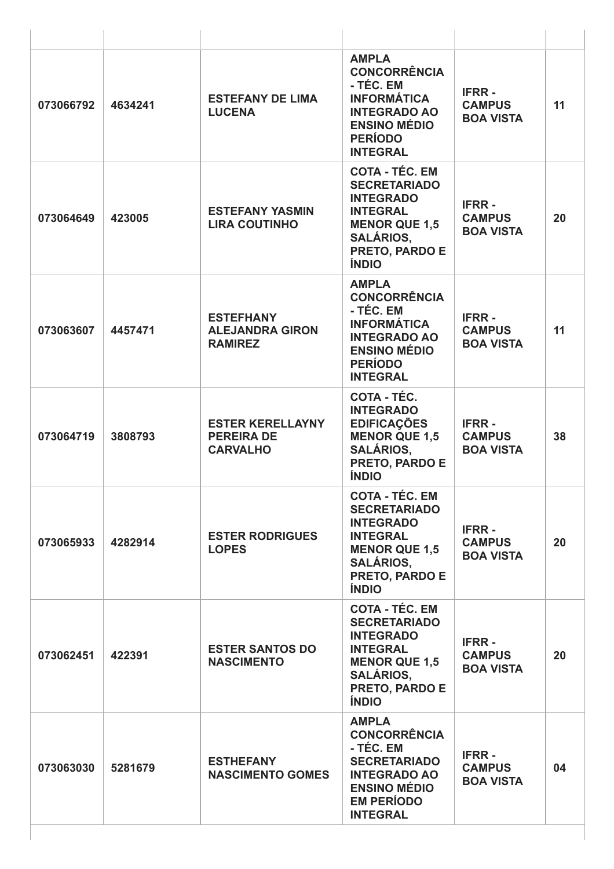| 073066792 | 4634241 | <b>ESTEFANY DE LIMA</b><br><b>LUCENA</b>                        | <b>AMPLA</b><br><b>CONCORRÊNCIA</b><br>- TÉC. EM<br><b>INFORMÁTICA</b><br><b>INTEGRADO AO</b><br><b>ENSINO MÉDIO</b><br><b>PERÍODO</b><br><b>INTEGRAL</b>         | <b>IFRR-</b><br><b>CAMPUS</b><br><b>BOA VISTA</b> | 11 |
|-----------|---------|-----------------------------------------------------------------|-------------------------------------------------------------------------------------------------------------------------------------------------------------------|---------------------------------------------------|----|
| 073064649 | 423005  | <b>ESTEFANY YASMIN</b><br><b>LIRA COUTINHO</b>                  | <b>COTA - TÉC. EM</b><br><b>SECRETARIADO</b><br><b>INTEGRADO</b><br><b>INTEGRAL</b><br><b>MENOR QUE 1,5</b><br><b>SALÁRIOS.</b><br>PRETO, PARDO E<br><b>ÍNDIO</b> | <b>IFRR-</b><br><b>CAMPUS</b><br><b>BOA VISTA</b> | 20 |
| 073063607 | 4457471 | <b>ESTEFHANY</b><br><b>ALEJANDRA GIRON</b><br><b>RAMIREZ</b>    | <b>AMPLA</b><br><b>CONCORRÊNCIA</b><br>- TÉC. EM<br><b>INFORMÁTICA</b><br><b>INTEGRADO AO</b><br><b>ENSINO MÉDIO</b><br><b>PERÍODO</b><br><b>INTEGRAL</b>         | <b>IFRR-</b><br><b>CAMPUS</b><br><b>BOA VISTA</b> | 11 |
| 073064719 | 3808793 | <b>ESTER KERELLAYNY</b><br><b>PEREIRA DE</b><br><b>CARVALHO</b> | COTA - TÉC.<br><b>INTEGRADO</b><br><b>EDIFICAÇÕES</b><br><b>MENOR QUE 1,5</b><br><b>SALÁRIOS,</b><br>PRETO, PARDO E<br><b>ÍNDIO</b>                               | <b>IFRR-</b><br><b>CAMPUS</b><br><b>BOA VISTA</b> | 38 |
| 073065933 | 4282914 | <b>ESTER RODRIGUES</b><br><b>LOPES</b>                          | <b>COTA - TÉC. EM</b><br><b>SECRETARIADO</b><br><b>INTEGRADO</b><br><b>INTEGRAL</b><br><b>MENOR QUE 1,5</b><br><b>SALÁRIOS,</b><br>PRETO, PARDO E<br><b>ÍNDIO</b> | <b>IFRR-</b><br><b>CAMPUS</b><br><b>BOA VISTA</b> | 20 |
| 073062451 | 422391  | <b>ESTER SANTOS DO</b><br><b>NASCIMENTO</b>                     | <b>COTA - TÉC. EM</b><br><b>SECRETARIADO</b><br><b>INTEGRADO</b><br><b>INTEGRAL</b><br><b>MENOR QUE 1,5</b><br><b>SALÁRIOS,</b><br>PRETO, PARDO E<br><b>ÍNDIO</b> | <b>IFRR-</b><br><b>CAMPUS</b><br><b>BOA VISTA</b> | 20 |
| 073063030 | 5281679 | <b>ESTHEFANY</b><br><b>NASCIMENTO GOMES</b>                     | <b>AMPLA</b><br><b>CONCORRÊNCIA</b><br>- TÉC. EM<br><b>SECRETARIADO</b><br><b>INTEGRADO AO</b><br><b>ENSINO MÉDIO</b><br><b>EM PERÍODO</b><br><b>INTEGRAL</b>     | <b>IFRR-</b><br><b>CAMPUS</b><br><b>BOA VISTA</b> | 04 |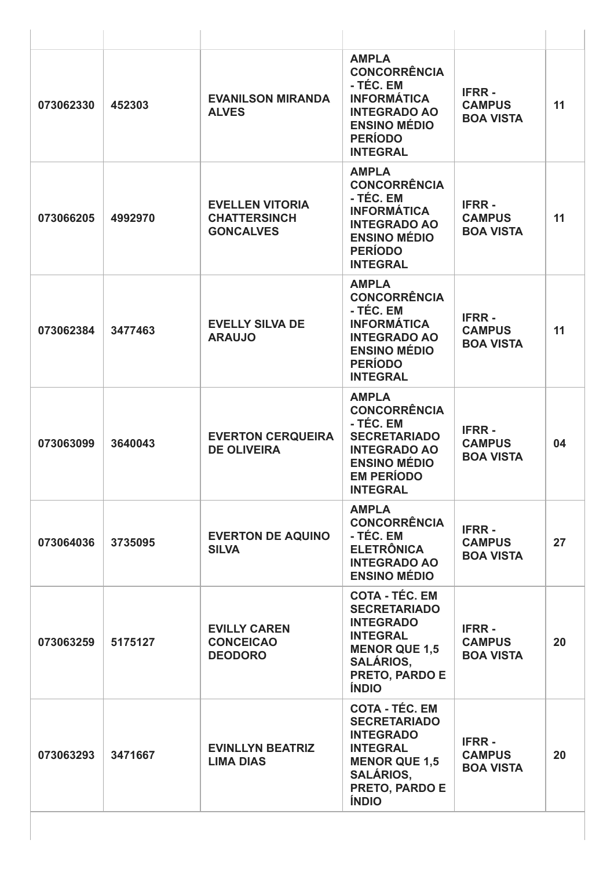| 073062330 | 452303  | <b>EVANILSON MIRANDA</b><br><b>ALVES</b>                          | <b>AMPLA</b><br><b>CONCORRÊNCIA</b><br>- TÉC. EM<br><b>INFORMÁTICA</b><br><b>INTEGRADO AO</b><br><b>ENSINO MÉDIO</b><br><b>PERÍODO</b><br><b>INTEGRAL</b>         | <b>IFRR-</b><br><b>CAMPUS</b><br><b>BOA VISTA</b> | 11 |
|-----------|---------|-------------------------------------------------------------------|-------------------------------------------------------------------------------------------------------------------------------------------------------------------|---------------------------------------------------|----|
| 073066205 | 4992970 | <b>EVELLEN VITORIA</b><br><b>CHATTERSINCH</b><br><b>GONCALVES</b> | <b>AMPLA</b><br><b>CONCORRÊNCIA</b><br>- TÉC. EM<br><b>INFORMÁTICA</b><br><b>INTEGRADO AO</b><br><b>ENSINO MÉDIO</b><br><b>PERÍODO</b><br><b>INTEGRAL</b>         | <b>IFRR-</b><br><b>CAMPUS</b><br><b>BOA VISTA</b> | 11 |
| 073062384 | 3477463 | <b>EVELLY SILVA DE</b><br><b>ARAUJO</b>                           | <b>AMPLA</b><br><b>CONCORRÊNCIA</b><br>- TÉC. EM<br><b>INFORMÁTICA</b><br><b>INTEGRADO AO</b><br><b>ENSINO MÉDIO</b><br><b>PERÍODO</b><br><b>INTEGRAL</b>         | <b>IFRR-</b><br><b>CAMPUS</b><br><b>BOA VISTA</b> | 11 |
| 073063099 | 3640043 | <b>EVERTON CERQUEIRA</b><br><b>DE OLIVEIRA</b>                    | <b>AMPLA</b><br><b>CONCORRÊNCIA</b><br>- TÉC. EM<br><b>SECRETARIADO</b><br><b>INTEGRADO AO</b><br><b>ENSINO MÉDIO</b><br><b>EM PERÍODO</b><br><b>INTEGRAL</b>     | <b>IFRR-</b><br><b>CAMPUS</b><br><b>BOA VISTA</b> | 04 |
| 073064036 | 3735095 | <b>EVERTON DE AQUINO</b><br><b>SILVA</b>                          | <b>AMPLA</b><br><b>CONCORRÊNCIA</b><br>- TÉC. EM<br><b>ELETRÔNICA</b><br><b>INTEGRADO AO</b><br><b>ENSINO MÉDIO</b>                                               | <b>IFRR-</b><br><b>CAMPUS</b><br><b>BOA VISTA</b> | 27 |
| 073063259 | 5175127 | <b>EVILLY CAREN</b><br><b>CONCEICAO</b><br><b>DEODORO</b>         | <b>COTA - TÉC. EM</b><br><b>SECRETARIADO</b><br><b>INTEGRADO</b><br><b>INTEGRAL</b><br><b>MENOR QUE 1,5</b><br><b>SALÁRIOS,</b><br>PRETO, PARDO E<br><b>ÍNDIO</b> | <b>IFRR-</b><br><b>CAMPUS</b><br><b>BOA VISTA</b> | 20 |
| 073063293 | 3471667 | <b>EVINLLYN BEATRIZ</b><br><b>LIMA DIAS</b>                       | <b>COTA - TÉC. EM</b><br><b>SECRETARIADO</b><br><b>INTEGRADO</b><br><b>INTEGRAL</b><br><b>MENOR QUE 1,5</b><br><b>SALÁRIOS,</b><br>PRETO, PARDO E<br><b>ÍNDIO</b> | <b>IFRR-</b><br><b>CAMPUS</b><br><b>BOA VISTA</b> | 20 |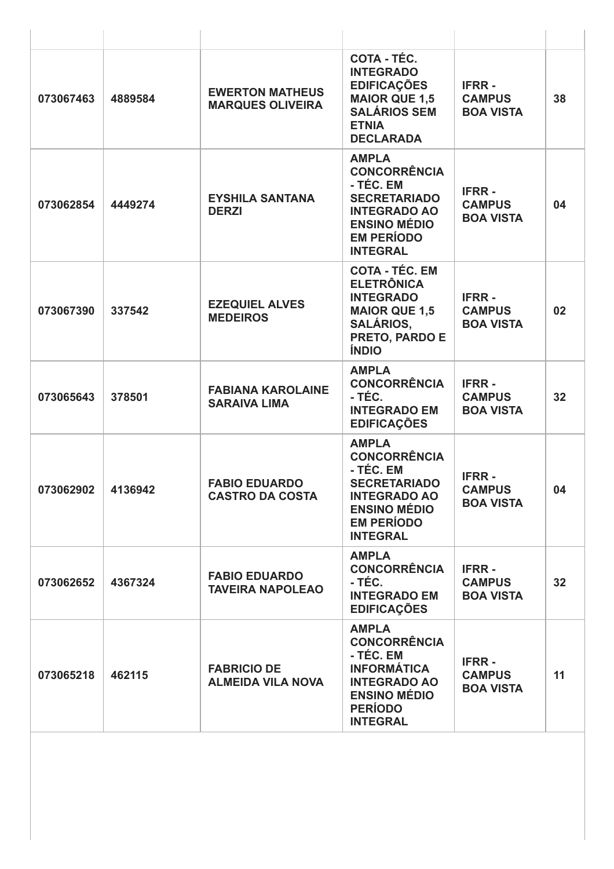| 073067463 | 4889584 | <b>EWERTON MATHEUS</b><br><b>MARQUES OLIVEIRA</b> | COTA - TÉC.<br><b>INTEGRADO</b><br><b>EDIFICAÇÕES</b><br><b>MAIOR QUE 1,5</b><br><b>SALÁRIOS SEM</b><br><b>ETNIA</b><br><b>DECLARADA</b>                      | <b>IFRR-</b><br><b>CAMPUS</b><br><b>BOA VISTA</b> | 38              |
|-----------|---------|---------------------------------------------------|---------------------------------------------------------------------------------------------------------------------------------------------------------------|---------------------------------------------------|-----------------|
| 073062854 | 4449274 | <b>EYSHILA SANTANA</b><br><b>DERZI</b>            | <b>AMPLA</b><br><b>CONCORRÊNCIA</b><br>- TÉC. EM<br><b>SECRETARIADO</b><br><b>INTEGRADO AO</b><br><b>ENSINO MÉDIO</b><br><b>EM PERÍODO</b><br><b>INTEGRAL</b> | <b>IFRR-</b><br><b>CAMPUS</b><br><b>BOA VISTA</b> | 04              |
| 073067390 | 337542  | <b>EZEQUIEL ALVES</b><br><b>MEDEIROS</b>          | <b>COTA - TÉC. EM</b><br><b>ELETRÔNICA</b><br><b>INTEGRADO</b><br><b>MAIOR QUE 1,5</b><br><b>SALÁRIOS,</b><br>PRETO, PARDO E<br><b>ÍNDIO</b>                  | <b>IFRR-</b><br><b>CAMPUS</b><br><b>BOA VISTA</b> | 02              |
| 073065643 | 378501  | <b>FABIANA KAROLAINE</b><br><b>SARAIVA LIMA</b>   | <b>AMPLA</b><br><b>CONCORRÊNCIA</b><br>- TÉC.<br><b>INTEGRADO EM</b><br><b>EDIFICAÇÕES</b>                                                                    | <b>IFRR-</b><br><b>CAMPUS</b><br><b>BOA VISTA</b> | 32              |
| 073062902 | 4136942 | <b>FABIO EDUARDO</b><br><b>CASTRO DA COSTA</b>    | <b>AMPLA</b><br><b>CONCORRÊNCIA</b><br>- TÉC. EM<br><b>SECRETARIADO</b><br><b>INTEGRADO AO</b><br><b>ENSINO MÉDIO</b><br><b>EM PERÍODO</b><br><b>INTEGRAL</b> | <b>IFRR-</b><br><b>CAMPUS</b><br><b>BOA VISTA</b> | 04              |
| 073062652 | 4367324 | <b>FABIO EDUARDO</b><br><b>TAVEIRA NAPOLEAO</b>   | <b>AMPLA</b><br><b>CONCORRÊNCIA</b><br>- TÉC.<br><b>INTEGRADO EM</b><br><b>EDIFICAÇÕES</b>                                                                    | <b>IFRR-</b><br><b>CAMPUS</b><br><b>BOA VISTA</b> | 32 <sub>2</sub> |
| 073065218 | 462115  | <b>FABRICIO DE</b><br><b>ALMEIDA VILA NOVA</b>    | <b>AMPLA</b><br><b>CONCORRÊNCIA</b><br>- TÉC. EM<br><b>INFORMÁTICA</b><br><b>INTEGRADO AO</b><br><b>ENSINO MÉDIO</b><br><b>PERÍODO</b><br><b>INTEGRAL</b>     | <b>IFRR-</b><br><b>CAMPUS</b><br><b>BOA VISTA</b> | 11              |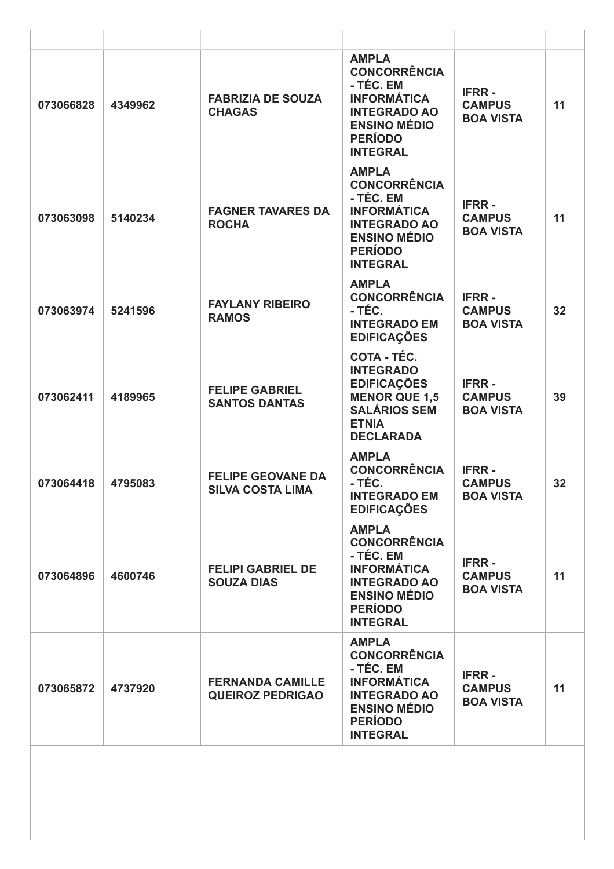| 073066828 | 4349962 | <b>FABRIZIA DE SOUZA</b><br><b>CHAGAS</b>           | <b>AMPLA</b><br><b>CONCORRÊNCIA</b><br>- TÉC. EM<br><b>INFORMÁTICA</b><br><b>INTEGRADO AO</b><br><b>ENSINO MÉDIO</b><br><b>PERÍODO</b><br><b>INTEGRAL</b> | <b>IFRR-</b><br><b>CAMPUS</b><br><b>BOA VISTA</b> | 11 |
|-----------|---------|-----------------------------------------------------|-----------------------------------------------------------------------------------------------------------------------------------------------------------|---------------------------------------------------|----|
| 073063098 | 5140234 | <b>FAGNER TAVARES DA</b><br><b>ROCHA</b>            | <b>AMPLA</b><br><b>CONCORRÊNCIA</b><br>- TÉC. EM<br><b>INFORMÁTICA</b><br><b>INTEGRADO AO</b><br><b>ENSINO MÉDIO</b><br><b>PERÍODO</b><br><b>INTEGRAL</b> | <b>IFRR-</b><br><b>CAMPUS</b><br><b>BOA VISTA</b> | 11 |
| 073063974 | 5241596 | <b>FAYLANY RIBEIRO</b><br><b>RAMOS</b>              | <b>AMPLA</b><br><b>CONCORRÊNCIA</b><br>- TÉC.<br><b>INTEGRADO EM</b><br><b>EDIFICAÇÕES</b>                                                                | <b>IFRR-</b><br><b>CAMPUS</b><br><b>BOA VISTA</b> | 32 |
| 073062411 | 4189965 | <b>FELIPE GABRIEL</b><br><b>SANTOS DANTAS</b>       | COTA - TÉC.<br><b>INTEGRADO</b><br><b>EDIFICAÇÕES</b><br><b>MENOR QUE 1,5</b><br><b>SALÁRIOS SEM</b><br><b>ETNIA</b><br><b>DECLARADA</b>                  | <b>IFRR-</b><br><b>CAMPUS</b><br><b>BOA VISTA</b> | 39 |
| 073064418 | 4795083 | <b>FELIPE GEOVANE DA</b><br><b>SILVA COSTA LIMA</b> | <b>AMPLA</b><br><b>CONCORRÊNCIA</b><br>- TÉC.<br><b>INTEGRADO EM</b><br><b>EDIFICAÇÕES</b>                                                                | <b>IFRR-</b><br><b>CAMPUS</b><br><b>BOA VISTA</b> | 32 |
| 073064896 | 4600746 | <b>FELIPI GABRIEL DE</b><br><b>SOUZA DIAS</b>       | <b>AMPLA</b><br><b>CONCORRÊNCIA</b><br>- TÉC. EM<br><b>INFORMÁTICA</b><br><b>INTEGRADO AO</b><br><b>ENSINO MÉDIO</b><br><b>PERÍODO</b><br><b>INTEGRAL</b> | <b>IFRR-</b><br><b>CAMPUS</b><br><b>BOA VISTA</b> | 11 |
| 073065872 | 4737920 | <b>FERNANDA CAMILLE</b><br><b>QUEIROZ PEDRIGAO</b>  | <b>AMPLA</b><br><b>CONCORRÊNCIA</b><br>- TÉC. EM<br><b>INFORMÁTICA</b><br><b>INTEGRADO AO</b><br><b>ENSINO MÉDIO</b><br><b>PERÍODO</b><br><b>INTEGRAL</b> | <b>IFRR-</b><br><b>CAMPUS</b><br><b>BOA VISTA</b> | 11 |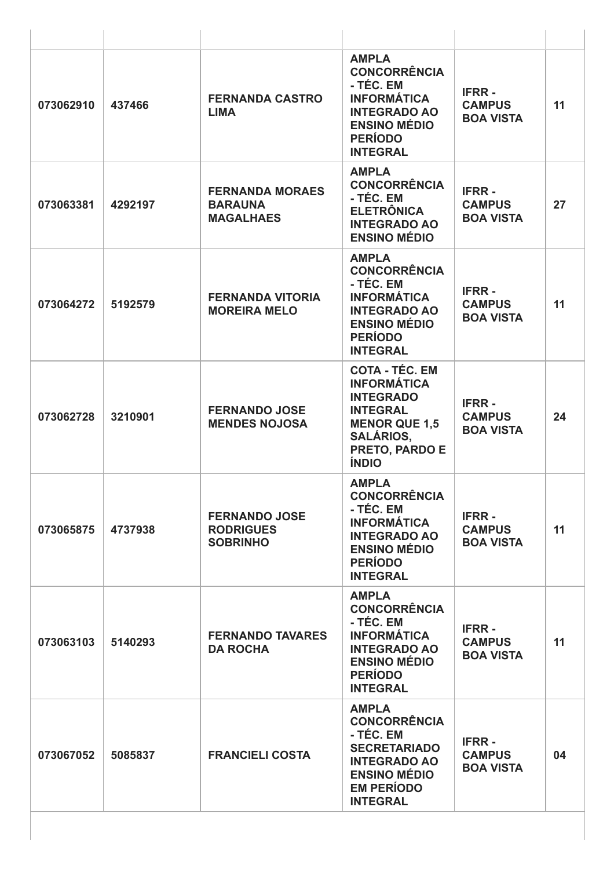| 073062910 | 437466  | <b>FERNANDA CASTRO</b><br><b>LIMA</b>                        | <b>AMPLA</b><br><b>CONCORRÊNCIA</b><br>- TÉC. EM<br><b>INFORMÁTICA</b><br><b>INTEGRADO AO</b><br><b>ENSINO MÉDIO</b><br><b>PERÍODO</b><br><b>INTEGRAL</b>        | <b>IFRR-</b><br><b>CAMPUS</b><br><b>BOA VISTA</b> | 11 |
|-----------|---------|--------------------------------------------------------------|------------------------------------------------------------------------------------------------------------------------------------------------------------------|---------------------------------------------------|----|
| 073063381 | 4292197 | <b>FERNANDA MORAES</b><br><b>BARAUNA</b><br><b>MAGALHAES</b> | <b>AMPLA</b><br><b>CONCORRÊNCIA</b><br>- TÉC. EM<br><b>ELETRÔNICA</b><br><b>INTEGRADO AO</b><br><b>ENSINO MÉDIO</b>                                              | <b>IFRR-</b><br><b>CAMPUS</b><br><b>BOA VISTA</b> | 27 |
| 073064272 | 5192579 | <b>FERNANDA VITORIA</b><br><b>MOREIRA MELO</b>               | <b>AMPLA</b><br><b>CONCORRÊNCIA</b><br>- TÉC. EM<br><b>INFORMÁTICA</b><br><b>INTEGRADO AO</b><br><b>ENSINO MÉDIO</b><br><b>PERÍODO</b><br><b>INTEGRAL</b>        | <b>IFRR-</b><br><b>CAMPUS</b><br><b>BOA VISTA</b> | 11 |
| 073062728 | 3210901 | <b>FERNANDO JOSE</b><br><b>MENDES NOJOSA</b>                 | <b>COTA - TÉC. EM</b><br><b>INFORMÁTICA</b><br><b>INTEGRADO</b><br><b>INTEGRAL</b><br><b>MENOR QUE 1,5</b><br><b>SALÁRIOS,</b><br>PRETO, PARDO E<br><b>ÍNDIO</b> | <b>IFRR-</b><br><b>CAMPUS</b><br><b>BOA VISTA</b> | 24 |
| 073065875 | 4737938 | <b>FERNANDO JOSE</b><br><b>RODRIGUES</b><br><b>SOBRINHO</b>  | <b>AMPLA</b><br><b>CONCORRÊNCIA</b><br>- TÉC. EM<br><b>INFORMÁTICA</b><br><b>INTEGRADO AO</b><br><b>ENSINO MÉDIO</b><br><b>PERÍODO</b><br><b>INTEGRAL</b>        | <b>IFRR-</b><br><b>CAMPUS</b><br><b>BOA VISTA</b> | 11 |
| 073063103 | 5140293 | <b>FERNANDO TAVARES</b><br><b>DA ROCHA</b>                   | <b>AMPLA</b><br><b>CONCORRÊNCIA</b><br>- TÉC. EM<br><b>INFORMÁTICA</b><br><b>INTEGRADO AO</b><br><b>ENSINO MÉDIO</b><br><b>PERÍODO</b><br><b>INTEGRAL</b>        | <b>IFRR-</b><br><b>CAMPUS</b><br><b>BOA VISTA</b> | 11 |
| 073067052 | 5085837 | <b>FRANCIELI COSTA</b>                                       | <b>AMPLA</b><br><b>CONCORRÊNCIA</b><br>- TÉC. EM<br><b>SECRETARIADO</b><br><b>INTEGRADO AO</b><br><b>ENSINO MÉDIO</b><br><b>EM PERÍODO</b><br><b>INTEGRAL</b>    | <b>IFRR-</b><br><b>CAMPUS</b><br><b>BOA VISTA</b> | 04 |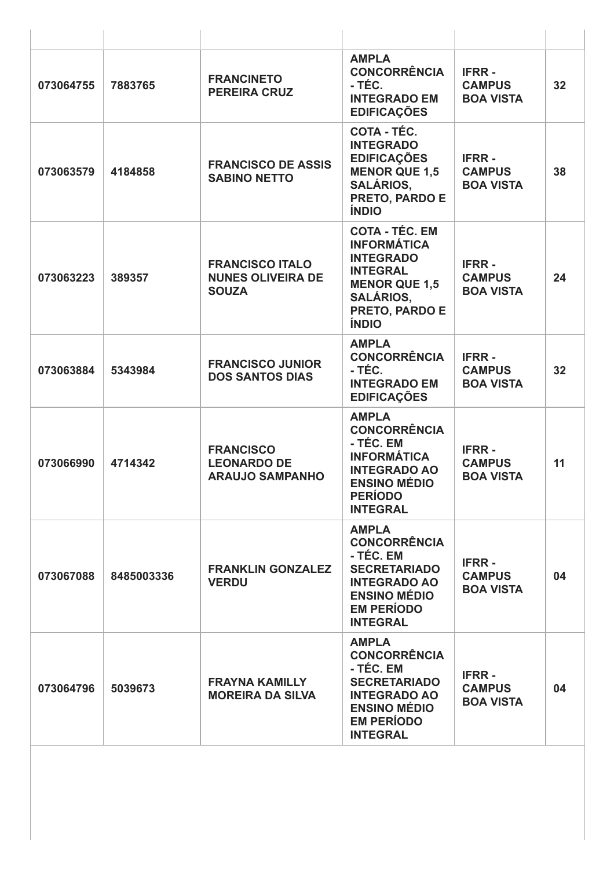| 073064755 | 7883765    | <b>FRANCINETO</b><br><b>PEREIRA CRUZ</b>                           | <b>AMPLA</b><br><b>CONCORRÊNCIA</b><br>- TÉC.<br><b>INTEGRADO EM</b><br><b>EDIFICAÇÕES</b>                                                                       | <b>IFRR-</b><br><b>CAMPUS</b><br><b>BOA VISTA</b> | 32 <sub>2</sub> |
|-----------|------------|--------------------------------------------------------------------|------------------------------------------------------------------------------------------------------------------------------------------------------------------|---------------------------------------------------|-----------------|
| 073063579 | 4184858    | <b>FRANCISCO DE ASSIS</b><br><b>SABINO NETTO</b>                   | COTA - TÉC.<br><b>INTEGRADO</b><br><b>EDIFICAÇÕES</b><br><b>MENOR QUE 1,5</b><br><b>SALÁRIOS,</b><br>PRETO, PARDO E<br><b>ÍNDIO</b>                              | <b>IFRR-</b><br><b>CAMPUS</b><br><b>BOA VISTA</b> | 38              |
| 073063223 | 389357     | <b>FRANCISCO ITALO</b><br><b>NUNES OLIVEIRA DE</b><br><b>SOUZA</b> | <b>COTA - TÉC. EM</b><br><b>INFORMÁTICA</b><br><b>INTEGRADO</b><br><b>INTEGRAL</b><br><b>MENOR QUE 1,5</b><br><b>SALÁRIOS,</b><br>PRETO, PARDO E<br><b>ÍNDIO</b> | <b>IFRR-</b><br><b>CAMPUS</b><br><b>BOA VISTA</b> | 24              |
| 073063884 | 5343984    | <b>FRANCISCO JUNIOR</b><br><b>DOS SANTOS DIAS</b>                  | <b>AMPLA</b><br><b>CONCORRÊNCIA</b><br>- TÉC.<br><b>INTEGRADO EM</b><br><b>EDIFICAÇÕES</b>                                                                       | <b>IFRR-</b><br><b>CAMPUS</b><br><b>BOA VISTA</b> | 32              |
| 073066990 | 4714342    | <b>FRANCISCO</b><br><b>LEONARDO DE</b><br><b>ARAUJO SAMPANHO</b>   | <b>AMPLA</b><br><b>CONCORRÊNCIA</b><br>- TÉC. EM<br><b>INFORMÁTICA</b><br><b>INTEGRADO AO</b><br><b>ENSINO MÉDIO</b><br><b>PERIODO</b><br><b>INTEGRAL</b>        | <b>IFRR-</b><br><b>CAMPUS</b><br><b>BOA VISTA</b> | 11              |
| 073067088 | 8485003336 | <b>FRANKLIN GONZALEZ</b><br><b>VERDU</b>                           | <b>AMPLA</b><br><b>CONCORRÊNCIA</b><br>- TÉC. EM<br><b>SECRETARIADO</b><br><b>INTEGRADO AO</b><br><b>ENSINO MÉDIO</b><br><b>EM PERÍODO</b><br><b>INTEGRAL</b>    | <b>IFRR-</b><br><b>CAMPUS</b><br><b>BOA VISTA</b> | 04              |
| 073064796 | 5039673    | <b>FRAYNA KAMILLY</b><br><b>MOREIRA DA SILVA</b>                   | <b>AMPLA</b><br><b>CONCORRÊNCIA</b><br>- TÉC. EM<br><b>SECRETARIADO</b><br><b>INTEGRADO AO</b><br><b>ENSINO MÉDIO</b><br><b>EM PERÍODO</b><br><b>INTEGRAL</b>    | <b>IFRR-</b><br><b>CAMPUS</b><br><b>BOA VISTA</b> | 04              |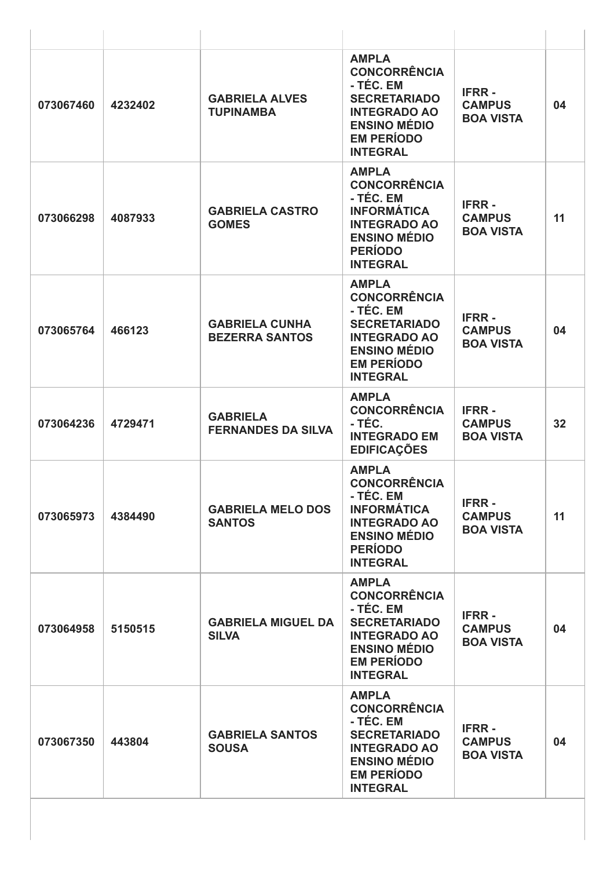| 073067460 | 4232402 | <b>GABRIELA ALVES</b><br><b>TUPINAMBA</b>      | <b>AMPLA</b><br><b>CONCORRÊNCIA</b><br>- TÉC. EM<br><b>SECRETARIADO</b><br><b>INTEGRADO AO</b><br><b>ENSINO MÉDIO</b><br><b>EM PERÍODO</b><br><b>INTEGRAL</b> | <b>IFRR-</b><br><b>CAMPUS</b><br><b>BOA VISTA</b> | 04 |
|-----------|---------|------------------------------------------------|---------------------------------------------------------------------------------------------------------------------------------------------------------------|---------------------------------------------------|----|
| 073066298 | 4087933 | <b>GABRIELA CASTRO</b><br><b>GOMES</b>         | <b>AMPLA</b><br><b>CONCORRÊNCIA</b><br>- TÉC. EM<br><b>INFORMÁTICA</b><br><b>INTEGRADO AO</b><br><b>ENSINO MÉDIO</b><br><b>PERÍODO</b><br><b>INTEGRAL</b>     | <b>IFRR-</b><br><b>CAMPUS</b><br><b>BOA VISTA</b> | 11 |
| 073065764 | 466123  | <b>GABRIELA CUNHA</b><br><b>BEZERRA SANTOS</b> | <b>AMPLA</b><br><b>CONCORRÊNCIA</b><br>- TÉC. EM<br><b>SECRETARIADO</b><br><b>INTEGRADO AO</b><br><b>ENSINO MÉDIO</b><br><b>EM PERÍODO</b><br><b>INTEGRAL</b> | <b>IFRR-</b><br><b>CAMPUS</b><br><b>BOA VISTA</b> | 04 |
| 073064236 | 4729471 | <b>GABRIELA</b><br><b>FERNANDES DA SILVA</b>   | <b>AMPLA</b><br><b>CONCORRÊNCIA</b><br>- TÉC.<br><b>INTEGRADO EM</b><br><b>EDIFICAÇÕES</b>                                                                    | <b>IFRR-</b><br><b>CAMPUS</b><br><b>BOA VISTA</b> | 32 |
| 073065973 | 4384490 | <b>GABRIELA MELO DOS</b><br><b>SANTOS</b>      | <b>AMPLA</b><br><b>CONCORRÊNCIA</b><br>- TÉC. EM<br><b>INFORMÁTICA</b><br><b>INTEGRADO AO</b><br><b>ENSINO MÉDIO</b><br><b>PERÍODO</b><br><b>INTEGRAL</b>     | <b>IFRR-</b><br><b>CAMPUS</b><br><b>BOA VISTA</b> | 11 |
| 073064958 | 5150515 | <b>GABRIELA MIGUEL DA</b><br><b>SILVA</b>      | <b>AMPLA</b><br><b>CONCORRÊNCIA</b><br>- TÉC. EM<br><b>SECRETARIADO</b><br><b>INTEGRADO AO</b><br><b>ENSINO MÉDIO</b><br><b>EM PERÍODO</b><br><b>INTEGRAL</b> | <b>IFRR-</b><br><b>CAMPUS</b><br><b>BOA VISTA</b> | 04 |
| 073067350 | 443804  | <b>GABRIELA SANTOS</b><br><b>SOUSA</b>         | <b>AMPLA</b><br><b>CONCORRÊNCIA</b><br>- TÉC. EM<br><b>SECRETARIADO</b><br><b>INTEGRADO AO</b><br><b>ENSINO MÉDIO</b><br><b>EM PERÍODO</b><br><b>INTEGRAL</b> | <b>IFRR-</b><br><b>CAMPUS</b><br><b>BOA VISTA</b> | 04 |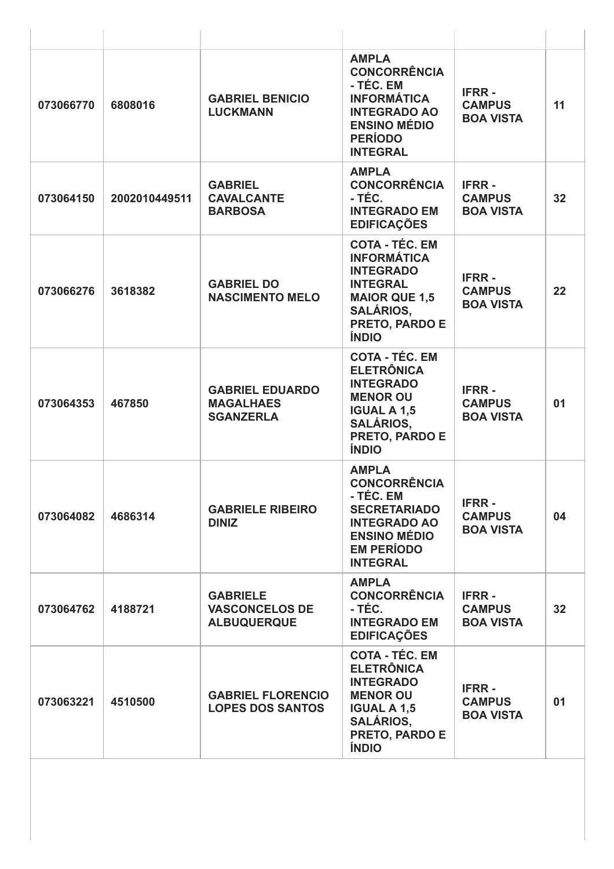| 073066770 | 6808016       | <b>GABRIEL BENICIO</b><br><b>LUCKMANN</b>                      | <b>AMPLA</b><br><b>CONCORRÊNCIA</b><br>- TÉC. EM<br><b>INFORMÁTICA</b><br><b>INTEGRADO AO</b><br><b>ENSINO MÉDIO</b><br><b>PERÍODO</b><br><b>INTEGRAL</b>        | <b>IFRR-</b><br><b>CAMPUS</b><br><b>BOA VISTA</b> | 11 |
|-----------|---------------|----------------------------------------------------------------|------------------------------------------------------------------------------------------------------------------------------------------------------------------|---------------------------------------------------|----|
| 073064150 | 2002010449511 | <b>GABRIEL</b><br><b>CAVALCANTE</b><br><b>BARBOSA</b>          | <b>AMPLA</b><br><b>CONCORRÊNCIA</b><br>- TÉC.<br><b>INTEGRADO EM</b><br><b>EDIFICAÇÕES</b>                                                                       | <b>IFRR-</b><br><b>CAMPUS</b><br><b>BOA VISTA</b> | 32 |
| 073066276 | 3618382       | <b>GABRIEL DO</b><br><b>NASCIMENTO MELO</b>                    | <b>COTA - TÉC. EM</b><br><b>INFORMÁTICA</b><br><b>INTEGRADO</b><br><b>INTEGRAL</b><br><b>MAIOR QUE 1,5</b><br><b>SALÁRIOS,</b><br>PRETO, PARDO E<br><b>ÍNDIO</b> | <b>IFRR-</b><br><b>CAMPUS</b><br><b>BOA VISTA</b> | 22 |
| 073064353 | 467850        | <b>GABRIEL EDUARDO</b><br><b>MAGALHAES</b><br><b>SGANZERLA</b> | <b>COTA - TÉC. EM</b><br><b>ELETRÔNICA</b><br><b>INTEGRADO</b><br><b>MENOR OU</b><br><b>IGUAL A 1,5</b><br><b>SALÁRIOS,</b><br>PRETO, PARDO E<br><b>ÍNDIO</b>    | <b>IFRR-</b><br><b>CAMPUS</b><br><b>BOA VISTA</b> | 01 |
| 073064082 | 4686314       | <b>GABRIELE RIBEIRO</b><br><b>DINIZ</b>                        | <b>AMPLA</b><br><b>CONCORRÊNCIA</b><br>- TÉC. EM<br><b>SECRETARIADO</b><br><b>INTEGRADO AO</b><br><b>ENSINO MÉDIO</b><br><b>EM PERÍODO</b><br><b>INTEGRAL</b>    | <b>IFRR-</b><br><b>CAMPUS</b><br><b>BOA VISTA</b> | 04 |
| 073064762 | 4188721       | <b>GABRIELE</b><br><b>VASCONCELOS DE</b><br><b>ALBUQUERQUE</b> | <b>AMPLA</b><br><b>CONCORRÊNCIA</b><br>- TÉC.<br><b>INTEGRADO EM</b><br><b>EDIFICAÇÕES</b>                                                                       | <b>IFRR-</b><br><b>CAMPUS</b><br><b>BOA VISTA</b> | 32 |
| 073063221 | 4510500       | <b>GABRIEL FLORENCIO</b><br><b>LOPES DOS SANTOS</b>            | <b>COTA - TÉC. EM</b><br><b>ELETRÔNICA</b><br><b>INTEGRADO</b><br><b>MENOR OU</b><br><b>IGUAL A 1,5</b><br><b>SALÁRIOS,</b><br>PRETO, PARDO E<br><b>ÍNDIO</b>    | <b>IFRR-</b><br><b>CAMPUS</b><br><b>BOA VISTA</b> | 01 |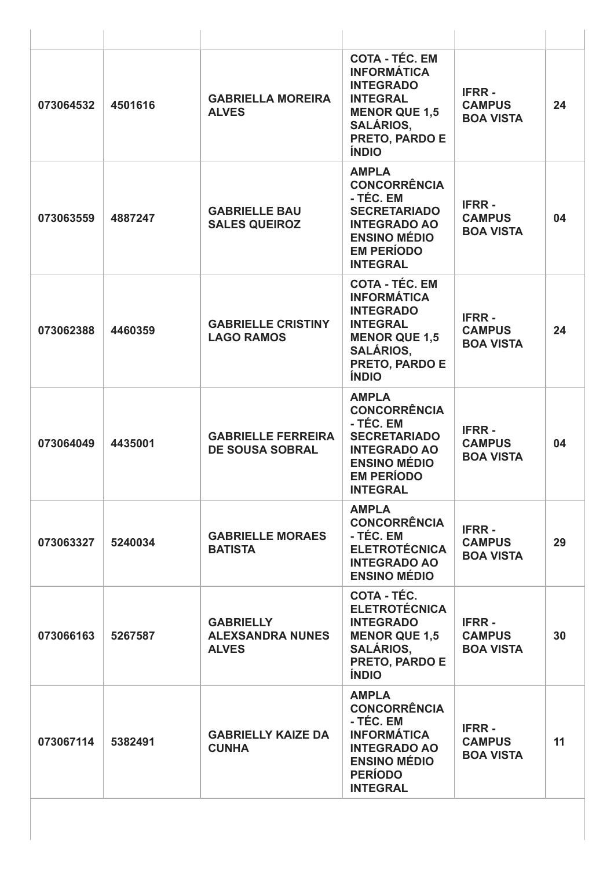| 073064532 | 4501616 | <b>GABRIELLA MOREIRA</b><br><b>ALVES</b>                    | <b>COTA - TÉC. EM</b><br><b>INFORMÁTICA</b><br><b>INTEGRADO</b><br><b>INTEGRAL</b><br><b>MENOR QUE 1,5</b><br><b>SALÁRIOS,</b><br>PRETO, PARDO E<br><b>ÍNDIO</b> | <b>IFRR-</b><br><b>CAMPUS</b><br><b>BOA VISTA</b> | 24 |
|-----------|---------|-------------------------------------------------------------|------------------------------------------------------------------------------------------------------------------------------------------------------------------|---------------------------------------------------|----|
| 073063559 | 4887247 | <b>GABRIELLE BAU</b><br><b>SALES QUEIROZ</b>                | <b>AMPLA</b><br><b>CONCORRÊNCIA</b><br>- TÉC. EM<br><b>SECRETARIADO</b><br><b>INTEGRADO AO</b><br><b>ENSINO MÉDIO</b><br><b>EM PERÍODO</b><br><b>INTEGRAL</b>    | <b>IFRR-</b><br><b>CAMPUS</b><br><b>BOA VISTA</b> | 04 |
| 073062388 | 4460359 | <b>GABRIELLE CRISTINY</b><br><b>LAGO RAMOS</b>              | <b>COTA - TÉC. EM</b><br><b>INFORMÁTICA</b><br><b>INTEGRADO</b><br><b>INTEGRAL</b><br><b>MENOR QUE 1,5</b><br><b>SALÁRIOS,</b><br>PRETO, PARDO E<br><b>ÍNDIO</b> | <b>IFRR-</b><br><b>CAMPUS</b><br><b>BOA VISTA</b> | 24 |
| 073064049 | 4435001 | <b>GABRIELLE FERREIRA</b><br><b>DE SOUSA SOBRAL</b>         | <b>AMPLA</b><br><b>CONCORRÊNCIA</b><br>- TÉC. EM<br><b>SECRETARIADO</b><br><b>INTEGRADO AO</b><br><b>ENSINO MÉDIO</b><br><b>EM PERÍODO</b><br><b>INTEGRAL</b>    | <b>IFRR-</b><br><b>CAMPUS</b><br><b>BOA VISTA</b> | 04 |
| 073063327 | 5240034 | <b>GABRIELLE MORAES</b><br><b>BATISTA</b>                   | <b>AMPLA</b><br><b>CONCORRÊNCIA</b><br>- TÉC. EM<br><b>ELETROTÉCNICA</b><br><b>INTEGRADO AO</b><br><b>ENSINO MÉDIO</b>                                           | <b>IFRR-</b><br><b>CAMPUS</b><br><b>BOA VISTA</b> | 29 |
| 073066163 | 5267587 | <b>GABRIELLY</b><br><b>ALEXSANDRA NUNES</b><br><b>ALVES</b> | COTA - TÉC.<br><b>ELETROTÉCNICA</b><br><b>INTEGRADO</b><br><b>MENOR QUE 1,5</b><br><b>SALÁRIOS,</b><br>PRETO, PARDO E<br><b>ÍNDIO</b>                            | <b>IFRR-</b><br><b>CAMPUS</b><br><b>BOA VISTA</b> | 30 |
| 073067114 | 5382491 | <b>GABRIELLY KAIZE DA</b><br><b>CUNHA</b>                   | <b>AMPLA</b><br><b>CONCORRÊNCIA</b><br>- TÉC. EM<br><b>INFORMÁTICA</b><br><b>INTEGRADO AO</b><br><b>ENSINO MÉDIO</b><br><b>PERÍODO</b><br><b>INTEGRAL</b>        | <b>IFRR-</b><br><b>CAMPUS</b><br><b>BOA VISTA</b> | 11 |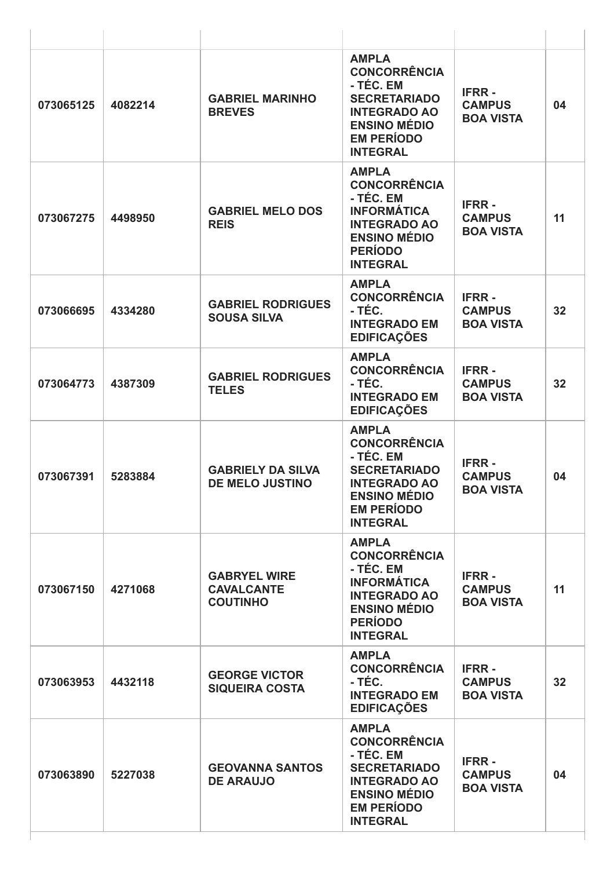| 073065125 | 4082214 | <b>GABRIEL MARINHO</b><br><b>BREVES</b>                     | <b>AMPLA</b><br><b>CONCORRÊNCIA</b><br>- TÉC. EM<br><b>SECRETARIADO</b><br><b>INTEGRADO AO</b><br><b>ENSINO MÉDIO</b><br><b>EM PERÍODO</b><br><b>INTEGRAL</b> | <b>IFRR-</b><br><b>CAMPUS</b><br><b>BOA VISTA</b> | 04              |
|-----------|---------|-------------------------------------------------------------|---------------------------------------------------------------------------------------------------------------------------------------------------------------|---------------------------------------------------|-----------------|
| 073067275 | 4498950 | <b>GABRIEL MELO DOS</b><br><b>REIS</b>                      | <b>AMPLA</b><br><b>CONCORRÊNCIA</b><br>- TÉC. EM<br><b>INFORMÁTICA</b><br><b>INTEGRADO AO</b><br><b>ENSINO MÉDIO</b><br><b>PERÍODO</b><br><b>INTEGRAL</b>     | <b>IFRR-</b><br><b>CAMPUS</b><br><b>BOA VISTA</b> | 11              |
| 073066695 | 4334280 | <b>GABRIEL RODRIGUES</b><br><b>SOUSA SILVA</b>              | <b>AMPLA</b><br><b>CONCORRÊNCIA</b><br>- TÉC.<br><b>INTEGRADO EM</b><br><b>EDIFICAÇÕES</b>                                                                    | <b>IFRR-</b><br><b>CAMPUS</b><br><b>BOA VISTA</b> | 32              |
| 073064773 | 4387309 | <b>GABRIEL RODRIGUES</b><br><b>TELES</b>                    | <b>AMPLA</b><br><b>CONCORRÊNCIA</b><br>- TÉC.<br><b>INTEGRADO EM</b><br><b>EDIFICAÇÕES</b>                                                                    | <b>IFRR-</b><br><b>CAMPUS</b><br><b>BOA VISTA</b> | 32              |
| 073067391 | 5283884 | <b>GABRIELY DA SILVA</b><br><b>DE MELO JUSTINO</b>          | <b>AMPLA</b><br><b>CONCORRÊNCIA</b><br>- TÉC. EM<br><b>SECRETARIADO</b><br><b>INTEGRADO AO</b><br><b>ENSINO MÉDIO</b><br><b>EM PERÍODO</b><br><b>INTEGRAL</b> | <b>IFRR-</b><br><b>CAMPUS</b><br><b>BOA VISTA</b> | 04              |
| 073067150 | 4271068 | <b>GABRYEL WIRE</b><br><b>CAVALCANTE</b><br><b>COUTINHO</b> | <b>AMPLA</b><br><b>CONCORRÊNCIA</b><br>- TÉC. EM<br><b>INFORMÁTICA</b><br><b>INTEGRADO AO</b><br><b>ENSINO MÉDIO</b><br><b>PERÍODO</b><br><b>INTEGRAL</b>     | <b>IFRR-</b><br><b>CAMPUS</b><br><b>BOA VISTA</b> | 11              |
| 073063953 | 4432118 | <b>GEORGE VICTOR</b><br><b>SIQUEIRA COSTA</b>               | <b>AMPLA</b><br><b>CONCORRÊNCIA</b><br>- TÉC.<br><b>INTEGRADO EM</b><br><b>EDIFICAÇÕES</b>                                                                    | <b>IFRR-</b><br><b>CAMPUS</b><br><b>BOA VISTA</b> | 32 <sub>2</sub> |
| 073063890 | 5227038 | <b>GEOVANNA SANTOS</b><br><b>DE ARAUJO</b>                  | <b>AMPLA</b><br><b>CONCORRÊNCIA</b><br>- TÉC. EM<br><b>SECRETARIADO</b><br><b>INTEGRADO AO</b><br><b>ENSINO MÉDIO</b><br><b>EM PERÍODO</b><br><b>INTEGRAL</b> | <b>IFRR-</b><br><b>CAMPUS</b><br><b>BOA VISTA</b> | 04              |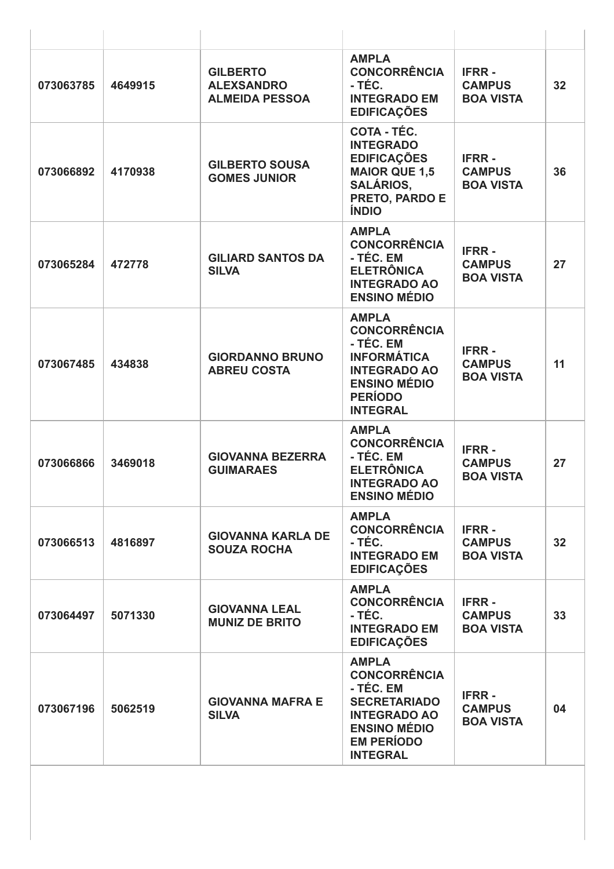| 073063785 | 4649915 | <b>GILBERTO</b><br><b>ALEXSANDRO</b><br><b>ALMEIDA PESSOA</b> | <b>AMPLA</b><br><b>CONCORRÊNCIA</b><br>- TÉC.<br><b>INTEGRADO EM</b><br><b>EDIFICAÇÕES</b>                                                                    | <b>IFRR-</b><br><b>CAMPUS</b><br><b>BOA VISTA</b> | 32 |
|-----------|---------|---------------------------------------------------------------|---------------------------------------------------------------------------------------------------------------------------------------------------------------|---------------------------------------------------|----|
| 073066892 | 4170938 | <b>GILBERTO SOUSA</b><br><b>GOMES JUNIOR</b>                  | COTA - TÉC.<br><b>INTEGRADO</b><br><b>EDIFICAÇÕES</b><br><b>MAIOR QUE 1,5</b><br><b>SALÁRIOS,</b><br>PRETO, PARDO E<br><b>ÍNDIO</b>                           | <b>IFRR-</b><br><b>CAMPUS</b><br><b>BOA VISTA</b> | 36 |
| 073065284 | 472778  | <b>GILIARD SANTOS DA</b><br><b>SILVA</b>                      | <b>AMPLA</b><br><b>CONCORRÊNCIA</b><br>- TÉC. EM<br><b>ELETRÔNICA</b><br><b>INTEGRADO AO</b><br><b>ENSINO MÉDIO</b>                                           | <b>IFRR-</b><br><b>CAMPUS</b><br><b>BOA VISTA</b> | 27 |
| 073067485 | 434838  | <b>GIORDANNO BRUNO</b><br><b>ABREU COSTA</b>                  | <b>AMPLA</b><br><b>CONCORRÊNCIA</b><br>- TÉC. EM<br><b>INFORMÁTICA</b><br><b>INTEGRADO AO</b><br><b>ENSINO MÉDIO</b><br><b>PERÍODO</b><br><b>INTEGRAL</b>     | <b>IFRR-</b><br><b>CAMPUS</b><br><b>BOA VISTA</b> | 11 |
| 073066866 | 3469018 | <b>GIOVANNA BEZERRA</b><br><b>GUIMARAES</b>                   | <b>AMPLA</b><br><b>CONCORRÊNCIA</b><br>- TÉC. EM<br><b>ELETRÔNICA</b><br><b>INTEGRADO AO</b><br><b>ENSINO MÉDIO</b>                                           | <b>IFRR-</b><br><b>CAMPUS</b><br><b>BOA VISTA</b> | 27 |
| 073066513 | 4816897 | <b>GIOVANNA KARLA DE</b><br><b>SOUZA ROCHA</b>                | <b>AMPLA</b><br><b>CONCORRÊNCIA</b><br>- TÉC.<br><b>INTEGRADO EM</b><br><b>EDIFICAÇÕES</b>                                                                    | <b>IFRR-</b><br><b>CAMPUS</b><br><b>BOA VISTA</b> | 32 |
| 073064497 | 5071330 | <b>GIOVANNA LEAL</b><br><b>MUNIZ DE BRITO</b>                 | <b>AMPLA</b><br><b>CONCORRÊNCIA</b><br>- TÉC.<br><b>INTEGRADO EM</b><br><b>EDIFICAÇÕES</b>                                                                    | <b>IFRR-</b><br><b>CAMPUS</b><br><b>BOA VISTA</b> | 33 |
| 073067196 | 5062519 | <b>GIOVANNA MAFRA E</b><br><b>SILVA</b>                       | <b>AMPLA</b><br><b>CONCORRÊNCIA</b><br>- TÉC. EM<br><b>SECRETARIADO</b><br><b>INTEGRADO AO</b><br><b>ENSINO MÉDIO</b><br><b>EM PERÍODO</b><br><b>INTEGRAL</b> | <b>IFRR-</b><br><b>CAMPUS</b><br><b>BOA VISTA</b> | 04 |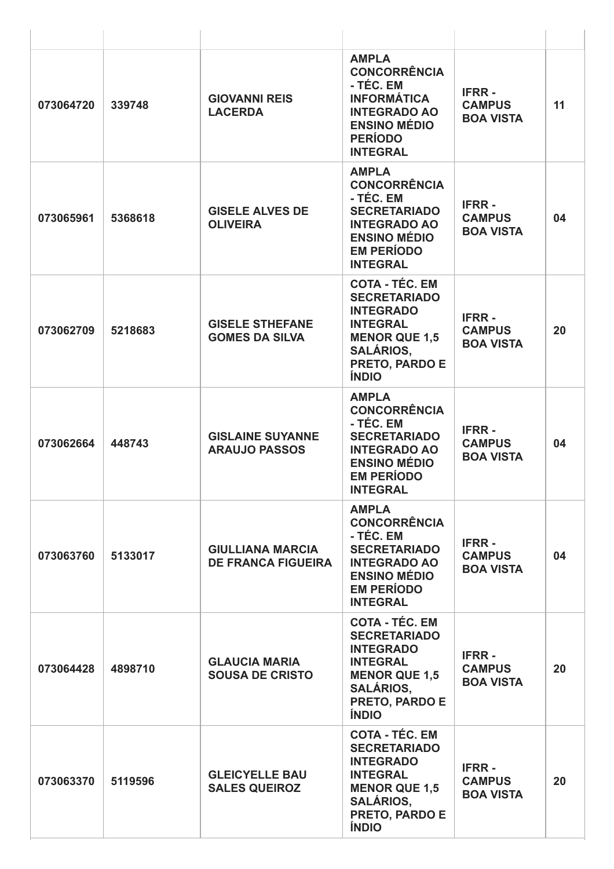| 073064720 | 339748  | <b>GIOVANNI REIS</b><br><b>LACERDA</b>               | <b>AMPLA</b><br><b>CONCORRÊNCIA</b><br>- TÉC. EM<br><b>INFORMÁTICA</b><br><b>INTEGRADO AO</b><br><b>ENSINO MÉDIO</b><br><b>PERÍODO</b><br><b>INTEGRAL</b>         | <b>IFRR-</b><br><b>CAMPUS</b><br><b>BOA VISTA</b> | 11 |
|-----------|---------|------------------------------------------------------|-------------------------------------------------------------------------------------------------------------------------------------------------------------------|---------------------------------------------------|----|
| 073065961 | 5368618 | <b>GISELE ALVES DE</b><br><b>OLIVEIRA</b>            | <b>AMPLA</b><br><b>CONCORRÊNCIA</b><br>- TÉC. EM<br><b>SECRETARIADO</b><br><b>INTEGRADO AO</b><br><b>ENSINO MÉDIO</b><br><b>EM PERÍODO</b><br><b>INTEGRAL</b>     | <b>IFRR-</b><br><b>CAMPUS</b><br><b>BOA VISTA</b> | 04 |
| 073062709 | 5218683 | <b>GISELE STHEFANE</b><br><b>GOMES DA SILVA</b>      | <b>COTA - TÉC. EM</b><br><b>SECRETARIADO</b><br><b>INTEGRADO</b><br><b>INTEGRAL</b><br><b>MENOR QUE 1,5</b><br><b>SALÁRIOS,</b><br>PRETO, PARDO E<br><b>ÍNDIO</b> | <b>IFRR-</b><br><b>CAMPUS</b><br><b>BOA VISTA</b> | 20 |
| 073062664 | 448743  | <b>GISLAINE SUYANNE</b><br><b>ARAUJO PASSOS</b>      | <b>AMPLA</b><br><b>CONCORRÊNCIA</b><br>- TÉC. EM<br><b>SECRETARIADO</b><br><b>INTEGRADO AO</b><br><b>ENSINO MÉDIO</b><br><b>EM PERÍODO</b><br><b>INTEGRAL</b>     | <b>IFRR-</b><br><b>CAMPUS</b><br><b>BOA VISTA</b> | 04 |
| 073063760 | 5133017 | <b>GIULLIANA MARCIA</b><br><b>DE FRANCA FIGUEIRA</b> | <b>AMPLA</b><br><b>CONCORRÊNCIA</b><br>- TÉC. EM<br><b>SECRETARIADO</b><br><b>INTEGRADO AO</b><br><b>ENSINO MÉDIO</b><br><b>EM PERÍODO</b><br><b>INTEGRAL</b>     | <b>IFRR-</b><br><b>CAMPUS</b><br><b>BOA VISTA</b> | 04 |
| 073064428 | 4898710 | <b>GLAUCIA MARIA</b><br><b>SOUSA DE CRISTO</b>       | <b>COTA - TÉC. EM</b><br><b>SECRETARIADO</b><br><b>INTEGRADO</b><br><b>INTEGRAL</b><br><b>MENOR QUE 1,5</b><br><b>SALÁRIOS,</b><br>PRETO, PARDO E<br><b>ÍNDIO</b> | <b>IFRR-</b><br><b>CAMPUS</b><br><b>BOA VISTA</b> | 20 |
| 073063370 | 5119596 | <b>GLEICYELLE BAU</b><br><b>SALES QUEIROZ</b>        | <b>COTA - TÉC. EM</b><br><b>SECRETARIADO</b><br><b>INTEGRADO</b><br><b>INTEGRAL</b><br><b>MENOR QUE 1,5</b><br><b>SALÁRIOS,</b><br>PRETO, PARDO E<br><b>ÍNDIO</b> | <b>IFRR-</b><br><b>CAMPUS</b><br><b>BOA VISTA</b> | 20 |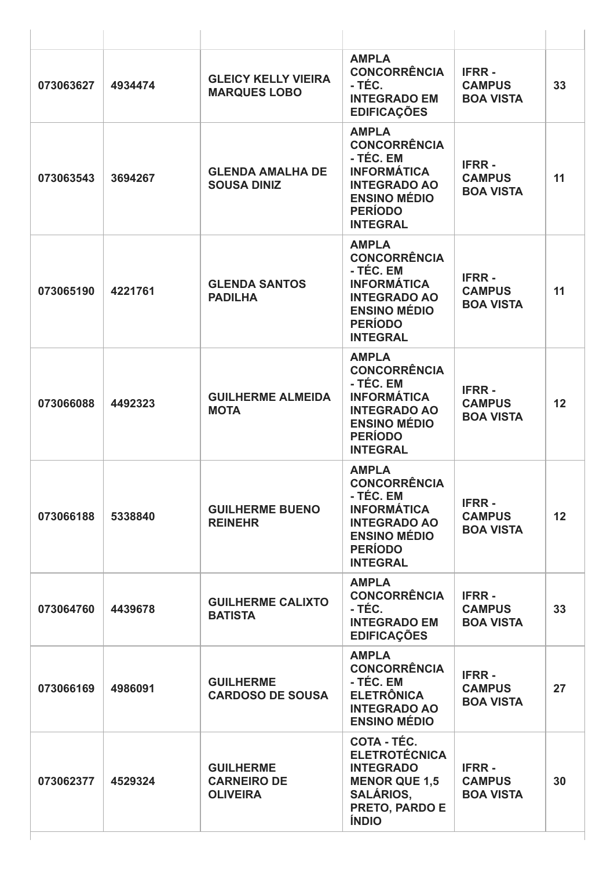| 073063627 | 4934474 | <b>GLEICY KELLY VIEIRA</b><br><b>MARQUES LOBO</b>         | <b>AMPLA</b><br><b>CONCORRÊNCIA</b><br>- TÉC.<br><b>INTEGRADO EM</b><br><b>EDIFICAÇÕES</b>                                                                | <b>IFRR-</b><br><b>CAMPUS</b><br><b>BOA VISTA</b> | 33              |
|-----------|---------|-----------------------------------------------------------|-----------------------------------------------------------------------------------------------------------------------------------------------------------|---------------------------------------------------|-----------------|
| 073063543 | 3694267 | <b>GLENDA AMALHA DE</b><br><b>SOUSA DINIZ</b>             | <b>AMPLA</b><br><b>CONCORRÊNCIA</b><br>- TÉC. EM<br><b>INFORMÁTICA</b><br><b>INTEGRADO AO</b><br><b>ENSINO MÉDIO</b><br><b>PERÍODO</b><br><b>INTEGRAL</b> | <b>IFRR-</b><br><b>CAMPUS</b><br><b>BOA VISTA</b> | 11              |
| 073065190 | 4221761 | <b>GLENDA SANTOS</b><br><b>PADILHA</b>                    | <b>AMPLA</b><br><b>CONCORRÊNCIA</b><br>- TÉC. EM<br><b>INFORMÁTICA</b><br><b>INTEGRADO AO</b><br><b>ENSINO MÉDIO</b><br><b>PERÍODO</b><br><b>INTEGRAL</b> | <b>IFRR-</b><br><b>CAMPUS</b><br><b>BOA VISTA</b> | 11              |
| 073066088 | 4492323 | <b>GUILHERME ALMEIDA</b><br><b>MOTA</b>                   | <b>AMPLA</b><br><b>CONCORRÊNCIA</b><br>- TÉC. EM<br><b>INFORMÁTICA</b><br><b>INTEGRADO AO</b><br><b>ENSINO MÉDIO</b><br><b>PERÍODO</b><br><b>INTEGRAL</b> | <b>IFRR-</b><br><b>CAMPUS</b><br><b>BOA VISTA</b> | 12              |
| 073066188 | 5338840 | <b>GUILHERME BUENO</b><br><b>REINEHR</b>                  | <b>AMPLA</b><br><b>CONCORRÊNCIA</b><br>- TÉC. EM<br><b>INFORMÁTICA</b><br><b>INTEGRADO AO</b><br><b>ENSINO MÉDIO</b><br><b>PERÍODO</b><br><b>INTEGRAL</b> | <b>IFRR-</b><br><b>CAMPUS</b><br><b>BOA VISTA</b> | 12 <sub>2</sub> |
| 073064760 | 4439678 | <b>GUILHERME CALIXTO</b><br><b>BATISTA</b>                | <b>AMPLA</b><br><b>CONCORRÊNCIA</b><br>- TÉC.<br><b>INTEGRADO EM</b><br><b>EDIFICAÇÕES</b>                                                                | <b>IFRR-</b><br><b>CAMPUS</b><br><b>BOA VISTA</b> | 33              |
| 073066169 | 4986091 | <b>GUILHERME</b><br><b>CARDOSO DE SOUSA</b>               | <b>AMPLA</b><br><b>CONCORRÊNCIA</b><br>- TÉC. EM<br><b>ELETRÔNICA</b><br><b>INTEGRADO AO</b><br><b>ENSINO MÉDIO</b>                                       | <b>IFRR-</b><br><b>CAMPUS</b><br><b>BOA VISTA</b> | 27              |
| 073062377 | 4529324 | <b>GUILHERME</b><br><b>CARNEIRO DE</b><br><b>OLIVEIRA</b> | <b>COTA - TÉC.</b><br><b>ELETROTÉCNICA</b><br><b>INTEGRADO</b><br><b>MENOR QUE 1,5</b><br><b>SALÁRIOS,</b><br>PRETO, PARDO E<br><b>ÍNDIO</b>              | <b>IFRR-</b><br><b>CAMPUS</b><br><b>BOA VISTA</b> | 30              |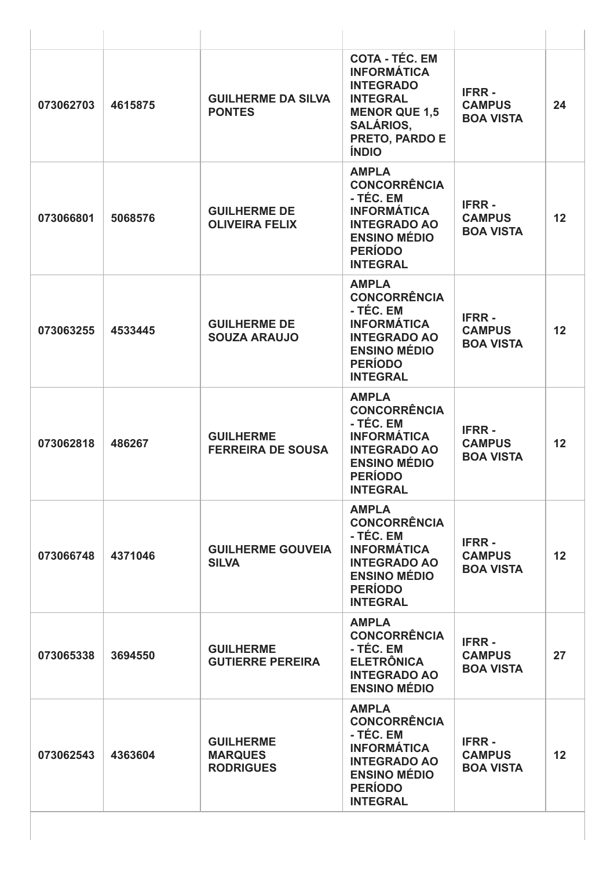| 073062703 | 4615875 | <b>GUILHERME DA SILVA</b><br><b>PONTES</b>             | <b>COTA - TÉC. EM</b><br><b>INFORMÁTICA</b><br><b>INTEGRADO</b><br><b>INTEGRAL</b><br><b>MENOR QUE 1,5</b><br><b>SALÁRIOS,</b><br>PRETO, PARDO E<br><b>ÍNDIO</b> | <b>IFRR-</b><br><b>CAMPUS</b><br><b>BOA VISTA</b> | 24 |
|-----------|---------|--------------------------------------------------------|------------------------------------------------------------------------------------------------------------------------------------------------------------------|---------------------------------------------------|----|
| 073066801 | 5068576 | <b>GUILHERME DE</b><br><b>OLIVEIRA FELIX</b>           | <b>AMPLA</b><br><b>CONCORRÊNCIA</b><br>- TÉC. EM<br><b>INFORMÁTICA</b><br><b>INTEGRADO AO</b><br><b>ENSINO MÉDIO</b><br><b>PERÍODO</b><br><b>INTEGRAL</b>        | <b>IFRR-</b><br><b>CAMPUS</b><br><b>BOA VISTA</b> | 12 |
| 073063255 | 4533445 | <b>GUILHERME DE</b><br><b>SOUZA ARAUJO</b>             | <b>AMPLA</b><br><b>CONCORRÊNCIA</b><br>- TÉC. EM<br><b>INFORMÁTICA</b><br><b>INTEGRADO AO</b><br><b>ENSINO MÉDIO</b><br><b>PERÍODO</b><br><b>INTEGRAL</b>        | <b>IFRR-</b><br><b>CAMPUS</b><br><b>BOA VISTA</b> | 12 |
| 073062818 | 486267  | <b>GUILHERME</b><br><b>FERREIRA DE SOUSA</b>           | <b>AMPLA</b><br><b>CONCORRÊNCIA</b><br>- TÉC. EM<br><b>INFORMÁTICA</b><br><b>INTEGRADO AO</b><br><b>ENSINO MÉDIO</b><br><b>PERÍODO</b><br><b>INTEGRAL</b>        | <b>IFRR-</b><br><b>CAMPUS</b><br><b>BOA VISTA</b> | 12 |
| 073066748 | 4371046 | <b>GUILHERME GOUVEIA</b><br><b>SILVA</b>               | <b>AMPLA</b><br><b>CONCORRÊNCIA</b><br>- TÉC. EM<br><b>INFORMÁTICA</b><br><b>INTEGRADO AO</b><br><b>ENSINO MÉDIO</b><br><b>PERÍODO</b><br><b>INTEGRAL</b>        | <b>IFRR-</b><br><b>CAMPUS</b><br><b>BOA VISTA</b> | 12 |
| 073065338 | 3694550 | <b>GUILHERME</b><br><b>GUTIERRE PEREIRA</b>            | <b>AMPLA</b><br><b>CONCORRÊNCIA</b><br>- TÉC. EM<br><b>ELETRÔNICA</b><br><b>INTEGRADO AO</b><br><b>ENSINO MÉDIO</b>                                              | <b>IFRR-</b><br><b>CAMPUS</b><br><b>BOA VISTA</b> | 27 |
| 073062543 | 4363604 | <b>GUILHERME</b><br><b>MARQUES</b><br><b>RODRIGUES</b> | <b>AMPLA</b><br><b>CONCORRÊNCIA</b><br>- TÉC. EM<br><b>INFORMÁTICA</b><br><b>INTEGRADO AO</b><br><b>ENSINO MÉDIO</b><br><b>PERÍODO</b><br><b>INTEGRAL</b>        | <b>IFRR-</b><br><b>CAMPUS</b><br><b>BOA VISTA</b> | 12 |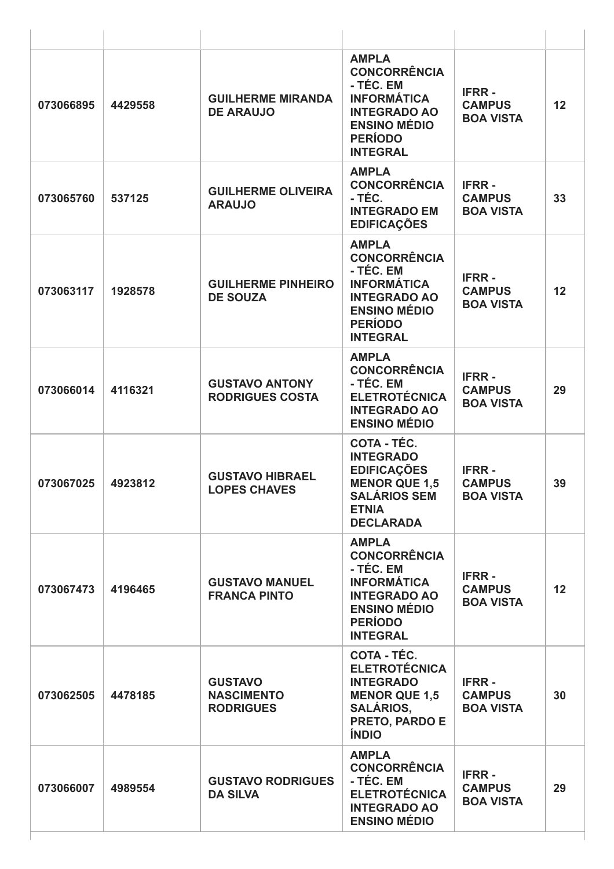| 073066895 | 4429558 | <b>GUILHERME MIRANDA</b><br><b>DE ARAUJO</b>            | <b>AMPLA</b><br><b>CONCORRÊNCIA</b><br>- TÉC. EM<br><b>INFORMÁTICA</b><br><b>INTEGRADO AO</b><br><b>ENSINO MÉDIO</b><br><b>PERÍODO</b><br><b>INTEGRAL</b> | <b>IFRR-</b><br><b>CAMPUS</b><br><b>BOA VISTA</b> | 12 |
|-----------|---------|---------------------------------------------------------|-----------------------------------------------------------------------------------------------------------------------------------------------------------|---------------------------------------------------|----|
| 073065760 | 537125  | <b>GUILHERME OLIVEIRA</b><br><b>ARAUJO</b>              | <b>AMPLA</b><br><b>CONCORRÊNCIA</b><br>- TÉC.<br><b>INTEGRADO EM</b><br><b>EDIFICAÇÕES</b>                                                                | <b>IFRR-</b><br><b>CAMPUS</b><br><b>BOA VISTA</b> | 33 |
| 073063117 | 1928578 | <b>GUILHERME PINHEIRO</b><br><b>DE SOUZA</b>            | <b>AMPLA</b><br><b>CONCORRÊNCIA</b><br>- TÉC. EM<br><b>INFORMÁTICA</b><br><b>INTEGRADO AO</b><br><b>ENSINO MÉDIO</b><br><b>PERÍODO</b><br><b>INTEGRAL</b> | <b>IFRR-</b><br><b>CAMPUS</b><br><b>BOA VISTA</b> | 12 |
| 073066014 | 4116321 | <b>GUSTAVO ANTONY</b><br><b>RODRIGUES COSTA</b>         | <b>AMPLA</b><br><b>CONCORRÊNCIA</b><br>- TÉC. EM<br><b>ELETROTÉCNICA</b><br><b>INTEGRADO AO</b><br><b>ENSINO MÉDIO</b>                                    | <b>IFRR-</b><br><b>CAMPUS</b><br><b>BOA VISTA</b> | 29 |
| 073067025 | 4923812 | <b>GUSTAVO HIBRAEL</b><br><b>LOPES CHAVES</b>           | <b>COTA - TÉC.</b><br><b>INTEGRADO</b><br><b>EDIFICAÇÕES</b><br><b>MENOR QUE 1,5</b><br><b>SALÁRIOS SEM</b><br><b>ETNIA</b><br><b>DECLARADA</b>           | <b>IFRR-</b><br><b>CAMPUS</b><br><b>BOA VISTA</b> | 39 |
| 073067473 | 4196465 | <b>GUSTAVO MANUEL</b><br><b>FRANCA PINTO</b>            | <b>AMPLA</b><br><b>CONCORRÊNCIA</b><br>- TÉC. EM<br><b>INFORMÁTICA</b><br><b>INTEGRADO AO</b><br><b>ENSINO MÉDIO</b><br><b>PERÍODO</b><br><b>INTEGRAL</b> | <b>IFRR-</b><br><b>CAMPUS</b><br><b>BOA VISTA</b> | 12 |
| 073062505 | 4478185 | <b>GUSTAVO</b><br><b>NASCIMENTO</b><br><b>RODRIGUES</b> | COTA - TÉC.<br><b>ELETROTÉCNICA</b><br><b>INTEGRADO</b><br><b>MENOR QUE 1,5</b><br><b>SALÁRIOS,</b><br>PRETO, PARDO E<br><b>ÍNDIO</b>                     | <b>IFRR-</b><br><b>CAMPUS</b><br><b>BOA VISTA</b> | 30 |
| 073066007 | 4989554 | <b>GUSTAVO RODRIGUES</b><br><b>DA SILVA</b>             | <b>AMPLA</b><br><b>CONCORRÊNCIA</b><br>- TÉC. EM<br><b>ELETROTÉCNICA</b><br><b>INTEGRADO AO</b><br><b>ENSINO MÉDIO</b>                                    | <b>IFRR-</b><br><b>CAMPUS</b><br><b>BOA VISTA</b> | 29 |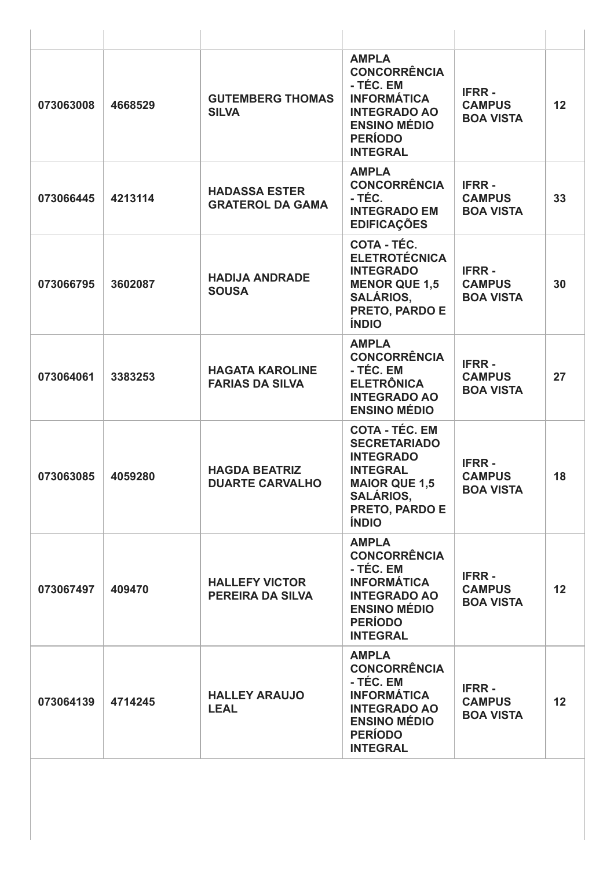| 073063008 | 4668529 | <b>GUTEMBERG THOMAS</b><br><b>SILVA</b>          | <b>AMPLA</b><br><b>CONCORRÊNCIA</b><br>- TÉC. EM<br><b>INFORMÁTICA</b><br><b>INTEGRADO AO</b><br><b>ENSINO MÉDIO</b><br><b>PERÍODO</b><br><b>INTEGRAL</b>                | <b>IFRR-</b><br><b>CAMPUS</b><br><b>BOA VISTA</b> | 12              |
|-----------|---------|--------------------------------------------------|--------------------------------------------------------------------------------------------------------------------------------------------------------------------------|---------------------------------------------------|-----------------|
| 073066445 | 4213114 | <b>HADASSA ESTER</b><br><b>GRATEROL DA GAMA</b>  | <b>AMPLA</b><br><b>CONCORRÊNCIA</b><br>- TÉC.<br><b>INTEGRADO EM</b><br><b>EDIFICAÇÕES</b>                                                                               | <b>IFRR-</b><br><b>CAMPUS</b><br><b>BOA VISTA</b> | 33              |
| 073066795 | 3602087 | <b>HADIJA ANDRADE</b><br><b>SOUSA</b>            | COTA - TÉC.<br><b>ELETROTÉCNICA</b><br><b>INTEGRADO</b><br><b>MENOR QUE 1,5</b><br><b>SALÁRIOS,</b><br>PRETO, PARDO E<br><b>ÍNDIO</b>                                    | <b>IFRR-</b><br><b>CAMPUS</b><br><b>BOA VISTA</b> | 30              |
| 073064061 | 3383253 | <b>HAGATA KAROLINE</b><br><b>FARIAS DA SILVA</b> | <b>AMPLA</b><br><b>CONCORRÊNCIA</b><br>- TÉC. EM<br><b>ELETRÔNICA</b><br><b>INTEGRADO AO</b><br><b>ENSINO MÉDIO</b>                                                      | <b>IFRR-</b><br><b>CAMPUS</b><br><b>BOA VISTA</b> | 27              |
| 073063085 | 4059280 | <b>HAGDA BEATRIZ</b><br><b>DUARTE CARVALHO</b>   | <b>COTA - TÉC. EM</b><br><b>SECRETARIADO</b><br><b>INTEGRADO</b><br><b>INTEGRAL</b><br><b>MAIOR QUE 1,5</b><br><b>SALÁRIOS,</b><br><b>PRETO, PARDO E</b><br><b>ÍNDIO</b> | <b>IFRR-</b><br><b>CAMPUS</b><br><b>BOA VISTA</b> | 18              |
| 073067497 | 409470  | <b>HALLEFY VICTOR</b><br><b>PEREIRA DA SILVA</b> | <b>AMPLA</b><br><b>CONCORRÊNCIA</b><br>- TÉC. EM<br><b>INFORMÁTICA</b><br><b>INTEGRADO AO</b><br><b>ENSINO MÉDIO</b><br><b>PERÍODO</b><br><b>INTEGRAL</b>                | <b>IFRR-</b><br><b>CAMPUS</b><br><b>BOA VISTA</b> | 12 <sup>2</sup> |
| 073064139 | 4714245 | <b>HALLEY ARAUJO</b><br><b>LEAL</b>              | <b>AMPLA</b><br><b>CONCORRÊNCIA</b><br>- TÉC. EM<br><b>INFORMÁTICA</b><br><b>INTEGRADO AO</b><br><b>ENSINO MÉDIO</b><br><b>PERÍODO</b><br><b>INTEGRAL</b>                | <b>IFRR-</b><br><b>CAMPUS</b><br><b>BOA VISTA</b> | 12              |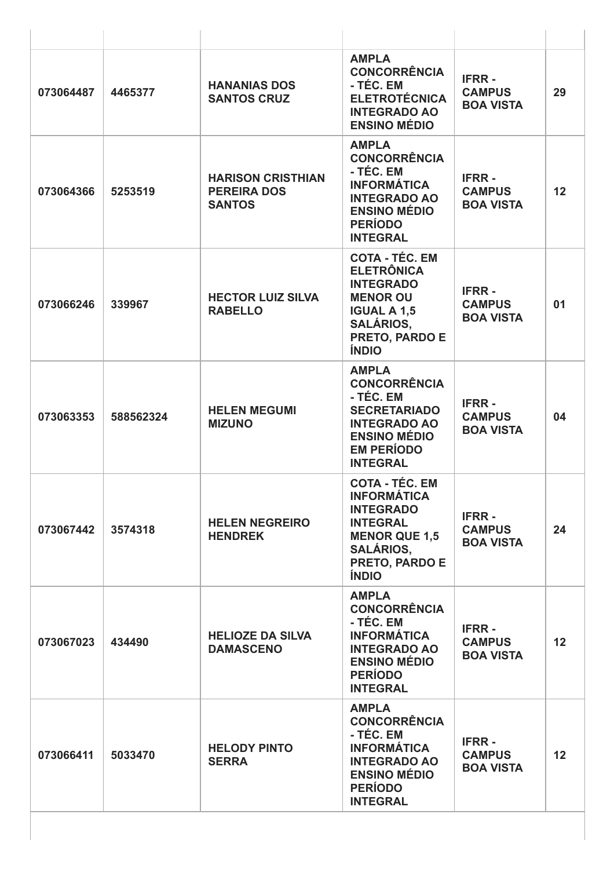| 073064487 | 4465377   | <b>HANANIAS DOS</b><br><b>SANTOS CRUZ</b>                       | <b>AMPLA</b><br><b>CONCORRÊNCIA</b><br>- TÉC. EM<br><b>ELETROTÉCNICA</b><br><b>INTEGRADO AO</b><br><b>ENSINO MÉDIO</b>                                                  | <b>IFRR-</b><br><b>CAMPUS</b><br><b>BOA VISTA</b> | 29 |
|-----------|-----------|-----------------------------------------------------------------|-------------------------------------------------------------------------------------------------------------------------------------------------------------------------|---------------------------------------------------|----|
| 073064366 | 5253519   | <b>HARISON CRISTHIAN</b><br><b>PEREIRA DOS</b><br><b>SANTOS</b> | <b>AMPLA</b><br><b>CONCORRÊNCIA</b><br>- TÉC. EM<br><b>INFORMÁTICA</b><br><b>INTEGRADO AO</b><br><b>ENSINO MÉDIO</b><br><b>PERÍODO</b><br><b>INTEGRAL</b>               | <b>IFRR-</b><br><b>CAMPUS</b><br><b>BOA VISTA</b> | 12 |
| 073066246 | 339967    | <b>HECTOR LUIZ SILVA</b><br><b>RABELLO</b>                      | <b>COTA - TÉC. EM</b><br><b>ELETRÔNICA</b><br><b>INTEGRADO</b><br><b>MENOR OU</b><br><b>IGUAL A 1,5</b><br><b>SALÁRIOS,</b><br>PRETO, PARDO E<br><b>ÍNDIO</b>           | <b>IFRR-</b><br><b>CAMPUS</b><br><b>BOA VISTA</b> | 01 |
| 073063353 | 588562324 | <b>HELEN MEGUMI</b><br><b>MIZUNO</b>                            | <b>AMPLA</b><br><b>CONCORRÊNCIA</b><br>- TÉC. EM<br><b>SECRETARIADO</b><br><b>INTEGRADO AO</b><br><b>ENSINO MÉDIO</b><br><b>EM PERÍODO</b><br><b>INTEGRAL</b>           | <b>IFRR-</b><br><b>CAMPUS</b><br><b>BOA VISTA</b> | 04 |
| 073067442 | 3574318   | <b>HELEN NEGREIRO</b><br><b>HENDREK</b>                         | <b>COTA - TÉC. EM</b><br><b>INFORMÁTICA</b><br><b>INTEGRADO</b><br><b>INTEGRAL</b><br><b>MENOR QUE 1,5</b><br><b>SALÁRIOS,</b><br><b>PRETO, PARDO E</b><br><b>ÍNDIO</b> | <b>IFRR-</b><br><b>CAMPUS</b><br><b>BOA VISTA</b> | 24 |
| 073067023 | 434490    | <b>HELIOZE DA SILVA</b><br><b>DAMASCENO</b>                     | <b>AMPLA</b><br><b>CONCORRÊNCIA</b><br>- TÉC. EM<br><b>INFORMÁTICA</b><br><b>INTEGRADO AO</b><br><b>ENSINO MÉDIO</b><br><b>PERÍODO</b><br><b>INTEGRAL</b>               | <b>IFRR-</b><br><b>CAMPUS</b><br><b>BOA VISTA</b> | 12 |
| 073066411 | 5033470   | <b>HELODY PINTO</b><br><b>SERRA</b>                             | <b>AMPLA</b><br><b>CONCORRÊNCIA</b><br>- TÉC. EM<br><b>INFORMÁTICA</b><br><b>INTEGRADO AO</b><br><b>ENSINO MÉDIO</b><br><b>PERÍODO</b><br><b>INTEGRAL</b>               | <b>IFRR-</b><br><b>CAMPUS</b><br><b>BOA VISTA</b> | 12 |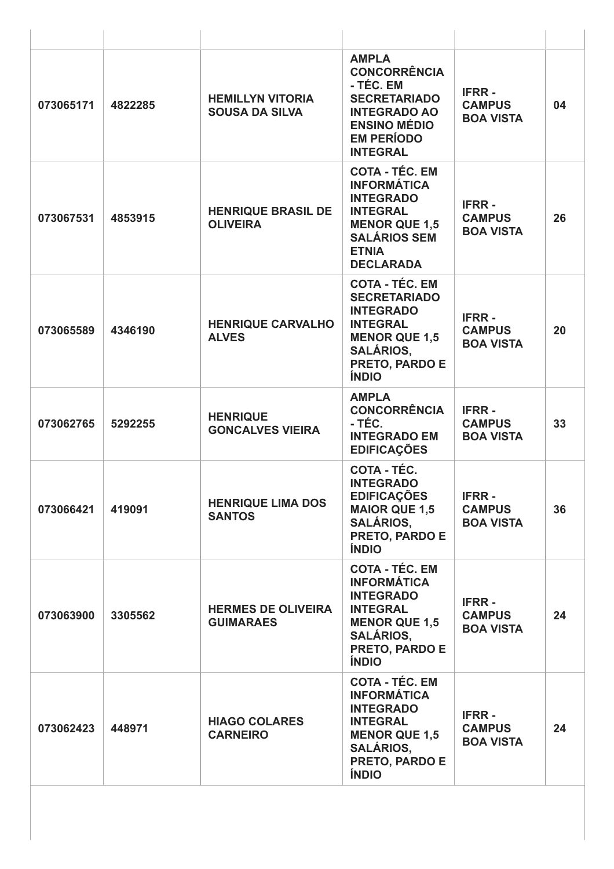| 073065171 | 4822285 | <b>HEMILLYN VITORIA</b><br><b>SOUSA DA SILVA</b> | <b>AMPLA</b><br><b>CONCORRÊNCIA</b><br>- TÉC. EM<br><b>SECRETARIADO</b><br><b>INTEGRADO AO</b><br><b>ENSINO MÉDIO</b><br><b>EM PERÍODO</b><br><b>INTEGRAL</b>         | <b>IFRR-</b><br><b>CAMPUS</b><br><b>BOA VISTA</b> | 04 |
|-----------|---------|--------------------------------------------------|-----------------------------------------------------------------------------------------------------------------------------------------------------------------------|---------------------------------------------------|----|
| 073067531 | 4853915 | <b>HENRIQUE BRASIL DE</b><br><b>OLIVEIRA</b>     | <b>COTA - TÉC. EM</b><br><b>INFORMÁTICA</b><br><b>INTEGRADO</b><br><b>INTEGRAL</b><br><b>MENOR QUE 1,5</b><br><b>SALÁRIOS SEM</b><br><b>ETNIA</b><br><b>DECLARADA</b> | <b>IFRR-</b><br><b>CAMPUS</b><br><b>BOA VISTA</b> | 26 |
| 073065589 | 4346190 | <b>HENRIQUE CARVALHO</b><br><b>ALVES</b>         | <b>COTA - TÉC. EM</b><br><b>SECRETARIADO</b><br><b>INTEGRADO</b><br><b>INTEGRAL</b><br><b>MENOR QUE 1,5</b><br><b>SALÁRIOS,</b><br>PRETO, PARDO E<br><b>ÍNDIO</b>     | <b>IFRR-</b><br><b>CAMPUS</b><br><b>BOA VISTA</b> | 20 |
| 073062765 | 5292255 | <b>HENRIQUE</b><br><b>GONCALVES VIEIRA</b>       | <b>AMPLA</b><br><b>CONCORRÊNCIA</b><br>- TÉC.<br><b>INTEGRADO EM</b><br><b>EDIFICAÇÕES</b>                                                                            | <b>IFRR-</b><br><b>CAMPUS</b><br><b>BOA VISTA</b> | 33 |
| 073066421 | 419091  | <b>HENRIQUE LIMA DOS</b><br><b>SANTOS</b>        | COTA - TÉC.<br><b>INTEGRADO</b><br><b>EDIFICAÇÕES</b><br><b>MAIOR QUE 1,5</b><br><b>SALÁRIOS.</b><br>PRETO, PARDO E<br><b>ÍNDIO</b>                                   | <b>IFRR-</b><br><b>CAMPUS</b><br><b>BOA VISTA</b> | 36 |
| 073063900 | 3305562 | <b>HERMES DE OLIVEIRA</b><br><b>GUIMARAES</b>    | <b>COTA - TÉC. EM</b><br><b>INFORMÁTICA</b><br><b>INTEGRADO</b><br><b>INTEGRAL</b><br><b>MENOR QUE 1,5</b><br><b>SALÁRIOS,</b><br>PRETO, PARDO E<br><b>ÍNDIO</b>      | <b>IFRR-</b><br><b>CAMPUS</b><br><b>BOA VISTA</b> | 24 |
| 073062423 | 448971  | <b>HIAGO COLARES</b><br><b>CARNEIRO</b>          | <b>COTA - TÉC. EM</b><br><b>INFORMÁTICA</b><br><b>INTEGRADO</b><br><b>INTEGRAL</b><br><b>MENOR QUE 1,5</b><br><b>SALÁRIOS,</b><br>PRETO, PARDO E<br><b>ÍNDIO</b>      | <b>IFRR-</b><br><b>CAMPUS</b><br><b>BOA VISTA</b> | 24 |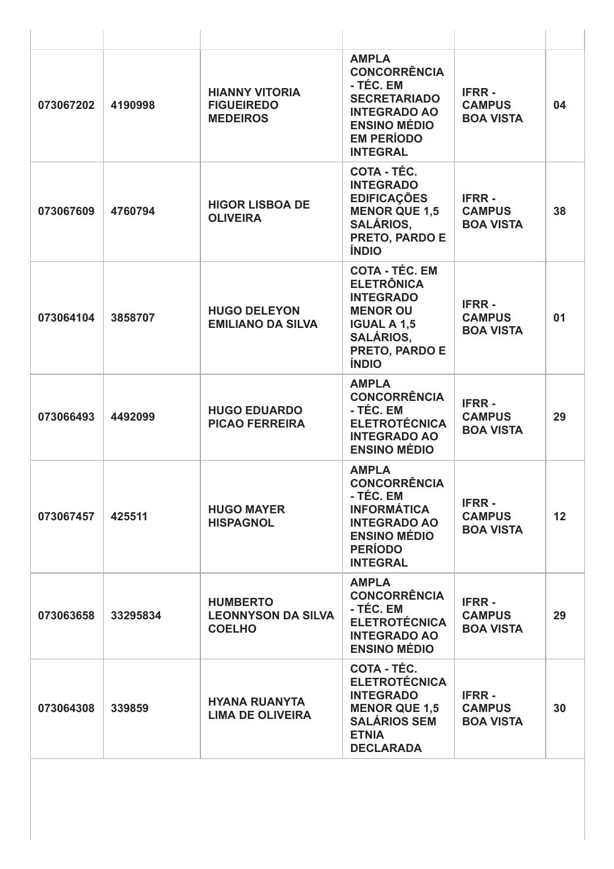| 073067202 | 4190998  | <b>HIANNY VITORIA</b><br><b>FIGUEIREDO</b><br><b>MEDEIROS</b> | <b>AMPLA</b><br><b>CONCORRÊNCIA</b><br>- TÉC. EM<br><b>SECRETARIADO</b><br><b>INTEGRADO AO</b><br><b>ENSINO MÉDIO</b><br><b>EM PERÍODO</b><br><b>INTEGRAL</b>        | <b>IFRR-</b><br><b>CAMPUS</b><br><b>BOA VISTA</b> | 04              |
|-----------|----------|---------------------------------------------------------------|----------------------------------------------------------------------------------------------------------------------------------------------------------------------|---------------------------------------------------|-----------------|
| 073067609 | 4760794  | <b>HIGOR LISBOA DE</b><br><b>OLIVEIRA</b>                     | COTA - TÉC.<br><b>INTEGRADO</b><br><b>EDIFICAÇÕES</b><br><b>MENOR QUE 1,5</b><br><b>SALÁRIOS,</b><br><b>PRETO, PARDO E</b><br><b>ÍNDIO</b>                           | <b>IFRR-</b><br><b>CAMPUS</b><br><b>BOA VISTA</b> | 38              |
| 073064104 | 3858707  | <b>HUGO DELEYON</b><br><b>EMILIANO DA SILVA</b>               | <b>COTA - TÉC. EM</b><br><b>ELETRÔNICA</b><br><b>INTEGRADO</b><br><b>MENOR OU</b><br><b>IGUAL A 1,5</b><br><b>SALÁRIOS,</b><br><b>PRETO, PARDO E</b><br><b>ÍNDIO</b> | <b>IFRR-</b><br><b>CAMPUS</b><br><b>BOA VISTA</b> | 01              |
| 073066493 | 4492099  | <b>HUGO EDUARDO</b><br><b>PICAO FERREIRA</b>                  | <b>AMPLA</b><br><b>CONCORRÊNCIA</b><br>- TÉC. EM<br><b>ELETROTÉCNICA</b><br><b>INTEGRADO AO</b><br><b>ENSINO MÉDIO</b>                                               | <b>IFRR-</b><br><b>CAMPUS</b><br><b>BOA VISTA</b> | 29              |
| 073067457 | 425511   | <b>HUGO MAYER</b><br><b>HISPAGNOL</b>                         | <b>AMPLA</b><br><b>CONCORRÊNCIA</b><br>- TÉC. EM<br><b>INFORMÁTICA</b><br><b>INTEGRADO AO</b><br><b>ENSINO MÉDIO</b><br><b>PERÍODO</b><br><b>INTEGRAL</b>            | <b>IFRR-</b><br><b>CAMPUS</b><br><b>BOA VISTA</b> | 12 <sub>2</sub> |
| 073063658 | 33295834 | <b>HUMBERTO</b><br><b>LEONNYSON DA SILVA</b><br><b>COELHO</b> | <b>AMPLA</b><br><b>CONCORRÊNCIA</b><br>- TÉC. EM<br><b>ELETROTÉCNICA</b><br><b>INTEGRADO AO</b><br><b>ENSINO MÉDIO</b>                                               | <b>IFRR-</b><br><b>CAMPUS</b><br><b>BOA VISTA</b> | 29              |
| 073064308 | 339859   | <b>HYANA RUANYTA</b><br><b>LIMA DE OLIVEIRA</b>               | <b>COTA - TÉC.</b><br><b>ELETROTÉCNICA</b><br><b>INTEGRADO</b><br><b>MENOR QUE 1,5</b><br><b>SALÁRIOS SEM</b><br><b>ETNIA</b><br><b>DECLARADA</b>                    | <b>IFRR-</b><br><b>CAMPUS</b><br><b>BOA VISTA</b> | 30              |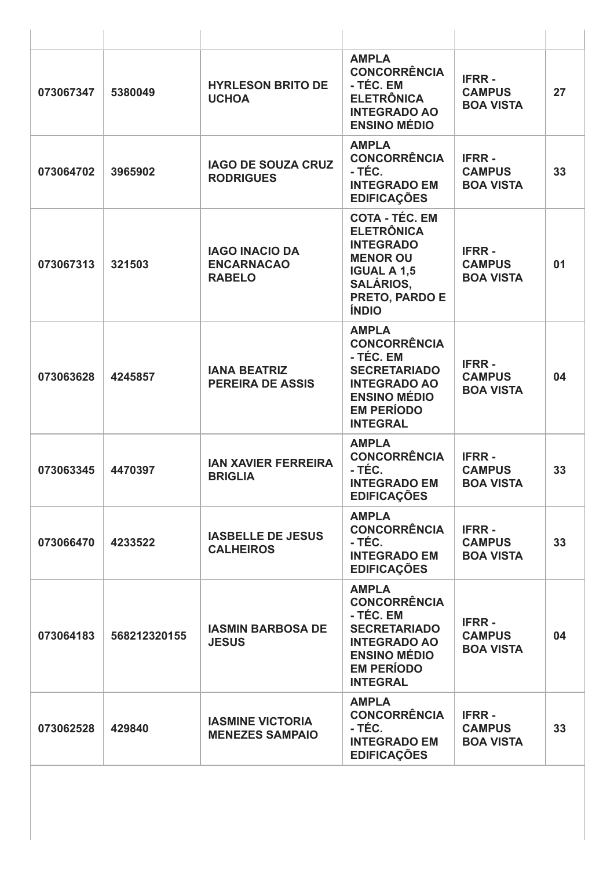| 073067347 | 5380049      | <b>HYRLESON BRITO DE</b><br><b>UCHOA</b>                    | <b>AMPLA</b><br><b>CONCORRÊNCIA</b><br>- TÉC. EM<br><b>ELETRÔNICA</b><br><b>INTEGRADO AO</b><br><b>ENSINO MÉDIO</b>                                           | <b>IFRR-</b><br><b>CAMPUS</b><br><b>BOA VISTA</b> | 27 |
|-----------|--------------|-------------------------------------------------------------|---------------------------------------------------------------------------------------------------------------------------------------------------------------|---------------------------------------------------|----|
| 073064702 | 3965902      | <b>IAGO DE SOUZA CRUZ</b><br><b>RODRIGUES</b>               | <b>AMPLA</b><br><b>CONCORRÊNCIA</b><br>- TÉC.<br><b>INTEGRADO EM</b><br><b>EDIFICAÇÕES</b>                                                                    | <b>IFRR-</b><br><b>CAMPUS</b><br><b>BOA VISTA</b> | 33 |
| 073067313 | 321503       | <b>IAGO INACIO DA</b><br><b>ENCARNACAO</b><br><b>RABELO</b> | <b>COTA - TÉC. EM</b><br><b>ELETRÔNICA</b><br><b>INTEGRADO</b><br><b>MENOR OU</b><br><b>IGUAL A 1,5</b><br><b>SALÁRIOS,</b><br>PRETO, PARDO E<br><b>ÍNDIO</b> | <b>IFRR-</b><br><b>CAMPUS</b><br><b>BOA VISTA</b> | 01 |
| 073063628 | 4245857      | <b>IANA BEATRIZ</b><br><b>PEREIRA DE ASSIS</b>              | <b>AMPLA</b><br><b>CONCORRÊNCIA</b><br>- TÉC. EM<br><b>SECRETARIADO</b><br><b>INTEGRADO AO</b><br><b>ENSINO MÉDIO</b><br><b>EM PERÍODO</b><br><b>INTEGRAL</b> | <b>IFRR-</b><br><b>CAMPUS</b><br><b>BOA VISTA</b> | 04 |
| 073063345 | 4470397      | <b>IAN XAVIER FERREIRA</b><br><b>BRIGLIA</b>                | <b>AMPLA</b><br><b>CONCORRÊNCIA</b><br>- TÉC.<br><b>INTEGRADO EM</b><br><b>EDIFICAÇÕES</b>                                                                    | <b>IFRR-</b><br><b>CAMPUS</b><br><b>BOA VISTA</b> | 33 |
| 073066470 | 4233522      | <b>IASBELLE DE JESUS</b><br><b>CALHEIROS</b>                | <b>AMPLA</b><br><b>CONCORRÊNCIA</b><br>- TÉC.<br><b>INTEGRADO EM</b><br><b>EDIFICAÇÕES</b>                                                                    | <b>IFRR-</b><br><b>CAMPUS</b><br><b>BOA VISTA</b> | 33 |
| 073064183 | 568212320155 | <b>IASMIN BARBOSA DE</b><br><b>JESUS</b>                    | <b>AMPLA</b><br><b>CONCORRÊNCIA</b><br>- TÉC. EM<br><b>SECRETARIADO</b><br><b>INTEGRADO AO</b><br><b>ENSINO MÉDIO</b><br><b>EM PERÍODO</b><br><b>INTEGRAL</b> | <b>IFRR-</b><br><b>CAMPUS</b><br><b>BOA VISTA</b> | 04 |
| 073062528 | 429840       | <b>IASMINE VICTORIA</b><br><b>MENEZES SAMPAIO</b>           | <b>AMPLA</b><br><b>CONCORRÊNCIA</b><br>- TÉC.<br><b>INTEGRADO EM</b><br><b>EDIFICAÇÕES</b>                                                                    | <b>IFRR-</b><br><b>CAMPUS</b><br><b>BOA VISTA</b> | 33 |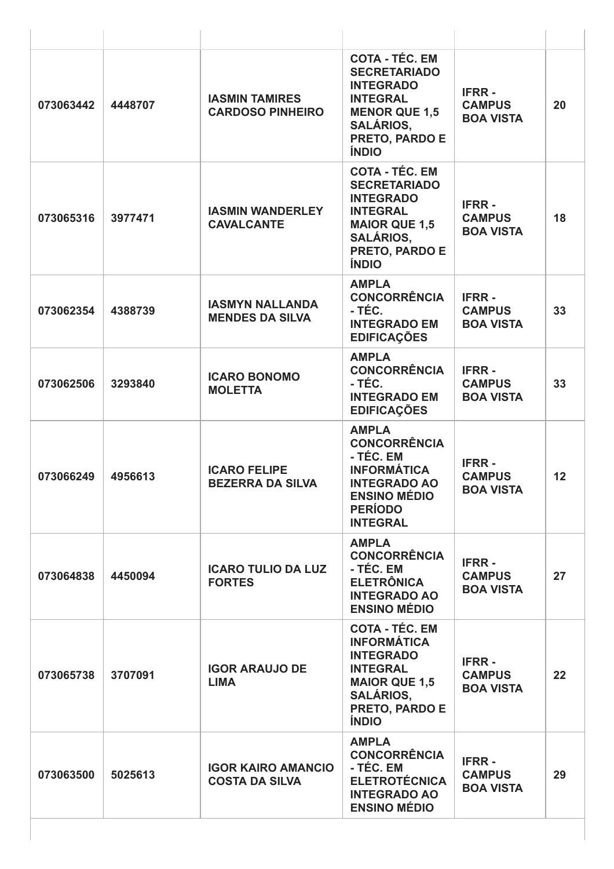| 073063442 | 4448707 | <b>IASMIN TAMIRES</b><br><b>CARDOSO PINHEIRO</b>   | <b>COTA - TÉC. EM</b><br><b>SECRETARIADO</b><br><b>INTEGRADO</b><br><b>INTEGRAL</b><br><b>MENOR QUE 1,5</b><br><b>SALÁRIOS,</b><br>PRETO, PARDO E<br><b>ÍNDIO</b> | <b>IFRR-</b><br><b>CAMPUS</b><br><b>BOA VISTA</b> | 20 |
|-----------|---------|----------------------------------------------------|-------------------------------------------------------------------------------------------------------------------------------------------------------------------|---------------------------------------------------|----|
| 073065316 | 3977471 | <b>IASMIN WANDERLEY</b><br><b>CAVALCANTE</b>       | <b>COTA - TÉC. EM</b><br><b>SECRETARIADO</b><br><b>INTEGRADO</b><br><b>INTEGRAL</b><br><b>MAIOR QUE 1,5</b><br><b>SALÁRIOS,</b><br>PRETO, PARDO E<br><b>ÍNDIO</b> | <b>IFRR-</b><br><b>CAMPUS</b><br><b>BOA VISTA</b> | 18 |
| 073062354 | 4388739 | <b>IASMYN NALLANDA</b><br><b>MENDES DA SILVA</b>   | <b>AMPLA</b><br><b>CONCORRÊNCIA</b><br>- TÉC.<br><b>INTEGRADO EM</b><br><b>EDIFICAÇÕES</b>                                                                        | <b>IFRR-</b><br><b>CAMPUS</b><br><b>BOA VISTA</b> | 33 |
| 073062506 | 3293840 | <b>ICARO BONOMO</b><br><b>MOLETTA</b>              | <b>AMPLA</b><br><b>CONCORRÊNCIA</b><br>- TÉC.<br><b>INTEGRADO EM</b><br><b>EDIFICAÇÕES</b>                                                                        | <b>IFRR-</b><br><b>CAMPUS</b><br><b>BOA VISTA</b> | 33 |
| 073066249 | 4956613 | <b>ICARO FELIPE</b><br><b>BEZERRA DA SILVA</b>     | <b>AMPLA</b><br><b>CONCORRÊNCIA</b><br>- TÉC. EM<br><b>INFORMÁTICA</b><br><b>INTEGRADO AO</b><br><b>ENSINO MÉDIO</b><br><b>PERÍODO</b><br><b>INTEGRAL</b>         | <b>IFRR-</b><br><b>CAMPUS</b><br><b>BOA VISTA</b> | 12 |
| 073064838 | 4450094 | <b>ICARO TULIO DA LUZ</b><br><b>FORTES</b>         | <b>AMPLA</b><br><b>CONCORRÊNCIA</b><br>- TÉC. EM<br><b>ELETRÔNICA</b><br><b>INTEGRADO AO</b><br><b>ENSINO MÉDIO</b>                                               | <b>IFRR-</b><br><b>CAMPUS</b><br><b>BOA VISTA</b> | 27 |
| 073065738 | 3707091 | <b>IGOR ARAUJO DE</b><br><b>LIMA</b>               | <b>COTA - TÉC. EM</b><br><b>INFORMÁTICA</b><br><b>INTEGRADO</b><br><b>INTEGRAL</b><br><b>MAIOR QUE 1,5</b><br><b>SALÁRIOS,</b><br>PRETO, PARDO E<br><b>ÍNDIO</b>  | <b>IFRR-</b><br><b>CAMPUS</b><br><b>BOA VISTA</b> | 22 |
| 073063500 | 5025613 | <b>IGOR KAIRO AMANCIO</b><br><b>COSTA DA SILVA</b> | <b>AMPLA</b><br><b>CONCORRÊNCIA</b><br>- TÉC. EM<br><b>ELETROTÉCNICA</b><br><b>INTEGRADO AO</b><br><b>ENSINO MÉDIO</b>                                            | <b>IFRR-</b><br><b>CAMPUS</b><br><b>BOA VISTA</b> | 29 |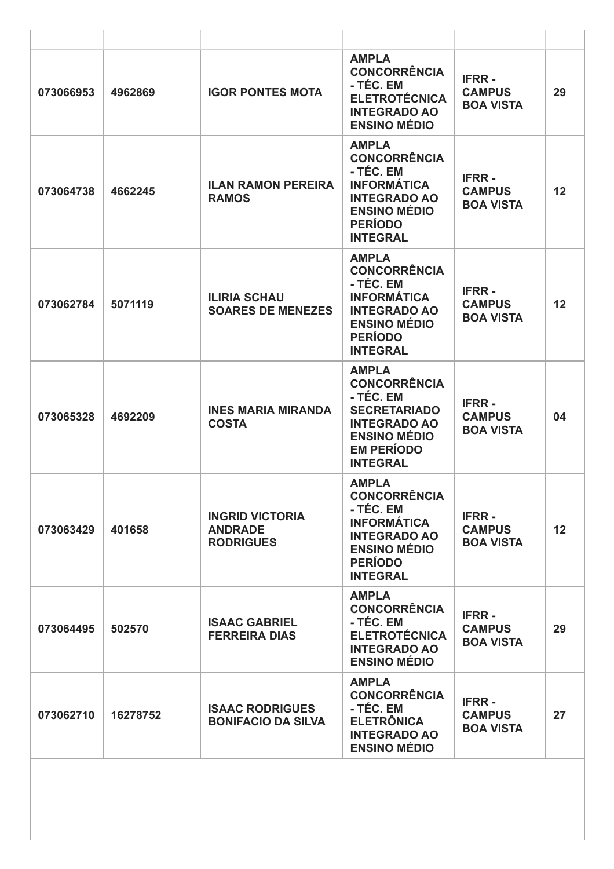| 073066953 | 4962869  | <b>IGOR PONTES MOTA</b>                                      | <b>AMPLA</b><br><b>CONCORRÊNCIA</b><br>- TÉC. EM<br><b>ELETROTÉCNICA</b><br><b>INTEGRADO AO</b><br><b>ENSINO MÉDIO</b>                                        | <b>IFRR-</b><br><b>CAMPUS</b><br><b>BOA VISTA</b> | 29              |
|-----------|----------|--------------------------------------------------------------|---------------------------------------------------------------------------------------------------------------------------------------------------------------|---------------------------------------------------|-----------------|
| 073064738 | 4662245  | <b>ILAN RAMON PEREIRA</b><br><b>RAMOS</b>                    | <b>AMPLA</b><br><b>CONCORRÊNCIA</b><br>- TÉC. EM<br><b>INFORMÁTICA</b><br><b>INTEGRADO AO</b><br><b>ENSINO MÉDIO</b><br><b>PERÍODO</b><br><b>INTEGRAL</b>     | <b>IFRR-</b><br><b>CAMPUS</b><br><b>BOA VISTA</b> | 12              |
| 073062784 | 5071119  | <b>ILIRIA SCHAU</b><br><b>SOARES DE MENEZES</b>              | <b>AMPLA</b><br><b>CONCORRÊNCIA</b><br>- TÉC. EM<br><b>INFORMÁTICA</b><br><b>INTEGRADO AO</b><br><b>ENSINO MÉDIO</b><br><b>PERÍODO</b><br><b>INTEGRAL</b>     | <b>IFRR-</b><br><b>CAMPUS</b><br><b>BOA VISTA</b> | 12              |
| 073065328 | 4692209  | <b>INES MARIA MIRANDA</b><br><b>COSTA</b>                    | <b>AMPLA</b><br><b>CONCORRÊNCIA</b><br>- TÉC. EM<br><b>SECRETARIADO</b><br><b>INTEGRADO AO</b><br><b>ENSINO MÉDIO</b><br><b>EM PERÍODO</b><br><b>INTEGRAL</b> | <b>IFRR-</b><br><b>CAMPUS</b><br><b>BOA VISTA</b> | 04              |
| 073063429 | 401658   | <b>INGRID VICTORIA</b><br><b>ANDRADE</b><br><b>RODRIGUES</b> | <b>AMPLA</b><br><b>CONCORRÊNCIA</b><br>- TÉC. EM<br><b>INFORMÁTICA</b><br><b>INTEGRADO AO</b><br><b>ENSINO MÉDIO</b><br><b>PERÍODO</b><br><b>INTEGRAL</b>     | <b>IFRR-</b><br><b>CAMPUS</b><br><b>BOA VISTA</b> | 12 <sup>2</sup> |
| 073064495 | 502570   | <b>ISAAC GABRIEL</b><br><b>FERREIRA DIAS</b>                 | <b>AMPLA</b><br><b>CONCORRÊNCIA</b><br>- TÉC. EM<br><b>ELETROTÉCNICA</b><br><b>INTEGRADO AO</b><br><b>ENSINO MÉDIO</b>                                        | <b>IFRR-</b><br><b>CAMPUS</b><br><b>BOA VISTA</b> | 29              |
| 073062710 | 16278752 | <b>ISAAC RODRIGUES</b><br><b>BONIFACIO DA SILVA</b>          | <b>AMPLA</b><br><b>CONCORRÊNCIA</b><br>- TÉC. EM<br><b>ELETRÔNICA</b><br><b>INTEGRADO AO</b><br><b>ENSINO MÉDIO</b>                                           | <b>IFRR-</b><br><b>CAMPUS</b><br><b>BOA VISTA</b> | 27              |
|           |          |                                                              |                                                                                                                                                               |                                                   |                 |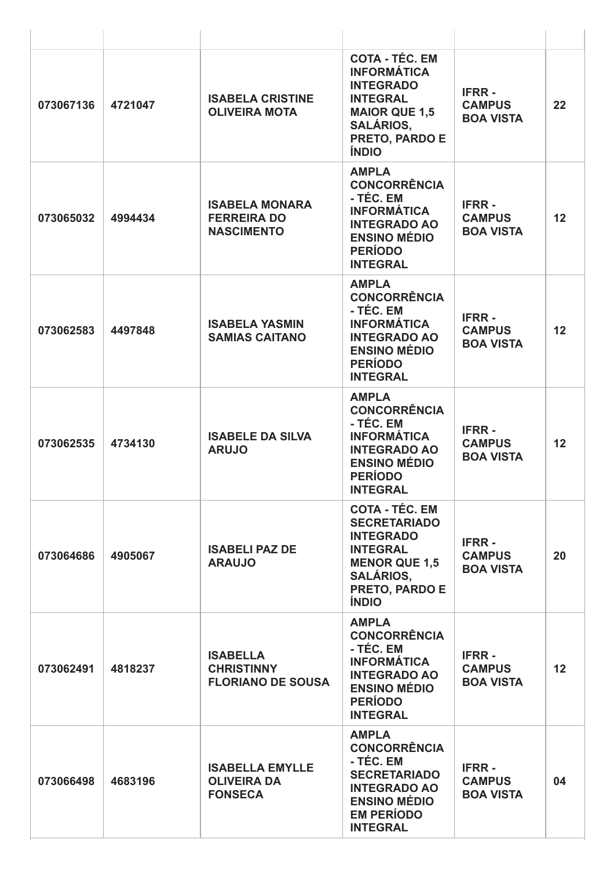| 073067136 | 4721047 | <b>ISABELA CRISTINE</b><br><b>OLIVEIRA MOTA</b>                  | <b>COTA - TÉC. EM</b><br><b>INFORMÁTICA</b><br><b>INTEGRADO</b><br><b>INTEGRAL</b><br><b>MAIOR QUE 1,5</b><br><b>SALÁRIOS,</b><br>PRETO, PARDO E<br><b>ÍNDIO</b>  | <b>IFRR-</b><br><b>CAMPUS</b><br><b>BOA VISTA</b> | 22 |
|-----------|---------|------------------------------------------------------------------|-------------------------------------------------------------------------------------------------------------------------------------------------------------------|---------------------------------------------------|----|
| 073065032 | 4994434 | <b>ISABELA MONARA</b><br><b>FERREIRA DO</b><br><b>NASCIMENTO</b> | <b>AMPLA</b><br><b>CONCORRÊNCIA</b><br>- TÉC. EM<br><b>INFORMÁTICA</b><br><b>INTEGRADO AO</b><br><b>ENSINO MÉDIO</b><br><b>PERÍODO</b><br><b>INTEGRAL</b>         | <b>IFRR-</b><br><b>CAMPUS</b><br><b>BOA VISTA</b> | 12 |
| 073062583 | 4497848 | <b>ISABELA YASMIN</b><br><b>SAMIAS CAITANO</b>                   | <b>AMPLA</b><br><b>CONCORRÊNCIA</b><br>- TÉC. EM<br><b>INFORMÁTICA</b><br><b>INTEGRADO AO</b><br><b>ENSINO MÉDIO</b><br><b>PERÍODO</b><br><b>INTEGRAL</b>         | <b>IFRR-</b><br><b>CAMPUS</b><br><b>BOA VISTA</b> | 12 |
| 073062535 | 4734130 | <b>ISABELE DA SILVA</b><br><b>ARUJO</b>                          | <b>AMPLA</b><br><b>CONCORRÊNCIA</b><br>- TÉC. EM<br><b>INFORMÁTICA</b><br><b>INTEGRADO AO</b><br><b>ENSINO MÉDIO</b><br><b>PERÍODO</b><br><b>INTEGRAL</b>         | <b>IFRR-</b><br><b>CAMPUS</b><br><b>BOA VISTA</b> | 12 |
| 073064686 | 4905067 | <b>ISABELI PAZ DE</b><br><b>ARAUJO</b>                           | <b>COTA - TÉC. EM</b><br><b>SECRETARIADO</b><br><b>INTEGRADO</b><br><b>INTEGRAL</b><br><b>MENOR QUE 1,5</b><br><b>SALÁRIOS,</b><br>PRETO, PARDO E<br><b>ÍNDIO</b> | <b>IFRR-</b><br><b>CAMPUS</b><br><b>BOA VISTA</b> | 20 |
| 073062491 | 4818237 | <b>ISABELLA</b><br><b>CHRISTINNY</b><br><b>FLORIANO DE SOUSA</b> | <b>AMPLA</b><br><b>CONCORRÊNCIA</b><br>- TÉC. EM<br><b>INFORMÁTICA</b><br><b>INTEGRADO AO</b><br><b>ENSINO MÉDIO</b><br><b>PERÍODO</b><br><b>INTEGRAL</b>         | <b>IFRR-</b><br><b>CAMPUS</b><br><b>BOA VISTA</b> | 12 |
| 073066498 | 4683196 | <b>ISABELLA EMYLLE</b><br><b>OLIVEIRA DA</b><br><b>FONSECA</b>   | <b>AMPLA</b><br><b>CONCORRÊNCIA</b><br>- TÉC. EM<br><b>SECRETARIADO</b><br><b>INTEGRADO AO</b><br><b>ENSINO MÉDIO</b><br><b>EM PERÍODO</b><br><b>INTEGRAL</b>     | <b>IFRR-</b><br><b>CAMPUS</b><br><b>BOA VISTA</b> | 04 |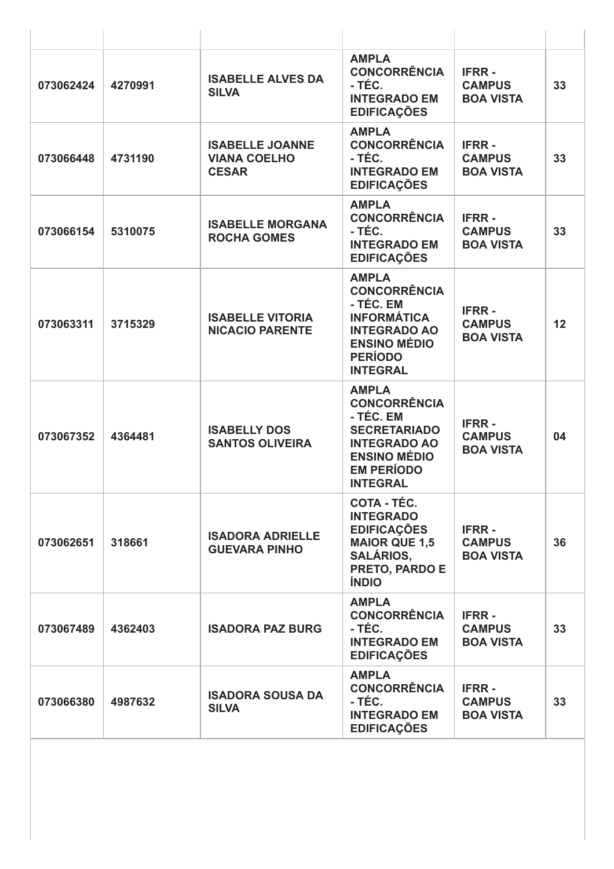| 073062424 | 4270991 | <b>ISABELLE ALVES DA</b><br><b>SILVA</b>                      | <b>AMPLA</b><br><b>CONCORRÊNCIA</b><br>- TÉC.<br><b>INTEGRADO EM</b><br><b>EDIFICAÇÕES</b>                                                                    | <b>IFRR-</b><br><b>CAMPUS</b><br><b>BOA VISTA</b> | 33 |
|-----------|---------|---------------------------------------------------------------|---------------------------------------------------------------------------------------------------------------------------------------------------------------|---------------------------------------------------|----|
| 073066448 | 4731190 | <b>ISABELLE JOANNE</b><br><b>VIANA COELHO</b><br><b>CESAR</b> | <b>AMPLA</b><br><b>CONCORRÊNCIA</b><br>- TÉC.<br><b>INTEGRADO EM</b><br><b>EDIFICAÇÕES</b>                                                                    | <b>IFRR-</b><br><b>CAMPUS</b><br><b>BOA VISTA</b> | 33 |
| 073066154 | 5310075 | <b>ISABELLE MORGANA</b><br><b>ROCHA GOMES</b>                 | <b>AMPLA</b><br><b>CONCORRÊNCIA</b><br>- TÉC.<br><b>INTEGRADO EM</b><br><b>EDIFICAÇÕES</b>                                                                    | <b>IFRR-</b><br><b>CAMPUS</b><br><b>BOA VISTA</b> | 33 |
| 073063311 | 3715329 | <b>ISABELLE VITORIA</b><br><b>NICACIO PARENTE</b>             | <b>AMPLA</b><br><b>CONCORRÊNCIA</b><br>- TÉC. EM<br><b>INFORMÁTICA</b><br><b>INTEGRADO AO</b><br><b>ENSINO MÉDIO</b><br><b>PERÍODO</b><br><b>INTEGRAL</b>     | <b>IFRR-</b><br><b>CAMPUS</b><br><b>BOA VISTA</b> | 12 |
| 073067352 | 4364481 | <b>ISABELLY DOS</b><br><b>SANTOS OLIVEIRA</b>                 | <b>AMPLA</b><br><b>CONCORRÊNCIA</b><br>- TÉC. EM<br><b>SECRETARIADO</b><br><b>INTEGRADO AO</b><br><b>ENSINO MÉDIO</b><br><b>EM PERÍODO</b><br><b>INTEGRAL</b> | <b>IFRR-</b><br><b>CAMPUS</b><br><b>BOA VISTA</b> | 04 |
| 073062651 | 318661  | <b>ISADORA ADRIELLE</b><br><b>GUEVARA PINHO</b>               | <b>COTA - TÉC.</b><br><b>INTEGRADO</b><br><b>EDIFICAÇÕES</b><br><b>MAIOR QUE 1,5</b><br><b>SALÁRIOS,</b><br><b>PRETO, PARDO E</b><br><b>ÍNDIO</b>             | <b>IFRR-</b><br><b>CAMPUS</b><br><b>BOA VISTA</b> | 36 |
| 073067489 | 4362403 | <b>ISADORA PAZ BURG</b>                                       | <b>AMPLA</b><br><b>CONCORRÊNCIA</b><br>- TÉC.<br><b>INTEGRADO EM</b><br><b>EDIFICAÇÕES</b>                                                                    | <b>IFRR-</b><br><b>CAMPUS</b><br><b>BOA VISTA</b> | 33 |
| 073066380 | 4987632 | <b>ISADORA SOUSA DA</b><br><b>SILVA</b>                       | <b>AMPLA</b><br><b>CONCORRÊNCIA</b><br>- TÉC.<br><b>INTEGRADO EM</b><br><b>EDIFICAÇÕES</b>                                                                    | <b>IFRR-</b><br><b>CAMPUS</b><br><b>BOA VISTA</b> | 33 |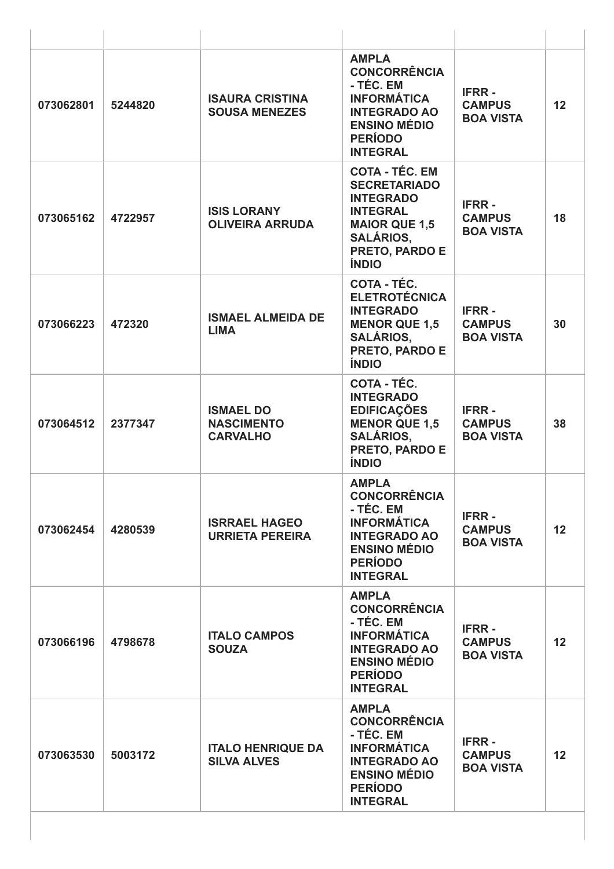| 073062801 | 5244820 | <b>ISAURA CRISTINA</b><br><b>SOUSA MENEZES</b>           | <b>AMPLA</b><br><b>CONCORRÊNCIA</b><br>- TÉC. EM<br><b>INFORMÁTICA</b><br><b>INTEGRADO AO</b><br><b>ENSINO MÉDIO</b><br><b>PERÍODO</b><br><b>INTEGRAL</b>                | <b>IFRR-</b><br><b>CAMPUS</b><br><b>BOA VISTA</b> | 12              |
|-----------|---------|----------------------------------------------------------|--------------------------------------------------------------------------------------------------------------------------------------------------------------------------|---------------------------------------------------|-----------------|
| 073065162 | 4722957 | <b>ISIS LORANY</b><br><b>OLIVEIRA ARRUDA</b>             | <b>COTA - TÉC. EM</b><br><b>SECRETARIADO</b><br><b>INTEGRADO</b><br><b>INTEGRAL</b><br><b>MAIOR QUE 1,5</b><br><b>SALÁRIOS,</b><br><b>PRETO, PARDO E</b><br><b>ÍNDIO</b> | <b>IFRR-</b><br><b>CAMPUS</b><br><b>BOA VISTA</b> | 18              |
| 073066223 | 472320  | <b>ISMAEL ALMEIDA DE</b><br><b>LIMA</b>                  | <b>COTA - TÉC.</b><br><b>ELETROTÉCNICA</b><br><b>INTEGRADO</b><br><b>MENOR QUE 1,5</b><br><b>SALÁRIOS,</b><br>PRETO, PARDO E<br><b>ÍNDIO</b>                             | <b>IFRR-</b><br><b>CAMPUS</b><br><b>BOA VISTA</b> | 30              |
| 073064512 | 2377347 | <b>ISMAEL DO</b><br><b>NASCIMENTO</b><br><b>CARVALHO</b> | <b>COTA - TÉC.</b><br><b>INTEGRADO</b><br><b>EDIFICAÇÕES</b><br><b>MENOR QUE 1,5</b><br><b>SALÁRIOS,</b><br>PRETO, PARDO E<br><b>ÍNDIO</b>                               | <b>IFRR-</b><br><b>CAMPUS</b><br><b>BOA VISTA</b> | 38              |
| 073062454 | 4280539 | <b>ISRRAEL HAGEO</b><br><b>URRIETA PEREIRA</b>           | <b>AMPLA</b><br><b>CONCORRÊNCIA</b><br>- TÉC. EM<br><b>INFORMÁTICA</b><br><b>INTEGRADO AO</b><br><b>ENSINO MÉDIO</b><br><b>PERÍODO</b><br><b>INTEGRAL</b>                | <b>IFRR-</b><br><b>CAMPUS</b><br><b>BOA VISTA</b> | 12 <sup>2</sup> |
| 073066196 | 4798678 | <b>ITALO CAMPOS</b><br><b>SOUZA</b>                      | <b>AMPLA</b><br><b>CONCORRÊNCIA</b><br>- TÉC. EM<br><b>INFORMÁTICA</b><br><b>INTEGRADO AO</b><br><b>ENSINO MÉDIO</b><br><b>PERÍODO</b><br><b>INTEGRAL</b>                | <b>IFRR-</b><br><b>CAMPUS</b><br><b>BOA VISTA</b> | 12              |
| 073063530 | 5003172 | <b>ITALO HENRIQUE DA</b><br><b>SILVA ALVES</b>           | <b>AMPLA</b><br><b>CONCORRÊNCIA</b><br>- TÉC. EM<br><b>INFORMÁTICA</b><br><b>INTEGRADO AO</b><br><b>ENSINO MÉDIO</b><br><b>PERÍODO</b><br><b>INTEGRAL</b>                | <b>IFRR-</b><br><b>CAMPUS</b><br><b>BOA VISTA</b> | 12              |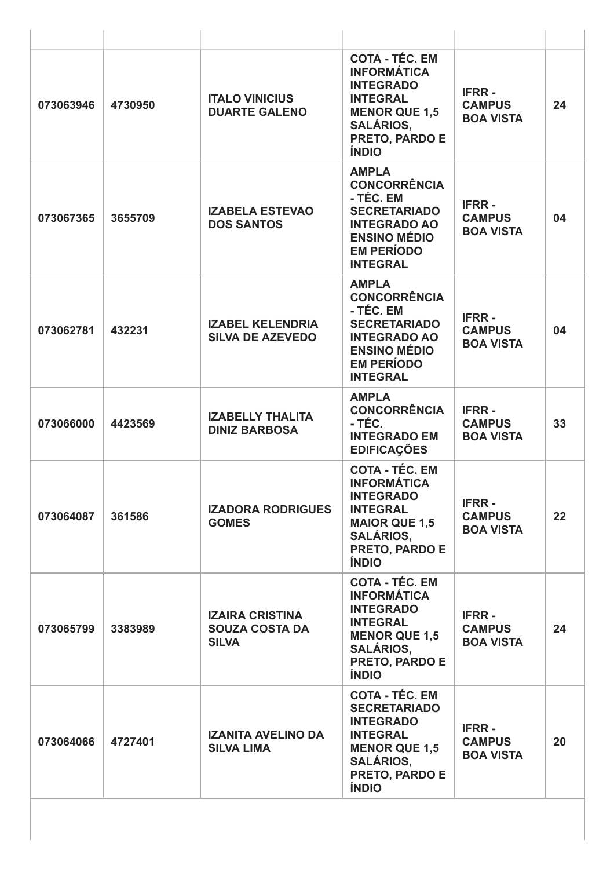| 073063946 | 4730950 | <b>ITALO VINICIUS</b><br><b>DUARTE GALENO</b>                   | <b>COTA - TÉC. EM</b><br><b>INFORMÁTICA</b><br><b>INTEGRADO</b><br><b>INTEGRAL</b><br><b>MENOR QUE 1,5</b><br><b>SALÁRIOS,</b><br>PRETO, PARDO E<br><b>ÍNDIO</b>        | <b>IFRR-</b><br><b>CAMPUS</b><br><b>BOA VISTA</b> | 24 |
|-----------|---------|-----------------------------------------------------------------|-------------------------------------------------------------------------------------------------------------------------------------------------------------------------|---------------------------------------------------|----|
| 073067365 | 3655709 | <b>IZABELA ESTEVAO</b><br><b>DOS SANTOS</b>                     | <b>AMPLA</b><br><b>CONCORRÊNCIA</b><br>- TÉC. EM<br><b>SECRETARIADO</b><br><b>INTEGRADO AO</b><br><b>ENSINO MÉDIO</b><br><b>EM PERÍODO</b><br><b>INTEGRAL</b>           | <b>IFRR-</b><br><b>CAMPUS</b><br><b>BOA VISTA</b> | 04 |
| 073062781 | 432231  | <b>IZABEL KELENDRIA</b><br><b>SILVA DE AZEVEDO</b>              | <b>AMPLA</b><br><b>CONCORRÊNCIA</b><br>- TÉC. EM<br><b>SECRETARIADO</b><br><b>INTEGRADO AO</b><br><b>ENSINO MÉDIO</b><br><b>EM PERÍODO</b><br><b>INTEGRAL</b>           | <b>IFRR-</b><br><b>CAMPUS</b><br><b>BOA VISTA</b> | 04 |
| 073066000 | 4423569 | <b>IZABELLY THALITA</b><br><b>DINIZ BARBOSA</b>                 | <b>AMPLA</b><br><b>CONCORRÊNCIA</b><br>- TÉC.<br><b>INTEGRADO EM</b><br><b>EDIFICAÇÕES</b>                                                                              | <b>IFRR-</b><br><b>CAMPUS</b><br><b>BOA VISTA</b> | 33 |
| 073064087 | 361586  | <b>IZADORA RODRIGUES</b><br><b>GOMES</b>                        | <b>COTA - TÉC. EM</b><br><b>INFORMÁTICA</b><br><b>INTEGRADO</b><br><b>INTEGRAL</b><br><b>MAIOR QUE 1,5</b><br><b>SALÁRIOS,</b><br>PRETO, PARDO E<br><b>ÍNDIO</b>        | <b>IFRR-</b><br><b>CAMPUS</b><br><b>BOA VISTA</b> | 22 |
| 073065799 | 3383989 | <b>IZAIRA CRISTINA</b><br><b>SOUZA COSTA DA</b><br><b>SILVA</b> | <b>COTA - TÉC. EM</b><br><b>INFORMÁTICA</b><br><b>INTEGRADO</b><br><b>INTEGRAL</b><br><b>MENOR QUE 1,5</b><br><b>SALÁRIOS,</b><br><b>PRETO, PARDO E</b><br><b>ÍNDIO</b> | <b>IFRR-</b><br><b>CAMPUS</b><br><b>BOA VISTA</b> | 24 |
| 073064066 | 4727401 | <b>IZANITA AVELINO DA</b><br><b>SILVA LIMA</b>                  | <b>COTA - TÉC. EM</b><br><b>SECRETARIADO</b><br><b>INTEGRADO</b><br><b>INTEGRAL</b><br><b>MENOR QUE 1,5</b><br><b>SALÁRIOS,</b><br>PRETO, PARDO E<br><b>ÍNDIO</b>       | <b>IFRR-</b><br><b>CAMPUS</b><br><b>BOA VISTA</b> | 20 |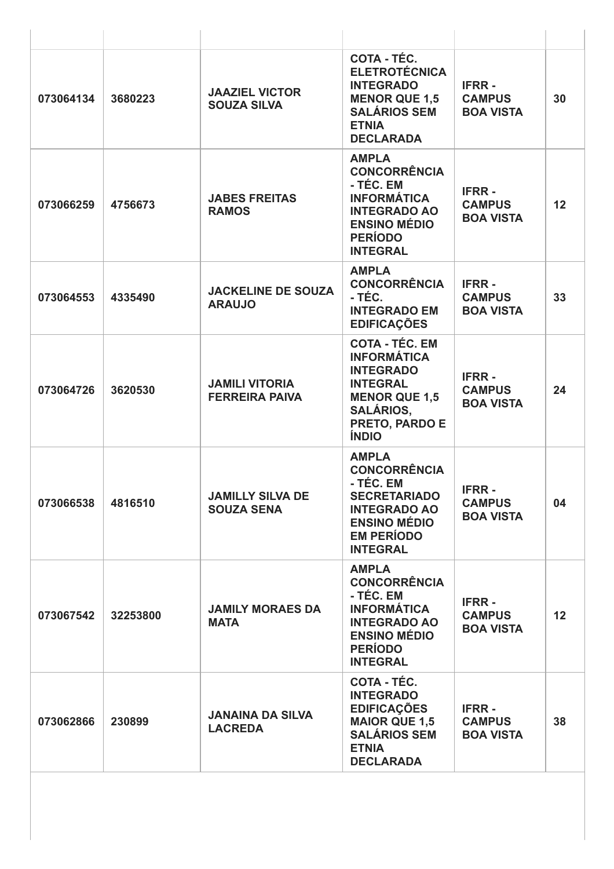| 073064134 | 3680223  | <b>JAAZIEL VICTOR</b><br><b>SOUZA SILVA</b>    | COTA - TÉC.<br><b>ELETROTÉCNICA</b><br><b>INTEGRADO</b><br><b>MENOR QUE 1.5</b><br><b>SALÁRIOS SEM</b><br><b>ETNIA</b><br><b>DECLARADA</b>                       | <b>IFRR-</b><br><b>CAMPUS</b><br><b>BOA VISTA</b> | 30              |
|-----------|----------|------------------------------------------------|------------------------------------------------------------------------------------------------------------------------------------------------------------------|---------------------------------------------------|-----------------|
| 073066259 | 4756673  | <b>JABES FREITAS</b><br><b>RAMOS</b>           | <b>AMPLA</b><br><b>CONCORRÊNCIA</b><br>- TÉC. EM<br><b>INFORMÁTICA</b><br><b>INTEGRADO AO</b><br><b>ENSINO MÉDIO</b><br><b>PERÍODO</b><br><b>INTEGRAL</b>        | <b>IFRR-</b><br><b>CAMPUS</b><br><b>BOA VISTA</b> | 12              |
| 073064553 | 4335490  | <b>JACKELINE DE SOUZA</b><br><b>ARAUJO</b>     | <b>AMPLA</b><br><b>CONCORRÊNCIA</b><br>- TÉC.<br><b>INTEGRADO EM</b><br><b>EDIFICAÇÕES</b>                                                                       | <b>IFRR-</b><br><b>CAMPUS</b><br><b>BOA VISTA</b> | 33              |
| 073064726 | 3620530  | <b>JAMILI VITORIA</b><br><b>FERREIRA PAIVA</b> | <b>COTA - TÉC. EM</b><br><b>INFORMÁTICA</b><br><b>INTEGRADO</b><br><b>INTEGRAL</b><br><b>MENOR QUE 1,5</b><br><b>SALÁRIOS,</b><br>PRETO, PARDO E<br><b>ÍNDIO</b> | <b>IFRR-</b><br><b>CAMPUS</b><br><b>BOA VISTA</b> | 24              |
| 073066538 | 4816510  | <b>JAMILLY SILVA DE</b><br><b>SOUZA SENA</b>   | <b>AMPLA</b><br><b>CONCORRÊNCIA</b><br>- TÉC. EM<br><b>SECRETARIADO</b><br><b>INTEGRADO AO</b><br><b>ENSINO MÉDIO</b><br><b>EM PERÍODO</b><br><b>INTEGRAL</b>    | <b>IFRR-</b><br><b>CAMPUS</b><br><b>BOA VISTA</b> | 04              |
| 073067542 | 32253800 | <b>JAMILY MORAES DA</b><br><b>MATA</b>         | <b>AMPLA</b><br><b>CONCORRÊNCIA</b><br>- TÉC. EM<br><b>INFORMÁTICA</b><br><b>INTEGRADO AO</b><br><b>ENSINO MÉDIO</b><br><b>PERÍODO</b><br><b>INTEGRAL</b>        | <b>IFRR-</b><br><b>CAMPUS</b><br><b>BOA VISTA</b> | 12 <sup>2</sup> |
| 073062866 | 230899   | <b>JANAINA DA SILVA</b><br><b>LACREDA</b>      | <b>COTA - TÉC.</b><br><b>INTEGRADO</b><br><b>EDIFICAÇÕES</b><br><b>MAIOR QUE 1,5</b><br><b>SALÁRIOS SEM</b><br><b>ETNIA</b><br><b>DECLARADA</b>                  | <b>IFRR-</b><br><b>CAMPUS</b><br><b>BOA VISTA</b> | 38              |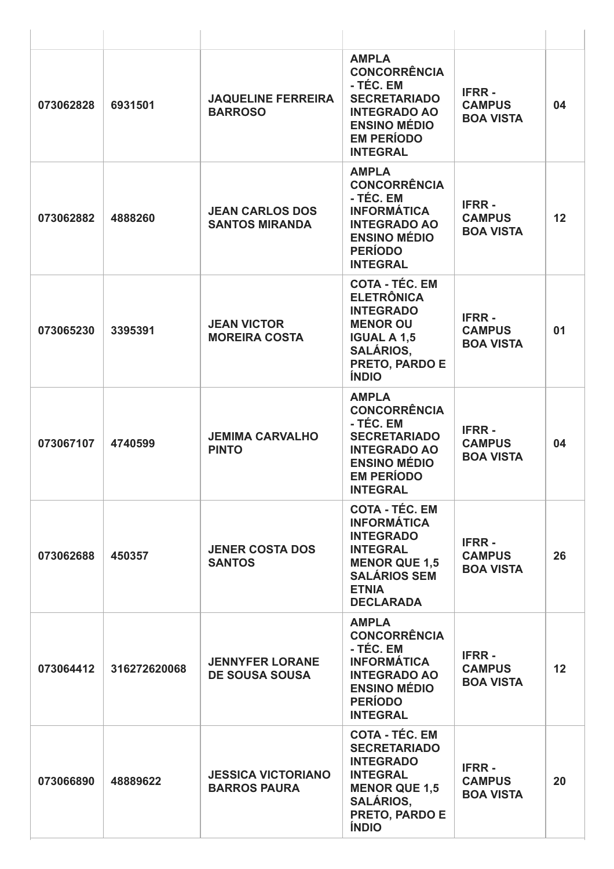| 073062828 | 6931501      | <b>JAQUELINE FERREIRA</b><br><b>BARROSO</b>      | <b>AMPLA</b><br><b>CONCORRÊNCIA</b><br>- TÉC. EM<br><b>SECRETARIADO</b><br><b>INTEGRADO AO</b><br><b>ENSINO MÉDIO</b><br><b>EM PERÍODO</b><br><b>INTEGRAL</b>         | <b>IFRR-</b><br><b>CAMPUS</b><br><b>BOA VISTA</b> | 04 |
|-----------|--------------|--------------------------------------------------|-----------------------------------------------------------------------------------------------------------------------------------------------------------------------|---------------------------------------------------|----|
| 073062882 | 4888260      | <b>JEAN CARLOS DOS</b><br><b>SANTOS MIRANDA</b>  | <b>AMPLA</b><br><b>CONCORRÊNCIA</b><br>- TÉC. EM<br><b>INFORMÁTICA</b><br><b>INTEGRADO AO</b><br><b>ENSINO MÉDIO</b><br><b>PERÍODO</b><br><b>INTEGRAL</b>             | <b>IFRR-</b><br><b>CAMPUS</b><br><b>BOA VISTA</b> | 12 |
| 073065230 | 3395391      | <b>JEAN VICTOR</b><br><b>MOREIRA COSTA</b>       | <b>COTA - TÉC. EM</b><br><b>ELETRÔNICA</b><br><b>INTEGRADO</b><br><b>MENOR OU</b><br><b>IGUAL A 1,5</b><br><b>SALÁRIOS,</b><br>PRETO, PARDO E<br><b>ÍNDIO</b>         | <b>IFRR-</b><br><b>CAMPUS</b><br><b>BOA VISTA</b> | 01 |
| 073067107 | 4740599      | <b>JEMIMA CARVALHO</b><br><b>PINTO</b>           | <b>AMPLA</b><br><b>CONCORRÊNCIA</b><br>- TÉC. EM<br><b>SECRETARIADO</b><br><b>INTEGRADO AO</b><br><b>ENSINO MÉDIO</b><br><b>EM PERÍODO</b><br><b>INTEGRAL</b>         | <b>IFRR-</b><br><b>CAMPUS</b><br><b>BOA VISTA</b> | 04 |
| 073062688 | 450357       | <b>JENER COSTA DOS</b><br><b>SANTOS</b>          | <b>COTA - TÉC. EM</b><br><b>INFORMÁTICA</b><br><b>INTEGRADO</b><br><b>INTEGRAL</b><br><b>MENOR QUE 1,5</b><br><b>SALÁRIOS SEM</b><br><b>ETNIA</b><br><b>DECLARADA</b> | <b>IFRR-</b><br><b>CAMPUS</b><br><b>BOA VISTA</b> | 26 |
| 073064412 | 316272620068 | <b>JENNYFER LORANE</b><br><b>DE SOUSA SOUSA</b>  | <b>AMPLA</b><br><b>CONCORRÊNCIA</b><br>- TÉC. EM<br><b>INFORMÁTICA</b><br><b>INTEGRADO AO</b><br><b>ENSINO MÉDIO</b><br><b>PERÍODO</b><br><b>INTEGRAL</b>             | <b>IFRR-</b><br><b>CAMPUS</b><br><b>BOA VISTA</b> | 12 |
| 073066890 | 48889622     | <b>JESSICA VICTORIANO</b><br><b>BARROS PAURA</b> | <b>COTA - TÉC. EM</b><br><b>SECRETARIADO</b><br><b>INTEGRADO</b><br><b>INTEGRAL</b><br><b>MENOR QUE 1,5</b><br><b>SALÁRIOS,</b><br>PRETO, PARDO E<br><b>ÍNDIO</b>     | <b>IFRR-</b><br><b>CAMPUS</b><br><b>BOA VISTA</b> | 20 |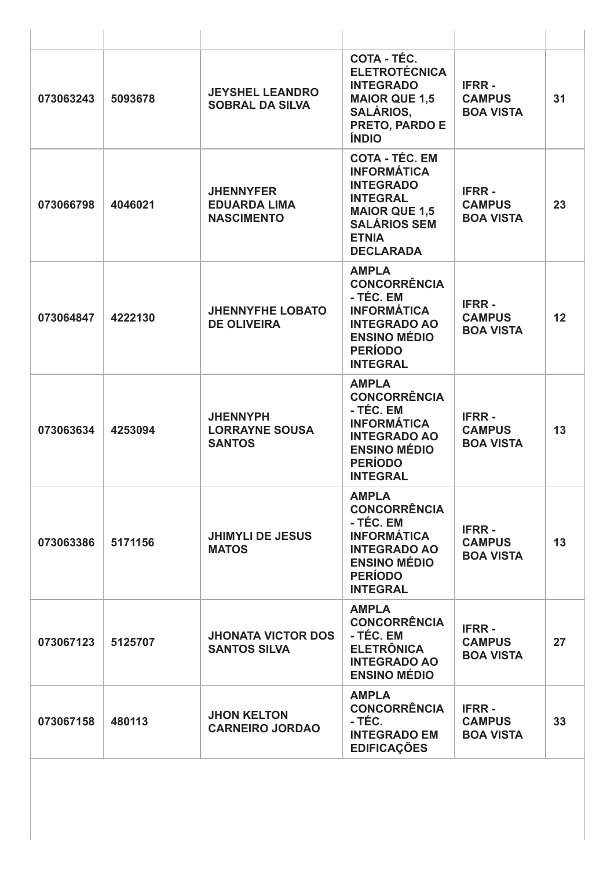| 073063243 | 5093678 | <b>JEYSHEL LEANDRO</b><br><b>SOBRAL DA SILVA</b>             | COTA - TÉC.<br><b>ELETROTÉCNICA</b><br><b>INTEGRADO</b><br><b>MAIOR QUE 1,5</b><br><b>SALÁRIOS,</b><br><b>PRETO, PARDO E</b><br><b>ÍNDIO</b>                          | <b>IFRR-</b><br><b>CAMPUS</b><br><b>BOA VISTA</b> | 31 |
|-----------|---------|--------------------------------------------------------------|-----------------------------------------------------------------------------------------------------------------------------------------------------------------------|---------------------------------------------------|----|
| 073066798 | 4046021 | <b>JHENNYFER</b><br><b>EDUARDA LIMA</b><br><b>NASCIMENTO</b> | <b>COTA - TÉC. EM</b><br><b>INFORMÁTICA</b><br><b>INTEGRADO</b><br><b>INTEGRAL</b><br><b>MAIOR QUE 1,5</b><br><b>SALÁRIOS SEM</b><br><b>ETNIA</b><br><b>DECLARADA</b> | <b>IFRR-</b><br><b>CAMPUS</b><br><b>BOA VISTA</b> | 23 |
| 073064847 | 4222130 | <b>JHENNYFHE LOBATO</b><br><b>DE OLIVEIRA</b>                | <b>AMPLA</b><br><b>CONCORRÊNCIA</b><br>- TÉC. EM<br><b>INFORMÁTICA</b><br><b>INTEGRADO AO</b><br><b>ENSINO MÉDIO</b><br><b>PERÍODO</b><br><b>INTEGRAL</b>             | <b>IFRR-</b><br><b>CAMPUS</b><br><b>BOA VISTA</b> | 12 |
| 073063634 | 4253094 | <b>JHENNYPH</b><br><b>LORRAYNE SOUSA</b><br><b>SANTOS</b>    | <b>AMPLA</b><br><b>CONCORRÊNCIA</b><br>- TÉC. EM<br><b>INFORMÁTICA</b><br><b>INTEGRADO AO</b><br><b>ENSINO MÉDIO</b><br><b>PERÍODO</b><br><b>INTEGRAL</b>             | <b>IFRR-</b><br><b>CAMPUS</b><br><b>BOA VISTA</b> | 13 |
| 073063386 | 5171156 | <b>JHIMYLI DE JESUS</b><br><b>MATOS</b>                      | <b>AMPLA</b><br><b>CONCORRÊNCIA</b><br>- TÉC. EM<br><b>INFORMÁTICA</b><br><b>INTEGRADO AO</b><br><b>ENSINO MÉDIO</b><br><b>PERÍODO</b><br><b>INTEGRAL</b>             | <b>IFRR-</b><br><b>CAMPUS</b><br><b>BOA VISTA</b> | 13 |
| 073067123 | 5125707 | <b>JHONATA VICTOR DOS</b><br><b>SANTOS SILVA</b>             | <b>AMPLA</b><br><b>CONCORRÊNCIA</b><br>- TÉC. EM<br><b>ELETRÔNICA</b><br><b>INTEGRADO AO</b><br><b>ENSINO MÉDIO</b>                                                   | <b>IFRR-</b><br><b>CAMPUS</b><br><b>BOA VISTA</b> | 27 |
| 073067158 | 480113  | <b>JHON KELTON</b><br><b>CARNEIRO JORDAO</b>                 | <b>AMPLA</b><br><b>CONCORRÊNCIA</b><br>- TÉC.<br><b>INTEGRADO EM</b><br><b>EDIFICAÇÕES</b>                                                                            | <b>IFRR-</b><br><b>CAMPUS</b><br><b>BOA VISTA</b> | 33 |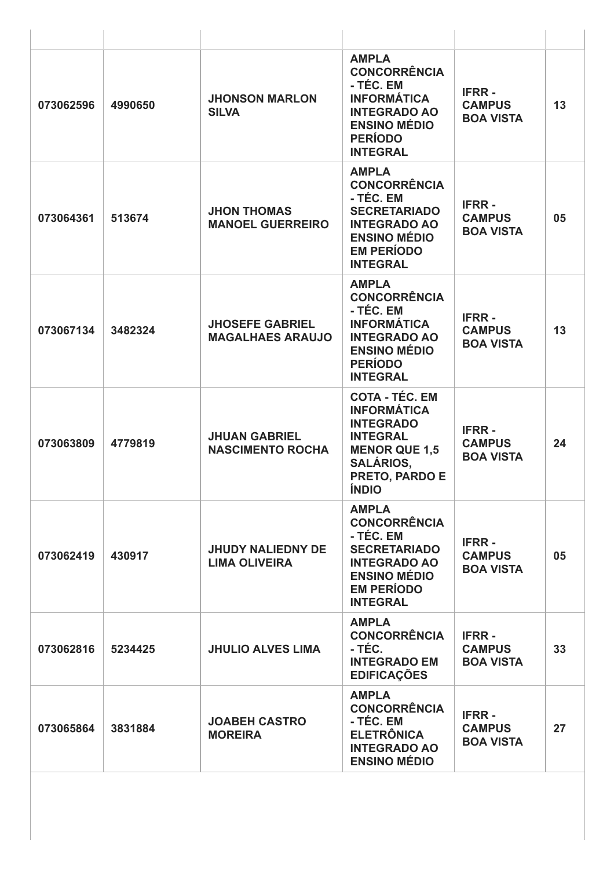| 073062596 | 4990650 | <b>JHONSON MARLON</b><br><b>SILVA</b>             | <b>AMPLA</b><br><b>CONCORRÊNCIA</b><br>- TÉC. EM<br><b>INFORMÁTICA</b><br><b>INTEGRADO AO</b><br><b>ENSINO MÉDIO</b><br><b>PERÍODO</b><br><b>INTEGRAL</b>               | <b>IFRR-</b><br><b>CAMPUS</b><br><b>BOA VISTA</b> | 13 |
|-----------|---------|---------------------------------------------------|-------------------------------------------------------------------------------------------------------------------------------------------------------------------------|---------------------------------------------------|----|
| 073064361 | 513674  | <b>JHON THOMAS</b><br><b>MANOEL GUERREIRO</b>     | <b>AMPLA</b><br><b>CONCORRÊNCIA</b><br>- TÉC. EM<br><b>SECRETARIADO</b><br><b>INTEGRADO AO</b><br><b>ENSINO MÉDIO</b><br><b>EM PERÍODO</b><br><b>INTEGRAL</b>           | <b>IFRR-</b><br><b>CAMPUS</b><br><b>BOA VISTA</b> | 05 |
| 073067134 | 3482324 | <b>JHOSEFE GABRIEL</b><br><b>MAGALHAES ARAUJO</b> | <b>AMPLA</b><br><b>CONCORRÊNCIA</b><br>- TÉC. EM<br><b>INFORMÁTICA</b><br><b>INTEGRADO AO</b><br><b>ENSINO MÉDIO</b><br><b>PERÍODO</b><br><b>INTEGRAL</b>               | <b>IFRR-</b><br><b>CAMPUS</b><br><b>BOA VISTA</b> | 13 |
| 073063809 | 4779819 | <b>JHUAN GABRIEL</b><br><b>NASCIMENTO ROCHA</b>   | <b>COTA - TÉC. EM</b><br><b>INFORMÁTICA</b><br><b>INTEGRADO</b><br><b>INTEGRAL</b><br><b>MENOR QUE 1,5</b><br><b>SALÁRIOS,</b><br><b>PRETO, PARDO E</b><br><b>ÍNDIO</b> | <b>IFRR-</b><br><b>CAMPUS</b><br><b>BOA VISTA</b> | 24 |
| 073062419 | 430917  | <b>JHUDY NALIEDNY DE</b><br><b>LIMA OLIVEIRA</b>  | <b>AMPLA</b><br><b>CONCORRÊNCIA</b><br>- TÉC. EM<br><b>SECRETARIADO</b><br><b>INTEGRADO AO</b><br><b>ENSINO MÉDIO</b><br><b>EM PERÍODO</b><br><b>INTEGRAL</b>           | <b>IFRR-</b><br><b>CAMPUS</b><br><b>BOA VISTA</b> | 05 |
| 073062816 | 5234425 | <b>JHULIO ALVES LIMA</b>                          | <b>AMPLA</b><br><b>CONCORRÊNCIA</b><br>- TÉC.<br><b>INTEGRADO EM</b><br><b>EDIFICAÇÕES</b>                                                                              | <b>IFRR-</b><br><b>CAMPUS</b><br><b>BOA VISTA</b> | 33 |
| 073065864 | 3831884 | <b>JOABEH CASTRO</b><br><b>MOREIRA</b>            | <b>AMPLA</b><br><b>CONCORRÊNCIA</b><br>- TÉC. EM<br><b>ELETRÔNICA</b><br><b>INTEGRADO AO</b><br><b>ENSINO MÉDIO</b>                                                     | <b>IFRR-</b><br><b>CAMPUS</b><br><b>BOA VISTA</b> | 27 |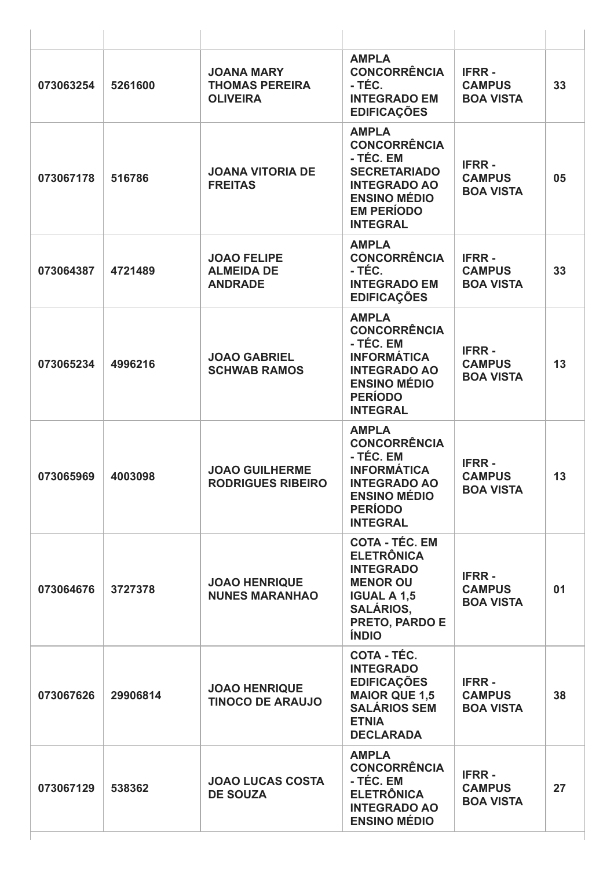| 073063254 | 5261600  | <b>JOANA MARY</b><br><b>THOMAS PEREIRA</b><br><b>OLIVEIRA</b> | <b>AMPLA</b><br><b>CONCORRÊNCIA</b><br>- TÉC.<br><b>INTEGRADO EM</b><br><b>EDIFICAÇÕES</b>                                                                    | <b>IFRR-</b><br><b>CAMPUS</b><br><b>BOA VISTA</b> | 33 |
|-----------|----------|---------------------------------------------------------------|---------------------------------------------------------------------------------------------------------------------------------------------------------------|---------------------------------------------------|----|
| 073067178 | 516786   | <b>JOANA VITORIA DE</b><br><b>FREITAS</b>                     | <b>AMPLA</b><br><b>CONCORRÊNCIA</b><br>- TÉC. EM<br><b>SECRETARIADO</b><br><b>INTEGRADO AO</b><br><b>ENSINO MÉDIO</b><br><b>EM PERÍODO</b><br><b>INTEGRAL</b> | <b>IFRR-</b><br><b>CAMPUS</b><br><b>BOA VISTA</b> | 05 |
| 073064387 | 4721489  | <b>JOAO FELIPE</b><br><b>ALMEIDA DE</b><br><b>ANDRADE</b>     | <b>AMPLA</b><br><b>CONCORRÊNCIA</b><br>- TÉC.<br><b>INTEGRADO EM</b><br><b>EDIFICAÇÕES</b>                                                                    | <b>IFRR-</b><br><b>CAMPUS</b><br><b>BOA VISTA</b> | 33 |
| 073065234 | 4996216  | <b>JOAO GABRIEL</b><br><b>SCHWAB RAMOS</b>                    | <b>AMPLA</b><br><b>CONCORRÊNCIA</b><br>- TÉC. EM<br><b>INFORMÁTICA</b><br><b>INTEGRADO AO</b><br><b>ENSINO MÉDIO</b><br><b>PERÍODO</b><br><b>INTEGRAL</b>     | <b>IFRR-</b><br><b>CAMPUS</b><br><b>BOA VISTA</b> | 13 |
| 073065969 | 4003098  | <b>JOAO GUILHERME</b><br><b>RODRIGUES RIBEIRO</b>             | <b>AMPLA</b><br><b>CONCORRÊNCIA</b><br>- TÉC. EM<br><b>INFORMÁTICA</b><br><b>INTEGRADO AO</b><br><b>ENSINO MÉDIO</b><br><b>PERÍODO</b><br><b>INTEGRAL</b>     | <b>IFRR-</b><br><b>CAMPUS</b><br><b>BOA VISTA</b> | 13 |
| 073064676 | 3727378  | <b>JOAO HENRIQUE</b><br><b>NUNES MARANHAO</b>                 | <b>COTA - TÉC. EM</b><br><b>ELETRÔNICA</b><br><b>INTEGRADO</b><br><b>MENOR OU</b><br><b>IGUAL A 1,5</b><br><b>SALÁRIOS,</b><br>PRETO, PARDO E<br><b>ÍNDIO</b> | <b>IFRR-</b><br><b>CAMPUS</b><br><b>BOA VISTA</b> | 01 |
| 073067626 | 29906814 | <b>JOAO HENRIQUE</b><br><b>TINOCO DE ARAUJO</b>               | COTA - TÉC.<br><b>INTEGRADO</b><br><b>EDIFICAÇÕES</b><br><b>MAIOR QUE 1,5</b><br><b>SALÁRIOS SEM</b><br><b>ETNIA</b><br><b>DECLARADA</b>                      | <b>IFRR-</b><br><b>CAMPUS</b><br><b>BOA VISTA</b> | 38 |
| 073067129 | 538362   | <b>JOAO LUCAS COSTA</b><br><b>DE SOUZA</b>                    | <b>AMPLA</b><br><b>CONCORRÊNCIA</b><br>- TÉC. EM<br><b>ELETRÔNICA</b><br><b>INTEGRADO AO</b><br><b>ENSINO MÉDIO</b>                                           | <b>IFRR-</b><br><b>CAMPUS</b><br><b>BOA VISTA</b> | 27 |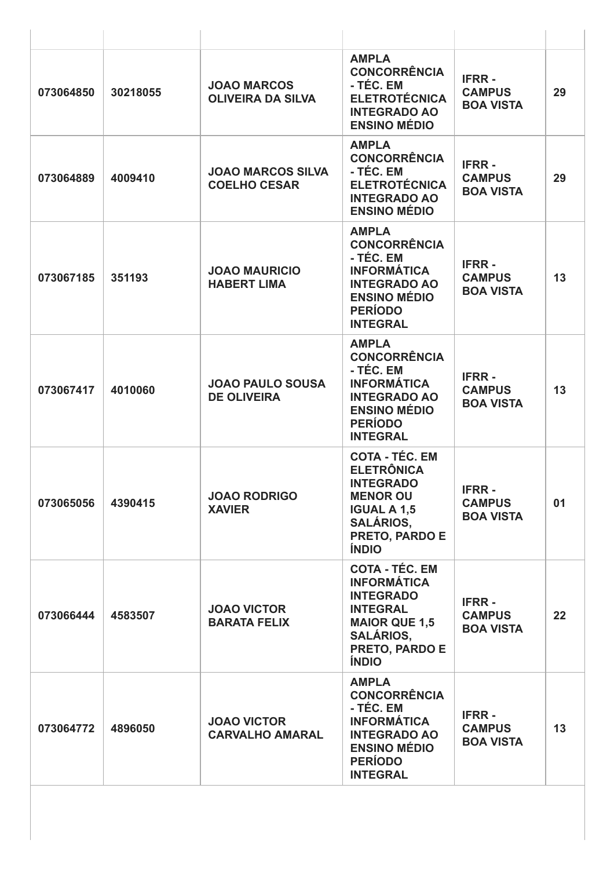| 073064850 | 30218055 | <b>JOAO MARCOS</b><br><b>OLIVEIRA DA SILVA</b>  | <b>AMPLA</b><br><b>CONCORRÊNCIA</b><br>- TÉC. EM<br><b>ELETROTÉCNICA</b><br><b>INTEGRADO AO</b><br><b>ENSINO MÉDIO</b>                                           | <b>IFRR-</b><br><b>CAMPUS</b><br><b>BOA VISTA</b> | 29 |
|-----------|----------|-------------------------------------------------|------------------------------------------------------------------------------------------------------------------------------------------------------------------|---------------------------------------------------|----|
| 073064889 | 4009410  | <b>JOAO MARCOS SILVA</b><br><b>COELHO CESAR</b> | <b>AMPLA</b><br><b>CONCORRÊNCIA</b><br>- TÉC. EM<br><b>ELETROTÉCNICA</b><br><b>INTEGRADO AO</b><br><b>ENSINO MÉDIO</b>                                           | <b>IFRR-</b><br><b>CAMPUS</b><br><b>BOA VISTA</b> | 29 |
| 073067185 | 351193   | <b>JOAO MAURICIO</b><br><b>HABERT LIMA</b>      | <b>AMPLA</b><br><b>CONCORRÊNCIA</b><br>- TÉC. EM<br><b>INFORMÁTICA</b><br><b>INTEGRADO AO</b><br><b>ENSINO MÉDIO</b><br><b>PERÍODO</b><br><b>INTEGRAL</b>        | <b>IFRR-</b><br><b>CAMPUS</b><br><b>BOA VISTA</b> | 13 |
| 073067417 | 4010060  | <b>JOAO PAULO SOUSA</b><br><b>DE OLIVEIRA</b>   | <b>AMPLA</b><br><b>CONCORRÊNCIA</b><br>- TÉC. EM<br><b>INFORMÁTICA</b><br><b>INTEGRADO AO</b><br><b>ENSINO MÉDIO</b><br><b>PERÍODO</b><br><b>INTEGRAL</b>        | <b>IFRR-</b><br><b>CAMPUS</b><br><b>BOA VISTA</b> | 13 |
| 073065056 | 4390415  | <b>JOAO RODRIGO</b><br><b>XAVIER</b>            | <b>COTA - TÉC. EM</b><br><b>ELETRÔNICA</b><br><b>INTEGRADO</b><br><b>MENOR OU</b><br><b>IGUAL A 1,5</b><br><b>SALÁRIOS,</b><br>PRETO, PARDO E<br><b>ÍNDIO</b>    | <b>IFRR-</b><br><b>CAMPUS</b><br><b>BOA VISTA</b> | 01 |
| 073066444 | 4583507  | <b>JOAO VICTOR</b><br><b>BARATA FELIX</b>       | <b>COTA - TÉC. EM</b><br><b>INFORMÁTICA</b><br><b>INTEGRADO</b><br><b>INTEGRAL</b><br><b>MAIOR QUE 1,5</b><br><b>SALÁRIOS,</b><br>PRETO, PARDO E<br><b>ÍNDIO</b> | <b>IFRR-</b><br><b>CAMPUS</b><br><b>BOA VISTA</b> | 22 |
| 073064772 | 4896050  | <b>JOAO VICTOR</b><br><b>CARVALHO AMARAL</b>    | <b>AMPLA</b><br><b>CONCORRÊNCIA</b><br>- TÉC. EM<br><b>INFORMÁTICA</b><br><b>INTEGRADO AO</b><br><b>ENSINO MÉDIO</b><br><b>PERÍODO</b><br><b>INTEGRAL</b>        | <b>IFRR-</b><br><b>CAMPUS</b><br><b>BOA VISTA</b> | 13 |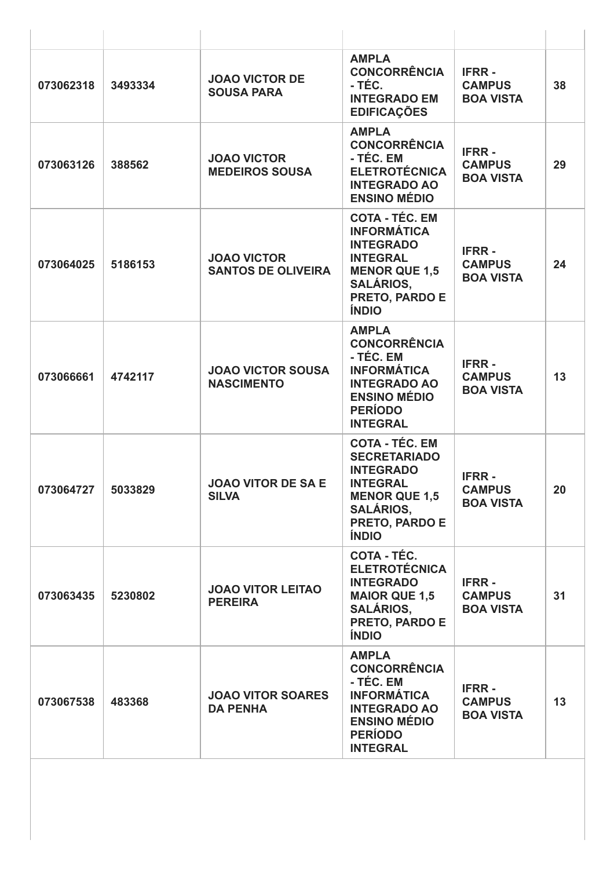| 073062318 | 3493334 | <b>JOAO VICTOR DE</b><br><b>SOUSA PARA</b>      | <b>AMPLA</b><br><b>CONCORRÊNCIA</b><br>- TÉC.<br><b>INTEGRADO EM</b><br><b>EDIFICAÇÕES</b>                                                                        | <b>IFRR-</b><br><b>CAMPUS</b><br><b>BOA VISTA</b> | 38 |
|-----------|---------|-------------------------------------------------|-------------------------------------------------------------------------------------------------------------------------------------------------------------------|---------------------------------------------------|----|
| 073063126 | 388562  | <b>JOAO VICTOR</b><br><b>MEDEIROS SOUSA</b>     | <b>AMPLA</b><br><b>CONCORRÊNCIA</b><br>- TÉC. EM<br><b>ELETROTÉCNICA</b><br><b>INTEGRADO AO</b><br><b>ENSINO MÉDIO</b>                                            | <b>IFRR-</b><br><b>CAMPUS</b><br><b>BOA VISTA</b> | 29 |
| 073064025 | 5186153 | <b>JOAO VICTOR</b><br><b>SANTOS DE OLIVEIRA</b> | <b>COTA - TÉC. EM</b><br><b>INFORMÁTICA</b><br><b>INTEGRADO</b><br><b>INTEGRAL</b><br><b>MENOR QUE 1,5</b><br><b>SALÁRIOS,</b><br>PRETO, PARDO E<br><b>ÍNDIO</b>  | <b>IFRR-</b><br><b>CAMPUS</b><br><b>BOA VISTA</b> | 24 |
| 073066661 | 4742117 | <b>JOAO VICTOR SOUSA</b><br><b>NASCIMENTO</b>   | <b>AMPLA</b><br><b>CONCORRÊNCIA</b><br>- TÉC. EM<br><b>INFORMÁTICA</b><br><b>INTEGRADO AO</b><br><b>ENSINO MÉDIO</b><br><b>PERÍODO</b><br><b>INTEGRAL</b>         | <b>IFRR-</b><br><b>CAMPUS</b><br><b>BOA VISTA</b> | 13 |
| 073064727 | 5033829 | <b>JOAO VITOR DE SA E</b><br><b>SILVA</b>       | <b>COTA - TÉC. EM</b><br><b>SECRETARIADO</b><br><b>INTEGRADO</b><br><b>INTEGRAL</b><br><b>MENOR QUE 1,5</b><br><b>SALÁRIOS,</b><br>PRETO, PARDO E<br><b>ÍNDIO</b> | <b>IFRR-</b><br><b>CAMPUS</b><br><b>BOA VISTA</b> | 20 |
| 073063435 | 5230802 | <b>JOAO VITOR LEITAO</b><br><b>PEREIRA</b>      | <b>COTA - TÉC.</b><br><b>ELETROTÉCNICA</b><br><b>INTEGRADO</b><br><b>MAIOR QUE 1,5</b><br><b>SALÁRIOS,</b><br>PRETO, PARDO E<br><b>ÍNDIO</b>                      | <b>IFRR-</b><br><b>CAMPUS</b><br><b>BOA VISTA</b> | 31 |
| 073067538 | 483368  | <b>JOAO VITOR SOARES</b><br><b>DA PENHA</b>     | <b>AMPLA</b><br><b>CONCORRÊNCIA</b><br>- TÉC. EM<br><b>INFORMÁTICA</b><br><b>INTEGRADO AO</b><br><b>ENSINO MÉDIO</b><br><b>PERÍODO</b><br><b>INTEGRAL</b>         | <b>IFRR-</b><br><b>CAMPUS</b><br><b>BOA VISTA</b> | 13 |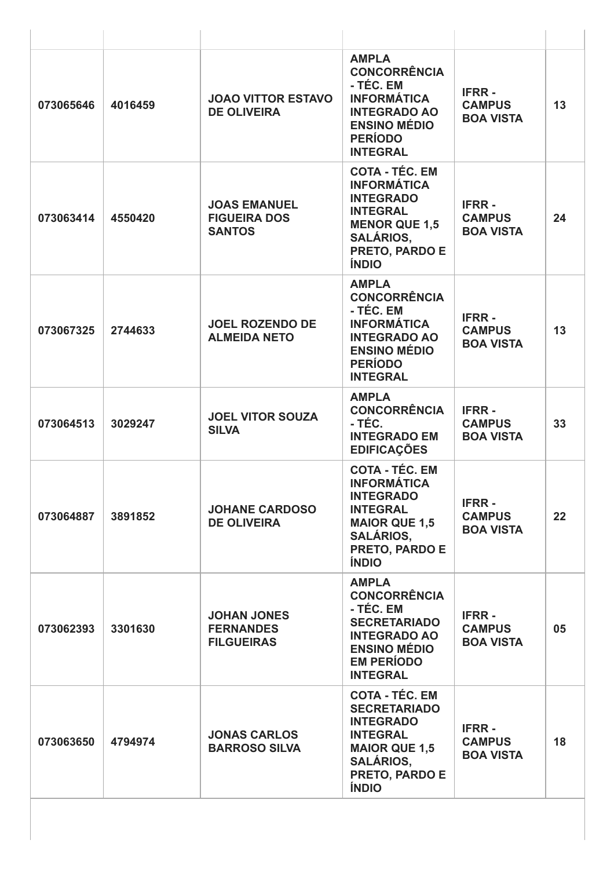| 073065646 | 4016459 | <b>JOAO VITTOR ESTAVO</b><br><b>DE OLIVEIRA</b>             | <b>AMPLA</b><br><b>CONCORRÊNCIA</b><br>- TÉC. EM<br><b>INFORMÁTICA</b><br><b>INTEGRADO AO</b><br><b>ENSINO MÉDIO</b><br><b>PERÍODO</b><br><b>INTEGRAL</b>               | <b>IFRR-</b><br><b>CAMPUS</b><br><b>BOA VISTA</b> | 13 |
|-----------|---------|-------------------------------------------------------------|-------------------------------------------------------------------------------------------------------------------------------------------------------------------------|---------------------------------------------------|----|
| 073063414 | 4550420 | <b>JOAS EMANUEL</b><br><b>FIGUEIRA DOS</b><br><b>SANTOS</b> | <b>COTA - TÉC. EM</b><br><b>INFORMÁTICA</b><br><b>INTEGRADO</b><br><b>INTEGRAL</b><br><b>MENOR QUE 1,5</b><br><b>SALÁRIOS,</b><br>PRETO, PARDO E<br><b>ÍNDIO</b>        | <b>IFRR-</b><br><b>CAMPUS</b><br><b>BOA VISTA</b> | 24 |
| 073067325 | 2744633 | <b>JOEL ROZENDO DE</b><br><b>ALMEIDA NETO</b>               | <b>AMPLA</b><br><b>CONCORRÊNCIA</b><br>- TÉC. EM<br><b>INFORMÁTICA</b><br><b>INTEGRADO AO</b><br><b>ENSINO MÉDIO</b><br><b>PERÍODO</b><br><b>INTEGRAL</b>               | <b>IFRR-</b><br><b>CAMPUS</b><br><b>BOA VISTA</b> | 13 |
| 073064513 | 3029247 | <b>JOEL VITOR SOUZA</b><br><b>SILVA</b>                     | <b>AMPLA</b><br><b>CONCORRÊNCIA</b><br>- TÉC.<br><b>INTEGRADO EM</b><br><b>EDIFICAÇÕES</b>                                                                              | <b>IFRR-</b><br><b>CAMPUS</b><br><b>BOA VISTA</b> | 33 |
| 073064887 | 3891852 | <b>JOHANE CARDOSO</b><br><b>DE OLIVEIRA</b>                 | <b>COTA - TÉC. EM</b><br><b>INFORMÁTICA</b><br><b>INTEGRADO</b><br><b>INTEGRAL</b><br><b>MAIOR QUE 1,5</b><br><b>SALÁRIOS,</b><br><b>PRETO, PARDO E</b><br><b>ÍNDIO</b> | <b>IFRR-</b><br><b>CAMPUS</b><br><b>BOA VISTA</b> | 22 |
| 073062393 | 3301630 | <b>JOHAN JONES</b><br><b>FERNANDES</b><br><b>FILGUEIRAS</b> | <b>AMPLA</b><br><b>CONCORRÊNCIA</b><br>- TÉC. EM<br><b>SECRETARIADO</b><br><b>INTEGRADO AO</b><br><b>ENSINO MÉDIO</b><br><b>EM PERÍODO</b><br><b>INTEGRAL</b>           | <b>IFRR-</b><br><b>CAMPUS</b><br><b>BOA VISTA</b> | 05 |
| 073063650 | 4794974 | <b>JONAS CARLOS</b><br><b>BARROSO SILVA</b>                 | <b>COTA - TÉC. EM</b><br><b>SECRETARIADO</b><br><b>INTEGRADO</b><br><b>INTEGRAL</b><br><b>MAIOR QUE 1,5</b><br><b>SALÁRIOS,</b><br>PRETO, PARDO E<br><b>ÍNDIO</b>       | <b>IFRR-</b><br><b>CAMPUS</b><br><b>BOA VISTA</b> | 18 |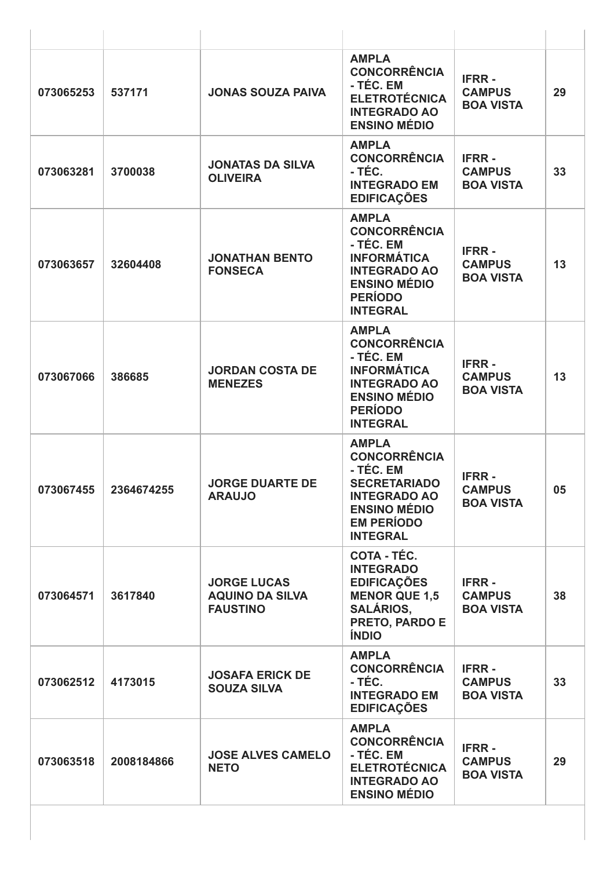| 073065253 | 537171     | <b>JONAS SOUZA PAIVA</b>                                        | <b>AMPLA</b><br><b>CONCORRÊNCIA</b><br>- TÉC. EM<br><b>ELETROTÉCNICA</b><br><b>INTEGRADO AO</b><br><b>ENSINO MÉDIO</b>                                        | <b>IFRR-</b><br><b>CAMPUS</b><br><b>BOA VISTA</b> | 29 |
|-----------|------------|-----------------------------------------------------------------|---------------------------------------------------------------------------------------------------------------------------------------------------------------|---------------------------------------------------|----|
| 073063281 | 3700038    | <b>JONATAS DA SILVA</b><br><b>OLIVEIRA</b>                      | <b>AMPLA</b><br><b>CONCORRÊNCIA</b><br>- TÉC.<br><b>INTEGRADO EM</b><br><b>EDIFICAÇÕES</b>                                                                    | <b>IFRR-</b><br><b>CAMPUS</b><br><b>BOA VISTA</b> | 33 |
| 073063657 | 32604408   | <b>JONATHAN BENTO</b><br><b>FONSECA</b>                         | <b>AMPLA</b><br><b>CONCORRÊNCIA</b><br>- TÉC. EM<br><b>INFORMÁTICA</b><br><b>INTEGRADO AO</b><br><b>ENSINO MÉDIO</b><br><b>PERÍODO</b><br><b>INTEGRAL</b>     | <b>IFRR-</b><br><b>CAMPUS</b><br><b>BOA VISTA</b> | 13 |
| 073067066 | 386685     | <b>JORDAN COSTA DE</b><br><b>MENEZES</b>                        | <b>AMPLA</b><br><b>CONCORRÊNCIA</b><br>- TÉC. EM<br><b>INFORMÁTICA</b><br><b>INTEGRADO AO</b><br><b>ENSINO MÉDIO</b><br><b>PERÍODO</b><br><b>INTEGRAL</b>     | <b>IFRR-</b><br><b>CAMPUS</b><br><b>BOA VISTA</b> | 13 |
| 073067455 | 2364674255 | <b>JORGE DUARTE DE</b><br><b>ARAUJO</b>                         | <b>AMPLA</b><br><b>CONCORRÊNCIA</b><br>- TÉC. EM<br><b>SECRETARIADO</b><br><b>INTEGRADO AO</b><br><b>ENSINO MÉDIO</b><br><b>EM PERÍODO</b><br><b>INTEGRAL</b> | <b>IFRR-</b><br><b>CAMPUS</b><br><b>BOA VISTA</b> | 05 |
| 073064571 | 3617840    | <b>JORGE LUCAS</b><br><b>AQUINO DA SILVA</b><br><b>FAUSTINO</b> | COTA - TÉC.<br><b>INTEGRADO</b><br><b>EDIFICAÇÕES</b><br><b>MENOR QUE 1,5</b><br><b>SALÁRIOS,</b><br>PRETO, PARDO E<br><b>ÍNDIO</b>                           | <b>IFRR-</b><br><b>CAMPUS</b><br><b>BOA VISTA</b> | 38 |
| 073062512 | 4173015    | <b>JOSAFA ERICK DE</b><br><b>SOUZA SILVA</b>                    | <b>AMPLA</b><br><b>CONCORRÊNCIA</b><br>- TÉC.<br><b>INTEGRADO EM</b><br><b>EDIFICAÇÕES</b>                                                                    | <b>IFRR-</b><br><b>CAMPUS</b><br><b>BOA VISTA</b> | 33 |
| 073063518 | 2008184866 | <b>JOSE ALVES CAMELO</b><br><b>NETO</b>                         | <b>AMPLA</b><br><b>CONCORRÊNCIA</b><br>- TÉC. EM<br><b>ELETROTÉCNICA</b><br><b>INTEGRADO AO</b><br><b>ENSINO MÉDIO</b>                                        | <b>IFRR-</b><br><b>CAMPUS</b><br><b>BOA VISTA</b> | 29 |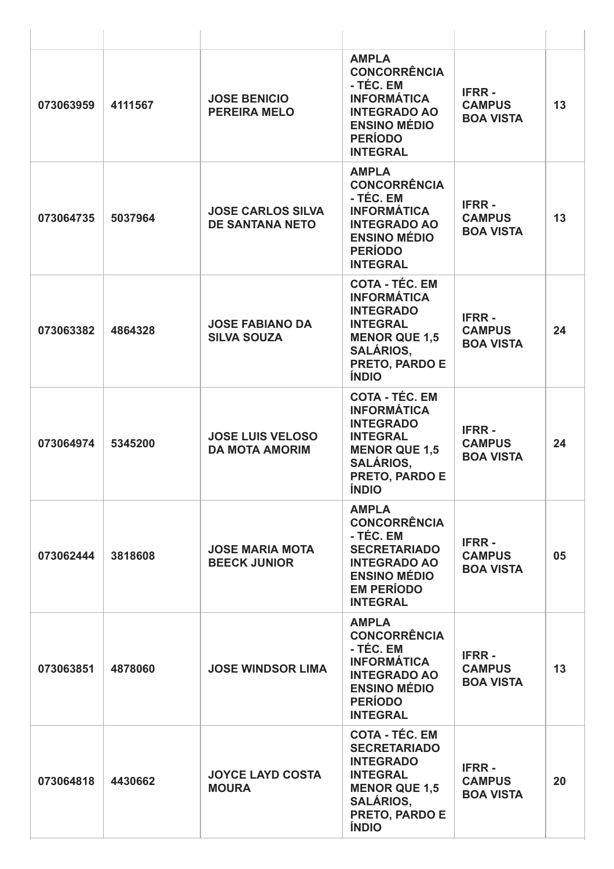| 073063959 | 4111567 | <b>JOSE BENICIO</b><br><b>PEREIRA MELO</b>         | <b>AMPLA</b><br><b>CONCORRÊNCIA</b><br>- TÉC. EM<br><b>INFORMÁTICA</b><br><b>INTEGRADO AO</b><br><b>ENSINO MÉDIO</b><br><b>PERÍODO</b><br><b>INTEGRAL</b>               | <b>IFRR-</b><br><b>CAMPUS</b><br><b>BOA VISTA</b> | 13 |
|-----------|---------|----------------------------------------------------|-------------------------------------------------------------------------------------------------------------------------------------------------------------------------|---------------------------------------------------|----|
| 073064735 | 5037964 | <b>JOSE CARLOS SILVA</b><br><b>DE SANTANA NETO</b> | <b>AMPLA</b><br><b>CONCORRÊNCIA</b><br>- TÉC. EM<br><b>INFORMÁTICA</b><br><b>INTEGRADO AO</b><br><b>ENSINO MÉDIO</b><br><b>PERÍODO</b><br><b>INTEGRAL</b>               | <b>IFRR-</b><br><b>CAMPUS</b><br><b>BOA VISTA</b> | 13 |
| 073063382 | 4864328 | <b>JOSE FABIANO DA</b><br><b>SILVA SOUZA</b>       | <b>COTA - TÉC. EM</b><br><b>INFORMÁTICA</b><br><b>INTEGRADO</b><br><b>INTEGRAL</b><br><b>MENOR QUE 1,5</b><br><b>SALÁRIOS,</b><br>PRETO, PARDO E<br><b>ÍNDIO</b>        | <b>IFRR-</b><br><b>CAMPUS</b><br><b>BOA VISTA</b> | 24 |
| 073064974 | 5345200 | <b>JOSE LUIS VELOSO</b><br><b>DA MOTA AMORIM</b>   | <b>COTA - TÉC. EM</b><br><b>INFORMÁTICA</b><br><b>INTEGRADO</b><br><b>INTEGRAL</b><br><b>MENOR QUE 1,5</b><br><b>SALÁRIOS,</b><br><b>PRETO, PARDO E</b><br><b>ÍNDIO</b> | <b>IFRR-</b><br><b>CAMPUS</b><br><b>BOA VISTA</b> | 24 |
| 073062444 | 3818608 | <b>JOSE MARIA MOTA</b><br><b>BEECK JUNIOR</b>      | <b>AMPLA</b><br><b>CONCORRÊNCIA</b><br>- TÉC. EM<br><b>SECRETARIADO</b><br><b>INTEGRADO AO</b><br><b>ENSINO MÉDIO</b><br><b>EM PERÍODO</b><br><b>INTEGRAL</b>           | <b>IFRR-</b><br><b>CAMPUS</b><br><b>BOA VISTA</b> | 05 |
| 073063851 | 4878060 | <b>JOSE WINDSOR LIMA</b>                           | <b>AMPLA</b><br><b>CONCORRÊNCIA</b><br>- TÉC. EM<br><b>INFORMÁTICA</b><br><b>INTEGRADO AO</b><br><b>ENSINO MÉDIO</b><br><b>PERÍODO</b><br><b>INTEGRAL</b>               | <b>IFRR-</b><br><b>CAMPUS</b><br><b>BOA VISTA</b> | 13 |
| 073064818 | 4430662 | <b>JOYCE LAYD COSTA</b><br><b>MOURA</b>            | <b>COTA - TÉC. EM</b><br><b>SECRETARIADO</b><br><b>INTEGRADO</b><br><b>INTEGRAL</b><br><b>MENOR QUE 1,5</b><br><b>SALÁRIOS,</b><br>PRETO, PARDO E<br><b>ÍNDIO</b>       | <b>IFRR-</b><br><b>CAMPUS</b><br><b>BOA VISTA</b> | 20 |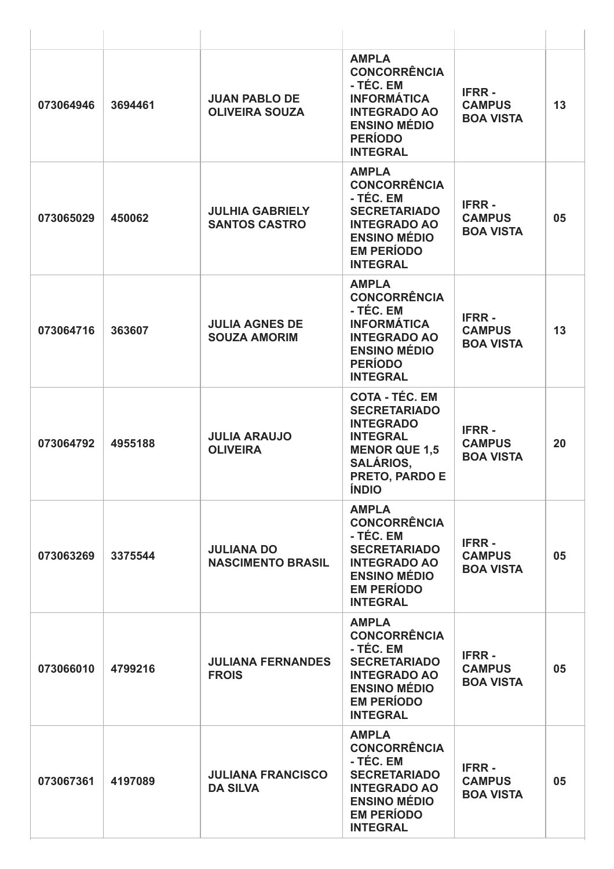| 073064946 | 3694461 | <b>JUAN PABLO DE</b><br><b>OLIVEIRA SOUZA</b>  | <b>AMPLA</b><br><b>CONCORRÊNCIA</b><br>- TÉC. EM<br><b>INFORMÁTICA</b><br><b>INTEGRADO AO</b><br><b>ENSINO MÉDIO</b><br><b>PERÍODO</b><br><b>INTEGRAL</b>                | <b>IFRR-</b><br><b>CAMPUS</b><br><b>BOA VISTA</b> | 13 |
|-----------|---------|------------------------------------------------|--------------------------------------------------------------------------------------------------------------------------------------------------------------------------|---------------------------------------------------|----|
| 073065029 | 450062  | <b>JULHIA GABRIELY</b><br><b>SANTOS CASTRO</b> | <b>AMPLA</b><br><b>CONCORRÊNCIA</b><br>- TÉC. EM<br><b>SECRETARIADO</b><br><b>INTEGRADO AO</b><br><b>ENSINO MÉDIO</b><br><b>EM PERÍODO</b><br><b>INTEGRAL</b>            | <b>IFRR-</b><br><b>CAMPUS</b><br><b>BOA VISTA</b> | 05 |
| 073064716 | 363607  | <b>JULIA AGNES DE</b><br><b>SOUZA AMORIM</b>   | <b>AMPLA</b><br><b>CONCORRÊNCIA</b><br>- TÉC. EM<br><b>INFORMÁTICA</b><br><b>INTEGRADO AO</b><br><b>ENSINO MÉDIO</b><br><b>PERÍODO</b><br><b>INTEGRAL</b>                | <b>IFRR-</b><br><b>CAMPUS</b><br><b>BOA VISTA</b> | 13 |
| 073064792 | 4955188 | <b>JULIA ARAUJO</b><br><b>OLIVEIRA</b>         | <b>COTA - TÉC. EM</b><br><b>SECRETARIADO</b><br><b>INTEGRADO</b><br><b>INTEGRAL</b><br><b>MENOR QUE 1,5</b><br><b>SALÁRIOS,</b><br><b>PRETO, PARDO E</b><br><b>ÍNDIO</b> | <b>IFRR-</b><br><b>CAMPUS</b><br><b>BOA VISTA</b> | 20 |
| 073063269 | 3375544 | <b>JULIANA DO</b><br><b>NASCIMENTO BRASIL</b>  | <b>AMPLA</b><br><b>CONCORRÊNCIA</b><br>- TÉC. EM<br><b>SECRETARIADO</b><br><b>INTEGRADO AO</b><br><b>ENSINO MÉDIO</b><br><b>EM PERÍODO</b><br><b>INTEGRAL</b>            | <b>IFRR-</b><br><b>CAMPUS</b><br><b>BOA VISTA</b> | 05 |
| 073066010 | 4799216 | <b>JULIANA FERNANDES</b><br><b>FROIS</b>       | <b>AMPLA</b><br><b>CONCORRÊNCIA</b><br>- TÉC. EM<br><b>SECRETARIADO</b><br><b>INTEGRADO AO</b><br><b>ENSINO MÉDIO</b><br><b>EM PERÍODO</b><br><b>INTEGRAL</b>            | <b>IFRR-</b><br><b>CAMPUS</b><br><b>BOA VISTA</b> | 05 |
| 073067361 | 4197089 | <b>JULIANA FRANCISCO</b><br><b>DA SILVA</b>    | <b>AMPLA</b><br><b>CONCORRÊNCIA</b><br>- TÉC. EM<br><b>SECRETARIADO</b><br><b>INTEGRADO AO</b><br><b>ENSINO MÉDIO</b><br><b>EM PERÍODO</b><br><b>INTEGRAL</b>            | <b>IFRR-</b><br><b>CAMPUS</b><br><b>BOA VISTA</b> | 05 |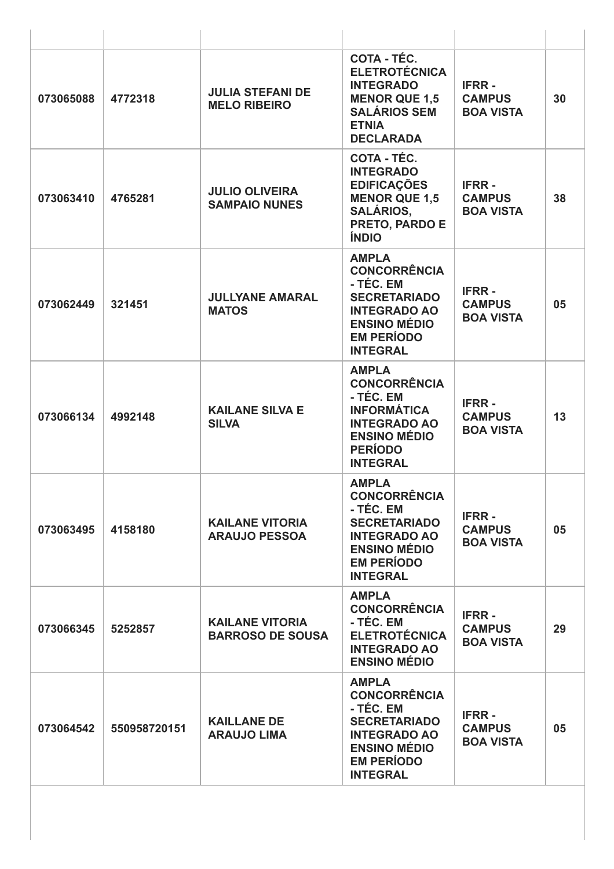| 073065088 | 4772318      | <b>JULIA STEFANI DE</b><br><b>MELO RIBEIRO</b>    | COTA - TÉC.<br><b>ELETROTÉCNICA</b><br><b>INTEGRADO</b><br><b>MENOR QUE 1,5</b><br><b>SALÁRIOS SEM</b><br><b>ETNIA</b><br><b>DECLARADA</b>                    | <b>IFRR-</b><br><b>CAMPUS</b><br><b>BOA VISTA</b> | 30 |
|-----------|--------------|---------------------------------------------------|---------------------------------------------------------------------------------------------------------------------------------------------------------------|---------------------------------------------------|----|
| 073063410 | 4765281      | <b>JULIO OLIVEIRA</b><br><b>SAMPAIO NUNES</b>     | COTA - TÉC.<br><b>INTEGRADO</b><br><b>EDIFICAÇÕES</b><br><b>MENOR QUE 1,5</b><br><b>SALÁRIOS,</b><br>PRETO, PARDO E<br><b>ÍNDIO</b>                           | <b>IFRR-</b><br><b>CAMPUS</b><br><b>BOA VISTA</b> | 38 |
| 073062449 | 321451       | <b>JULLYANE AMARAL</b><br><b>MATOS</b>            | <b>AMPLA</b><br><b>CONCORRÊNCIA</b><br>- TÉC. EM<br><b>SECRETARIADO</b><br><b>INTEGRADO AO</b><br><b>ENSINO MÉDIO</b><br><b>EM PERÍODO</b><br><b>INTEGRAL</b> | <b>IFRR-</b><br><b>CAMPUS</b><br><b>BOA VISTA</b> | 05 |
| 073066134 | 4992148      | <b>KAILANE SILVA E</b><br><b>SILVA</b>            | <b>AMPLA</b><br><b>CONCORRÊNCIA</b><br>- TÉC. EM<br><b>INFORMÁTICA</b><br><b>INTEGRADO AO</b><br><b>ENSINO MÉDIO</b><br><b>PERÍODO</b><br><b>INTEGRAL</b>     | <b>IFRR-</b><br><b>CAMPUS</b><br><b>BOA VISTA</b> | 13 |
| 073063495 | 4158180      | <b>KAILANE VITORIA</b><br><b>ARAUJO PESSOA</b>    | <b>AMPLA</b><br><b>CONCORRÊNCIA</b><br>- TÉC. EM<br><b>SECRETARIADO</b><br><b>INTEGRADO AO</b><br><b>ENSINO MÉDIO</b><br><b>EM PERÍODO</b><br><b>INTEGRAL</b> | <b>IFRR-</b><br><b>CAMPUS</b><br><b>BOA VISTA</b> | 05 |
| 073066345 | 5252857      | <b>KAILANE VITORIA</b><br><b>BARROSO DE SOUSA</b> | <b>AMPLA</b><br><b>CONCORRÊNCIA</b><br>- TÉC. EM<br><b>ELETROTÉCNICA</b><br><b>INTEGRADO AO</b><br><b>ENSINO MÉDIO</b>                                        | <b>IFRR-</b><br><b>CAMPUS</b><br><b>BOA VISTA</b> | 29 |
| 073064542 | 550958720151 | <b>KAILLANE DE</b><br><b>ARAUJO LIMA</b>          | <b>AMPLA</b><br><b>CONCORRÊNCIA</b><br>- TÉC. EM<br><b>SECRETARIADO</b><br><b>INTEGRADO AO</b><br><b>ENSINO MÉDIO</b><br><b>EM PERÍODO</b><br><b>INTEGRAL</b> | <b>IFRR-</b><br><b>CAMPUS</b><br><b>BOA VISTA</b> | 05 |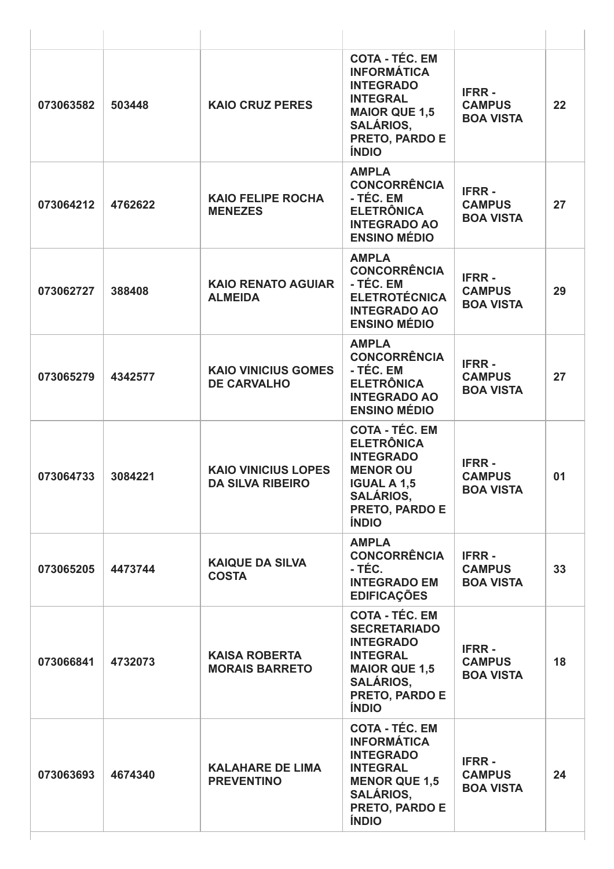| 073063582 | 503448  | <b>KAIO CRUZ PERES</b>                                | <b>COTA - TÉC. EM</b><br><b>INFORMÁTICA</b><br><b>INTEGRADO</b><br><b>INTEGRAL</b><br><b>MAIOR QUE 1,5</b><br><b>SALÁRIOS,</b><br>PRETO, PARDO E<br><b>ÍNDIO</b>     | <b>IFRR-</b><br><b>CAMPUS</b><br><b>BOA VISTA</b> | 22 |
|-----------|---------|-------------------------------------------------------|----------------------------------------------------------------------------------------------------------------------------------------------------------------------|---------------------------------------------------|----|
| 073064212 | 4762622 | <b>KAIO FELIPE ROCHA</b><br><b>MENEZES</b>            | <b>AMPLA</b><br><b>CONCORRÊNCIA</b><br>- TÉC. EM<br><b>ELETRÔNICA</b><br><b>INTEGRADO AO</b><br><b>ENSINO MÉDIO</b>                                                  | <b>IFRR-</b><br><b>CAMPUS</b><br><b>BOA VISTA</b> | 27 |
| 073062727 | 388408  | <b>KAIO RENATO AGUIAR</b><br><b>ALMEIDA</b>           | <b>AMPLA</b><br><b>CONCORRÊNCIA</b><br>- TÉC. EM<br><b>ELETROTÉCNICA</b><br><b>INTEGRADO AO</b><br><b>ENSINO MÉDIO</b>                                               | <b>IFRR-</b><br><b>CAMPUS</b><br><b>BOA VISTA</b> | 29 |
| 073065279 | 4342577 | <b>KAIO VINICIUS GOMES</b><br><b>DE CARVALHO</b>      | <b>AMPLA</b><br><b>CONCORRÊNCIA</b><br>- TÉC. EM<br><b>ELETRÔNICA</b><br><b>INTEGRADO AO</b><br><b>ENSINO MÉDIO</b>                                                  | <b>IFRR-</b><br><b>CAMPUS</b><br><b>BOA VISTA</b> | 27 |
| 073064733 | 3084221 | <b>KAIO VINICIUS LOPES</b><br><b>DA SILVA RIBEIRO</b> | <b>COTA - TÉC. EM</b><br><b>ELETRÔNICA</b><br><b>INTEGRADO</b><br><b>MENOR OU</b><br><b>IGUAL A 1,5</b><br><b>SALÁRIOS,</b><br><b>PRETO, PARDO E</b><br><b>ÍNDIO</b> | <b>IFRR-</b><br><b>CAMPUS</b><br><b>BOA VISTA</b> | 01 |
| 073065205 | 4473744 | <b>KAIQUE DA SILVA</b><br><b>COSTA</b>                | <b>AMPLA</b><br><b>CONCORRÊNCIA</b><br>- TÉC.<br><b>INTEGRADO EM</b><br><b>EDIFICAÇÕES</b>                                                                           | <b>IFRR-</b><br><b>CAMPUS</b><br><b>BOA VISTA</b> | 33 |
| 073066841 | 4732073 | <b>KAISA ROBERTA</b><br><b>MORAIS BARRETO</b>         | <b>COTA - TÉC. EM</b><br><b>SECRETARIADO</b><br><b>INTEGRADO</b><br><b>INTEGRAL</b><br><b>MAIOR QUE 1,5</b><br><b>SALÁRIOS,</b><br>PRETO, PARDO E<br><b>ÍNDIO</b>    | <b>IFRR-</b><br><b>CAMPUS</b><br><b>BOA VISTA</b> | 18 |
| 073063693 | 4674340 | <b>KALAHARE DE LIMA</b><br><b>PREVENTINO</b>          | <b>COTA - TÉC. EM</b><br><b>INFORMÁTICA</b><br><b>INTEGRADO</b><br><b>INTEGRAL</b><br><b>MENOR QUE 1,5</b><br><b>SALÁRIOS,</b><br>PRETO, PARDO E<br><b>ÍNDIO</b>     | <b>IFRR-</b><br><b>CAMPUS</b><br><b>BOA VISTA</b> | 24 |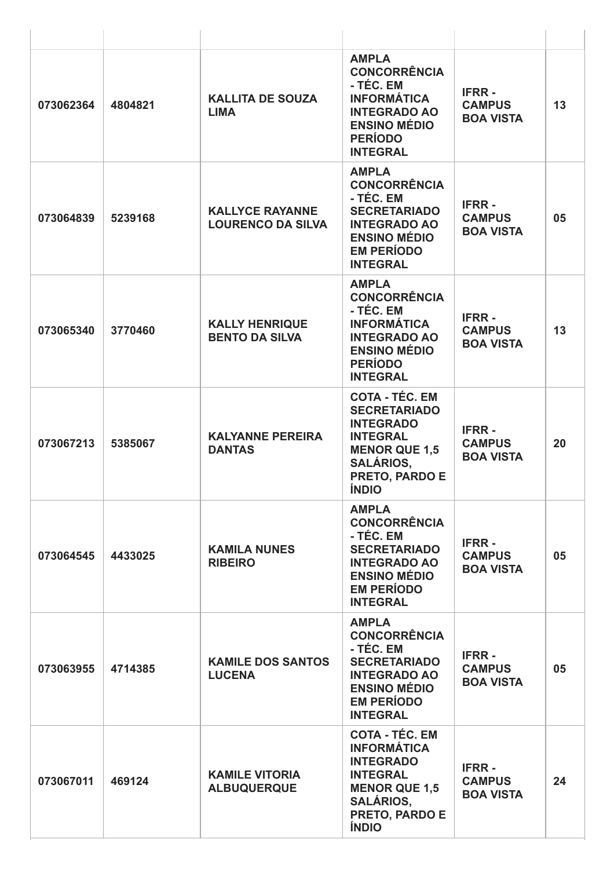| 073062364 | 4804821 | <b>KALLITA DE SOUZA</b><br><b>LIMA</b>             | <b>AMPLA</b><br><b>CONCORRÊNCIA</b><br>- TÉC. EM<br><b>INFORMÁTICA</b><br><b>INTEGRADO AO</b><br><b>ENSINO MÉDIO</b><br><b>PERÍODO</b><br><b>INTEGRAL</b>         | <b>IFRR-</b><br><b>CAMPUS</b><br><b>BOA VISTA</b> | 13 |
|-----------|---------|----------------------------------------------------|-------------------------------------------------------------------------------------------------------------------------------------------------------------------|---------------------------------------------------|----|
| 073064839 | 5239168 | <b>KALLYCE RAYANNE</b><br><b>LOURENCO DA SILVA</b> | <b>AMPLA</b><br><b>CONCORRÊNCIA</b><br>- TÉC. EM<br><b>SECRETARIADO</b><br><b>INTEGRADO AO</b><br><b>ENSINO MÉDIO</b><br><b>EM PERÍODO</b><br><b>INTEGRAL</b>     | <b>IFRR-</b><br><b>CAMPUS</b><br><b>BOA VISTA</b> | 05 |
| 073065340 | 3770460 | <b>KALLY HENRIQUE</b><br><b>BENTO DA SILVA</b>     | <b>AMPLA</b><br><b>CONCORRÊNCIA</b><br>- TÉC. EM<br><b>INFORMÁTICA</b><br><b>INTEGRADO AO</b><br><b>ENSINO MÉDIO</b><br><b>PERÍODO</b><br><b>INTEGRAL</b>         | <b>IFRR-</b><br><b>CAMPUS</b><br><b>BOA VISTA</b> | 13 |
| 073067213 | 5385067 | <b>KALYANNE PEREIRA</b><br><b>DANTAS</b>           | <b>COTA - TÉC. EM</b><br><b>SECRETARIADO</b><br><b>INTEGRADO</b><br><b>INTEGRAL</b><br><b>MENOR QUE 1,5</b><br><b>SALÁRIOS,</b><br>PRETO, PARDO E<br><b>ÍNDIO</b> | <b>IFRR-</b><br><b>CAMPUS</b><br><b>BOA VISTA</b> | 20 |
| 073064545 | 4433025 | <b>KAMILA NUNES</b><br><b>RIBEIRO</b>              | <b>AMPLA</b><br><b>CONCORRÊNCIA</b><br>- TÉC. EM<br><b>SECRETARIADO</b><br><b>INTEGRADO AO</b><br><b>ENSINO MÉDIO</b><br><b>EM PERÍODO</b><br><b>INTEGRAL</b>     | <b>IFRR-</b><br><b>CAMPUS</b><br><b>BOA VISTA</b> | 05 |
| 073063955 | 4714385 | <b>KAMILE DOS SANTOS</b><br><b>LUCENA</b>          | <b>AMPLA</b><br><b>CONCORRÊNCIA</b><br>- TÉC. EM<br><b>SECRETARIADO</b><br><b>INTEGRADO AO</b><br><b>ENSINO MÉDIO</b><br><b>EM PERÍODO</b><br><b>INTEGRAL</b>     | <b>IFRR-</b><br><b>CAMPUS</b><br><b>BOA VISTA</b> | 05 |
| 073067011 | 469124  | <b>KAMILE VITORIA</b><br><b>ALBUQUERQUE</b>        | <b>COTA - TÉC. EM</b><br><b>INFORMÁTICA</b><br><b>INTEGRADO</b><br><b>INTEGRAL</b><br><b>MENOR QUE 1,5</b><br><b>SALÁRIOS,</b><br>PRETO, PARDO E<br><b>ÍNDIO</b>  | <b>IFRR-</b><br><b>CAMPUS</b><br><b>BOA VISTA</b> | 24 |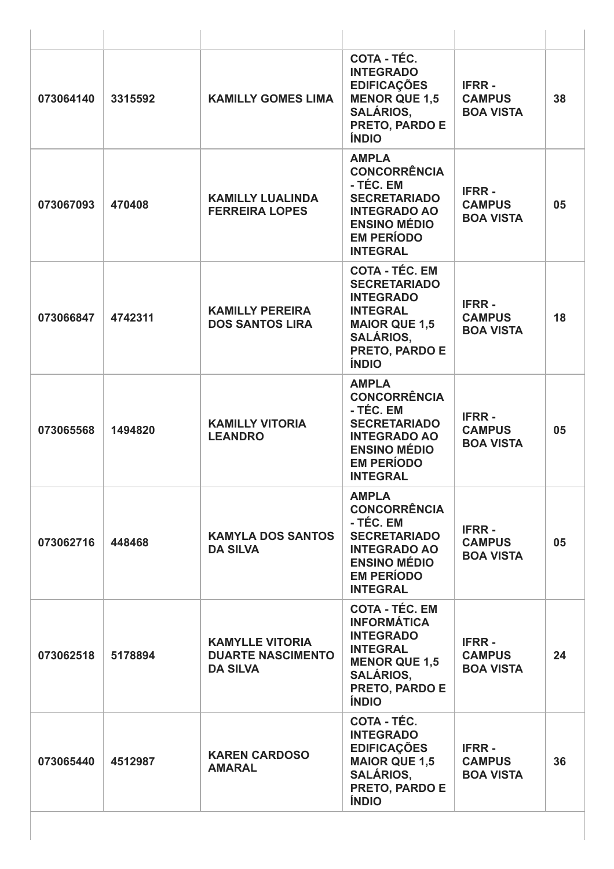| 073064140 | 3315592 | <b>KAMILLY GOMES LIMA</b>                                             | COTA - TÉC.<br><b>INTEGRADO</b><br><b>EDIFICAÇÕES</b><br><b>MENOR QUE 1,5</b><br><b>SALÁRIOS,</b><br><b>PRETO, PARDO E</b><br><b>ÍNDIO</b>                        | <b>IFRR-</b><br><b>CAMPUS</b><br><b>BOA VISTA</b> | 38 |
|-----------|---------|-----------------------------------------------------------------------|-------------------------------------------------------------------------------------------------------------------------------------------------------------------|---------------------------------------------------|----|
| 073067093 | 470408  | <b>KAMILLY LUALINDA</b><br><b>FERREIRA LOPES</b>                      | <b>AMPLA</b><br><b>CONCORRÊNCIA</b><br>- TÉC. EM<br><b>SECRETARIADO</b><br><b>INTEGRADO AO</b><br><b>ENSINO MÉDIO</b><br><b>EM PERÍODO</b><br><b>INTEGRAL</b>     | <b>IFRR-</b><br><b>CAMPUS</b><br><b>BOA VISTA</b> | 05 |
| 073066847 | 4742311 | <b>KAMILLY PEREIRA</b><br><b>DOS SANTOS LIRA</b>                      | <b>COTA - TÉC. EM</b><br><b>SECRETARIADO</b><br><b>INTEGRADO</b><br><b>INTEGRAL</b><br><b>MAIOR QUE 1,5</b><br><b>SALÁRIOS,</b><br>PRETO, PARDO E<br><b>ÍNDIO</b> | <b>IFRR-</b><br><b>CAMPUS</b><br><b>BOA VISTA</b> | 18 |
| 073065568 | 1494820 | <b>KAMILLY VITORIA</b><br><b>LEANDRO</b>                              | <b>AMPLA</b><br><b>CONCORRÊNCIA</b><br>- TÉC. EM<br><b>SECRETARIADO</b><br><b>INTEGRADO AO</b><br><b>ENSINO MÉDIO</b><br><b>EM PERÍODO</b><br><b>INTEGRAL</b>     | <b>IFRR-</b><br><b>CAMPUS</b><br><b>BOA VISTA</b> | 05 |
| 073062716 | 448468  | <b>KAMYLA DOS SANTOS</b><br><b>DA SILVA</b>                           | <b>AMPLA</b><br><b>CONCORRÊNCIA</b><br>- TÉC. EM<br><b>SECRETARIADO</b><br><b>INTEGRADO AO</b><br><b>ENSINO MÉDIO</b><br><b>EM PERÍODO</b><br><b>INTEGRAL</b>     | <b>IFRR-</b><br><b>CAMPUS</b><br><b>BOA VISTA</b> | 05 |
| 073062518 | 5178894 | <b>KAMYLLE VITORIA</b><br><b>DUARTE NASCIMENTO</b><br><b>DA SILVA</b> | <b>COTA - TÉC. EM</b><br><b>INFORMÁTICA</b><br><b>INTEGRADO</b><br><b>INTEGRAL</b><br><b>MENOR QUE 1,5</b><br><b>SALÁRIOS,</b><br>PRETO, PARDO E<br><b>ÍNDIO</b>  | <b>IFRR-</b><br><b>CAMPUS</b><br><b>BOA VISTA</b> | 24 |
| 073065440 | 4512987 | <b>KAREN CARDOSO</b><br><b>AMARAL</b>                                 | COTA - TÉC.<br><b>INTEGRADO</b><br><b>EDIFICAÇÕES</b><br><b>MAIOR QUE 1,5</b><br><b>SALÁRIOS,</b><br>PRETO, PARDO E<br><b>ÍNDIO</b>                               | <b>IFRR-</b><br><b>CAMPUS</b><br><b>BOA VISTA</b> | 36 |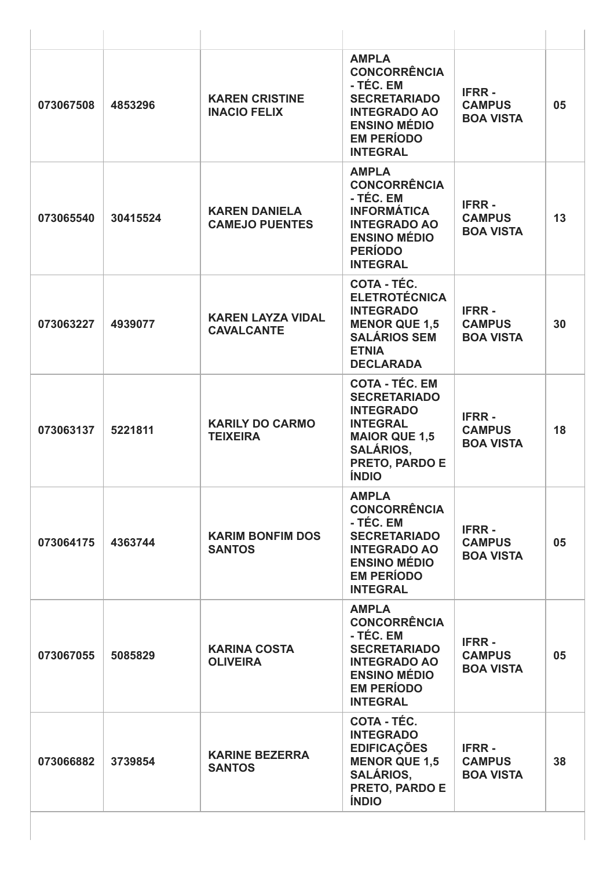| 073067508 | 4853296  | <b>KAREN CRISTINE</b><br><b>INACIO FELIX</b>  | <b>AMPLA</b><br><b>CONCORRÊNCIA</b><br>- TÉC. EM<br><b>SECRETARIADO</b><br><b>INTEGRADO AO</b><br><b>ENSINO MÉDIO</b><br><b>EM PERÍODO</b><br><b>INTEGRAL</b>     | <b>IFRR-</b><br><b>CAMPUS</b><br><b>BOA VISTA</b> | 05 |
|-----------|----------|-----------------------------------------------|-------------------------------------------------------------------------------------------------------------------------------------------------------------------|---------------------------------------------------|----|
| 073065540 | 30415524 | <b>KAREN DANIELA</b><br><b>CAMEJO PUENTES</b> | <b>AMPLA</b><br><b>CONCORRÊNCIA</b><br>- TÉC. EM<br><b>INFORMÁTICA</b><br><b>INTEGRADO AO</b><br><b>ENSINO MÉDIO</b><br><b>PERÍODO</b><br><b>INTEGRAL</b>         | <b>IFRR-</b><br><b>CAMPUS</b><br><b>BOA VISTA</b> | 13 |
| 073063227 | 4939077  | <b>KAREN LAYZA VIDAL</b><br><b>CAVALCANTE</b> | COTA - TÉC.<br><b>ELETROTÉCNICA</b><br><b>INTEGRADO</b><br><b>MENOR QUE 1,5</b><br><b>SALÁRIOS SEM</b><br><b>ETNIA</b><br><b>DECLARADA</b>                        | <b>IFRR-</b><br><b>CAMPUS</b><br><b>BOA VISTA</b> | 30 |
| 073063137 | 5221811  | <b>KARILY DO CARMO</b><br><b>TEIXEIRA</b>     | <b>COTA - TÉC. EM</b><br><b>SECRETARIADO</b><br><b>INTEGRADO</b><br><b>INTEGRAL</b><br><b>MAIOR QUE 1,5</b><br><b>SALÁRIOS,</b><br>PRETO, PARDO E<br><b>ÍNDIO</b> | <b>IFRR-</b><br><b>CAMPUS</b><br><b>BOA VISTA</b> | 18 |
| 073064175 | 4363744  | <b>KARIM BONFIM DOS</b><br><b>SANTOS</b>      | <b>AMPLA</b><br><b>CONCORRÊNCIA</b><br>- TÉC. EM<br><b>SECRETARIADO</b><br><b>INTEGRADO AO</b><br><b>ENSINO MÉDIO</b><br><b>EM PERÍODO</b><br><b>INTEGRAL</b>     | <b>IFRR-</b><br><b>CAMPUS</b><br><b>BOA VISTA</b> | 05 |
| 073067055 | 5085829  | <b>KARINA COSTA</b><br><b>OLIVEIRA</b>        | <b>AMPLA</b><br><b>CONCORRÊNCIA</b><br>- TÉC. EM<br><b>SECRETARIADO</b><br><b>INTEGRADO AO</b><br><b>ENSINO MÉDIO</b><br><b>EM PERÍODO</b><br><b>INTEGRAL</b>     | <b>IFRR-</b><br><b>CAMPUS</b><br><b>BOA VISTA</b> | 05 |
| 073066882 | 3739854  | <b>KARINE BEZERRA</b><br><b>SANTOS</b>        | COTA - TÉC.<br><b>INTEGRADO</b><br><b>EDIFICAÇÕES</b><br><b>MENOR QUE 1,5</b><br><b>SALÁRIOS,</b><br>PRETO, PARDO E<br><b>ÍNDIO</b>                               | <b>IFRR-</b><br><b>CAMPUS</b><br><b>BOA VISTA</b> | 38 |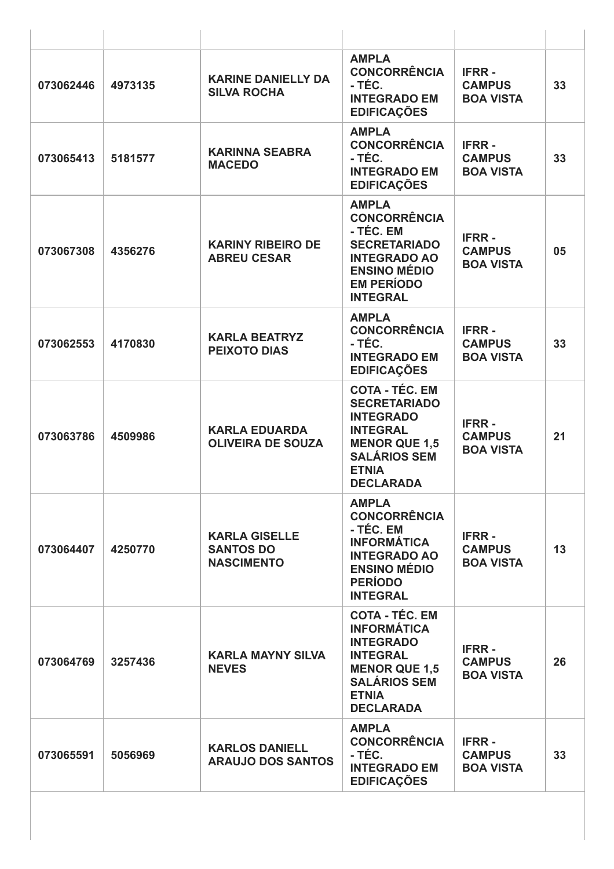| 073062446 | 4973135 | <b>KARINE DANIELLY DA</b><br><b>SILVA ROCHA</b>               | <b>AMPLA</b><br><b>CONCORRÊNCIA</b><br>- TÉC.<br><b>INTEGRADO EM</b><br><b>EDIFICAÇÕES</b>                                                                             | <b>IFRR-</b><br><b>CAMPUS</b><br><b>BOA VISTA</b> | 33 |
|-----------|---------|---------------------------------------------------------------|------------------------------------------------------------------------------------------------------------------------------------------------------------------------|---------------------------------------------------|----|
| 073065413 | 5181577 | <b>KARINNA SEABRA</b><br><b>MACEDO</b>                        | <b>AMPLA</b><br><b>CONCORRÊNCIA</b><br>- TÉC.<br><b>INTEGRADO EM</b><br><b>EDIFICAÇÕES</b>                                                                             | <b>IFRR-</b><br><b>CAMPUS</b><br><b>BOA VISTA</b> | 33 |
| 073067308 | 4356276 | <b>KARINY RIBEIRO DE</b><br><b>ABREU CESAR</b>                | <b>AMPLA</b><br><b>CONCORRÊNCIA</b><br>- TÉC. EM<br><b>SECRETARIADO</b><br><b>INTEGRADO AO</b><br><b>ENSINO MÉDIO</b><br><b>EM PERÍODO</b><br><b>INTEGRAL</b>          | <b>IFRR-</b><br><b>CAMPUS</b><br><b>BOA VISTA</b> | 05 |
| 073062553 | 4170830 | <b>KARLA BEATRYZ</b><br><b>PEIXOTO DIAS</b>                   | <b>AMPLA</b><br><b>CONCORRÊNCIA</b><br>- TÉC.<br><b>INTEGRADO EM</b><br><b>EDIFICAÇÕES</b>                                                                             | <b>IFRR-</b><br><b>CAMPUS</b><br><b>BOA VISTA</b> | 33 |
| 073063786 | 4509986 | <b>KARLA EDUARDA</b><br><b>OLIVEIRA DE SOUZA</b>              | <b>COTA - TÉC. EM</b><br><b>SECRETARIADO</b><br><b>INTEGRADO</b><br><b>INTEGRAL</b><br><b>MENOR QUE 1,5</b><br><b>SALÁRIOS SEM</b><br><b>ETNIA</b><br><b>DECLARADA</b> | <b>IFRR-</b><br><b>CAMPUS</b><br><b>BOA VISTA</b> | 21 |
| 073064407 | 4250770 | <b>KARLA GISELLE</b><br><b>SANTOS DO</b><br><b>NASCIMENTO</b> | <b>AMPLA</b><br><b>CONCORRÊNCIA</b><br>- TÉC. EM<br><b>INFORMÁTICA</b><br><b>INTEGRADO AO</b><br><b>ENSINO MÉDIO</b><br><b>PERÍODO</b><br><b>INTEGRAL</b>              | <b>IFRR-</b><br><b>CAMPUS</b><br><b>BOA VISTA</b> | 13 |
| 073064769 | 3257436 | <b>KARLA MAYNY SILVA</b><br><b>NEVES</b>                      | <b>COTA - TÉC. EM</b><br><b>INFORMÁTICA</b><br><b>INTEGRADO</b><br><b>INTEGRAL</b><br><b>MENOR QUE 1,5</b><br><b>SALÁRIOS SEM</b><br><b>ETNIA</b><br><b>DECLARADA</b>  | <b>IFRR-</b><br><b>CAMPUS</b><br><b>BOA VISTA</b> | 26 |
| 073065591 | 5056969 | <b>KARLOS DANIELL</b><br><b>ARAUJO DOS SANTOS</b>             | <b>AMPLA</b><br><b>CONCORRÊNCIA</b><br>- TÉC.<br><b>INTEGRADO EM</b><br><b>EDIFICAÇÕES</b>                                                                             | <b>IFRR-</b><br><b>CAMPUS</b><br><b>BOA VISTA</b> | 33 |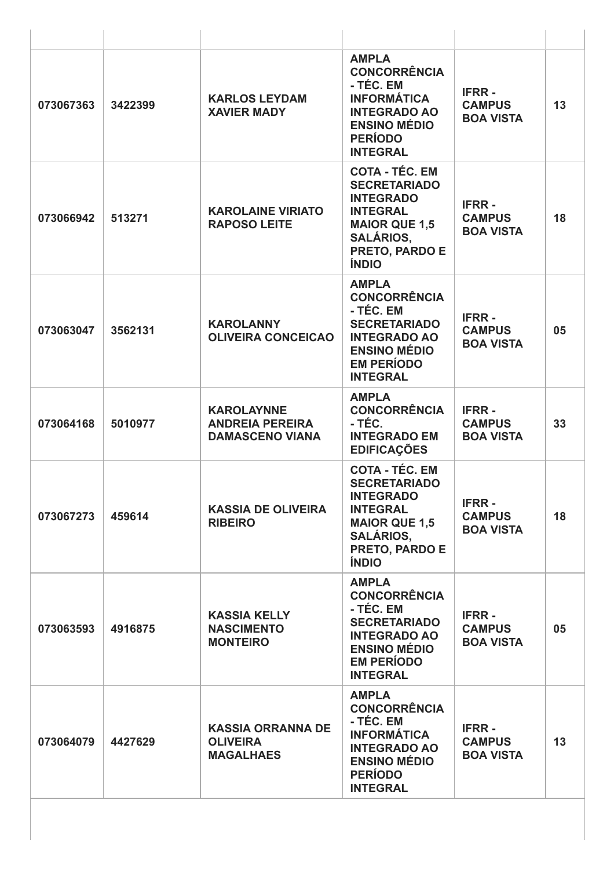| 073067363 | 3422399 | <b>KARLOS LEYDAM</b><br><b>XAVIER MADY</b>                            | <b>AMPLA</b><br><b>CONCORRÊNCIA</b><br>- TÉC. EM<br><b>INFORMÁTICA</b><br><b>INTEGRADO AO</b><br><b>ENSINO MÉDIO</b><br><b>PERÍODO</b><br><b>INTEGRAL</b>         | <b>IFRR-</b><br><b>CAMPUS</b><br><b>BOA VISTA</b> | 13 |
|-----------|---------|-----------------------------------------------------------------------|-------------------------------------------------------------------------------------------------------------------------------------------------------------------|---------------------------------------------------|----|
| 073066942 | 513271  | <b>KAROLAINE VIRIATO</b><br><b>RAPOSO LEITE</b>                       | <b>COTA - TÉC. EM</b><br><b>SECRETARIADO</b><br><b>INTEGRADO</b><br><b>INTEGRAL</b><br><b>MAIOR QUE 1,5</b><br><b>SALÁRIOS.</b><br>PRETO, PARDO E<br><b>ÍNDIO</b> | <b>IFRR-</b><br><b>CAMPUS</b><br><b>BOA VISTA</b> | 18 |
| 073063047 | 3562131 | <b>KAROLANNY</b><br><b>OLIVEIRA CONCEICAO</b>                         | <b>AMPLA</b><br><b>CONCORRÊNCIA</b><br>- TÉC. EM<br><b>SECRETARIADO</b><br><b>INTEGRADO AO</b><br><b>ENSINO MÉDIO</b><br><b>EM PERÍODO</b><br><b>INTEGRAL</b>     | <b>IFRR-</b><br><b>CAMPUS</b><br><b>BOA VISTA</b> | 05 |
| 073064168 | 5010977 | <b>KAROLAYNNE</b><br><b>ANDREIA PEREIRA</b><br><b>DAMASCENO VIANA</b> | <b>AMPLA</b><br><b>CONCORRÊNCIA</b><br>- TÉC.<br><b>INTEGRADO EM</b><br><b>EDIFICAÇÕES</b>                                                                        | <b>IFRR-</b><br><b>CAMPUS</b><br><b>BOA VISTA</b> | 33 |
| 073067273 | 459614  | <b>KASSIA DE OLIVEIRA</b><br><b>RIBEIRO</b>                           | <b>COTA - TÉC. EM</b><br><b>SECRETARIADO</b><br><b>INTEGRADO</b><br><b>INTEGRAL</b><br><b>MAIOR QUE 1,5</b><br><b>SALÁRIOS,</b><br>PRETO, PARDO E<br><b>ÍNDIO</b> | <b>IFRR-</b><br><b>CAMPUS</b><br><b>BOA VISTA</b> | 18 |
| 073063593 | 4916875 | <b>KASSIA KELLY</b><br><b>NASCIMENTO</b><br><b>MONTEIRO</b>           | <b>AMPLA</b><br><b>CONCORRÊNCIA</b><br>- TÉC. EM<br><b>SECRETARIADO</b><br><b>INTEGRADO AO</b><br><b>ENSINO MÉDIO</b><br><b>EM PERÍODO</b><br><b>INTEGRAL</b>     | <b>IFRR-</b><br><b>CAMPUS</b><br><b>BOA VISTA</b> | 05 |
| 073064079 | 4427629 | <b>KASSIA ORRANNA DE</b><br><b>OLIVEIRA</b><br><b>MAGALHAES</b>       | <b>AMPLA</b><br><b>CONCORRÊNCIA</b><br>- TÉC. EM<br><b>INFORMÁTICA</b><br><b>INTEGRADO AO</b><br><b>ENSINO MÉDIO</b><br><b>PERÍODO</b><br><b>INTEGRAL</b>         | <b>IFRR-</b><br><b>CAMPUS</b><br><b>BOA VISTA</b> | 13 |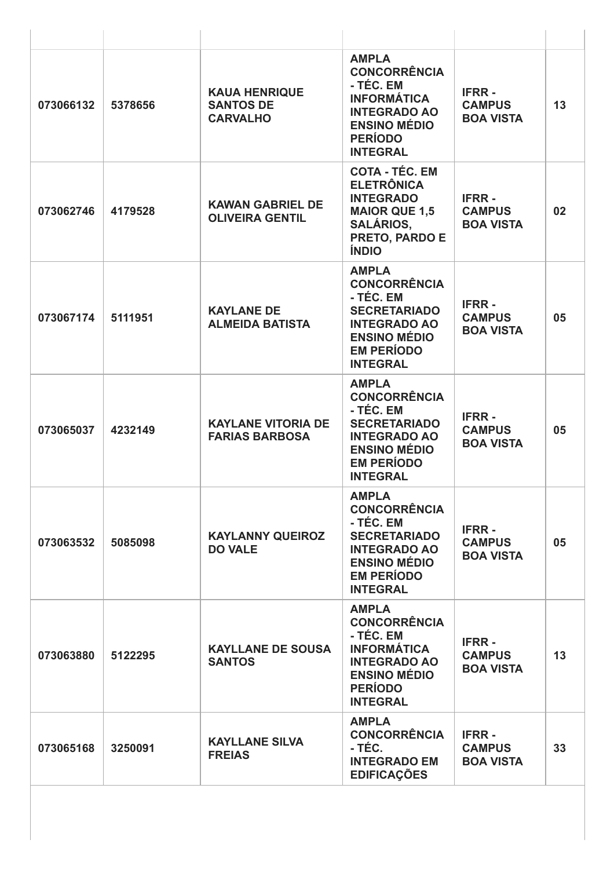| 073066132 | 5378656 | <b>KAUA HENRIQUE</b><br><b>SANTOS DE</b><br><b>CARVALHO</b> | <b>AMPLA</b><br><b>CONCORRÊNCIA</b><br>- TÉC. EM<br><b>INFORMÁTICA</b><br><b>INTEGRADO AO</b><br><b>ENSINO MÉDIO</b><br><b>PERÍODO</b><br><b>INTEGRAL</b>     | <b>IFRR-</b><br><b>CAMPUS</b><br><b>BOA VISTA</b> | 13 |
|-----------|---------|-------------------------------------------------------------|---------------------------------------------------------------------------------------------------------------------------------------------------------------|---------------------------------------------------|----|
| 073062746 | 4179528 | <b>KAWAN GABRIEL DE</b><br><b>OLIVEIRA GENTIL</b>           | <b>COTA - TÉC. EM</b><br><b>ELETRÔNICA</b><br><b>INTEGRADO</b><br><b>MAIOR QUE 1,5</b><br><b>SALÁRIOS,</b><br>PRETO, PARDO E<br><b>ÍNDIO</b>                  | <b>IFRR-</b><br><b>CAMPUS</b><br><b>BOA VISTA</b> | 02 |
| 073067174 | 5111951 | <b>KAYLANE DE</b><br><b>ALMEIDA BATISTA</b>                 | <b>AMPLA</b><br><b>CONCORRÊNCIA</b><br>- TÉC. EM<br><b>SECRETARIADO</b><br><b>INTEGRADO AO</b><br><b>ENSINO MÉDIO</b><br><b>EM PERÍODO</b><br><b>INTEGRAL</b> | <b>IFRR-</b><br><b>CAMPUS</b><br><b>BOA VISTA</b> | 05 |
| 073065037 | 4232149 | <b>KAYLANE VITORIA DE</b><br><b>FARIAS BARBOSA</b>          | <b>AMPLA</b><br><b>CONCORRÊNCIA</b><br>- TÉC. EM<br><b>SECRETARIADO</b><br><b>INTEGRADO AO</b><br><b>ENSINO MÉDIO</b><br><b>EM PERÍODO</b><br><b>INTEGRAL</b> | <b>IFRR-</b><br><b>CAMPUS</b><br><b>BOA VISTA</b> | 05 |
| 073063532 | 5085098 | <b>KAYLANNY QUEIROZ</b><br><b>DO VALE</b>                   | <b>AMPLA</b><br><b>CONCORRÊNCIA</b><br>- TÉC. EM<br><b>SECRETARIADO</b><br><b>INTEGRADO AO</b><br><b>ENSINO MÉDIO</b><br><b>EM PERÍODO</b><br><b>INTEGRAL</b> | <b>IFRR-</b><br><b>CAMPUS</b><br><b>BOA VISTA</b> | 05 |
| 073063880 | 5122295 | <b>KAYLLANE DE SOUSA</b><br><b>SANTOS</b>                   | <b>AMPLA</b><br><b>CONCORRÊNCIA</b><br>- TÉC. EM<br><b>INFORMÁTICA</b><br><b>INTEGRADO AO</b><br><b>ENSINO MÉDIO</b><br><b>PERÍODO</b><br><b>INTEGRAL</b>     | <b>IFRR-</b><br><b>CAMPUS</b><br><b>BOA VISTA</b> | 13 |
| 073065168 | 3250091 | <b>KAYLLANE SILVA</b><br><b>FREIAS</b>                      | <b>AMPLA</b><br><b>CONCORRÊNCIA</b><br>- TÉC.<br><b>INTEGRADO EM</b><br><b>EDIFICAÇÕES</b>                                                                    | <b>IFRR-</b><br><b>CAMPUS</b><br><b>BOA VISTA</b> | 33 |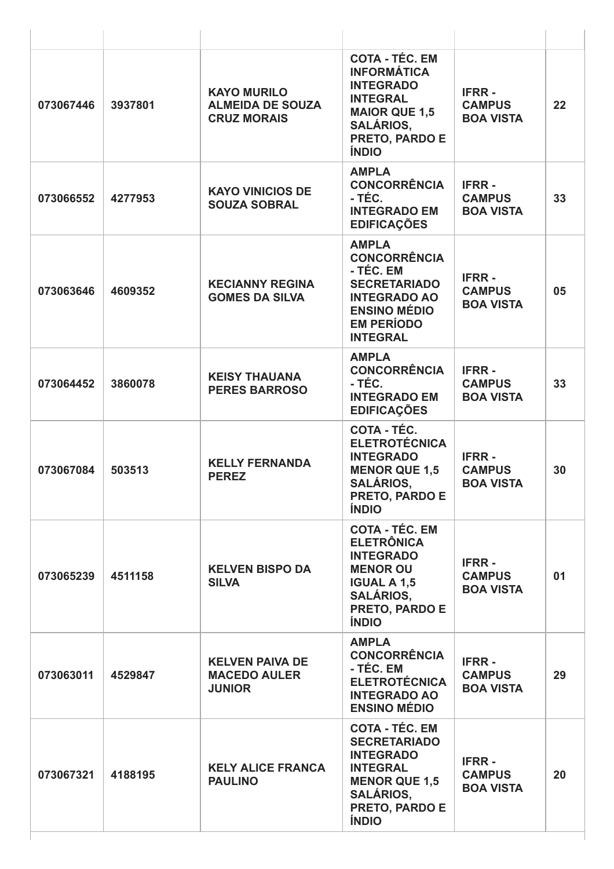| 073067446 | 3937801 | <b>KAYO MURILO</b><br><b>ALMEIDA DE SOUZA</b><br><b>CRUZ MORAIS</b> | <b>COTA - TÉC. EM</b><br><b>INFORMÁTICA</b><br><b>INTEGRADO</b><br><b>INTEGRAL</b><br><b>MAIOR QUE 1,5</b><br><b>SALÁRIOS,</b><br>PRETO, PARDO E<br><b>ÍNDIO</b>  | <b>IFRR-</b><br><b>CAMPUS</b><br><b>BOA VISTA</b> | 22 |
|-----------|---------|---------------------------------------------------------------------|-------------------------------------------------------------------------------------------------------------------------------------------------------------------|---------------------------------------------------|----|
| 073066552 | 4277953 | <b>KAYO VINICIOS DE</b><br><b>SOUZA SOBRAL</b>                      | <b>AMPLA</b><br><b>CONCORRÊNCIA</b><br>- TÉC.<br><b>INTEGRADO EM</b><br><b>EDIFICAÇÕES</b>                                                                        | <b>IFRR-</b><br><b>CAMPUS</b><br><b>BOA VISTA</b> | 33 |
| 073063646 | 4609352 | <b>KECIANNY REGINA</b><br><b>GOMES DA SILVA</b>                     | <b>AMPLA</b><br><b>CONCORRÊNCIA</b><br>- TÉC. EM<br><b>SECRETARIADO</b><br><b>INTEGRADO AO</b><br><b>ENSINO MÉDIO</b><br><b>EM PERÍODO</b><br><b>INTEGRAL</b>     | <b>IFRR-</b><br><b>CAMPUS</b><br><b>BOA VISTA</b> | 05 |
| 073064452 | 3860078 | <b>KEISY THAUANA</b><br><b>PERES BARROSO</b>                        | <b>AMPLA</b><br><b>CONCORRÊNCIA</b><br>- TÉC.<br><b>INTEGRADO EM</b><br><b>EDIFICAÇÕES</b>                                                                        | <b>IFRR-</b><br><b>CAMPUS</b><br><b>BOA VISTA</b> | 33 |
| 073067084 | 503513  | <b>KELLY FERNANDA</b><br><b>PEREZ</b>                               | <b>COTA - TÉC.</b><br><b>ELETROTÉCNICA</b><br><b>INTEGRADO</b><br><b>MENOR QUE 1,5</b><br><b>SALÁRIOS,</b><br><b>PRETO, PARDO E</b><br><b>ÍNDIO</b>               | <b>IFRR-</b><br><b>CAMPUS</b><br><b>BOA VISTA</b> | 30 |
| 073065239 | 4511158 | <b>KELVEN BISPO DA</b><br><b>SILVA</b>                              | <b>COTA - TÉC. EM</b><br><b>ELETRÔNICA</b><br><b>INTEGRADO</b><br><b>MENOR OU</b><br><b>IGUAL A 1,5</b><br><b>SALÁRIOS,</b><br>PRETO, PARDO E<br><b>ÍNDIO</b>     | <b>IFRR-</b><br><b>CAMPUS</b><br><b>BOA VISTA</b> | 01 |
| 073063011 | 4529847 | <b>KELVEN PAIVA DE</b><br><b>MACEDO AULER</b><br><b>JUNIOR</b>      | <b>AMPLA</b><br><b>CONCORRÊNCIA</b><br>- TÉC. EM<br><b>ELETROTÉCNICA</b><br><b>INTEGRADO AO</b><br><b>ENSINO MÉDIO</b>                                            | <b>IFRR-</b><br><b>CAMPUS</b><br><b>BOA VISTA</b> | 29 |
| 073067321 | 4188195 | <b>KELY ALICE FRANCA</b><br><b>PAULINO</b>                          | <b>COTA - TÉC. EM</b><br><b>SECRETARIADO</b><br><b>INTEGRADO</b><br><b>INTEGRAL</b><br><b>MENOR QUE 1,5</b><br><b>SALÁRIOS,</b><br>PRETO, PARDO E<br><b>ÍNDIO</b> | <b>IFRR-</b><br><b>CAMPUS</b><br><b>BOA VISTA</b> | 20 |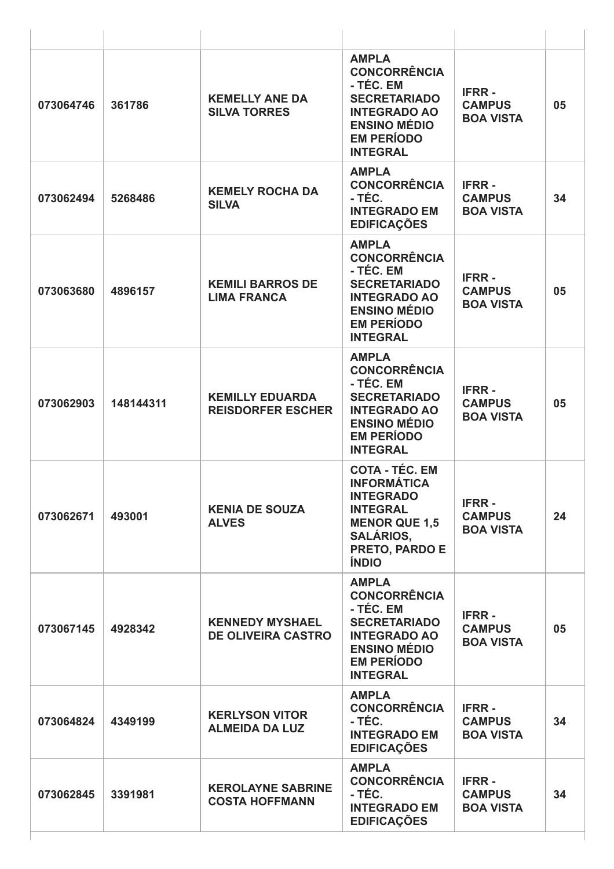| 073064746 | 361786    | <b>KEMELLY ANE DA</b><br><b>SILVA TORRES</b>        | <b>AMPLA</b><br><b>CONCORRÊNCIA</b><br>- TÉC. EM<br><b>SECRETARIADO</b><br><b>INTEGRADO AO</b><br><b>ENSINO MÉDIO</b><br><b>EM PERÍODO</b><br><b>INTEGRAL</b>    | <b>IFRR-</b><br><b>CAMPUS</b><br><b>BOA VISTA</b> | 05 |
|-----------|-----------|-----------------------------------------------------|------------------------------------------------------------------------------------------------------------------------------------------------------------------|---------------------------------------------------|----|
| 073062494 | 5268486   | <b>KEMELY ROCHA DA</b><br><b>SILVA</b>              | <b>AMPLA</b><br><b>CONCORRÊNCIA</b><br>- TÉC.<br><b>INTEGRADO EM</b><br><b>EDIFICAÇÕES</b>                                                                       | <b>IFRR-</b><br><b>CAMPUS</b><br><b>BOA VISTA</b> | 34 |
| 073063680 | 4896157   | <b>KEMILI BARROS DE</b><br><b>LIMA FRANCA</b>       | <b>AMPLA</b><br><b>CONCORRÊNCIA</b><br>- TÉC. EM<br><b>SECRETARIADO</b><br><b>INTEGRADO AO</b><br><b>ENSINO MÉDIO</b><br><b>EM PERÍODO</b><br><b>INTEGRAL</b>    | <b>IFRR-</b><br><b>CAMPUS</b><br><b>BOA VISTA</b> | 05 |
| 073062903 | 148144311 | <b>KEMILLY EDUARDA</b><br><b>REISDORFER ESCHER</b>  | <b>AMPLA</b><br><b>CONCORRÊNCIA</b><br>- TÉC. EM<br><b>SECRETARIADO</b><br><b>INTEGRADO AO</b><br><b>ENSINO MÉDIO</b><br><b>EM PERÍODO</b><br><b>INTEGRAL</b>    | <b>IFRR-</b><br><b>CAMPUS</b><br><b>BOA VISTA</b> | 05 |
| 073062671 | 493001    | <b>KENIA DE SOUZA</b><br><b>ALVES</b>               | <b>COTA - TÉC. EM</b><br><b>INFORMÁTICA</b><br><b>INTEGRADO</b><br><b>INTEGRAL</b><br><b>MENOR QUE 1,5</b><br><b>SALÁRIOS,</b><br>PRETO, PARDO E<br><b>ÍNDIO</b> | <b>IFRR-</b><br><b>CAMPUS</b><br><b>BOA VISTA</b> | 24 |
| 073067145 | 4928342   | <b>KENNEDY MYSHAEL</b><br><b>DE OLIVEIRA CASTRO</b> | <b>AMPLA</b><br><b>CONCORRÊNCIA</b><br>- TÉC. EM<br><b>SECRETARIADO</b><br><b>INTEGRADO AO</b><br><b>ENSINO MÉDIO</b><br><b>EM PERÍODO</b><br><b>INTEGRAL</b>    | <b>IFRR-</b><br><b>CAMPUS</b><br><b>BOA VISTA</b> | 05 |
| 073064824 | 4349199   | <b>KERLYSON VITOR</b><br><b>ALMEIDA DA LUZ</b>      | <b>AMPLA</b><br><b>CONCORRÊNCIA</b><br>- TÉC.<br><b>INTEGRADO EM</b><br><b>EDIFICAÇÕES</b>                                                                       | <b>IFRR-</b><br><b>CAMPUS</b><br><b>BOA VISTA</b> | 34 |
| 073062845 | 3391981   | <b>KEROLAYNE SABRINE</b><br><b>COSTA HOFFMANN</b>   | <b>AMPLA</b><br><b>CONCORRÊNCIA</b><br>- TÉC.<br><b>INTEGRADO EM</b><br><b>EDIFICAÇÕES</b>                                                                       | <b>IFRR-</b><br><b>CAMPUS</b><br><b>BOA VISTA</b> | 34 |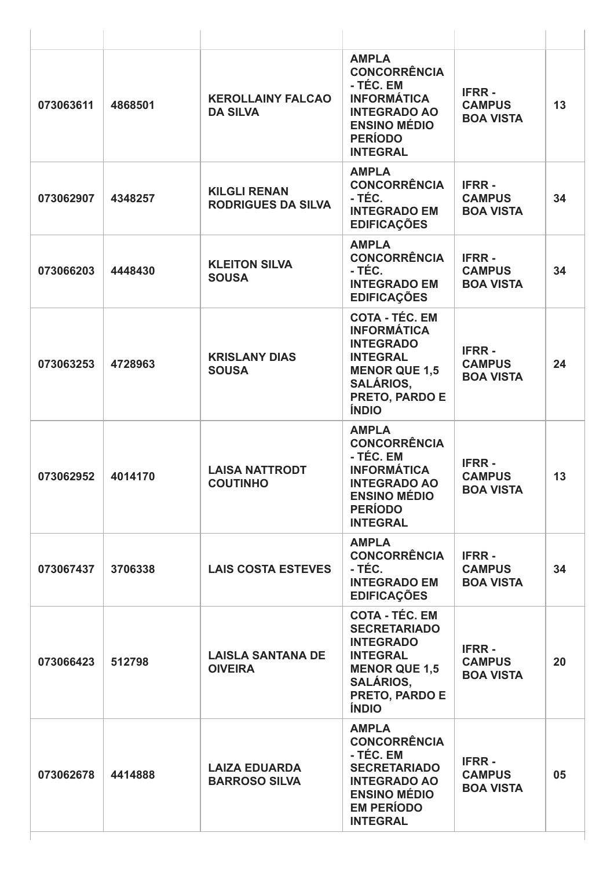| 073063611 | 4868501 | <b>KEROLLAINY FALCAO</b><br><b>DA SILVA</b>      | <b>AMPLA</b><br><b>CONCORRÊNCIA</b><br>- TÉC. EM<br><b>INFORMÁTICA</b><br><b>INTEGRADO AO</b><br><b>ENSINO MÉDIO</b><br><b>PERÍODO</b><br><b>INTEGRAL</b>         | <b>IFRR-</b><br><b>CAMPUS</b><br><b>BOA VISTA</b> | 13 |
|-----------|---------|--------------------------------------------------|-------------------------------------------------------------------------------------------------------------------------------------------------------------------|---------------------------------------------------|----|
| 073062907 | 4348257 | <b>KILGLI RENAN</b><br><b>RODRIGUES DA SILVA</b> | <b>AMPLA</b><br><b>CONCORRÊNCIA</b><br>- TÉC.<br><b>INTEGRADO EM</b><br><b>EDIFICAÇÕES</b>                                                                        | <b>IFRR-</b><br><b>CAMPUS</b><br><b>BOA VISTA</b> | 34 |
| 073066203 | 4448430 | <b>KLEITON SILVA</b><br><b>SOUSA</b>             | <b>AMPLA</b><br><b>CONCORRÊNCIA</b><br>- TÉC.<br><b>INTEGRADO EM</b><br><b>EDIFICAÇÕES</b>                                                                        | <b>IFRR-</b><br><b>CAMPUS</b><br><b>BOA VISTA</b> | 34 |
| 073063253 | 4728963 | <b>KRISLANY DIAS</b><br><b>SOUSA</b>             | <b>COTA - TÉC. EM</b><br><b>INFORMÁTICA</b><br><b>INTEGRADO</b><br><b>INTEGRAL</b><br><b>MENOR QUE 1,5</b><br><b>SALÁRIOS,</b><br>PRETO, PARDO E<br><b>ÍNDIO</b>  | <b>IFRR-</b><br><b>CAMPUS</b><br><b>BOA VISTA</b> | 24 |
| 073062952 | 4014170 | <b>LAISA NATTRODT</b><br><b>COUTINHO</b>         | <b>AMPLA</b><br><b>CONCORRÊNCIA</b><br>- TÉC. EM<br><b>INFORMÁTICA</b><br><b>INTEGRADO AO</b><br><b>ENSINO MÉDIO</b><br><b>PERÍODO</b><br><b>INTEGRAL</b>         | <b>IFRR-</b><br><b>CAMPUS</b><br><b>ROA VISTA</b> | 13 |
| 073067437 | 3706338 | <b>LAIS COSTA ESTEVES</b>                        | <b>AMPLA</b><br><b>CONCORRÊNCIA</b><br>- TÉC.<br><b>INTEGRADO EM</b><br><b>EDIFICAÇÕES</b>                                                                        | <b>IFRR-</b><br><b>CAMPUS</b><br><b>BOA VISTA</b> | 34 |
| 073066423 | 512798  | <b>LAISLA SANTANA DE</b><br><b>OIVEIRA</b>       | <b>COTA - TÉC. EM</b><br><b>SECRETARIADO</b><br><b>INTEGRADO</b><br><b>INTEGRAL</b><br><b>MENOR QUE 1,5</b><br><b>SALÁRIOS,</b><br>PRETO, PARDO E<br><b>ÍNDIO</b> | <b>IFRR-</b><br><b>CAMPUS</b><br><b>BOA VISTA</b> | 20 |
| 073062678 | 4414888 | <b>LAIZA EDUARDA</b><br><b>BARROSO SILVA</b>     | <b>AMPLA</b><br><b>CONCORRÊNCIA</b><br>- TÉC. EM<br><b>SECRETARIADO</b><br><b>INTEGRADO AO</b><br><b>ENSINO MÉDIO</b><br><b>EM PERÍODO</b><br><b>INTEGRAL</b>     | <b>IFRR-</b><br><b>CAMPUS</b><br><b>BOA VISTA</b> | 05 |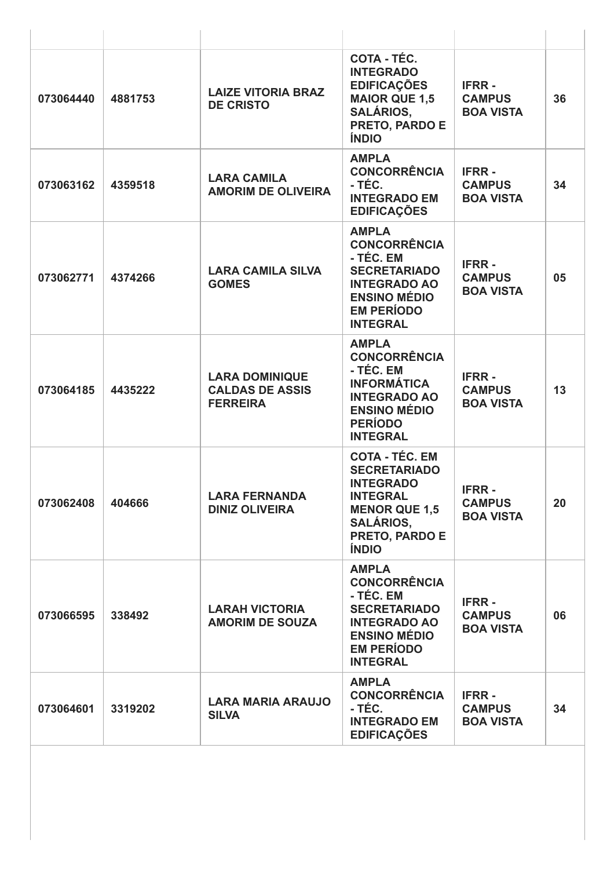| 073064440 | 4881753 | <b>LAIZE VITORIA BRAZ</b><br><b>DE CRISTO</b>                      | COTA - TÉC.<br><b>INTEGRADO</b><br><b>EDIFICAÇÕES</b><br><b>MAIOR QUE 1,5</b><br><b>SALÁRIOS,</b><br>PRETO, PARDO E<br><b>ÍNDIO</b>                               | <b>IFRR-</b><br><b>CAMPUS</b><br><b>BOA VISTA</b> | 36 |
|-----------|---------|--------------------------------------------------------------------|-------------------------------------------------------------------------------------------------------------------------------------------------------------------|---------------------------------------------------|----|
| 073063162 | 4359518 | <b>LARA CAMILA</b><br><b>AMORIM DE OLIVEIRA</b>                    | <b>AMPLA</b><br><b>CONCORRÊNCIA</b><br>- TÉC.<br><b>INTEGRADO EM</b><br><b>EDIFICAÇÕES</b>                                                                        | <b>IFRR-</b><br><b>CAMPUS</b><br><b>BOA VISTA</b> | 34 |
| 073062771 | 4374266 | <b>LARA CAMILA SILVA</b><br><b>GOMES</b>                           | <b>AMPLA</b><br><b>CONCORRÊNCIA</b><br>- TÉC. EM<br><b>SECRETARIADO</b><br><b>INTEGRADO AO</b><br><b>ENSINO MÉDIO</b><br><b>EM PERÍODO</b><br><b>INTEGRAL</b>     | <b>IFRR-</b><br><b>CAMPUS</b><br><b>BOA VISTA</b> | 05 |
| 073064185 | 4435222 | <b>LARA DOMINIQUE</b><br><b>CALDAS DE ASSIS</b><br><b>FERREIRA</b> | <b>AMPLA</b><br><b>CONCORRÊNCIA</b><br>- TÉC. EM<br><b>INFORMÁTICA</b><br><b>INTEGRADO AO</b><br><b>ENSINO MÉDIO</b><br><b>PERÍODO</b><br><b>INTEGRAL</b>         | <b>IFRR-</b><br><b>CAMPUS</b><br><b>BOA VISTA</b> | 13 |
| 073062408 | 404666  | <b>LARA FERNANDA</b><br><b>DINIZ OLIVEIRA</b>                      | <b>COTA - TÉC. EM</b><br><b>SECRETARIADO</b><br><b>INTEGRADO</b><br><b>INTEGRAL</b><br><b>MENOR QUE 1,5</b><br><b>SALÁRIOS,</b><br>PRETO, PARDO E<br><b>ÍNDIO</b> | <b>IFRR-</b><br><b>CAMPUS</b><br><b>BOA VISTA</b> | 20 |
| 073066595 | 338492  | <b>LARAH VICTORIA</b><br><b>AMORIM DE SOUZA</b>                    | <b>AMPLA</b><br><b>CONCORRÊNCIA</b><br>- TÉC. EM<br><b>SECRETARIADO</b><br><b>INTEGRADO AO</b><br><b>ENSINO MÉDIO</b><br><b>EM PERÍODO</b><br><b>INTEGRAL</b>     | <b>IFRR-</b><br><b>CAMPUS</b><br><b>BOA VISTA</b> | 06 |
| 073064601 | 3319202 | <b>LARA MARIA ARAUJO</b><br><b>SILVA</b>                           | <b>AMPLA</b><br><b>CONCORRÊNCIA</b><br>- TÉC.<br><b>INTEGRADO EM</b><br><b>EDIFICAÇÕES</b>                                                                        | <b>IFRR-</b><br><b>CAMPUS</b><br><b>BOA VISTA</b> | 34 |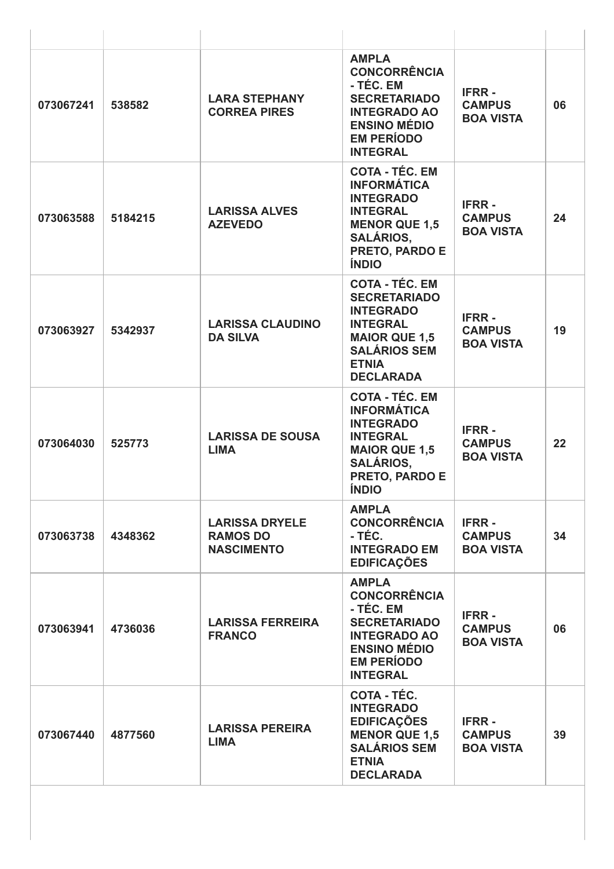| 073067241 | 538582  | <b>LARA STEPHANY</b><br><b>CORREA PIRES</b>                   | <b>AMPLA</b><br><b>CONCORRÊNCIA</b><br>- TÉC. EM<br><b>SECRETARIADO</b><br><b>INTEGRADO AO</b><br><b>ENSINO MÉDIO</b><br><b>EM PERÍODO</b><br><b>INTEGRAL</b>          | <b>IFRR-</b><br><b>CAMPUS</b><br><b>BOA VISTA</b> | 06 |
|-----------|---------|---------------------------------------------------------------|------------------------------------------------------------------------------------------------------------------------------------------------------------------------|---------------------------------------------------|----|
| 073063588 | 5184215 | <b>LARISSA ALVES</b><br><b>AZEVEDO</b>                        | <b>COTA - TÉC. EM</b><br><b>INFORMÁTICA</b><br><b>INTEGRADO</b><br><b>INTEGRAL</b><br><b>MENOR QUE 1,5</b><br><b>SALÁRIOS.</b><br>PRETO, PARDO E<br><b>ÍNDIO</b>       | <b>IFRR-</b><br><b>CAMPUS</b><br><b>BOA VISTA</b> | 24 |
| 073063927 | 5342937 | <b>LARISSA CLAUDINO</b><br><b>DA SILVA</b>                    | <b>COTA - TÉC. EM</b><br><b>SECRETARIADO</b><br><b>INTEGRADO</b><br><b>INTEGRAL</b><br><b>MAIOR QUE 1,5</b><br><b>SALÁRIOS SEM</b><br><b>ETNIA</b><br><b>DECLARADA</b> | <b>IFRR-</b><br><b>CAMPUS</b><br><b>BOA VISTA</b> | 19 |
| 073064030 | 525773  | <b>LARISSA DE SOUSA</b><br><b>LIMA</b>                        | <b>COTA - TÉC. EM</b><br><b>INFORMÁTICA</b><br><b>INTEGRADO</b><br><b>INTEGRAL</b><br><b>MAIOR QUE 1,5</b><br><b>SALÁRIOS,</b><br>PRETO, PARDO E<br><b>ÍNDIO</b>       | <b>IFRR-</b><br><b>CAMPUS</b><br><b>BOA VISTA</b> | 22 |
| 073063738 | 4348362 | <b>LARISSA DRYELE</b><br><b>RAMOS DO</b><br><b>NASCIMENTO</b> | <b>AMPLA</b><br><b>CONCORRÊNCIA</b><br>- TÉC.<br><b>INTEGRADO EM</b><br><b>EDIFICAÇÕES</b>                                                                             | <b>IFRR-</b><br><b>CAMPUS</b><br><b>BOA VISTA</b> | 34 |
| 073063941 | 4736036 | <b>LARISSA FERREIRA</b><br><b>FRANCO</b>                      | <b>AMPLA</b><br><b>CONCORRÊNCIA</b><br>- TÉC. EM<br><b>SECRETARIADO</b><br><b>INTEGRADO AO</b><br><b>ENSINO MÉDIO</b><br><b>EM PERÍODO</b><br><b>INTEGRAL</b>          | <b>IFRR-</b><br><b>CAMPUS</b><br><b>BOA VISTA</b> | 06 |
| 073067440 | 4877560 | <b>LARISSA PEREIRA</b><br><b>LIMA</b>                         | COTA - TÉC.<br><b>INTEGRADO</b><br><b>EDIFICAÇÕES</b><br><b>MENOR QUE 1,5</b><br><b>SALÁRIOS SEM</b><br><b>ETNIA</b><br><b>DECLARADA</b>                               | <b>IFRR-</b><br><b>CAMPUS</b><br><b>BOA VISTA</b> | 39 |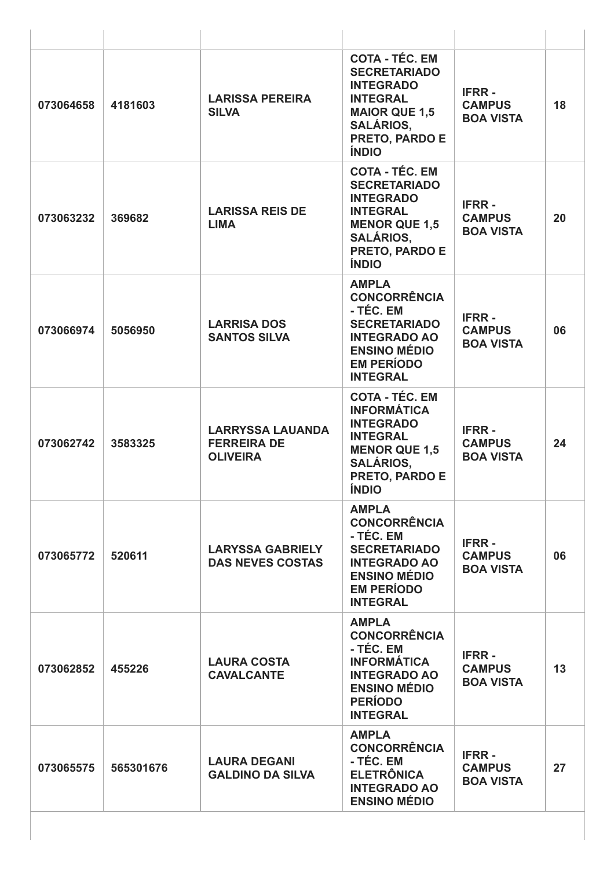| 073064658 | 4181603   | <b>LARISSA PEREIRA</b><br><b>SILVA</b>                           | <b>COTA - TÉC. EM</b><br><b>SECRETARIADO</b><br><b>INTEGRADO</b><br><b>INTEGRAL</b><br><b>MAIOR QUE 1,5</b><br><b>SALÁRIOS,</b><br>PRETO, PARDO E<br><b>ÍNDIO</b>       | <b>IFRR-</b><br><b>CAMPUS</b><br><b>BOA VISTA</b> | 18 |
|-----------|-----------|------------------------------------------------------------------|-------------------------------------------------------------------------------------------------------------------------------------------------------------------------|---------------------------------------------------|----|
| 073063232 | 369682    | <b>LARISSA REIS DE</b><br><b>LIMA</b>                            | <b>COTA - TÉC. EM</b><br><b>SECRETARIADO</b><br><b>INTEGRADO</b><br><b>INTEGRAL</b><br><b>MENOR QUE 1,5</b><br><b>SALÁRIOS,</b><br>PRETO, PARDO E<br><b>ÍNDIO</b>       | <b>IFRR-</b><br><b>CAMPUS</b><br><b>BOA VISTA</b> | 20 |
| 073066974 | 5056950   | <b>LARRISA DOS</b><br><b>SANTOS SILVA</b>                        | <b>AMPLA</b><br><b>CONCORRÊNCIA</b><br>- TÉC. EM<br><b>SECRETARIADO</b><br><b>INTEGRADO AO</b><br><b>ENSINO MÉDIO</b><br><b>EM PERÍODO</b><br><b>INTEGRAL</b>           | <b>IFRR-</b><br><b>CAMPUS</b><br><b>BOA VISTA</b> | 06 |
| 073062742 | 3583325   | <b>LARRYSSA LAUANDA</b><br><b>FERREIRA DE</b><br><b>OLIVEIRA</b> | <b>COTA - TÉC. EM</b><br><b>INFORMÁTICA</b><br><b>INTEGRADO</b><br><b>INTEGRAL</b><br><b>MENOR QUE 1,5</b><br><b>SALÁRIOS,</b><br><b>PRETO, PARDO E</b><br><b>ÍNDIO</b> | <b>IFRR-</b><br><b>CAMPUS</b><br><b>BOA VISTA</b> | 24 |
| 073065772 | 520611    | <b>LARYSSA GABRIELY</b><br><b>DAS NEVES COSTAS</b>               | <b>AMPLA</b><br><b>CONCORRÊNCIA</b><br>- TÉC. EM<br><b>SECRETARIADO</b><br><b>INTEGRADO AO</b><br><b>ENSINO MÉDIO</b><br><b>EM PERÍODO</b><br><b>INTEGRAL</b>           | <b>IFRR-</b><br><b>CAMPUS</b><br><b>BOA VISTA</b> | 06 |
| 073062852 | 455226    | <b>LAURA COSTA</b><br><b>CAVALCANTE</b>                          | <b>AMPLA</b><br><b>CONCORRÊNCIA</b><br>- TÉC. EM<br><b>INFORMÁTICA</b><br><b>INTEGRADO AO</b><br><b>ENSINO MÉDIO</b><br><b>PERÍODO</b><br><b>INTEGRAL</b>               | <b>IFRR-</b><br><b>CAMPUS</b><br><b>BOA VISTA</b> | 13 |
| 073065575 | 565301676 | <b>LAURA DEGANI</b><br><b>GALDINO DA SILVA</b>                   | <b>AMPLA</b><br><b>CONCORRÊNCIA</b><br>- TÉC. EM<br><b>ELETRÔNICA</b><br><b>INTEGRADO AO</b><br><b>ENSINO MÉDIO</b>                                                     | <b>IFRR-</b><br><b>CAMPUS</b><br><b>BOA VISTA</b> | 27 |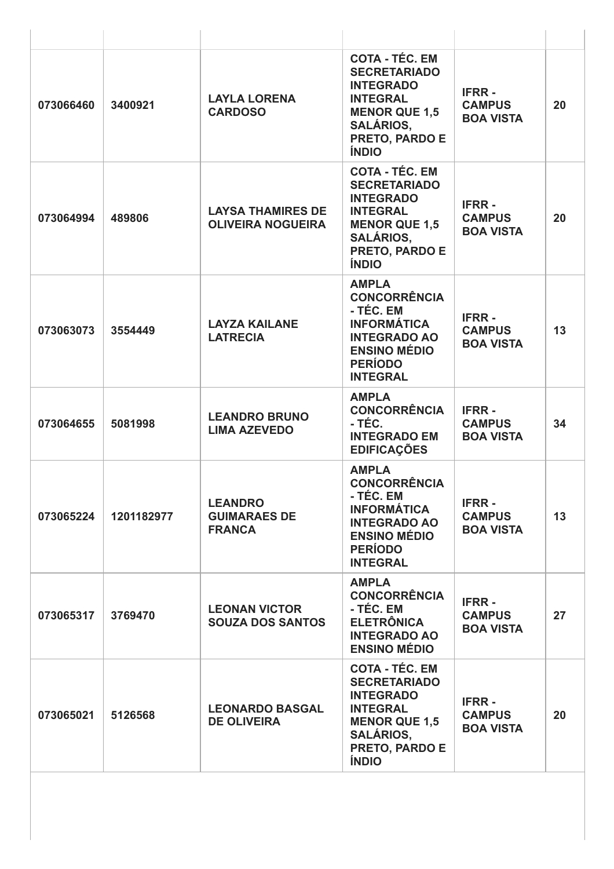| 073066460 | 3400921    | <b>LAYLA LORENA</b><br><b>CARDOSO</b>                  | <b>COTA - TÉC. EM</b><br><b>SECRETARIADO</b><br><b>INTEGRADO</b><br><b>INTEGRAL</b><br><b>MENOR QUE 1,5</b><br><b>SALÁRIOS,</b><br>PRETO, PARDO E<br><b>ÍNDIO</b> | <b>IFRR-</b><br><b>CAMPUS</b><br><b>BOA VISTA</b> | 20 |
|-----------|------------|--------------------------------------------------------|-------------------------------------------------------------------------------------------------------------------------------------------------------------------|---------------------------------------------------|----|
| 073064994 | 489806     | <b>LAYSA THAMIRES DE</b><br><b>OLIVEIRA NOGUEIRA</b>   | <b>COTA - TÉC. EM</b><br><b>SECRETARIADO</b><br><b>INTEGRADO</b><br><b>INTEGRAL</b><br><b>MENOR QUE 1,5</b><br><b>SALÁRIOS,</b><br>PRETO, PARDO E<br><b>ÍNDIO</b> | <b>IFRR-</b><br><b>CAMPUS</b><br><b>BOA VISTA</b> | 20 |
| 073063073 | 3554449    | <b>LAYZA KAILANE</b><br><b>LATRECIA</b>                | <b>AMPLA</b><br><b>CONCORRÊNCIA</b><br>- TÉC. EM<br><b>INFORMÁTICA</b><br><b>INTEGRADO AO</b><br><b>ENSINO MÉDIO</b><br><b>PERÍODO</b><br><b>INTEGRAL</b>         | <b>IFRR-</b><br><b>CAMPUS</b><br><b>BOA VISTA</b> | 13 |
| 073064655 | 5081998    | <b>LEANDRO BRUNO</b><br><b>LIMA AZEVEDO</b>            | <b>AMPLA</b><br><b>CONCORRÊNCIA</b><br>- TÉC.<br><b>INTEGRADO EM</b><br><b>EDIFICAÇÕES</b>                                                                        | <b>IFRR-</b><br><b>CAMPUS</b><br><b>BOA VISTA</b> | 34 |
| 073065224 | 1201182977 | <b>LEANDRO</b><br><b>GUIMARAES DE</b><br><b>FRANCA</b> | <b>AMPLA</b><br><b>CONCORRÊNCIA</b><br>- TÉC. EM<br><b>INFORMÁTICA</b><br><b>INTEGRADO AO</b><br><b>ENSINO MÉDIO</b><br><b>PERÍODO</b><br><b>INTEGRAL</b>         | <b>IFRR-</b><br><b>CAMPUS</b><br><b>BOA VISTA</b> | 13 |
| 073065317 | 3769470    | <b>LEONAN VICTOR</b><br><b>SOUZA DOS SANTOS</b>        | <b>AMPLA</b><br><b>CONCORRÊNCIA</b><br>- TÉC. EM<br><b>ELETRÔNICA</b><br><b>INTEGRADO AO</b><br><b>ENSINO MÉDIO</b>                                               | <b>IFRR-</b><br><b>CAMPUS</b><br><b>BOA VISTA</b> | 27 |
| 073065021 | 5126568    | <b>LEONARDO BASGAL</b><br><b>DE OLIVEIRA</b>           | <b>COTA - TÉC. EM</b><br><b>SECRETARIADO</b><br><b>INTEGRADO</b><br><b>INTEGRAL</b><br><b>MENOR QUE 1,5</b><br><b>SALÁRIOS,</b><br>PRETO, PARDO E<br><b>ÍNDIO</b> | <b>IFRR-</b><br><b>CAMPUS</b><br><b>BOA VISTA</b> | 20 |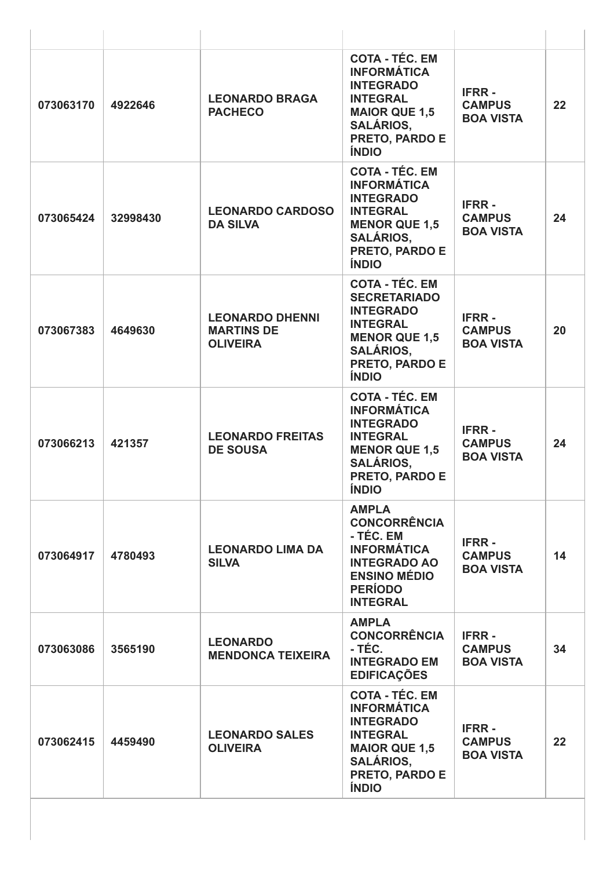| 073063170 | 4922646  | <b>LEONARDO BRAGA</b><br><b>PACHECO</b>                        | <b>COTA - TÉC. EM</b><br><b>INFORMÁTICA</b><br><b>INTEGRADO</b><br><b>INTEGRAL</b><br><b>MAIOR QUE 1,5</b><br><b>SALÁRIOS,</b><br>PRETO, PARDO E<br><b>ÍNDIO</b>        | <b>IFRR-</b><br><b>CAMPUS</b><br><b>BOA VISTA</b> | 22 |
|-----------|----------|----------------------------------------------------------------|-------------------------------------------------------------------------------------------------------------------------------------------------------------------------|---------------------------------------------------|----|
| 073065424 | 32998430 | <b>LEONARDO CARDOSO</b><br><b>DA SILVA</b>                     | <b>COTA - TÉC. EM</b><br><b>INFORMÁTICA</b><br><b>INTEGRADO</b><br><b>INTEGRAL</b><br><b>MENOR QUE 1,5</b><br><b>SALÁRIOS.</b><br>PRETO, PARDO E<br><b>ÍNDIO</b>        | <b>IFRR-</b><br><b>CAMPUS</b><br><b>BOA VISTA</b> | 24 |
| 073067383 | 4649630  | <b>LEONARDO DHENNI</b><br><b>MARTINS DE</b><br><b>OLIVEIRA</b> | <b>COTA - TÉC. EM</b><br><b>SECRETARIADO</b><br><b>INTEGRADO</b><br><b>INTEGRAL</b><br><b>MENOR QUE 1,5</b><br><b>SALÁRIOS,</b><br>PRETO, PARDO E<br><b>ÍNDIO</b>       | <b>IFRR-</b><br><b>CAMPUS</b><br><b>BOA VISTA</b> | 20 |
| 073066213 | 421357   | <b>LEONARDO FREITAS</b><br><b>DE SOUSA</b>                     | <b>COTA - TÉC. EM</b><br><b>INFORMÁTICA</b><br><b>INTEGRADO</b><br><b>INTEGRAL</b><br><b>MENOR QUE 1,5</b><br><b>SALÁRIOS,</b><br><b>PRETO, PARDO E</b><br><b>ÍNDIO</b> | <b>IFRR-</b><br><b>CAMPUS</b><br><b>BOA VISTA</b> | 24 |
| 073064917 | 4780493  | <b>LEONARDO LIMA DA</b><br><b>SILVA</b>                        | <b>AMPLA</b><br><b>CONCORRÊNCIA</b><br>- TÉC. EM<br><b>INFORMÁTICA</b><br><b>INTEGRADO AO</b><br><b>ENSINO MÉDIO</b><br><b>PERÍODO</b><br><b>INTEGRAL</b>               | <b>IFRR-</b><br><b>CAMPUS</b><br><b>BOA VISTA</b> | 14 |
| 073063086 | 3565190  | <b>LEONARDO</b><br><b>MENDONCA TEIXEIRA</b>                    | <b>AMPLA</b><br><b>CONCORRÊNCIA</b><br>- TÉC.<br><b>INTEGRADO EM</b><br><b>EDIFICAÇÕES</b>                                                                              | <b>IFRR-</b><br><b>CAMPUS</b><br><b>BOA VISTA</b> | 34 |
| 073062415 | 4459490  | <b>LEONARDO SALES</b><br><b>OLIVEIRA</b>                       | <b>COTA - TÉC. EM</b><br><b>INFORMÁTICA</b><br><b>INTEGRADO</b><br><b>INTEGRAL</b><br><b>MAIOR QUE 1,5</b><br><b>SALÁRIOS,</b><br>PRETO, PARDO E<br><b>ÍNDIO</b>        | <b>IFRR-</b><br><b>CAMPUS</b><br><b>BOA VISTA</b> | 22 |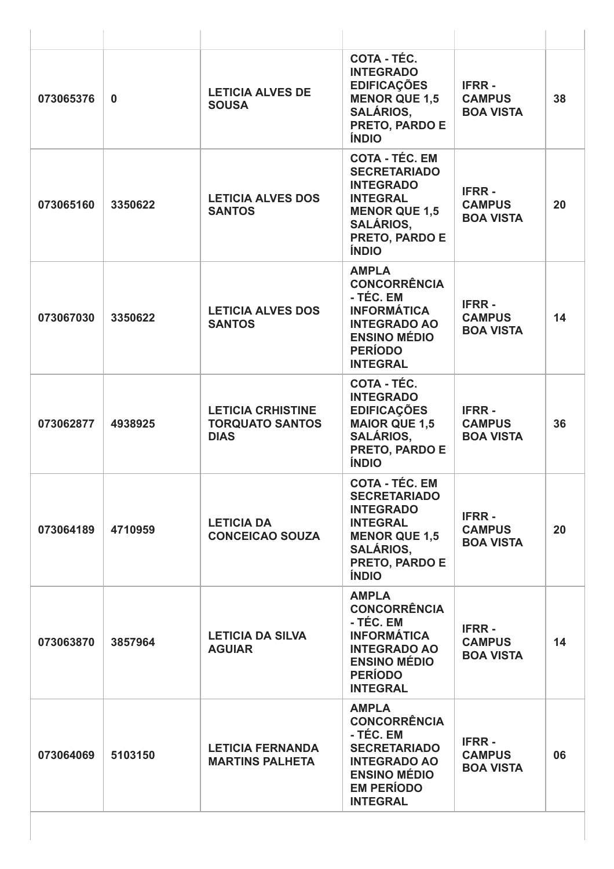| 073065376 | $\mathbf{0}$ | <b>LETICIA ALVES DE</b><br><b>SOUSA</b>                           | COTA - TÉC.<br><b>INTEGRADO</b><br><b>EDIFICAÇÕES</b><br><b>MENOR QUE 1,5</b><br><b>SALÁRIOS,</b><br>PRETO, PARDO E<br><b>ÍNDIO</b>                               | <b>IFRR-</b><br><b>CAMPUS</b><br><b>BOA VISTA</b> | 38 |
|-----------|--------------|-------------------------------------------------------------------|-------------------------------------------------------------------------------------------------------------------------------------------------------------------|---------------------------------------------------|----|
| 073065160 | 3350622      | <b>LETICIA ALVES DOS</b><br><b>SANTOS</b>                         | <b>COTA - TÉC. EM</b><br><b>SECRETARIADO</b><br><b>INTEGRADO</b><br><b>INTEGRAL</b><br><b>MENOR QUE 1,5</b><br><b>SALÁRIOS,</b><br>PRETO, PARDO E<br><b>ÍNDIO</b> | <b>IFRR-</b><br><b>CAMPUS</b><br><b>BOA VISTA</b> | 20 |
| 073067030 | 3350622      | <b>LETICIA ALVES DOS</b><br><b>SANTOS</b>                         | <b>AMPLA</b><br><b>CONCORRÊNCIA</b><br>- TÉC. EM<br><b>INFORMÁTICA</b><br><b>INTEGRADO AO</b><br><b>ENSINO MÉDIO</b><br><b>PERÍODO</b><br><b>INTEGRAL</b>         | <b>IFRR-</b><br><b>CAMPUS</b><br><b>BOA VISTA</b> | 14 |
| 073062877 | 4938925      | <b>LETICIA CRHISTINE</b><br><b>TORQUATO SANTOS</b><br><b>DIAS</b> | COTA - TÉC.<br><b>INTEGRADO</b><br><b>EDIFICAÇÕES</b><br><b>MAIOR QUE 1,5</b><br><b>SALÁRIOS,</b><br>PRETO, PARDO E<br><b>ÍNDIO</b>                               | <b>IFRR-</b><br><b>CAMPUS</b><br><b>BOA VISTA</b> | 36 |
| 073064189 | 4710959      | <b>LETICIA DA</b><br><b>CONCEICAO SOUZA</b>                       | <b>COTA - TÉC. EM</b><br><b>SECRETARIADO</b><br><b>INTEGRADO</b><br><b>INTEGRAL</b><br><b>MENOR QUE 1,5</b><br><b>SALÁRIOS,</b><br>PRETO, PARDO E<br><b>ÍNDIO</b> | <b>IFRR-</b><br><b>CAMPUS</b><br><b>BOA VISTA</b> | 20 |
| 073063870 | 3857964      | <b>LETICIA DA SILVA</b><br><b>AGUIAR</b>                          | <b>AMPLA</b><br><b>CONCORRÊNCIA</b><br>- TÉC. EM<br><b>INFORMÁTICA</b><br><b>INTEGRADO AO</b><br><b>ENSINO MÉDIO</b><br><b>PERÍODO</b><br><b>INTEGRAL</b>         | <b>IFRR-</b><br><b>CAMPUS</b><br><b>BOA VISTA</b> | 14 |
| 073064069 | 5103150      | <b>LETICIA FERNANDA</b><br><b>MARTINS PALHETA</b>                 | <b>AMPLA</b><br><b>CONCORRÊNCIA</b><br>- TÉC. EM<br><b>SECRETARIADO</b><br><b>INTEGRADO AO</b><br><b>ENSINO MÉDIO</b><br><b>EM PERÍODO</b><br><b>INTEGRAL</b>     | <b>IFRR-</b><br><b>CAMPUS</b><br><b>BOA VISTA</b> | 06 |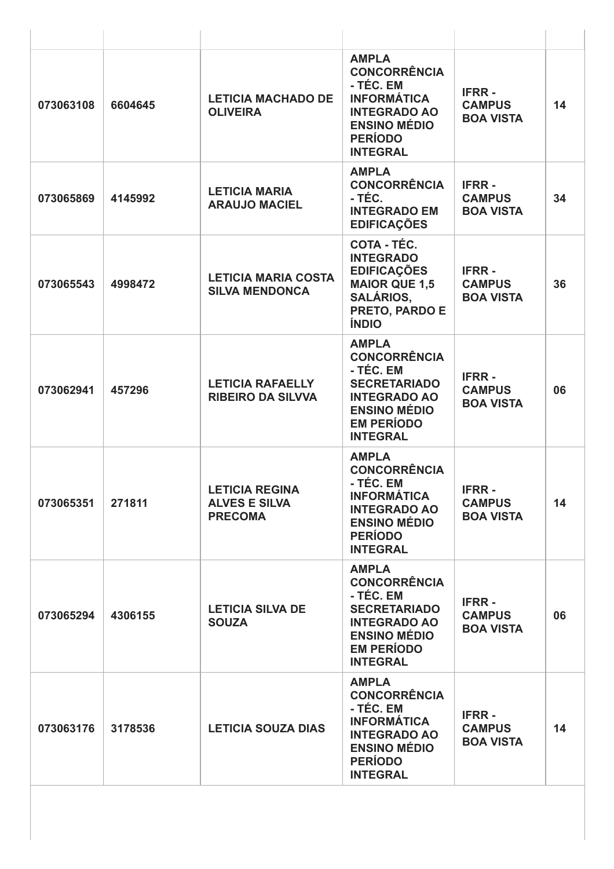| 073063108 | 6604645 | <b>LETICIA MACHADO DE</b><br><b>OLIVEIRA</b>                    | <b>AMPLA</b><br><b>CONCORRÊNCIA</b><br>- TÉC. EM<br><b>INFORMÁTICA</b><br><b>INTEGRADO AO</b><br><b>ENSINO MÉDIO</b><br><b>PERÍODO</b><br><b>INTEGRAL</b>     | <b>IFRR-</b><br><b>CAMPUS</b><br><b>BOA VISTA</b> | 14 |
|-----------|---------|-----------------------------------------------------------------|---------------------------------------------------------------------------------------------------------------------------------------------------------------|---------------------------------------------------|----|
| 073065869 | 4145992 | <b>LETICIA MARIA</b><br><b>ARAUJO MACIEL</b>                    | <b>AMPLA</b><br><b>CONCORRÊNCIA</b><br>- TÉC.<br><b>INTEGRADO EM</b><br><b>EDIFICAÇÕES</b>                                                                    | <b>IFRR-</b><br><b>CAMPUS</b><br><b>BOA VISTA</b> | 34 |
| 073065543 | 4998472 | <b>LETICIA MARIA COSTA</b><br><b>SILVA MENDONCA</b>             | COTA - TÉC.<br><b>INTEGRADO</b><br><b>EDIFICAÇÕES</b><br><b>MAIOR QUE 1,5</b><br><b>SALÁRIOS,</b><br>PRETO, PARDO E<br><b>ÍNDIO</b>                           | <b>IFRR-</b><br><b>CAMPUS</b><br><b>BOA VISTA</b> | 36 |
| 073062941 | 457296  | <b>LETICIA RAFAELLY</b><br><b>RIBEIRO DA SILVVA</b>             | <b>AMPLA</b><br><b>CONCORRÊNCIA</b><br>- TÉC. EM<br><b>SECRETARIADO</b><br><b>INTEGRADO AO</b><br><b>ENSINO MÉDIO</b><br><b>EM PERÍODO</b><br><b>INTEGRAL</b> | <b>IFRR-</b><br><b>CAMPUS</b><br><b>BOA VISTA</b> | 06 |
| 073065351 | 271811  | <b>LETICIA REGINA</b><br><b>ALVES E SILVA</b><br><b>PRECOMA</b> | <b>AMPLA</b><br><b>CONCORRÊNCIA</b><br>- TÉC. EM<br><b>INFORMÁTICA</b><br><b>INTEGRADO AO</b><br><b>ENSINO MÉDIO</b><br><b>PERÍODO</b><br><b>INTEGRAL</b>     | <b>IFRR-</b><br><b>CAMPUS</b><br><b>BOA VISTA</b> | 14 |
| 073065294 | 4306155 | <b>LETICIA SILVA DE</b><br><b>SOUZA</b>                         | <b>AMPLA</b><br><b>CONCORRÊNCIA</b><br>- TÉC. EM<br><b>SECRETARIADO</b><br><b>INTEGRADO AO</b><br><b>ENSINO MÉDIO</b><br><b>EM PERÍODO</b><br><b>INTEGRAL</b> | <b>IFRR-</b><br><b>CAMPUS</b><br><b>BOA VISTA</b> | 06 |
| 073063176 | 3178536 | <b>LETICIA SOUZA DIAS</b>                                       | <b>AMPLA</b><br><b>CONCORRÊNCIA</b><br>- TÉC. EM<br><b>INFORMÁTICA</b><br><b>INTEGRADO AO</b><br><b>ENSINO MÉDIO</b><br><b>PERÍODO</b><br><b>INTEGRAL</b>     | <b>IFRR-</b><br><b>CAMPUS</b><br><b>BOA VISTA</b> | 14 |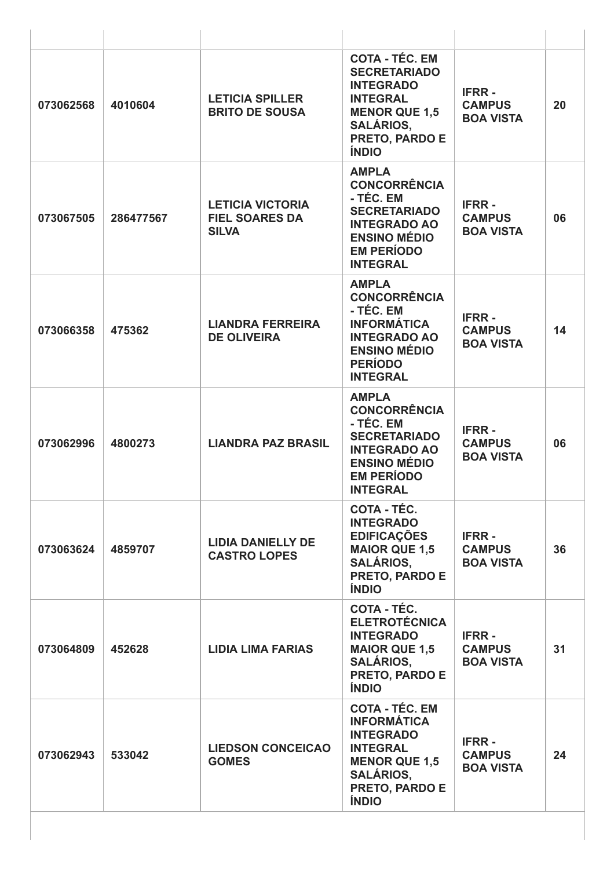| 073062568 | 4010604   | <b>LETICIA SPILLER</b><br><b>BRITO DE SOUSA</b>                  | <b>COTA - TÉC. EM</b><br><b>SECRETARIADO</b><br><b>INTEGRADO</b><br><b>INTEGRAL</b><br><b>MENOR QUE 1,5</b><br><b>SALÁRIOS,</b><br>PRETO, PARDO E<br><b>ÍNDIO</b> | <b>IFRR-</b><br><b>CAMPUS</b><br><b>BOA VISTA</b> | 20 |
|-----------|-----------|------------------------------------------------------------------|-------------------------------------------------------------------------------------------------------------------------------------------------------------------|---------------------------------------------------|----|
| 073067505 | 286477567 | <b>LETICIA VICTORIA</b><br><b>FIEL SOARES DA</b><br><b>SILVA</b> | <b>AMPLA</b><br><b>CONCORRÊNCIA</b><br>- TÉC. EM<br><b>SECRETARIADO</b><br><b>INTEGRADO AO</b><br><b>ENSINO MÉDIO</b><br><b>EM PERÍODO</b><br><b>INTEGRAL</b>     | <b>IFRR-</b><br><b>CAMPUS</b><br><b>BOA VISTA</b> | 06 |
| 073066358 | 475362    | <b>LIANDRA FERREIRA</b><br><b>DE OLIVEIRA</b>                    | <b>AMPLA</b><br><b>CONCORRÊNCIA</b><br>- TÉC. EM<br><b>INFORMÁTICA</b><br><b>INTEGRADO AO</b><br><b>ENSINO MÉDIO</b><br><b>PERÍODO</b><br><b>INTEGRAL</b>         | <b>IFRR-</b><br><b>CAMPUS</b><br><b>BOA VISTA</b> | 14 |
| 073062996 | 4800273   | <b>LIANDRA PAZ BRASIL</b>                                        | <b>AMPLA</b><br><b>CONCORRÊNCIA</b><br>- TÉC. EM<br><b>SECRETARIADO</b><br><b>INTEGRADO AO</b><br><b>ENSINO MÉDIO</b><br><b>EM PERÍODO</b><br><b>INTEGRAL</b>     | <b>IFRR-</b><br><b>CAMPUS</b><br><b>BOA VISTA</b> | 06 |
| 073063624 | 4859707   | <b>LIDIA DANIELLY DE</b><br><b>CASTRO LOPES</b>                  | COTA - TÉC.<br><b>INTEGRADO</b><br><b>EDIFICAÇÕES</b><br><b>MAIOR QUE 1,5</b><br><b>SALÁRIOS.</b><br>PRETO, PARDO E<br><b>ÍNDIO</b>                               | <b>IFRR-</b><br><b>CAMPUS</b><br><b>BOA VISTA</b> | 36 |
| 073064809 | 452628    | <b>LIDIA LIMA FARIAS</b>                                         | COTA - TÉC.<br><b>ELETROTÉCNICA</b><br><b>INTEGRADO</b><br><b>MAIOR QUE 1,5</b><br><b>SALÁRIOS,</b><br>PRETO, PARDO E<br><b>ÍNDIO</b>                             | <b>IFRR-</b><br><b>CAMPUS</b><br><b>BOA VISTA</b> | 31 |
| 073062943 | 533042    | <b>LIEDSON CONCEICAO</b><br><b>GOMES</b>                         | <b>COTA - TÉC. EM</b><br><b>INFORMÁTICA</b><br><b>INTEGRADO</b><br><b>INTEGRAL</b><br><b>MENOR QUE 1,5</b><br><b>SALÁRIOS,</b><br>PRETO, PARDO E<br><b>ÍNDIO</b>  | <b>IFRR-</b><br><b>CAMPUS</b><br><b>BOA VISTA</b> | 24 |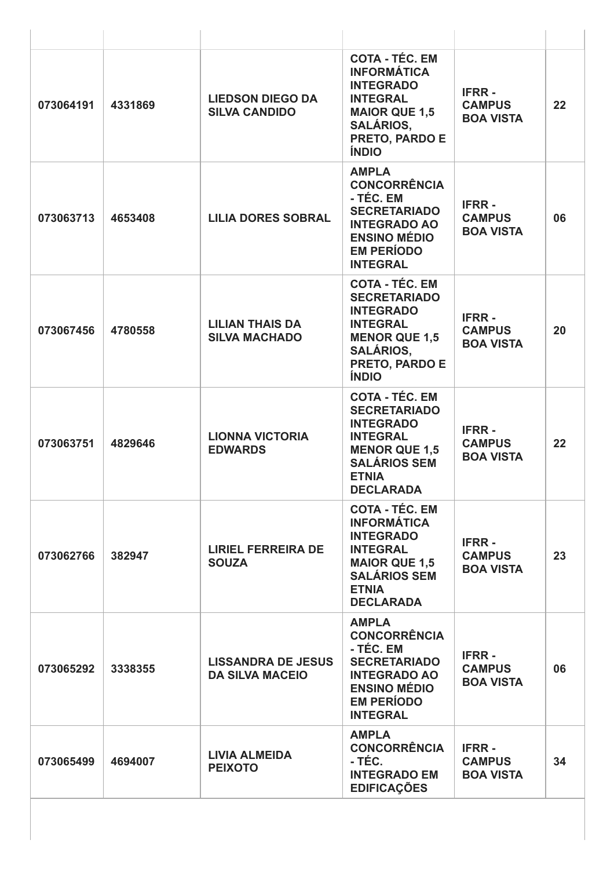| 073064191 | 4331869 | <b>LIEDSON DIEGO DA</b><br><b>SILVA CANDIDO</b>     | <b>COTA - TÉC. EM</b><br><b>INFORMÁTICA</b><br><b>INTEGRADO</b><br><b>INTEGRAL</b><br><b>MAIOR QUE 1,5</b><br><b>SALÁRIOS,</b><br>PRETO, PARDO E<br><b>ÍNDIO</b>       | <b>IFRR-</b><br><b>CAMPUS</b><br><b>BOA VISTA</b> | 22 |
|-----------|---------|-----------------------------------------------------|------------------------------------------------------------------------------------------------------------------------------------------------------------------------|---------------------------------------------------|----|
| 073063713 | 4653408 | <b>LILIA DORES SOBRAL</b>                           | <b>AMPLA</b><br><b>CONCORRÊNCIA</b><br>- TÉC. EM<br><b>SECRETARIADO</b><br><b>INTEGRADO AO</b><br><b>ENSINO MÉDIO</b><br><b>EM PERÍODO</b><br><b>INTEGRAL</b>          | <b>IFRR-</b><br><b>CAMPUS</b><br><b>BOA VISTA</b> | 06 |
| 073067456 | 4780558 | <b>LILIAN THAIS DA</b><br><b>SILVA MACHADO</b>      | <b>COTA - TÉC. EM</b><br><b>SECRETARIADO</b><br><b>INTEGRADO</b><br><b>INTEGRAL</b><br><b>MENOR QUE 1,5</b><br><b>SALÁRIOS,</b><br>PRETO, PARDO E<br><b>ÍNDIO</b>      | <b>IFRR-</b><br><b>CAMPUS</b><br><b>BOA VISTA</b> | 20 |
| 073063751 | 4829646 | <b>LIONNA VICTORIA</b><br><b>EDWARDS</b>            | <b>COTA - TÉC. EM</b><br><b>SECRETARIADO</b><br><b>INTEGRADO</b><br><b>INTEGRAL</b><br><b>MENOR QUE 1,5</b><br><b>SALÁRIOS SEM</b><br><b>ETNIA</b><br><b>DECLARADA</b> | <b>IFRR-</b><br><b>CAMPUS</b><br><b>BOA VISTA</b> | 22 |
| 073062766 | 382947  | <b>LIRIEL FERREIRA DE</b><br><b>SOUZA</b>           | <b>COTA - TÉC. EM</b><br><b>INFORMÁTICA</b><br><b>INTEGRADO</b><br><b>INTEGRAL</b><br><b>MAIOR QUE 1,5</b><br><b>SALÁRIOS SEM</b><br><b>ETNIA</b><br><b>DECLARADA</b>  | <b>IFRR-</b><br><b>CAMPUS</b><br><b>BOA VISTA</b> | 23 |
| 073065292 | 3338355 | <b>LISSANDRA DE JESUS</b><br><b>DA SILVA MACEIO</b> | <b>AMPLA</b><br><b>CONCORRÊNCIA</b><br>- TÉC. EM<br><b>SECRETARIADO</b><br><b>INTEGRADO AO</b><br><b>ENSINO MÉDIO</b><br><b>EM PERÍODO</b><br><b>INTEGRAL</b>          | <b>IFRR-</b><br><b>CAMPUS</b><br><b>BOA VISTA</b> | 06 |
| 073065499 | 4694007 | <b>LIVIA ALMEIDA</b><br><b>PEIXOTO</b>              | <b>AMPLA</b><br><b>CONCORRÊNCIA</b><br>- TÉC.<br><b>INTEGRADO EM</b><br><b>EDIFICAÇÕES</b>                                                                             | <b>IFRR-</b><br><b>CAMPUS</b><br><b>BOA VISTA</b> | 34 |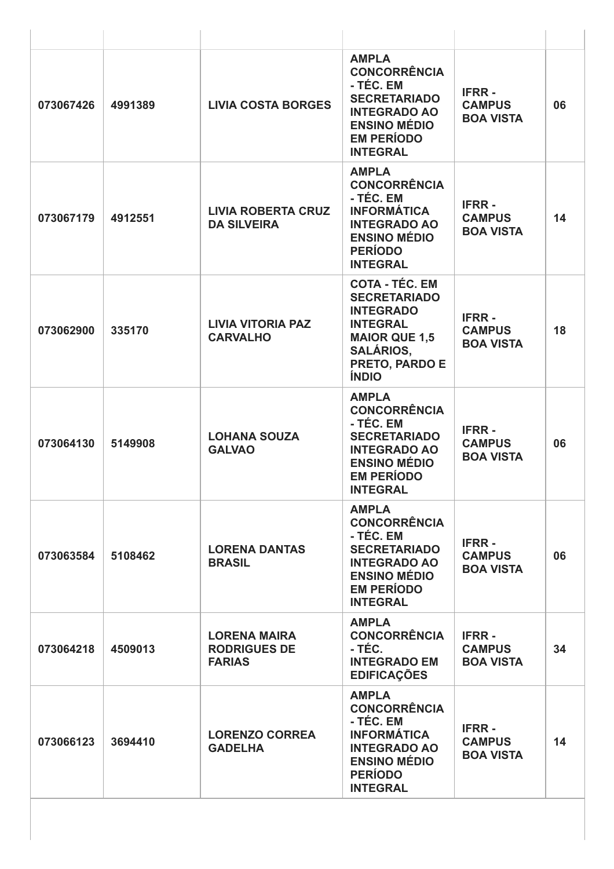| 073067426 | 4991389 | <b>LIVIA COSTA BORGES</b>                                   | <b>AMPLA</b><br><b>CONCORRÊNCIA</b><br>- TÉC. EM<br><b>SECRETARIADO</b><br><b>INTEGRADO AO</b><br><b>ENSINO MÉDIO</b><br><b>EM PERÍODO</b><br><b>INTEGRAL</b>     | <b>IFRR-</b><br><b>CAMPUS</b><br><b>BOA VISTA</b> | 06 |
|-----------|---------|-------------------------------------------------------------|-------------------------------------------------------------------------------------------------------------------------------------------------------------------|---------------------------------------------------|----|
| 073067179 | 4912551 | <b>LIVIA ROBERTA CRUZ</b><br><b>DA SILVEIRA</b>             | <b>AMPLA</b><br><b>CONCORRÊNCIA</b><br>- TÉC. EM<br><b>INFORMÁTICA</b><br><b>INTEGRADO AO</b><br><b>ENSINO MÉDIO</b><br><b>PERÍODO</b><br><b>INTEGRAL</b>         | <b>IFRR-</b><br><b>CAMPUS</b><br><b>BOA VISTA</b> | 14 |
| 073062900 | 335170  | <b>LIVIA VITORIA PAZ</b><br><b>CARVALHO</b>                 | <b>COTA - TÉC. EM</b><br><b>SECRETARIADO</b><br><b>INTEGRADO</b><br><b>INTEGRAL</b><br><b>MAIOR QUE 1,5</b><br><b>SALÁRIOS,</b><br>PRETO, PARDO E<br><b>ÍNDIO</b> | <b>IFRR-</b><br><b>CAMPUS</b><br><b>BOA VISTA</b> | 18 |
| 073064130 | 5149908 | <b>LOHANA SOUZA</b><br><b>GALVAO</b>                        | <b>AMPLA</b><br><b>CONCORRÊNCIA</b><br>- TÉC. EM<br><b>SECRETARIADO</b><br><b>INTEGRADO AO</b><br><b>ENSINO MÉDIO</b><br><b>EM PERÍODO</b><br><b>INTEGRAL</b>     | <b>IFRR-</b><br><b>CAMPUS</b><br><b>BOA VISTA</b> | 06 |
| 073063584 | 5108462 | <b>LORENA DANTAS</b><br><b>BRASIL</b>                       | <b>AMPLA</b><br><b>CONCORRÊNCIA</b><br>- TÉC. EM<br><b>SECRETARIADO</b><br><b>INTEGRADO AO</b><br><b>ENSINO MÉDIO</b><br><b>EM PERÍODO</b><br><b>INTEGRAL</b>     | <b>IFRR-</b><br><b>CAMPUS</b><br><b>BOA VISTA</b> | 06 |
| 073064218 | 4509013 | <b>LORENA MAIRA</b><br><b>RODRIGUES DE</b><br><b>FARIAS</b> | <b>AMPLA</b><br><b>CONCORRÊNCIA</b><br>- TÉC.<br><b>INTEGRADO EM</b><br><b>EDIFICAÇÕES</b>                                                                        | <b>IFRR-</b><br><b>CAMPUS</b><br><b>BOA VISTA</b> | 34 |
| 073066123 | 3694410 | <b>LORENZO CORREA</b><br><b>GADELHA</b>                     | <b>AMPLA</b><br><b>CONCORRÊNCIA</b><br>- TÉC. EM<br><b>INFORMÁTICA</b><br><b>INTEGRADO AO</b><br><b>ENSINO MÉDIO</b><br><b>PERÍODO</b><br><b>INTEGRAL</b>         | <b>IFRR-</b><br><b>CAMPUS</b><br><b>BOA VISTA</b> | 14 |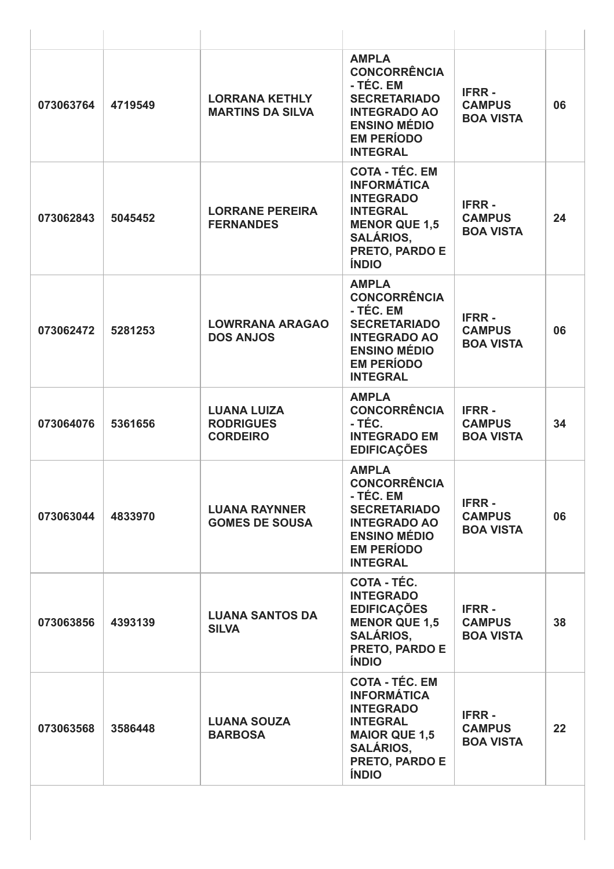| 073063764 | 4719549 | <b>LORRANA KETHLY</b><br><b>MARTINS DA SILVA</b>          | <b>AMPLA</b><br><b>CONCORRÊNCIA</b><br>- TÉC. EM<br><b>SECRETARIADO</b><br><b>INTEGRADO AO</b><br><b>ENSINO MÉDIO</b><br><b>EM PERÍODO</b><br><b>INTEGRAL</b>    | <b>IFRR-</b><br><b>CAMPUS</b><br><b>BOA VISTA</b> | 06 |
|-----------|---------|-----------------------------------------------------------|------------------------------------------------------------------------------------------------------------------------------------------------------------------|---------------------------------------------------|----|
| 073062843 | 5045452 | <b>LORRANE PEREIRA</b><br><b>FERNANDES</b>                | <b>COTA - TÉC. EM</b><br><b>INFORMÁTICA</b><br><b>INTEGRADO</b><br><b>INTEGRAL</b><br><b>MENOR QUE 1,5</b><br><b>SALÁRIOS,</b><br>PRETO, PARDO E<br><b>ÍNDIO</b> | <b>IFRR-</b><br><b>CAMPUS</b><br><b>BOA VISTA</b> | 24 |
| 073062472 | 5281253 | <b>LOWRRANA ARAGAO</b><br><b>DOS ANJOS</b>                | <b>AMPLA</b><br><b>CONCORRÊNCIA</b><br>- TÉC. EM<br><b>SECRETARIADO</b><br><b>INTEGRADO AO</b><br><b>ENSINO MÉDIO</b><br><b>EM PERÍODO</b><br><b>INTEGRAL</b>    | <b>IFRR-</b><br><b>CAMPUS</b><br><b>BOA VISTA</b> | 06 |
| 073064076 | 5361656 | <b>LUANA LUIZA</b><br><b>RODRIGUES</b><br><b>CORDEIRO</b> | <b>AMPLA</b><br><b>CONCORRÊNCIA</b><br>- TÉC.<br><b>INTEGRADO EM</b><br><b>EDIFICAÇÕES</b>                                                                       | <b>IFRR-</b><br><b>CAMPUS</b><br><b>BOA VISTA</b> | 34 |
| 073063044 | 4833970 | <b>LUANA RAYNNER</b><br><b>GOMES DE SOUSA</b>             | <b>AMPLA</b><br><b>CONCORRÊNCIA</b><br>- TÉC. EM<br><b>SECRETARIADO</b><br><b>INTEGRADO AO</b><br><b>ENSINO MÉDIO</b><br><b>EM PERÍODO</b><br><b>INTEGRAL</b>    | <b>IFRR-</b><br><b>CAMPUS</b><br><b>BOA VISTA</b> | 06 |
| 073063856 | 4393139 | <b>LUANA SANTOS DA</b><br><b>SILVA</b>                    | <b>COTA - TÉC.</b><br><b>INTEGRADO</b><br><b>EDIFICAÇÕES</b><br><b>MENOR QUE 1,5</b><br><b>SALÁRIOS,</b><br>PRETO, PARDO E<br><b>ÍNDIO</b>                       | <b>IFRR-</b><br><b>CAMPUS</b><br><b>BOA VISTA</b> | 38 |
| 073063568 | 3586448 | <b>LUANA SOUZA</b><br><b>BARBOSA</b>                      | <b>COTA - TÉC. EM</b><br><b>INFORMÁTICA</b><br><b>INTEGRADO</b><br><b>INTEGRAL</b><br><b>MAIOR QUE 1,5</b><br><b>SALÁRIOS,</b><br>PRETO, PARDO E<br><b>ÍNDIO</b> | <b>IFRR-</b><br><b>CAMPUS</b><br><b>BOA VISTA</b> | 22 |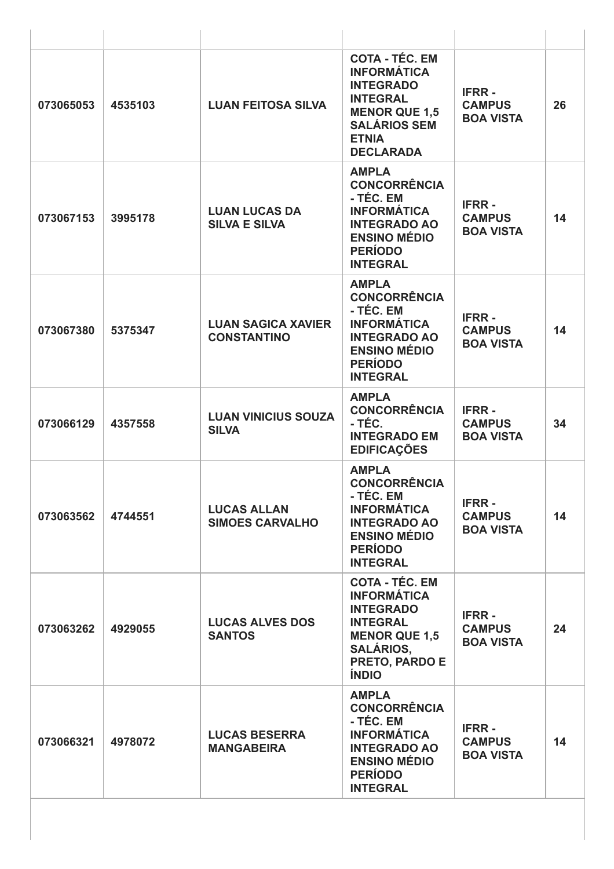| 073065053 | 4535103 | <b>LUAN FEITOSA SILVA</b>                       | <b>COTA - TÉC. EM</b><br><b>INFORMÁTICA</b><br><b>INTEGRADO</b><br><b>INTEGRAL</b><br><b>MENOR QUE 1,5</b><br><b>SALÁRIOS SEM</b><br><b>ETNIA</b><br><b>DECLARADA</b> | <b>IFRR-</b><br><b>CAMPUS</b><br><b>BOA VISTA</b> | 26 |
|-----------|---------|-------------------------------------------------|-----------------------------------------------------------------------------------------------------------------------------------------------------------------------|---------------------------------------------------|----|
| 073067153 | 3995178 | <b>LUAN LUCAS DA</b><br><b>SILVA E SILVA</b>    | <b>AMPLA</b><br><b>CONCORRÊNCIA</b><br>- TÉC. EM<br><b>INFORMÁTICA</b><br><b>INTEGRADO AO</b><br><b>ENSINO MÉDIO</b><br><b>PERÍODO</b><br><b>INTEGRAL</b>             | <b>IFRR-</b><br><b>CAMPUS</b><br><b>BOA VISTA</b> | 14 |
| 073067380 | 5375347 | <b>LUAN SAGICA XAVIER</b><br><b>CONSTANTINO</b> | <b>AMPLA</b><br><b>CONCORRÊNCIA</b><br>- TÉC. EM<br><b>INFORMÁTICA</b><br><b>INTEGRADO AO</b><br><b>ENSINO MÉDIO</b><br><b>PERÍODO</b><br><b>INTEGRAL</b>             | <b>IFRR-</b><br><b>CAMPUS</b><br><b>BOA VISTA</b> | 14 |
| 073066129 | 4357558 | <b>LUAN VINICIUS SOUZA</b><br><b>SILVA</b>      | <b>AMPLA</b><br><b>CONCORRÊNCIA</b><br>- TÉC.<br><b>INTEGRADO EM</b><br><b>EDIFICAÇÕES</b>                                                                            | <b>IFRR-</b><br><b>CAMPUS</b><br><b>BOA VISTA</b> | 34 |
| 073063562 | 4744551 | <b>LUCAS ALLAN</b><br><b>SIMOES CARVALHO</b>    | <b>AMPLA</b><br><b>CONCORRÊNCIA</b><br>- TEC. EM<br><b>INFORMÁTICA</b><br><b>INTEGRADO AO</b><br><b>ENSINO MÉDIO</b><br><b>PERÍODO</b><br><b>INTEGRAL</b>             | <b>IFRR-</b><br><b>CAMPUS</b><br><b>BOA VISTA</b> | 14 |
| 073063262 | 4929055 | <b>LUCAS ALVES DOS</b><br><b>SANTOS</b>         | <b>COTA - TÉC. EM</b><br><b>INFORMÁTICA</b><br><b>INTEGRADO</b><br><b>INTEGRAL</b><br><b>MENOR QUE 1,5</b><br><b>SALÁRIOS,</b><br>PRETO, PARDO E<br><b>ÍNDIO</b>      | <b>IFRR-</b><br><b>CAMPUS</b><br><b>BOA VISTA</b> | 24 |
| 073066321 | 4978072 | <b>LUCAS BESERRA</b><br><b>MANGABEIRA</b>       | <b>AMPLA</b><br><b>CONCORRÊNCIA</b><br>- TÉC. EM<br><b>INFORMÁTICA</b><br><b>INTEGRADO AO</b><br><b>ENSINO MÉDIO</b><br><b>PERÍODO</b><br><b>INTEGRAL</b>             | <b>IFRR-</b><br><b>CAMPUS</b><br><b>BOA VISTA</b> | 14 |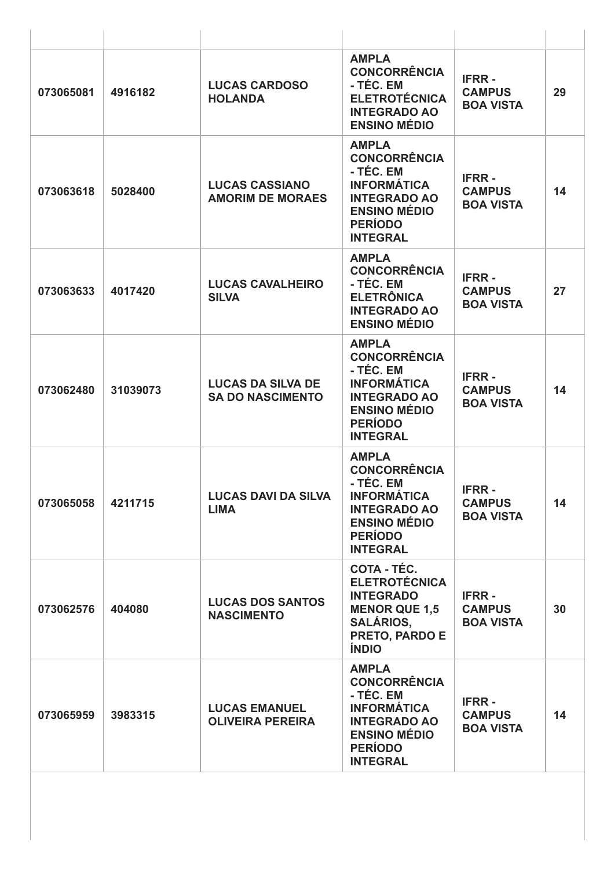| 073065081 | 4916182  | <b>LUCAS CARDOSO</b><br><b>HOLANDA</b>              | <b>AMPLA</b><br><b>CONCORRÊNCIA</b><br>- TÉC. EM<br><b>ELETROTÉCNICA</b><br><b>INTEGRADO AO</b><br><b>ENSINO MÉDIO</b>                                    | <b>IFRR-</b><br><b>CAMPUS</b><br><b>BOA VISTA</b> | 29 |
|-----------|----------|-----------------------------------------------------|-----------------------------------------------------------------------------------------------------------------------------------------------------------|---------------------------------------------------|----|
| 073063618 | 5028400  | <b>LUCAS CASSIANO</b><br><b>AMORIM DE MORAES</b>    | <b>AMPLA</b><br><b>CONCORRÊNCIA</b><br>- TÉC. EM<br><b>INFORMÁTICA</b><br><b>INTEGRADO AO</b><br><b>ENSINO MÉDIO</b><br><b>PERÍODO</b><br><b>INTEGRAL</b> | <b>IFRR-</b><br><b>CAMPUS</b><br><b>BOA VISTA</b> | 14 |
| 073063633 | 4017420  | <b>LUCAS CAVALHEIRO</b><br><b>SILVA</b>             | <b>AMPLA</b><br><b>CONCORRÊNCIA</b><br>- TÉC. EM<br><b>ELETRÔNICA</b><br><b>INTEGRADO AO</b><br><b>ENSINO MÉDIO</b>                                       | <b>IFRR-</b><br><b>CAMPUS</b><br><b>BOA VISTA</b> | 27 |
| 073062480 | 31039073 | <b>LUCAS DA SILVA DE</b><br><b>SA DO NASCIMENTO</b> | <b>AMPLA</b><br><b>CONCORRÊNCIA</b><br>- TÉC. EM<br><b>INFORMÁTICA</b><br><b>INTEGRADO AO</b><br><b>ENSINO MÉDIO</b><br><b>PERÍODO</b><br><b>INTEGRAL</b> | <b>IFRR-</b><br><b>CAMPUS</b><br><b>BOA VISTA</b> | 14 |
| 073065058 | 4211715  | <b>LUCAS DAVI DA SILVA</b><br><b>LIMA</b>           | <b>AMPLA</b><br><b>CONCORRÊNCIA</b><br>- TÉC. EM<br><b>INFORMÁTICA</b><br><b>INTEGRADO AO</b><br><b>ENSINO MÉDIO</b><br><b>PERÍODO</b><br><b>INTEGRAL</b> | <b>IFRR-</b><br><b>CAMPUS</b><br><b>BOA VISTA</b> | 14 |
| 073062576 | 404080   | <b>LUCAS DOS SANTOS</b><br><b>NASCIMENTO</b>        | <b>COTA - TÉC.</b><br><b>ELETROTÉCNICA</b><br><b>INTEGRADO</b><br><b>MENOR QUE 1,5</b><br><b>SALÁRIOS,</b><br>PRETO, PARDO E<br><b>ÍNDIO</b>              | <b>IFRR-</b><br><b>CAMPUS</b><br><b>BOA VISTA</b> | 30 |
| 073065959 | 3983315  | <b>LUCAS EMANUEL</b><br><b>OLIVEIRA PEREIRA</b>     | <b>AMPLA</b><br><b>CONCORRÊNCIA</b><br>- TÉC. EM<br><b>INFORMÁTICA</b><br><b>INTEGRADO AO</b><br><b>ENSINO MÉDIO</b><br><b>PERÍODO</b><br><b>INTEGRAL</b> | <b>IFRR-</b><br><b>CAMPUS</b><br><b>BOA VISTA</b> | 14 |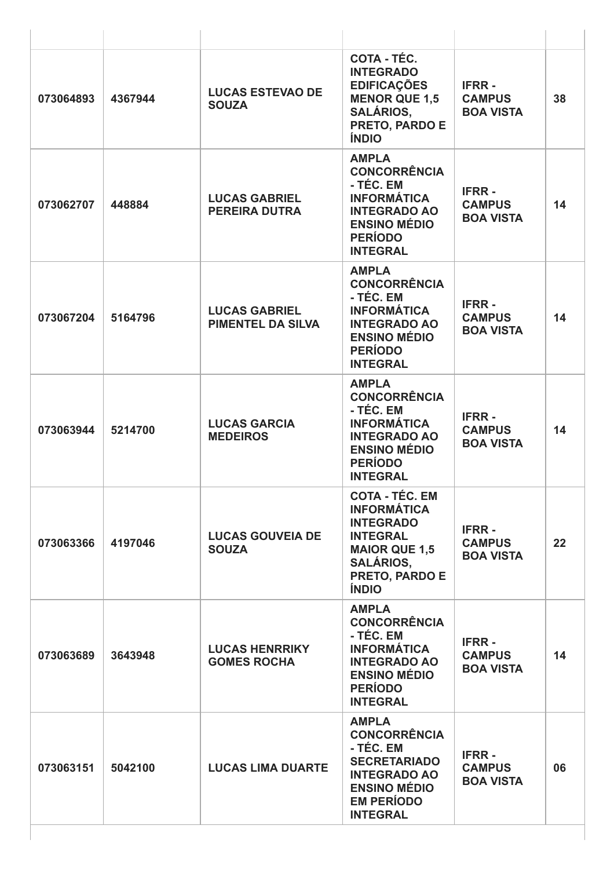| 073064893 | 4367944 | <b>LUCAS ESTEVAO DE</b><br><b>SOUZA</b>          | COTA - TÉC.<br><b>INTEGRADO</b><br><b>EDIFICAÇÕES</b><br><b>MENOR QUE 1,5</b><br><b>SALÁRIOS,</b><br>PRETO, PARDO E<br><b>ÍNDIO</b>                                     | <b>IFRR-</b><br><b>CAMPUS</b><br><b>BOA VISTA</b> | 38 |
|-----------|---------|--------------------------------------------------|-------------------------------------------------------------------------------------------------------------------------------------------------------------------------|---------------------------------------------------|----|
| 073062707 | 448884  | <b>LUCAS GABRIEL</b><br><b>PEREIRA DUTRA</b>     | <b>AMPLA</b><br><b>CONCORRÊNCIA</b><br>- TÉC. EM<br><b>INFORMÁTICA</b><br><b>INTEGRADO AO</b><br><b>ENSINO MÉDIO</b><br><b>PERÍODO</b><br><b>INTEGRAL</b>               | <b>IFRR-</b><br><b>CAMPUS</b><br><b>BOA VISTA</b> | 14 |
| 073067204 | 5164796 | <b>LUCAS GABRIEL</b><br><b>PIMENTEL DA SILVA</b> | <b>AMPLA</b><br><b>CONCORRÊNCIA</b><br>- TÉC. EM<br><b>INFORMÁTICA</b><br><b>INTEGRADO AO</b><br><b>ENSINO MÉDIO</b><br><b>PERÍODO</b><br><b>INTEGRAL</b>               | <b>IFRR-</b><br><b>CAMPUS</b><br><b>BOA VISTA</b> | 14 |
| 073063944 | 5214700 | <b>LUCAS GARCIA</b><br><b>MEDEIROS</b>           | <b>AMPLA</b><br><b>CONCORRÊNCIA</b><br>- TÉC. EM<br><b>INFORMÁTICA</b><br><b>INTEGRADO AO</b><br><b>ENSINO MÉDIO</b><br><b>PERÍODO</b><br><b>INTEGRAL</b>               | <b>IFRR-</b><br><b>CAMPUS</b><br><b>BOA VISTA</b> | 14 |
| 073063366 | 4197046 | <b>LUCAS GOUVEIA DE</b><br><b>SOUZA</b>          | <b>COTA - TEC. EM</b><br><b>INFORMÁTICA</b><br><b>INTEGRADO</b><br><b>INTEGRAL</b><br><b>MAIOR QUE 1,5</b><br><b>SALÁRIOS,</b><br><b>PRETO, PARDO E</b><br><b>ÍNDIO</b> | <b>IFRR-</b><br><b>CAMPUS</b><br><b>BOA VISTA</b> | 22 |
| 073063689 | 3643948 | <b>LUCAS HENRRIKY</b><br><b>GOMES ROCHA</b>      | <b>AMPLA</b><br><b>CONCORRÊNCIA</b><br>- TÉC. EM<br><b>INFORMÁTICA</b><br><b>INTEGRADO AO</b><br><b>ENSINO MÉDIO</b><br><b>PERÍODO</b><br><b>INTEGRAL</b>               | <b>IFRR-</b><br><b>CAMPUS</b><br><b>BOA VISTA</b> | 14 |
| 073063151 | 5042100 | <b>LUCAS LIMA DUARTE</b>                         | <b>AMPLA</b><br><b>CONCORRÊNCIA</b><br>- TÉC. EM<br><b>SECRETARIADO</b><br><b>INTEGRADO AO</b><br><b>ENSINO MÉDIO</b><br><b>EM PERÍODO</b><br><b>INTEGRAL</b>           | <b>IFRR-</b><br><b>CAMPUS</b><br><b>BOA VISTA</b> | 06 |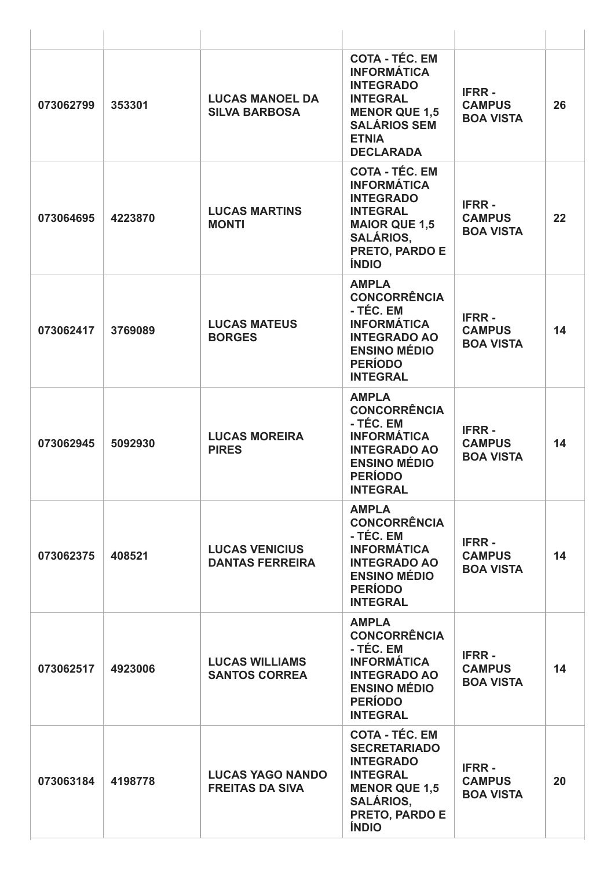| 073062799 | 353301  | <b>LUCAS MANOEL DA</b><br><b>SILVA BARBOSA</b>    | <b>COTA - TÉC. EM</b><br><b>INFORMÁTICA</b><br><b>INTEGRADO</b><br><b>INTEGRAL</b><br><b>MENOR QUE 1,5</b><br><b>SALÁRIOS SEM</b><br><b>ETNIA</b><br><b>DECLARADA</b> | <b>IFRR-</b><br><b>CAMPUS</b><br><b>BOA VISTA</b> | 26 |
|-----------|---------|---------------------------------------------------|-----------------------------------------------------------------------------------------------------------------------------------------------------------------------|---------------------------------------------------|----|
| 073064695 | 4223870 | <b>LUCAS MARTINS</b><br><b>MONTI</b>              | <b>COTA - TÉC. EM</b><br><b>INFORMÁTICA</b><br><b>INTEGRADO</b><br><b>INTEGRAL</b><br><b>MAIOR QUE 1,5</b><br><b>SALÁRIOS.</b><br>PRETO, PARDO E<br><b>ÍNDIO</b>      | <b>IFRR-</b><br><b>CAMPUS</b><br><b>BOA VISTA</b> | 22 |
| 073062417 | 3769089 | <b>LUCAS MATEUS</b><br><b>BORGES</b>              | <b>AMPLA</b><br><b>CONCORRÊNCIA</b><br>- TÉC. EM<br><b>INFORMÁTICA</b><br><b>INTEGRADO AO</b><br><b>ENSINO MÉDIO</b><br><b>PERÍODO</b><br><b>INTEGRAL</b>             | <b>IFRR-</b><br><b>CAMPUS</b><br><b>BOA VISTA</b> | 14 |
| 073062945 | 5092930 | <b>LUCAS MOREIRA</b><br><b>PIRES</b>              | <b>AMPLA</b><br><b>CONCORRÊNCIA</b><br>- TÉC. EM<br><b>INFORMÁTICA</b><br><b>INTEGRADO AO</b><br><b>ENSINO MÉDIO</b><br><b>PERÍODO</b><br><b>INTEGRAL</b>             | <b>IFRR-</b><br><b>CAMPUS</b><br><b>BOA VISTA</b> | 14 |
| 073062375 | 408521  | <b>LUCAS VENICIUS</b><br><b>DANTAS FERREIRA</b>   | <b>AMPLA</b><br><b>CONCORRÊNCIA</b><br>- TÉC. EM<br><b>INFORMÁTICA</b><br><b>INTEGRADO AO</b><br><b>ENSINO MÉDIO</b><br><b>PERÍODO</b><br><b>INTEGRAL</b>             | <b>IFRR-</b><br><b>CAMPUS</b><br><b>BOA VISTA</b> | 14 |
| 073062517 | 4923006 | <b>LUCAS WILLIAMS</b><br><b>SANTOS CORREA</b>     | <b>AMPLA</b><br><b>CONCORRÊNCIA</b><br>- TÉC. EM<br><b>INFORMÁTICA</b><br><b>INTEGRADO AO</b><br><b>ENSINO MÉDIO</b><br><b>PERÍODO</b><br><b>INTEGRAL</b>             | <b>IFRR-</b><br><b>CAMPUS</b><br><b>BOA VISTA</b> | 14 |
| 073063184 | 4198778 | <b>LUCAS YAGO NANDO</b><br><b>FREITAS DA SIVA</b> | <b>COTA - TÉC. EM</b><br><b>SECRETARIADO</b><br><b>INTEGRADO</b><br><b>INTEGRAL</b><br><b>MENOR QUE 1,5</b><br><b>SALÁRIOS,</b><br>PRETO, PARDO E<br><b>ÍNDIO</b>     | <b>IFRR-</b><br><b>CAMPUS</b><br><b>BOA VISTA</b> | 20 |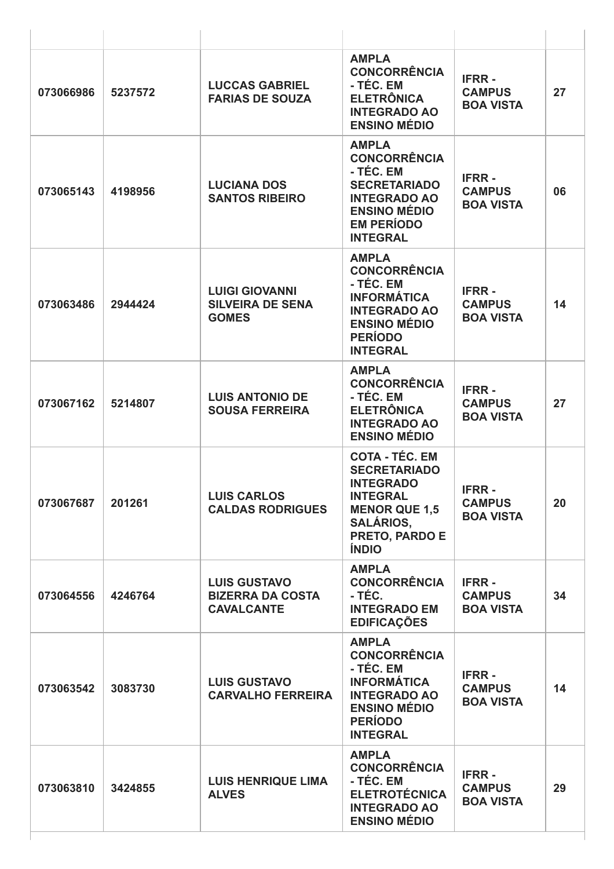| 073066986 | 5237572 | <b>LUCCAS GABRIEL</b><br><b>FARIAS DE SOUZA</b>                     | <b>AMPLA</b><br><b>CONCORRÊNCIA</b><br>- TÉC. EM<br><b>ELETRÔNICA</b><br><b>INTEGRADO AO</b><br><b>ENSINO MÉDIO</b>                                               | <b>IFRR-</b><br><b>CAMPUS</b><br><b>BOA VISTA</b> | 27 |
|-----------|---------|---------------------------------------------------------------------|-------------------------------------------------------------------------------------------------------------------------------------------------------------------|---------------------------------------------------|----|
| 073065143 | 4198956 | <b>LUCIANA DOS</b><br><b>SANTOS RIBEIRO</b>                         | <b>AMPLA</b><br><b>CONCORRÊNCIA</b><br>- TÉC. EM<br><b>SECRETARIADO</b><br><b>INTEGRADO AO</b><br><b>ENSINO MÉDIO</b><br><b>EM PERÍODO</b><br><b>INTEGRAL</b>     | <b>IFRR-</b><br><b>CAMPUS</b><br><b>BOA VISTA</b> | 06 |
| 073063486 | 2944424 | <b>LUIGI GIOVANNI</b><br><b>SILVEIRA DE SENA</b><br><b>GOMES</b>    | <b>AMPLA</b><br><b>CONCORRÊNCIA</b><br>- TÉC. EM<br><b>INFORMÁTICA</b><br><b>INTEGRADO AO</b><br><b>ENSINO MÉDIO</b><br><b>PERÍODO</b><br><b>INTEGRAL</b>         | <b>IFRR-</b><br><b>CAMPUS</b><br><b>BOA VISTA</b> | 14 |
| 073067162 | 5214807 | <b>LUIS ANTONIO DE</b><br><b>SOUSA FERREIRA</b>                     | <b>AMPLA</b><br><b>CONCORRÊNCIA</b><br>- TÉC. EM<br><b>ELETRÔNICA</b><br><b>INTEGRADO AO</b><br><b>ENSINO MÉDIO</b>                                               | <b>IFRR-</b><br><b>CAMPUS</b><br><b>BOA VISTA</b> | 27 |
| 073067687 | 201261  | <b>LUIS CARLOS</b><br><b>CALDAS RODRIGUES</b>                       | <b>COTA - TÉC. EM</b><br><b>SECRETARIADO</b><br><b>INTEGRADO</b><br><b>INTEGRAL</b><br><b>MENOR QUE 1,5</b><br><b>SALÁRIOS,</b><br>PRETO, PARDO E<br><b>ÍNDIO</b> | <b>IFRR-</b><br><b>CAMPUS</b><br><b>BOA VISTA</b> | 20 |
| 073064556 | 4246764 | <b>LUIS GUSTAVO</b><br><b>BIZERRA DA COSTA</b><br><b>CAVALCANTE</b> | <b>AMPLA</b><br><b>CONCORRÊNCIA</b><br>- TÉC.<br><b>INTEGRADO EM</b><br><b>EDIFICAÇÕES</b>                                                                        | <b>IFRR-</b><br><b>CAMPUS</b><br><b>BOA VISTA</b> | 34 |
| 073063542 | 3083730 | <b>LUIS GUSTAVO</b><br><b>CARVALHO FERREIRA</b>                     | <b>AMPLA</b><br><b>CONCORRÊNCIA</b><br>- TÉC. EM<br><b>INFORMÁTICA</b><br><b>INTEGRADO AO</b><br><b>ENSINO MÉDIO</b><br><b>PERÍODO</b><br><b>INTEGRAL</b>         | <b>IFRR-</b><br><b>CAMPUS</b><br><b>BOA VISTA</b> | 14 |
| 073063810 | 3424855 | <b>LUIS HENRIQUE LIMA</b><br><b>ALVES</b>                           | <b>AMPLA</b><br><b>CONCORRÊNCIA</b><br>- TÉC. EM<br><b>ELETROTÉCNICA</b><br><b>INTEGRADO AO</b><br><b>ENSINO MÉDIO</b>                                            | <b>IFRR-</b><br><b>CAMPUS</b><br><b>BOA VISTA</b> | 29 |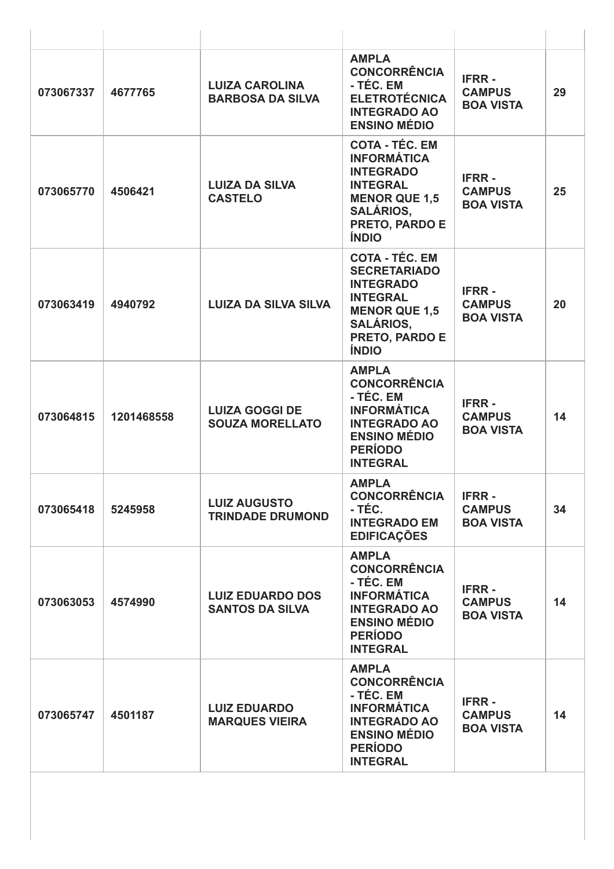| 073067337 | 4677765    | <b>LUIZA CAROLINA</b><br><b>BARBOSA DA SILVA</b>  | <b>AMPLA</b><br><b>CONCORRÊNCIA</b><br>- TÉC. EM<br><b>ELETROTÉCNICA</b><br><b>INTEGRADO AO</b><br><b>ENSINO MÉDIO</b>                                            | <b>IFRR-</b><br><b>CAMPUS</b><br><b>BOA VISTA</b> | 29 |
|-----------|------------|---------------------------------------------------|-------------------------------------------------------------------------------------------------------------------------------------------------------------------|---------------------------------------------------|----|
| 073065770 | 4506421    | <b>LUIZA DA SILVA</b><br><b>CASTELO</b>           | <b>COTA - TÉC. EM</b><br><b>INFORMÁTICA</b><br><b>INTEGRADO</b><br><b>INTEGRAL</b><br><b>MENOR QUE 1,5</b><br><b>SALÁRIOS,</b><br>PRETO, PARDO E<br><b>ÍNDIO</b>  | <b>IFRR-</b><br><b>CAMPUS</b><br><b>BOA VISTA</b> | 25 |
| 073063419 | 4940792    | <b>LUIZA DA SILVA SILVA</b>                       | <b>COTA - TÉC. EM</b><br><b>SECRETARIADO</b><br><b>INTEGRADO</b><br><b>INTEGRAL</b><br><b>MENOR QUE 1,5</b><br><b>SALÁRIOS,</b><br>PRETO, PARDO E<br><b>ÍNDIO</b> | <b>IFRR-</b><br><b>CAMPUS</b><br><b>BOA VISTA</b> | 20 |
| 073064815 | 1201468558 | <b>LUIZA GOGGI DE</b><br><b>SOUZA MORELLATO</b>   | <b>AMPLA</b><br><b>CONCORRÊNCIA</b><br>- TÉC. EM<br><b>INFORMÁTICA</b><br><b>INTEGRADO AO</b><br><b>ENSINO MÉDIO</b><br><b>PERÍODO</b><br><b>INTEGRAL</b>         | <b>IFRR-</b><br><b>CAMPUS</b><br><b>BOA VISTA</b> | 14 |
| 073065418 | 5245958    | <b>LUIZ AUGUSTO</b><br><b>TRINDADE DRUMOND</b>    | <b>AMPLA</b><br><b>CONCORRÊNCIA</b><br>- TÉC.<br><b>INTEGRADO EM</b><br><b>EDIFICAÇÕES</b>                                                                        | <b>IFRR-</b><br><b>CAMPUS</b><br><b>BOA VISTA</b> | 34 |
| 073063053 | 4574990    | <b>LUIZ EDUARDO DOS</b><br><b>SANTOS DA SILVA</b> | <b>AMPLA</b><br><b>CONCORRÊNCIA</b><br>- TÉC. EM<br><b>INFORMÁTICA</b><br><b>INTEGRADO AO</b><br><b>ENSINO MÉDIO</b><br><b>PERÍODO</b><br><b>INTEGRAL</b>         | <b>IFRR-</b><br><b>CAMPUS</b><br><b>BOA VISTA</b> | 14 |
| 073065747 | 4501187    | <b>LUIZ EDUARDO</b><br><b>MARQUES VIEIRA</b>      | <b>AMPLA</b><br><b>CONCORRÊNCIA</b><br>- TÉC. EM<br><b>INFORMÁTICA</b><br><b>INTEGRADO AO</b><br><b>ENSINO MÉDIO</b><br><b>PERÍODO</b><br><b>INTEGRAL</b>         | <b>IFRR-</b><br><b>CAMPUS</b><br><b>BOA VISTA</b> | 14 |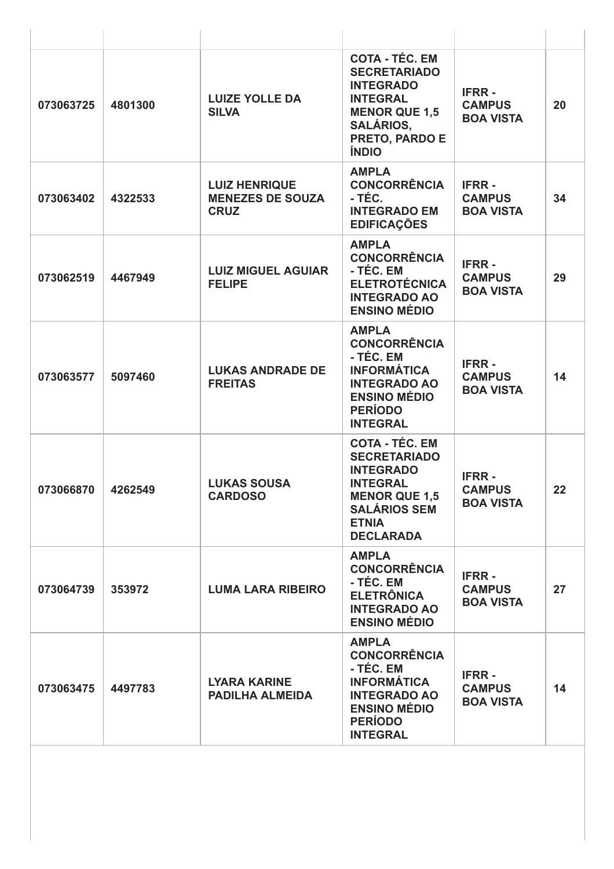| 073063725 | 4801300 | <b>LUIZE YOLLE DA</b><br><b>SILVA</b>                          | <b>COTA - TÉC. EM</b><br><b>SECRETARIADO</b><br><b>INTEGRADO</b><br><b>INTEGRAL</b><br><b>MENOR QUE 1,5</b><br><b>SALÁRIOS,</b><br><b>PRETO, PARDO E</b><br><b>ÍNDIO</b> | <b>IFRR-</b><br><b>CAMPUS</b><br><b>BOA VISTA</b> | 20 |
|-----------|---------|----------------------------------------------------------------|--------------------------------------------------------------------------------------------------------------------------------------------------------------------------|---------------------------------------------------|----|
| 073063402 | 4322533 | <b>LUIZ HENRIQUE</b><br><b>MENEZES DE SOUZA</b><br><b>CRUZ</b> | <b>AMPLA</b><br><b>CONCORRÊNCIA</b><br>- TÉC.<br><b>INTEGRADO EM</b><br><b>EDIFICAÇÕES</b>                                                                               | <b>IFRR-</b><br><b>CAMPUS</b><br><b>BOA VISTA</b> | 34 |
| 073062519 | 4467949 | <b>LUIZ MIGUEL AGUIAR</b><br><b>FELIPE</b>                     | <b>AMPLA</b><br><b>CONCORRÊNCIA</b><br>- TÉC. EM<br><b>ELETROTÉCNICA</b><br><b>INTEGRADO AO</b><br><b>ENSINO MÉDIO</b>                                                   | <b>IFRR-</b><br><b>CAMPUS</b><br><b>BOA VISTA</b> | 29 |
| 073063577 | 5097460 | <b>LUKAS ANDRADE DE</b><br><b>FREITAS</b>                      | <b>AMPLA</b><br><b>CONCORRÊNCIA</b><br>- TÉC. EM<br><b>INFORMÁTICA</b><br><b>INTEGRADO AO</b><br><b>ENSINO MÉDIO</b><br><b>PERÍODO</b><br><b>INTEGRAL</b>                | <b>IFRR-</b><br><b>CAMPUS</b><br><b>BOA VISTA</b> | 14 |
| 073066870 | 4262549 | <b>LUKAS SOUSA</b><br><b>CARDOSO</b>                           | <b>COTA - TÉC. EM</b><br><b>SECRETARIADO</b><br><b>INTEGRADO</b><br><b>INTEGRAL</b><br><b>MENOR QUE 1,5</b><br><b>SALÁRIOS SEM</b><br><b>ETNIA</b><br><b>DECLARADA</b>   | <b>IFRR-</b><br><b>CAMPUS</b><br><b>BOA VISTA</b> | 22 |
| 073064739 | 353972  | <b>LUMA LARA RIBEIRO</b>                                       | <b>AMPLA</b><br><b>CONCORRÊNCIA</b><br>- TÉC. EM<br><b>ELETRÔNICA</b><br><b>INTEGRADO AO</b><br><b>ENSINO MÉDIO</b>                                                      | <b>IFRR-</b><br><b>CAMPUS</b><br><b>BOA VISTA</b> | 27 |
| 073063475 | 4497783 | <b>LYARA KARINE</b><br><b>PADILHA ALMEIDA</b>                  | <b>AMPLA</b><br><b>CONCORRÊNCIA</b><br>- TÉC. EM<br><b>INFORMÁTICA</b><br><b>INTEGRADO AO</b><br><b>ENSINO MÉDIO</b><br><b>PERÍODO</b><br><b>INTEGRAL</b>                | <b>IFRR-</b><br><b>CAMPUS</b><br><b>BOA VISTA</b> | 14 |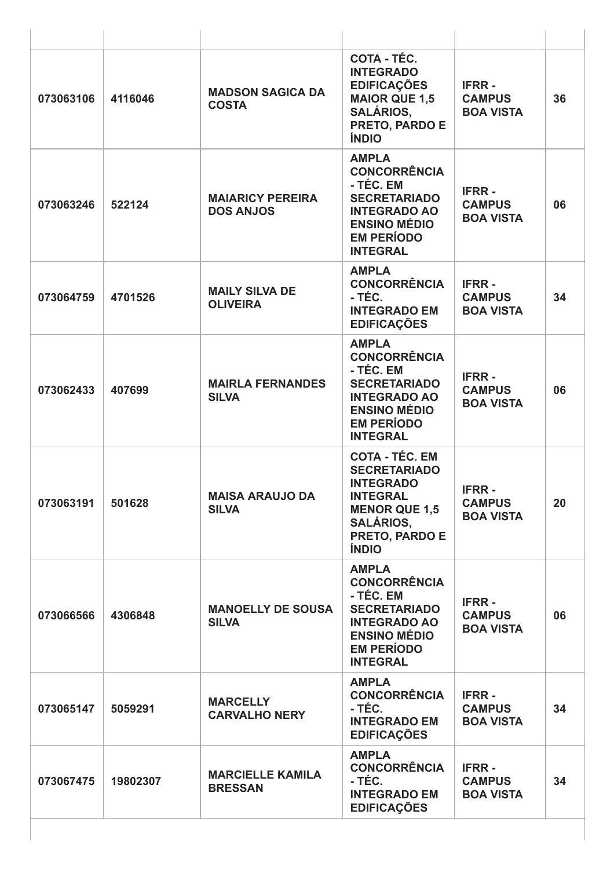| 073063106 | 4116046  | <b>MADSON SAGICA DA</b><br><b>COSTA</b>     | COTA - TÉC.<br><b>INTEGRADO</b><br><b>EDIFICAÇÕES</b><br><b>MAIOR QUE 1,5</b><br><b>SALÁRIOS,</b><br>PRETO, PARDO E<br><b>ÍNDIO</b>                               | <b>IFRR-</b><br><b>CAMPUS</b><br><b>BOA VISTA</b> | 36 |
|-----------|----------|---------------------------------------------|-------------------------------------------------------------------------------------------------------------------------------------------------------------------|---------------------------------------------------|----|
| 073063246 | 522124   | <b>MAIARICY PEREIRA</b><br><b>DOS ANJOS</b> | <b>AMPLA</b><br><b>CONCORRÊNCIA</b><br>- TÉC. EM<br><b>SECRETARIADO</b><br><b>INTEGRADO AO</b><br><b>ENSINO MÉDIO</b><br><b>EM PERÍODO</b><br><b>INTEGRAL</b>     | <b>IFRR-</b><br><b>CAMPUS</b><br><b>BOA VISTA</b> | 06 |
| 073064759 | 4701526  | <b>MAILY SILVA DE</b><br><b>OLIVEIRA</b>    | <b>AMPLA</b><br><b>CONCORRÊNCIA</b><br>- TÉC.<br><b>INTEGRADO EM</b><br><b>EDIFICAÇÕES</b>                                                                        | <b>IFRR-</b><br><b>CAMPUS</b><br><b>BOA VISTA</b> | 34 |
| 073062433 | 407699   | <b>MAIRLA FERNANDES</b><br><b>SILVA</b>     | <b>AMPLA</b><br><b>CONCORRÊNCIA</b><br>- TÉC. EM<br><b>SECRETARIADO</b><br><b>INTEGRADO AO</b><br><b>ENSINO MÉDIO</b><br><b>EM PERÍODO</b><br><b>INTEGRAL</b>     | <b>IFRR-</b><br><b>CAMPUS</b><br><b>BOA VISTA</b> | 06 |
| 073063191 | 501628   | <b>MAISA ARAUJO DA</b><br><b>SILVA</b>      | <b>COTA - TÉC. EM</b><br><b>SECRETARIADO</b><br><b>INTEGRADO</b><br><b>INTEGRAL</b><br><b>MENOR QUE 1,5</b><br><b>SALÁRIOS,</b><br>PRETO, PARDO E<br><b>ÍNDIO</b> | <b>IFRR-</b><br><b>CAMPUS</b><br><b>BOA VISTA</b> | 20 |
| 073066566 | 4306848  | <b>MANOELLY DE SOUSA</b><br><b>SILVA</b>    | <b>AMPLA</b><br><b>CONCORRÊNCIA</b><br>- TÉC. EM<br><b>SECRETARIADO</b><br><b>INTEGRADO AO</b><br><b>ENSINO MÉDIO</b><br><b>EM PERÍODO</b><br><b>INTEGRAL</b>     | <b>IFRR-</b><br><b>CAMPUS</b><br><b>BOA VISTA</b> | 06 |
| 073065147 | 5059291  | <b>MARCELLY</b><br><b>CARVALHO NERY</b>     | <b>AMPLA</b><br><b>CONCORRÊNCIA</b><br>- TÉC.<br><b>INTEGRADO EM</b><br><b>EDIFICAÇÕES</b>                                                                        | <b>IFRR-</b><br><b>CAMPUS</b><br><b>BOA VISTA</b> | 34 |
| 073067475 | 19802307 | <b>MARCIELLE KAMILA</b><br><b>BRESSAN</b>   | <b>AMPLA</b><br><b>CONCORRÊNCIA</b><br>- TÉC.<br><b>INTEGRADO EM</b><br><b>EDIFICAÇÕES</b>                                                                        | <b>IFRR-</b><br><b>CAMPUS</b><br><b>BOA VISTA</b> | 34 |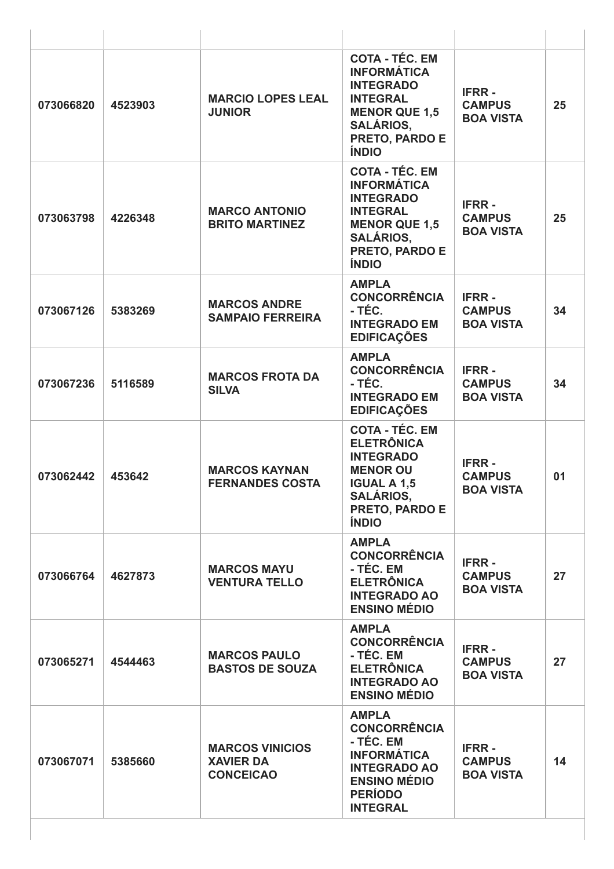| 073066820 | 4523903 | <b>MARCIO LOPES LEAL</b><br><b>JUNIOR</b>                      | <b>COTA - TÉC. EM</b><br><b>INFORMÁTICA</b><br><b>INTEGRADO</b><br><b>INTEGRAL</b><br><b>MENOR QUE 1,5</b><br><b>SALÁRIOS,</b><br>PRETO, PARDO E<br><b>ÍNDIO</b>        | <b>IFRR-</b><br><b>CAMPUS</b><br><b>BOA VISTA</b> | 25 |
|-----------|---------|----------------------------------------------------------------|-------------------------------------------------------------------------------------------------------------------------------------------------------------------------|---------------------------------------------------|----|
| 073063798 | 4226348 | <b>MARCO ANTONIO</b><br><b>BRITO MARTINEZ</b>                  | <b>COTA - TÉC. EM</b><br><b>INFORMÁTICA</b><br><b>INTEGRADO</b><br><b>INTEGRAL</b><br><b>MENOR QUE 1,5</b><br><b>SALÁRIOS,</b><br><b>PRETO, PARDO E</b><br><b>ÍNDIO</b> | <b>IFRR-</b><br><b>CAMPUS</b><br><b>BOA VISTA</b> | 25 |
| 073067126 | 5383269 | <b>MARCOS ANDRE</b><br><b>SAMPAIO FERREIRA</b>                 | <b>AMPLA</b><br><b>CONCORRÊNCIA</b><br>- TÉC.<br><b>INTEGRADO EM</b><br><b>EDIFICAÇÕES</b>                                                                              | <b>IFRR-</b><br><b>CAMPUS</b><br><b>BOA VISTA</b> | 34 |
| 073067236 | 5116589 | <b>MARCOS FROTA DA</b><br><b>SILVA</b>                         | <b>AMPLA</b><br><b>CONCORRÊNCIA</b><br>- TÉC.<br><b>INTEGRADO EM</b><br><b>EDIFICAÇÕES</b>                                                                              | <b>IFRR-</b><br><b>CAMPUS</b><br><b>BOA VISTA</b> | 34 |
| 073062442 | 453642  | <b>MARCOS KAYNAN</b><br><b>FERNANDES COSTA</b>                 | <b>COTA - TÉC. EM</b><br><b>ELETRÔNICA</b><br><b>INTEGRADO</b><br><b>MENOR OU</b><br><b>IGUAL A 1,5</b><br><b>SALÁRIOS,</b><br><b>PRETO, PARDO E</b><br><b>ÍNDIO</b>    | <b>IFRR-</b><br><b>CAMPUS</b><br><b>BOA VISTA</b> | 01 |
| 073066764 | 4627873 | <b>MARCOS MAYU</b><br><b>VENTURA TELLO</b>                     | <b>AMPLA</b><br><b>CONCORRÊNCIA</b><br>- TÉC. EM<br><b>ELETRÔNICA</b><br><b>INTEGRADO AO</b><br><b>ENSINO MÉDIO</b>                                                     | <b>IFRR-</b><br><b>CAMPUS</b><br><b>BOA VISTA</b> | 27 |
| 073065271 | 4544463 | <b>MARCOS PAULO</b><br><b>BASTOS DE SOUZA</b>                  | <b>AMPLA</b><br><b>CONCORRÊNCIA</b><br>- TÉC. EM<br><b>ELETRÔNICA</b><br><b>INTEGRADO AO</b><br><b>ENSINO MÉDIO</b>                                                     | <b>IFRR-</b><br><b>CAMPUS</b><br><b>BOA VISTA</b> | 27 |
| 073067071 | 5385660 | <b>MARCOS VINICIOS</b><br><b>XAVIER DA</b><br><b>CONCEICAO</b> | <b>AMPLA</b><br><b>CONCORRÊNCIA</b><br>- TÉC. EM<br><b>INFORMÁTICA</b><br><b>INTEGRADO AO</b><br><b>ENSINO MÉDIO</b><br><b>PERÍODO</b><br><b>INTEGRAL</b>               | <b>IFRR-</b><br><b>CAMPUS</b><br><b>BOA VISTA</b> | 14 |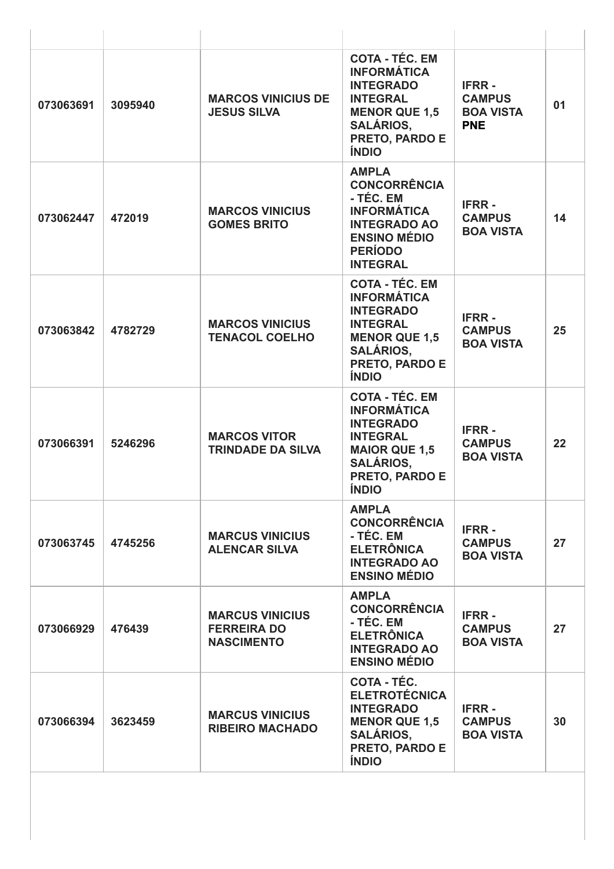| 073063691 | 3095940 | <b>MARCOS VINICIUS DE</b><br><b>JESUS SILVA</b>                   | <b>COTA - TÉC. EM</b><br><b>INFORMÁTICA</b><br><b>INTEGRADO</b><br><b>INTEGRAL</b><br><b>MENOR QUE 1,5</b><br><b>SALÁRIOS,</b><br><b>PRETO, PARDO E</b><br><b>ÍNDIO</b> | <b>IFRR-</b><br><b>CAMPUS</b><br><b>BOA VISTA</b><br><b>PNE</b> | 01 |
|-----------|---------|-------------------------------------------------------------------|-------------------------------------------------------------------------------------------------------------------------------------------------------------------------|-----------------------------------------------------------------|----|
| 073062447 | 472019  | <b>MARCOS VINICIUS</b><br><b>GOMES BRITO</b>                      | <b>AMPLA</b><br><b>CONCORRÊNCIA</b><br>- TÉC. EM<br><b>INFORMÁTICA</b><br><b>INTEGRADO AO</b><br><b>ENSINO MÉDIO</b><br><b>PERÍODO</b><br><b>INTEGRAL</b>               | <b>IFRR-</b><br><b>CAMPUS</b><br><b>BOA VISTA</b>               | 14 |
| 073063842 | 4782729 | <b>MARCOS VINICIUS</b><br><b>TENACOL COELHO</b>                   | <b>COTA - TÉC. EM</b><br><b>INFORMÁTICA</b><br><b>INTEGRADO</b><br><b>INTEGRAL</b><br><b>MENOR QUE 1,5</b><br><b>SALÁRIOS,</b><br>PRETO, PARDO E<br><b>ÍNDIO</b>        | <b>IFRR-</b><br><b>CAMPUS</b><br><b>BOA VISTA</b>               | 25 |
| 073066391 | 5246296 | <b>MARCOS VITOR</b><br><b>TRINDADE DA SILVA</b>                   | <b>COTA - TÉC. EM</b><br><b>INFORMÁTICA</b><br><b>INTEGRADO</b><br><b>INTEGRAL</b><br><b>MAIOR QUE 1,5</b><br><b>SALÁRIOS,</b><br><b>PRETO, PARDO E</b><br><b>INDIO</b> | <b>IFRR-</b><br><b>CAMPUS</b><br><b>BOA VISTA</b>               | 22 |
| 073063745 | 4745256 | <b>MARCUS VINICIUS</b><br><b>ALENCAR SILVA</b>                    | <b>AMPLA</b><br><b>CONCORRÊNCIA</b><br>- TÉC. EM<br><b>ELETRÔNICA</b><br><b>INTEGRADO AO</b><br><b>ENSINO MÉDIO</b>                                                     | <b>IFRR-</b><br><b>CAMPUS</b><br><b>BOA VISTA</b>               | 27 |
| 073066929 | 476439  | <b>MARCUS VINICIUS</b><br><b>FERREIRA DO</b><br><b>NASCIMENTO</b> | <b>AMPLA</b><br><b>CONCORRÊNCIA</b><br>- TÉC. EM<br><b>ELETRÔNICA</b><br><b>INTEGRADO AO</b><br><b>ENSINO MÉDIO</b>                                                     | <b>IFRR-</b><br><b>CAMPUS</b><br><b>BOA VISTA</b>               | 27 |
| 073066394 | 3623459 | <b>MARCUS VINICIUS</b><br><b>RIBEIRO MACHADO</b>                  | <b>COTA - TÉC.</b><br><b>ELETROTÉCNICA</b><br><b>INTEGRADO</b><br><b>MENOR QUE 1,5</b><br><b>SALÁRIOS,</b><br><b>PRETO, PARDO E</b><br><b>ÍNDIO</b>                     | <b>IFRR-</b><br><b>CAMPUS</b><br><b>BOA VISTA</b>               | 30 |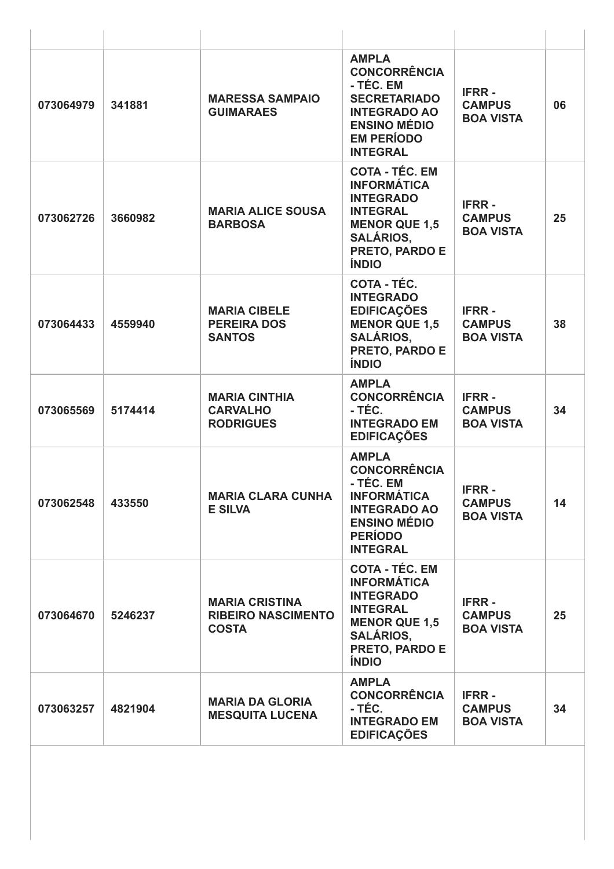| 073064979 | 341881  | <b>MARESSA SAMPAIO</b><br><b>GUIMARAES</b>                         | <b>AMPLA</b><br><b>CONCORRÊNCIA</b><br>- TÉC. EM<br><b>SECRETARIADO</b><br><b>INTEGRADO AO</b><br><b>ENSINO MÉDIO</b><br><b>EM PERÍODO</b><br><b>INTEGRAL</b>           | <b>IFRR-</b><br><b>CAMPUS</b><br><b>BOA VISTA</b> | 06 |
|-----------|---------|--------------------------------------------------------------------|-------------------------------------------------------------------------------------------------------------------------------------------------------------------------|---------------------------------------------------|----|
| 073062726 | 3660982 | <b>MARIA ALICE SOUSA</b><br><b>BARBOSA</b>                         | <b>COTA - TÉC. EM</b><br><b>INFORMÁTICA</b><br><b>INTEGRADO</b><br><b>INTEGRAL</b><br><b>MENOR QUE 1,5</b><br><b>SALÁRIOS,</b><br>PRETO, PARDO E<br><b>ÍNDIO</b>        | <b>IFRR-</b><br><b>CAMPUS</b><br><b>BOA VISTA</b> | 25 |
| 073064433 | 4559940 | <b>MARIA CIBELE</b><br><b>PEREIRA DOS</b><br><b>SANTOS</b>         | <b>COTA - TÉC.</b><br><b>INTEGRADO</b><br><b>EDIFICAÇÕES</b><br><b>MENOR QUE 1,5</b><br><b>SALÁRIOS,</b><br>PRETO, PARDO E<br><b>ÍNDIO</b>                              | <b>IFRR-</b><br><b>CAMPUS</b><br><b>BOA VISTA</b> | 38 |
| 073065569 | 5174414 | <b>MARIA CINTHIA</b><br><b>CARVALHO</b><br><b>RODRIGUES</b>        | <b>AMPLA</b><br><b>CONCORRÊNCIA</b><br>- TÉC.<br><b>INTEGRADO EM</b><br><b>EDIFICAÇÕES</b>                                                                              | <b>IFRR-</b><br><b>CAMPUS</b><br><b>BOA VISTA</b> | 34 |
| 073062548 | 433550  | <b>MARIA CLARA CUNHA</b><br><b>E SILVA</b>                         | <b>AMPLA</b><br><b>CONCORRÊNCIA</b><br>- TÉC. EM<br><b>INFORMÁTICA</b><br><b>INTEGRADO AO</b><br><b>ENSINO MÉDIO</b><br><b>PERÍODO</b><br><b>INTEGRAL</b>               | <b>IFRR-</b><br><b>CAMPUS</b><br><b>BOA VISTA</b> | 14 |
| 073064670 | 5246237 | <b>MARIA CRISTINA</b><br><b>RIBEIRO NASCIMENTO</b><br><b>COSTA</b> | <b>COTA - TÉC. EM</b><br><b>INFORMÁTICA</b><br><b>INTEGRADO</b><br><b>INTEGRAL</b><br><b>MENOR QUE 1,5</b><br><b>SALÁRIOS,</b><br><b>PRETO, PARDO E</b><br><b>ÍNDIO</b> | <b>IFRR-</b><br><b>CAMPUS</b><br><b>BOA VISTA</b> | 25 |
| 073063257 | 4821904 | <b>MARIA DA GLORIA</b><br><b>MESQUITA LUCENA</b>                   | <b>AMPLA</b><br><b>CONCORRÊNCIA</b><br>- TÉC.<br><b>INTEGRADO EM</b><br><b>EDIFICAÇÕES</b>                                                                              | <b>IFRR-</b><br><b>CAMPUS</b><br><b>BOA VISTA</b> | 34 |
|           |         |                                                                    |                                                                                                                                                                         |                                                   |    |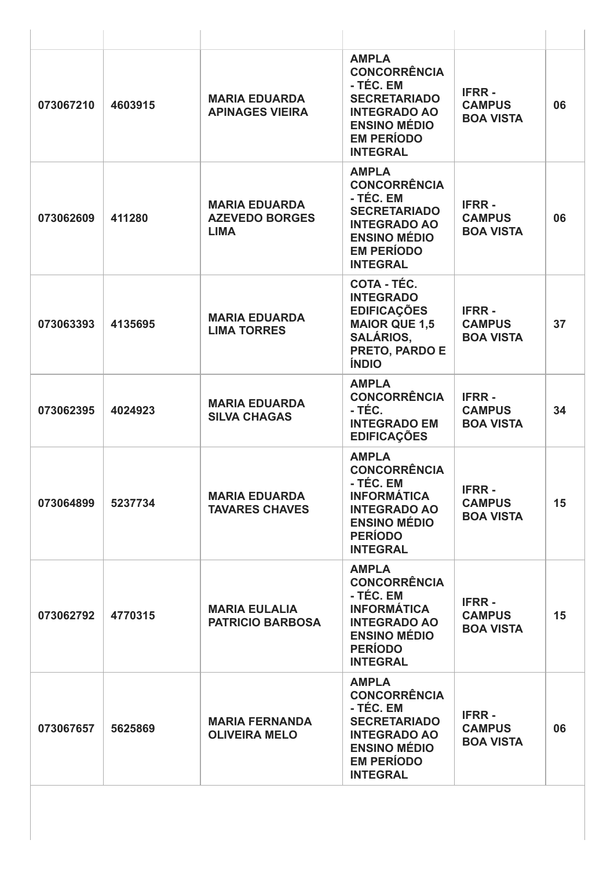| 073067210 | 4603915 | <b>MARIA EDUARDA</b><br><b>APINAGES VIEIRA</b>               | <b>AMPLA</b><br><b>CONCORRÊNCIA</b><br>- TÉC. EM<br><b>SECRETARIADO</b><br><b>INTEGRADO AO</b><br><b>ENSINO MÉDIO</b><br><b>EM PERÍODO</b><br><b>INTEGRAL</b> | <b>IFRR-</b><br><b>CAMPUS</b><br><b>BOA VISTA</b> | 06 |
|-----------|---------|--------------------------------------------------------------|---------------------------------------------------------------------------------------------------------------------------------------------------------------|---------------------------------------------------|----|
| 073062609 | 411280  | <b>MARIA EDUARDA</b><br><b>AZEVEDO BORGES</b><br><b>LIMA</b> | <b>AMPLA</b><br><b>CONCORRÊNCIA</b><br>- TÉC. EM<br><b>SECRETARIADO</b><br><b>INTEGRADO AO</b><br><b>ENSINO MÉDIO</b><br><b>EM PERÍODO</b><br><b>INTEGRAL</b> | <b>IFRR-</b><br><b>CAMPUS</b><br><b>BOA VISTA</b> | 06 |
| 073063393 | 4135695 | <b>MARIA EDUARDA</b><br><b>LIMA TORRES</b>                   | COTA - TÉC.<br><b>INTEGRADO</b><br><b>EDIFICAÇÕES</b><br><b>MAIOR QUE 1,5</b><br><b>SALÁRIOS,</b><br>PRETO, PARDO E<br><b>ÍNDIO</b>                           | <b>IFRR-</b><br><b>CAMPUS</b><br><b>BOA VISTA</b> | 37 |
| 073062395 | 4024923 | <b>MARIA EDUARDA</b><br><b>SILVA CHAGAS</b>                  | <b>AMPLA</b><br><b>CONCORRÊNCIA</b><br>- TÉC.<br><b>INTEGRADO EM</b><br><b>EDIFICAÇÕES</b>                                                                    | <b>IFRR-</b><br><b>CAMPUS</b><br><b>BOA VISTA</b> | 34 |
| 073064899 | 5237734 | <b>MARIA EDUARDA</b><br><b>TAVARES CHAVES</b>                | <b>AMPLA</b><br><b>CONCORRÊNCIA</b><br>- TÉC. EM<br><b>INFORMÁTICA</b><br><b>INTEGRADO AO</b><br><b>ENSINO MÉDIO</b><br><b>PERÍODO</b><br><b>INTEGRAL</b>     | <b>IFRR-</b><br><b>CAMPUS</b><br><b>BOA VISTA</b> | 15 |
| 073062792 | 4770315 | <b>MARIA EULALIA</b><br><b>PATRICIO BARBOSA</b>              | <b>AMPLA</b><br><b>CONCORRÊNCIA</b><br>- TÉC. EM<br><b>INFORMÁTICA</b><br><b>INTEGRADO AO</b><br><b>ENSINO MÉDIO</b><br><b>PERÍODO</b><br><b>INTEGRAL</b>     | <b>IFRR-</b><br><b>CAMPUS</b><br><b>BOA VISTA</b> | 15 |
| 073067657 | 5625869 | <b>MARIA FERNANDA</b><br><b>OLIVEIRA MELO</b>                | <b>AMPLA</b><br><b>CONCORRÊNCIA</b><br>- TÉC. EM<br><b>SECRETARIADO</b><br><b>INTEGRADO AO</b><br><b>ENSINO MÉDIO</b><br><b>EM PERÍODO</b><br><b>INTEGRAL</b> | <b>IFRR-</b><br><b>CAMPUS</b><br><b>BOA VISTA</b> | 06 |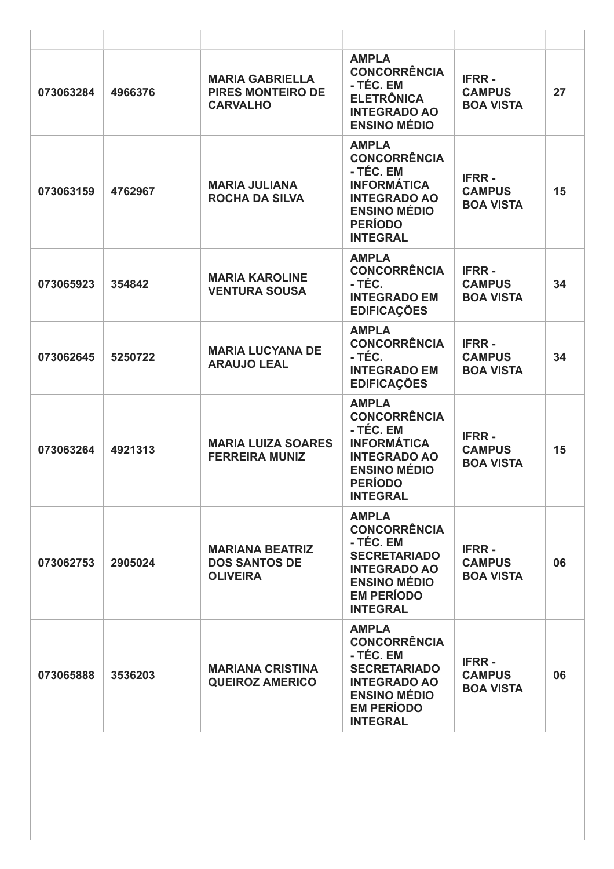| 073063284 | 4966376 | <b>MARIA GABRIELLA</b><br><b>PIRES MONTEIRO DE</b><br><b>CARVALHO</b> | <b>AMPLA</b><br><b>CONCORRÊNCIA</b><br>- TÉC. EM<br><b>ELETRÔNICA</b><br><b>INTEGRADO AO</b><br><b>ENSINO MÉDIO</b>                                           | <b>IFRR-</b><br><b>CAMPUS</b><br><b>BOA VISTA</b> | 27 |
|-----------|---------|-----------------------------------------------------------------------|---------------------------------------------------------------------------------------------------------------------------------------------------------------|---------------------------------------------------|----|
| 073063159 | 4762967 | <b>MARIA JULIANA</b><br><b>ROCHA DA SILVA</b>                         | <b>AMPLA</b><br><b>CONCORRÊNCIA</b><br>- TÉC. EM<br><b>INFORMÁTICA</b><br><b>INTEGRADO AO</b><br><b>ENSINO MÉDIO</b><br><b>PERÍODO</b><br><b>INTEGRAL</b>     | <b>IFRR-</b><br><b>CAMPUS</b><br><b>BOA VISTA</b> | 15 |
| 073065923 | 354842  | <b>MARIA KAROLINE</b><br><b>VENTURA SOUSA</b>                         | <b>AMPLA</b><br><b>CONCORRÊNCIA</b><br>- TÉC.<br><b>INTEGRADO EM</b><br><b>EDIFICAÇÕES</b>                                                                    | <b>IFRR-</b><br><b>CAMPUS</b><br><b>BOA VISTA</b> | 34 |
| 073062645 | 5250722 | <b>MARIA LUCYANA DE</b><br><b>ARAUJO LEAL</b>                         | <b>AMPLA</b><br><b>CONCORRÊNCIA</b><br>- TÉC.<br><b>INTEGRADO EM</b><br><b>EDIFICAÇÕES</b>                                                                    | <b>IFRR-</b><br><b>CAMPUS</b><br><b>BOA VISTA</b> | 34 |
| 073063264 | 4921313 | <b>MARIA LUIZA SOARES</b><br><b>FERREIRA MUNIZ</b>                    | <b>AMPLA</b><br><b>CONCORRÊNCIA</b><br>- TÉC. EM<br><b>INFORMÁTICA</b><br><b>INTEGRADO AO</b><br><b>ENSINO MÉDIO</b><br><b>PERÍODO</b><br><b>INTEGRAL</b>     | <b>IFRR-</b><br><b>CAMPUS</b><br><b>BOA VISTA</b> | 15 |
| 073062753 | 2905024 | <b>MARIANA BEATRIZ</b><br><b>DOS SANTOS DE</b><br><b>OLIVEIRA</b>     | <b>AMPLA</b><br><b>CONCORRÊNCIA</b><br>- TÉC. EM<br><b>SECRETARIADO</b><br><b>INTEGRADO AO</b><br><b>ENSINO MÉDIO</b><br><b>EM PERÍODO</b><br><b>INTEGRAL</b> | <b>IFRR-</b><br><b>CAMPUS</b><br><b>BOA VISTA</b> | 06 |
| 073065888 | 3536203 | <b>MARIANA CRISTINA</b><br><b>QUEIROZ AMERICO</b>                     | <b>AMPLA</b><br><b>CONCORRÊNCIA</b><br>- TÉC. EM<br><b>SECRETARIADO</b><br><b>INTEGRADO AO</b><br><b>ENSINO MÉDIO</b><br><b>EM PERÍODO</b><br><b>INTEGRAL</b> | <b>IFRR-</b><br><b>CAMPUS</b><br><b>BOA VISTA</b> | 06 |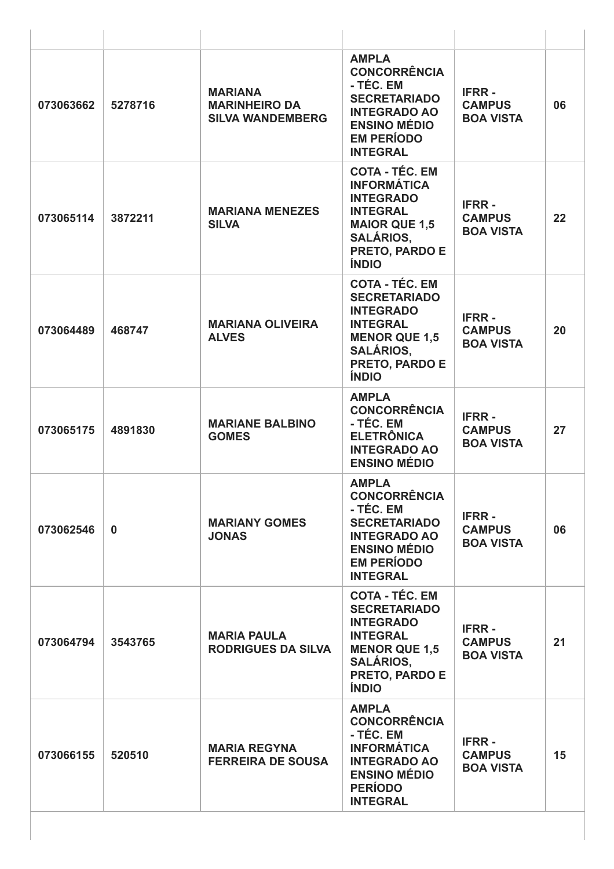| 073063662 | 5278716     | <b>MARIANA</b><br><b>MARINHEIRO DA</b><br><b>SILVA WANDEMBERG</b> | <b>AMPLA</b><br><b>CONCORRÊNCIA</b><br>- TÉC. EM<br><b>SECRETARIADO</b><br><b>INTEGRADO AO</b><br><b>ENSINO MÉDIO</b><br><b>EM PERÍODO</b><br><b>INTEGRAL</b>     | <b>IFRR-</b><br><b>CAMPUS</b><br><b>BOA VISTA</b> | 06 |
|-----------|-------------|-------------------------------------------------------------------|-------------------------------------------------------------------------------------------------------------------------------------------------------------------|---------------------------------------------------|----|
| 073065114 | 3872211     | <b>MARIANA MENEZES</b><br><b>SILVA</b>                            | <b>COTA - TÉC. EM</b><br><b>INFORMÁTICA</b><br><b>INTEGRADO</b><br><b>INTEGRAL</b><br><b>MAIOR QUE 1,5</b><br><b>SALÁRIOS,</b><br>PRETO, PARDO E<br><b>ÍNDIO</b>  | <b>IFRR-</b><br><b>CAMPUS</b><br><b>BOA VISTA</b> | 22 |
| 073064489 | 468747      | <b>MARIANA OLIVEIRA</b><br><b>ALVES</b>                           | <b>COTA - TÉC. EM</b><br><b>SECRETARIADO</b><br><b>INTEGRADO</b><br><b>INTEGRAL</b><br><b>MENOR QUE 1,5</b><br><b>SALÁRIOS,</b><br>PRETO, PARDO E<br><b>ÍNDIO</b> | <b>IFRR-</b><br><b>CAMPUS</b><br><b>BOA VISTA</b> | 20 |
| 073065175 | 4891830     | <b>MARIANE BALBINO</b><br><b>GOMES</b>                            | <b>AMPLA</b><br><b>CONCORRÊNCIA</b><br>- TÉC. EM<br><b>ELETRÔNICA</b><br><b>INTEGRADO AO</b><br><b>ENSINO MÉDIO</b>                                               | <b>IFRR-</b><br><b>CAMPUS</b><br><b>BOA VISTA</b> | 27 |
| 073062546 | $\mathbf 0$ | <b>MARIANY GOMES</b><br><b>JONAS</b>                              | <b>AMPLA</b><br><b>CONCORRÊNCIA</b><br>- TÉC. EM<br><b>SECRETARIADO</b><br><b>INTEGRADO AO</b><br><b>ENSINO MÉDIO</b><br><b>EM PERÍODO</b><br><b>INTEGRAL</b>     | <b>IFRR-</b><br><b>CAMPUS</b><br><b>BOA VISTA</b> | 06 |
| 073064794 | 3543765     | <b>MARIA PAULA</b><br><b>RODRIGUES DA SILVA</b>                   | <b>COTA - TÉC. EM</b><br><b>SECRETARIADO</b><br><b>INTEGRADO</b><br><b>INTEGRAL</b><br><b>MENOR QUE 1,5</b><br><b>SALÁRIOS,</b><br>PRETO, PARDO E<br><b>ÍNDIO</b> | <b>IFRR-</b><br><b>CAMPUS</b><br><b>BOA VISTA</b> | 21 |
| 073066155 | 520510      | <b>MARIA REGYNA</b><br><b>FERREIRA DE SOUSA</b>                   | <b>AMPLA</b><br><b>CONCORRÊNCIA</b><br>- TÉC. EM<br><b>INFORMÁTICA</b><br><b>INTEGRADO AO</b><br><b>ENSINO MÉDIO</b><br><b>PERÍODO</b><br><b>INTEGRAL</b>         | <b>IFRR-</b><br><b>CAMPUS</b><br><b>BOA VISTA</b> | 15 |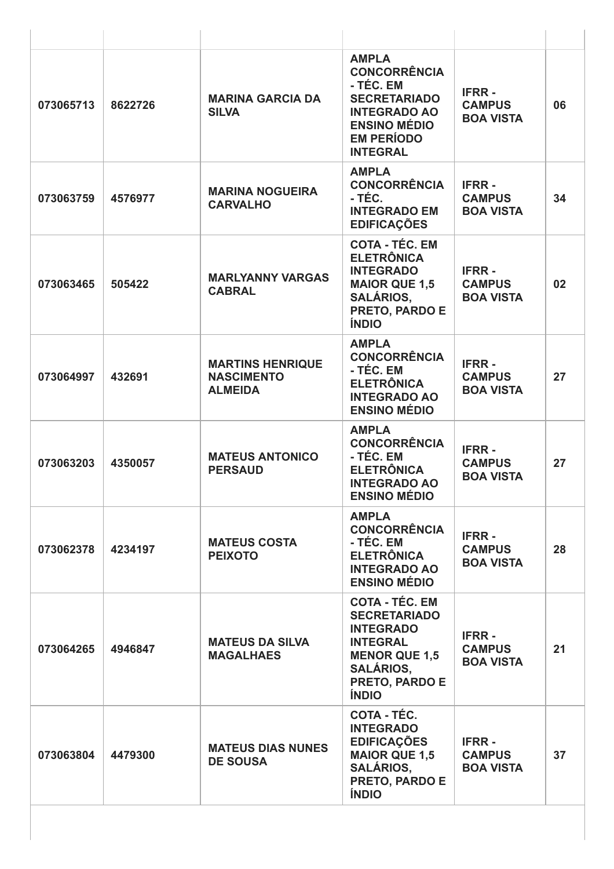| 073065713 | 8622726 | <b>MARINA GARCIA DA</b><br><b>SILVA</b>                        | <b>AMPLA</b><br><b>CONCORRÊNCIA</b><br>- TÉC. EM<br><b>SECRETARIADO</b><br><b>INTEGRADO AO</b><br><b>ENSINO MÉDIO</b><br><b>EM PERÍODO</b><br><b>INTEGRAL</b>     | <b>IFRR-</b><br><b>CAMPUS</b><br><b>BOA VISTA</b> | 06 |
|-----------|---------|----------------------------------------------------------------|-------------------------------------------------------------------------------------------------------------------------------------------------------------------|---------------------------------------------------|----|
| 073063759 | 4576977 | <b>MARINA NOGUEIRA</b><br><b>CARVALHO</b>                      | <b>AMPLA</b><br><b>CONCORRÊNCIA</b><br>- TÉC.<br><b>INTEGRADO EM</b><br><b>EDIFICAÇÕES</b>                                                                        | <b>IFRR-</b><br><b>CAMPUS</b><br><b>BOA VISTA</b> | 34 |
| 073063465 | 505422  | <b>MARLYANNY VARGAS</b><br><b>CABRAL</b>                       | <b>COTA - TÉC. EM</b><br><b>ELETRÔNICA</b><br><b>INTEGRADO</b><br><b>MAIOR QUE 1,5</b><br><b>SALÁRIOS.</b><br>PRETO, PARDO E<br><b>ÍNDIO</b>                      | <b>IFRR-</b><br><b>CAMPUS</b><br><b>BOA VISTA</b> | 02 |
| 073064997 | 432691  | <b>MARTINS HENRIQUE</b><br><b>NASCIMENTO</b><br><b>ALMEIDA</b> | <b>AMPLA</b><br><b>CONCORRÊNCIA</b><br>- TÉC. EM<br><b>ELETRÔNICA</b><br><b>INTEGRADO AO</b><br><b>ENSINO MÉDIO</b>                                               | <b>IFRR-</b><br><b>CAMPUS</b><br><b>BOA VISTA</b> | 27 |
| 073063203 | 4350057 | <b>MATEUS ANTONICO</b><br><b>PERSAUD</b>                       | <b>AMPLA</b><br><b>CONCORRÊNCIA</b><br>- TÉC. EM<br><b>ELETRÔNICA</b><br><b>INTEGRADO AO</b><br><b>ENSINO MÉDIO</b>                                               | <b>IFRR-</b><br><b>CAMPUS</b><br><b>BOA VISTA</b> | 27 |
| 073062378 | 4234197 | <b>MATEUS COSTA</b><br><b>PEIXOTO</b>                          | <b>AMPLA</b><br><b>CONCORRÊNCIA</b><br>- TÉC. EM<br><b>ELETRÔNICA</b><br><b>INTEGRADO AO</b><br><b>ENSINO MÉDIO</b>                                               | <b>IFRR-</b><br><b>CAMPUS</b><br><b>BOA VISTA</b> | 28 |
| 073064265 | 4946847 | <b>MATEUS DA SILVA</b><br><b>MAGALHAES</b>                     | <b>COTA - TÉC. EM</b><br><b>SECRETARIADO</b><br><b>INTEGRADO</b><br><b>INTEGRAL</b><br><b>MENOR QUE 1,5</b><br><b>SALÁRIOS,</b><br>PRETO, PARDO E<br><b>ÍNDIO</b> | <b>IFRR-</b><br><b>CAMPUS</b><br><b>BOA VISTA</b> | 21 |
| 073063804 | 4479300 | <b>MATEUS DIAS NUNES</b><br><b>DE SOUSA</b>                    | COTA - TÉC.<br><b>INTEGRADO</b><br><b>EDIFICAÇÕES</b><br><b>MAIOR QUE 1,5</b><br><b>SALÁRIOS,</b><br>PRETO, PARDO E<br><b>ÍNDIO</b>                               | <b>IFRR-</b><br><b>CAMPUS</b><br><b>BOA VISTA</b> | 37 |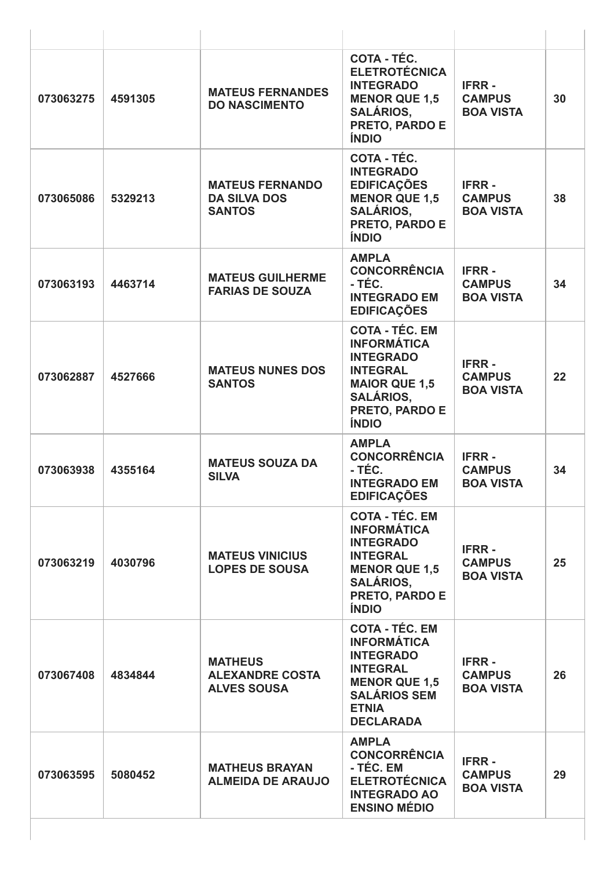| 073063275 | 4591305 | <b>MATEUS FERNANDES</b><br><b>DO NASCIMENTO</b>                | COTA - TÉC.<br><b>ELETROTÉCNICA</b><br><b>INTEGRADO</b><br><b>MENOR QUE 1,5</b><br><b>SALÁRIOS,</b><br>PRETO, PARDO E<br><b>ÍNDIO</b>                                   | <b>IFRR-</b><br><b>CAMPUS</b><br><b>BOA VISTA</b> | 30 |
|-----------|---------|----------------------------------------------------------------|-------------------------------------------------------------------------------------------------------------------------------------------------------------------------|---------------------------------------------------|----|
| 073065086 | 5329213 | <b>MATEUS FERNANDO</b><br><b>DA SILVA DOS</b><br><b>SANTOS</b> | COTA - TÉC.<br><b>INTEGRADO</b><br><b>EDIFICAÇÕES</b><br><b>MENOR QUE 1,5</b><br><b>SALÁRIOS,</b><br>PRETO, PARDO E<br><b>ÍNDIO</b>                                     | <b>IFRR-</b><br><b>CAMPUS</b><br><b>BOA VISTA</b> | 38 |
| 073063193 | 4463714 | <b>MATEUS GUILHERME</b><br><b>FARIAS DE SOUZA</b>              | <b>AMPLA</b><br><b>CONCORRÊNCIA</b><br>- TÉC.<br><b>INTEGRADO EM</b><br><b>EDIFICAÇÕES</b>                                                                              | <b>IFRR-</b><br><b>CAMPUS</b><br><b>BOA VISTA</b> | 34 |
| 073062887 | 4527666 | <b>MATEUS NUNES DOS</b><br><b>SANTOS</b>                       | <b>COTA - TÉC. EM</b><br><b>INFORMÁTICA</b><br><b>INTEGRADO</b><br><b>INTEGRAL</b><br><b>MAIOR QUE 1,5</b><br><b>SALÁRIOS,</b><br>PRETO, PARDO E<br><b>ÍNDIO</b>        | <b>IFRR-</b><br><b>CAMPUS</b><br><b>BOA VISTA</b> | 22 |
| 073063938 | 4355164 | <b>MATEUS SOUZA DA</b><br><b>SILVA</b>                         | <b>AMPLA</b><br><b>CONCORRÊNCIA</b><br>- TÉC.<br><b>INTEGRADO EM</b><br><b>EDIFICAÇÕES</b>                                                                              | <b>IFRR-</b><br><b>CAMPUS</b><br><b>BOA VISTA</b> | 34 |
| 073063219 | 4030796 | <b>MATEUS VINICIUS</b><br><b>LOPES DE SOUSA</b>                | <b>COTA - TÉC. EM</b><br><b>INFORMÁTICA</b><br><b>INTEGRADO</b><br><b>INTEGRAL</b><br><b>MENOR QUE 1,5</b><br><b>SALÁRIOS,</b><br><b>PRETO, PARDO E</b><br><b>ÍNDIO</b> | <b>IFRR-</b><br><b>CAMPUS</b><br><b>BOA VISTA</b> | 25 |
| 073067408 | 4834844 | <b>MATHEUS</b><br><b>ALEXANDRE COSTA</b><br><b>ALVES SOUSA</b> | <b>COTA - TÉC. EM</b><br><b>INFORMÁTICA</b><br><b>INTEGRADO</b><br><b>INTEGRAL</b><br><b>MENOR QUE 1,5</b><br><b>SALÁRIOS SEM</b><br><b>ETNIA</b><br><b>DECLARADA</b>   | <b>IFRR-</b><br><b>CAMPUS</b><br><b>BOA VISTA</b> | 26 |
| 073063595 | 5080452 | <b>MATHEUS BRAYAN</b><br><b>ALMEIDA DE ARAUJO</b>              | <b>AMPLA</b><br><b>CONCORRÊNCIA</b><br>- TÉC. EM<br><b>ELETROTÉCNICA</b><br><b>INTEGRADO AO</b><br><b>ENSINO MÉDIO</b>                                                  | <b>IFRR-</b><br><b>CAMPUS</b><br><b>BOA VISTA</b> | 29 |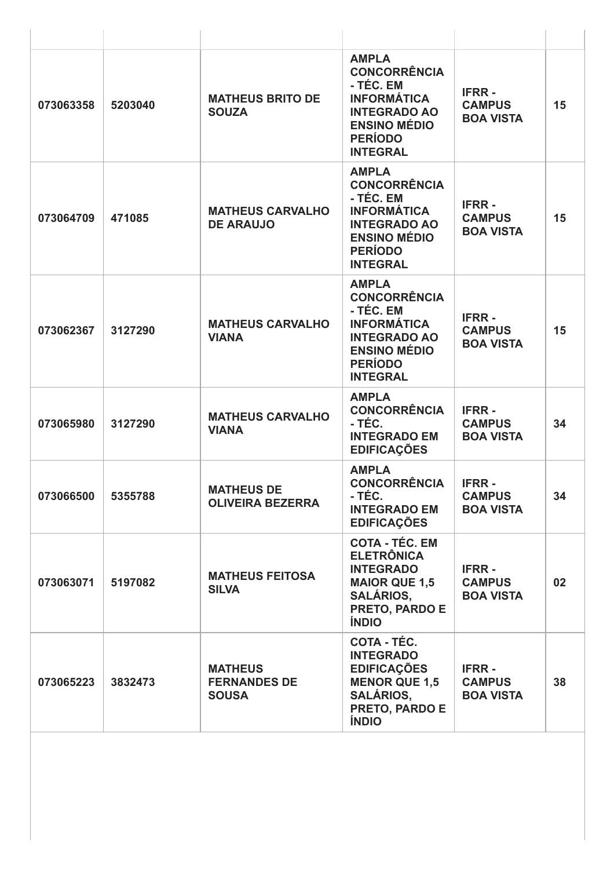| 073063358 | 5203040 | <b>MATHEUS BRITO DE</b><br><b>SOUZA</b>               | <b>AMPLA</b><br><b>CONCORRÊNCIA</b><br>- TÉC. EM<br><b>INFORMÁTICA</b><br><b>INTEGRADO AO</b><br><b>ENSINO MÉDIO</b><br><b>PERÍODO</b><br><b>INTEGRAL</b> | <b>IFRR-</b><br><b>CAMPUS</b><br><b>BOA VISTA</b> | 15              |
|-----------|---------|-------------------------------------------------------|-----------------------------------------------------------------------------------------------------------------------------------------------------------|---------------------------------------------------|-----------------|
| 073064709 | 471085  | <b>MATHEUS CARVALHO</b><br><b>DE ARAUJO</b>           | <b>AMPLA</b><br><b>CONCORRÊNCIA</b><br>- TÉC. EM<br><b>INFORMÁTICA</b><br><b>INTEGRADO AO</b><br><b>ENSINO MÉDIO</b><br><b>PERÍODO</b><br><b>INTEGRAL</b> | <b>IFRR-</b><br><b>CAMPUS</b><br><b>BOA VISTA</b> | 15              |
| 073062367 | 3127290 | <b>MATHEUS CARVALHO</b><br><b>VIANA</b>               | <b>AMPLA</b><br><b>CONCORRÊNCIA</b><br>- TÉC. EM<br><b>INFORMÁTICA</b><br><b>INTEGRADO AO</b><br><b>ENSINO MÉDIO</b><br><b>PERÍODO</b><br><b>INTEGRAL</b> | <b>IFRR-</b><br><b>CAMPUS</b><br><b>BOA VISTA</b> | 15              |
| 073065980 | 3127290 | <b>MATHEUS CARVALHO</b><br><b>VIANA</b>               | <b>AMPLA</b><br><b>CONCORRÊNCIA</b><br>- TÉC.<br><b>INTEGRADO EM</b><br><b>EDIFICAÇÕES</b>                                                                | <b>IFRR-</b><br><b>CAMPUS</b><br><b>BOA VISTA</b> | 34              |
| 073066500 | 5355788 | <b>MATHEUS DE</b><br><b>OLIVEIRA BEZERRA</b>          | <b>AMPLA</b><br><b>CONCORRÊNCIA</b><br>- TÉC.<br><b>INTEGRADO EM</b><br><b>EDIFICAÇÕES</b>                                                                | <b>IFRR-</b><br><b>CAMPUS</b><br><b>BOA VISTA</b> | 34              |
| 073063071 | 5197082 | <b>MATHEUS FEITOSA</b><br><b>SILVA</b>                | <b>COTA - TÉC. EM</b><br><b>ELETRÔNICA</b><br><b>INTEGRADO</b><br><b>MAIOR QUE 1,5</b><br><b>SALÁRIOS,</b><br>PRETO, PARDO E<br><b>ÍNDIO</b>              | <b>IFRR-</b><br><b>CAMPUS</b><br><b>BOA VISTA</b> | 02 <sub>2</sub> |
| 073065223 | 3832473 | <b>MATHEUS</b><br><b>FERNANDES DE</b><br><b>SOUSA</b> | <b>COTA - TÉC.</b><br><b>INTEGRADO</b><br><b>EDIFICAÇÕES</b><br><b>MENOR QUE 1,5</b><br><b>SALÁRIOS,</b><br>PRETO, PARDO E<br><b>ÍNDIO</b>                | <b>IFRR-</b><br><b>CAMPUS</b><br><b>BOA VISTA</b> | 38              |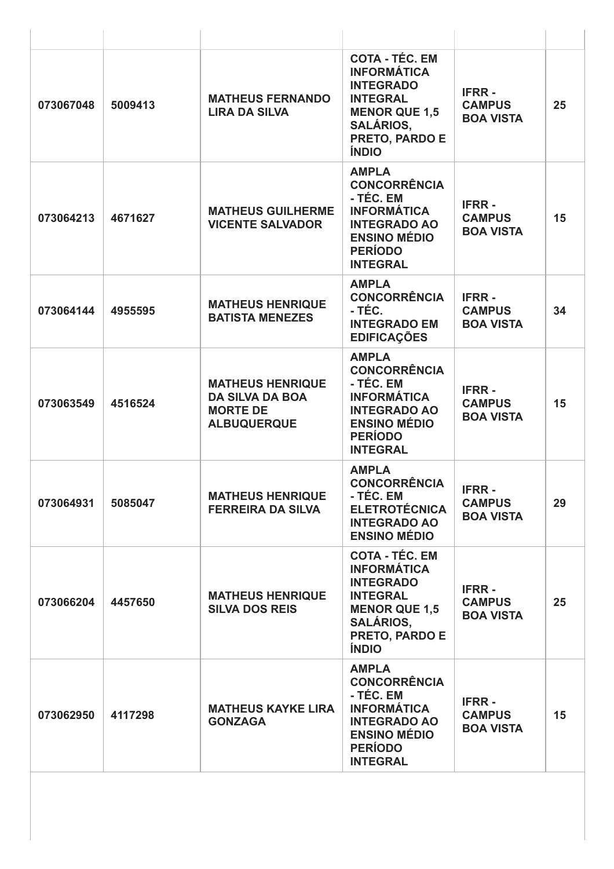| 073067048 | 5009413 | <b>MATHEUS FERNANDO</b><br><b>LIRA DA SILVA</b>                                            | <b>COTA - TÉC. EM</b><br><b>INFORMÁTICA</b><br><b>INTEGRADO</b><br><b>INTEGRAL</b><br><b>MENOR QUE 1,5</b><br><b>SALÁRIOS,</b><br>PRETO, PARDO E<br><b>ÍNDIO</b> | <b>IFRR-</b><br><b>CAMPUS</b><br><b>BOA VISTA</b> | 25 |
|-----------|---------|--------------------------------------------------------------------------------------------|------------------------------------------------------------------------------------------------------------------------------------------------------------------|---------------------------------------------------|----|
| 073064213 | 4671627 | <b>MATHEUS GUILHERME</b><br><b>VICENTE SALVADOR</b>                                        | <b>AMPLA</b><br><b>CONCORRÊNCIA</b><br>- TÉC. EM<br><b>INFORMÁTICA</b><br><b>INTEGRADO AO</b><br><b>ENSINO MÉDIO</b><br><b>PERÍODO</b><br><b>INTEGRAL</b>        | <b>IFRR-</b><br><b>CAMPUS</b><br><b>BOA VISTA</b> | 15 |
| 073064144 | 4955595 | <b>MATHEUS HENRIQUE</b><br><b>BATISTA MENEZES</b>                                          | <b>AMPLA</b><br><b>CONCORRÊNCIA</b><br>- TÉC.<br><b>INTEGRADO EM</b><br><b>EDIFICAÇÕES</b>                                                                       | <b>IFRR-</b><br><b>CAMPUS</b><br><b>BOA VISTA</b> | 34 |
| 073063549 | 4516524 | <b>MATHEUS HENRIQUE</b><br><b>DA SILVA DA BOA</b><br><b>MORTE DE</b><br><b>ALBUQUERQUE</b> | <b>AMPLA</b><br><b>CONCORRÊNCIA</b><br>- TÉC. EM<br><b>INFORMÁTICA</b><br><b>INTEGRADO AO</b><br><b>ENSINO MÉDIO</b><br><b>PERÍODO</b><br><b>INTEGRAL</b>        | <b>IFRR-</b><br><b>CAMPUS</b><br><b>BOA VISTA</b> | 15 |
| 073064931 | 5085047 | <b>MATHEUS HENRIQUE</b><br><b>FERREIRA DA SILVA</b>                                        | <b>AMPLA</b><br><b>CONCORRÊNCIA</b><br>- TÉC. EM<br><b>ELETROTÉCNICA</b><br><b>INTEGRADO AO</b><br><b>ENSINO MÉDIO</b>                                           | <b>IFRR-</b><br><b>CAMPUS</b><br><b>BOA VISTA</b> | 29 |
| 073066204 | 4457650 | <b>MATHEUS HENRIQUE</b><br><b>SILVA DOS REIS</b>                                           | <b>COTA - TÉC. EM</b><br><b>INFORMÁTICA</b><br><b>INTEGRADO</b><br><b>INTEGRAL</b><br><b>MENOR QUE 1,5</b><br><b>SALÁRIOS,</b><br>PRETO, PARDO E<br><b>ÍNDIO</b> | <b>IFRR-</b><br><b>CAMPUS</b><br><b>BOA VISTA</b> | 25 |
| 073062950 | 4117298 | <b>MATHEUS KAYKE LIRA</b><br><b>GONZAGA</b>                                                | <b>AMPLA</b><br><b>CONCORRÊNCIA</b><br>- TÉC. EM<br><b>INFORMÁTICA</b><br><b>INTEGRADO AO</b><br><b>ENSINO MÉDIO</b><br><b>PERÍODO</b><br><b>INTEGRAL</b>        | <b>IFRR-</b><br><b>CAMPUS</b><br><b>BOA VISTA</b> | 15 |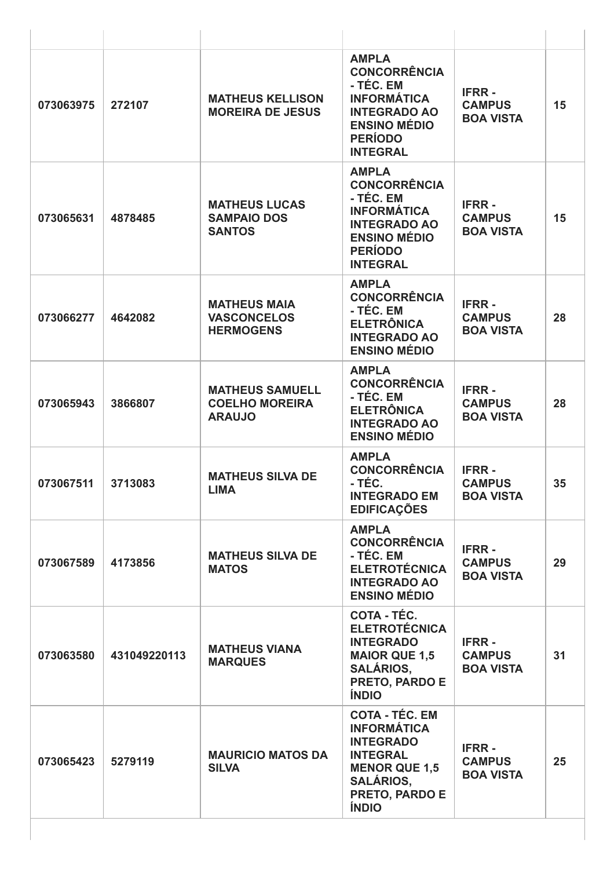| 073063975 | 272107       | <b>MATHEUS KELLISON</b><br><b>MOREIRA DE JESUS</b>               | <b>AMPLA</b><br><b>CONCORRÊNCIA</b><br>- TÉC. EM<br><b>INFORMÁTICA</b><br><b>INTEGRADO AO</b><br><b>ENSINO MÉDIO</b><br><b>PERÍODO</b><br><b>INTEGRAL</b>        | <b>IFRR-</b><br><b>CAMPUS</b><br><b>BOA VISTA</b> | 15 |
|-----------|--------------|------------------------------------------------------------------|------------------------------------------------------------------------------------------------------------------------------------------------------------------|---------------------------------------------------|----|
| 073065631 | 4878485      | <b>MATHEUS LUCAS</b><br><b>SAMPAIO DOS</b><br><b>SANTOS</b>      | <b>AMPLA</b><br><b>CONCORRÊNCIA</b><br>- TÉC. EM<br><b>INFORMÁTICA</b><br><b>INTEGRADO AO</b><br><b>ENSINO MÉDIO</b><br><b>PERÍODO</b><br><b>INTEGRAL</b>        | <b>IFRR-</b><br><b>CAMPUS</b><br><b>BOA VISTA</b> | 15 |
| 073066277 | 4642082      | <b>MATHEUS MAIA</b><br><b>VASCONCELOS</b><br><b>HERMOGENS</b>    | <b>AMPLA</b><br><b>CONCORRÊNCIA</b><br>- TÉC. EM<br><b>ELETRÔNICA</b><br><b>INTEGRADO AO</b><br><b>ENSINO MÉDIO</b>                                              | <b>IFRR-</b><br><b>CAMPUS</b><br><b>BOA VISTA</b> | 28 |
| 073065943 | 3866807      | <b>MATHEUS SAMUELL</b><br><b>COELHO MOREIRA</b><br><b>ARAUJO</b> | <b>AMPLA</b><br><b>CONCORRÊNCIA</b><br>- TÉC. EM<br><b>ELETRÔNICA</b><br><b>INTEGRADO AO</b><br><b>ENSINO MÉDIO</b>                                              | <b>IFRR-</b><br><b>CAMPUS</b><br><b>BOA VISTA</b> | 28 |
| 073067511 | 3713083      | <b>MATHEUS SILVA DE</b><br><b>LIMA</b>                           | <b>AMPLA</b><br><b>CONCORRÊNCIA</b><br>- TÉC.<br><b>INTEGRADO EM</b><br><b>EDIFICAÇÕES</b>                                                                       | <b>IFRR-</b><br><b>CAMPUS</b><br><b>BOA VISTA</b> | 35 |
| 073067589 | 4173856      | <b>MATHEUS SILVA DE</b><br><b>MATOS</b>                          | <b>AMPLA</b><br><b>CONCORRÊNCIA</b><br>- TÉC. EM<br><b>ELETROTÉCNICA</b><br><b>INTEGRADO AO</b><br><b>ENSINO MÉDIO</b>                                           | <b>IFRR-</b><br><b>CAMPUS</b><br><b>BOA VISTA</b> | 29 |
| 073063580 | 431049220113 | <b>MATHEUS VIANA</b><br><b>MARQUES</b>                           | <b>COTA - TÉC.</b><br><b>ELETROTÉCNICA</b><br><b>INTEGRADO</b><br><b>MAIOR QUE 1,5</b><br><b>SALÁRIOS,</b><br>PRETO, PARDO E<br><b>ÍNDIO</b>                     | <b>IFRR-</b><br><b>CAMPUS</b><br><b>BOA VISTA</b> | 31 |
| 073065423 | 5279119      | <b>MAURICIO MATOS DA</b><br><b>SILVA</b>                         | <b>COTA - TÉC. EM</b><br><b>INFORMÁTICA</b><br><b>INTEGRADO</b><br><b>INTEGRAL</b><br><b>MENOR QUE 1,5</b><br><b>SALÁRIOS,</b><br>PRETO, PARDO E<br><b>ÍNDIO</b> | <b>IFRR-</b><br><b>CAMPUS</b><br><b>BOA VISTA</b> | 25 |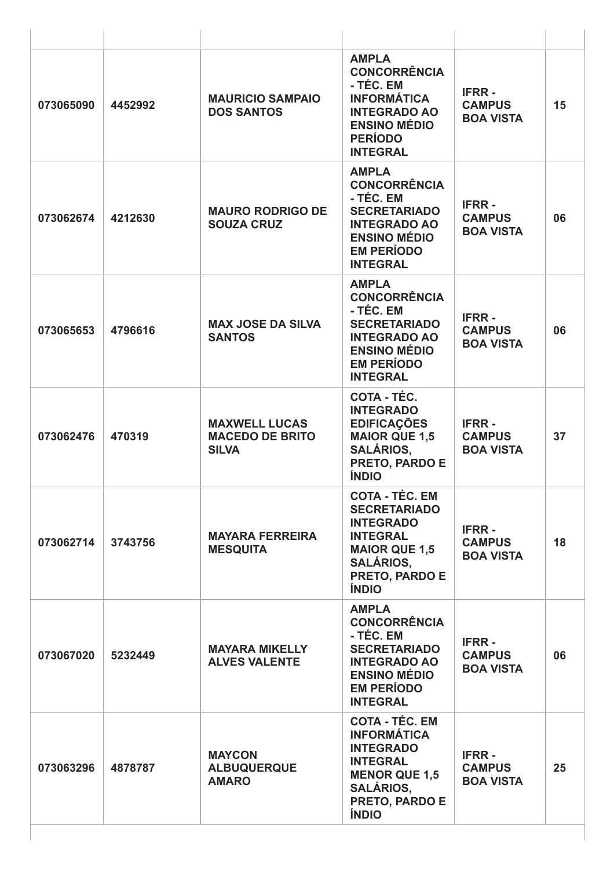| 073065090 | 4452992 | <b>MAURICIO SAMPAIO</b><br><b>DOS SANTOS</b>                   | <b>AMPLA</b><br><b>CONCORRÊNCIA</b><br>- TÉC. EM<br><b>INFORMÁTICA</b><br><b>INTEGRADO AO</b><br><b>ENSINO MÉDIO</b><br><b>PERÍODO</b><br><b>INTEGRAL</b>         | <b>IFRR-</b><br><b>CAMPUS</b><br><b>BOA VISTA</b> | 15 |
|-----------|---------|----------------------------------------------------------------|-------------------------------------------------------------------------------------------------------------------------------------------------------------------|---------------------------------------------------|----|
| 073062674 | 4212630 | <b>MAURO RODRIGO DE</b><br><b>SOUZA CRUZ</b>                   | <b>AMPLA</b><br><b>CONCORRÊNCIA</b><br>- TÉC. EM<br><b>SECRETARIADO</b><br><b>INTEGRADO AO</b><br><b>ENSINO MÉDIO</b><br><b>EM PERÍODO</b><br><b>INTEGRAL</b>     | <b>IFRR-</b><br><b>CAMPUS</b><br><b>BOA VISTA</b> | 06 |
| 073065653 | 4796616 | <b>MAX JOSE DA SILVA</b><br><b>SANTOS</b>                      | <b>AMPLA</b><br><b>CONCORRÊNCIA</b><br>- TÉC. EM<br><b>SECRETARIADO</b><br><b>INTEGRADO AO</b><br><b>ENSINO MÉDIO</b><br><b>EM PERÍODO</b><br><b>INTEGRAL</b>     | <b>IFRR-</b><br><b>CAMPUS</b><br><b>BOA VISTA</b> | 06 |
| 073062476 | 470319  | <b>MAXWELL LUCAS</b><br><b>MACEDO DE BRITO</b><br><b>SILVA</b> | COTA - TÉC.<br><b>INTEGRADO</b><br><b>EDIFICAÇÕES</b><br><b>MAIOR QUE 1,5</b><br><b>SALÁRIOS,</b><br>PRETO, PARDO E<br><b>ÍNDIO</b>                               | <b>IFRR-</b><br><b>CAMPUS</b><br><b>BOA VISTA</b> | 37 |
| 073062714 | 3743756 | <b>MAYARA FERREIRA</b><br><b>MESQUITA</b>                      | <b>COTA - TÉC. EM</b><br><b>SECRETARIADO</b><br><b>INTEGRADO</b><br><b>INTEGRAL</b><br><b>MAIOR QUE 1,5</b><br><b>SALÁRIOS,</b><br>PRETO, PARDO E<br><b>ÍNDIO</b> | <b>IFRR-</b><br><b>CAMPUS</b><br><b>BOA VISTA</b> | 18 |
| 073067020 | 5232449 | <b>MAYARA MIKELLY</b><br><b>ALVES VALENTE</b>                  | <b>AMPLA</b><br><b>CONCORRÊNCIA</b><br>- TÉC. EM<br><b>SECRETARIADO</b><br><b>INTEGRADO AO</b><br><b>ENSINO MÉDIO</b><br><b>EM PERÍODO</b><br><b>INTEGRAL</b>     | <b>IFRR-</b><br><b>CAMPUS</b><br><b>BOA VISTA</b> | 06 |
| 073063296 | 4878787 | <b>MAYCON</b><br><b>ALBUQUERQUE</b><br><b>AMARO</b>            | <b>COTA - TÉC. EM</b><br><b>INFORMÁTICA</b><br><b>INTEGRADO</b><br><b>INTEGRAL</b><br><b>MENOR QUE 1,5</b><br><b>SALÁRIOS,</b><br>PRETO, PARDO E<br><b>ÍNDIO</b>  | <b>IFRR-</b><br><b>CAMPUS</b><br><b>BOA VISTA</b> | 25 |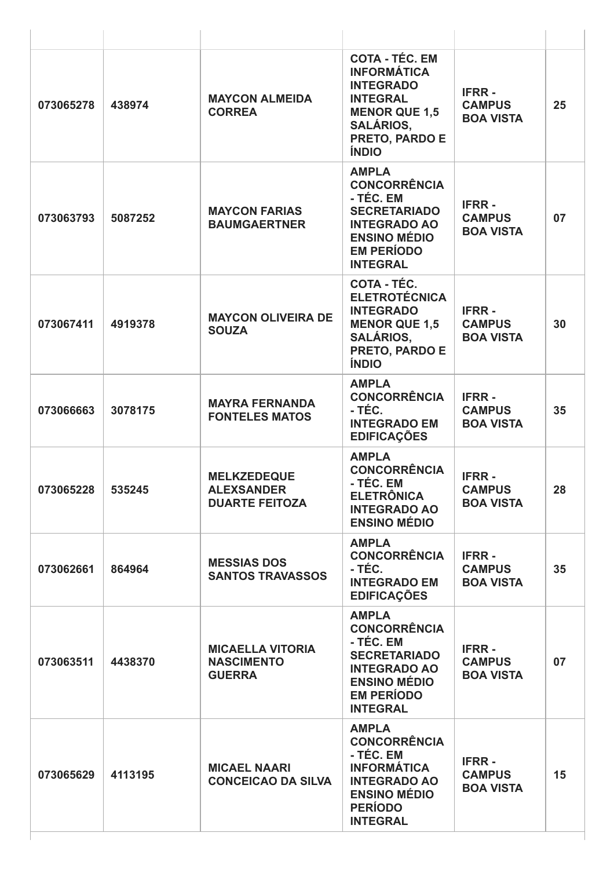| 073065278 | 438974  | <b>MAYCON ALMEIDA</b><br><b>CORREA</b>                           | <b>COTA - TÉC. EM</b><br><b>INFORMÁTICA</b><br><b>INTEGRADO</b><br><b>INTEGRAL</b><br><b>MENOR QUE 1,5</b><br><b>SALÁRIOS,</b><br>PRETO, PARDO E<br><b>ÍNDIO</b> | <b>IFRR-</b><br><b>CAMPUS</b><br><b>BOA VISTA</b> | 25 |
|-----------|---------|------------------------------------------------------------------|------------------------------------------------------------------------------------------------------------------------------------------------------------------|---------------------------------------------------|----|
| 073063793 | 5087252 | <b>MAYCON FARIAS</b><br><b>BAUMGAERTNER</b>                      | <b>AMPLA</b><br><b>CONCORRÊNCIA</b><br>- TÉC. EM<br><b>SECRETARIADO</b><br><b>INTEGRADO AO</b><br><b>ENSINO MÉDIO</b><br><b>EM PERÍODO</b><br><b>INTEGRAL</b>    | <b>IFRR-</b><br><b>CAMPUS</b><br><b>BOA VISTA</b> | 07 |
| 073067411 | 4919378 | <b>MAYCON OLIVEIRA DE</b><br><b>SOUZA</b>                        | COTA - TÉC.<br><b>ELETROTÉCNICA</b><br><b>INTEGRADO</b><br><b>MENOR QUE 1,5</b><br><b>SALÁRIOS,</b><br>PRETO, PARDO E<br><b>ÍNDIO</b>                            | <b>IFRR-</b><br><b>CAMPUS</b><br><b>BOA VISTA</b> | 30 |
| 073066663 | 3078175 | <b>MAYRA FERNANDA</b><br><b>FONTELES MATOS</b>                   | <b>AMPLA</b><br><b>CONCORRÊNCIA</b><br>- TÉC.<br><b>INTEGRADO EM</b><br><b>EDIFICAÇÕES</b>                                                                       | <b>IFRR-</b><br><b>CAMPUS</b><br><b>BOA VISTA</b> | 35 |
| 073065228 | 535245  | <b>MELKZEDEQUE</b><br><b>ALEXSANDER</b><br><b>DUARTE FEITOZA</b> | <b>AMPLA</b><br><b>CONCORRÊNCIA</b><br>- TÉC. EM<br><b>ELETRÖNICA</b><br><b>INTEGRADO AO</b><br><b>ENSINO MÉDIO</b>                                              | <b>IFRR-</b><br><b>CAMPUS</b><br><b>BOA VISTA</b> | 28 |
| 073062661 | 864964  | <b>MESSIAS DOS</b><br><b>SANTOS TRAVASSOS</b>                    | <b>AMPLA</b><br><b>CONCORRÊNCIA</b><br>- TÉC.<br><b>INTEGRADO EM</b><br><b>EDIFICAÇÕES</b>                                                                       | <b>IFRR-</b><br><b>CAMPUS</b><br><b>BOA VISTA</b> | 35 |
| 073063511 | 4438370 | <b>MICAELLA VITORIA</b><br><b>NASCIMENTO</b><br><b>GUERRA</b>    | <b>AMPLA</b><br><b>CONCORRÊNCIA</b><br>- TÉC. EM<br><b>SECRETARIADO</b><br><b>INTEGRADO AO</b><br><b>ENSINO MÉDIO</b><br><b>EM PERÍODO</b><br><b>INTEGRAL</b>    | <b>IFRR-</b><br><b>CAMPUS</b><br><b>BOA VISTA</b> | 07 |
| 073065629 | 4113195 | <b>MICAEL NAARI</b><br><b>CONCEICAO DA SILVA</b>                 | <b>AMPLA</b><br><b>CONCORRÊNCIA</b><br>- TÉC. EM<br><b>INFORMÁTICA</b><br><b>INTEGRADO AO</b><br><b>ENSINO MÉDIO</b><br><b>PERÍODO</b><br><b>INTEGRAL</b>        | <b>IFRR-</b><br><b>CAMPUS</b><br><b>BOA VISTA</b> | 15 |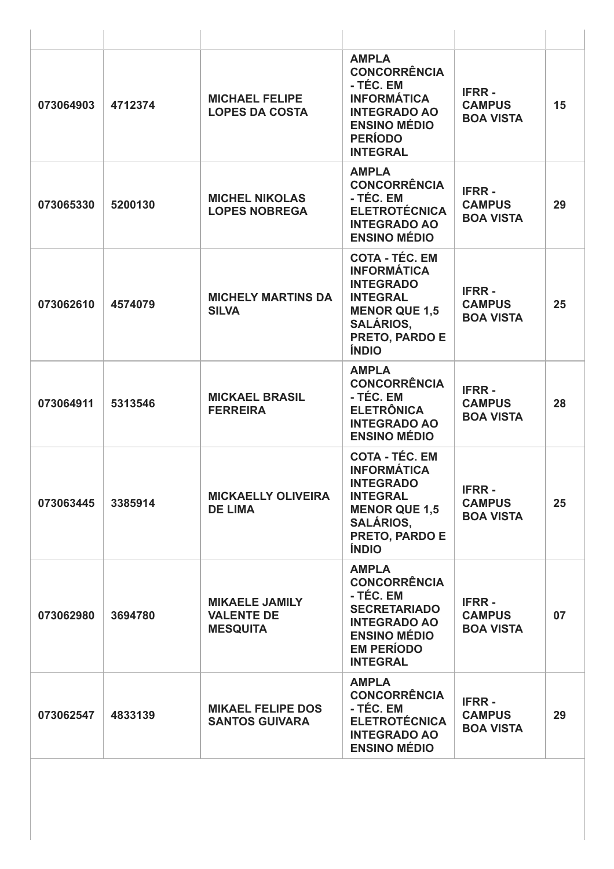| 073064903 | 4712374 | <b>MICHAEL FELIPE</b><br><b>LOPES DA COSTA</b>                | <b>AMPLA</b><br><b>CONCORRÊNCIA</b><br>- TÉC. EM<br><b>INFORMÁTICA</b><br><b>INTEGRADO AO</b><br><b>ENSINO MÉDIO</b><br><b>PERÍODO</b><br><b>INTEGRAL</b>        | <b>IFRR-</b><br><b>CAMPUS</b><br><b>BOA VISTA</b> | 15 |
|-----------|---------|---------------------------------------------------------------|------------------------------------------------------------------------------------------------------------------------------------------------------------------|---------------------------------------------------|----|
| 073065330 | 5200130 | <b>MICHEL NIKOLAS</b><br><b>LOPES NOBREGA</b>                 | <b>AMPLA</b><br><b>CONCORRÊNCIA</b><br>- TÉC. EM<br><b>ELETROTÉCNICA</b><br><b>INTEGRADO AO</b><br><b>ENSINO MÉDIO</b>                                           | <b>IFRR-</b><br><b>CAMPUS</b><br><b>BOA VISTA</b> | 29 |
| 073062610 | 4574079 | <b>MICHELY MARTINS DA</b><br><b>SILVA</b>                     | <b>COTA - TÉC. EM</b><br><b>INFORMÁTICA</b><br><b>INTEGRADO</b><br><b>INTEGRAL</b><br><b>MENOR QUE 1,5</b><br><b>SALÁRIOS,</b><br>PRETO, PARDO E<br><b>ÍNDIO</b> | <b>IFRR-</b><br><b>CAMPUS</b><br><b>BOA VISTA</b> | 25 |
| 073064911 | 5313546 | <b>MICKAEL BRASIL</b><br><b>FERREIRA</b>                      | <b>AMPLA</b><br><b>CONCORRÊNCIA</b><br>- TÉC. EM<br><b>ELETRÔNICA</b><br><b>INTEGRADO AO</b><br><b>ENSINO MÉDIO</b>                                              | <b>IFRR-</b><br><b>CAMPUS</b><br><b>BOA VISTA</b> | 28 |
| 073063445 | 3385914 | <b>MICKAELLY OLIVEIRA</b><br><b>DE LIMA</b>                   | <b>COTA - TÉC. EM</b><br><b>INFORMÁTICA</b><br><b>INTEGRADO</b><br><b>INTEGRAL</b><br><b>MENOR QUE 1,5</b><br><b>SALÁRIOS,</b><br>PRETO, PARDO E<br><b>ÍNDIO</b> | <b>IFRR-</b><br><b>CAMPUS</b><br><b>BOA VISTA</b> | 25 |
| 073062980 | 3694780 | <b>MIKAELE JAMILY</b><br><b>VALENTE DE</b><br><b>MESQUITA</b> | <b>AMPLA</b><br><b>CONCORRÊNCIA</b><br>- TÉC. EM<br><b>SECRETARIADO</b><br><b>INTEGRADO AO</b><br><b>ENSINO MÉDIO</b><br><b>EM PERÍODO</b><br><b>INTEGRAL</b>    | <b>IFRR-</b><br><b>CAMPUS</b><br><b>BOA VISTA</b> | 07 |
| 073062547 | 4833139 | <b>MIKAEL FELIPE DOS</b><br><b>SANTOS GUIVARA</b>             | <b>AMPLA</b><br><b>CONCORRÊNCIA</b><br>- TÉC. EM<br><b>ELETROTÉCNICA</b><br><b>INTEGRADO AO</b><br><b>ENSINO MÉDIO</b>                                           | <b>IFRR-</b><br><b>CAMPUS</b><br><b>BOA VISTA</b> | 29 |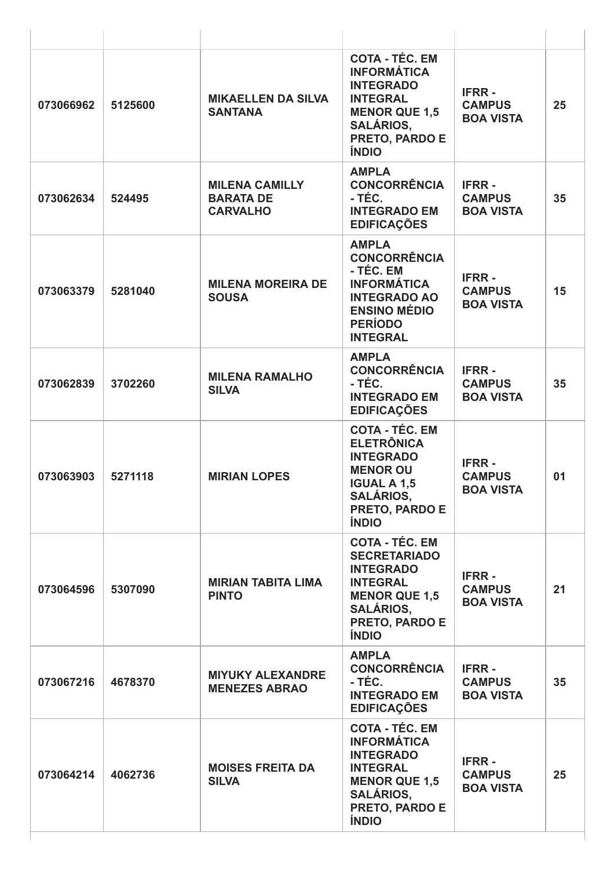| 073066962 | 5125600 | <b>MIKAELLEN DA SILVA</b><br><b>SANTANA</b>                  | <b>COTA - TÉC. EM</b><br><b>INFORMÁTICA</b><br><b>INTEGRADO</b><br><b>INTEGRAL</b><br><b>MENOR QUE 1,5</b><br><b>SALÁRIOS,</b><br><b>PRETO, PARDO E</b><br><b>ÍNDIO</b> | <b>IFRR-</b><br><b>CAMPUS</b><br><b>BOA VISTA</b> | 25 |
|-----------|---------|--------------------------------------------------------------|-------------------------------------------------------------------------------------------------------------------------------------------------------------------------|---------------------------------------------------|----|
| 073062634 | 524495  | <b>MILENA CAMILLY</b><br><b>BARATA DE</b><br><b>CARVALHO</b> | <b>AMPLA</b><br><b>CONCORRÊNCIA</b><br>- TÉC.<br><b>INTEGRADO EM</b><br><b>EDIFICAÇÕES</b>                                                                              | <b>IFRR-</b><br><b>CAMPUS</b><br><b>BOA VISTA</b> | 35 |
| 073063379 | 5281040 | <b>MILENA MOREIRA DE</b><br><b>SOUSA</b>                     | <b>AMPLA</b><br><b>CONCORRÊNCIA</b><br>- TÉC. EM<br><b>INFORMÁTICA</b><br><b>INTEGRADO AO</b><br><b>ENSINO MÉDIO</b><br><b>PERÍODO</b><br><b>INTEGRAL</b>               | <b>IFRR-</b><br><b>CAMPUS</b><br><b>BOA VISTA</b> | 15 |
| 073062839 | 3702260 | <b>MILENA RAMALHO</b><br><b>SILVA</b>                        | <b>AMPLA</b><br><b>CONCORRÊNCIA</b><br>- TÉC.<br><b>INTEGRADO EM</b><br><b>EDIFICAÇÕES</b>                                                                              | <b>IFRR-</b><br><b>CAMPUS</b><br><b>BOA VISTA</b> | 35 |
| 073063903 | 5271118 | <b>MIRIAN LOPES</b>                                          | <b>COTA - TÉC. EM</b><br><b>ELETRÔNICA</b><br><b>INTEGRADO</b><br><b>MENOR OU</b><br><b>IGUAL A 1,5</b><br><b>SALÁRIOS,</b><br>PRETO, PARDO E<br><b>ÍNDIO</b>           | <b>IFRR-</b><br><b>CAMPUS</b><br><b>BOA VISTA</b> | 01 |
| 073064596 | 5307090 | <b>MIRIAN TABITA LIMA</b><br><b>PINTO</b>                    | <b>COTA - TÉC. EM</b><br><b>SECRETARIADO</b><br><b>INTEGRADO</b><br><b>INTEGRAL</b><br><b>MENOR QUE 1,5</b><br><b>SALÁRIOS,</b><br>PRETO, PARDO E<br><b>ÍNDIO</b>       | <b>IFRR-</b><br><b>CAMPUS</b><br><b>BOA VISTA</b> | 21 |
| 073067216 | 4678370 | <b>MIYUKY ALEXANDRE</b><br><b>MENEZES ABRAO</b>              | <b>AMPLA</b><br><b>CONCORRÊNCIA</b><br>- TÉC.<br><b>INTEGRADO EM</b><br><b>EDIFICAÇÕES</b>                                                                              | <b>IFRR-</b><br><b>CAMPUS</b><br><b>BOA VISTA</b> | 35 |
| 073064214 | 4062736 | <b>MOISES FREITA DA</b><br><b>SILVA</b>                      | <b>COTA - TÉC. EM</b><br><b>INFORMÁTICA</b><br><b>INTEGRADO</b><br><b>INTEGRAL</b><br><b>MENOR QUE 1,5</b><br><b>SALÁRIOS,</b><br>PRETO, PARDO E<br><b>ÍNDIO</b>        | <b>IFRR-</b><br><b>CAMPUS</b><br><b>BOA VISTA</b> | 25 |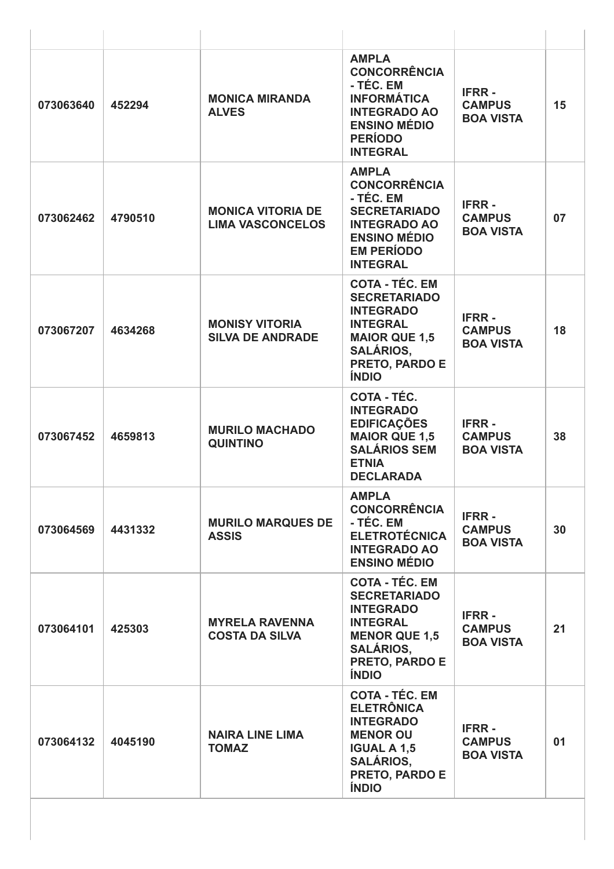| 073063640 | 452294  | <b>MONICA MIRANDA</b><br><b>ALVES</b>               | <b>AMPLA</b><br><b>CONCORRÊNCIA</b><br>- TÉC. EM<br><b>INFORMÁTICA</b><br><b>INTEGRADO AO</b><br><b>ENSINO MÉDIO</b><br><b>PERÍODO</b><br><b>INTEGRAL</b>                | <b>IFRR-</b><br><b>CAMPUS</b><br><b>BOA VISTA</b> | 15 |
|-----------|---------|-----------------------------------------------------|--------------------------------------------------------------------------------------------------------------------------------------------------------------------------|---------------------------------------------------|----|
| 073062462 | 4790510 | <b>MONICA VITORIA DE</b><br><b>LIMA VASCONCELOS</b> | <b>AMPLA</b><br><b>CONCORRÊNCIA</b><br>- TÉC. EM<br><b>SECRETARIADO</b><br><b>INTEGRADO AO</b><br><b>ENSINO MÉDIO</b><br><b>EM PERÍODO</b><br><b>INTEGRAL</b>            | <b>IFRR-</b><br><b>CAMPUS</b><br><b>BOA VISTA</b> | 07 |
| 073067207 | 4634268 | <b>MONISY VITORIA</b><br><b>SILVA DE ANDRADE</b>    | <b>COTA - TÉC. EM</b><br><b>SECRETARIADO</b><br><b>INTEGRADO</b><br><b>INTEGRAL</b><br><b>MAIOR QUE 1,5</b><br><b>SALÁRIOS,</b><br><b>PRETO, PARDO E</b><br><b>ÍNDIO</b> | <b>IFRR-</b><br><b>CAMPUS</b><br><b>BOA VISTA</b> | 18 |
| 073067452 | 4659813 | <b>MURILO MACHADO</b><br><b>QUINTINO</b>            | COTA - TÉC.<br><b>INTEGRADO</b><br><b>EDIFICAÇÕES</b><br><b>MAIOR QUE 1,5</b><br><b>SALÁRIOS SEM</b><br><b>ETNIA</b><br><b>DECLARADA</b>                                 | <b>IFRR-</b><br><b>CAMPUS</b><br><b>BOA VISTA</b> | 38 |
| 073064569 | 4431332 | <b>MURILO MARQUES DE</b><br><b>ASSIS</b>            | <b>AMPLA</b><br><b>CONCORRÊNCIA</b><br>- TÉC. EM<br><b>ELETROTÉCNICA</b><br><b>INTEGRADO AO</b><br><b>ENSINO MÉDIO</b>                                                   | <b>IFRR-</b><br><b>CAMPUS</b><br><b>BOA VISTA</b> | 30 |
| 073064101 | 425303  | <b>MYRELA RAVENNA</b><br><b>COSTA DA SILVA</b>      | <b>COTA - TÉC. EM</b><br><b>SECRETARIADO</b><br><b>INTEGRADO</b><br><b>INTEGRAL</b><br><b>MENOR QUE 1,5</b><br><b>SALÁRIOS,</b><br>PRETO, PARDO E<br><b>ÍNDIO</b>        | <b>IFRR-</b><br><b>CAMPUS</b><br><b>BOA VISTA</b> | 21 |
| 073064132 | 4045190 | <b>NAIRA LINE LIMA</b><br><b>TOMAZ</b>              | <b>COTA - TÉC. EM</b><br><b>ELETRÔNICA</b><br><b>INTEGRADO</b><br><b>MENOR OU</b><br><b>IGUAL A 1,5</b><br><b>SALÁRIOS,</b><br>PRETO, PARDO E<br><b>ÍNDIO</b>            | <b>IFRR-</b><br><b>CAMPUS</b><br><b>BOA VISTA</b> | 01 |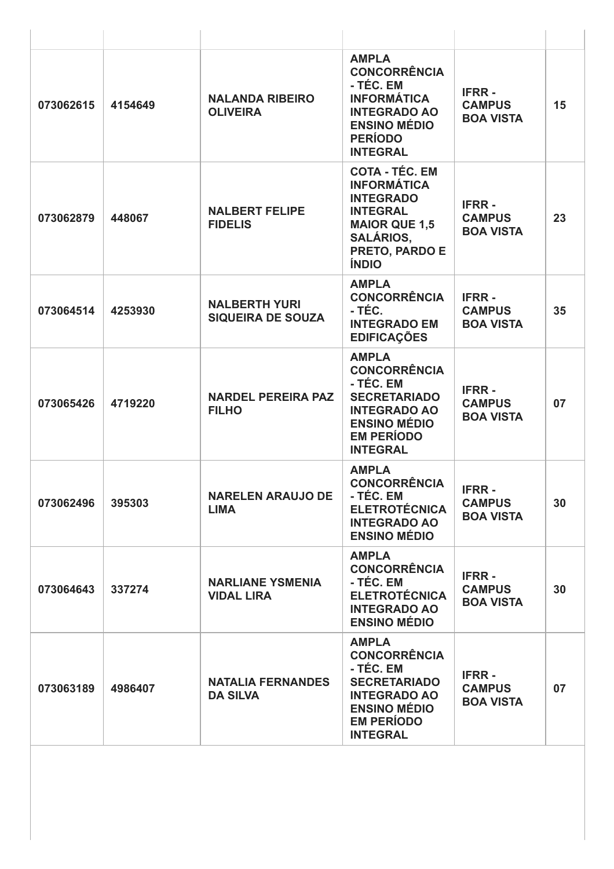| 073062615 | 4154649 | <b>NALANDA RIBEIRO</b><br><b>OLIVEIRA</b>        | <b>AMPLA</b><br><b>CONCORRÊNCIA</b><br>- TÉC. EM<br><b>INFORMÁTICA</b><br><b>INTEGRADO AO</b><br><b>ENSINO MÉDIO</b><br><b>PERÍODO</b><br><b>INTEGRAL</b>        | <b>IFRR-</b><br><b>CAMPUS</b><br><b>BOA VISTA</b> | 15 |
|-----------|---------|--------------------------------------------------|------------------------------------------------------------------------------------------------------------------------------------------------------------------|---------------------------------------------------|----|
| 073062879 | 448067  | <b>NALBERT FELIPE</b><br><b>FIDELIS</b>          | <b>COTA - TÉC. EM</b><br><b>INFORMÁTICA</b><br><b>INTEGRADO</b><br><b>INTEGRAL</b><br><b>MAIOR QUE 1,5</b><br><b>SALÁRIOS,</b><br>PRETO, PARDO E<br><b>ÍNDIO</b> | <b>IFRR-</b><br><b>CAMPUS</b><br><b>BOA VISTA</b> | 23 |
| 073064514 | 4253930 | <b>NALBERTH YURI</b><br><b>SIQUEIRA DE SOUZA</b> | <b>AMPLA</b><br><b>CONCORRÊNCIA</b><br>- TÉC.<br><b>INTEGRADO EM</b><br><b>EDIFICAÇÕES</b>                                                                       | <b>IFRR-</b><br><b>CAMPUS</b><br><b>BOA VISTA</b> | 35 |
| 073065426 | 4719220 | <b>NARDEL PEREIRA PAZ</b><br><b>FILHO</b>        | <b>AMPLA</b><br><b>CONCORRÊNCIA</b><br>- TÉC. EM<br><b>SECRETARIADO</b><br><b>INTEGRADO AO</b><br><b>ENSINO MÉDIO</b><br><b>EM PERÍODO</b><br><b>INTEGRAL</b>    | <b>IFRR-</b><br><b>CAMPUS</b><br><b>BOA VISTA</b> | 07 |
| 073062496 | 395303  | <b>NARELEN ARAUJO DE</b><br><b>LIMA</b>          | <b>AMPLA</b><br><b>CONCORRÊNCIA</b><br>- TÉC. EM<br><b>ELETROTÉCNICA</b><br><b>INTEGRADO AO</b><br><b>ENSINO MÉDIO</b>                                           | <b>IFRR-</b><br><b>CAMPUS</b><br><b>BOA VISTA</b> | 30 |
| 073064643 | 337274  | <b>NARLIANE YSMENIA</b><br><b>VIDAL LIRA</b>     | <b>AMPLA</b><br><b>CONCORRÊNCIA</b><br>- TÉC. EM<br><b>ELETROTÉCNICA</b><br><b>INTEGRADO AO</b><br><b>ENSINO MÉDIO</b>                                           | <b>IFRR-</b><br><b>CAMPUS</b><br><b>BOA VISTA</b> | 30 |
| 073063189 | 4986407 | <b>NATALIA FERNANDES</b><br><b>DA SILVA</b>      | <b>AMPLA</b><br><b>CONCORRÊNCIA</b><br>- TÉC. EM<br><b>SECRETARIADO</b><br><b>INTEGRADO AO</b><br><b>ENSINO MÉDIO</b><br><b>EM PERÍODO</b><br><b>INTEGRAL</b>    | <b>IFRR-</b><br><b>CAMPUS</b><br><b>BOA VISTA</b> | 07 |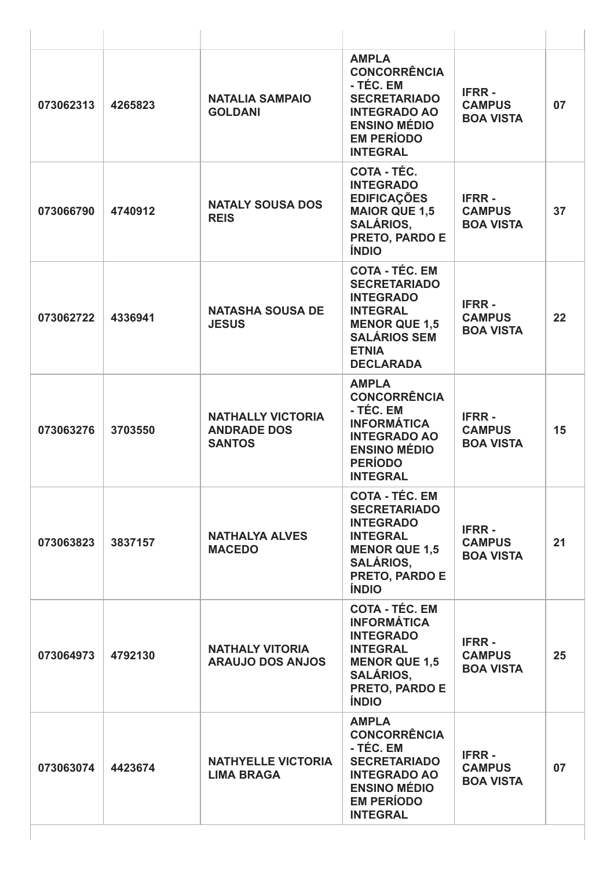| 073062313 | 4265823 | <b>NATALIA SAMPAIO</b><br><b>GOLDANI</b>                        | <b>AMPLA</b><br><b>CONCORRÊNCIA</b><br>- TÉC. EM<br><b>SECRETARIADO</b><br><b>INTEGRADO AO</b><br><b>ENSINO MÉDIO</b><br><b>EM PERÍODO</b><br><b>INTEGRAL</b>          | <b>IFRR-</b><br><b>CAMPUS</b><br><b>BOA VISTA</b> | 07 |
|-----------|---------|-----------------------------------------------------------------|------------------------------------------------------------------------------------------------------------------------------------------------------------------------|---------------------------------------------------|----|
| 073066790 | 4740912 | <b>NATALY SOUSA DOS</b><br><b>REIS</b>                          | COTA - TÉC.<br><b>INTEGRADO</b><br><b>EDIFICAÇÕES</b><br><b>MAIOR QUE 1,5</b><br><b>SALÁRIOS,</b><br>PRETO, PARDO E<br><b>ÍNDIO</b>                                    | <b>IFRR-</b><br><b>CAMPUS</b><br><b>BOA VISTA</b> | 37 |
| 073062722 | 4336941 | <b>NATASHA SOUSA DE</b><br><b>JESUS</b>                         | <b>COTA - TÉC. EM</b><br><b>SECRETARIADO</b><br><b>INTEGRADO</b><br><b>INTEGRAL</b><br><b>MENOR QUE 1,5</b><br><b>SALÁRIOS SEM</b><br><b>ETNIA</b><br><b>DECLARADA</b> | <b>IFRR-</b><br><b>CAMPUS</b><br><b>BOA VISTA</b> | 22 |
| 073063276 | 3703550 | <b>NATHALLY VICTORIA</b><br><b>ANDRADE DOS</b><br><b>SANTOS</b> | <b>AMPLA</b><br><b>CONCORRÊNCIA</b><br>- TÉC. EM<br><b>INFORMÁTICA</b><br><b>INTEGRADO AO</b><br><b>ENSINO MÉDIO</b><br><b>PERÍODO</b><br><b>INTEGRAL</b>              | <b>IFRR-</b><br><b>CAMPUS</b><br><b>BOA VISTA</b> | 15 |
| 073063823 | 3837157 | <b>NATHALYA ALVES</b><br><b>MACEDO</b>                          | <b>COTA - TÉC. EM</b><br><b>SECRETARIADO</b><br><b>INTEGRADO</b><br><b>INTEGRAL</b><br><b>MENOR QUE 1,5</b><br><b>SALÁRIOS,</b><br>PRETO, PARDO E<br><b>ÍNDIO</b>      | <b>IFRR-</b><br><b>CAMPUS</b><br><b>BOA VISTA</b> | 21 |
| 073064973 | 4792130 | <b>NATHALY VITORIA</b><br><b>ARAUJO DOS ANJOS</b>               | <b>COTA - TÉC. EM</b><br><b>INFORMÁTICA</b><br><b>INTEGRADO</b><br><b>INTEGRAL</b><br><b>MENOR QUE 1,5</b><br><b>SALÁRIOS,</b><br>PRETO, PARDO E<br><b>ÍNDIO</b>       | <b>IFRR-</b><br><b>CAMPUS</b><br><b>BOA VISTA</b> | 25 |
| 073063074 | 4423674 | <b>NATHYELLE VICTORIA</b><br><b>LIMA BRAGA</b>                  | <b>AMPLA</b><br><b>CONCORRÊNCIA</b><br>- TÉC. EM<br><b>SECRETARIADO</b><br><b>INTEGRADO AO</b><br><b>ENSINO MÉDIO</b><br><b>EM PERÍODO</b><br><b>INTEGRAL</b>          | <b>IFRR-</b><br><b>CAMPUS</b><br><b>BOA VISTA</b> | 07 |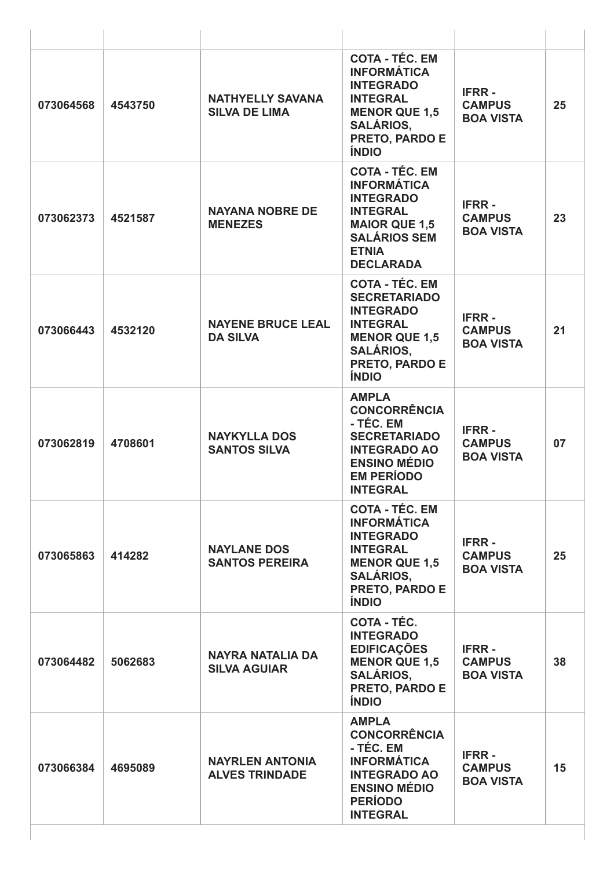| 073064568 | 4543750 | <b>NATHYELLY SAVANA</b><br><b>SILVA DE LIMA</b> | <b>COTA - TÉC. EM</b><br><b>INFORMÁTICA</b><br><b>INTEGRADO</b><br><b>INTEGRAL</b><br><b>MENOR QUE 1,5</b><br><b>SALÁRIOS,</b><br><b>PRETO, PARDO E</b><br><b>ÍNDIO</b> | <b>IFRR-</b><br><b>CAMPUS</b><br><b>BOA VISTA</b> | 25 |
|-----------|---------|-------------------------------------------------|-------------------------------------------------------------------------------------------------------------------------------------------------------------------------|---------------------------------------------------|----|
| 073062373 | 4521587 | <b>NAYANA NOBRE DE</b><br><b>MENEZES</b>        | <b>COTA - TÉC. EM</b><br><b>INFORMÁTICA</b><br><b>INTEGRADO</b><br><b>INTEGRAL</b><br><b>MAIOR QUE 1,5</b><br><b>SALÁRIOS SEM</b><br><b>ETNIA</b><br><b>DECLARADA</b>   | <b>IFRR-</b><br><b>CAMPUS</b><br><b>BOA VISTA</b> | 23 |
| 073066443 | 4532120 | <b>NAYENE BRUCE LEAL</b><br><b>DA SILVA</b>     | <b>COTA - TÉC. EM</b><br><b>SECRETARIADO</b><br><b>INTEGRADO</b><br><b>INTEGRAL</b><br><b>MENOR QUE 1,5</b><br><b>SALÁRIOS,</b><br>PRETO, PARDO E<br><b>ÍNDIO</b>       | <b>IFRR-</b><br><b>CAMPUS</b><br><b>BOA VISTA</b> | 21 |
| 073062819 | 4708601 | <b>NAYKYLLA DOS</b><br><b>SANTOS SILVA</b>      | <b>AMPLA</b><br><b>CONCORRÊNCIA</b><br>- TÉC. EM<br><b>SECRETARIADO</b><br><b>INTEGRADO AO</b><br><b>ENSINO MÉDIO</b><br><b>EM PERÍODO</b><br><b>INTEGRAL</b>           | <b>IFRR-</b><br><b>CAMPUS</b><br><b>BOA VISTA</b> | 07 |
| 073065863 | 414282  | <b>NAYLANE DOS</b><br><b>SANTOS PEREIRA</b>     | <b>COTA - TÉC. EM</b><br><b>INFORMÁTICA</b><br><b>INTEGRADO</b><br><b>INTEGRAL</b><br><b>MENOR QUE 1,5</b><br><b>SALÁRIOS,</b><br>PRETO, PARDO E<br><b>ÍNDIO</b>        | <b>IFRR-</b><br><b>CAMPUS</b><br><b>BOA VISTA</b> | 25 |
| 073064482 | 5062683 | <b>NAYRA NATALIA DA</b><br><b>SILVA AGUIAR</b>  | <b>COTA - TÉC.</b><br><b>INTEGRADO</b><br><b>EDIFICAÇÕES</b><br><b>MENOR QUE 1,5</b><br><b>SALÁRIOS,</b><br>PRETO, PARDO E<br><b>ÍNDIO</b>                              | <b>IFRR-</b><br><b>CAMPUS</b><br><b>BOA VISTA</b> | 38 |
| 073066384 | 4695089 | <b>NAYRLEN ANTONIA</b><br><b>ALVES TRINDADE</b> | <b>AMPLA</b><br><b>CONCORRÊNCIA</b><br>- TÉC. EM<br><b>INFORMÁTICA</b><br><b>INTEGRADO AO</b><br><b>ENSINO MÉDIO</b><br><b>PERÍODO</b><br><b>INTEGRAL</b>               | <b>IFRR-</b><br><b>CAMPUS</b><br><b>BOA VISTA</b> | 15 |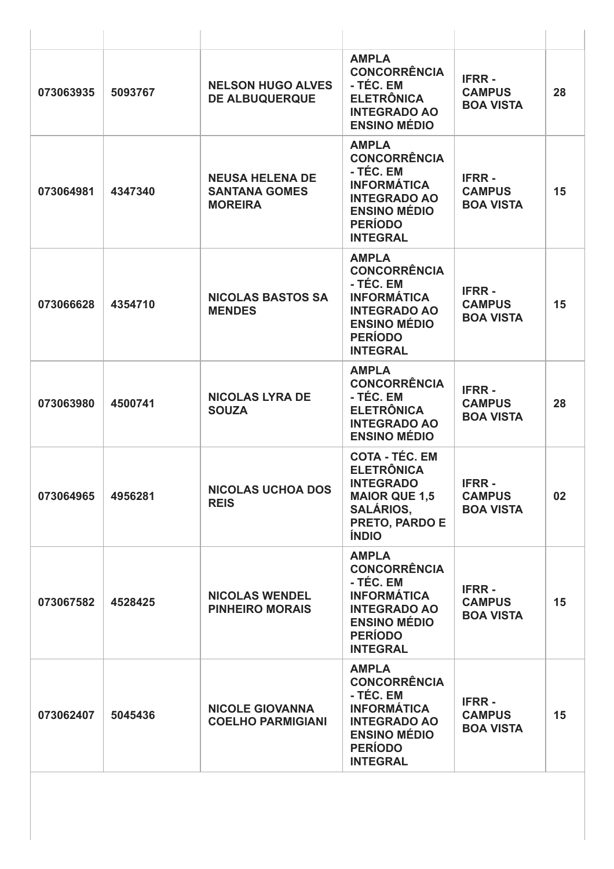| 073063935 | 5093767 | <b>NELSON HUGO ALVES</b><br><b>DE ALBUQUERQUE</b>                | <b>AMPLA</b><br><b>CONCORRÊNCIA</b><br>- TÉC. EM<br><b>ELETRÔNICA</b><br><b>INTEGRADO AO</b><br><b>ENSINO MÉDIO</b>                                       | <b>IFRR-</b><br><b>CAMPUS</b><br><b>BOA VISTA</b> | 28 |
|-----------|---------|------------------------------------------------------------------|-----------------------------------------------------------------------------------------------------------------------------------------------------------|---------------------------------------------------|----|
| 073064981 | 4347340 | <b>NEUSA HELENA DE</b><br><b>SANTANA GOMES</b><br><b>MOREIRA</b> | <b>AMPLA</b><br><b>CONCORRÊNCIA</b><br>- TÉC. EM<br><b>INFORMÁTICA</b><br><b>INTEGRADO AO</b><br><b>ENSINO MÉDIO</b><br><b>PERÍODO</b><br><b>INTEGRAL</b> | <b>IFRR-</b><br><b>CAMPUS</b><br><b>BOA VISTA</b> | 15 |
| 073066628 | 4354710 | <b>NICOLAS BASTOS SA</b><br><b>MENDES</b>                        | <b>AMPLA</b><br><b>CONCORRÊNCIA</b><br>- TÉC. EM<br><b>INFORMÁTICA</b><br><b>INTEGRADO AO</b><br><b>ENSINO MÉDIO</b><br><b>PERÍODO</b><br><b>INTEGRAL</b> | <b>IFRR-</b><br><b>CAMPUS</b><br><b>BOA VISTA</b> | 15 |
| 073063980 | 4500741 | <b>NICOLAS LYRA DE</b><br><b>SOUZA</b>                           | <b>AMPLA</b><br><b>CONCORRÊNCIA</b><br>- TÉC. EM<br><b>ELETRÔNICA</b><br><b>INTEGRADO AO</b><br><b>ENSINO MÉDIO</b>                                       | <b>IFRR-</b><br><b>CAMPUS</b><br><b>BOA VISTA</b> | 28 |
| 073064965 | 4956281 | <b>NICOLAS UCHOA DOS</b><br><b>REIS</b>                          | <b>COTA - TÉC. EM</b><br><b>ELETRÔNICA</b><br><b>INTEGRADO</b><br><b>MAIOR QUE 1,5</b><br><b>SALÁRIOS,</b><br>PRETO, PARDO E<br><b>ÍNDIO</b>              | <b>IFRR-</b><br><b>CAMPUS</b><br><b>BOA VISTA</b> | 02 |
| 073067582 | 4528425 | <b>NICOLAS WENDEL</b><br><b>PINHEIRO MORAIS</b>                  | <b>AMPLA</b><br><b>CONCORRÊNCIA</b><br>- TÉC. EM<br><b>INFORMÁTICA</b><br><b>INTEGRADO AO</b><br><b>ENSINO MÉDIO</b><br><b>PERÍODO</b><br><b>INTEGRAL</b> | <b>IFRR-</b><br><b>CAMPUS</b><br><b>BOA VISTA</b> | 15 |
| 073062407 | 5045436 | <b>NICOLE GIOVANNA</b><br><b>COELHO PARMIGIANI</b>               | <b>AMPLA</b><br><b>CONCORRÊNCIA</b><br>- TÉC. EM<br><b>INFORMÁTICA</b><br><b>INTEGRADO AO</b><br><b>ENSINO MÉDIO</b><br><b>PERÍODO</b><br><b>INTEGRAL</b> | <b>IFRR-</b><br><b>CAMPUS</b><br><b>BOA VISTA</b> | 15 |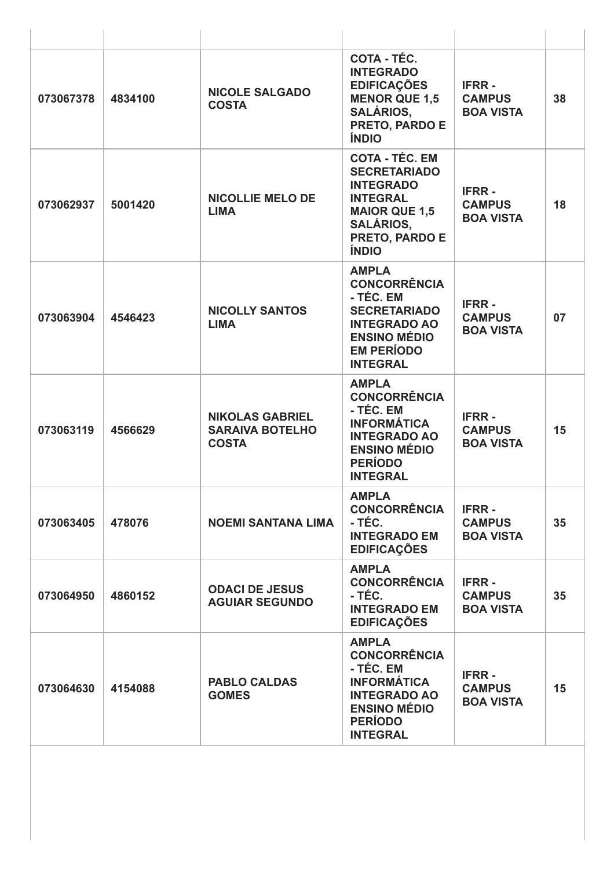| 073067378 | 4834100 | <b>NICOLE SALGADO</b><br><b>COSTA</b>                            | COTA - TÉC.<br><b>INTEGRADO</b><br><b>EDIFICAÇÕES</b><br><b>MENOR QUE 1,5</b><br><b>SALÁRIOS,</b><br><b>PRETO, PARDO E</b><br><b>ÍNDIO</b>                        | <b>IFRR-</b><br><b>CAMPUS</b><br><b>BOA VISTA</b> | 38 |
|-----------|---------|------------------------------------------------------------------|-------------------------------------------------------------------------------------------------------------------------------------------------------------------|---------------------------------------------------|----|
| 073062937 | 5001420 | <b>NICOLLIE MELO DE</b><br><b>LIMA</b>                           | <b>COTA - TÉC. EM</b><br><b>SECRETARIADO</b><br><b>INTEGRADO</b><br><b>INTEGRAL</b><br><b>MAIOR QUE 1,5</b><br><b>SALÁRIOS,</b><br>PRETO, PARDO E<br><b>ÍNDIO</b> | <b>IFRR-</b><br><b>CAMPUS</b><br><b>BOA VISTA</b> | 18 |
| 073063904 | 4546423 | <b>NICOLLY SANTOS</b><br><b>LIMA</b>                             | <b>AMPLA</b><br><b>CONCORRÊNCIA</b><br>- TÉC. EM<br><b>SECRETARIADO</b><br><b>INTEGRADO AO</b><br><b>ENSINO MÉDIO</b><br><b>EM PERÍODO</b><br><b>INTEGRAL</b>     | <b>IFRR-</b><br><b>CAMPUS</b><br><b>BOA VISTA</b> | 07 |
| 073063119 | 4566629 | <b>NIKOLAS GABRIEL</b><br><b>SARAIVA BOTELHO</b><br><b>COSTA</b> | <b>AMPLA</b><br><b>CONCORRÊNCIA</b><br>- TÉC. EM<br><b>INFORMÁTICA</b><br><b>INTEGRADO AO</b><br><b>ENSINO MÉDIO</b><br><b>PERÍODO</b><br><b>INTEGRAL</b>         | <b>IFRR-</b><br><b>CAMPUS</b><br><b>BOA VISTA</b> | 15 |
| 073063405 | 478076  | <b>NOEMI SANTANA LIMA</b>                                        | <b>AMPLA</b><br><b>CONCORRÊNCIA</b><br>- TÉC.<br><b>INTEGRADO EM</b><br><b>EDIFICAÇÕES</b>                                                                        | <b>IFRR-</b><br><b>CAMPUS</b><br><b>BOA VISTA</b> | 35 |
| 073064950 | 4860152 | <b>ODACI DE JESUS</b><br><b>AGUIAR SEGUNDO</b>                   | <b>AMPLA</b><br><b>CONCORRÊNCIA</b><br>- TÉC.<br><b>INTEGRADO EM</b><br><b>EDIFICAÇÕES</b>                                                                        | <b>IFRR-</b><br><b>CAMPUS</b><br><b>BOA VISTA</b> | 35 |
| 073064630 | 4154088 | <b>PABLO CALDAS</b><br><b>GOMES</b>                              | <b>AMPLA</b><br><b>CONCORRÊNCIA</b><br>- TÉC. EM<br><b>INFORMÁTICA</b><br><b>INTEGRADO AO</b><br><b>ENSINO MÉDIO</b><br><b>PERÍODO</b><br><b>INTEGRAL</b>         | <b>IFRR-</b><br><b>CAMPUS</b><br><b>BOA VISTA</b> | 15 |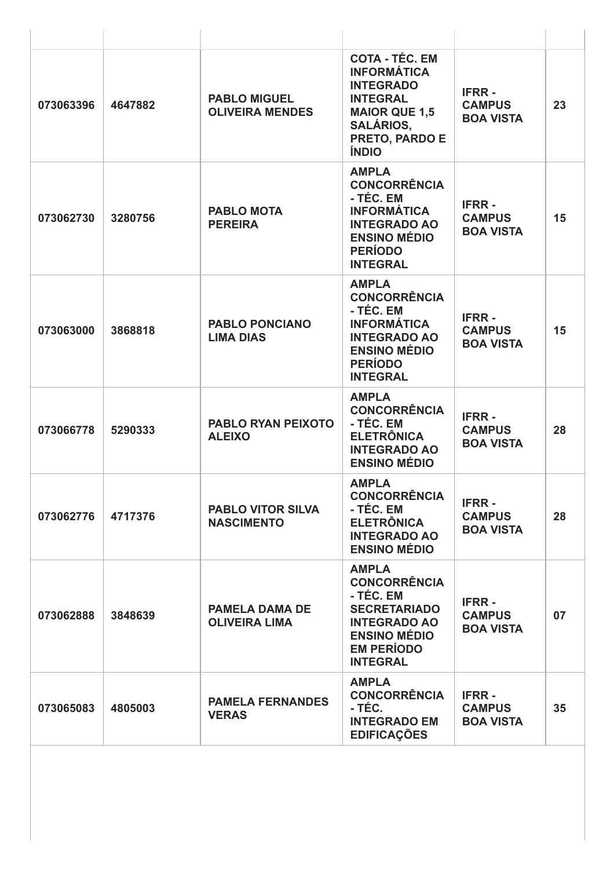| 073063396 | 4647882 | <b>PABLO MIGUEL</b><br><b>OLIVEIRA MENDES</b> | <b>COTA - TÉC. EM</b><br><b>INFORMÁTICA</b><br><b>INTEGRADO</b><br><b>INTEGRAL</b><br><b>MAIOR QUE 1,5</b><br><b>SALÁRIOS,</b><br><b>PRETO, PARDO E</b><br><b>ÍNDIO</b> | <b>IFRR-</b><br><b>CAMPUS</b><br><b>BOA VISTA</b> | 23 |
|-----------|---------|-----------------------------------------------|-------------------------------------------------------------------------------------------------------------------------------------------------------------------------|---------------------------------------------------|----|
| 073062730 | 3280756 | <b>PABLO MOTA</b><br><b>PEREIRA</b>           | <b>AMPLA</b><br><b>CONCORRÊNCIA</b><br>- TÉC. EM<br><b>INFORMÁTICA</b><br><b>INTEGRADO AO</b><br><b>ENSINO MÉDIO</b><br><b>PERÍODO</b><br><b>INTEGRAL</b>               | <b>IFRR-</b><br><b>CAMPUS</b><br><b>BOA VISTA</b> | 15 |
| 073063000 | 3868818 | <b>PABLO PONCIANO</b><br><b>LIMA DIAS</b>     | <b>AMPLA</b><br><b>CONCORRÊNCIA</b><br>- TÉC. EM<br><b>INFORMÁTICA</b><br><b>INTEGRADO AO</b><br><b>ENSINO MÉDIO</b><br><b>PERÍODO</b><br><b>INTEGRAL</b>               | <b>IFRR-</b><br><b>CAMPUS</b><br><b>BOA VISTA</b> | 15 |
| 073066778 | 5290333 | <b>PABLO RYAN PEIXOTO</b><br><b>ALEIXO</b>    | <b>AMPLA</b><br><b>CONCORRÊNCIA</b><br>- TÉC. EM<br><b>ELETRÔNICA</b><br><b>INTEGRADO AO</b><br><b>ENSINO MÉDIO</b>                                                     | <b>IFRR-</b><br><b>CAMPUS</b><br><b>BOA VISTA</b> | 28 |
| 073062776 | 4717376 | <b>PABLO VITOR SILVA</b><br><b>NASCIMENTO</b> | <b>AMPLA</b><br><b>CONCORRÊNCIA</b><br>- TÉC. EM<br><b>ELETRÔNICA</b><br><b>INTEGRADO AO</b><br><b>ENSINO MÉDIO</b>                                                     | <b>IFRR-</b><br><b>CAMPUS</b><br><b>BOA VISTA</b> | 28 |
| 073062888 | 3848639 | <b>PAMELA DAMA DE</b><br><b>OLIVEIRA LIMA</b> | <b>AMPLA</b><br><b>CONCORRÊNCIA</b><br>- TÉC. EM<br><b>SECRETARIADO</b><br><b>INTEGRADO AO</b><br><b>ENSINO MÉDIO</b><br><b>EM PERÍODO</b><br><b>INTEGRAL</b>           | <b>IFRR-</b><br><b>CAMPUS</b><br><b>BOA VISTA</b> | 07 |
| 073065083 | 4805003 | <b>PAMELA FERNANDES</b><br><b>VERAS</b>       | <b>AMPLA</b><br><b>CONCORRÊNCIA</b><br>- TÉC.<br><b>INTEGRADO EM</b><br><b>EDIFICAÇÕES</b>                                                                              | <b>IFRR-</b><br><b>CAMPUS</b><br><b>BOA VISTA</b> | 35 |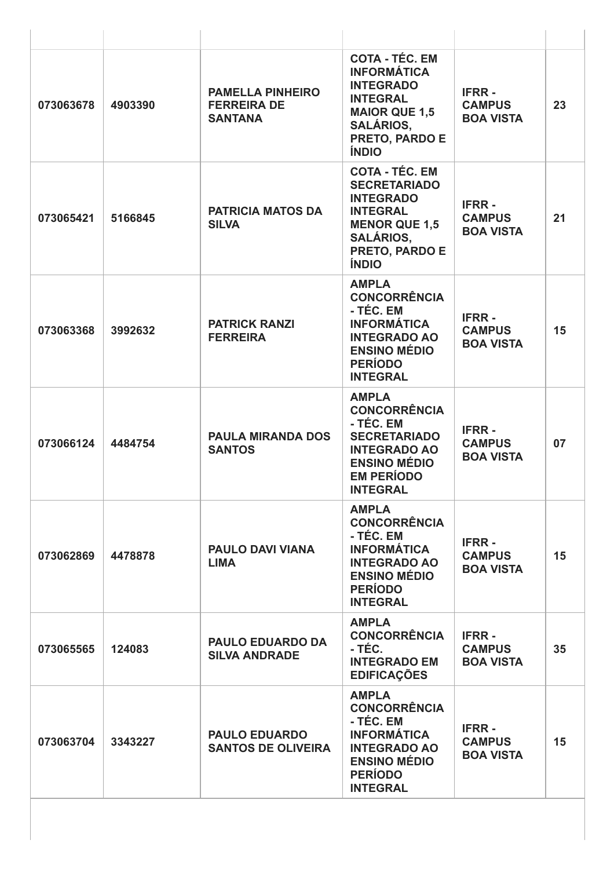| 073063678 | 4903390 | <b>PAMELLA PINHEIRO</b><br><b>FERREIRA DE</b><br><b>SANTANA</b> | <b>COTA - TÉC. EM</b><br><b>INFORMÁTICA</b><br><b>INTEGRADO</b><br><b>INTEGRAL</b><br><b>MAIOR QUE 1,5</b><br><b>SALÁRIOS,</b><br>PRETO, PARDO E<br><b>ÍNDIO</b>         | <b>IFRR-</b><br><b>CAMPUS</b><br><b>BOA VISTA</b> | 23 |
|-----------|---------|-----------------------------------------------------------------|--------------------------------------------------------------------------------------------------------------------------------------------------------------------------|---------------------------------------------------|----|
| 073065421 | 5166845 | <b>PATRICIA MATOS DA</b><br><b>SILVA</b>                        | <b>COTA - TÉC. EM</b><br><b>SECRETARIADO</b><br><b>INTEGRADO</b><br><b>INTEGRAL</b><br><b>MENOR QUE 1,5</b><br><b>SALÁRIOS,</b><br><b>PRETO, PARDO E</b><br><b>ÍNDIO</b> | <b>IFRR-</b><br><b>CAMPUS</b><br><b>BOA VISTA</b> | 21 |
| 073063368 | 3992632 | <b>PATRICK RANZI</b><br><b>FERREIRA</b>                         | <b>AMPLA</b><br><b>CONCORRÊNCIA</b><br>- TÉC. EM<br><b>INFORMÁTICA</b><br><b>INTEGRADO AO</b><br><b>ENSINO MÉDIO</b><br><b>PERÍODO</b><br><b>INTEGRAL</b>                | <b>IFRR-</b><br><b>CAMPUS</b><br><b>BOA VISTA</b> | 15 |
| 073066124 | 4484754 | <b>PAULA MIRANDA DOS</b><br><b>SANTOS</b>                       | <b>AMPLA</b><br><b>CONCORRÊNCIA</b><br>- TÉC. EM<br><b>SECRETARIADO</b><br><b>INTEGRADO AO</b><br><b>ENSINO MÉDIO</b><br><b>EM PERÍODO</b><br><b>INTEGRAL</b>            | <b>IFRR-</b><br><b>CAMPUS</b><br><b>BOA VISTA</b> | 07 |
| 073062869 | 4478878 | <b>PAULO DAVI VIANA</b><br><b>LIMA</b>                          | <b>AMPLA</b><br><b>CONCORRÊNCIA</b><br>- TÉC. EM<br><b>INFORMÁTICA</b><br><b>INTEGRADO AO</b><br><b>ENSINO MÉDIO</b><br><b>PERÍODO</b><br><b>INTEGRAL</b>                | <b>IFRR-</b><br><b>CAMPUS</b><br><b>BOA VISTA</b> | 15 |
| 073065565 | 124083  | <b>PAULO EDUARDO DA</b><br><b>SILVA ANDRADE</b>                 | <b>AMPLA</b><br><b>CONCORRÊNCIA</b><br>- TÉC.<br><b>INTEGRADO EM</b><br><b>EDIFICAÇÕES</b>                                                                               | <b>IFRR-</b><br><b>CAMPUS</b><br><b>BOA VISTA</b> | 35 |
| 073063704 | 3343227 | <b>PAULO EDUARDO</b><br><b>SANTOS DE OLIVEIRA</b>               | <b>AMPLA</b><br><b>CONCORRÊNCIA</b><br>- TÉC. EM<br><b>INFORMÁTICA</b><br><b>INTEGRADO AO</b><br><b>ENSINO MÉDIO</b><br><b>PERÍODO</b><br><b>INTEGRAL</b>                | <b>IFRR-</b><br><b>CAMPUS</b><br><b>BOA VISTA</b> | 15 |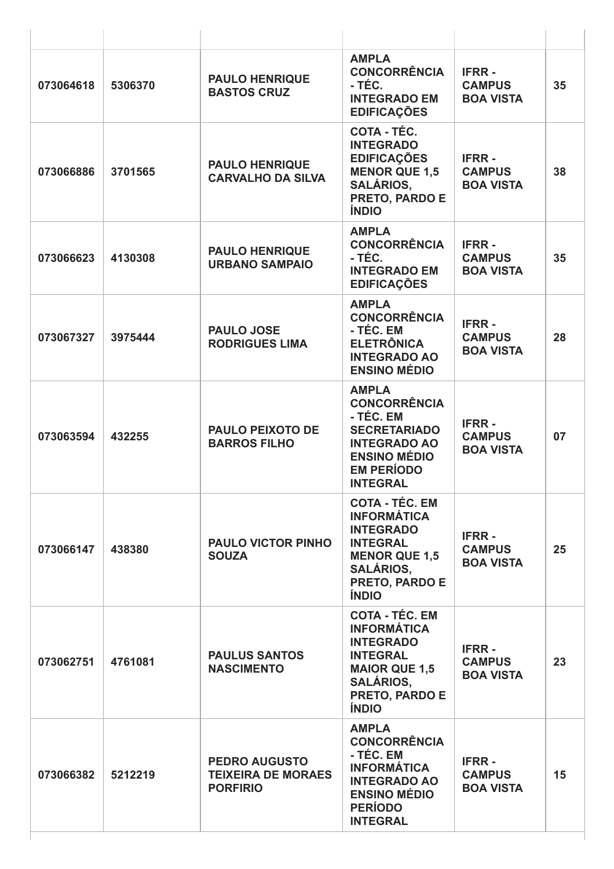| 073064618 | 5306370 | <b>PAULO HENRIQUE</b><br><b>BASTOS CRUZ</b>                          | <b>AMPLA</b><br><b>CONCORRÊNCIA</b><br>- TÉC.<br><b>INTEGRADO EM</b><br><b>EDIFICAÇÕES</b>                                                                              | <b>IFRR-</b><br><b>CAMPUS</b><br><b>BOA VISTA</b> | 35 |
|-----------|---------|----------------------------------------------------------------------|-------------------------------------------------------------------------------------------------------------------------------------------------------------------------|---------------------------------------------------|----|
| 073066886 | 3701565 | <b>PAULO HENRIQUE</b><br><b>CARVALHO DA SILVA</b>                    | COTA - TÉC.<br><b>INTEGRADO</b><br><b>EDIFICAÇÕES</b><br><b>MENOR QUE 1,5</b><br><b>SALÁRIOS,</b><br>PRETO, PARDO E<br><b>ÍNDIO</b>                                     | <b>IFRR-</b><br><b>CAMPUS</b><br><b>BOA VISTA</b> | 38 |
| 073066623 | 4130308 | <b>PAULO HENRIQUE</b><br><b>URBANO SAMPAIO</b>                       | <b>AMPLA</b><br><b>CONCORRÊNCIA</b><br>- TÉC.<br><b>INTEGRADO EM</b><br><b>EDIFICAÇÕES</b>                                                                              | <b>IFRR-</b><br><b>CAMPUS</b><br><b>BOA VISTA</b> | 35 |
| 073067327 | 3975444 | <b>PAULO JOSE</b><br><b>RODRIGUES LIMA</b>                           | <b>AMPLA</b><br><b>CONCORRÊNCIA</b><br>- TÉC. EM<br><b>ELETRÔNICA</b><br><b>INTEGRADO AO</b><br><b>ENSINO MÉDIO</b>                                                     | <b>IFRR-</b><br><b>CAMPUS</b><br><b>BOA VISTA</b> | 28 |
| 073063594 | 432255  | <b>PAULO PEIXOTO DE</b><br><b>BARROS FILHO</b>                       | <b>AMPLA</b><br><b>CONCORRÊNCIA</b><br>- TÉC. EM<br><b>SECRETARIADO</b><br><b>INTEGRADO AO</b><br><b>ENSINO MÉDIO</b><br><b>EM PERÍODO</b><br><b>INTEGRAL</b>           | <b>IFRR-</b><br><b>CAMPUS</b><br><b>BOA VISTA</b> | 07 |
| 073066147 | 438380  | <b>PAULO VICTOR PINHO</b><br><b>SOUZA</b>                            | <b>COTA - TÉC. EM</b><br><b>INFORMÁTICA</b><br><b>INTEGRADO</b><br><b>INTEGRAL</b><br><b>MENOR QUE 1,5</b><br><b>SALÁRIOS,</b><br><b>PRETO, PARDO E</b><br><b>ÍNDIO</b> | <b>IFRR-</b><br><b>CAMPUS</b><br><b>BOA VISTA</b> | 25 |
| 073062751 | 4761081 | <b>PAULUS SANTOS</b><br><b>NASCIMENTO</b>                            | <b>COTA - TÉC. EM</b><br><b>INFORMÁTICA</b><br><b>INTEGRADO</b><br><b>INTEGRAL</b><br><b>MAIOR QUE 1,5</b><br><b>SALÁRIOS,</b><br>PRETO, PARDO E<br><b>ÍNDIO</b>        | <b>IFRR-</b><br><b>CAMPUS</b><br><b>BOA VISTA</b> | 23 |
| 073066382 | 5212219 | <b>PEDRO AUGUSTO</b><br><b>TEIXEIRA DE MORAES</b><br><b>PORFIRIO</b> | <b>AMPLA</b><br><b>CONCORRÊNCIA</b><br>- TÉC. EM<br><b>INFORMÁTICA</b><br><b>INTEGRADO AO</b><br><b>ENSINO MÉDIO</b><br><b>PERÍODO</b><br><b>INTEGRAL</b>               | <b>IFRR-</b><br><b>CAMPUS</b><br><b>BOA VISTA</b> | 15 |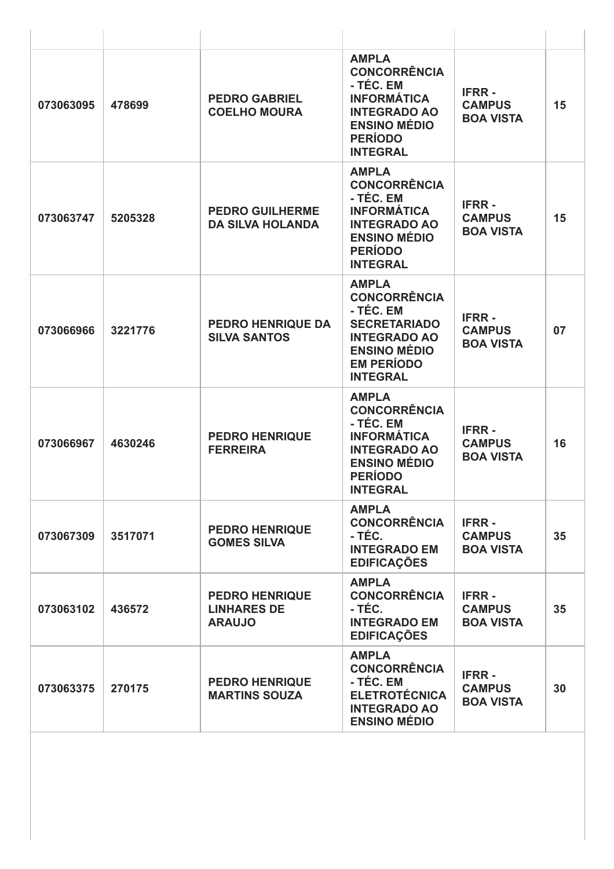| 073063095 | 478699  | <b>PEDRO GABRIEL</b><br><b>COELHO MOURA</b>                  | <b>AMPLA</b><br><b>CONCORRÊNCIA</b><br>- TÉC. EM<br><b>INFORMÁTICA</b><br><b>INTEGRADO AO</b><br><b>ENSINO MÉDIO</b><br><b>PERÍODO</b><br><b>INTEGRAL</b>     | <b>IFRR-</b><br><b>CAMPUS</b><br><b>BOA VISTA</b> | 15 |
|-----------|---------|--------------------------------------------------------------|---------------------------------------------------------------------------------------------------------------------------------------------------------------|---------------------------------------------------|----|
| 073063747 | 5205328 | <b>PEDRO GUILHERME</b><br><b>DA SILVA HOLANDA</b>            | <b>AMPLA</b><br><b>CONCORRÊNCIA</b><br>- TÉC. EM<br><b>INFORMÁTICA</b><br><b>INTEGRADO AO</b><br><b>ENSINO MÉDIO</b><br><b>PERÍODO</b><br><b>INTEGRAL</b>     | <b>IFRR-</b><br><b>CAMPUS</b><br><b>BOA VISTA</b> | 15 |
| 073066966 | 3221776 | <b>PEDRO HENRIQUE DA</b><br><b>SILVA SANTOS</b>              | <b>AMPLA</b><br><b>CONCORRÊNCIA</b><br>- TÉC. EM<br><b>SECRETARIADO</b><br><b>INTEGRADO AO</b><br><b>ENSINO MÉDIO</b><br><b>EM PERÍODO</b><br><b>INTEGRAL</b> | <b>IFRR-</b><br><b>CAMPUS</b><br><b>BOA VISTA</b> | 07 |
| 073066967 | 4630246 | <b>PEDRO HENRIQUE</b><br><b>FERREIRA</b>                     | <b>AMPLA</b><br><b>CONCORRÊNCIA</b><br>- TÉC. EM<br><b>INFORMÁTICA</b><br><b>INTEGRADO AO</b><br><b>ENSINO MÉDIO</b><br><b>PERÍODO</b><br><b>INTEGRAL</b>     | <b>IFRR-</b><br><b>CAMPUS</b><br><b>BOA VISTA</b> | 16 |
| 073067309 | 3517071 | <b>PEDRO HENRIQUE</b><br><b>GOMES SILVA</b>                  | <b>AMPLA</b><br><b>CONCORRÊNCIA</b><br>- TÉC.<br><b>INTEGRADO EM</b><br><b>EDIFICAÇÕES</b>                                                                    | <b>IFRR-</b><br><b>CAMPUS</b><br><b>BOA VISTA</b> | 35 |
| 073063102 | 436572  | <b>PEDRO HENRIQUE</b><br><b>LINHARES DE</b><br><b>ARAUJO</b> | <b>AMPLA</b><br><b>CONCORRÊNCIA</b><br>- TÉC.<br><b>INTEGRADO EM</b><br><b>EDIFICAÇÕES</b>                                                                    | <b>IFRR-</b><br><b>CAMPUS</b><br><b>BOA VISTA</b> | 35 |
| 073063375 | 270175  | <b>PEDRO HENRIQUE</b><br><b>MARTINS SOUZA</b>                | <b>AMPLA</b><br><b>CONCORRÊNCIA</b><br>- TÉC. EM<br><b>ELETROTÉCNICA</b><br><b>INTEGRADO AO</b><br><b>ENSINO MÉDIO</b>                                        | <b>IFRR-</b><br><b>CAMPUS</b><br><b>BOA VISTA</b> | 30 |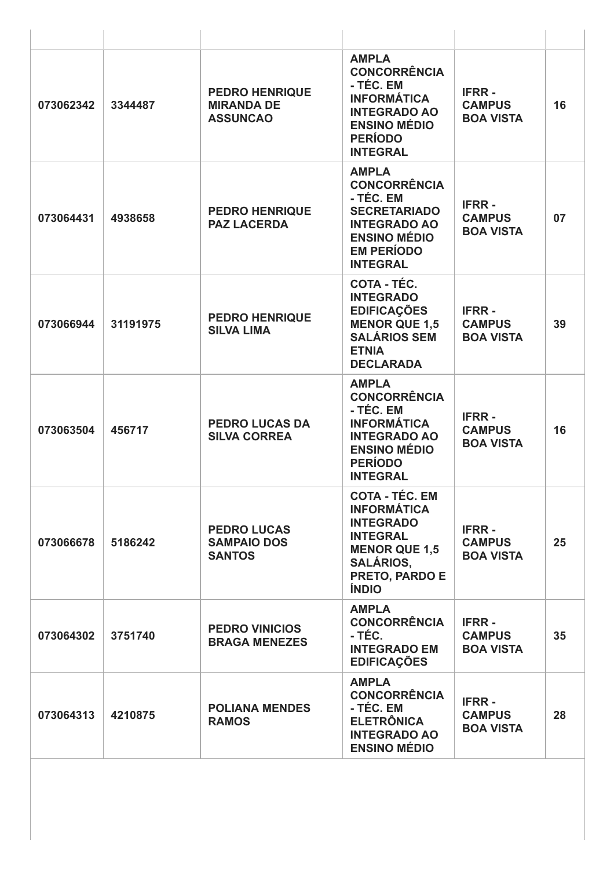| 073062342 | 3344487  | <b>PEDRO HENRIQUE</b><br><b>MIRANDA DE</b><br><b>ASSUNCAO</b> | <b>AMPLA</b><br><b>CONCORRÊNCIA</b><br>- TÉC. EM<br><b>INFORMÁTICA</b><br><b>INTEGRADO AO</b><br><b>ENSINO MÉDIO</b><br><b>PERÍODO</b><br><b>INTEGRAL</b>        | <b>IFRR-</b><br><b>CAMPUS</b><br><b>BOA VISTA</b> | 16 |
|-----------|----------|---------------------------------------------------------------|------------------------------------------------------------------------------------------------------------------------------------------------------------------|---------------------------------------------------|----|
| 073064431 | 4938658  | <b>PEDRO HENRIQUE</b><br><b>PAZ LACERDA</b>                   | <b>AMPLA</b><br><b>CONCORRÊNCIA</b><br>- TÉC. EM<br><b>SECRETARIADO</b><br><b>INTEGRADO AO</b><br><b>ENSINO MÉDIO</b><br><b>EM PERÍODO</b><br><b>INTEGRAL</b>    | <b>IFRR-</b><br><b>CAMPUS</b><br><b>BOA VISTA</b> | 07 |
| 073066944 | 31191975 | <b>PEDRO HENRIQUE</b><br><b>SILVA LIMA</b>                    | COTA - TÉC.<br><b>INTEGRADO</b><br><b>EDIFICAÇÕES</b><br><b>MENOR QUE 1,5</b><br><b>SALÁRIOS SEM</b><br><b>ETNIA</b><br><b>DECLARADA</b>                         | <b>IFRR-</b><br><b>CAMPUS</b><br><b>BOA VISTA</b> | 39 |
| 073063504 | 456717   | <b>PEDRO LUCAS DA</b><br><b>SILVA CORREA</b>                  | <b>AMPLA</b><br><b>CONCORRÊNCIA</b><br>- TÉC. EM<br><b>INFORMÁTICA</b><br><b>INTEGRADO AO</b><br><b>ENSINO MÉDIO</b><br><b>PERÍODO</b><br><b>INTEGRAL</b>        | <b>IFRR-</b><br><b>CAMPUS</b><br><b>BOA VISTA</b> | 16 |
| 073066678 | 5186242  | <b>PEDRO LUCAS</b><br><b>SAMPAIO DOS</b><br><b>SANTOS</b>     | <b>COTA - TEC. EM</b><br><b>INFORMÁTICA</b><br><b>INTEGRADO</b><br><b>INTEGRAL</b><br><b>MENOR QUE 1,5</b><br><b>SALÁRIOS,</b><br>PRETO, PARDO E<br><b>ÍNDIO</b> | <b>IFRR-</b><br><b>CAMPUS</b><br><b>BOA VISTA</b> | 25 |
| 073064302 | 3751740  | <b>PEDRO VINICIOS</b><br><b>BRAGA MENEZES</b>                 | <b>AMPLA</b><br><b>CONCORRÊNCIA</b><br>- TÉC.<br><b>INTEGRADO EM</b><br><b>EDIFICAÇÕES</b>                                                                       | <b>IFRR-</b><br><b>CAMPUS</b><br><b>BOA VISTA</b> | 35 |
| 073064313 | 4210875  | <b>POLIANA MENDES</b><br><b>RAMOS</b>                         | <b>AMPLA</b><br><b>CONCORRÊNCIA</b><br>- TÉC. EM<br><b>ELETRÔNICA</b><br><b>INTEGRADO AO</b><br><b>ENSINO MÉDIO</b>                                              | <b>IFRR-</b><br><b>CAMPUS</b><br><b>BOA VISTA</b> | 28 |
|           |          |                                                               |                                                                                                                                                                  |                                                   |    |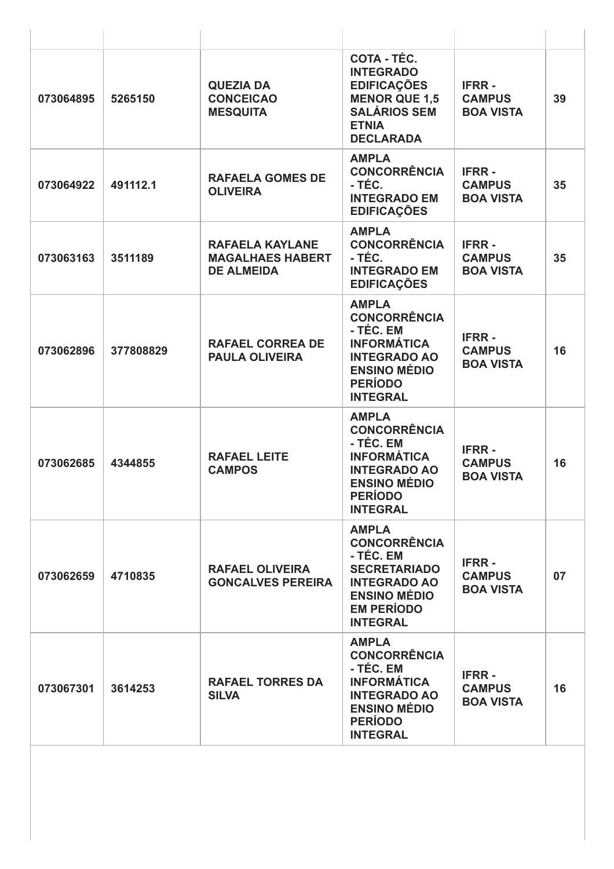| 073064895 | 5265150   | <b>QUEZIA DA</b><br><b>CONCEICAO</b><br><b>MESQUITA</b>                | COTA - TÉC.<br><b>INTEGRADO</b><br><b>EDIFICAÇÕES</b><br><b>MENOR QUE 1,5</b><br><b>SALÁRIOS SEM</b><br><b>ETNIA</b><br><b>DECLARADA</b>                      | <b>IFRR-</b><br><b>CAMPUS</b><br><b>BOA VISTA</b> | 39 |
|-----------|-----------|------------------------------------------------------------------------|---------------------------------------------------------------------------------------------------------------------------------------------------------------|---------------------------------------------------|----|
| 073064922 | 491112.1  | <b>RAFAELA GOMES DE</b><br><b>OLIVEIRA</b>                             | <b>AMPLA</b><br><b>CONCORRÊNCIA</b><br>- TÉC.<br><b>INTEGRADO EM</b><br><b>EDIFICAÇÕES</b>                                                                    | <b>IFRR-</b><br><b>CAMPUS</b><br><b>BOA VISTA</b> | 35 |
| 073063163 | 3511189   | <b>RAFAELA KAYLANE</b><br><b>MAGALHAES HABERT</b><br><b>DE ALMEIDA</b> | <b>AMPLA</b><br><b>CONCORRÊNCIA</b><br>- TÉC.<br><b>INTEGRADO EM</b><br><b>EDIFICAÇÕES</b>                                                                    | <b>IFRR-</b><br><b>CAMPUS</b><br><b>BOA VISTA</b> | 35 |
| 073062896 | 377808829 | <b>RAFAEL CORREA DE</b><br><b>PAULA OLIVEIRA</b>                       | <b>AMPLA</b><br><b>CONCORRÊNCIA</b><br>- TÉC. EM<br><b>INFORMÁTICA</b><br><b>INTEGRADO AO</b><br><b>ENSINO MÉDIO</b><br><b>PERÍODO</b><br><b>INTEGRAL</b>     | <b>IFRR-</b><br><b>CAMPUS</b><br><b>BOA VISTA</b> | 16 |
| 073062685 | 4344855   | <b>RAFAEL LEITE</b><br><b>CAMPOS</b>                                   | <b>AMPLA</b><br><b>CONCORRÊNCIA</b><br>- TÉC. EM<br><b>INFORMÁTICA</b><br><b>INTEGRADO AO</b><br><b>ENSINO MÉDIO</b><br><b>PERÍODO</b><br><b>INTEGRAL</b>     | <b>IFRR-</b><br><b>CAMPUS</b><br><b>BOA VISTA</b> | 16 |
| 073062659 | 4710835   | <b>RAFAEL OLIVEIRA</b><br><b>GONCALVES PEREIRA</b>                     | <b>AMPLA</b><br><b>CONCORRÊNCIA</b><br>- TÉC. EM<br><b>SECRETARIADO</b><br><b>INTEGRADO AO</b><br><b>ENSINO MÉDIO</b><br><b>EM PERÍODO</b><br><b>INTEGRAL</b> | <b>IFRR-</b><br><b>CAMPUS</b><br><b>BOA VISTA</b> | 07 |
| 073067301 | 3614253   | <b>RAFAEL TORRES DA</b><br><b>SILVA</b>                                | <b>AMPLA</b><br><b>CONCORRÊNCIA</b><br>- TÉC. EM<br><b>INFORMÁTICA</b><br><b>INTEGRADO AO</b><br><b>ENSINO MÉDIO</b><br><b>PERÍODO</b><br><b>INTEGRAL</b>     | <b>IFRR-</b><br><b>CAMPUS</b><br><b>BOA VISTA</b> | 16 |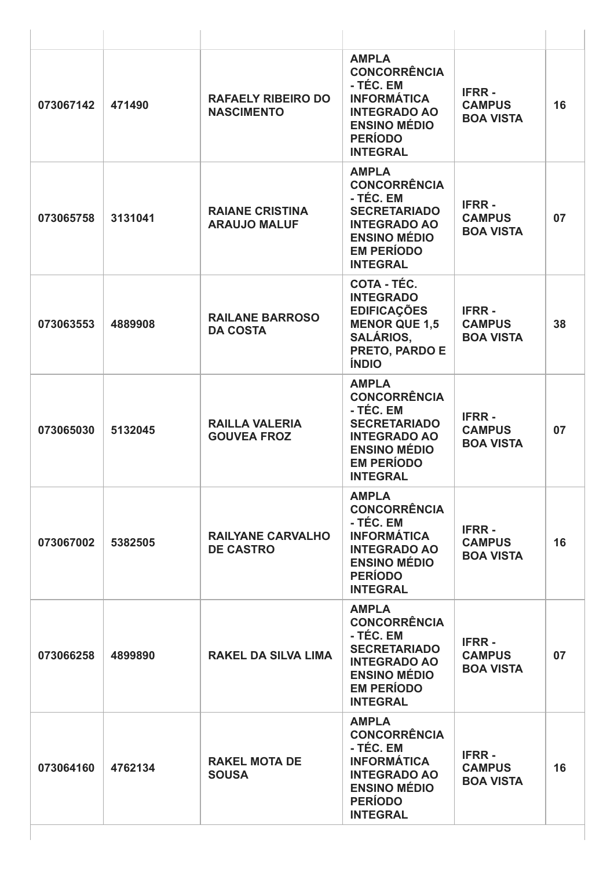| 073067142 | 471490  | <b>RAFAELY RIBEIRO DO</b><br><b>NASCIMENTO</b> | <b>AMPLA</b><br><b>CONCORRÊNCIA</b><br>- TÉC. EM<br><b>INFORMÁTICA</b><br><b>INTEGRADO AO</b><br><b>ENSINO MÉDIO</b><br><b>PERÍODO</b><br><b>INTEGRAL</b>     | <b>IFRR-</b><br><b>CAMPUS</b><br><b>BOA VISTA</b> | 16 |
|-----------|---------|------------------------------------------------|---------------------------------------------------------------------------------------------------------------------------------------------------------------|---------------------------------------------------|----|
| 073065758 | 3131041 | <b>RAIANE CRISTINA</b><br><b>ARAUJO MALUF</b>  | <b>AMPLA</b><br><b>CONCORRÊNCIA</b><br>- TÉC. EM<br><b>SECRETARIADO</b><br><b>INTEGRADO AO</b><br><b>ENSINO MÉDIO</b><br><b>EM PERÍODO</b><br><b>INTEGRAL</b> | <b>IFRR-</b><br><b>CAMPUS</b><br><b>BOA VISTA</b> | 07 |
| 073063553 | 4889908 | <b>RAILANE BARROSO</b><br><b>DA COSTA</b>      | <b>COTA - TÉC.</b><br><b>INTEGRADO</b><br><b>EDIFICAÇÕES</b><br><b>MENOR QUE 1,5</b><br><b>SALÁRIOS,</b><br>PRETO, PARDO E<br><b>ÍNDIO</b>                    | <b>IFRR-</b><br><b>CAMPUS</b><br><b>BOA VISTA</b> | 38 |
| 073065030 | 5132045 | <b>RAILLA VALERIA</b><br><b>GOUVEA FROZ</b>    | <b>AMPLA</b><br><b>CONCORRÊNCIA</b><br>- TÉC. EM<br><b>SECRETARIADO</b><br><b>INTEGRADO AO</b><br><b>ENSINO MÉDIO</b><br><b>EM PERÍODO</b><br><b>INTEGRAL</b> | <b>IFRR-</b><br><b>CAMPUS</b><br><b>BOA VISTA</b> | 07 |
| 073067002 | 5382505 | <b>RAILYANE CARVALHO</b><br><b>DE CASTRO</b>   | <b>AMPLA</b><br><b>CONCORRÊNCIA</b><br>- TÉC. EM<br><b>INFORMÁTICA</b><br><b>INTEGRADO AO</b><br><b>ENSINO MÉDIO</b><br><b>PERÍODO</b><br><b>INTEGRAL</b>     | <b>IFRR-</b><br><b>CAMPUS</b><br><b>BOA VISTA</b> | 16 |
| 073066258 | 4899890 | <b>RAKEL DA SILVA LIMA</b>                     | <b>AMPLA</b><br><b>CONCORRÊNCIA</b><br>- TÉC. EM<br><b>SECRETARIADO</b><br><b>INTEGRADO AO</b><br><b>ENSINO MÉDIO</b><br><b>EM PERÍODO</b><br><b>INTEGRAL</b> | <b>IFRR-</b><br><b>CAMPUS</b><br><b>BOA VISTA</b> | 07 |
| 073064160 | 4762134 | <b>RAKEL MOTA DE</b><br><b>SOUSA</b>           | <b>AMPLA</b><br><b>CONCORRÊNCIA</b><br>- TÉC. EM<br><b>INFORMÁTICA</b><br><b>INTEGRADO AO</b><br><b>ENSINO MÉDIO</b><br><b>PERÍODO</b><br><b>INTEGRAL</b>     | <b>IFRR-</b><br><b>CAMPUS</b><br><b>BOA VISTA</b> | 16 |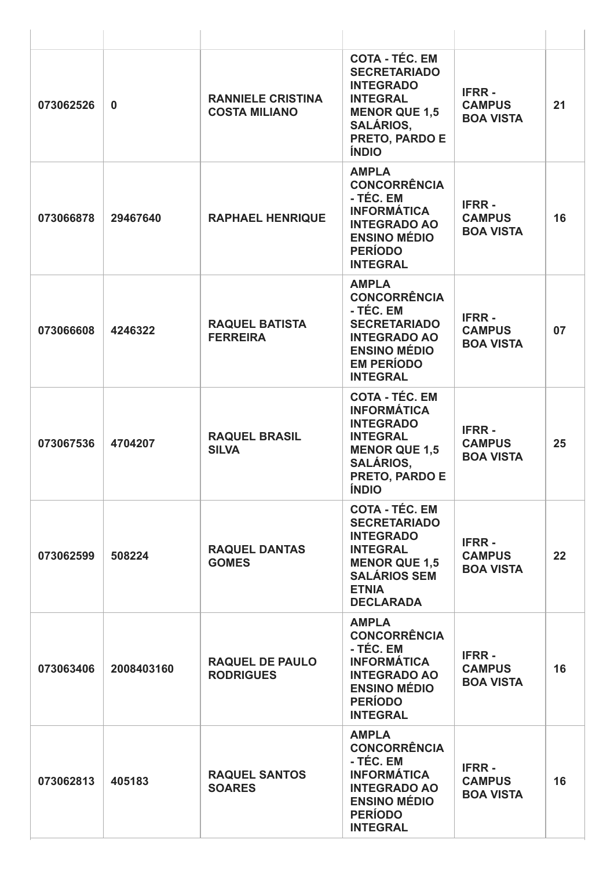| 073062526 | $\bf{0}$   | <b>RANNIELE CRISTINA</b><br><b>COSTA MILIANO</b> | <b>COTA - TÉC. EM</b><br><b>SECRETARIADO</b><br><b>INTEGRADO</b><br><b>INTEGRAL</b><br><b>MENOR QUE 1,5</b><br><b>SALÁRIOS,</b><br><b>PRETO, PARDO E</b><br><b>ÍNDIO</b> | <b>IFRR-</b><br><b>CAMPUS</b><br><b>BOA VISTA</b> | 21 |
|-----------|------------|--------------------------------------------------|--------------------------------------------------------------------------------------------------------------------------------------------------------------------------|---------------------------------------------------|----|
| 073066878 | 29467640   | <b>RAPHAEL HENRIQUE</b>                          | <b>AMPLA</b><br><b>CONCORRÊNCIA</b><br>- TÉC. EM<br><b>INFORMÁTICA</b><br><b>INTEGRADO AO</b><br><b>ENSINO MÉDIO</b><br><b>PERÍODO</b><br><b>INTEGRAL</b>                | <b>IFRR-</b><br><b>CAMPUS</b><br><b>BOA VISTA</b> | 16 |
| 073066608 | 4246322    | <b>RAQUEL BATISTA</b><br><b>FERREIRA</b>         | <b>AMPLA</b><br><b>CONCORRÊNCIA</b><br>- TÉC. EM<br><b>SECRETARIADO</b><br><b>INTEGRADO AO</b><br><b>ENSINO MÉDIO</b><br><b>EM PERÍODO</b><br><b>INTEGRAL</b>            | <b>IFRR-</b><br><b>CAMPUS</b><br><b>BOA VISTA</b> | 07 |
| 073067536 | 4704207    | <b>RAQUEL BRASIL</b><br><b>SILVA</b>             | <b>COTA - TÉC. EM</b><br><b>INFORMÁTICA</b><br><b>INTEGRADO</b><br><b>INTEGRAL</b><br><b>MENOR QUE 1,5</b><br><b>SALÁRIOS,</b><br><b>PRETO, PARDO E</b><br><b>ÍNDIO</b>  | <b>IFRR-</b><br><b>CAMPUS</b><br><b>BOA VISTA</b> | 25 |
| 073062599 | 508224     | <b>RAQUEL DANTAS</b><br><b>GOMES</b>             | <b>COTA - TÉC. EM</b><br><b>SECRETARIADO</b><br><b>INTEGRADO</b><br><b>INTEGRAL</b><br><b>MENOR QUE 1,5</b><br><b>SALÁRIOS SEM</b><br><b>ETNIA</b><br><b>DECLARADA</b>   | <b>IFRR-</b><br><b>CAMPUS</b><br><b>BOA VISTA</b> | 22 |
| 073063406 | 2008403160 | <b>RAQUEL DE PAULO</b><br><b>RODRIGUES</b>       | <b>AMPLA</b><br><b>CONCORRÊNCIA</b><br>- TÉC. EM<br><b>INFORMÁTICA</b><br><b>INTEGRADO AO</b><br><b>ENSINO MÉDIO</b><br><b>PERÍODO</b><br><b>INTEGRAL</b>                | <b>IFRR-</b><br><b>CAMPUS</b><br><b>BOA VISTA</b> | 16 |
| 073062813 | 405183     | <b>RAQUEL SANTOS</b><br><b>SOARES</b>            | <b>AMPLA</b><br><b>CONCORRÊNCIA</b><br>- TÉC. EM<br><b>INFORMÁTICA</b><br><b>INTEGRADO AO</b><br><b>ENSINO MÉDIO</b><br><b>PERÍODO</b><br><b>INTEGRAL</b>                | <b>IFRR-</b><br><b>CAMPUS</b><br><b>BOA VISTA</b> | 16 |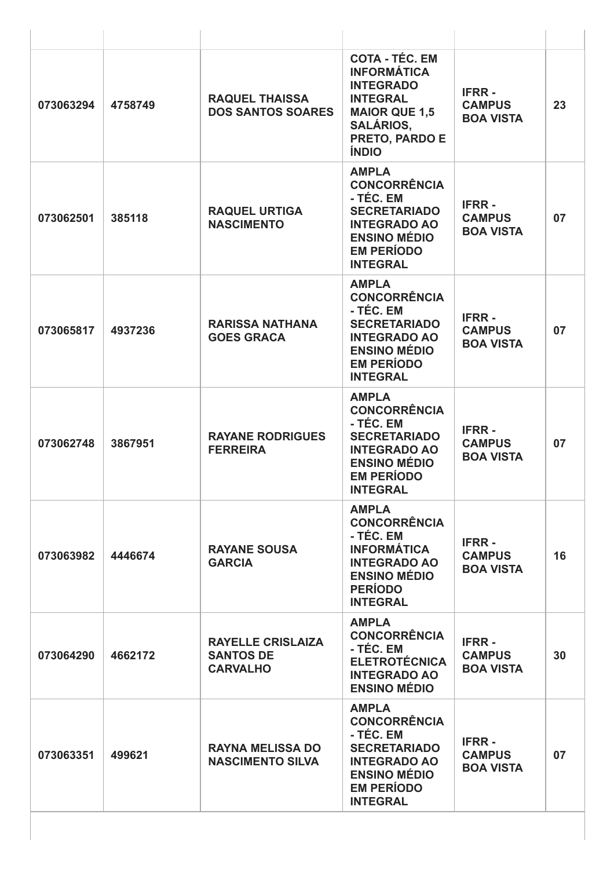| 073063294 | 4758749 | <b>RAQUEL THAISSA</b><br><b>DOS SANTOS SOARES</b>               | <b>COTA - TÉC. EM</b><br><b>INFORMÁTICA</b><br><b>INTEGRADO</b><br><b>INTEGRAL</b><br><b>MAIOR QUE 1,5</b><br><b>SALÁRIOS,</b><br>PRETO, PARDO E<br><b>ÍNDIO</b> | <b>IFRR-</b><br><b>CAMPUS</b><br><b>BOA VISTA</b> | 23 |
|-----------|---------|-----------------------------------------------------------------|------------------------------------------------------------------------------------------------------------------------------------------------------------------|---------------------------------------------------|----|
| 073062501 | 385118  | <b>RAQUEL URTIGA</b><br><b>NASCIMENTO</b>                       | <b>AMPLA</b><br><b>CONCORRÊNCIA</b><br>- TÉC. EM<br><b>SECRETARIADO</b><br><b>INTEGRADO AO</b><br><b>ENSINO MÉDIO</b><br><b>EM PERÍODO</b><br><b>INTEGRAL</b>    | <b>IFRR-</b><br><b>CAMPUS</b><br><b>BOA VISTA</b> | 07 |
| 073065817 | 4937236 | <b>RARISSA NATHANA</b><br><b>GOES GRACA</b>                     | <b>AMPLA</b><br><b>CONCORRÊNCIA</b><br>- TÉC. EM<br><b>SECRETARIADO</b><br><b>INTEGRADO AO</b><br><b>ENSINO MÉDIO</b><br><b>EM PERÍODO</b><br><b>INTEGRAL</b>    | <b>IFRR-</b><br><b>CAMPUS</b><br><b>BOA VISTA</b> | 07 |
| 073062748 | 3867951 | <b>RAYANE RODRIGUES</b><br><b>FERREIRA</b>                      | <b>AMPLA</b><br><b>CONCORRÊNCIA</b><br>- TÉC. EM<br><b>SECRETARIADO</b><br><b>INTEGRADO AO</b><br><b>ENSINO MÉDIO</b><br><b>EM PERÍODO</b><br><b>INTEGRAL</b>    | <b>IFRR-</b><br><b>CAMPUS</b><br><b>BOA VISTA</b> | 07 |
| 073063982 | 4446674 | <b>RAYANE SOUSA</b><br><b>GARCIA</b>                            | <b>AMPLA</b><br><b>CONCORRÊNCIA</b><br>- TÉC. EM<br><b>INFORMÁTICA</b><br><b>INTEGRADO AO</b><br><b>ENSINO MÉDIO</b><br><b>PERÍODO</b><br><b>INTEGRAL</b>        | <b>IFRR-</b><br><b>CAMPUS</b><br><b>BOA VISTA</b> | 16 |
| 073064290 | 4662172 | <b>RAYELLE CRISLAIZA</b><br><b>SANTOS DE</b><br><b>CARVALHO</b> | <b>AMPLA</b><br><b>CONCORRÊNCIA</b><br>- TÉC. EM<br><b>ELETROTÉCNICA</b><br><b>INTEGRADO AO</b><br><b>ENSINO MÉDIO</b>                                           | <b>IFRR-</b><br><b>CAMPUS</b><br><b>BOA VISTA</b> | 30 |
| 073063351 | 499621  | <b>RAYNA MELISSA DO</b><br><b>NASCIMENTO SILVA</b>              | <b>AMPLA</b><br><b>CONCORRÊNCIA</b><br>- TÉC. EM<br><b>SECRETARIADO</b><br><b>INTEGRADO AO</b><br><b>ENSINO MÉDIO</b><br><b>EM PERÍODO</b><br><b>INTEGRAL</b>    | <b>IFRR-</b><br><b>CAMPUS</b><br><b>BOA VISTA</b> | 07 |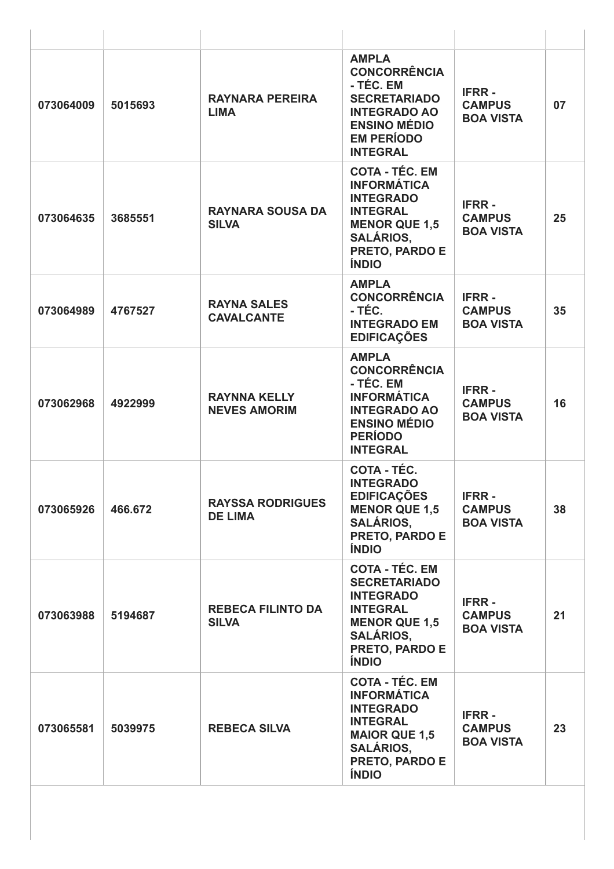| 073064009 | 5015693 | RAYNARA PEREIRA<br><b>LIMA</b>             | <b>AMPLA</b><br><b>CONCORRÊNCIA</b><br>- TÉC. EM<br><b>SECRETARIADO</b><br><b>INTEGRADO AO</b><br><b>ENSINO MÉDIO</b><br><b>EM PERÍODO</b><br><b>INTEGRAL</b>     | <b>IFRR-</b><br><b>CAMPUS</b><br><b>BOA VISTA</b> | 07 |
|-----------|---------|--------------------------------------------|-------------------------------------------------------------------------------------------------------------------------------------------------------------------|---------------------------------------------------|----|
| 073064635 | 3685551 | <b>RAYNARA SOUSA DA</b><br><b>SILVA</b>    | <b>COTA - TÉC. EM</b><br><b>INFORMÁTICA</b><br><b>INTEGRADO</b><br><b>INTEGRAL</b><br><b>MENOR QUE 1,5</b><br><b>SALÁRIOS,</b><br>PRETO, PARDO E<br><b>ÍNDIO</b>  | <b>IFRR-</b><br><b>CAMPUS</b><br><b>BOA VISTA</b> | 25 |
| 073064989 | 4767527 | <b>RAYNA SALES</b><br><b>CAVALCANTE</b>    | <b>AMPLA</b><br><b>CONCORRÊNCIA</b><br>- TÉC.<br><b>INTEGRADO EM</b><br><b>EDIFICAÇÕES</b>                                                                        | <b>IFRR-</b><br><b>CAMPUS</b><br><b>BOA VISTA</b> | 35 |
| 073062968 | 4922999 | <b>RAYNNA KELLY</b><br><b>NEVES AMORIM</b> | <b>AMPLA</b><br><b>CONCORRÊNCIA</b><br>- TÉC. EM<br><b>INFORMÁTICA</b><br><b>INTEGRADO AO</b><br><b>ENSINO MÉDIO</b><br><b>PERÍODO</b><br><b>INTEGRAL</b>         | <b>IFRR-</b><br><b>CAMPUS</b><br><b>BOA VISTA</b> | 16 |
| 073065926 | 466.672 | <b>RAYSSA RODRIGUES</b><br><b>DE LIMA</b>  | COTA - TÉC.<br><b>INTEGRADO</b><br><b>EDIFICAÇÕES</b><br><b>MENOR QUE 1,5</b><br><b>SALÁRIOS,</b><br>PRETO, PARDO E<br><b>ÍNDIO</b>                               | <b>IFRR-</b><br><b>CAMPUS</b><br><b>BOA VISTA</b> | 38 |
| 073063988 | 5194687 | <b>REBECA FILINTO DA</b><br><b>SILVA</b>   | <b>COTA - TÉC. EM</b><br><b>SECRETARIADO</b><br><b>INTEGRADO</b><br><b>INTEGRAL</b><br><b>MENOR QUE 1.5</b><br><b>SALÁRIOS,</b><br>PRETO, PARDO E<br><b>ÍNDIO</b> | <b>IFRR-</b><br><b>CAMPUS</b><br><b>BOA VISTA</b> | 21 |
| 073065581 | 5039975 | <b>REBECA SILVA</b>                        | <b>COTA - TÉC. EM</b><br><b>INFORMÁTICA</b><br><b>INTEGRADO</b><br><b>INTEGRAL</b><br><b>MAIOR QUE 1,5</b><br><b>SALÁRIOS,</b><br>PRETO, PARDO E<br><b>ÍNDIO</b>  | <b>IFRR-</b><br><b>CAMPUS</b><br><b>BOA VISTA</b> | 23 |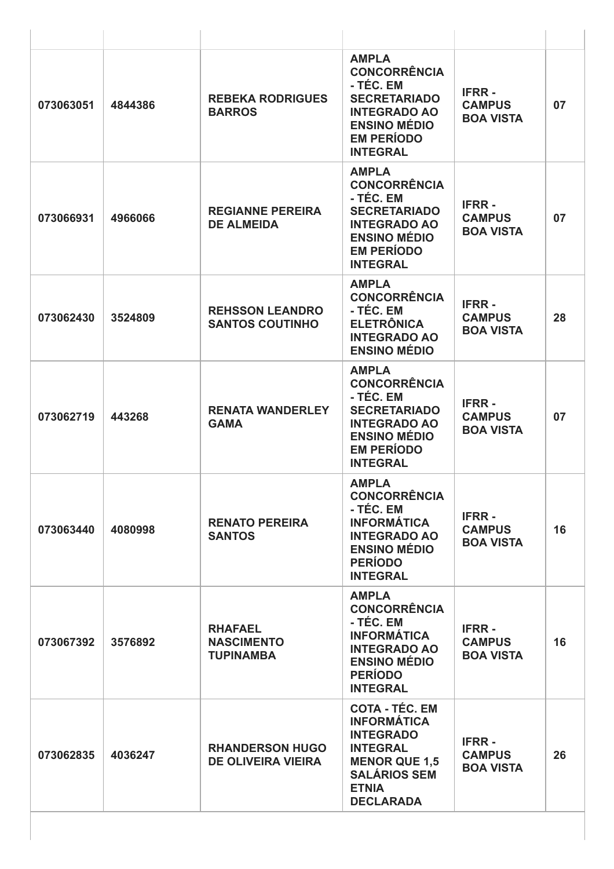| 073063051 | 4844386 | <b>REBEKA RODRIGUES</b><br><b>BARROS</b>                | <b>AMPLA</b><br><b>CONCORRÊNCIA</b><br>- TÉC. EM<br><b>SECRETARIADO</b><br><b>INTEGRADO AO</b><br><b>ENSINO MÉDIO</b><br><b>EM PERÍODO</b><br><b>INTEGRAL</b>         | <b>IFRR-</b><br><b>CAMPUS</b><br><b>BOA VISTA</b> | 07 |
|-----------|---------|---------------------------------------------------------|-----------------------------------------------------------------------------------------------------------------------------------------------------------------------|---------------------------------------------------|----|
| 073066931 | 4966066 | <b>REGIANNE PEREIRA</b><br><b>DE ALMEIDA</b>            | <b>AMPLA</b><br><b>CONCORRÊNCIA</b><br>- TÉC. EM<br><b>SECRETARIADO</b><br><b>INTEGRADO AO</b><br><b>ENSINO MÉDIO</b><br><b>EM PERÍODO</b><br><b>INTEGRAL</b>         | <b>IFRR-</b><br><b>CAMPUS</b><br><b>BOA VISTA</b> | 07 |
| 073062430 | 3524809 | <b>REHSSON LEANDRO</b><br><b>SANTOS COUTINHO</b>        | <b>AMPLA</b><br><b>CONCORRÊNCIA</b><br>- TÉC. EM<br><b>ELETRÔNICA</b><br><b>INTEGRADO AO</b><br><b>ENSINO MÉDIO</b>                                                   | <b>IFRR-</b><br><b>CAMPUS</b><br><b>BOA VISTA</b> | 28 |
| 073062719 | 443268  | <b>RENATA WANDERLEY</b><br><b>GAMA</b>                  | <b>AMPLA</b><br><b>CONCORRÊNCIA</b><br>- TÉC. EM<br><b>SECRETARIADO</b><br><b>INTEGRADO AO</b><br><b>ENSINO MÉDIO</b><br><b>EM PERÍODO</b><br><b>INTEGRAL</b>         | <b>IFRR-</b><br><b>CAMPUS</b><br><b>BOA VISTA</b> | 07 |
| 073063440 | 4080998 | <b>RENATO PEREIRA</b><br><b>SANTOS</b>                  | <b>AMPLA</b><br><b>CONCORRÊNCIA</b><br>- TÉC. EM<br><b>INFORMÁTICA</b><br><b>INTEGRADO AO</b><br><b>ENSINO MÉDIO</b><br><b>PERÍODO</b><br><b>INTEGRAL</b>             | <b>IFRR-</b><br><b>CAMPUS</b><br><b>BOA VISTA</b> | 16 |
| 073067392 | 3576892 | <b>RHAFAEL</b><br><b>NASCIMENTO</b><br><b>TUPINAMBA</b> | <b>AMPLA</b><br><b>CONCORRÊNCIA</b><br>- TÉC. EM<br><b>INFORMÁTICA</b><br><b>INTEGRADO AO</b><br><b>ENSINO MÉDIO</b><br><b>PERÍODO</b><br><b>INTEGRAL</b>             | <b>IFRR-</b><br><b>CAMPUS</b><br><b>BOA VISTA</b> | 16 |
| 073062835 | 4036247 | <b>RHANDERSON HUGO</b><br><b>DE OLIVEIRA VIEIRA</b>     | <b>COTA - TÉC. EM</b><br><b>INFORMÁTICA</b><br><b>INTEGRADO</b><br><b>INTEGRAL</b><br><b>MENOR QUE 1,5</b><br><b>SALÁRIOS SEM</b><br><b>ETNIA</b><br><b>DECLARADA</b> | <b>IFRR-</b><br><b>CAMPUS</b><br><b>BOA VISTA</b> | 26 |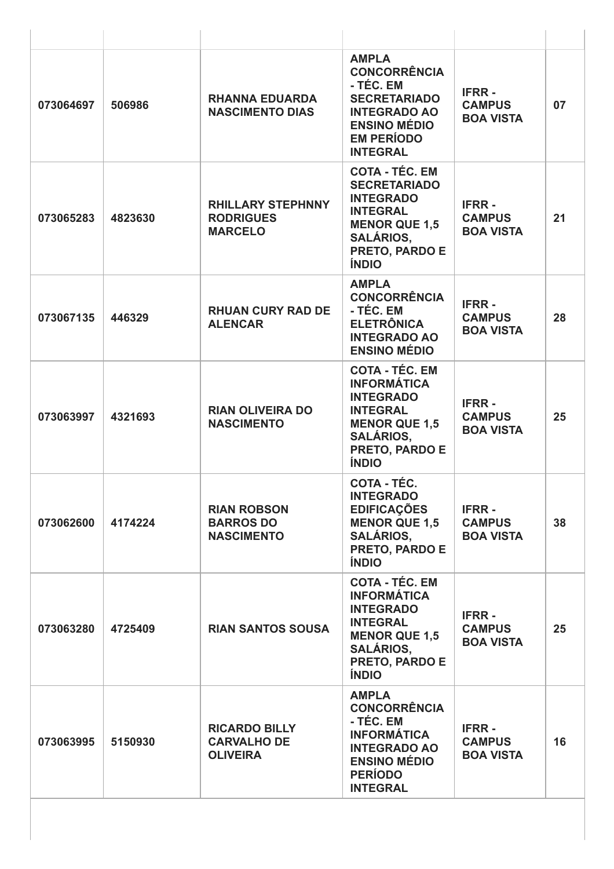| 073064697 | 506986  | <b>RHANNA EDUARDA</b><br><b>NASCIMENTO DIAS</b>                | <b>AMPLA</b><br><b>CONCORRÊNCIA</b><br>- TÉC. EM<br><b>SECRETARIADO</b><br><b>INTEGRADO AO</b><br><b>ENSINO MÉDIO</b><br><b>EM PERÍODO</b><br><b>INTEGRAL</b>           | <b>IFRR-</b><br><b>CAMPUS</b><br><b>BOA VISTA</b> | 07 |
|-----------|---------|----------------------------------------------------------------|-------------------------------------------------------------------------------------------------------------------------------------------------------------------------|---------------------------------------------------|----|
| 073065283 | 4823630 | <b>RHILLARY STEPHNNY</b><br><b>RODRIGUES</b><br><b>MARCELO</b> | <b>COTA - TÉC. EM</b><br><b>SECRETARIADO</b><br><b>INTEGRADO</b><br><b>INTEGRAL</b><br><b>MENOR QUE 1,5</b><br><b>SALÁRIOS.</b><br>PRETO, PARDO E<br><b>ÍNDIO</b>       | <b>IFRR-</b><br><b>CAMPUS</b><br><b>BOA VISTA</b> | 21 |
| 073067135 | 446329  | <b>RHUAN CURY RAD DE</b><br><b>ALENCAR</b>                     | <b>AMPLA</b><br><b>CONCORRÊNCIA</b><br>- TÉC. EM<br><b>ELETRÔNICA</b><br><b>INTEGRADO AO</b><br><b>ENSINO MÉDIO</b>                                                     | <b>IFRR-</b><br><b>CAMPUS</b><br><b>BOA VISTA</b> | 28 |
| 073063997 | 4321693 | <b>RIAN OLIVEIRA DO</b><br><b>NASCIMENTO</b>                   | <b>COTA - TÉC. EM</b><br><b>INFORMÁTICA</b><br><b>INTEGRADO</b><br><b>INTEGRAL</b><br><b>MENOR QUE 1,5</b><br><b>SALÁRIOS,</b><br><b>PRETO, PARDO E</b><br><b>ÍNDIO</b> | <b>IFRR-</b><br><b>CAMPUS</b><br><b>BOA VISTA</b> | 25 |
| 073062600 | 4174224 | <b>RIAN ROBSON</b><br><b>BARROS DO</b><br><b>NASCIMENTO</b>    | <b>COTA - TÉC.</b><br><b>INTEGRADO</b><br><b>EDIFICAÇÕES</b><br><b>MENOR QUE 1,5</b><br><b>SALÁRIOS,</b><br>PRETO, PARDO E<br><b>ÍNDIO</b>                              | <b>IFRR-</b><br><b>CAMPUS</b><br><b>BOA VISTA</b> | 38 |
| 073063280 | 4725409 | <b>RIAN SANTOS SOUSA</b>                                       | <b>COTA - TÉC. EM</b><br><b>INFORMÁTICA</b><br><b>INTEGRADO</b><br><b>INTEGRAL</b><br><b>MENOR QUE 1,5</b><br><b>SALÁRIOS,</b><br>PRETO, PARDO E<br><b>ÍNDIO</b>        | <b>IFRR-</b><br><b>CAMPUS</b><br><b>BOA VISTA</b> | 25 |
| 073063995 | 5150930 | <b>RICARDO BILLY</b><br><b>CARVALHO DE</b><br><b>OLIVEIRA</b>  | <b>AMPLA</b><br><b>CONCORRÊNCIA</b><br>- TÉC. EM<br><b>INFORMÁTICA</b><br><b>INTEGRADO AO</b><br><b>ENSINO MÉDIO</b><br><b>PERÍODO</b><br><b>INTEGRAL</b>               | <b>IFRR-</b><br><b>CAMPUS</b><br><b>BOA VISTA</b> | 16 |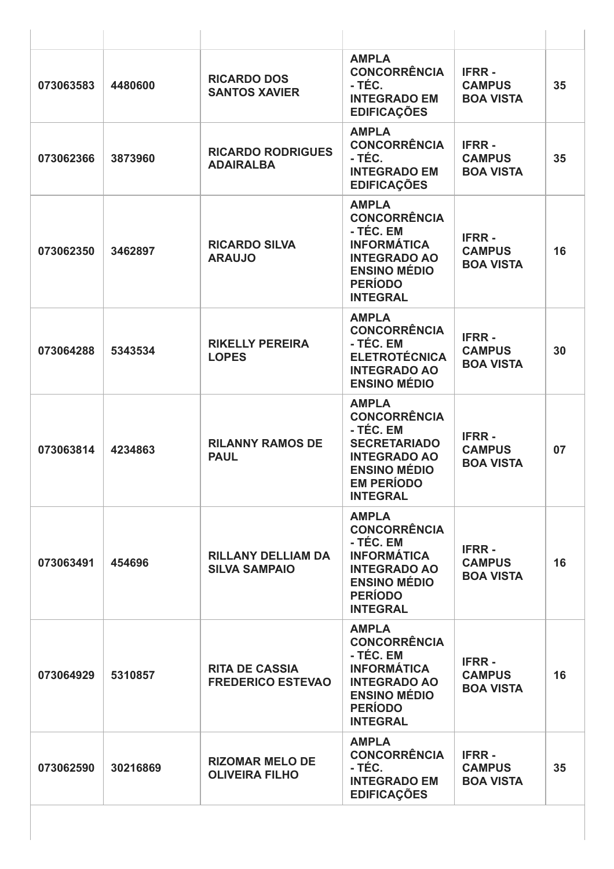| 073063583 | 4480600  | <b>RICARDO DOS</b><br><b>SANTOS XAVIER</b>        | <b>AMPLA</b><br><b>CONCORRÊNCIA</b><br>- TÉC.<br><b>INTEGRADO EM</b><br><b>EDIFICAÇÕES</b>                                                                    | <b>IFRR-</b><br><b>CAMPUS</b><br><b>BOA VISTA</b> | 35 |
|-----------|----------|---------------------------------------------------|---------------------------------------------------------------------------------------------------------------------------------------------------------------|---------------------------------------------------|----|
| 073062366 | 3873960  | <b>RICARDO RODRIGUES</b><br><b>ADAIRALBA</b>      | <b>AMPLA</b><br><b>CONCORRÊNCIA</b><br>- TÉC.<br><b>INTEGRADO EM</b><br><b>EDIFICAÇÕES</b>                                                                    | <b>IFRR-</b><br><b>CAMPUS</b><br><b>BOA VISTA</b> | 35 |
| 073062350 | 3462897  | <b>RICARDO SILVA</b><br><b>ARAUJO</b>             | <b>AMPLA</b><br><b>CONCORRÊNCIA</b><br>- TÉC. EM<br><b>INFORMÁTICA</b><br><b>INTEGRADO AO</b><br><b>ENSINO MÉDIO</b><br><b>PERÍODO</b><br><b>INTEGRAL</b>     | <b>IFRR-</b><br><b>CAMPUS</b><br><b>BOA VISTA</b> | 16 |
| 073064288 | 5343534  | <b>RIKELLY PEREIRA</b><br><b>LOPES</b>            | <b>AMPLA</b><br><b>CONCORRÊNCIA</b><br>- TÉC. EM<br><b>ELETROTÉCNICA</b><br><b>INTEGRADO AO</b><br><b>ENSINO MÉDIO</b>                                        | <b>IFRR-</b><br><b>CAMPUS</b><br><b>BOA VISTA</b> | 30 |
| 073063814 | 4234863  | <b>RILANNY RAMOS DE</b><br><b>PAUL</b>            | <b>AMPLA</b><br><b>CONCORRÊNCIA</b><br>- TÉC. EM<br><b>SECRETARIADO</b><br><b>INTEGRADO AO</b><br><b>ENSINO MÉDIO</b><br><b>EM PERÍODO</b><br><b>INTEGRAL</b> | <b>IFRR-</b><br><b>CAMPUS</b><br><b>BOA VISTA</b> | 07 |
| 073063491 | 454696   | <b>RILLANY DELLIAM DA</b><br><b>SILVA SAMPAIO</b> | <b>AMPLA</b><br><b>CONCORRÊNCIA</b><br>- TÉC. EM<br><b>INFORMÁTICA</b><br><b>INTEGRADO AO</b><br><b>ENSINO MÉDIO</b><br><b>PERÍODO</b><br><b>INTEGRAL</b>     | <b>IFRR-</b><br><b>CAMPUS</b><br><b>BOA VISTA</b> | 16 |
| 073064929 | 5310857  | <b>RITA DE CASSIA</b><br><b>FREDERICO ESTEVAO</b> | <b>AMPLA</b><br><b>CONCORRÊNCIA</b><br>- TÉC. EM<br><b>INFORMÁTICA</b><br><b>INTEGRADO AO</b><br><b>ENSINO MÉDIO</b><br><b>PERÍODO</b><br><b>INTEGRAL</b>     | <b>IFRR-</b><br><b>CAMPUS</b><br><b>BOA VISTA</b> | 16 |
| 073062590 | 30216869 | <b>RIZOMAR MELO DE</b><br><b>OLIVEIRA FILHO</b>   | <b>AMPLA</b><br><b>CONCORRÊNCIA</b><br>- TÉC.<br><b>INTEGRADO EM</b><br><b>EDIFICAÇÕES</b>                                                                    | <b>IFRR-</b><br><b>CAMPUS</b><br><b>BOA VISTA</b> | 35 |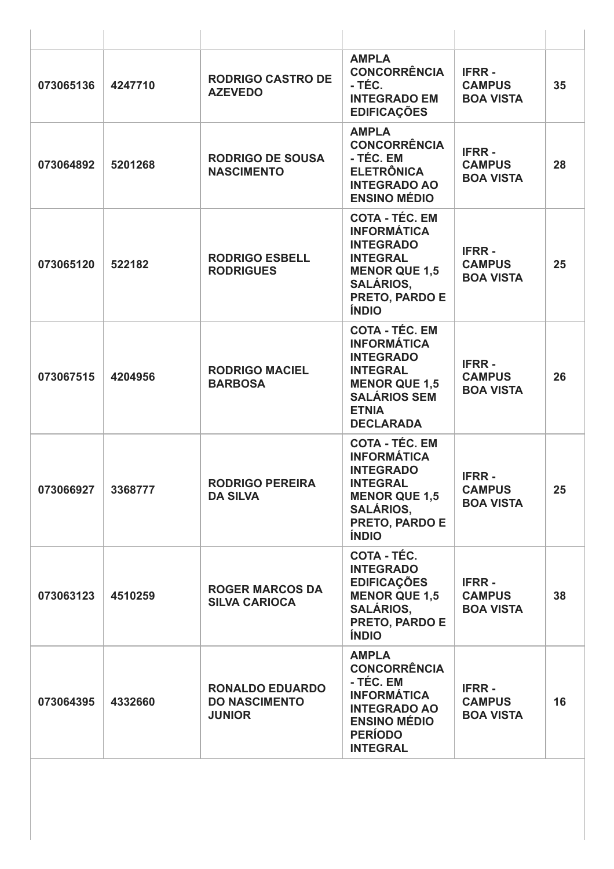| 073065136 | 4247710 | <b>RODRIGO CASTRO DE</b><br><b>AZEVEDO</b>                      | <b>AMPLA</b><br><b>CONCORRÊNCIA</b><br>- TÉC.<br><b>INTEGRADO EM</b><br><b>EDIFICAÇÕES</b>                                                                              | <b>IFRR-</b><br><b>CAMPUS</b><br><b>BOA VISTA</b> | 35 |
|-----------|---------|-----------------------------------------------------------------|-------------------------------------------------------------------------------------------------------------------------------------------------------------------------|---------------------------------------------------|----|
| 073064892 | 5201268 | <b>RODRIGO DE SOUSA</b><br><b>NASCIMENTO</b>                    | <b>AMPLA</b><br><b>CONCORRÊNCIA</b><br>- TÉC. EM<br><b>ELETRÔNICA</b><br><b>INTEGRADO AO</b><br><b>ENSINO MÉDIO</b>                                                     | <b>IFRR-</b><br><b>CAMPUS</b><br><b>BOA VISTA</b> | 28 |
| 073065120 | 522182  | <b>RODRIGO ESBELL</b><br><b>RODRIGUES</b>                       | <b>COTA - TÉC. EM</b><br><b>INFORMÁTICA</b><br><b>INTEGRADO</b><br><b>INTEGRAL</b><br><b>MENOR QUE 1,5</b><br><b>SALÁRIOS,</b><br>PRETO, PARDO E<br><b>ÍNDIO</b>        | <b>IFRR-</b><br><b>CAMPUS</b><br><b>BOA VISTA</b> | 25 |
| 073067515 | 4204956 | <b>RODRIGO MACIEL</b><br><b>BARBOSA</b>                         | <b>COTA - TÉC. EM</b><br><b>INFORMÁTICA</b><br><b>INTEGRADO</b><br><b>INTEGRAL</b><br><b>MENOR QUE 1,5</b><br><b>SALÁRIOS SEM</b><br><b>ETNIA</b><br><b>DECLARADA</b>   | <b>IFRR-</b><br><b>CAMPUS</b><br><b>BOA VISTA</b> | 26 |
| 073066927 | 3368777 | <b>RODRIGO PEREIRA</b><br><b>DA SILVA</b>                       | <b>COTA - TÉC. EM</b><br><b>INFORMÁTICA</b><br><b>INTEGRADO</b><br><b>INTEGRAL</b><br><b>MENOR QUE 1,5</b><br><b>SALÁRIOS,</b><br><b>PRETO, PARDO E</b><br><b>ÍNDIO</b> | <b>IFRR-</b><br><b>CAMPUS</b><br><b>BOA VISTA</b> | 25 |
| 073063123 | 4510259 | <b>ROGER MARCOS DA</b><br><b>SILVA CARIOCA</b>                  | COTA - TÉC.<br><b>INTEGRADO</b><br><b>EDIFICAÇÕES</b><br><b>MENOR QUE 1.5</b><br><b>SALÁRIOS,</b><br><b>PRETO, PARDO E</b><br><b>ÍNDIO</b>                              | <b>IFRR-</b><br><b>CAMPUS</b><br><b>BOA VISTA</b> | 38 |
| 073064395 | 4332660 | <b>RONALDO EDUARDO</b><br><b>DO NASCIMENTO</b><br><b>JUNIOR</b> | <b>AMPLA</b><br><b>CONCORRÊNCIA</b><br>- TÉC. EM<br><b>INFORMÁTICA</b><br><b>INTEGRADO AO</b><br><b>ENSINO MÉDIO</b><br><b>PERÍODO</b><br><b>INTEGRAL</b>               | <b>IFRR-</b><br><b>CAMPUS</b><br><b>BOA VISTA</b> | 16 |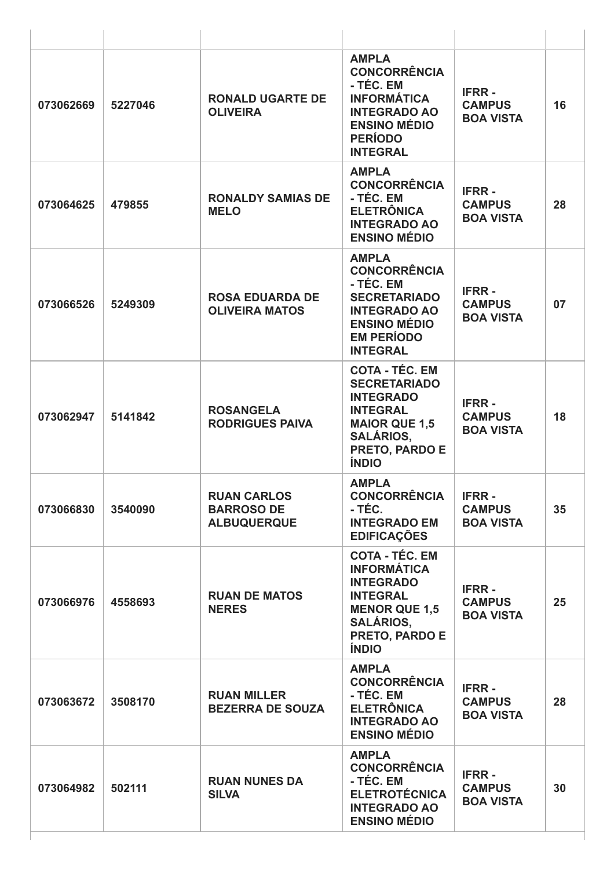| 073062669 | 5227046 | <b>RONALD UGARTE DE</b><br><b>OLIVEIRA</b>                    | <b>AMPLA</b><br><b>CONCORRÊNCIA</b><br>- TÉC. EM<br><b>INFORMÁTICA</b><br><b>INTEGRADO AO</b><br><b>ENSINO MÉDIO</b><br><b>PERÍODO</b><br><b>INTEGRAL</b>                | <b>IFRR-</b><br><b>CAMPUS</b><br><b>BOA VISTA</b> | 16 |
|-----------|---------|---------------------------------------------------------------|--------------------------------------------------------------------------------------------------------------------------------------------------------------------------|---------------------------------------------------|----|
| 073064625 | 479855  | <b>RONALDY SAMIAS DE</b><br><b>MELO</b>                       | <b>AMPLA</b><br><b>CONCORRÊNCIA</b><br>- TÉC. EM<br><b>ELETRÔNICA</b><br><b>INTEGRADO AO</b><br><b>ENSINO MÉDIO</b>                                                      | <b>IFRR-</b><br><b>CAMPUS</b><br><b>BOA VISTA</b> | 28 |
| 073066526 | 5249309 | <b>ROSA EDUARDA DE</b><br><b>OLIVEIRA MATOS</b>               | <b>AMPLA</b><br><b>CONCORRÊNCIA</b><br>- TÉC. EM<br><b>SECRETARIADO</b><br><b>INTEGRADO AO</b><br><b>ENSINO MÉDIO</b><br><b>EM PERÍODO</b><br><b>INTEGRAL</b>            | <b>IFRR-</b><br><b>CAMPUS</b><br><b>BOA VISTA</b> | 07 |
| 073062947 | 5141842 | <b>ROSANGELA</b><br><b>RODRIGUES PAIVA</b>                    | <b>COTA - TÉC. EM</b><br><b>SECRETARIADO</b><br><b>INTEGRADO</b><br><b>INTEGRAL</b><br><b>MAIOR QUE 1,5</b><br><b>SALÁRIOS,</b><br><b>PRETO, PARDO E</b><br><b>ÍNDIO</b> | <b>IFRR-</b><br><b>CAMPUS</b><br><b>BOA VISTA</b> | 18 |
| 073066830 | 3540090 | <b>RUAN CARLOS</b><br><b>BARROSO DE</b><br><b>ALBUQUERQUE</b> | <b>AMPLA</b><br><b>CONCORRÊNCIA</b><br>- TÉC.<br><b>INTEGRADO EM</b><br><b>EDIFICAÇÕES</b>                                                                               | <b>IFRR-</b><br><b>CAMPUS</b><br><b>BOA VISTA</b> | 35 |
| 073066976 | 4558693 | <b>RUAN DE MATOS</b><br><b>NERES</b>                          | <b>COTA - TÉC. EM</b><br><b>INFORMÁTICA</b><br><b>INTEGRADO</b><br><b>INTEGRAL</b><br><b>MENOR QUE 1,5</b><br><b>SALÁRIOS,</b><br><b>PRETO, PARDO E</b><br><b>ÍNDIO</b>  | <b>IFRR-</b><br><b>CAMPUS</b><br><b>BOA VISTA</b> | 25 |
| 073063672 | 3508170 | <b>RUAN MILLER</b><br><b>BEZERRA DE SOUZA</b>                 | <b>AMPLA</b><br><b>CONCORRÊNCIA</b><br>- TÉC. EM<br><b>ELETRÔNICA</b><br><b>INTEGRADO AO</b><br><b>ENSINO MÉDIO</b>                                                      | <b>IFRR-</b><br><b>CAMPUS</b><br><b>BOA VISTA</b> | 28 |
| 073064982 | 502111  | <b>RUAN NUNES DA</b><br><b>SILVA</b>                          | <b>AMPLA</b><br><b>CONCORRÊNCIA</b><br>- TÉC. EM<br><b>ELETROTÉCNICA</b><br><b>INTEGRADO AO</b><br><b>ENSINO MÉDIO</b>                                                   | <b>IFRR-</b><br><b>CAMPUS</b><br><b>BOA VISTA</b> | 30 |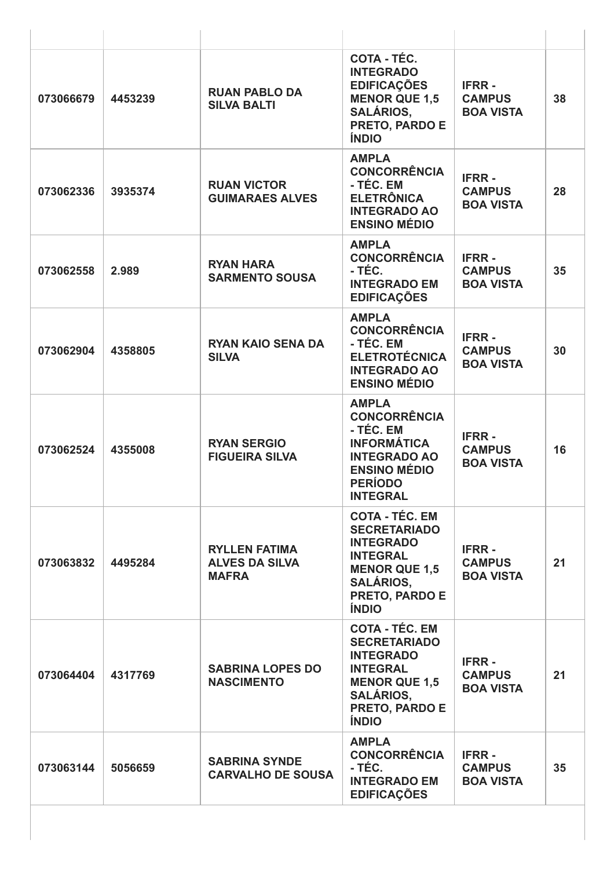| 073066679 | 4453239 | <b>RUAN PABLO DA</b><br><b>SILVA BALTI</b>                    | COTA - TÉC.<br><b>INTEGRADO</b><br><b>EDIFICAÇÕES</b><br><b>MENOR QUE 1,5</b><br><b>SALÁRIOS,</b><br>PRETO, PARDO E<br><b>ÍNDIO</b>                                      | <b>IFRR-</b><br><b>CAMPUS</b><br><b>BOA VISTA</b> | 38 |
|-----------|---------|---------------------------------------------------------------|--------------------------------------------------------------------------------------------------------------------------------------------------------------------------|---------------------------------------------------|----|
| 073062336 | 3935374 | <b>RUAN VICTOR</b><br><b>GUIMARAES ALVES</b>                  | <b>AMPLA</b><br><b>CONCORRÊNCIA</b><br>- TÉC. EM<br><b>ELETRÔNICA</b><br><b>INTEGRADO AO</b><br><b>ENSINO MÉDIO</b>                                                      | <b>IFRR-</b><br><b>CAMPUS</b><br><b>BOA VISTA</b> | 28 |
| 073062558 | 2.989   | <b>RYAN HARA</b><br><b>SARMENTO SOUSA</b>                     | <b>AMPLA</b><br><b>CONCORRÊNCIA</b><br>- TÉC.<br><b>INTEGRADO EM</b><br><b>EDIFICAÇÕES</b>                                                                               | <b>IFRR-</b><br><b>CAMPUS</b><br><b>BOA VISTA</b> | 35 |
| 073062904 | 4358805 | <b>RYAN KAIO SENA DA</b><br><b>SILVA</b>                      | <b>AMPLA</b><br><b>CONCORRÊNCIA</b><br>- TÉC. EM<br><b>ELETROTÉCNICA</b><br><b>INTEGRADO AO</b><br><b>ENSINO MÉDIO</b>                                                   | <b>IFRR-</b><br><b>CAMPUS</b><br><b>BOA VISTA</b> | 30 |
| 073062524 | 4355008 | <b>RYAN SERGIO</b><br><b>FIGUEIRA SILVA</b>                   | <b>AMPLA</b><br><b>CONCORRÊNCIA</b><br>- TÉC. EM<br><b>INFORMÁTICA</b><br><b>INTEGRADO AO</b><br><b>ENSINO MÉDIO</b><br><b>PERÍODO</b><br><b>INTEGRAL</b>                | <b>IFRR-</b><br><b>CAMPUS</b><br><b>BOA VISTA</b> | 16 |
| 073063832 | 4495284 | <b>RYLLEN FATIMA</b><br><b>ALVES DA SILVA</b><br><b>MAFRA</b> | <b>COTA - TÉC. EM</b><br><b>SECRETARIADO</b><br><b>INTEGRADO</b><br><b>INTEGRAL</b><br><b>MENOR QUE 1,5</b><br><b>SALÁRIOS,</b><br><b>PRETO, PARDO E</b><br><b>ÍNDIO</b> | <b>IFRR-</b><br><b>CAMPUS</b><br><b>BOA VISTA</b> | 21 |
| 073064404 | 4317769 | <b>SABRINA LOPES DO</b><br><b>NASCIMENTO</b>                  | <b>COTA - TÉC. EM</b><br><b>SECRETARIADO</b><br><b>INTEGRADO</b><br><b>INTEGRAL</b><br><b>MENOR QUE 1,5</b><br><b>SALÁRIOS,</b><br>PRETO, PARDO E<br><b>ÍNDIO</b>        | <b>IFRR-</b><br><b>CAMPUS</b><br><b>BOA VISTA</b> | 21 |
| 073063144 | 5056659 | <b>SABRINA SYNDE</b><br><b>CARVALHO DE SOUSA</b>              | <b>AMPLA</b><br><b>CONCORRÊNCIA</b><br>- TÉC.<br><b>INTEGRADO EM</b><br><b>EDIFICAÇÕES</b>                                                                               | <b>IFRR-</b><br><b>CAMPUS</b><br><b>BOA VISTA</b> | 35 |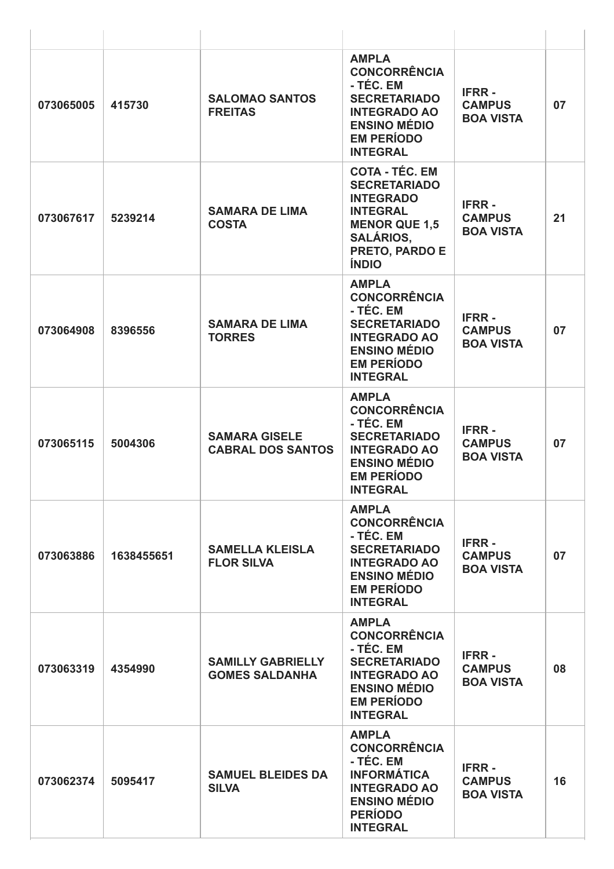| 073065005 | 415730     | <b>SALOMAO SANTOS</b><br><b>FREITAS</b>           | <b>AMPLA</b><br><b>CONCORRÊNCIA</b><br>- TÉC. EM<br><b>SECRETARIADO</b><br><b>INTEGRADO AO</b><br><b>ENSINO MÉDIO</b><br><b>EM PERÍODO</b><br><b>INTEGRAL</b>     | <b>IFRR-</b><br><b>CAMPUS</b><br><b>BOA VISTA</b> | 07 |
|-----------|------------|---------------------------------------------------|-------------------------------------------------------------------------------------------------------------------------------------------------------------------|---------------------------------------------------|----|
| 073067617 | 5239214    | <b>SAMARA DE LIMA</b><br><b>COSTA</b>             | <b>COTA - TÉC. EM</b><br><b>SECRETARIADO</b><br><b>INTEGRADO</b><br><b>INTEGRAL</b><br><b>MENOR QUE 1,5</b><br><b>SALÁRIOS,</b><br>PRETO, PARDO E<br><b>ÍNDIO</b> | <b>IFRR-</b><br><b>CAMPUS</b><br><b>BOA VISTA</b> | 21 |
| 073064908 | 8396556    | <b>SAMARA DE LIMA</b><br><b>TORRES</b>            | <b>AMPLA</b><br><b>CONCORRÊNCIA</b><br>- TÉC. EM<br><b>SECRETARIADO</b><br><b>INTEGRADO AO</b><br><b>ENSINO MÉDIO</b><br><b>EM PERÍODO</b><br><b>INTEGRAL</b>     | <b>IFRR-</b><br><b>CAMPUS</b><br><b>BOA VISTA</b> | 07 |
| 073065115 | 5004306    | <b>SAMARA GISELE</b><br><b>CABRAL DOS SANTOS</b>  | <b>AMPLA</b><br><b>CONCORRÊNCIA</b><br>- TÉC. EM<br><b>SECRETARIADO</b><br><b>INTEGRADO AO</b><br><b>ENSINO MÉDIO</b><br><b>EM PERÍODO</b><br><b>INTEGRAL</b>     | <b>IFRR-</b><br><b>CAMPUS</b><br><b>BOA VISTA</b> | 07 |
| 073063886 | 1638455651 | <b>SAMELLA KLEISLA</b><br><b>FLOR SILVA</b>       | <b>AMPLA</b><br><b>CONCORRÊNCIA</b><br>- TÉC. EM<br><b>SECRETARIADO</b><br><b>INTEGRADO AO</b><br><b>ENSINO MÉDIO</b><br><b>EM PERÍODO</b><br><b>INTEGRAL</b>     | <b>IFRR-</b><br><b>CAMPUS</b><br><b>BOA VISTA</b> | 07 |
| 073063319 | 4354990    | <b>SAMILLY GABRIELLY</b><br><b>GOMES SALDANHA</b> | <b>AMPLA</b><br><b>CONCORRÊNCIA</b><br>- TÉC. EM<br><b>SECRETARIADO</b><br><b>INTEGRADO AO</b><br><b>ENSINO MÉDIO</b><br><b>EM PERÍODO</b><br><b>INTEGRAL</b>     | <b>IFRR-</b><br><b>CAMPUS</b><br><b>BOA VISTA</b> | 08 |
| 073062374 | 5095417    | <b>SAMUEL BLEIDES DA</b><br><b>SILVA</b>          | <b>AMPLA</b><br><b>CONCORRÊNCIA</b><br>- TÉC. EM<br><b>INFORMÁTICA</b><br><b>INTEGRADO AO</b><br><b>ENSINO MÉDIO</b><br><b>PERÍODO</b><br><b>INTEGRAL</b>         | <b>IFRR-</b><br><b>CAMPUS</b><br><b>BOA VISTA</b> | 16 |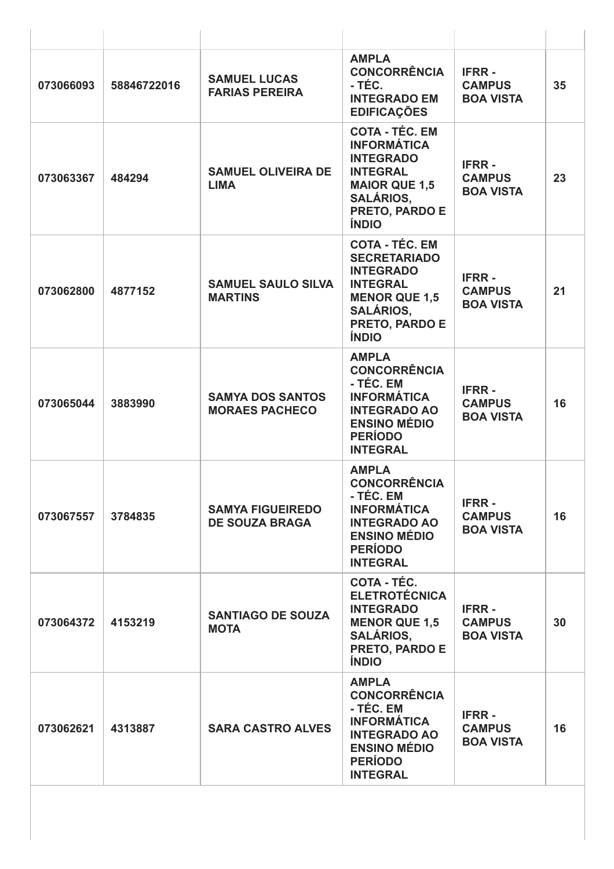| 073066093 | 58846722016 | <b>SAMUEL LUCAS</b><br><b>FARIAS PEREIRA</b>     | <b>AMPLA</b><br><b>CONCORRÊNCIA</b><br>- TÉC.<br><b>INTEGRADO EM</b><br><b>EDIFICAÇÕES</b>                                                                        | <b>IFRR-</b><br><b>CAMPUS</b><br><b>BOA VISTA</b> | 35 |
|-----------|-------------|--------------------------------------------------|-------------------------------------------------------------------------------------------------------------------------------------------------------------------|---------------------------------------------------|----|
| 073063367 | 484294      | <b>SAMUEL OLIVEIRA DE</b><br><b>LIMA</b>         | <b>COTA - TÉC. EM</b><br><b>INFORMÁTICA</b><br><b>INTEGRADO</b><br><b>INTEGRAL</b><br><b>MAIOR QUE 1,5</b><br><b>SALÁRIOS,</b><br>PRETO, PARDO E<br><b>ÍNDIO</b>  | <b>IFRR-</b><br><b>CAMPUS</b><br><b>BOA VISTA</b> | 23 |
| 073062800 | 4877152     | <b>SAMUEL SAULO SILVA</b><br><b>MARTINS</b>      | <b>COTA - TÉC. EM</b><br><b>SECRETARIADO</b><br><b>INTEGRADO</b><br><b>INTEGRAL</b><br><b>MENOR QUE 1,5</b><br><b>SALÁRIOS,</b><br>PRETO, PARDO E<br><b>ÍNDIO</b> | <b>IFRR-</b><br><b>CAMPUS</b><br><b>BOA VISTA</b> | 21 |
| 073065044 | 3883990     | <b>SAMYA DOS SANTOS</b><br><b>MORAES PACHECO</b> | <b>AMPLA</b><br><b>CONCORRÊNCIA</b><br>- TÉC. EM<br><b>INFORMÁTICA</b><br><b>INTEGRADO AO</b><br><b>ENSINO MÉDIO</b><br><b>PERÍODO</b><br><b>INTEGRAL</b>         | <b>IFRR-</b><br><b>CAMPUS</b><br><b>BOA VISTA</b> | 16 |
| 073067557 | 3784835     | <b>SAMYA FIGUEIREDO</b><br><b>DE SOUZA BRAGA</b> | <b>AMPLA</b><br><b>CONCORRÊNCIA</b><br>- TÉC. EM<br><b>INFORMÁTICA</b><br><b>INTEGRADO AO</b><br><b>ENSINO MÉDIO</b><br><b>PERÍODO</b><br><b>INTEGRAL</b>         | <b>IFRR-</b><br><b>CAMPUS</b><br><b>BOA VISTA</b> | 16 |
| 073064372 | 4153219     | <b>SANTIAGO DE SOUZA</b><br><b>MOTA</b>          | COTA - TÉC.<br><b>ELETROTÉCNICA</b><br><b>INTEGRADO</b><br><b>MENOR QUE 1,5</b><br><b>SALÁRIOS,</b><br>PRETO, PARDO E<br><b>ÍNDIO</b>                             | <b>IFRR-</b><br><b>CAMPUS</b><br><b>BOA VISTA</b> | 30 |
| 073062621 | 4313887     | <b>SARA CASTRO ALVES</b>                         | <b>AMPLA</b><br><b>CONCORRÊNCIA</b><br>- TÉC. EM<br><b>INFORMÁTICA</b><br><b>INTEGRADO AO</b><br><b>ENSINO MÉDIO</b><br><b>PERÍODO</b><br><b>INTEGRAL</b>         | <b>IFRR-</b><br><b>CAMPUS</b><br><b>BOA VISTA</b> | 16 |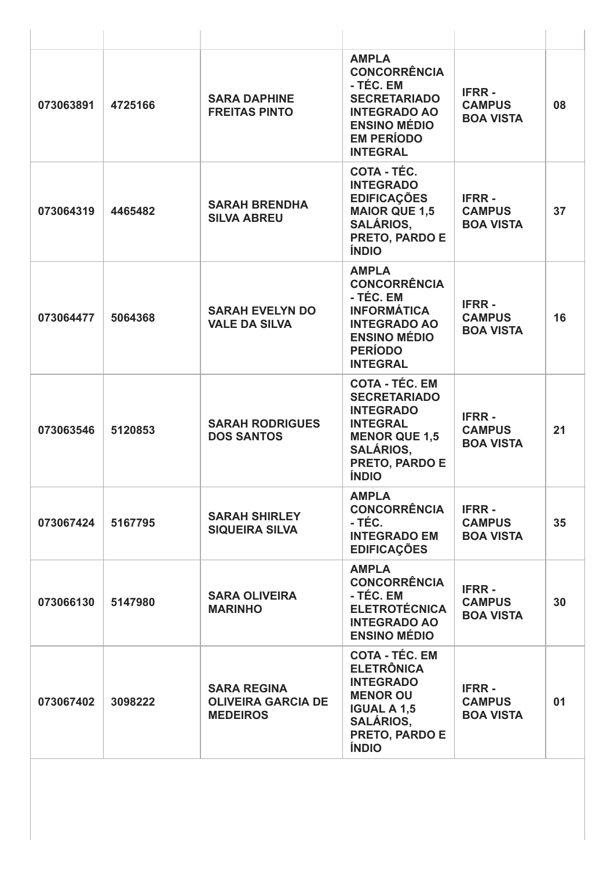| 073063891 | 4725166 | <b>SARA DAPHINE</b><br><b>FREITAS PINTO</b>                        | <b>AMPLA</b><br><b>CONCORRÊNCIA</b><br>- TÉC. EM<br><b>SECRETARIADO</b><br><b>INTEGRADO AO</b><br><b>ENSINO MÉDIO</b><br><b>EM PERÍODO</b><br><b>INTEGRAL</b>     | <b>IFRR-</b><br><b>CAMPUS</b><br><b>BOA VISTA</b> | 08 |
|-----------|---------|--------------------------------------------------------------------|-------------------------------------------------------------------------------------------------------------------------------------------------------------------|---------------------------------------------------|----|
| 073064319 | 4465482 | <b>SARAH BRENDHA</b><br><b>SILVA ABREU</b>                         | COTA - TÉC.<br><b>INTEGRADO</b><br><b>EDIFICAÇÕES</b><br><b>MAIOR QUE 1,5</b><br><b>SALÁRIOS,</b><br>PRETO, PARDO E<br><b>ÍNDIO</b>                               | <b>IFRR-</b><br><b>CAMPUS</b><br><b>BOA VISTA</b> | 37 |
| 073064477 | 5064368 | <b>SARAH EVELYN DO</b><br><b>VALE DA SILVA</b>                     | <b>AMPLA</b><br><b>CONCORRÊNCIA</b><br>- TÉC. EM<br><b>INFORMÁTICA</b><br><b>INTEGRADO AO</b><br><b>ENSINO MÉDIO</b><br><b>PERÍODO</b><br><b>INTEGRAL</b>         | <b>IFRR-</b><br><b>CAMPUS</b><br><b>BOA VISTA</b> | 16 |
| 073063546 | 5120853 | <b>SARAH RODRIGUES</b><br><b>DOS SANTOS</b>                        | <b>COTA - TÉC. EM</b><br><b>SECRETARIADO</b><br><b>INTEGRADO</b><br><b>INTEGRAL</b><br><b>MENOR QUE 1,5</b><br><b>SALÁRIOS,</b><br>PRETO, PARDO E<br><b>ÍNDIO</b> | <b>IFRR-</b><br><b>CAMPUS</b><br><b>BOA VISTA</b> | 21 |
| 073067424 | 5167795 | <b>SARAH SHIRLEY</b><br><b>SIQUEIRA SILVA</b>                      | <b>AMPLA</b><br><b>CONCORRÊNCIA</b><br>- TÉC.<br><b>INTEGRADO EM</b><br><b>EDIFICAÇÕES</b>                                                                        | <b>IFRR-</b><br><b>CAMPUS</b><br><b>BOA VISTA</b> | 35 |
| 073066130 | 5147980 | <b>SARA OLIVEIRA</b><br><b>MARINHO</b>                             | <b>AMPLA</b><br><b>CONCORRÊNCIA</b><br>- TÉC. EM<br><b>ELETROTÉCNICA</b><br><b>INTEGRADO AO</b><br><b>ENSINO MÉDIO</b>                                            | <b>IFRR-</b><br><b>CAMPUS</b><br><b>BOA VISTA</b> | 30 |
| 073067402 | 3098222 | <b>SARA REGINA</b><br><b>OLIVEIRA GARCIA DE</b><br><b>MEDEIROS</b> | <b>COTA - TÉC. EM</b><br><b>ELETRÔNICA</b><br><b>INTEGRADO</b><br><b>MENOR OU</b><br><b>IGUAL A 1,5</b><br><b>SALÁRIOS,</b><br>PRETO, PARDO E<br><b>ÍNDIO</b>     | <b>IFRR-</b><br><b>CAMPUS</b><br><b>BOA VISTA</b> | 01 |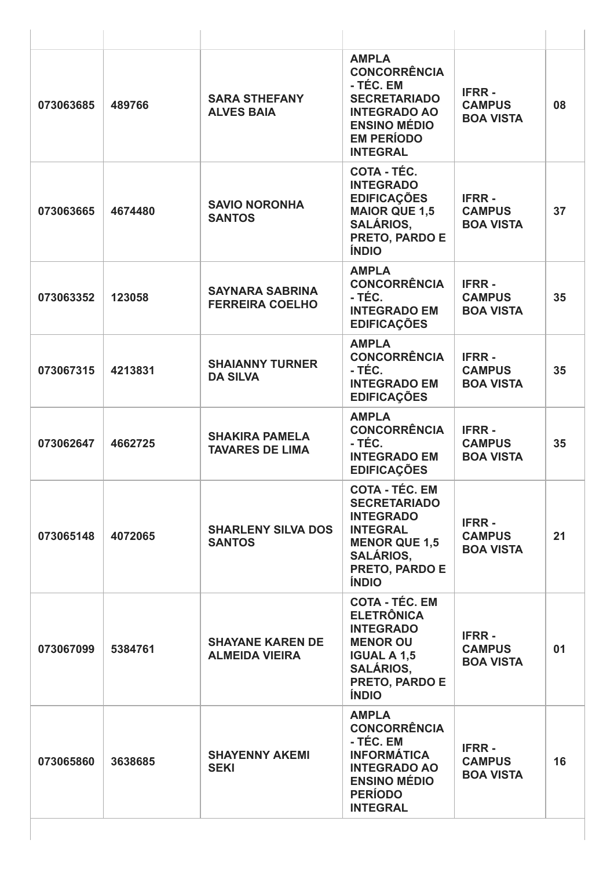| 073063685 | 489766  | <b>SARA STHEFANY</b><br><b>ALVES BAIA</b>        | <b>AMPLA</b><br><b>CONCORRÊNCIA</b><br>- TÉC. EM<br><b>SECRETARIADO</b><br><b>INTEGRADO AO</b><br><b>ENSINO MÉDIO</b><br><b>EM PERÍODO</b><br><b>INTEGRAL</b> | <b>IFRR-</b><br><b>CAMPUS</b><br><b>BOA VISTA</b> | 08 |
|-----------|---------|--------------------------------------------------|---------------------------------------------------------------------------------------------------------------------------------------------------------------|---------------------------------------------------|----|
| 073063665 | 4674480 | <b>SAVIO NORONHA</b><br><b>SANTOS</b>            | COTA - TÉC.<br><b>INTEGRADO</b><br><b>EDIFICAÇÕES</b><br><b>MAIOR QUE 1,5</b><br><b>SALÁRIOS,</b><br>PRETO, PARDO E<br><b>ÍNDIO</b>                           | <b>IFRR-</b><br><b>CAMPUS</b><br><b>BOA VISTA</b> | 37 |
| 073063352 | 123058  | <b>SAYNARA SABRINA</b><br><b>FERREIRA COELHO</b> | <b>AMPLA</b><br><b>CONCORRÊNCIA</b><br>- TÉC.<br><b>INTEGRADO EM</b><br><b>EDIFICAÇÕES</b>                                                                    | <b>IFRR-</b><br><b>CAMPUS</b><br><b>BOA VISTA</b> | 35 |
| 073067315 | 4213831 | <b>SHAIANNY TURNER</b><br><b>DA SILVA</b>        | <b>AMPLA</b><br><b>CONCORRÊNCIA</b><br>- TÉC.<br><b>INTEGRADO EM</b><br><b>EDIFICAÇÕES</b>                                                                    | <b>IFRR-</b><br><b>CAMPUS</b><br><b>BOA VISTA</b> | 35 |
| 073062647 | 4662725 | <b>SHAKIRA PAMELA</b><br><b>TAVARES DE LIMA</b>  | <b>AMPLA</b><br><b>CONCORRÊNCIA</b><br>- TÉC.<br><b>INTEGRADO EM</b><br><b>EDIFICAÇÕES</b>                                                                    | <b>IFRR-</b><br><b>CAMPUS</b><br><b>BOA VISTA</b> | 35 |
| 073065148 | 4072065 | <b>SHARLENY SILVA DOS</b><br><b>SANTOS</b>       | COTA - TÉC. EM<br><b>SECRETARIADO</b><br><b>INTEGRADO</b><br><b>INTEGRAL</b><br><b>MENOR QUE 1,5</b><br><b>SALÁRIOS,</b><br>PRETO, PARDO E<br><b>ÍNDIO</b>    | <b>IFRR-</b><br><b>CAMPUS</b><br><b>BOA VISTA</b> | 21 |
| 073067099 | 5384761 | <b>SHAYANE KAREN DE</b><br><b>ALMEIDA VIEIRA</b> | <b>COTA - TÉC. EM</b><br><b>ELETRÔNICA</b><br><b>INTEGRADO</b><br><b>MENOR OU</b><br><b>IGUAL A 1,5</b><br><b>SALÁRIOS,</b><br>PRETO, PARDO E<br><b>ÍNDIO</b> | <b>IFRR-</b><br><b>CAMPUS</b><br><b>BOA VISTA</b> | 01 |
| 073065860 | 3638685 | <b>SHAYENNY AKEMI</b><br><b>SEKI</b>             | <b>AMPLA</b><br><b>CONCORRÊNCIA</b><br>- TÉC. EM<br><b>INFORMÁTICA</b><br><b>INTEGRADO AO</b><br><b>ENSINO MÉDIO</b><br><b>PERÍODO</b><br><b>INTEGRAL</b>     | <b>IFRR-</b><br><b>CAMPUS</b><br><b>BOA VISTA</b> | 16 |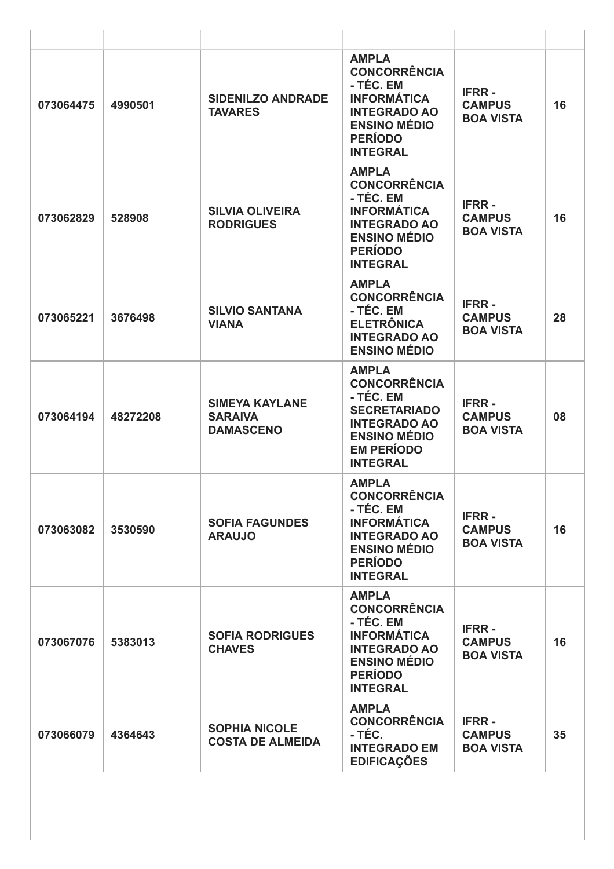| 073064475 | 4990501  | <b>SIDENILZO ANDRADE</b><br><b>TAVARES</b>                  | <b>AMPLA</b><br><b>CONCORRÊNCIA</b><br>- TÉC. EM<br><b>INFORMÁTICA</b><br><b>INTEGRADO AO</b><br><b>ENSINO MÉDIO</b><br><b>PERÍODO</b><br><b>INTEGRAL</b>     | <b>IFRR-</b><br><b>CAMPUS</b><br><b>BOA VISTA</b> | 16 |
|-----------|----------|-------------------------------------------------------------|---------------------------------------------------------------------------------------------------------------------------------------------------------------|---------------------------------------------------|----|
| 073062829 | 528908   | <b>SILVIA OLIVEIRA</b><br><b>RODRIGUES</b>                  | <b>AMPLA</b><br><b>CONCORRÊNCIA</b><br>- TÉC. EM<br><b>INFORMÁTICA</b><br><b>INTEGRADO AO</b><br><b>ENSINO MÉDIO</b><br><b>PERÍODO</b><br><b>INTEGRAL</b>     | <b>IFRR-</b><br><b>CAMPUS</b><br><b>BOA VISTA</b> | 16 |
| 073065221 | 3676498  | <b>SILVIO SANTANA</b><br><b>VIANA</b>                       | <b>AMPLA</b><br><b>CONCORRÊNCIA</b><br>- TÉC. EM<br><b>ELETRÔNICA</b><br><b>INTEGRADO AO</b><br><b>ENSINO MÉDIO</b>                                           | <b>IFRR-</b><br><b>CAMPUS</b><br><b>BOA VISTA</b> | 28 |
| 073064194 | 48272208 | <b>SIMEYA KAYLANE</b><br><b>SARAIVA</b><br><b>DAMASCENO</b> | <b>AMPLA</b><br><b>CONCORRÊNCIA</b><br>- TÉC. EM<br><b>SECRETARIADO</b><br><b>INTEGRADO AO</b><br><b>ENSINO MÉDIO</b><br><b>EM PERÍODO</b><br><b>INTEGRAL</b> | <b>IFRR-</b><br><b>CAMPUS</b><br><b>BOA VISTA</b> | 08 |
| 073063082 | 3530590  | <b>SOFIA FAGUNDES</b><br><b>ARAUJO</b>                      | <b>AMPLA</b><br><b>CONCORRÊNCIA</b><br>- TÉC. EM<br><b>INFORMÁTICA</b><br><b>INTEGRADO AO</b><br><b>ENSINO MÉDIO</b><br><b>PERÍODO</b><br><b>INTEGRAL</b>     | <b>IFRR-</b><br><b>CAMPUS</b><br><b>BOA VISTA</b> | 16 |
| 073067076 | 5383013  | <b>SOFIA RODRIGUES</b><br><b>CHAVES</b>                     | <b>AMPLA</b><br><b>CONCORRÊNCIA</b><br>- TÉC. EM<br><b>INFORMÁTICA</b><br><b>INTEGRADO AO</b><br><b>ENSINO MÉDIO</b><br><b>PERÍODO</b><br><b>INTEGRAL</b>     | <b>IFRR-</b><br><b>CAMPUS</b><br><b>BOA VISTA</b> | 16 |
| 073066079 | 4364643  | <b>SOPHIA NICOLE</b><br><b>COSTA DE ALMEIDA</b>             | <b>AMPLA</b><br><b>CONCORRÊNCIA</b><br>- TÉC.<br><b>INTEGRADO EM</b><br><b>EDIFICAÇÕES</b>                                                                    | <b>IFRR-</b><br><b>CAMPUS</b><br><b>BOA VISTA</b> | 35 |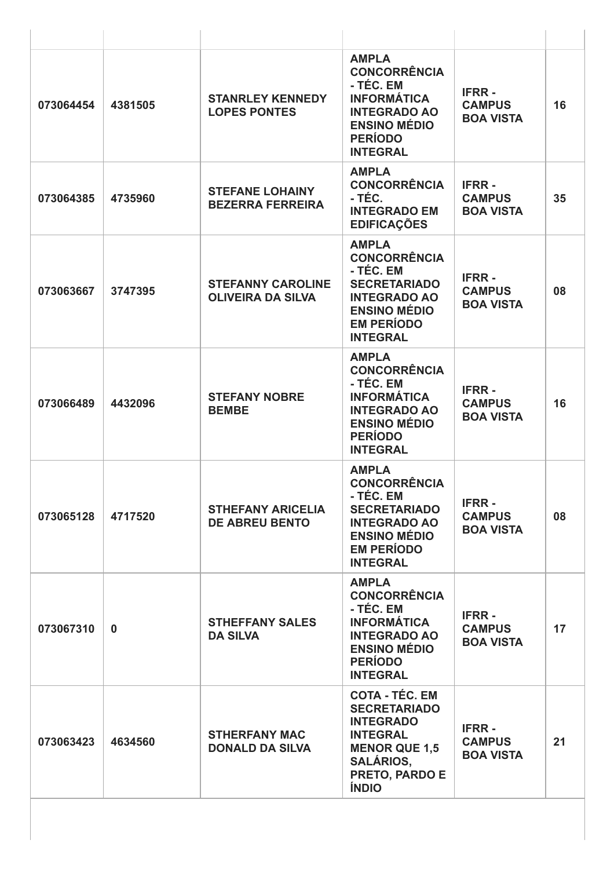| 073064454 | 4381505     | <b>STANRLEY KENNEDY</b><br><b>LOPES PONTES</b>       | <b>AMPLA</b><br><b>CONCORRÊNCIA</b><br>- TÉC. EM<br><b>INFORMÁTICA</b><br><b>INTEGRADO AO</b><br><b>ENSINO MÉDIO</b><br><b>PERÍODO</b><br><b>INTEGRAL</b>         | <b>IFRR-</b><br><b>CAMPUS</b><br><b>BOA VISTA</b> | 16 |
|-----------|-------------|------------------------------------------------------|-------------------------------------------------------------------------------------------------------------------------------------------------------------------|---------------------------------------------------|----|
| 073064385 | 4735960     | <b>STEFANE LOHAINY</b><br><b>BEZERRA FERREIRA</b>    | <b>AMPLA</b><br><b>CONCORRÊNCIA</b><br>- TÉC.<br><b>INTEGRADO EM</b><br><b>EDIFICAÇÕES</b>                                                                        | <b>IFRR-</b><br><b>CAMPUS</b><br><b>BOA VISTA</b> | 35 |
| 073063667 | 3747395     | <b>STEFANNY CAROLINE</b><br><b>OLIVEIRA DA SILVA</b> | <b>AMPLA</b><br><b>CONCORRÊNCIA</b><br>- TÉC. EM<br><b>SECRETARIADO</b><br><b>INTEGRADO AO</b><br><b>ENSINO MÉDIO</b><br><b>EM PERÍODO</b><br><b>INTEGRAL</b>     | <b>IFRR-</b><br><b>CAMPUS</b><br><b>BOA VISTA</b> | 08 |
| 073066489 | 4432096     | <b>STEFANY NOBRE</b><br><b>BEMBE</b>                 | <b>AMPLA</b><br><b>CONCORRÊNCIA</b><br>- TÉC. EM<br><b>INFORMÁTICA</b><br><b>INTEGRADO AO</b><br><b>ENSINO MÉDIO</b><br><b>PERÍODO</b><br><b>INTEGRAL</b>         | <b>IFRR-</b><br><b>CAMPUS</b><br><b>BOA VISTA</b> | 16 |
| 073065128 | 4717520     | <b>STHEFANY ARICELIA</b><br><b>DE ABREU BENTO</b>    | <b>AMPLA</b><br><b>CONCORRÊNCIA</b><br>- TÉC. EM<br><b>SECRETARIADO</b><br><b>INTEGRADO AO</b><br><b>ENSINO MÉDIO</b><br><b>EM PERÍODO</b><br><b>INTEGRAL</b>     | <b>IFRR-</b><br><b>CAMPUS</b><br><b>BOA VISTA</b> | 08 |
| 073067310 | $\mathbf 0$ | <b>STHEFFANY SALES</b><br><b>DA SILVA</b>            | <b>AMPLA</b><br><b>CONCORRÊNCIA</b><br>- TÉC. EM<br><b>INFORMÁTICA</b><br><b>INTEGRADO AO</b><br><b>ENSINO MÉDIO</b><br><b>PERÍODO</b><br><b>INTEGRAL</b>         | <b>IFRR-</b><br><b>CAMPUS</b><br><b>BOA VISTA</b> | 17 |
| 073063423 | 4634560     | <b>STHERFANY MAC</b><br><b>DONALD DA SILVA</b>       | <b>COTA - TÉC. EM</b><br><b>SECRETARIADO</b><br><b>INTEGRADO</b><br><b>INTEGRAL</b><br><b>MENOR QUE 1,5</b><br><b>SALÁRIOS,</b><br>PRETO, PARDO E<br><b>ÍNDIO</b> | <b>IFRR-</b><br><b>CAMPUS</b><br><b>BOA VISTA</b> | 21 |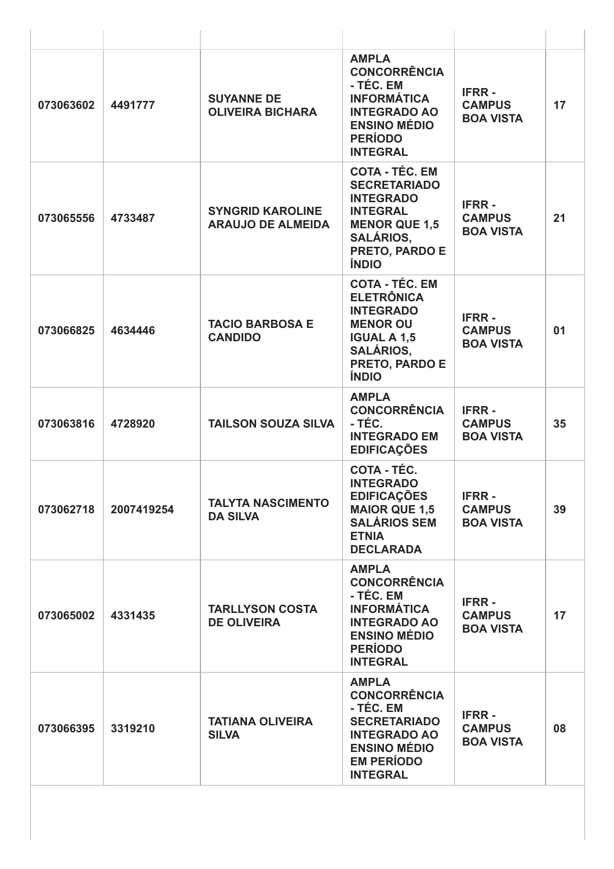| 073063602 | 4491777    | <b>SUYANNE DE</b><br><b>OLIVEIRA BICHARA</b>        | <b>AMPLA</b><br><b>CONCORRÊNCIA</b><br>- TÉC. EM<br><b>INFORMÁTICA</b><br><b>INTEGRADO AO</b><br><b>ENSINO MÉDIO</b><br><b>PERÍODO</b><br><b>INTEGRAL</b>         | <b>IFRR-</b><br><b>CAMPUS</b><br><b>BOA VISTA</b> | 17 |
|-----------|------------|-----------------------------------------------------|-------------------------------------------------------------------------------------------------------------------------------------------------------------------|---------------------------------------------------|----|
| 073065556 | 4733487    | <b>SYNGRID KAROLINE</b><br><b>ARAUJO DE ALMEIDA</b> | <b>COTA - TÉC. EM</b><br><b>SECRETARIADO</b><br><b>INTEGRADO</b><br><b>INTEGRAL</b><br><b>MENOR QUE 1,5</b><br><b>SALÁRIOS,</b><br>PRETO, PARDO E<br><b>ÍNDIO</b> | <b>IFRR-</b><br><b>CAMPUS</b><br><b>BOA VISTA</b> | 21 |
| 073066825 | 4634446    | <b>TACIO BARBOSA E</b><br><b>CANDIDO</b>            | <b>COTA - TÉC. EM</b><br><b>ELETRÔNICA</b><br><b>INTEGRADO</b><br><b>MENOR OU</b><br><b>IGUAL A 1,5</b><br><b>SALÁRIOS,</b><br>PRETO, PARDO E<br><b>ÍNDIO</b>     | <b>IFRR-</b><br><b>CAMPUS</b><br><b>BOA VISTA</b> | 01 |
| 073063816 | 4728920    | <b>TAILSON SOUZA SILVA</b>                          | <b>AMPLA</b><br><b>CONCORRÊNCIA</b><br>- TÉC.<br><b>INTEGRADO EM</b><br><b>EDIFICAÇÕES</b>                                                                        | <b>IFRR-</b><br><b>CAMPUS</b><br><b>BOA VISTA</b> | 35 |
| 073062718 | 2007419254 | <b>TALYTA NASCIMENTO</b><br><b>DA SILVA</b>         | COTA - TÉC.<br><b>INTEGRADO</b><br><b>EDIFICAÇÕES</b><br><b>MAIOR QUE 1,5</b><br><b>SALÁRIOS SEM</b><br><b>ETNIA</b><br><b>DECLARADA</b>                          | <b>IFRR-</b><br><b>CAMPUS</b><br><b>BOA VISTA</b> | 39 |
| 073065002 | 4331435    | <b>TARLLYSON COSTA</b><br><b>DE OLIVEIRA</b>        | <b>AMPLA</b><br><b>CONCORRÊNCIA</b><br>- TÉC. EM<br><b>INFORMÁTICA</b><br><b>INTEGRADO AO</b><br><b>ENSINO MÉDIO</b><br><b>PERÍODO</b><br><b>INTEGRAL</b>         | <b>IFRR-</b><br><b>CAMPUS</b><br><b>BOA VISTA</b> | 17 |
| 073066395 | 3319210    | <b>TATIANA OLIVEIRA</b><br><b>SILVA</b>             | <b>AMPLA</b><br><b>CONCORRÊNCIA</b><br>- TÉC. EM<br><b>SECRETARIADO</b><br><b>INTEGRADO AO</b><br><b>ENSINO MÉDIO</b><br><b>EM PERÍODO</b><br><b>INTEGRAL</b>     | <b>IFRR-</b><br><b>CAMPUS</b><br><b>BOA VISTA</b> | 08 |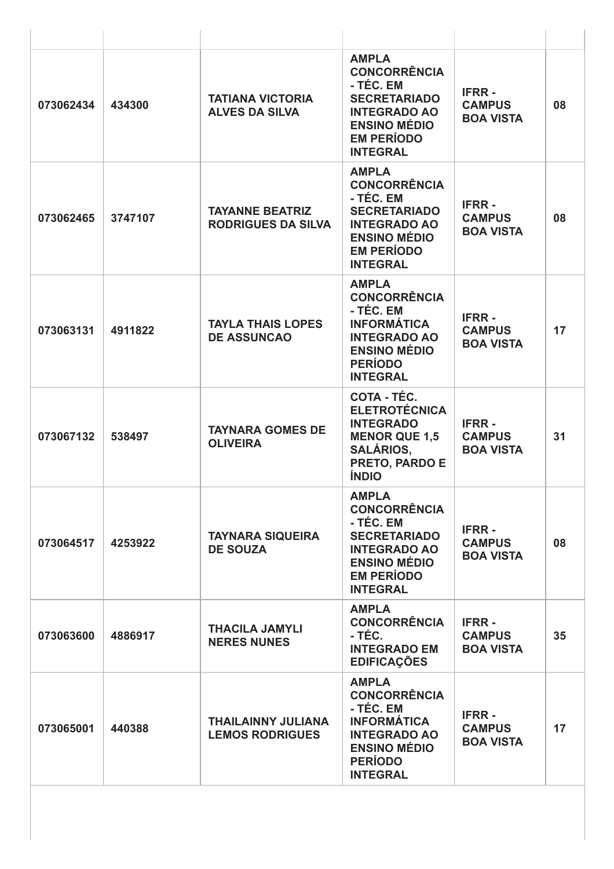| 073062434 | 434300  | <b>TATIANA VICTORIA</b><br><b>ALVES DA SILVA</b>    | <b>AMPLA</b><br><b>CONCORRÊNCIA</b><br>- TÉC. EM<br><b>SECRETARIADO</b><br><b>INTEGRADO AO</b><br><b>ENSINO MÉDIO</b><br><b>EM PERÍODO</b><br><b>INTEGRAL</b> | <b>IFRR-</b><br><b>CAMPUS</b><br><b>BOA VISTA</b> | 08 |
|-----------|---------|-----------------------------------------------------|---------------------------------------------------------------------------------------------------------------------------------------------------------------|---------------------------------------------------|----|
| 073062465 | 3747107 | <b>TAYANNE BEATRIZ</b><br><b>RODRIGUES DA SILVA</b> | <b>AMPLA</b><br><b>CONCORRÊNCIA</b><br>- TÉC. EM<br><b>SECRETARIADO</b><br><b>INTEGRADO AO</b><br><b>ENSINO MÉDIO</b><br><b>EM PERÍODO</b><br><b>INTEGRAL</b> | <b>IFRR-</b><br><b>CAMPUS</b><br><b>BOA VISTA</b> | 08 |
| 073063131 | 4911822 | <b>TAYLA THAIS LOPES</b><br><b>DE ASSUNCAO</b>      | <b>AMPLA</b><br><b>CONCORRÊNCIA</b><br>- TÉC. EM<br><b>INFORMÁTICA</b><br><b>INTEGRADO AO</b><br><b>ENSINO MÉDIO</b><br><b>PERÍODO</b><br><b>INTEGRAL</b>     | <b>IFRR-</b><br><b>CAMPUS</b><br><b>BOA VISTA</b> | 17 |
| 073067132 | 538497  | <b>TAYNARA GOMES DE</b><br><b>OLIVEIRA</b>          | COTA - TÉC.<br><b>ELETROTÉCNICA</b><br><b>INTEGRADO</b><br><b>MENOR QUE 1,5</b><br><b>SALÁRIOS,</b><br>PRETO, PARDO E<br><b>ÍNDIO</b>                         | <b>IFRR-</b><br><b>CAMPUS</b><br><b>BOA VISTA</b> | 31 |
| 073064517 | 4253922 | <b>TAYNARA SIQUEIRA</b><br><b>DE SOUZA</b>          | <b>AMPLA</b><br><b>CONCORRÊNCIA</b><br>- TÉC. EM<br><b>SECRETARIADO</b><br><b>INTEGRADO AO</b><br><b>ENSINO MÉDIO</b><br><b>EM PERÍODO</b><br><b>INTEGRAL</b> | <b>IFRR-</b><br><b>CAMPUS</b><br><b>BOA VISTA</b> | 08 |
| 073063600 | 4886917 | <b>THACILA JAMYLI</b><br><b>NERES NUNES</b>         | <b>AMPLA</b><br><b>CONCORRÊNCIA</b><br>- TÉC.<br><b>INTEGRADO EM</b><br><b>EDIFICAÇÕES</b>                                                                    | <b>IFRR-</b><br><b>CAMPUS</b><br><b>BOA VISTA</b> | 35 |
| 073065001 | 440388  | <b>THAILAINNY JULIANA</b><br><b>LEMOS RODRIGUES</b> | <b>AMPLA</b><br><b>CONCORRÊNCIA</b><br>- TÉC. EM<br><b>INFORMÁTICA</b><br><b>INTEGRADO AO</b><br><b>ENSINO MÉDIO</b><br><b>PERÍODO</b><br><b>INTEGRAL</b>     | <b>IFRR-</b><br><b>CAMPUS</b><br><b>BOA VISTA</b> | 17 |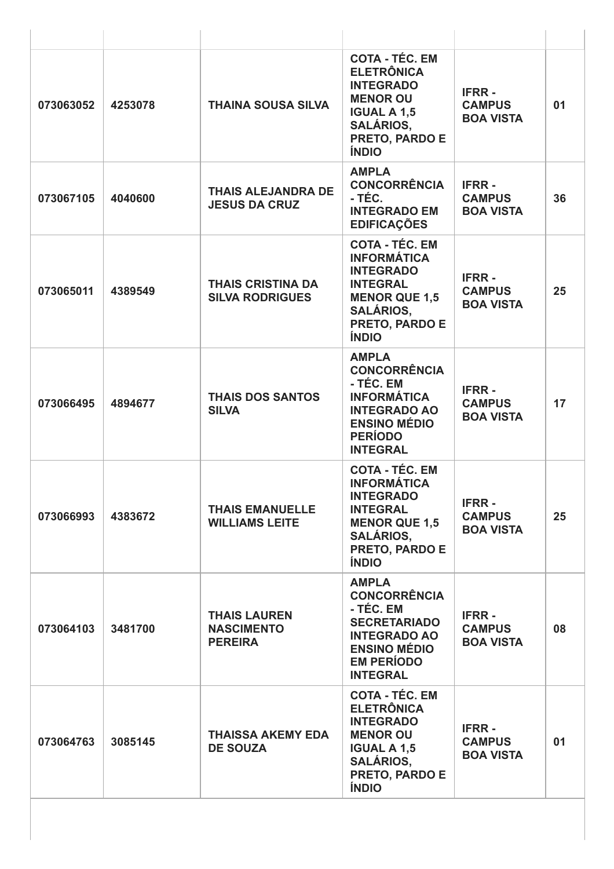| 073063052 | 4253078 | <b>THAINA SOUSA SILVA</b>                                  | <b>COTA - TÉC. EM</b><br><b>ELETRÔNICA</b><br><b>INTEGRADO</b><br><b>MENOR OU</b><br><b>IGUAL A 1,5</b><br><b>SALÁRIOS,</b><br>PRETO, PARDO E<br><b>ÍNDIO</b>    | <b>IFRR-</b><br><b>CAMPUS</b><br><b>BOA VISTA</b> | 01 |
|-----------|---------|------------------------------------------------------------|------------------------------------------------------------------------------------------------------------------------------------------------------------------|---------------------------------------------------|----|
| 073067105 | 4040600 | <b>THAIS ALEJANDRA DE</b><br><b>JESUS DA CRUZ</b>          | <b>AMPLA</b><br><b>CONCORRÊNCIA</b><br>- TÉC.<br><b>INTEGRADO EM</b><br><b>EDIFICAÇÕES</b>                                                                       | <b>IFRR-</b><br><b>CAMPUS</b><br><b>BOA VISTA</b> | 36 |
| 073065011 | 4389549 | <b>THAIS CRISTINA DA</b><br><b>SILVA RODRIGUES</b>         | <b>COTA - TÉC. EM</b><br><b>INFORMÁTICA</b><br><b>INTEGRADO</b><br><b>INTEGRAL</b><br><b>MENOR QUE 1,5</b><br><b>SALÁRIOS,</b><br>PRETO, PARDO E<br><b>ÍNDIO</b> | <b>IFRR-</b><br><b>CAMPUS</b><br><b>BOA VISTA</b> | 25 |
| 073066495 | 4894677 | <b>THAIS DOS SANTOS</b><br><b>SILVA</b>                    | <b>AMPLA</b><br><b>CONCORRÊNCIA</b><br>- TÉC. EM<br><b>INFORMÁTICA</b><br><b>INTEGRADO AO</b><br><b>ENSINO MÉDIO</b><br><b>PERÍODO</b><br><b>INTEGRAL</b>        | <b>IFRR-</b><br><b>CAMPUS</b><br><b>BOA VISTA</b> | 17 |
| 073066993 | 4383672 | <b>THAIS EMANUELLE</b><br><b>WILLIAMS LEITE</b>            | <b>COTA - TÉC. EM</b><br><b>INFORMÁTICA</b><br><b>INTEGRADO</b><br><b>INTEGRAL</b><br><b>MENOR QUE 1,5</b><br><b>SALÁRIOS,</b><br>PRETO, PARDO E<br><b>ÍNDIO</b> | <b>IFRR-</b><br><b>CAMPUS</b><br><b>BOA VISTA</b> | 25 |
| 073064103 | 3481700 | <b>THAIS LAUREN</b><br><b>NASCIMENTO</b><br><b>PEREIRA</b> | <b>AMPLA</b><br><b>CONCORRÊNCIA</b><br>- TÉC. EM<br><b>SECRETARIADO</b><br><b>INTEGRADO AO</b><br><b>ENSINO MÉDIO</b><br><b>EM PERÍODO</b><br><b>INTEGRAL</b>    | <b>IFRR-</b><br><b>CAMPUS</b><br><b>BOA VISTA</b> | 08 |
| 073064763 | 3085145 | <b>THAISSA AKEMY EDA</b><br><b>DE SOUZA</b>                | <b>COTA - TÉC. EM</b><br><b>ELETRÔNICA</b><br><b>INTEGRADO</b><br><b>MENOR OU</b><br><b>IGUAL A 1,5</b><br><b>SALÁRIOS,</b><br>PRETO, PARDO E<br><b>ÍNDIO</b>    | <b>IFRR-</b><br><b>CAMPUS</b><br><b>BOA VISTA</b> | 01 |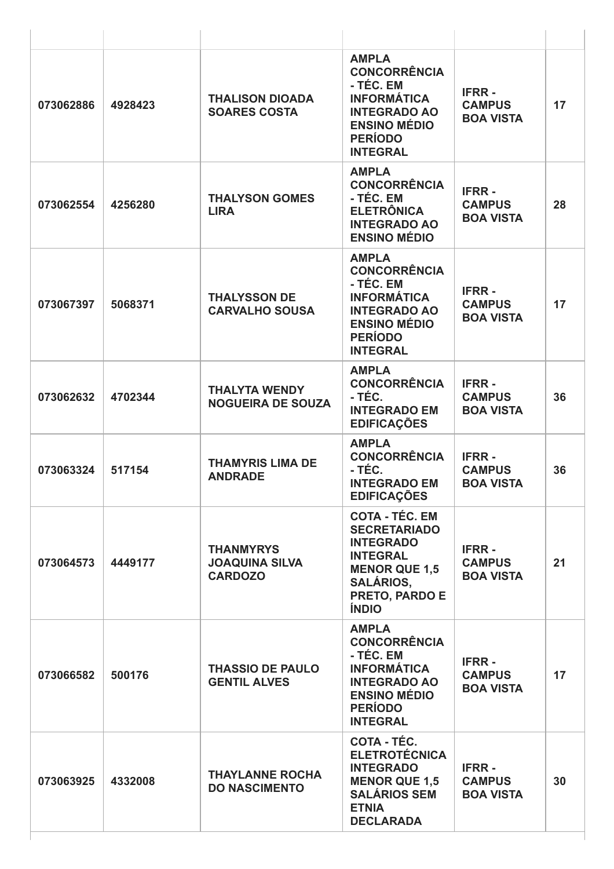| 073062886 | 4928423 | <b>THALISON DIOADA</b><br><b>SOARES COSTA</b>               | <b>AMPLA</b><br><b>CONCORRÊNCIA</b><br>- TÉC. EM<br><b>INFORMÁTICA</b><br><b>INTEGRADO AO</b><br><b>ENSINO MÉDIO</b><br><b>PERÍODO</b><br><b>INTEGRAL</b>         | <b>IFRR-</b><br><b>CAMPUS</b><br><b>BOA VISTA</b> | 17 |
|-----------|---------|-------------------------------------------------------------|-------------------------------------------------------------------------------------------------------------------------------------------------------------------|---------------------------------------------------|----|
| 073062554 | 4256280 | <b>THALYSON GOMES</b><br><b>LIRA</b>                        | <b>AMPLA</b><br><b>CONCORRÊNCIA</b><br>- TÉC. EM<br><b>ELETRÔNICA</b><br><b>INTEGRADO AO</b><br><b>ENSINO MÉDIO</b>                                               | <b>IFRR-</b><br><b>CAMPUS</b><br><b>BOA VISTA</b> | 28 |
| 073067397 | 5068371 | <b>THALYSSON DE</b><br><b>CARVALHO SOUSA</b>                | <b>AMPLA</b><br><b>CONCORRÊNCIA</b><br>- TÉC. EM<br><b>INFORMÁTICA</b><br><b>INTEGRADO AO</b><br><b>ENSINO MÉDIO</b><br><b>PERÍODO</b><br><b>INTEGRAL</b>         | <b>IFRR-</b><br><b>CAMPUS</b><br><b>BOA VISTA</b> | 17 |
| 073062632 | 4702344 | <b>THALYTA WENDY</b><br><b>NOGUEIRA DE SOUZA</b>            | <b>AMPLA</b><br><b>CONCORRÊNCIA</b><br>- TÉC.<br><b>INTEGRADO EM</b><br><b>EDIFICAÇÕES</b>                                                                        | <b>IFRR-</b><br><b>CAMPUS</b><br><b>BOA VISTA</b> | 36 |
| 073063324 | 517154  | <b>THAMYRIS LIMA DE</b><br><b>ANDRADE</b>                   | <b>AMPLA</b><br><b>CONCORRÊNCIA</b><br>- TÉC.<br><b>INTEGRADO EM</b><br><b>EDIFICAÇÕES</b>                                                                        | <b>IFRR-</b><br><b>CAMPUS</b><br><b>BOA VISTA</b> | 36 |
| 073064573 | 4449177 | <b>THANMYRYS</b><br><b>JOAQUINA SILVA</b><br><b>CARDOZO</b> | <b>COTA - TÉC. EM</b><br><b>SECRETARIADO</b><br><b>INTEGRADO</b><br><b>INTEGRAL</b><br><b>MENOR QUE 1,5</b><br><b>SALÁRIOS,</b><br>PRETO, PARDO E<br><b>ÍNDIO</b> | <b>IFRR-</b><br><b>CAMPUS</b><br><b>BOA VISTA</b> | 21 |
| 073066582 | 500176  | <b>THASSIO DE PAULO</b><br><b>GENTIL ALVES</b>              | <b>AMPLA</b><br><b>CONCORRÊNCIA</b><br>- TÉC. EM<br><b>INFORMÁTICA</b><br><b>INTEGRADO AO</b><br><b>ENSINO MÉDIO</b><br><b>PERÍODO</b><br><b>INTEGRAL</b>         | <b>IFRR-</b><br><b>CAMPUS</b><br><b>BOA VISTA</b> | 17 |
| 073063925 | 4332008 | <b>THAYLANNE ROCHA</b><br><b>DO NASCIMENTO</b>              | <b>COTA - TÉC.</b><br><b>ELETROTÉCNICA</b><br><b>INTEGRADO</b><br><b>MENOR QUE 1,5</b><br><b>SALÁRIOS SEM</b><br><b>ETNIA</b><br><b>DECLARADA</b>                 | <b>IFRR-</b><br><b>CAMPUS</b><br><b>BOA VISTA</b> | 30 |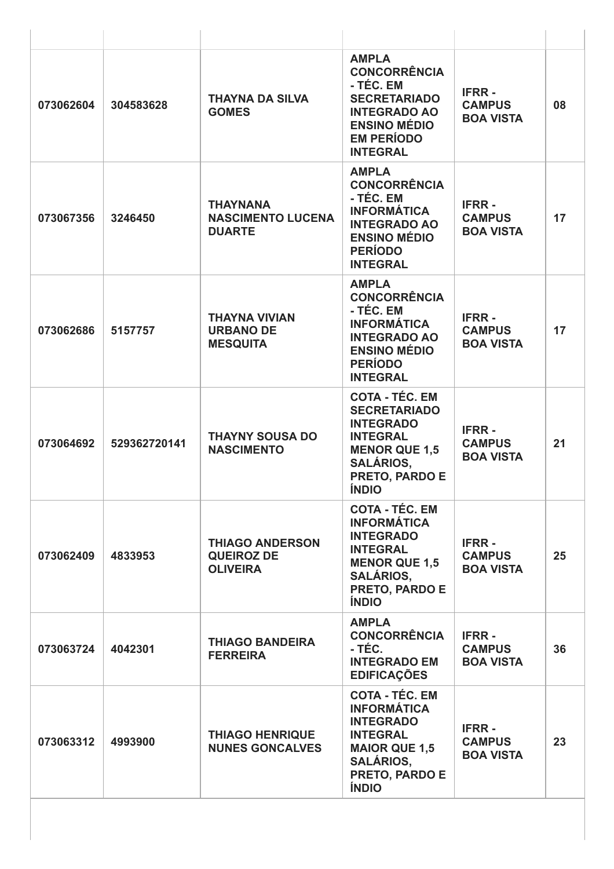| 073062604 | 304583628    | <b>THAYNA DA SILVA</b><br><b>GOMES</b>                         | <b>AMPLA</b><br><b>CONCORRÊNCIA</b><br>- TÉC. EM<br><b>SECRETARIADO</b><br><b>INTEGRADO AO</b><br><b>ENSINO MÉDIO</b><br><b>EM PERÍODO</b><br><b>INTEGRAL</b>            | <b>IFRR-</b><br><b>CAMPUS</b><br><b>BOA VISTA</b> | 08 |
|-----------|--------------|----------------------------------------------------------------|--------------------------------------------------------------------------------------------------------------------------------------------------------------------------|---------------------------------------------------|----|
| 073067356 | 3246450      | <b>THAYNANA</b><br><b>NASCIMENTO LUCENA</b><br><b>DUARTE</b>   | <b>AMPLA</b><br><b>CONCORRÊNCIA</b><br>- TÉC. EM<br><b>INFORMÁTICA</b><br><b>INTEGRADO AO</b><br><b>ENSINO MÉDIO</b><br><b>PERÍODO</b><br><b>INTEGRAL</b>                | <b>IFRR-</b><br><b>CAMPUS</b><br><b>BOA VISTA</b> | 17 |
| 073062686 | 5157757      | <b>THAYNA VIVIAN</b><br><b>URBANO DE</b><br><b>MESQUITA</b>    | <b>AMPLA</b><br><b>CONCORRÊNCIA</b><br>- TÉC. EM<br><b>INFORMÁTICA</b><br><b>INTEGRADO AO</b><br><b>ENSINO MÉDIO</b><br><b>PERÍODO</b><br><b>INTEGRAL</b>                | <b>IFRR-</b><br><b>CAMPUS</b><br><b>BOA VISTA</b> | 17 |
| 073064692 | 529362720141 | <b>THAYNY SOUSA DO</b><br><b>NASCIMENTO</b>                    | <b>COTA - TÉC. EM</b><br><b>SECRETARIADO</b><br><b>INTEGRADO</b><br><b>INTEGRAL</b><br><b>MENOR QUE 1,5</b><br><b>SALÁRIOS,</b><br><b>PRETO, PARDO E</b><br><b>INDIO</b> | <b>IFRR-</b><br><b>CAMPUS</b><br><b>BOA VISTA</b> | 21 |
| 073062409 | 4833953      | <b>THIAGO ANDERSON</b><br><b>QUEIROZ DE</b><br><b>OLIVEIRA</b> | <b>COTA - TÉC. EM</b><br><b>INFORMÁTICA</b><br><b>INTEGRADO</b><br><b>INTEGRAL</b><br><b>MENOR QUE 1,5</b><br><b>SALÁRIOS,</b><br>PRETO, PARDO E<br><b>ÍNDIO</b>         | <b>IFRR-</b><br><b>CAMPUS</b><br><b>BOA VISTA</b> | 25 |
| 073063724 | 4042301      | <b>THIAGO BANDEIRA</b><br><b>FERREIRA</b>                      | <b>AMPLA</b><br><b>CONCORRÊNCIA</b><br>- TÉC.<br><b>INTEGRADO EM</b><br><b>EDIFICAÇÕES</b>                                                                               | <b>IFRR-</b><br><b>CAMPUS</b><br><b>BOA VISTA</b> | 36 |
| 073063312 | 4993900      | <b>THIAGO HENRIQUE</b><br><b>NUNES GONCALVES</b>               | <b>COTA - TÉC. EM</b><br><b>INFORMÁTICA</b><br><b>INTEGRADO</b><br><b>INTEGRAL</b><br><b>MAIOR QUE 1,5</b><br><b>SALÁRIOS,</b><br>PRETO, PARDO E<br><b>ÍNDIO</b>         | <b>IFRR-</b><br><b>CAMPUS</b><br><b>BOA VISTA</b> | 23 |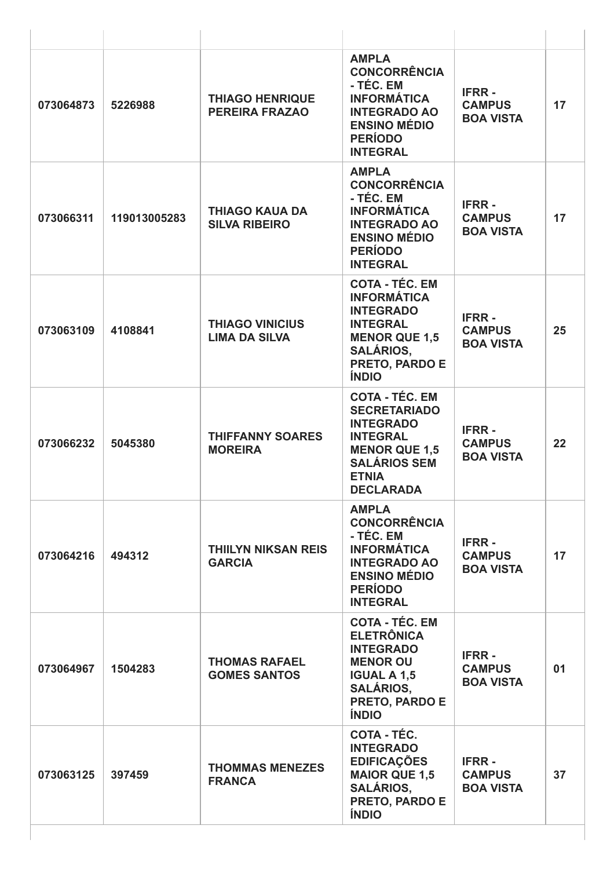| 073064873 | 5226988      | <b>THIAGO HENRIQUE</b><br><b>PEREIRA FRAZAO</b> | <b>AMPLA</b><br><b>CONCORRÊNCIA</b><br>- TÉC. EM<br><b>INFORMÁTICA</b><br><b>INTEGRADO AO</b><br><b>ENSINO MÉDIO</b><br><b>PERÍODO</b><br><b>INTEGRAL</b>              | <b>IFRR-</b><br><b>CAMPUS</b><br><b>BOA VISTA</b> | 17 |
|-----------|--------------|-------------------------------------------------|------------------------------------------------------------------------------------------------------------------------------------------------------------------------|---------------------------------------------------|----|
| 073066311 | 119013005283 | <b>THIAGO KAUA DA</b><br><b>SILVA RIBEIRO</b>   | <b>AMPLA</b><br><b>CONCORRÊNCIA</b><br>- TÉC. EM<br><b>INFORMÁTICA</b><br><b>INTEGRADO AO</b><br><b>ENSINO MÉDIO</b><br><b>PERÍODO</b><br><b>INTEGRAL</b>              | <b>IFRR-</b><br><b>CAMPUS</b><br><b>BOA VISTA</b> | 17 |
| 073063109 | 4108841      | <b>THIAGO VINICIUS</b><br><b>LIMA DA SILVA</b>  | <b>COTA - TÉC. EM</b><br><b>INFORMÁTICA</b><br><b>INTEGRADO</b><br><b>INTEGRAL</b><br><b>MENOR QUE 1,5</b><br><b>SALÁRIOS,</b><br>PRETO, PARDO E<br><b>ÍNDIO</b>       | <b>IFRR-</b><br><b>CAMPUS</b><br><b>BOA VISTA</b> | 25 |
| 073066232 | 5045380      | <b>THIFFANNY SOARES</b><br><b>MOREIRA</b>       | <b>COTA - TÉC. EM</b><br><b>SECRETARIADO</b><br><b>INTEGRADO</b><br><b>INTEGRAL</b><br><b>MENOR QUE 1,5</b><br><b>SALÁRIOS SEM</b><br><b>ETNIA</b><br><b>DECLARADA</b> | <b>IFRR-</b><br><b>CAMPUS</b><br><b>BOA VISTA</b> | 22 |
| 073064216 | 494312       | <b>THIILYN NIKSAN REIS</b><br><b>GARCIA</b>     | <b>AMPLA</b><br><b>CONCORRÊNCIA</b><br>- TÉC. EM<br><b>INFORMÁTICA</b><br><b>INTEGRADO AO</b><br><b>ENSINO MÉDIO</b><br><b>PERÍODO</b><br><b>INTEGRAL</b>              | <b>IFRR-</b><br><b>CAMPUS</b><br><b>BOA VISTA</b> | 17 |
| 073064967 | 1504283      | <b>THOMAS RAFAEL</b><br><b>GOMES SANTOS</b>     | <b>COTA - TÉC. EM</b><br><b>ELETRÔNICA</b><br><b>INTEGRADO</b><br><b>MENOR OU</b><br><b>IGUAL A 1,5</b><br><b>SALÁRIOS,</b><br>PRETO, PARDO E<br><b>ÍNDIO</b>          | <b>IFRR-</b><br><b>CAMPUS</b><br><b>BOA VISTA</b> | 01 |
| 073063125 | 397459       | <b>THOMMAS MENEZES</b><br><b>FRANCA</b>         | <b>COTA - TÉC.</b><br><b>INTEGRADO</b><br><b>EDIFICAÇÕES</b><br><b>MAIOR QUE 1,5</b><br><b>SALÁRIOS,</b><br>PRETO, PARDO E<br><b>ÍNDIO</b>                             | <b>IFRR-</b><br><b>CAMPUS</b><br><b>BOA VISTA</b> | 37 |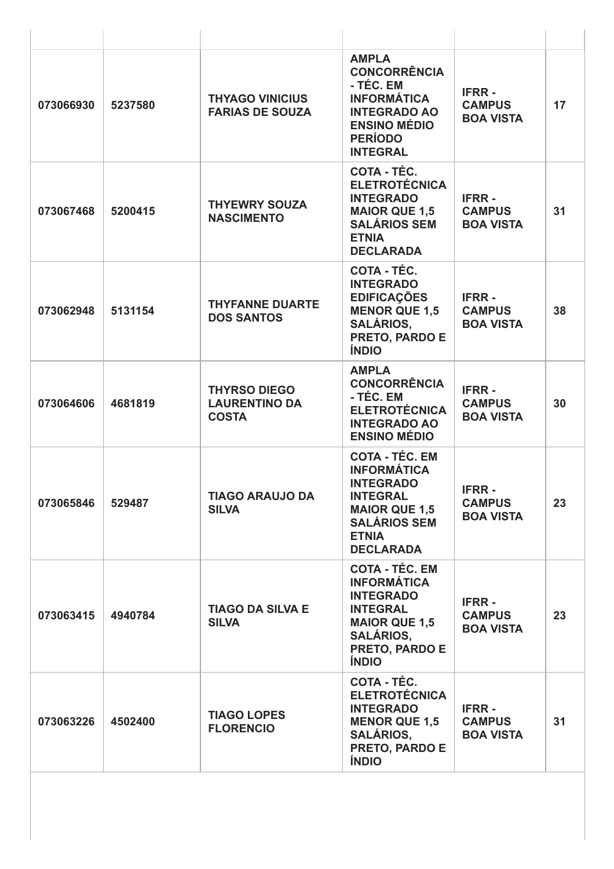| 073066930 | 5237580 | <b>THYAGO VINICIUS</b><br><b>FARIAS DE SOUZA</b>            | <b>AMPLA</b><br><b>CONCORRÊNCIA</b><br>- TÉC. EM<br><b>INFORMÁTICA</b><br><b>INTEGRADO AO</b><br><b>ENSINO MÉDIO</b><br><b>PERÍODO</b><br><b>INTEGRAL</b>               | <b>IFRR-</b><br><b>CAMPUS</b><br><b>BOA VISTA</b> | 17 |
|-----------|---------|-------------------------------------------------------------|-------------------------------------------------------------------------------------------------------------------------------------------------------------------------|---------------------------------------------------|----|
| 073067468 | 5200415 | <b>THYEWRY SOUZA</b><br><b>NASCIMENTO</b>                   | COTA - TÉC.<br><b>ELETROTÉCNICA</b><br><b>INTEGRADO</b><br><b>MAIOR QUE 1,5</b><br><b>SALÁRIOS SEM</b><br><b>ETNIA</b><br><b>DECLARADA</b>                              | <b>IFRR-</b><br><b>CAMPUS</b><br><b>BOA VISTA</b> | 31 |
| 073062948 | 5131154 | <b>THYFANNE DUARTE</b><br><b>DOS SANTOS</b>                 | COTA - TÉC.<br><b>INTEGRADO</b><br><b>EDIFICAÇÕES</b><br><b>MENOR QUE 1,5</b><br><b>SALÁRIOS,</b><br>PRETO, PARDO E<br><b>ÍNDIO</b>                                     | <b>IFRR-</b><br><b>CAMPUS</b><br><b>BOA VISTA</b> | 38 |
| 073064606 | 4681819 | <b>THYRSO DIEGO</b><br><b>LAURENTINO DA</b><br><b>COSTA</b> | <b>AMPLA</b><br><b>CONCORRÊNCIA</b><br>- TÉC. EM<br><b>ELETROTÉCNICA</b><br><b>INTEGRADO AO</b><br><b>ENSINO MÉDIO</b>                                                  | <b>IFRR-</b><br><b>CAMPUS</b><br><b>BOA VISTA</b> | 30 |
| 073065846 | 529487  | <b>TIAGO ARAUJO DA</b><br><b>SILVA</b>                      | <b>COTA - TÉC. EM</b><br><b>INFORMÁTICA</b><br><b>INTEGRADO</b><br><b>INTEGRAL</b><br><b>MAIOR QUE 1,5</b><br><b>SALÁRIOS SEM</b><br><b>ETNIA</b><br><b>DECLARADA</b>   | <b>IFRR-</b><br><b>CAMPUS</b><br><b>BOA VISTA</b> | 23 |
| 073063415 | 4940784 | <b>TIAGO DA SILVA E</b><br><b>SILVA</b>                     | <b>COTA - TÉC. EM</b><br><b>INFORMÁTICA</b><br><b>INTEGRADO</b><br><b>INTEGRAL</b><br><b>MAIOR QUE 1,5</b><br><b>SALÁRIOS,</b><br><b>PRETO, PARDO E</b><br><b>ÍNDIO</b> | <b>IFRR-</b><br><b>CAMPUS</b><br><b>BOA VISTA</b> | 23 |
| 073063226 | 4502400 | <b>TIAGO LOPES</b><br><b>FLORENCIO</b>                      | <b>COTA - TÉC.</b><br><b>ELETROTÉCNICA</b><br><b>INTEGRADO</b><br><b>MENOR QUE 1,5</b><br><b>SALÁRIOS,</b><br><b>PRETO, PARDO E</b><br><b>ÍNDIO</b>                     | <b>IFRR-</b><br><b>CAMPUS</b><br><b>BOA VISTA</b> | 31 |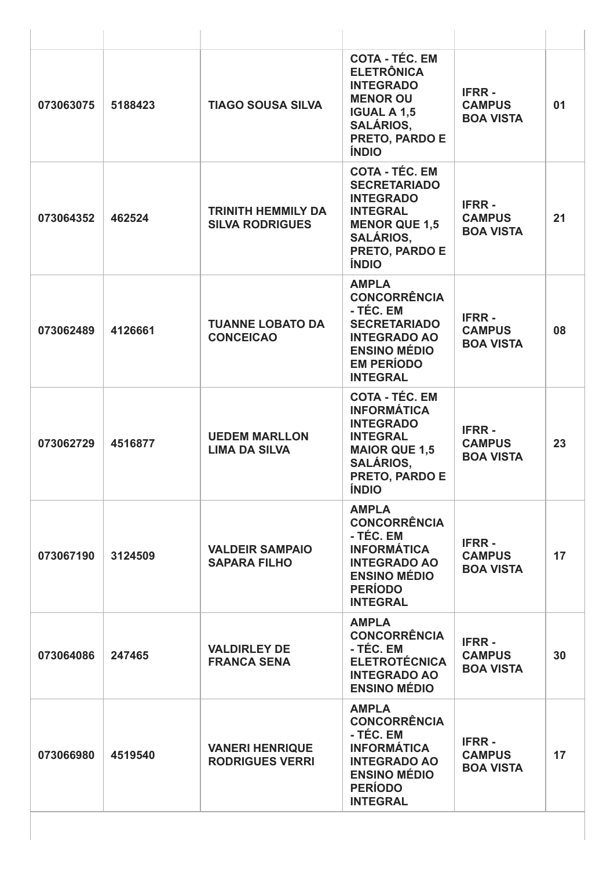| 073063075 | 5188423 | <b>TIAGO SOUSA SILVA</b>                            | <b>COTA - TÉC. EM</b><br><b>ELETRÔNICA</b><br><b>INTEGRADO</b><br><b>MENOR OU</b><br><b>IGUAL A 1,5</b><br><b>SALÁRIOS,</b><br>PRETO, PARDO E<br><b>ÍNDIO</b>           | <b>IFRR-</b><br><b>CAMPUS</b><br><b>BOA VISTA</b> | 01 |
|-----------|---------|-----------------------------------------------------|-------------------------------------------------------------------------------------------------------------------------------------------------------------------------|---------------------------------------------------|----|
| 073064352 | 462524  | <b>TRINITH HEMMILY DA</b><br><b>SILVA RODRIGUES</b> | <b>COTA - TÉC. EM</b><br><b>SECRETARIADO</b><br><b>INTEGRADO</b><br><b>INTEGRAL</b><br><b>MENOR QUE 1,5</b><br><b>SALÁRIOS.</b><br>PRETO, PARDO E<br><b>ÍNDIO</b>       | <b>IFRR-</b><br><b>CAMPUS</b><br><b>BOA VISTA</b> | 21 |
| 073062489 | 4126661 | <b>TUANNE LOBATO DA</b><br><b>CONCEICAO</b>         | <b>AMPLA</b><br><b>CONCORRÊNCIA</b><br>- TÉC. EM<br><b>SECRETARIADO</b><br><b>INTEGRADO AO</b><br><b>ENSINO MÉDIO</b><br><b>EM PERÍODO</b><br><b>INTEGRAL</b>           | <b>IFRR-</b><br><b>CAMPUS</b><br><b>BOA VISTA</b> | 08 |
| 073062729 | 4516877 | <b>UEDEM MARLLON</b><br><b>LIMA DA SILVA</b>        | <b>COTA - TÉC. EM</b><br><b>INFORMÁTICA</b><br><b>INTEGRADO</b><br><b>INTEGRAL</b><br><b>MAIOR QUE 1.5</b><br><b>SALÁRIOS,</b><br><b>PRETO, PARDO E</b><br><b>ÍNDIO</b> | <b>IFRR-</b><br><b>CAMPUS</b><br><b>BOA VISTA</b> | 23 |
| 073067190 | 3124509 | <b>VALDEIR SAMPAIO</b><br><b>SAPARA FILHO</b>       | <b>AMPLA</b><br><b>CONCORRÊNCIA</b><br>- TÉC. EM<br><b>INFORMÁTICA</b><br><b>INTEGRADO AO</b><br><b>ENSINO MÉDIO</b><br><b>PERÍODO</b><br><b>INTEGRAL</b>               | <b>IFRR-</b><br><b>CAMPUS</b><br><b>BOA VISTA</b> | 17 |
| 073064086 | 247465  | <b>VALDIRLEY DE</b><br><b>FRANCA SENA</b>           | <b>AMPLA</b><br><b>CONCORRÊNCIA</b><br>- TÉC. EM<br><b>ELETROTÉCNICA</b><br><b>INTEGRADO AO</b><br><b>ENSINO MÉDIO</b>                                                  | <b>IFRR-</b><br><b>CAMPUS</b><br><b>BOA VISTA</b> | 30 |
| 073066980 | 4519540 | <b>VANERI HENRIQUE</b><br><b>RODRIGUES VERRI</b>    | <b>AMPLA</b><br><b>CONCORRÊNCIA</b><br>- TÉC. EM<br><b>INFORMÁTICA</b><br><b>INTEGRADO AO</b><br><b>ENSINO MÉDIO</b><br><b>PERÍODO</b><br><b>INTEGRAL</b>               | <b>IFRR-</b><br><b>CAMPUS</b><br><b>BOA VISTA</b> | 17 |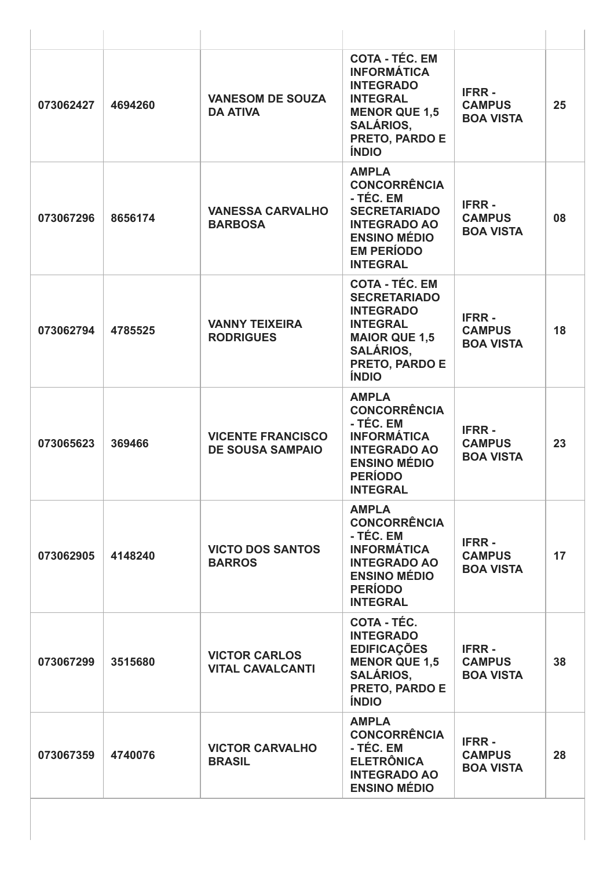| 073062427 | 4694260 | <b>VANESOM DE SOUZA</b><br><b>DA ATIVA</b>          | <b>COTA - TÉC. EM</b><br><b>INFORMÁTICA</b><br><b>INTEGRADO</b><br><b>INTEGRAL</b><br><b>MENOR QUE 1,5</b><br><b>SALÁRIOS,</b><br><b>PRETO, PARDO E</b><br><b>ÍNDIO</b> | <b>IFRR-</b><br><b>CAMPUS</b><br><b>BOA VISTA</b> | 25 |
|-----------|---------|-----------------------------------------------------|-------------------------------------------------------------------------------------------------------------------------------------------------------------------------|---------------------------------------------------|----|
| 073067296 | 8656174 | <b>VANESSA CARVALHO</b><br><b>BARBOSA</b>           | <b>AMPLA</b><br><b>CONCORRÊNCIA</b><br>- TÉC. EM<br><b>SECRETARIADO</b><br><b>INTEGRADO AO</b><br><b>ENSINO MÉDIO</b><br><b>EM PERÍODO</b><br><b>INTEGRAL</b>           | <b>IFRR-</b><br><b>CAMPUS</b><br><b>BOA VISTA</b> | 08 |
| 073062794 | 4785525 | <b>VANNY TEIXEIRA</b><br><b>RODRIGUES</b>           | <b>COTA - TÉC. EM</b><br><b>SECRETARIADO</b><br><b>INTEGRADO</b><br><b>INTEGRAL</b><br><b>MAIOR QUE 1,5</b><br><b>SALÁRIOS,</b><br>PRETO, PARDO E<br><b>ÍNDIO</b>       | <b>IFRR-</b><br><b>CAMPUS</b><br><b>BOA VISTA</b> | 18 |
| 073065623 | 369466  | <b>VICENTE FRANCISCO</b><br><b>DE SOUSA SAMPAIO</b> | <b>AMPLA</b><br><b>CONCORRÊNCIA</b><br>- TÉC. EM<br><b>INFORMÁTICA</b><br><b>INTEGRADO AO</b><br><b>ENSINO MÉDIO</b><br><b>PERÍODO</b><br><b>INTEGRAL</b>               | <b>IFRR-</b><br><b>CAMPUS</b><br><b>BOA VISTA</b> | 23 |
| 073062905 | 4148240 | <b>VICTO DOS SANTOS</b><br><b>BARROS</b>            | <b>AMPLA</b><br><b>CONCORRÊNCIA</b><br>- TÉC. EM<br><b>INFORMÁTICA</b><br><b>INTEGRADO AO</b><br><b>ENSINO MÉDIO</b><br><b>PERÍODO</b><br><b>INTEGRAL</b>               | <b>IFRR-</b><br><b>CAMPUS</b><br><b>BOA VISTA</b> | 17 |
| 073067299 | 3515680 | <b>VICTOR CARLOS</b><br><b>VITAL CAVALCANTI</b>     | <b>COTA - TÉC.</b><br><b>INTEGRADO</b><br><b>EDIFICAÇÕES</b><br><b>MENOR QUE 1,5</b><br><b>SALÁRIOS,</b><br>PRETO, PARDO E<br><b>ÍNDIO</b>                              | <b>IFRR-</b><br><b>CAMPUS</b><br><b>BOA VISTA</b> | 38 |
| 073067359 | 4740076 | <b>VICTOR CARVALHO</b><br><b>BRASIL</b>             | <b>AMPLA</b><br><b>CONCORRÊNCIA</b><br>- TÉC. EM<br><b>ELETRÔNICA</b><br><b>INTEGRADO AO</b><br><b>ENSINO MÉDIO</b>                                                     | <b>IFRR-</b><br><b>CAMPUS</b><br><b>BOA VISTA</b> | 28 |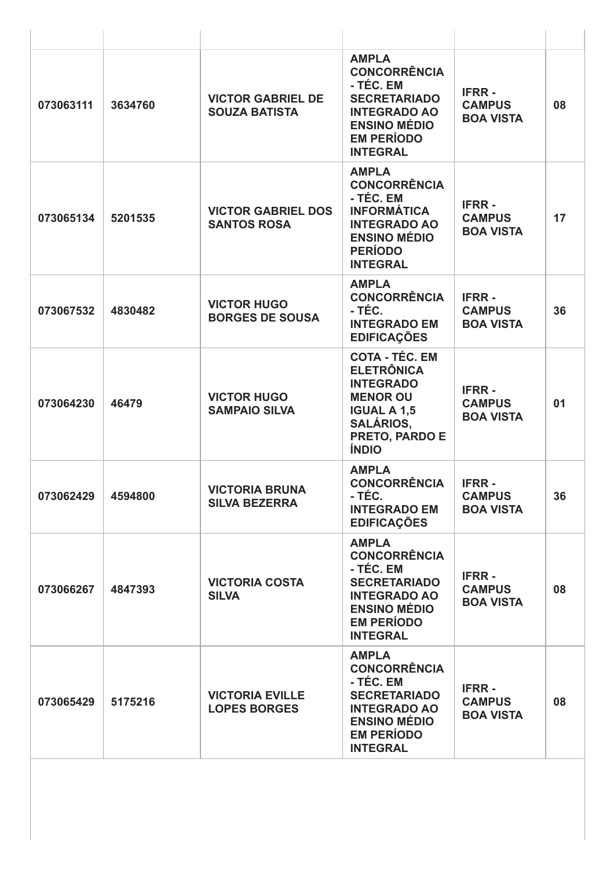| 073063111 | 3634760 | <b>VICTOR GABRIEL DE</b><br><b>SOUZA BATISTA</b> | <b>AMPLA</b><br><b>CONCORRÊNCIA</b><br>- TÉC. EM<br><b>SECRETARIADO</b><br><b>INTEGRADO AO</b><br><b>ENSINO MÉDIO</b><br><b>EM PERÍODO</b><br><b>INTEGRAL</b> | <b>IFRR-</b><br><b>CAMPUS</b><br><b>BOA VISTA</b> | 08 |
|-----------|---------|--------------------------------------------------|---------------------------------------------------------------------------------------------------------------------------------------------------------------|---------------------------------------------------|----|
| 073065134 | 5201535 | <b>VICTOR GABRIEL DOS</b><br><b>SANTOS ROSA</b>  | <b>AMPLA</b><br><b>CONCORRÊNCIA</b><br>- TÉC. EM<br><b>INFORMÁTICA</b><br><b>INTEGRADO AO</b><br><b>ENSINO MÉDIO</b><br><b>PERÍODO</b><br><b>INTEGRAL</b>     | <b>IFRR-</b><br><b>CAMPUS</b><br><b>BOA VISTA</b> | 17 |
| 073067532 | 4830482 | <b>VICTOR HUGO</b><br><b>BORGES DE SOUSA</b>     | <b>AMPLA</b><br><b>CONCORRÊNCIA</b><br>- TÉC.<br><b>INTEGRADO EM</b><br><b>EDIFICAÇÕES</b>                                                                    | <b>IFRR-</b><br><b>CAMPUS</b><br><b>BOA VISTA</b> | 36 |
| 073064230 | 46479   | <b>VICTOR HUGO</b><br><b>SAMPAIO SILVA</b>       | <b>COTA - TÉC. EM</b><br><b>ELETRÔNICA</b><br><b>INTEGRADO</b><br><b>MENOR OU</b><br><b>IGUAL A 1,5</b><br><b>SALÁRIOS,</b><br>PRETO, PARDO E<br><b>ÍNDIO</b> | <b>IFRR-</b><br><b>CAMPUS</b><br><b>BOA VISTA</b> | 01 |
| 073062429 | 4594800 | <b>VICTORIA BRUNA</b><br><b>SILVA BEZERRA</b>    | <b>AMPLA</b><br><b>CONCORRÊNCIA</b><br>- TÉC.<br><b>INTEGRADO EM</b><br><b>EDIFICAÇÕES</b>                                                                    | <b>IFRR-</b><br><b>CAMPUS</b><br><b>BOA VISTA</b> | 36 |
| 073066267 | 4847393 | <b>VICTORIA COSTA</b><br><b>SILVA</b>            | <b>AMPLA</b><br><b>CONCORRÊNCIA</b><br>- TÉC. EM<br><b>SECRETARIADO</b><br><b>INTEGRADO AO</b><br><b>ENSINO MÉDIO</b><br><b>EM PERÍODO</b><br><b>INTEGRAL</b> | <b>IFRR-</b><br><b>CAMPUS</b><br><b>BOA VISTA</b> | 08 |
| 073065429 | 5175216 | <b>VICTORIA EVILLE</b><br><b>LOPES BORGES</b>    | <b>AMPLA</b><br><b>CONCORRÊNCIA</b><br>- TÉC. EM<br><b>SECRETARIADO</b><br><b>INTEGRADO AO</b><br><b>ENSINO MÉDIO</b><br><b>EM PERÍODO</b><br><b>INTEGRAL</b> | <b>IFRR-</b><br><b>CAMPUS</b><br><b>BOA VISTA</b> | 08 |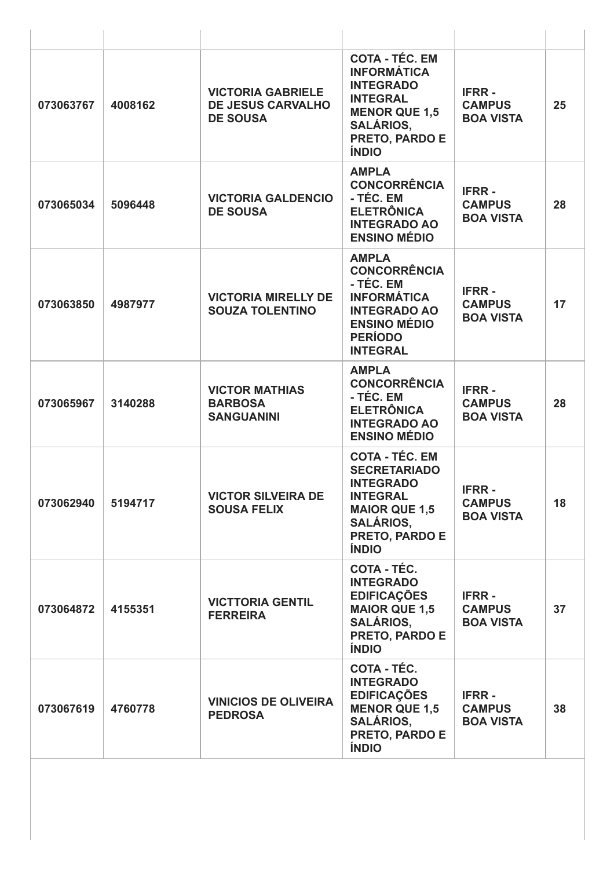| 073063767 | 4008162 | <b>VICTORIA GABRIELE</b><br><b>DE JESUS CARVALHO</b><br><b>DE SOUSA</b> | <b>COTA - TÉC. EM</b><br><b>INFORMÁTICA</b><br><b>INTEGRADO</b><br><b>INTEGRAL</b><br><b>MENOR QUE 1,5</b><br><b>SALÁRIOS,</b><br>PRETO, PARDO E<br><b>ÍNDIO</b>         | <b>IFRR-</b><br><b>CAMPUS</b><br><b>BOA VISTA</b> | 25 |
|-----------|---------|-------------------------------------------------------------------------|--------------------------------------------------------------------------------------------------------------------------------------------------------------------------|---------------------------------------------------|----|
| 073065034 | 5096448 | <b>VICTORIA GALDENCIO</b><br><b>DE SOUSA</b>                            | <b>AMPLA</b><br><b>CONCORRÊNCIA</b><br>- TÉC. EM<br><b>ELETRÔNICA</b><br><b>INTEGRADO AO</b><br><b>ENSINO MÉDIO</b>                                                      | <b>IFRR-</b><br><b>CAMPUS</b><br><b>BOA VISTA</b> | 28 |
| 073063850 | 4987977 | <b>VICTORIA MIRELLY DE</b><br><b>SOUZA TOLENTINO</b>                    | <b>AMPLA</b><br><b>CONCORRÊNCIA</b><br>- TÉC. EM<br><b>INFORMÁTICA</b><br><b>INTEGRADO AO</b><br><b>ENSINO MÉDIO</b><br><b>PERÍODO</b><br><b>INTEGRAL</b>                | <b>IFRR-</b><br><b>CAMPUS</b><br><b>BOA VISTA</b> | 17 |
| 073065967 | 3140288 | <b>VICTOR MATHIAS</b><br><b>BARBOSA</b><br><b>SANGUANINI</b>            | <b>AMPLA</b><br><b>CONCORRÊNCIA</b><br>- TÉC. EM<br><b>ELETRÔNICA</b><br><b>INTEGRADO AO</b><br><b>ENSINO MÉDIO</b>                                                      | <b>IFRR-</b><br><b>CAMPUS</b><br><b>BOA VISTA</b> | 28 |
| 073062940 | 5194717 | <b>VICTOR SILVEIRA DE</b><br><b>SOUSA FELIX</b>                         | <b>COTA - TÉC. EM</b><br><b>SECRETARIADO</b><br><b>INTEGRADO</b><br><b>INTEGRAL</b><br><b>MAIOR QUE 1,5</b><br><b>SALÁRIOS.</b><br><b>PRETO, PARDO E</b><br><b>ÍNDIO</b> | <b>IFRR-</b><br><b>CAMPUS</b><br><b>BOA VISTA</b> | 18 |
| 073064872 | 4155351 | <b>VICTTORIA GENTIL</b><br><b>FERREIRA</b>                              | COTA - TÉC.<br><b>INTEGRADO</b><br><b>EDIFICAÇÕES</b><br><b>MAIOR QUE 1,5</b><br><b>SALÁRIOS.</b><br>PRETO, PARDO E<br><b>ÍNDIO</b>                                      | <b>IFRR-</b><br><b>CAMPUS</b><br><b>BOA VISTA</b> | 37 |
| 073067619 | 4760778 | <b>VINICIOS DE OLIVEIRA</b><br><b>PEDROSA</b>                           | COTA - TÉC.<br><b>INTEGRADO</b><br><b>EDIFICAÇÕES</b><br><b>MENOR QUE 1,5</b><br><b>SALÁRIOS,</b><br>PRETO, PARDO E<br><b>ÍNDIO</b>                                      | <b>IFRR-</b><br><b>CAMPUS</b><br><b>BOA VISTA</b> | 38 |
|           |         |                                                                         |                                                                                                                                                                          |                                                   |    |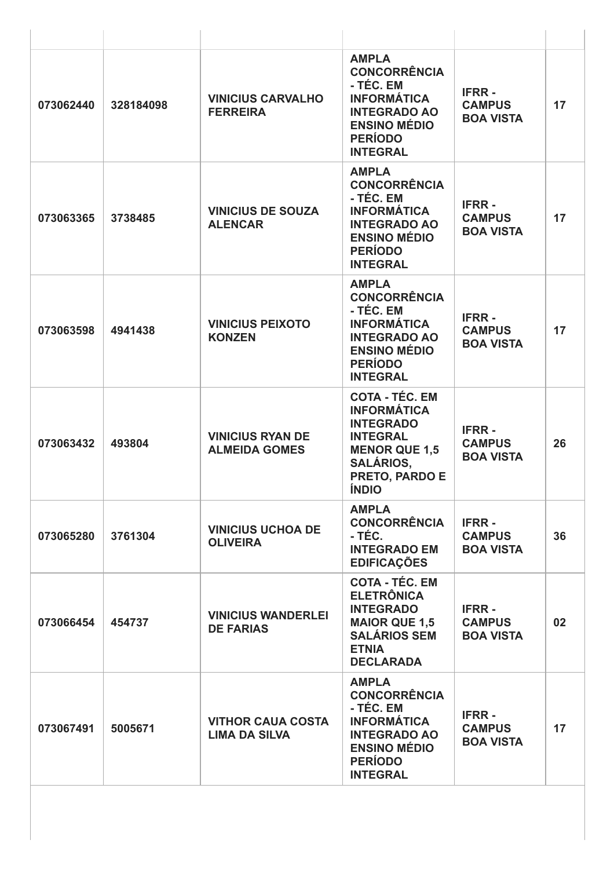| 073062440 | 328184098 | <b>VINICIUS CARVALHO</b><br><b>FERREIRA</b>      | <b>AMPLA</b><br><b>CONCORRÊNCIA</b><br>- TÉC. EM<br><b>INFORMÁTICA</b><br><b>INTEGRADO AO</b><br><b>ENSINO MÉDIO</b><br><b>PERÍODO</b><br><b>INTEGRAL</b>        | <b>IFRR-</b><br><b>CAMPUS</b><br><b>BOA VISTA</b> | 17 |
|-----------|-----------|--------------------------------------------------|------------------------------------------------------------------------------------------------------------------------------------------------------------------|---------------------------------------------------|----|
| 073063365 | 3738485   | <b>VINICIUS DE SOUZA</b><br><b>ALENCAR</b>       | <b>AMPLA</b><br><b>CONCORRÊNCIA</b><br>- TÉC. EM<br><b>INFORMÁTICA</b><br><b>INTEGRADO AO</b><br><b>ENSINO MÉDIO</b><br><b>PERÍODO</b><br><b>INTEGRAL</b>        | <b>IFRR-</b><br><b>CAMPUS</b><br><b>BOA VISTA</b> | 17 |
| 073063598 | 4941438   | <b>VINICIUS PEIXOTO</b><br><b>KONZEN</b>         | <b>AMPLA</b><br><b>CONCORRÊNCIA</b><br>- TÉC. EM<br><b>INFORMÁTICA</b><br><b>INTEGRADO AO</b><br><b>ENSINO MÉDIO</b><br><b>PERÍODO</b><br><b>INTEGRAL</b>        | <b>IFRR-</b><br><b>CAMPUS</b><br><b>BOA VISTA</b> | 17 |
| 073063432 | 493804    | <b>VINICIUS RYAN DE</b><br><b>ALMEIDA GOMES</b>  | <b>COTA - TÉC. EM</b><br><b>INFORMÁTICA</b><br><b>INTEGRADO</b><br><b>INTEGRAL</b><br><b>MENOR QUE 1,5</b><br><b>SALÁRIOS,</b><br>PRETO, PARDO E<br><b>ÍNDIO</b> | <b>IFRR-</b><br><b>CAMPUS</b><br><b>BOA VISTA</b> | 26 |
| 073065280 | 3761304   | <b>VINICIUS UCHOA DE</b><br><b>OLIVEIRA</b>      | <b>AMPLA</b><br><b>CONCORRÊNCIA</b><br>- TÉC.<br><b>INTEGRADO EM</b><br><b>EDIFICAÇÕES</b>                                                                       | <b>IFRR-</b><br><b>CAMPUS</b><br><b>BOA VISTA</b> | 36 |
| 073066454 | 454737    | <b>VINICIUS WANDERLEI</b><br><b>DE FARIAS</b>    | <b>COTA - TÉC. EM</b><br><b>ELETRÔNICA</b><br><b>INTEGRADO</b><br><b>MAIOR QUE 1,5</b><br><b>SALÁRIOS SEM</b><br><b>ETNIA</b><br><b>DECLARADA</b>                | <b>IFRR-</b><br><b>CAMPUS</b><br><b>BOA VISTA</b> | 02 |
| 073067491 | 5005671   | <b>VITHOR CAUA COSTA</b><br><b>LIMA DA SILVA</b> | <b>AMPLA</b><br><b>CONCORRÊNCIA</b><br>- TÉC. EM<br><b>INFORMÁTICA</b><br><b>INTEGRADO AO</b><br><b>ENSINO MÉDIO</b><br><b>PERÍODO</b><br><b>INTEGRAL</b>        | <b>IFRR-</b><br><b>CAMPUS</b><br><b>BOA VISTA</b> | 17 |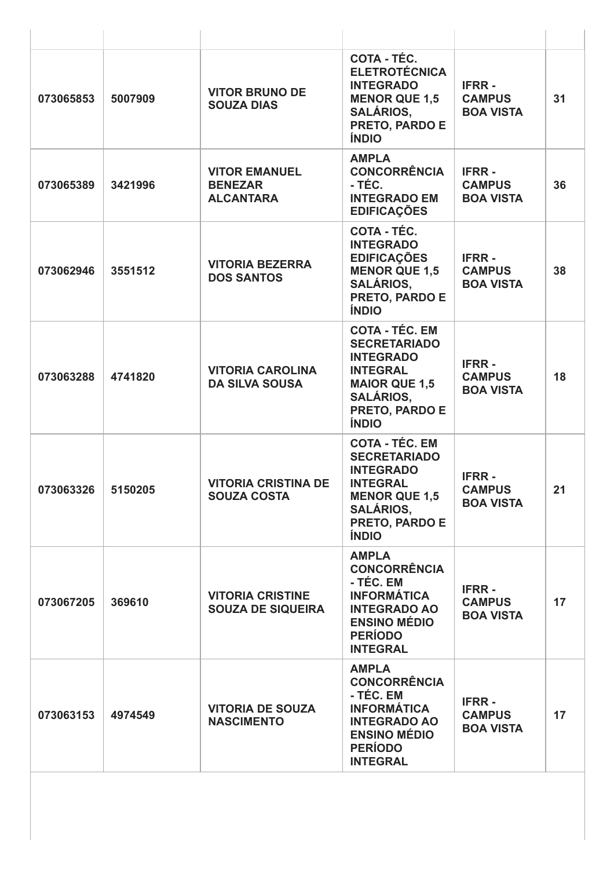| 073065853 | 5007909 | <b>VITOR BRUNO DE</b><br><b>SOUZA DIAS</b>                 | <b>COTA - TÉC.</b><br><b>ELETROTÉCNICA</b><br><b>INTEGRADO</b><br><b>MENOR QUE 1,5</b><br><b>SALÁRIOS,</b><br>PRETO, PARDO E<br><b>ÍNDIO</b>                             | <b>IFRR-</b><br><b>CAMPUS</b><br><b>BOA VISTA</b> | 31 |
|-----------|---------|------------------------------------------------------------|--------------------------------------------------------------------------------------------------------------------------------------------------------------------------|---------------------------------------------------|----|
| 073065389 | 3421996 | <b>VITOR EMANUEL</b><br><b>BENEZAR</b><br><b>ALCANTARA</b> | <b>AMPLA</b><br><b>CONCORRÊNCIA</b><br>- TÉC.<br><b>INTEGRADO EM</b><br><b>EDIFICAÇÕES</b>                                                                               | <b>IFRR-</b><br><b>CAMPUS</b><br><b>BOA VISTA</b> | 36 |
| 073062946 | 3551512 | <b>VITORIA BEZERRA</b><br><b>DOS SANTOS</b>                | COTA - TÉC.<br><b>INTEGRADO</b><br><b>EDIFICAÇÕES</b><br><b>MENOR QUE 1,5</b><br><b>SALÁRIOS.</b><br>PRETO, PARDO E<br><b>ÍNDIO</b>                                      | <b>IFRR-</b><br><b>CAMPUS</b><br><b>BOA VISTA</b> | 38 |
| 073063288 | 4741820 | <b>VITORIA CAROLINA</b><br><b>DA SILVA SOUSA</b>           | <b>COTA - TÉC. EM</b><br><b>SECRETARIADO</b><br><b>INTEGRADO</b><br><b>INTEGRAL</b><br><b>MAIOR QUE 1,5</b><br><b>SALÁRIOS,</b><br>PRETO, PARDO E<br><b>ÍNDIO</b>        | <b>IFRR-</b><br><b>CAMPUS</b><br><b>BOA VISTA</b> | 18 |
| 073063326 | 5150205 | <b>VITORIA CRISTINA DE</b><br><b>SOUZA COSTA</b>           | <b>COTA - TÉC. EM</b><br><b>SECRETARIADO</b><br><b>INTEGRADO</b><br><b>INTEGRAL</b><br><b>MENOR QUE 1,5</b><br><b>SALÁRIOS,</b><br><b>PRETO, PARDO E</b><br><b>ÍNDIO</b> | <b>IFRR-</b><br><b>CAMPUS</b><br><b>BOA VISTA</b> | 21 |
| 073067205 | 369610  | <b>VITORIA CRISTINE</b><br><b>SOUZA DE SIQUEIRA</b>        | <b>AMPLA</b><br><b>CONCORRÊNCIA</b><br>- TÉC. EM<br><b>INFORMÁTICA</b><br><b>INTEGRADO AO</b><br><b>ENSINO MÉDIO</b><br><b>PERÍODO</b><br><b>INTEGRAL</b>                | <b>IFRR-</b><br><b>CAMPUS</b><br><b>BOA VISTA</b> | 17 |
| 073063153 | 4974549 | <b>VITORIA DE SOUZA</b><br><b>NASCIMENTO</b>               | <b>AMPLA</b><br><b>CONCORRÊNCIA</b><br>- TÉC. EM<br><b>INFORMÁTICA</b><br><b>INTEGRADO AO</b><br><b>ENSINO MÉDIO</b><br><b>PERÍODO</b><br><b>INTEGRAL</b>                | <b>IFRR-</b><br><b>CAMPUS</b><br><b>BOA VISTA</b> | 17 |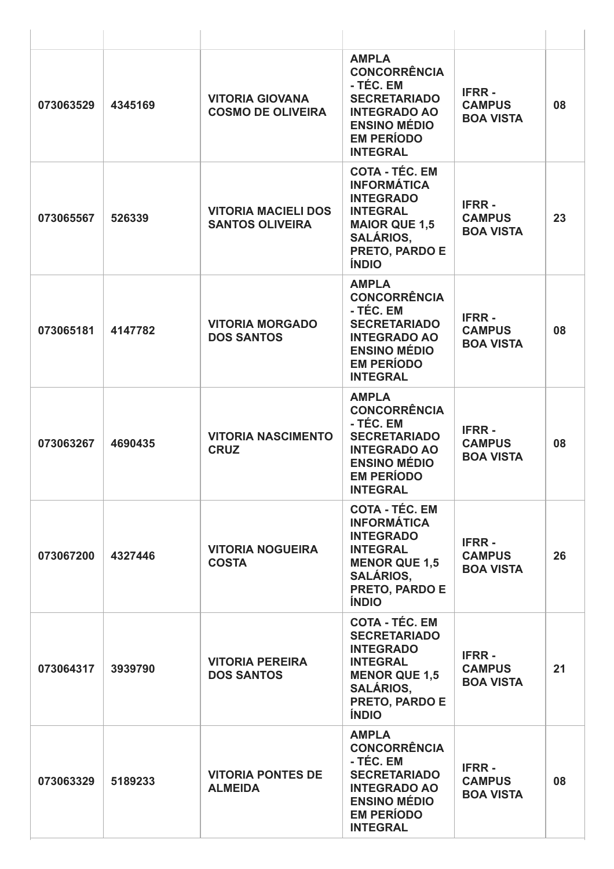| 073063529 | 4345169 | <b>VITORIA GIOVANA</b><br><b>COSMO DE OLIVEIRA</b>   | <b>AMPLA</b><br><b>CONCORRÊNCIA</b><br>- TÉC. EM<br><b>SECRETARIADO</b><br><b>INTEGRADO AO</b><br><b>ENSINO MÉDIO</b><br><b>EM PERÍODO</b><br><b>INTEGRAL</b>     | <b>IFRR-</b><br><b>CAMPUS</b><br><b>BOA VISTA</b> | 08 |
|-----------|---------|------------------------------------------------------|-------------------------------------------------------------------------------------------------------------------------------------------------------------------|---------------------------------------------------|----|
| 073065567 | 526339  | <b>VITORIA MACIELI DOS</b><br><b>SANTOS OLIVEIRA</b> | <b>COTA - TÉC. EM</b><br><b>INFORMÁTICA</b><br><b>INTEGRADO</b><br><b>INTEGRAL</b><br><b>MAIOR QUE 1,5</b><br><b>SALÁRIOS,</b><br>PRETO, PARDO E<br><b>ÍNDIO</b>  | <b>IFRR-</b><br><b>CAMPUS</b><br><b>BOA VISTA</b> | 23 |
| 073065181 | 4147782 | <b>VITORIA MORGADO</b><br><b>DOS SANTOS</b>          | <b>AMPLA</b><br><b>CONCORRÊNCIA</b><br>- TÉC. EM<br><b>SECRETARIADO</b><br><b>INTEGRADO AO</b><br><b>ENSINO MÉDIO</b><br><b>EM PERÍODO</b><br><b>INTEGRAL</b>     | <b>IFRR-</b><br><b>CAMPUS</b><br><b>BOA VISTA</b> | 08 |
| 073063267 | 4690435 | <b>VITORIA NASCIMENTO</b><br><b>CRUZ</b>             | <b>AMPLA</b><br><b>CONCORRÊNCIA</b><br>- TÉC. EM<br><b>SECRETARIADO</b><br><b>INTEGRADO AO</b><br><b>ENSINO MÉDIO</b><br><b>EM PERÍODO</b><br><b>INTEGRAL</b>     | <b>IFRR-</b><br><b>CAMPUS</b><br><b>BOA VISTA</b> | 08 |
| 073067200 | 4327446 | <b>VITORIA NOGUEIRA</b><br><b>COSTA</b>              | <b>COTA - TÉC. EM</b><br><b>INFORMÁTICA</b><br><b>INTEGRADO</b><br><b>INTEGRAL</b><br><b>MENOR QUE 1,5</b><br><b>SALÁRIOS.</b><br>PRETO, PARDO E<br><b>ÍNDIO</b>  | <b>IFRR-</b><br><b>CAMPUS</b><br><b>BOA VISTA</b> | 26 |
| 073064317 | 3939790 | <b>VITORIA PEREIRA</b><br><b>DOS SANTOS</b>          | <b>COTA - TÉC. EM</b><br><b>SECRETARIADO</b><br><b>INTEGRADO</b><br><b>INTEGRAL</b><br><b>MENOR QUE 1,5</b><br><b>SALÁRIOS,</b><br>PRETO, PARDO E<br><b>ÍNDIO</b> | <b>IFRR-</b><br><b>CAMPUS</b><br><b>BOA VISTA</b> | 21 |
| 073063329 | 5189233 | <b>VITORIA PONTES DE</b><br><b>ALMEIDA</b>           | <b>AMPLA</b><br><b>CONCORRÊNCIA</b><br>- TÉC. EM<br><b>SECRETARIADO</b><br><b>INTEGRADO AO</b><br><b>ENSINO MÉDIO</b><br><b>EM PERÍODO</b><br><b>INTEGRAL</b>     | <b>IFRR-</b><br><b>CAMPUS</b><br><b>BOA VISTA</b> | 08 |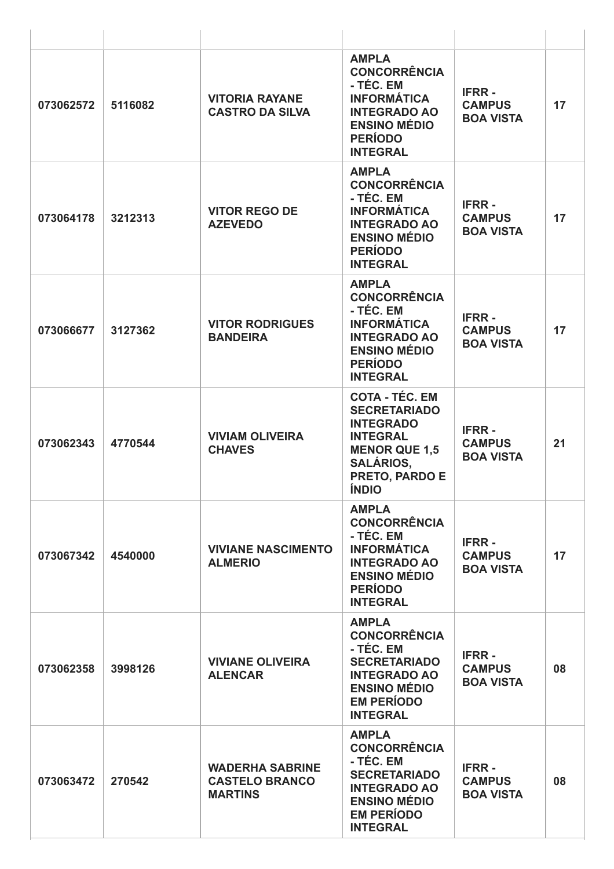| 073062572 | 5116082 | <b>VITORIA RAYANE</b><br><b>CASTRO DA SILVA</b>                   | <b>AMPLA</b><br><b>CONCORRÊNCIA</b><br>- TÉC. EM<br><b>INFORMÁTICA</b><br><b>INTEGRADO AO</b><br><b>ENSINO MÉDIO</b><br><b>PERÍODO</b><br><b>INTEGRAL</b>                | <b>IFRR-</b><br><b>CAMPUS</b><br><b>BOA VISTA</b> | 17 |
|-----------|---------|-------------------------------------------------------------------|--------------------------------------------------------------------------------------------------------------------------------------------------------------------------|---------------------------------------------------|----|
| 073064178 | 3212313 | <b>VITOR REGO DE</b><br><b>AZEVEDO</b>                            | <b>AMPLA</b><br><b>CONCORRÊNCIA</b><br>- TÉC. EM<br><b>INFORMÁTICA</b><br><b>INTEGRADO AO</b><br><b>ENSINO MÉDIO</b><br><b>PERÍODO</b><br><b>INTEGRAL</b>                | <b>IFRR-</b><br><b>CAMPUS</b><br><b>BOA VISTA</b> | 17 |
| 073066677 | 3127362 | <b>VITOR RODRIGUES</b><br><b>BANDEIRA</b>                         | <b>AMPLA</b><br><b>CONCORRÊNCIA</b><br>- TÉC. EM<br><b>INFORMÁTICA</b><br><b>INTEGRADO AO</b><br><b>ENSINO MÉDIO</b><br><b>PERÍODO</b><br><b>INTEGRAL</b>                | <b>IFRR-</b><br><b>CAMPUS</b><br><b>BOA VISTA</b> | 17 |
| 073062343 | 4770544 | <b>VIVIAM OLIVEIRA</b><br><b>CHAVES</b>                           | <b>COTA - TÉC. EM</b><br><b>SECRETARIADO</b><br><b>INTEGRADO</b><br><b>INTEGRAL</b><br><b>MENOR QUE 1,5</b><br><b>SALÁRIOS,</b><br><b>PRETO, PARDO E</b><br><b>ÍNDIO</b> | <b>IFRR-</b><br><b>CAMPUS</b><br><b>BOA VISTA</b> | 21 |
| 073067342 | 4540000 | <b>VIVIANE NASCIMENTO</b><br><b>ALMERIO</b>                       | <b>AMPLA</b><br><b>CONCORRÊNCIA</b><br>- TÉC. EM<br><b>INFORMÁTICA</b><br><b>INTEGRADO AO</b><br><b>ENSINO MÉDIO</b><br><b>PERÍODO</b><br><b>INTEGRAL</b>                | <b>IFRR-</b><br><b>CAMPUS</b><br><b>BOA VISTA</b> | 17 |
| 073062358 | 3998126 | <b>VIVIANE OLIVEIRA</b><br><b>ALENCAR</b>                         | <b>AMPLA</b><br><b>CONCORRÊNCIA</b><br>- TÉC. EM<br><b>SECRETARIADO</b><br><b>INTEGRADO AO</b><br><b>ENSINO MÉDIO</b><br><b>EM PERÍODO</b><br><b>INTEGRAL</b>            | <b>IFRR-</b><br><b>CAMPUS</b><br><b>BOA VISTA</b> | 08 |
| 073063472 | 270542  | <b>WADERHA SABRINE</b><br><b>CASTELO BRANCO</b><br><b>MARTINS</b> | <b>AMPLA</b><br><b>CONCORRÊNCIA</b><br>- TÉC. EM<br><b>SECRETARIADO</b><br><b>INTEGRADO AO</b><br><b>ENSINO MÉDIO</b><br><b>EM PERÍODO</b><br><b>INTEGRAL</b>            | <b>IFRR-</b><br><b>CAMPUS</b><br><b>BOA VISTA</b> | 08 |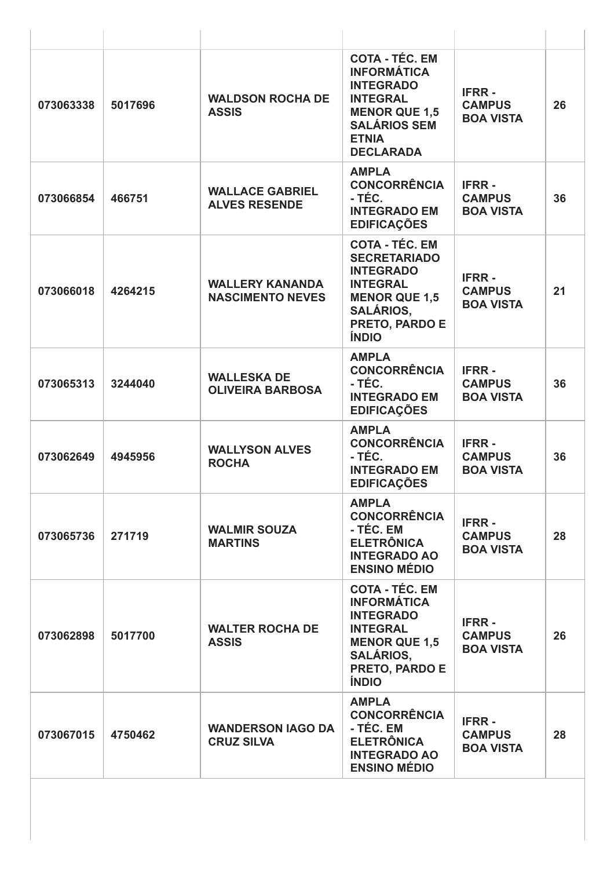| 073063338 | 5017696 | <b>WALDSON ROCHA DE</b><br><b>ASSIS</b>           | <b>COTA - TÉC. EM</b><br><b>INFORMÁTICA</b><br><b>INTEGRADO</b><br><b>INTEGRAL</b><br><b>MENOR QUE 1,5</b><br><b>SALÁRIOS SEM</b><br><b>ETNIA</b><br><b>DECLARADA</b> | <b>IFRR-</b><br><b>CAMPUS</b><br><b>BOA VISTA</b> | 26 |
|-----------|---------|---------------------------------------------------|-----------------------------------------------------------------------------------------------------------------------------------------------------------------------|---------------------------------------------------|----|
| 073066854 | 466751  | <b>WALLACE GABRIEL</b><br><b>ALVES RESENDE</b>    | <b>AMPLA</b><br><b>CONCORRÊNCIA</b><br>- TÉC.<br><b>INTEGRADO EM</b><br><b>EDIFICAÇÕES</b>                                                                            | <b>IFRR-</b><br><b>CAMPUS</b><br><b>BOA VISTA</b> | 36 |
| 073066018 | 4264215 | <b>WALLERY KANANDA</b><br><b>NASCIMENTO NEVES</b> | <b>COTA - TÉC. EM</b><br><b>SECRETARIADO</b><br><b>INTEGRADO</b><br><b>INTEGRAL</b><br><b>MENOR QUE 1,5</b><br><b>SALÁRIOS,</b><br>PRETO, PARDO E<br><b>ÍNDIO</b>     | <b>IFRR-</b><br><b>CAMPUS</b><br><b>BOA VISTA</b> | 21 |
| 073065313 | 3244040 | <b>WALLESKA DE</b><br><b>OLIVEIRA BARBOSA</b>     | <b>AMPLA</b><br><b>CONCORRÊNCIA</b><br>- TÉC.<br><b>INTEGRADO EM</b><br><b>EDIFICAÇÕES</b>                                                                            | <b>IFRR-</b><br><b>CAMPUS</b><br><b>BOA VISTA</b> | 36 |
| 073062649 | 4945956 | <b>WALLYSON ALVES</b><br><b>ROCHA</b>             | <b>AMPLA</b><br><b>CONCORRÊNCIA</b><br>- TÉC.<br><b>INTEGRADO EM</b><br><b>EDIFICAÇÕES</b>                                                                            | <b>IFRR-</b><br><b>CAMPUS</b><br><b>BOA VISTA</b> | 36 |
| 073065736 | 271719  | <b>WALMIR SOUZA</b><br><b>MARTINS</b>             | <b>AMPLA</b><br><b>CONCORRÊNCIA</b><br>- TÉC. EM<br><b>ELETRÔNICA</b><br><b>INTEGRADO AO</b><br><b>ENSINO MÉDIO</b>                                                   | <b>IFRR-</b><br><b>CAMPUS</b><br><b>BOA VISTA</b> | 28 |
| 073062898 | 5017700 | <b>WALTER ROCHA DE</b><br><b>ASSIS</b>            | <b>COTA - TÉC. EM</b><br><b>INFORMÁTICA</b><br><b>INTEGRADO</b><br><b>INTEGRAL</b><br><b>MENOR QUE 1,5</b><br><b>SALÁRIOS,</b><br>PRETO, PARDO E<br><b>ÍNDIO</b>      | <b>IFRR-</b><br><b>CAMPUS</b><br><b>BOA VISTA</b> | 26 |
| 073067015 | 4750462 | <b>WANDERSON IAGO DA</b><br><b>CRUZ SILVA</b>     | <b>AMPLA</b><br><b>CONCORRÊNCIA</b><br>- TÉC. EM<br><b>ELETRÔNICA</b><br><b>INTEGRADO AO</b><br><b>ENSINO MÉDIO</b>                                                   | <b>IFRR-</b><br><b>CAMPUS</b><br><b>BOA VISTA</b> | 28 |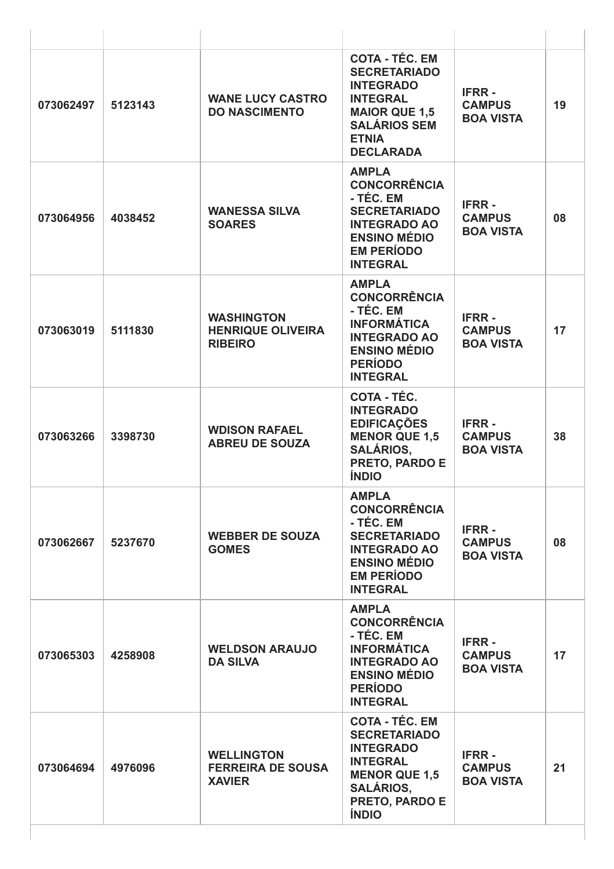| 073062497 | 5123143 | <b>WANE LUCY CASTRO</b><br><b>DO NASCIMENTO</b>                 | <b>COTA - TÉC. EM</b><br><b>SECRETARIADO</b><br><b>INTEGRADO</b><br><b>INTEGRAL</b><br><b>MAIOR QUE 1,5</b><br><b>SALÁRIOS SEM</b><br><b>ETNIA</b><br><b>DECLARADA</b> | <b>IFRR-</b><br><b>CAMPUS</b><br><b>BOA VISTA</b> | 19 |
|-----------|---------|-----------------------------------------------------------------|------------------------------------------------------------------------------------------------------------------------------------------------------------------------|---------------------------------------------------|----|
| 073064956 | 4038452 | <b>WANESSA SILVA</b><br><b>SOARES</b>                           | <b>AMPLA</b><br><b>CONCORRÊNCIA</b><br>- TÉC. EM<br><b>SECRETARIADO</b><br><b>INTEGRADO AO</b><br><b>ENSINO MÉDIO</b><br><b>EM PERÍODO</b><br><b>INTEGRAL</b>          | <b>IFRR-</b><br><b>CAMPUS</b><br><b>BOA VISTA</b> | 08 |
| 073063019 | 5111830 | <b>WASHINGTON</b><br><b>HENRIQUE OLIVEIRA</b><br><b>RIBEIRO</b> | <b>AMPLA</b><br><b>CONCORRÊNCIA</b><br>- TÉC. EM<br><b>INFORMÁTICA</b><br><b>INTEGRADO AO</b><br><b>ENSINO MÉDIO</b><br><b>PERÍODO</b><br><b>INTEGRAL</b>              | <b>IFRR-</b><br><b>CAMPUS</b><br><b>BOA VISTA</b> | 17 |
| 073063266 | 3398730 | <b>WDISON RAFAEL</b><br><b>ABREU DE SOUZA</b>                   | COTA - TÉC.<br><b>INTEGRADO</b><br><b>EDIFICAÇÕES</b><br><b>MENOR QUE 1,5</b><br><b>SALÁRIOS,</b><br>PRETO, PARDO E<br><b>ÍNDIO</b>                                    | <b>IFRR-</b><br><b>CAMPUS</b><br><b>BOA VISTA</b> | 38 |
| 073062667 | 5237670 | <b>WEBBER DE SOUZA</b><br><b>GOMES</b>                          | <b>AMPLA</b><br><b>CONCORRÊNCIA</b><br>- TÉC. EM<br><b>SECRETARIADO</b><br><b>INTEGRADO AO</b><br><b>ENSINO MÉDIO</b><br><b>EM PERÍODO</b><br><b>INTEGRAL</b>          | <b>IFRR-</b><br><b>CAMPUS</b><br><b>BOA VISTA</b> | 08 |
| 073065303 | 4258908 | <b>WELDSON ARAUJO</b><br><b>DA SILVA</b>                        | <b>AMPLA</b><br><b>CONCORRÊNCIA</b><br>- TÉC. EM<br><b>INFORMÁTICA</b><br><b>INTEGRADO AO</b><br><b>ENSINO MÉDIO</b><br><b>PERÍODO</b><br><b>INTEGRAL</b>              | <b>IFRR-</b><br><b>CAMPUS</b><br><b>BOA VISTA</b> | 17 |
| 073064694 | 4976096 | <b>WELLINGTON</b><br><b>FERREIRA DE SOUSA</b><br><b>XAVIER</b>  | <b>COTA - TÉC. EM</b><br><b>SECRETARIADO</b><br><b>INTEGRADO</b><br><b>INTEGRAL</b><br><b>MENOR QUE 1,5</b><br><b>SALÁRIOS,</b><br>PRETO, PARDO E<br><b>ÍNDIO</b>      | <b>IFRR-</b><br><b>CAMPUS</b><br><b>BOA VISTA</b> | 21 |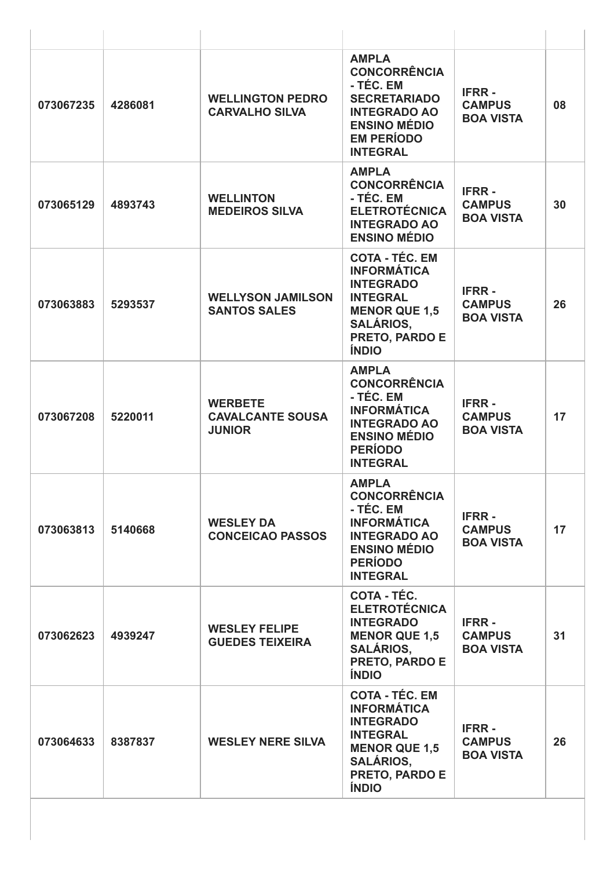| 073067235 | 4286081 | <b>WELLINGTON PEDRO</b><br><b>CARVALHO SILVA</b>           | <b>AMPLA</b><br><b>CONCORRÊNCIA</b><br>- TÉC. EM<br><b>SECRETARIADO</b><br><b>INTEGRADO AO</b><br><b>ENSINO MÉDIO</b><br><b>EM PERÍODO</b><br><b>INTEGRAL</b>    | <b>IFRR-</b><br><b>CAMPUS</b><br><b>BOA VISTA</b> | 08 |
|-----------|---------|------------------------------------------------------------|------------------------------------------------------------------------------------------------------------------------------------------------------------------|---------------------------------------------------|----|
| 073065129 | 4893743 | <b>WELLINTON</b><br><b>MEDEIROS SILVA</b>                  | <b>AMPLA</b><br><b>CONCORRÊNCIA</b><br>- TÉC. EM<br><b>ELETROTÉCNICA</b><br><b>INTEGRADO AO</b><br><b>ENSINO MÉDIO</b>                                           | <b>IFRR-</b><br><b>CAMPUS</b><br><b>BOA VISTA</b> | 30 |
| 073063883 | 5293537 | <b>WELLYSON JAMILSON</b><br><b>SANTOS SALES</b>            | <b>COTA - TÉC. EM</b><br><b>INFORMÁTICA</b><br><b>INTEGRADO</b><br><b>INTEGRAL</b><br><b>MENOR QUE 1,5</b><br><b>SALÁRIOS,</b><br>PRETO, PARDO E<br><b>ÍNDIO</b> | <b>IFRR-</b><br><b>CAMPUS</b><br><b>BOA VISTA</b> | 26 |
| 073067208 | 5220011 | <b>WERBETE</b><br><b>CAVALCANTE SOUSA</b><br><b>JUNIOR</b> | <b>AMPLA</b><br><b>CONCORRÊNCIA</b><br>- TÉC. EM<br><b>INFORMÁTICA</b><br><b>INTEGRADO AO</b><br><b>ENSINO MÉDIO</b><br><b>PERÍODO</b><br><b>INTEGRAL</b>        | <b>IFRR-</b><br><b>CAMPUS</b><br><b>BOA VISTA</b> | 17 |
| 073063813 | 5140668 | <b>WESLEY DA</b><br><b>CONCEICAO PASSOS</b>                | <b>AMPLA</b><br><b>CONCORRÊNCIA</b><br>- TÉC. EM<br><b>INFORMÁTICA</b><br><b>INTEGRADO AO</b><br><b>ENSINO MÉDIO</b><br><b>PERÍODO</b><br><b>INTEGRAL</b>        | <b>IFRR-</b><br><b>CAMPUS</b><br><b>BOA VISTA</b> | 17 |
| 073062623 | 4939247 | <b>WESLEY FELIPE</b><br><b>GUEDES TEIXEIRA</b>             | <b>COTA - TÉC.</b><br><b>ELETROTÉCNICA</b><br><b>INTEGRADO</b><br><b>MENOR QUE 1,5</b><br><b>SALÁRIOS,</b><br>PRETO, PARDO E<br><b>ÍNDIO</b>                     | <b>IFRR-</b><br><b>CAMPUS</b><br><b>BOA VISTA</b> | 31 |
| 073064633 | 8387837 | <b>WESLEY NERE SILVA</b>                                   | <b>COTA - TÉC. EM</b><br><b>INFORMÁTICA</b><br><b>INTEGRADO</b><br><b>INTEGRAL</b><br><b>MENOR QUE 1,5</b><br><b>SALÁRIOS,</b><br>PRETO, PARDO E<br><b>ÍNDIO</b> | <b>IFRR-</b><br><b>CAMPUS</b><br><b>BOA VISTA</b> | 26 |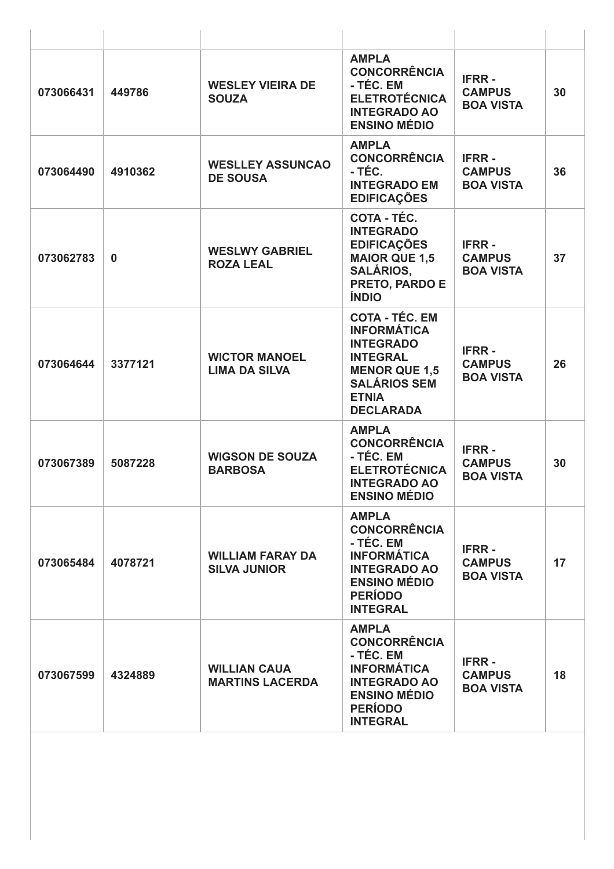| 073066431 | 449786      | <b>WESLEY VIEIRA DE</b><br><b>SOUZA</b>        | <b>AMPLA</b><br><b>CONCORRÊNCIA</b><br>- TÉC. EM<br><b>ELETROTÉCNICA</b><br><b>INTEGRADO AO</b><br><b>ENSINO MÉDIO</b>                                                | <b>IFRR-</b><br><b>CAMPUS</b><br><b>BOA VISTA</b> | 30 |
|-----------|-------------|------------------------------------------------|-----------------------------------------------------------------------------------------------------------------------------------------------------------------------|---------------------------------------------------|----|
| 073064490 | 4910362     | <b>WESLLEY ASSUNCAO</b><br><b>DE SOUSA</b>     | <b>AMPLA</b><br><b>CONCORRÊNCIA</b><br>- TÉC.<br><b>INTEGRADO EM</b><br><b>EDIFICAÇÕES</b>                                                                            | <b>IFRR-</b><br><b>CAMPUS</b><br><b>BOA VISTA</b> | 36 |
| 073062783 | $\mathbf 0$ | <b>WESLWY GABRIEL</b><br><b>ROZA LEAL</b>      | COTA - TÉC.<br><b>INTEGRADO</b><br><b>EDIFICAÇÕES</b><br><b>MAIOR QUE 1,5</b><br><b>SALÁRIOS,</b><br>PRETO, PARDO E<br><b>ÍNDIO</b>                                   | <b>IFRR-</b><br><b>CAMPUS</b><br><b>BOA VISTA</b> | 37 |
| 073064644 | 3377121     | <b>WICTOR MANOEL</b><br><b>LIMA DA SILVA</b>   | <b>COTA - TÉC. EM</b><br><b>INFORMÁTICA</b><br><b>INTEGRADO</b><br><b>INTEGRAL</b><br><b>MENOR QUE 1,5</b><br><b>SALÁRIOS SEM</b><br><b>ETNIA</b><br><b>DECLARADA</b> | <b>IFRR-</b><br><b>CAMPUS</b><br><b>BOA VISTA</b> | 26 |
| 073067389 | 5087228     | <b>WIGSON DE SOUZA</b><br><b>BARBOSA</b>       | <b>AMPLA</b><br><b>CONCORRÊNCIA</b><br>- TÉC. EM<br><b>ELETROTÉCNICA</b><br><b>INTEGRADO AO</b><br><b>ENSINO MÉDIO</b>                                                | <b>IFRR-</b><br><b>CAMPUS</b><br><b>BOA VISTA</b> | 30 |
| 073065484 | 4078721     | <b>WILLIAM FARAY DA</b><br><b>SILVA JUNIOR</b> | <b>AMPLA</b><br><b>CONCORRÊNCIA</b><br>- TÉC. EM<br><b>INFORMÁTICA</b><br><b>INTEGRADO AO</b><br><b>ENSINO MÉDIO</b><br><b>PERÍODO</b><br><b>INTEGRAL</b>             | <b>IFRR-</b><br><b>CAMPUS</b><br><b>BOA VISTA</b> | 17 |
| 073067599 | 4324889     | <b>WILLIAN CAUA</b><br><b>MARTINS LACERDA</b>  | <b>AMPLA</b><br><b>CONCORRÊNCIA</b><br>- TÉC. EM<br><b>INFORMÁTICA</b><br><b>INTEGRADO AO</b><br><b>ENSINO MÉDIO</b><br><b>PERÍODO</b><br><b>INTEGRAL</b>             | <b>IFRR-</b><br><b>CAMPUS</b><br><b>BOA VISTA</b> | 18 |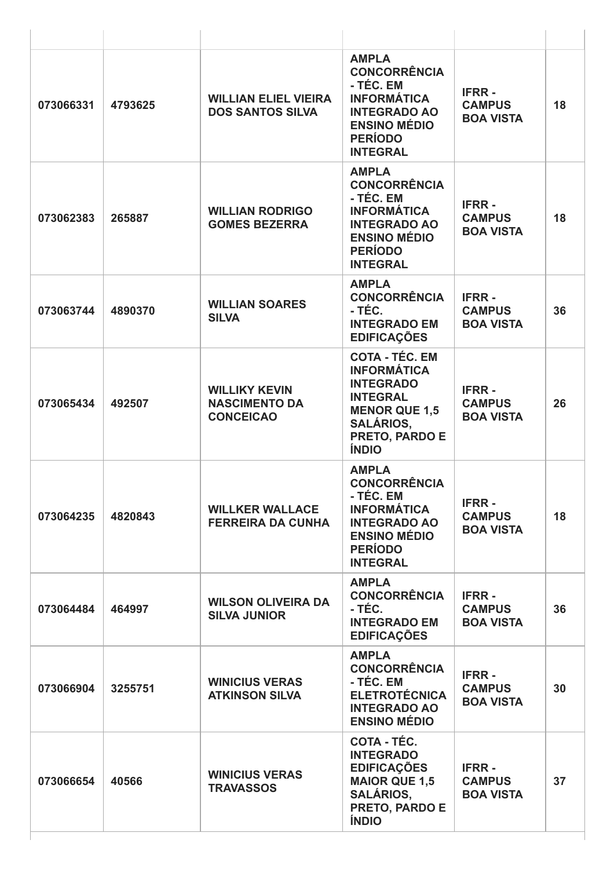| 073066331 | 4793625 | <b>WILLIAN ELIEL VIEIRA</b><br><b>DOS SANTOS SILVA</b>           | <b>AMPLA</b><br><b>CONCORRÊNCIA</b><br>- TÉC. EM<br><b>INFORMÁTICA</b><br><b>INTEGRADO AO</b><br><b>ENSINO MÉDIO</b><br><b>PERÍODO</b><br><b>INTEGRAL</b>               | <b>IFRR-</b><br><b>CAMPUS</b><br><b>BOA VISTA</b> | 18 |
|-----------|---------|------------------------------------------------------------------|-------------------------------------------------------------------------------------------------------------------------------------------------------------------------|---------------------------------------------------|----|
| 073062383 | 265887  | <b>WILLIAN RODRIGO</b><br><b>GOMES BEZERRA</b>                   | <b>AMPLA</b><br><b>CONCORRÊNCIA</b><br>- TÉC. EM<br><b>INFORMÁTICA</b><br><b>INTEGRADO AO</b><br><b>ENSINO MÉDIO</b><br><b>PERÍODO</b><br><b>INTEGRAL</b>               | <b>IFRR-</b><br><b>CAMPUS</b><br><b>BOA VISTA</b> | 18 |
| 073063744 | 4890370 | <b>WILLIAN SOARES</b><br><b>SILVA</b>                            | <b>AMPLA</b><br><b>CONCORRÊNCIA</b><br>- TÉC.<br><b>INTEGRADO EM</b><br><b>EDIFICAÇÕES</b>                                                                              | <b>IFRR-</b><br><b>CAMPUS</b><br><b>BOA VISTA</b> | 36 |
| 073065434 | 492507  | <b>WILLIKY KEVIN</b><br><b>NASCIMENTO DA</b><br><b>CONCEICAO</b> | <b>COTA - TÉC. EM</b><br><b>INFORMÁTICA</b><br><b>INTEGRADO</b><br><b>INTEGRAL</b><br><b>MENOR QUE 1,5</b><br><b>SALÁRIOS,</b><br><b>PRETO, PARDO E</b><br><b>ÍNDIO</b> | <b>IFRR-</b><br><b>CAMPUS</b><br><b>BOA VISTA</b> | 26 |
| 073064235 | 4820843 | <b>WILLKER WALLACE</b><br><b>FERREIRA DA CUNHA</b>               | <b>AMPLA</b><br><b>CONCORRÊNCIA</b><br>- TÉC. EM<br><b>INFORMÁTICA</b><br><b>INTEGRADO AO</b><br><b>ENSINO MÉDIO</b><br><b>PERÍODO</b><br><b>INTEGRAL</b>               | <b>IFRR-</b><br><b>CAMPUS</b><br><b>BOA VISTA</b> | 18 |
| 073064484 | 464997  | <b>WILSON OLIVEIRA DA</b><br><b>SILVA JUNIOR</b>                 | <b>AMPLA</b><br><b>CONCORRÊNCIA</b><br>- TÉC.<br><b>INTEGRADO EM</b><br><b>EDIFICAÇÕES</b>                                                                              | <b>IFRR-</b><br><b>CAMPUS</b><br><b>BOA VISTA</b> | 36 |
| 073066904 | 3255751 | <b>WINICIUS VERAS</b><br><b>ATKINSON SILVA</b>                   | <b>AMPLA</b><br><b>CONCORRÊNCIA</b><br>- TÉC. EM<br><b>ELETROTÉCNICA</b><br><b>INTEGRADO AO</b><br><b>ENSINO MÉDIO</b>                                                  | <b>IFRR-</b><br><b>CAMPUS</b><br><b>BOA VISTA</b> | 30 |
| 073066654 | 40566   | <b>WINICIUS VERAS</b><br><b>TRAVASSOS</b>                        | <b>COTA - TÉC.</b><br><b>INTEGRADO</b><br><b>EDIFICAÇÕES</b><br><b>MAIOR QUE 1,5</b><br><b>SALÁRIOS,</b><br>PRETO, PARDO E<br><b>ÍNDIO</b>                              | <b>IFRR-</b><br><b>CAMPUS</b><br><b>BOA VISTA</b> | 37 |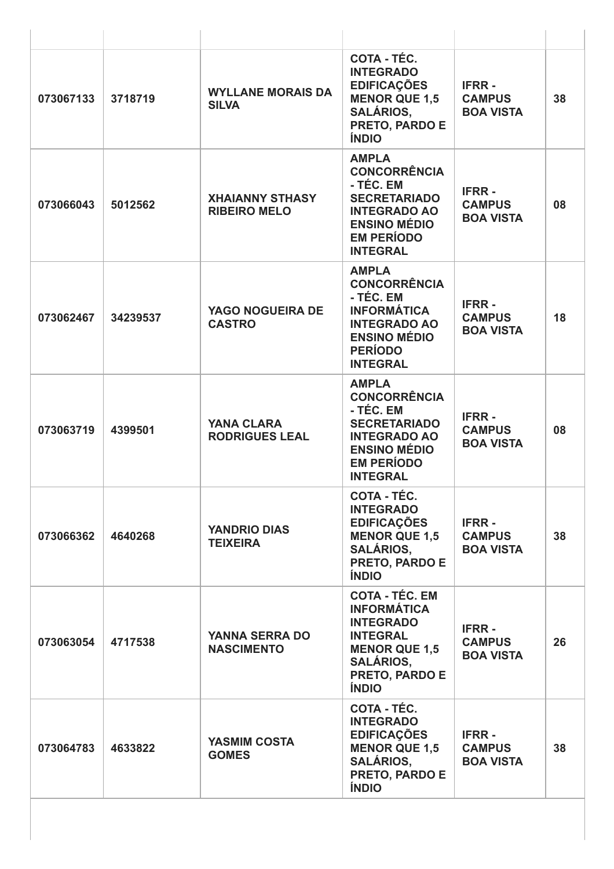| 073067133 | 3718719  | <b>WYLLANE MORAIS DA</b><br><b>SILVA</b>      | COTA - TÉC.<br><b>INTEGRADO</b><br><b>EDIFICAÇÕES</b><br><b>MENOR QUE 1,5</b><br><b>SALÁRIOS,</b><br>PRETO, PARDO E<br><b>ÍNDIO</b>                                     | <b>IFRR-</b><br><b>CAMPUS</b><br><b>BOA VISTA</b> | 38 |
|-----------|----------|-----------------------------------------------|-------------------------------------------------------------------------------------------------------------------------------------------------------------------------|---------------------------------------------------|----|
| 073066043 | 5012562  | <b>XHAIANNY STHASY</b><br><b>RIBEIRO MELO</b> | <b>AMPLA</b><br><b>CONCORRÊNCIA</b><br>- TÉC. EM<br><b>SECRETARIADO</b><br><b>INTEGRADO AO</b><br><b>ENSINO MÉDIO</b><br><b>EM PERÍODO</b><br><b>INTEGRAL</b>           | <b>IFRR-</b><br><b>CAMPUS</b><br><b>BOA VISTA</b> | 08 |
| 073062467 | 34239537 | YAGO NOGUEIRA DE<br><b>CASTRO</b>             | <b>AMPLA</b><br><b>CONCORRÊNCIA</b><br>- TÉC. EM<br><b>INFORMÁTICA</b><br><b>INTEGRADO AO</b><br><b>ENSINO MÉDIO</b><br><b>PERÍODO</b><br><b>INTEGRAL</b>               | <b>IFRR-</b><br><b>CAMPUS</b><br><b>BOA VISTA</b> | 18 |
| 073063719 | 4399501  | <b>YANA CLARA</b><br><b>RODRIGUES LEAL</b>    | <b>AMPLA</b><br><b>CONCORRÊNCIA</b><br>- TÉC. EM<br><b>SECRETARIADO</b><br><b>INTEGRADO AO</b><br><b>ENSINO MÉDIO</b><br><b>EM PERÍODO</b><br><b>INTEGRAL</b>           | <b>IFRR-</b><br><b>CAMPUS</b><br><b>BOA VISTA</b> | 08 |
| 073066362 | 4640268  | <b>YANDRIO DIAS</b><br><b>TEIXEIRA</b>        | COTA - TEC.<br><b>INTEGRADO</b><br><b>EDIFICAÇÕES</b><br><b>MENOR QUE 1,5</b><br><b>SALÁRIOS,</b><br><b>PRETO, PARDO E</b><br><b>ÍNDIO</b>                              | <b>IFRR-</b><br><b>CAMPUS</b><br><b>BOA VISTA</b> | 38 |
| 073063054 | 4717538  | <b>YANNA SERRA DO</b><br><b>NASCIMENTO</b>    | <b>COTA - TÉC. EM</b><br><b>INFORMÁTICA</b><br><b>INTEGRADO</b><br><b>INTEGRAL</b><br><b>MENOR QUE 1,5</b><br><b>SALÁRIOS,</b><br><b>PRETO, PARDO E</b><br><b>ÍNDIO</b> | <b>IFRR-</b><br><b>CAMPUS</b><br><b>BOA VISTA</b> | 26 |
| 073064783 | 4633822  | <b>YASMIM COSTA</b><br><b>GOMES</b>           | COTA - TÉC.<br><b>INTEGRADO</b><br><b>EDIFICAÇÕES</b><br><b>MENOR QUE 1,5</b><br><b>SALÁRIOS,</b><br>PRETO, PARDO E<br><b>ÍNDIO</b>                                     | <b>IFRR-</b><br><b>CAMPUS</b><br><b>BOA VISTA</b> | 38 |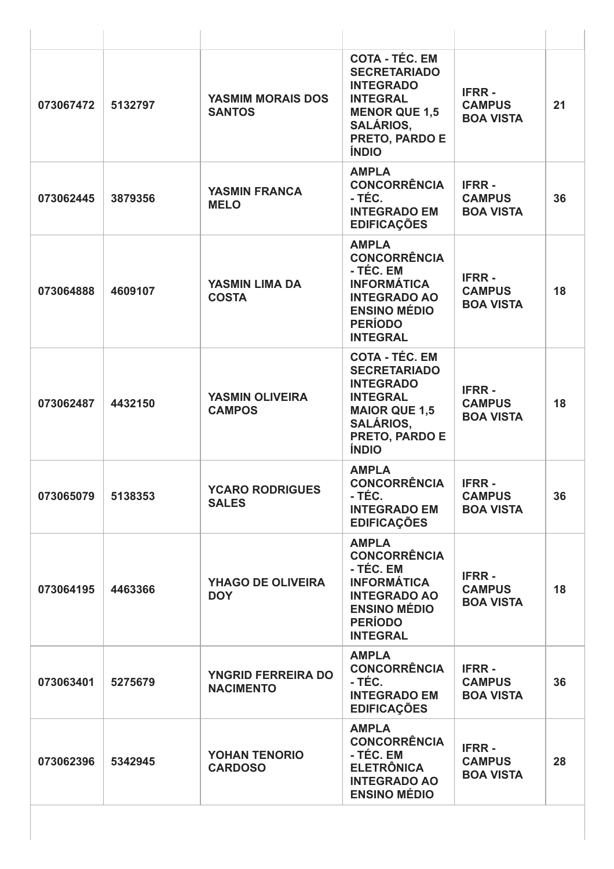| 073067472 | 5132797 | <b>YASMIM MORAIS DOS</b><br><b>SANTOS</b>     | <b>COTA - TÉC. EM</b><br><b>SECRETARIADO</b><br><b>INTEGRADO</b><br><b>INTEGRAL</b><br><b>MENOR QUE 1,5</b><br><b>SALÁRIOS,</b><br>PRETO, PARDO E<br><b>ÍNDIO</b> | <b>IFRR-</b><br><b>CAMPUS</b><br><b>BOA VISTA</b> | 21 |
|-----------|---------|-----------------------------------------------|-------------------------------------------------------------------------------------------------------------------------------------------------------------------|---------------------------------------------------|----|
| 073062445 | 3879356 | <b>YASMIN FRANCA</b><br><b>MELO</b>           | <b>AMPLA</b><br><b>CONCORRÊNCIA</b><br>- TÉC.<br><b>INTEGRADO EM</b><br><b>EDIFICAÇÕES</b>                                                                        | <b>IFRR-</b><br><b>CAMPUS</b><br><b>BOA VISTA</b> | 36 |
| 073064888 | 4609107 | <b>YASMIN LIMA DA</b><br><b>COSTA</b>         | <b>AMPLA</b><br><b>CONCORRÊNCIA</b><br>- TÉC. EM<br><b>INFORMÁTICA</b><br><b>INTEGRADO AO</b><br><b>ENSINO MÉDIO</b><br><b>PERÍODO</b><br><b>INTEGRAL</b>         | <b>IFRR-</b><br><b>CAMPUS</b><br><b>BOA VISTA</b> | 18 |
| 073062487 | 4432150 | <b>YASMIN OLIVEIRA</b><br><b>CAMPOS</b>       | <b>COTA - TÉC. EM</b><br><b>SECRETARIADO</b><br><b>INTEGRADO</b><br><b>INTEGRAL</b><br><b>MAIOR QUE 1,5</b><br><b>SALÁRIOS,</b><br>PRETO, PARDO E<br><b>ÍNDIO</b> | <b>IFRR-</b><br><b>CAMPUS</b><br><b>BOA VISTA</b> | 18 |
| 073065079 | 5138353 | <b>YCARO RODRIGUES</b><br><b>SALES</b>        | <b>AMPLA</b><br><b>CONCORRÊNCIA</b><br>- TEC.<br><b>INTEGRADO EM</b><br><b>EDIFICAÇÕES</b>                                                                        | <b>IFRR-</b><br><b>CAMPUS</b><br><b>BOA VISTA</b> | 36 |
| 073064195 | 4463366 | <b>YHAGO DE OLIVEIRA</b><br><b>DOY</b>        | <b>AMPLA</b><br><b>CONCORRÊNCIA</b><br>- TÉC. EM<br><b>INFORMÁTICA</b><br><b>INTEGRADO AO</b><br><b>ENSINO MÉDIO</b><br><b>PERÍODO</b><br><b>INTEGRAL</b>         | <b>IFRR-</b><br><b>CAMPUS</b><br><b>BOA VISTA</b> | 18 |
| 073063401 | 5275679 | <b>YNGRID FERREIRA DO</b><br><b>NACIMENTO</b> | <b>AMPLA</b><br><b>CONCORRÊNCIA</b><br>- TÉC.<br><b>INTEGRADO EM</b><br><b>EDIFICAÇÕES</b>                                                                        | <b>IFRR-</b><br><b>CAMPUS</b><br><b>BOA VISTA</b> | 36 |
| 073062396 | 5342945 | YOHAN TENORIO<br><b>CARDOSO</b>               | <b>AMPLA</b><br><b>CONCORRÊNCIA</b><br>- TÉC. EM<br><b>ELETRÔNICA</b><br><b>INTEGRADO AO</b><br><b>ENSINO MÉDIO</b>                                               | <b>IFRR-</b><br><b>CAMPUS</b><br><b>BOA VISTA</b> | 28 |